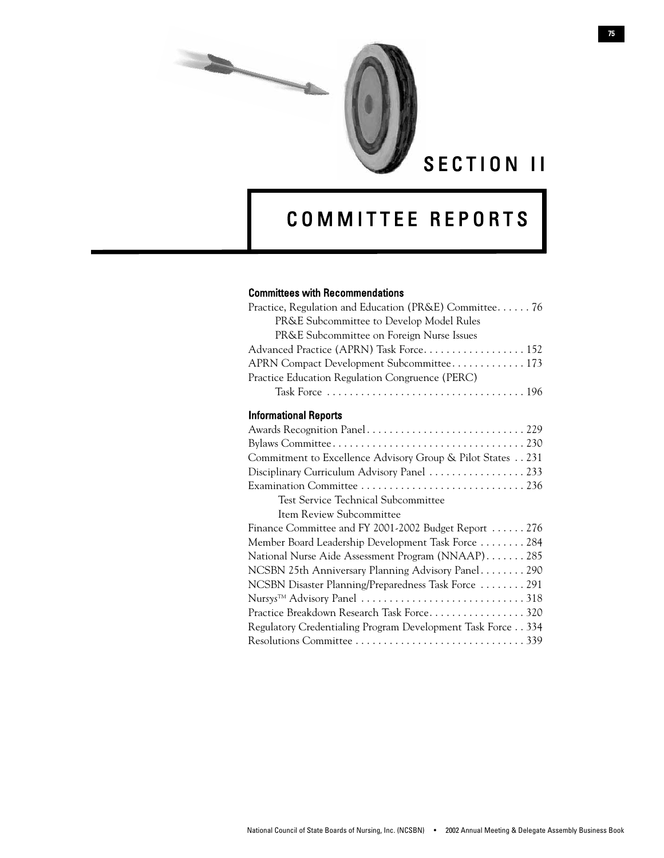

# SECTION II

# COMMITTEE REPORTS

### Committees with Recommendations

| Practice, Regulation and Education (PR&E) Committee. 76                                              |
|------------------------------------------------------------------------------------------------------|
| PR&E Subcommittee to Develop Model Rules                                                             |
| PR&E Subcommittee on Foreign Nurse Issues                                                            |
| Advanced Practice (APRN) Task Force 152                                                              |
| APRN Compact Development Subcommittee 173                                                            |
| Practice Education Regulation Congruence (PERC)                                                      |
| Task Force $\ldots \ldots \ldots \ldots \ldots \ldots \ldots \ldots \ldots \ldots \ldots \ldots 196$ |

### Informational Reports

| Commitment to Excellence Advisory Group & Pilot States 231  |
|-------------------------------------------------------------|
| Disciplinary Curriculum Advisory Panel  233                 |
|                                                             |
| Test Service Technical Subcommittee                         |
| Item Review Subcommittee                                    |
| Finance Committee and FY 2001-2002 Budget Report  276       |
| Member Board Leadership Development Task Force  284         |
| National Nurse Aide Assessment Program (NNAAP) 285          |
| NCSBN 25th Anniversary Planning Advisory Panel 290          |
| NCSBN Disaster Planning/Preparedness Task Force  291        |
|                                                             |
| Practice Breakdown Research Task Force320                   |
| Regulatory Credentialing Program Development Task Force 334 |
|                                                             |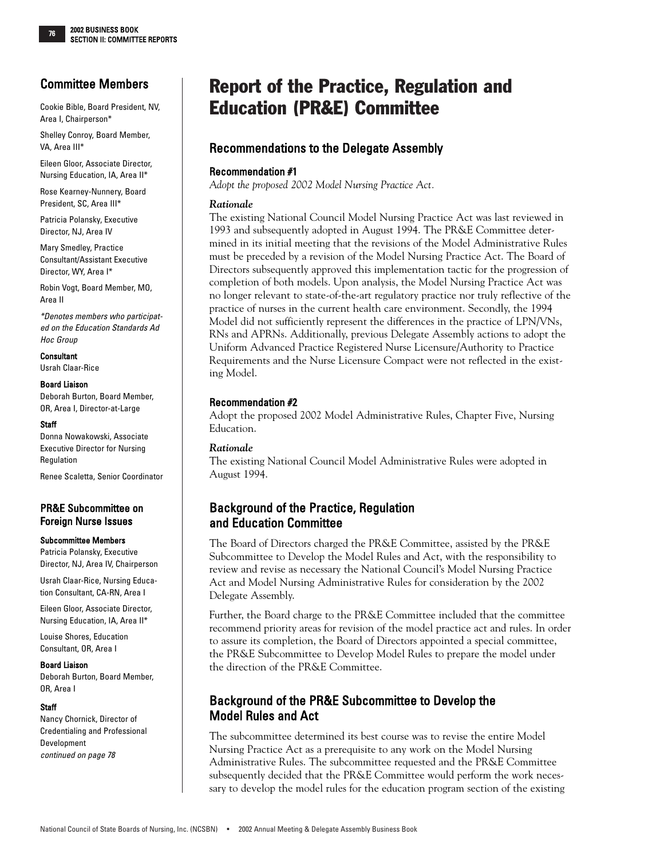# <span id="page-1-0"></span>Committee Members

Cookie Bible, Board President, NV, Area I, Chairperson\*

Shelley Conroy, Board Member, VA, Area III\*

Eileen Gloor, Associate Director, Nursing Education, IA, Area II\*

Rose Kearney-Nunnery, Board President, SC, Area III\*

Patricia Polansky, Executive Director, NJ, Area IV

Mary Smedley, Practice Consultant/Assistant Executive Director, WY, Area I\*

Robin Vogt, Board Member, MO, Area II

\*Denotes members who participated on the Education Standards Ad Hoc Group

Consultant Usrah Claar-Rice

#### Board Liaison

Deborah Burton, Board Member, OR, Area I, Director-at-Large

#### Staff

Donna Nowakowski, Associate Executive Director for Nursing **Regulation** 

Renee Scaletta, Senior Coordinator

### PR&E Subcommittee on Foreign Nurse Issues

#### Subcommittee Members

Patricia Polansky, Executive Director, NJ, Area IV, Chairperson

Usrah Claar-Rice, Nursing Education Consultant, CA-RN, Area I

Eileen Gloor, Associate Director, Nursing Education, IA, Area II\*

Louise Shores, Education Consultant, OR, Area I

#### Board Liaison

Deborah Burton, Board Member, OR, Area I

### Staff

Nancy Chornick, Director of Credentialing and Professional Development continued on page 78

# Report of the Practice, Regulation and Education (PR&E) Committee

## Recommendations to the Delegate Assembly

### Recommendation #1

*Adopt the proposed 2002 Model Nursing Practice Act.*

### *Rationale*

The existing National Council Model Nursing Practice Act was last reviewed in 1993 and subsequently adopted in August 1994. The PR&E Committee determined in its initial meeting that the revisions of the Model Administrative Rules must be preceded by a revision of the Model Nursing Practice Act. The Board of Directors subsequently approved this implementation tactic for the progression of completion of both models. Upon analysis, the Model Nursing Practice Act was no longer relevant to state-of-the-art regulatory practice nor truly reflective of the practice of nurses in the current health care environment. Secondly, the 1994 Model did not sufficiently represent the differences in the practice of LPN/VNs, RNs and APRNs. Additionally, previous Delegate Assembly actions to adopt the Uniform Advanced Practice Registered Nurse Licensure/Authority to Practice Requirements and the Nurse Licensure Compact were not reflected in the existing Model.

### Recommendation #2

Adopt the proposed 2002 Model Administrative Rules, Chapter Five, Nursing Education.

### *Rationale*

The existing National Council Model Administrative Rules were adopted in August 1994.

# Background of the Practice, Regulation and Education Committee

The Board of Directors charged the PR&E Committee, assisted by the PR&E Subcommittee to Develop the Model Rules and Act, with the responsibility to review and revise as necessary the National Council's Model Nursing Practice Act and Model Nursing Administrative Rules for consideration by the 2002 Delegate Assembly.

Further, the Board charge to the PR&E Committee included that the committee recommend priority areas for revision of the model practice act and rules. In order to assure its completion, the Board of Directors appointed a special committee, the PR&E Subcommittee to Develop Model Rules to prepare the model under the direction of the PR&E Committee.

# Background of the PR&E Subcommittee to Develop the Model Rules and Act

The subcommittee determined its best course was to revise the entire Model Nursing Practice Act as a prerequisite to any work on the Model Nursing Administrative Rules. The subcommittee requested and the PR&E Committee subsequently decided that the PR&E Committee would perform the work necessary to develop the model rules for the education program section of the existing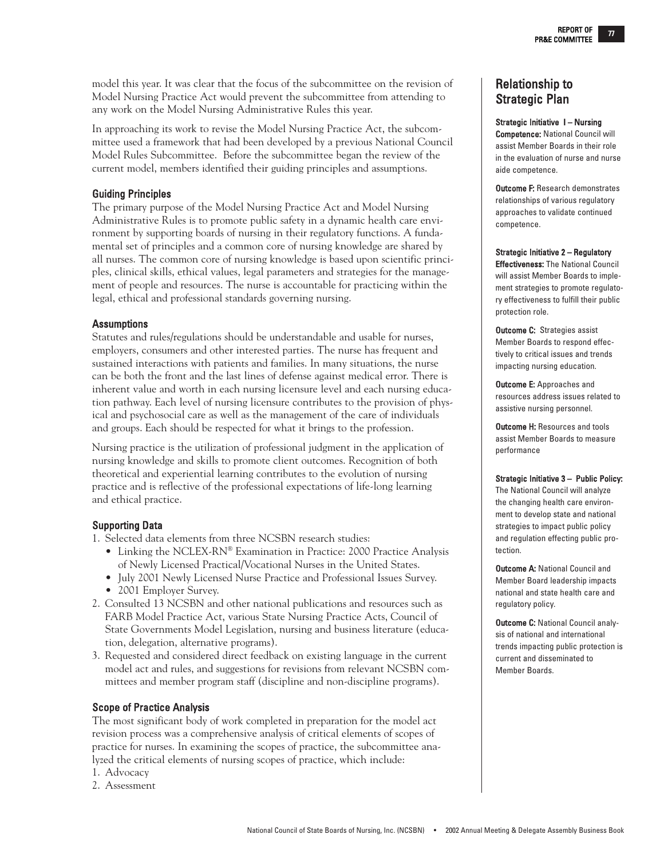model this year. It was clear that the focus of the subcommittee on the revision of Model Nursing Practice Act would prevent the subcommittee from attending to any work on the Model Nursing Administrative Rules this year.

In approaching its work to revise the Model Nursing Practice Act, the subcommittee used a framework that had been developed by a previous National Council Model Rules Subcommittee. Before the subcommittee began the review of the current model, members identified their guiding principles and assumptions.

### Guiding Principles

The primary purpose of the Model Nursing Practice Act and Model Nursing Administrative Rules is to promote public safety in a dynamic health care environment by supporting boards of nursing in their regulatory functions. A fundamental set of principles and a common core of nursing knowledge are shared by all nurses. The common core of nursing knowledge is based upon scientific principles, clinical skills, ethical values, legal parameters and strategies for the management of people and resources. The nurse is accountable for practicing within the legal, ethical and professional standards governing nursing.

### **Assumptions**

Statutes and rules/regulations should be understandable and usable for nurses, employers, consumers and other interested parties. The nurse has frequent and sustained interactions with patients and families. In many situations, the nurse can be both the front and the last lines of defense against medical error. There is inherent value and worth in each nursing licensure level and each nursing education pathway. Each level of nursing licensure contributes to the provision of physical and psychosocial care as well as the management of the care of individuals and groups. Each should be respected for what it brings to the profession.

Nursing practice is the utilization of professional judgment in the application of nursing knowledge and skills to promote client outcomes. Recognition of both theoretical and experiential learning contributes to the evolution of nursing practice and is reflective of the professional expectations of life-long learning and ethical practice.

### Supporting Data

1. Selected data elements from three NCSBN research studies:

- Linking the NCLEX-RN® Examination in Practice: 2000 Practice Analysis of Newly Licensed Practical/Vocational Nurses in the United States.
- July 2001 Newly Licensed Nurse Practice and Professional Issues Survey. • 2001 Employer Survey.
- 2. Consulted 13 NCSBN and other national publications and resources such as FARB Model Practice Act, various State Nursing Practice Acts, Council of State Governments Model Legislation, nursing and business literature (education, delegation, alternative programs).
- 3. Requested and considered direct feedback on existing language in the current model act and rules, and suggestions for revisions from relevant NCSBN committees and member program staff (discipline and non-discipline programs).

### Scope of Practice Analysis

The most significant body of work completed in preparation for the model act revision process was a comprehensive analysis of critical elements of scopes of practice for nurses. In examining the scopes of practice, the subcommittee analyzed the critical elements of nursing scopes of practice, which include:

- 1. Advocacy
- 2. Assessment

### Relationship to Strategic Plan

#### Strategic Initiative I – Nursing

Competence: National Council will assist Member Boards in their role in the evaluation of nurse and nurse aide competence.

**Outcome F: Research demonstrates** relationships of various regulatory approaches to validate continued competence.

#### Strategic Initiative 2 – Regulatory

Effectiveness: The National Council will assist Member Boards to implement strategies to promote regulatory effectiveness to fulfill their public protection role.

**Outcome C: Strategies assist** Member Boards to respond effectively to critical issues and trends impacting nursing education.

Outcome E: Approaches and resources address issues related to assistive nursing personnel.

Outcome H: Resources and tools assist Member Boards to measure performance

#### Strategic Initiative 3 – Public Policy:

The National Council will analyze the changing health care environment to develop state and national strategies to impact public policy and regulation effecting public protection.

**Outcome A: National Council and** Member Board leadership impacts national and state health care and regulatory policy.

Outcome C: National Council analysis of national and international trends impacting public protection is current and disseminated to Member Boards.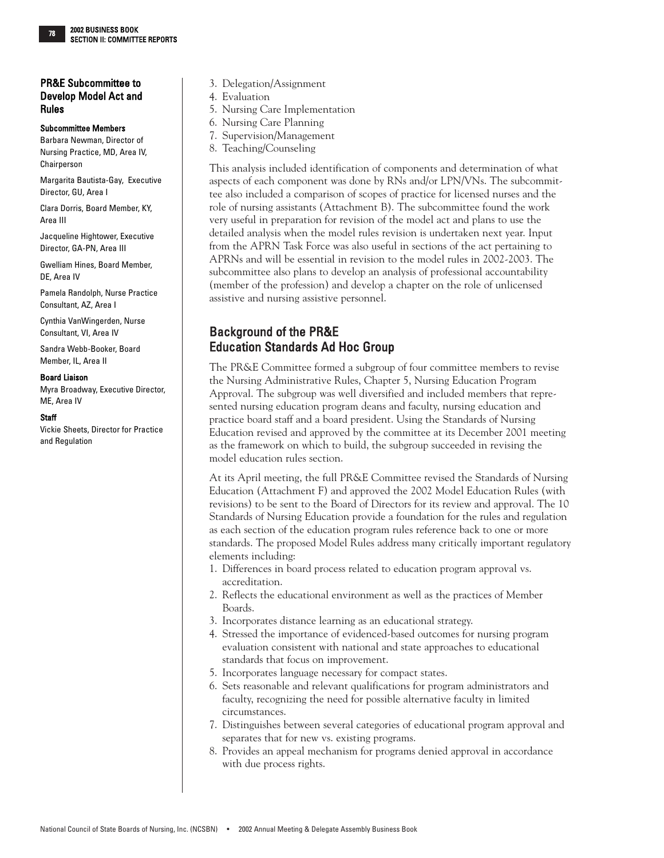### PR&E Subcommittee to Develop Model Act and Rules

#### Subcommittee Members

Barbara Newman, Director of Nursing Practice, MD, Area IV, Chairperson

Margarita Bautista-Gay, Executive Director, GU, Area I

Clara Dorris, Board Member, KY, Area III

Jacqueline Hightower, Executive Director, GA-PN, Area III

Gwelliam Hines, Board Member, DE, Area IV

Pamela Randolph, Nurse Practice Consultant, AZ, Area I

Cynthia VanWingerden, Nurse Consultant, VI, Area IV

Sandra Webb-Booker, Board Member, IL, Area II

#### Board Liaison

Myra Broadway, Executive Director, ME, Area IV

#### **Staff**

Vickie Sheets, Director for Practice and Regulation

- 3. Delegation/Assignment
- 4. Evaluation
- 5. Nursing Care Implementation
- 6. Nursing Care Planning
- 7. Supervision/Management
- 8. Teaching/Counseling

This analysis included identification of components and determination of what aspects of each component was done by RNs and/or LPN/VNs. The subcommittee also included a comparison of scopes of practice for licensed nurses and the role of nursing assistants (Attachment B). The subcommittee found the work very useful in preparation for revision of the model act and plans to use the detailed analysis when the model rules revision is undertaken next year. Input from the APRN Task Force was also useful in sections of the act pertaining to APRNs and will be essential in revision to the model rules in 2002-2003. The subcommittee also plans to develop an analysis of professional accountability (member of the profession) and develop a chapter on the role of unlicensed assistive and nursing assistive personnel.

# Background of the PR&E Education Standards Ad Hoc Group

The PR&E Committee formed a subgroup of four committee members to revise the Nursing Administrative Rules, Chapter 5, Nursing Education Program Approval. The subgroup was well diversified and included members that represented nursing education program deans and faculty, nursing education and practice board staff and a board president. Using the Standards of Nursing Education revised and approved by the committee at its December 2001 meeting as the framework on which to build, the subgroup succeeded in revising the model education rules section.

At its April meeting, the full PR&E Committee revised the Standards of Nursing Education (Attachment F) and approved the 2002 Model Education Rules (with revisions) to be sent to the Board of Directors for its review and approval. The 10 Standards of Nursing Education provide a foundation for the rules and regulation as each section of the education program rules reference back to one or more standards. The proposed Model Rules address many critically important regulatory elements including:

- 1. Differences in board process related to education program approval vs. accreditation.
- 2. Reflects the educational environment as well as the practices of Member Boards.
- 3. Incorporates distance learning as an educational strategy.
- 4. Stressed the importance of evidenced-based outcomes for nursing program evaluation consistent with national and state approaches to educational standards that focus on improvement.
- 5. Incorporates language necessary for compact states.
- 6. Sets reasonable and relevant qualifications for program administrators and faculty, recognizing the need for possible alternative faculty in limited circumstances.
- 7. Distinguishes between several categories of educational program approval and separates that for new vs. existing programs.
- 8. Provides an appeal mechanism for programs denied approval in accordance with due process rights.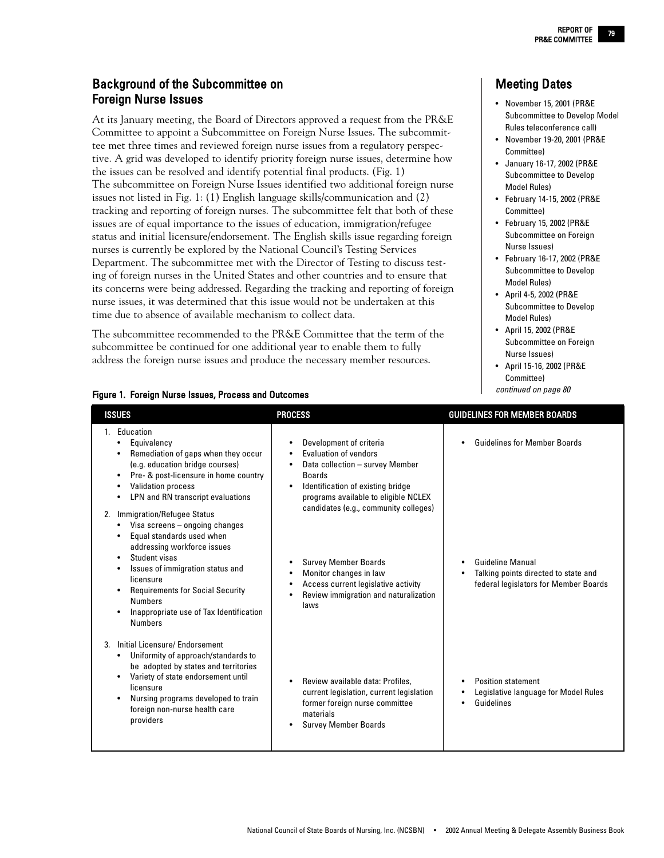## Background of the Subcommittee on Foreign Nurse Issues

At its January meeting, the Board of Directors approved a request from the PR&E Committee to appoint a Subcommittee on Foreign Nurse Issues. The subcommittee met three times and reviewed foreign nurse issues from a regulatory perspective. A grid was developed to identify priority foreign nurse issues, determine how the issues can be resolved and identify potential final products. (Fig. 1) The subcommittee on Foreign Nurse Issues identified two additional foreign nurse issues not listed in Fig. 1: (1) English language skills/communication and (2) tracking and reporting of foreign nurses. The subcommittee felt that both of these issues are of equal importance to the issues of education, immigration/refugee status and initial licensure/endorsement. The English skills issue regarding foreign nurses is currently be explored by the National Council's Testing Services Department. The subcommittee met with the Director of Testing to discuss testing of foreign nurses in the United States and other countries and to ensure that its concerns were being addressed. Regarding the tracking and reporting of foreign nurse issues, it was determined that this issue would not be undertaken at this time due to absence of available mechanism to collect data.

The subcommittee recommended to the PR&E Committee that the term of the subcommittee be continued for one additional year to enable them to fully address the foreign nurse issues and produce the necessary member resources.

# Meeting Dates

- November 15, 2001 (PR&E Subcommittee to Develop Model Rules teleconference call)
- November 19-20, 2001 (PR&E Committee)
- January 16-17, 2002 (PR&E Subcommittee to Develop Model Rules)
- February 14-15, 2002 (PR&E Committee)
- February 15, 2002 (PR&E Subcommittee on Foreign Nurse Issues)
- February 16-17, 2002 (PR&E Subcommittee to Develop Model Rules)
- April 4-5, 2002 (PR&E Subcommittee to Develop Model Rules)
- April 15, 2002 (PR&E Subcommittee on Foreign Nurse Issues)
- April 15-16, 2002 (PR&E Committee) continued on page 80

| <b>ISSUES</b>                                                                                                                                                                                                                                                                                                                                                                                                                                                                                                             | <b>PROCESS</b>                                                                                                                                                                                                                                                                                                                                                                                  | <b>GUIDELINES FOR MEMBER BOARDS</b>                                                                                                                                       |
|---------------------------------------------------------------------------------------------------------------------------------------------------------------------------------------------------------------------------------------------------------------------------------------------------------------------------------------------------------------------------------------------------------------------------------------------------------------------------------------------------------------------------|-------------------------------------------------------------------------------------------------------------------------------------------------------------------------------------------------------------------------------------------------------------------------------------------------------------------------------------------------------------------------------------------------|---------------------------------------------------------------------------------------------------------------------------------------------------------------------------|
| 1. Education<br>Equivalency<br>$\bullet$<br>Remediation of gaps when they occur<br>(e.g. education bridge courses)<br>Pre- & post-licensure in home country<br>٠<br><b>Validation process</b><br>LPN and RN transcript evaluations<br><b>Immigration/Refugee Status</b><br>2.<br>• Visa screens - ongoing changes<br>Equal standards used when<br>addressing workforce issues<br>Student visas<br>$\bullet$<br>Issues of immigration status and<br>licensure<br><b>Requirements for Social Security</b><br><b>Numbers</b> | Development of criteria<br>$\bullet$<br>Evaluation of vendors<br>Data collection - survey Member<br><b>Boards</b><br>Identification of existing bridge<br>٠<br>programs available to eligible NCLEX<br>candidates (e.g., community colleges)<br><b>Survey Member Boards</b><br>٠<br>Monitor changes in law<br>Access current legislative activity<br>Review immigration and naturalization<br>٠ | <b>Guidelines for Member Boards</b><br>$\bullet$<br><b>Guideline Manual</b><br>$\bullet$<br>Talking points directed to state and<br>federal legislators for Member Boards |
| Inappropriate use of Tax Identification<br><b>Numbers</b><br>Initial Licensure/ Endorsement<br>3.<br>Uniformity of approach/standards to<br>be adopted by states and territories<br>Variety of state endorsement until<br>$\bullet$<br>licensure<br>Nursing programs developed to train<br>foreign non-nurse health care<br>providers                                                                                                                                                                                     | laws<br>Review available data: Profiles,<br>$\bullet$<br>current legislation, current legislation<br>former foreign nurse committee<br>materials<br><b>Survey Member Boards</b><br>٠                                                                                                                                                                                                            | <b>Position statement</b><br>Legislative language for Model Rules<br>Guidelines                                                                                           |

### Figure 1. Foreign Nurse Issues, Process and Outcomes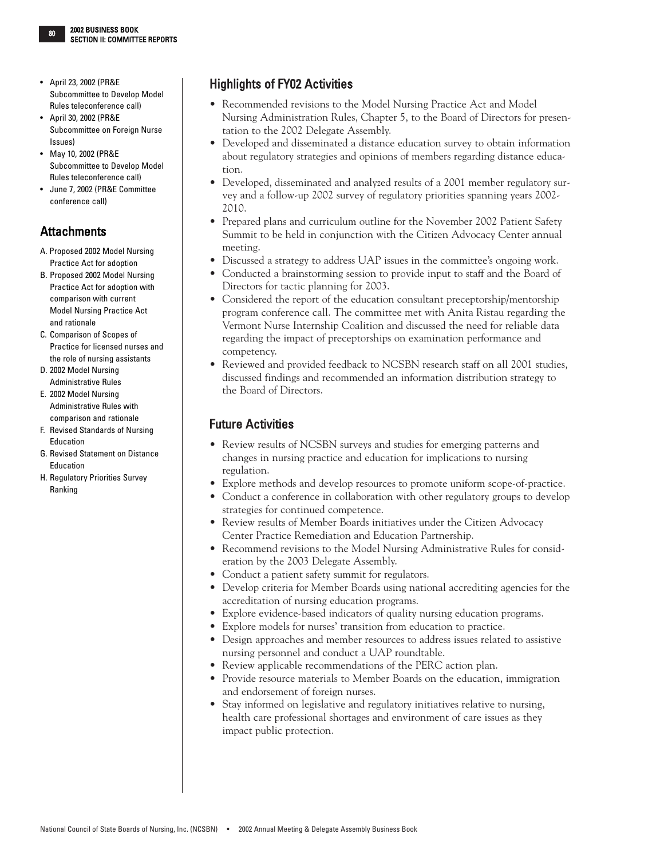- April 23, 2002 (PR&E Subcommittee to Develop Model Rules teleconference call)
- April 30, 2002 (PR&E Subcommittee on Foreign Nurse Issues)
- May 10, 2002 (PR&E Subcommittee to Develop Model Rules teleconference call)
- June 7, 2002 (PR&E Committee conference call)

# **Attachments**

- A. Proposed 2002 Model Nursing Practice Act for adoption
- B. Proposed 2002 Model Nursing Practice Act for adoption with comparison with current Model Nursing Practice Act and rationale
- C. Comparison of Scopes of Practice for licensed nurses and the role of nursing assistants
- D. 2002 Model Nursing Administrative Rules
- E. 2002 Model Nursing Administrative Rules with comparison and rationale
- F. Revised Standards of Nursing Education
- G. Revised Statement on Distance Education
- H. Regulatory Priorities Survey Ranking

# Highlights of FY02 Activities

- Recommended revisions to the Model Nursing Practice Act and Model Nursing Administration Rules, Chapter 5, to the Board of Directors for presentation to the 2002 Delegate Assembly.
- Developed and disseminated a distance education survey to obtain information about regulatory strategies and opinions of members regarding distance education.
- Developed, disseminated and analyzed results of a 2001 member regulatory survey and a follow-up 2002 survey of regulatory priorities spanning years 2002- 2010.
- Prepared plans and curriculum outline for the November 2002 Patient Safety Summit to be held in conjunction with the Citizen Advocacy Center annual meeting.
- Discussed a strategy to address UAP issues in the committee's ongoing work.
- Conducted a brainstorming session to provide input to staff and the Board of Directors for tactic planning for 2003.
- Considered the report of the education consultant preceptorship/mentorship program conference call. The committee met with Anita Ristau regarding the Vermont Nurse Internship Coalition and discussed the need for reliable data regarding the impact of preceptorships on examination performance and competency.
- Reviewed and provided feedback to NCSBN research staff on all 2001 studies, discussed findings and recommended an information distribution strategy to the Board of Directors.

# Future Activities

- Review results of NCSBN surveys and studies for emerging patterns and changes in nursing practice and education for implications to nursing regulation.
- Explore methods and develop resources to promote uniform scope-of-practice.
- Conduct a conference in collaboration with other regulatory groups to develop strategies for continued competence.
- Review results of Member Boards initiatives under the Citizen Advocacy Center Practice Remediation and Education Partnership.
- Recommend revisions to the Model Nursing Administrative Rules for consideration by the 2003 Delegate Assembly.
- Conduct a patient safety summit for regulators.
- Develop criteria for Member Boards using national accrediting agencies for the accreditation of nursing education programs.
- Explore evidence-based indicators of quality nursing education programs.
- Explore models for nurses' transition from education to practice.
- Design approaches and member resources to address issues related to assistive nursing personnel and conduct a UAP roundtable.
- Review applicable recommendations of the PERC action plan.
- Provide resource materials to Member Boards on the education, immigration and endorsement of foreign nurses.
- Stay informed on legislative and regulatory initiatives relative to nursing, health care professional shortages and environment of care issues as they impact public protection.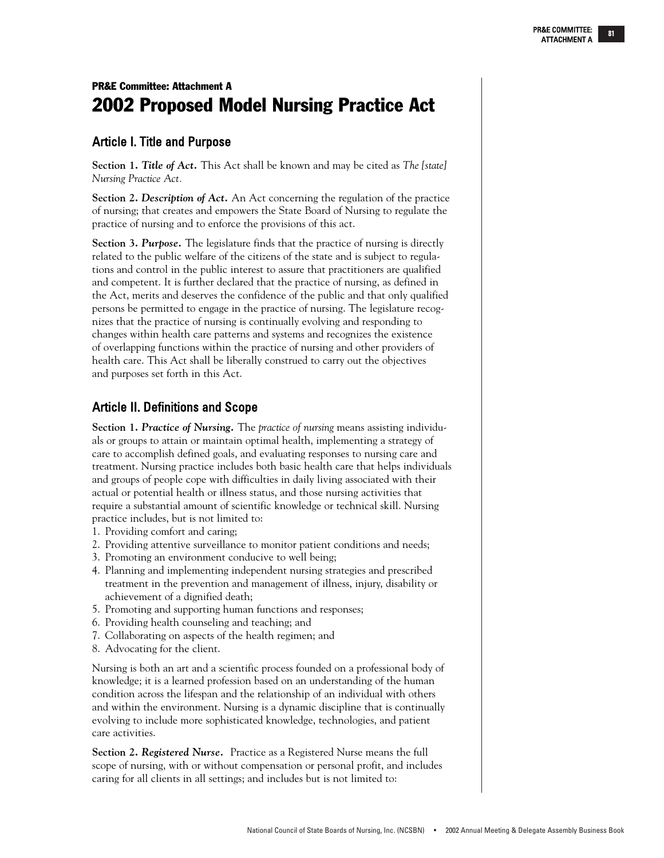# PR&E Committee: Attachment A 2002 Proposed Model Nursing Practice Act

### Article I. Title and Purpose

**Section 1.** *Title of Act.* This Act shall be known and may be cited as *The [state] Nursing Practice Act.* 

**Section 2.** *Description of Act.* An Act concerning the regulation of the practice of nursing; that creates and empowers the State Board of Nursing to regulate the practice of nursing and to enforce the provisions of this act.

**Section 3.** *Purpose.* The legislature finds that the practice of nursing is directly related to the public welfare of the citizens of the state and is subject to regulations and control in the public interest to assure that practitioners are qualified and competent. It is further declared that the practice of nursing, as defined in the Act, merits and deserves the confidence of the public and that only qualified persons be permitted to engage in the practice of nursing. The legislature recognizes that the practice of nursing is continually evolving and responding to changes within health care patterns and systems and recognizes the existence of overlapping functions within the practice of nursing and other providers of health care. This Act shall be liberally construed to carry out the objectives and purposes set forth in this Act.

# Article II. Definitions and Scope

**Section 1.** *Practice of Nursing.* The *practice of nursing* means assisting individuals or groups to attain or maintain optimal health, implementing a strategy of care to accomplish defined goals, and evaluating responses to nursing care and treatment. Nursing practice includes both basic health care that helps individuals and groups of people cope with difficulties in daily living associated with their actual or potential health or illness status, and those nursing activities that require a substantial amount of scientific knowledge or technical skill. Nursing practice includes, but is not limited to:

- 1. Providing comfort and caring;
- 2. Providing attentive surveillance to monitor patient conditions and needs;
- 3. Promoting an environment conducive to well being;
- 4. Planning and implementing independent nursing strategies and prescribed treatment in the prevention and management of illness, injury, disability or achievement of a dignified death;
- 5. Promoting and supporting human functions and responses;
- 6. Providing health counseling and teaching; and
- 7. Collaborating on aspects of the health regimen; and
- 8. Advocating for the client.

Nursing is both an art and a scientific process founded on a professional body of knowledge; it is a learned profession based on an understanding of the human condition across the lifespan and the relationship of an individual with others and within the environment. Nursing is a dynamic discipline that is continually evolving to include more sophisticated knowledge, technologies, and patient care activities.

**Section 2.** *Registered Nurse.* Practice as a Registered Nurse means the full scope of nursing, with or without compensation or personal profit, and includes caring for all clients in all settings; and includes but is not limited to: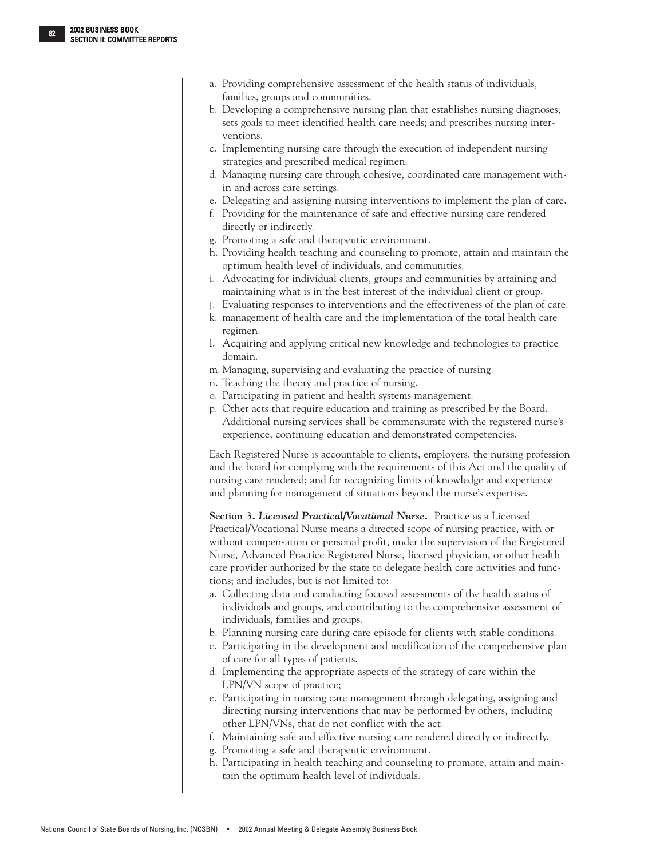- a. Providing comprehensive assessment of the health status of individuals, families, groups and communities.
- b. Developing a comprehensive nursing plan that establishes nursing diagnoses; sets goals to meet identified health care needs; and prescribes nursing interventions.
- c. Implementing nursing care through the execution of independent nursing strategies and prescribed medical regimen.
- d. Managing nursing care through cohesive, coordinated care management within and across care settings.
- e. Delegating and assigning nursing interventions to implement the plan of care.
- f. Providing for the maintenance of safe and effective nursing care rendered directly or indirectly.
- g. Promoting a safe and therapeutic environment.
- h. Providing health teaching and counseling to promote, attain and maintain the optimum health level of individuals, and communities.
- i. Advocating for individual clients, groups and communities by attaining and maintaining what is in the best interest of the individual client or group.
- j. Evaluating responses to interventions and the effectiveness of the plan of care.
- k. management of health care and the implementation of the total health care regimen.
- l. Acquiring and applying critical new knowledge and technologies to practice domain.
- m. Managing, supervising and evaluating the practice of nursing.
- n. Teaching the theory and practice of nursing.
- o. Participating in patient and health systems management.
- p. Other acts that require education and training as prescribed by the Board. Additional nursing services shall be commensurate with the registered nurse's experience, continuing education and demonstrated competencies.

Each Registered Nurse is accountable to clients, employers, the nursing profession and the board for complying with the requirements of this Act and the quality of nursing care rendered; and for recognizing limits of knowledge and experience and planning for management of situations beyond the nurse's expertise.

**Section 3.** *Licensed Practical/Vocational Nurse***.** Practice as a Licensed Practical/Vocational Nurse means a directed scope of nursing practice, with or without compensation or personal profit, under the supervision of the Registered Nurse, Advanced Practice Registered Nurse, licensed physician, or other health care provider authorized by the state to delegate health care activities and functions; and includes, but is not limited to:

- a. Collecting data and conducting focused assessments of the health status of individuals and groups, and contributing to the comprehensive assessment of individuals, families and groups.
- b. Planning nursing care during care episode for clients with stable conditions.
- c. Participating in the development and modification of the comprehensive plan of care for all types of patients.
- d. Implementing the appropriate aspects of the strategy of care within the LPN/VN scope of practice;
- e. Participating in nursing care management through delegating, assigning and directing nursing interventions that may be performed by others, including other LPN/VNs, that do not conflict with the act.
- f. Maintaining safe and effective nursing care rendered directly or indirectly.
- g. Promoting a safe and therapeutic environment.
- h. Participating in health teaching and counseling to promote, attain and maintain the optimum health level of individuals.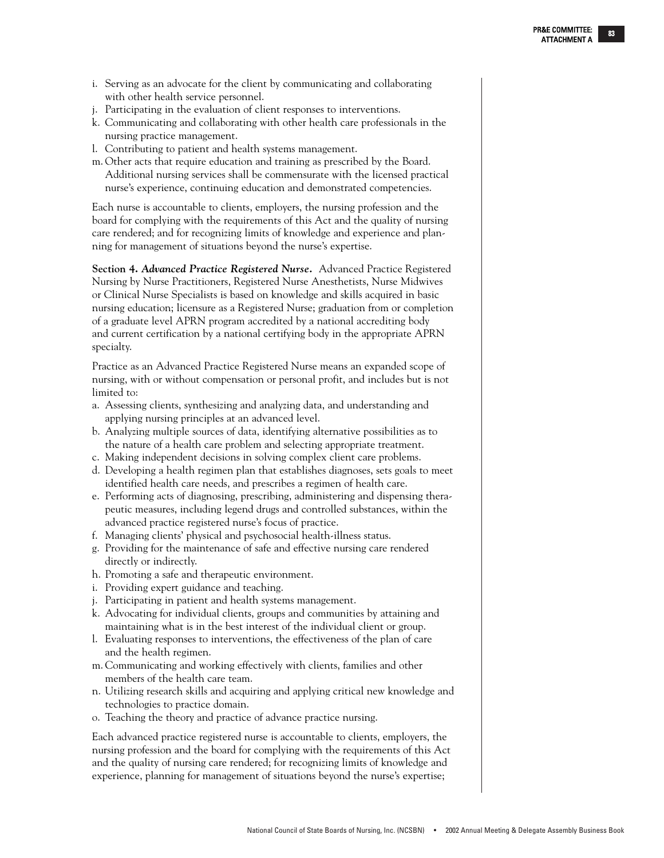- i. Serving as an advocate for the client by communicating and collaborating with other health service personnel.
- j. Participating in the evaluation of client responses to interventions.
- k. Communicating and collaborating with other health care professionals in the nursing practice management.
- l. Contributing to patient and health systems management.
- m. Other acts that require education and training as prescribed by the Board. Additional nursing services shall be commensurate with the licensed practical nurse's experience, continuing education and demonstrated competencies.

Each nurse is accountable to clients, employers, the nursing profession and the board for complying with the requirements of this Act and the quality of nursing care rendered; and for recognizing limits of knowledge and experience and planning for management of situations beyond the nurse's expertise.

**Section 4.** *Advanced Practice Registered Nurse.* Advanced Practice Registered Nursing by Nurse Practitioners, Registered Nurse Anesthetists, Nurse Midwives or Clinical Nurse Specialists is based on knowledge and skills acquired in basic nursing education; licensure as a Registered Nurse; graduation from or completion of a graduate level APRN program accredited by a national accrediting body and current certification by a national certifying body in the appropriate APRN specialty.

Practice as an Advanced Practice Registered Nurse means an expanded scope of nursing, with or without compensation or personal profit, and includes but is not limited to:

- a. Assessing clients, synthesizing and analyzing data, and understanding and applying nursing principles at an advanced level.
- b. Analyzing multiple sources of data, identifying alternative possibilities as to the nature of a health care problem and selecting appropriate treatment.
- c. Making independent decisions in solving complex client care problems.
- d. Developing a health regimen plan that establishes diagnoses, sets goals to meet identified health care needs, and prescribes a regimen of health care.
- e. Performing acts of diagnosing, prescribing, administering and dispensing therapeutic measures, including legend drugs and controlled substances, within the advanced practice registered nurse's focus of practice.
- f. Managing clients' physical and psychosocial health-illness status.
- g. Providing for the maintenance of safe and effective nursing care rendered directly or indirectly.
- h. Promoting a safe and therapeutic environment.
- i. Providing expert guidance and teaching.
- j. Participating in patient and health systems management.
- k. Advocating for individual clients, groups and communities by attaining and maintaining what is in the best interest of the individual client or group.
- l. Evaluating responses to interventions, the effectiveness of the plan of care and the health regimen.
- m. Communicating and working effectively with clients, families and other members of the health care team.
- n. Utilizing research skills and acquiring and applying critical new knowledge and technologies to practice domain.
- o. Teaching the theory and practice of advance practice nursing.

Each advanced practice registered nurse is accountable to clients, employers, the nursing profession and the board for complying with the requirements of this Act and the quality of nursing care rendered; for recognizing limits of knowledge and experience, planning for management of situations beyond the nurse's expertise;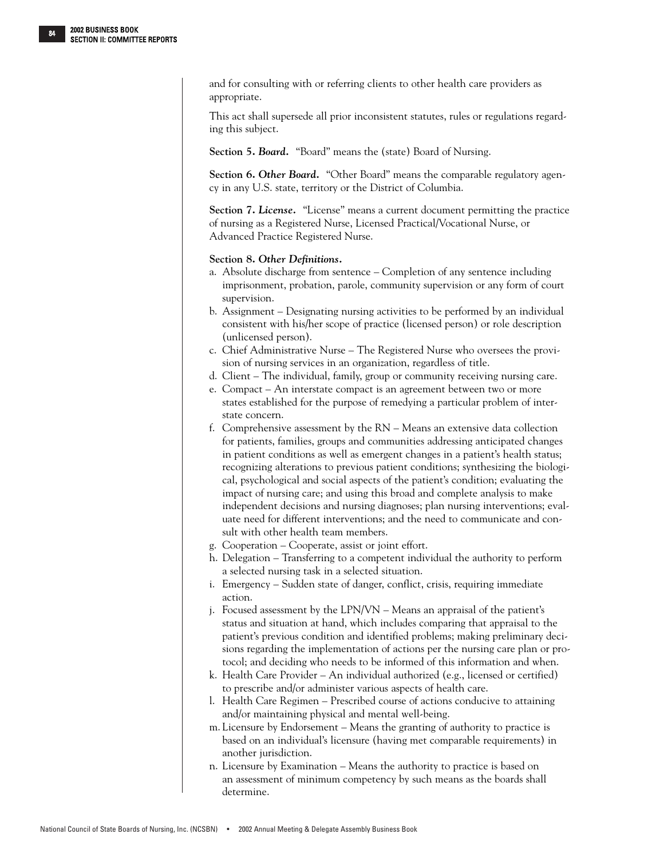and for consulting with or referring clients to other health care providers as appropriate.

This act shall supersede all prior inconsistent statutes, rules or regulations regarding this subject.

**Section 5.** *Board.* "Board" means the (state) Board of Nursing.

**Section 6. Other Board.** "Other Board" means the comparable regulatory agency in any U.S. state, territory or the District of Columbia.

**Section 7.** *License.* "License" means a current document permitting the practice of nursing as a Registered Nurse, Licensed Practical/Vocational Nurse, or Advanced Practice Registered Nurse.

### **Section 8.** *Other Definitions.*

- a. Absolute discharge from sentence Completion of any sentence including imprisonment, probation, parole, community supervision or any form of court supervision.
- b. Assignment Designating nursing activities to be performed by an individual consistent with his/her scope of practice (licensed person) or role description (unlicensed person).
- c. Chief Administrative Nurse The Registered Nurse who oversees the provision of nursing services in an organization, regardless of title.
- d. Client The individual, family, group or community receiving nursing care.
- e. Compact An interstate compact is an agreement between two or more states established for the purpose of remedying a particular problem of interstate concern.
- f. Comprehensive assessment by the RN Means an extensive data collection for patients, families, groups and communities addressing anticipated changes in patient conditions as well as emergent changes in a patient's health status; recognizing alterations to previous patient conditions; synthesizing the biological, psychological and social aspects of the patient's condition; evaluating the impact of nursing care; and using this broad and complete analysis to make independent decisions and nursing diagnoses; plan nursing interventions; evaluate need for different interventions; and the need to communicate and consult with other health team members.
- g. Cooperation Cooperate, assist or joint effort.
- h. Delegation Transferring to a competent individual the authority to perform a selected nursing task in a selected situation.
- i. Emergency Sudden state of danger, conflict, crisis, requiring immediate action.
- j. Focused assessment by the LPN/VN Means an appraisal of the patient's status and situation at hand, which includes comparing that appraisal to the patient's previous condition and identified problems; making preliminary decisions regarding the implementation of actions per the nursing care plan or protocol; and deciding who needs to be informed of this information and when.
- k. Health Care Provider An individual authorized (e.g., licensed or certified) to prescribe and/or administer various aspects of health care.
- l. Health Care Regimen Prescribed course of actions conducive to attaining and/or maintaining physical and mental well-being.
- m. Licensure by Endorsement Means the granting of authority to practice is based on an individual's licensure (having met comparable requirements) in another jurisdiction.
- n. Licensure by Examination Means the authority to practice is based on an assessment of minimum competency by such means as the boards shall determine.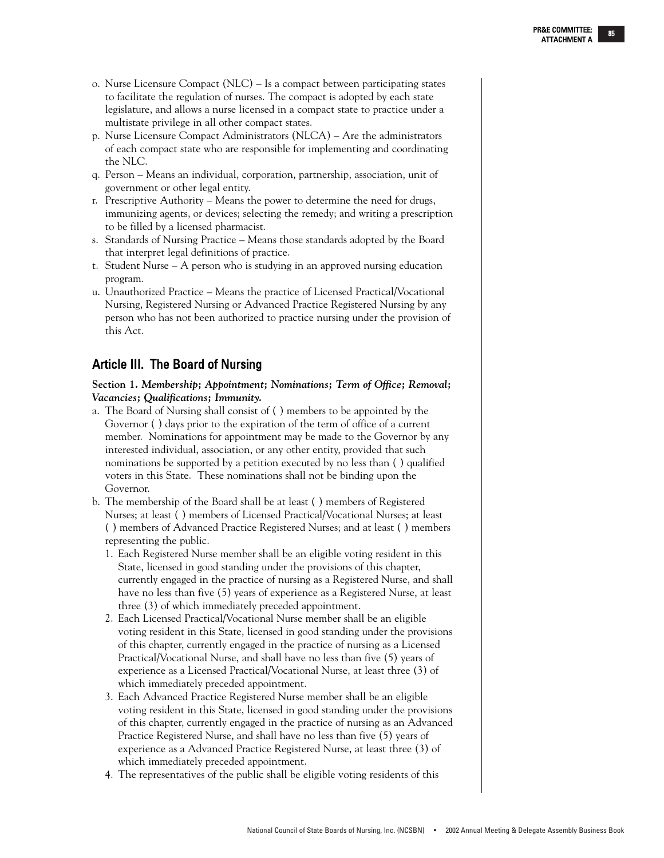- o. Nurse Licensure Compact (NLC) Is a compact between participating states to facilitate the regulation of nurses. The compact is adopted by each state legislature, and allows a nurse licensed in a compact state to practice under a multistate privilege in all other compact states.
- p. Nurse Licensure Compact Administrators (NLCA) Are the administrators of each compact state who are responsible for implementing and coordinating the NLC.
- q. Person Means an individual, corporation, partnership, association, unit of government or other legal entity.
- r. Prescriptive Authority Means the power to determine the need for drugs, immunizing agents, or devices; selecting the remedy; and writing a prescription to be filled by a licensed pharmacist.
- s. Standards of Nursing Practice Means those standards adopted by the Board that interpret legal definitions of practice.
- t. Student Nurse A person who is studying in an approved nursing education program.
- u. Unauthorized Practice Means the practice of Licensed Practical/Vocational Nursing, Registered Nursing or Advanced Practice Registered Nursing by any person who has not been authorized to practice nursing under the provision of this Act.

# Article III. The Board of Nursing

### **Section 1.** *Membership; Appointment; Nominations; Term of Office; Removal; Vacancies; Qualifications; Immunity.*

- a. The Board of Nursing shall consist of ( ) members to be appointed by the Governor ( ) days prior to the expiration of the term of office of a current member. Nominations for appointment may be made to the Governor by any interested individual, association, or any other entity, provided that such nominations be supported by a petition executed by no less than ( ) qualified voters in this State. These nominations shall not be binding upon the Governor.
- b. The membership of the Board shall be at least ( ) members of Registered Nurses; at least ( ) members of Licensed Practical/Vocational Nurses; at least ( ) members of Advanced Practice Registered Nurses; and at least ( ) members representing the public.
	- 1. Each Registered Nurse member shall be an eligible voting resident in this State, licensed in good standing under the provisions of this chapter, currently engaged in the practice of nursing as a Registered Nurse, and shall have no less than five (5) years of experience as a Registered Nurse, at least three (3) of which immediately preceded appointment.
	- 2. Each Licensed Practical/Vocational Nurse member shall be an eligible voting resident in this State, licensed in good standing under the provisions of this chapter, currently engaged in the practice of nursing as a Licensed Practical/Vocational Nurse, and shall have no less than five (5) years of experience as a Licensed Practical/Vocational Nurse, at least three (3) of which immediately preceded appointment.
	- 3. Each Advanced Practice Registered Nurse member shall be an eligible voting resident in this State, licensed in good standing under the provisions of this chapter, currently engaged in the practice of nursing as an Advanced Practice Registered Nurse, and shall have no less than five (5) years of experience as a Advanced Practice Registered Nurse, at least three (3) of which immediately preceded appointment.
	- 4. The representatives of the public shall be eligible voting residents of this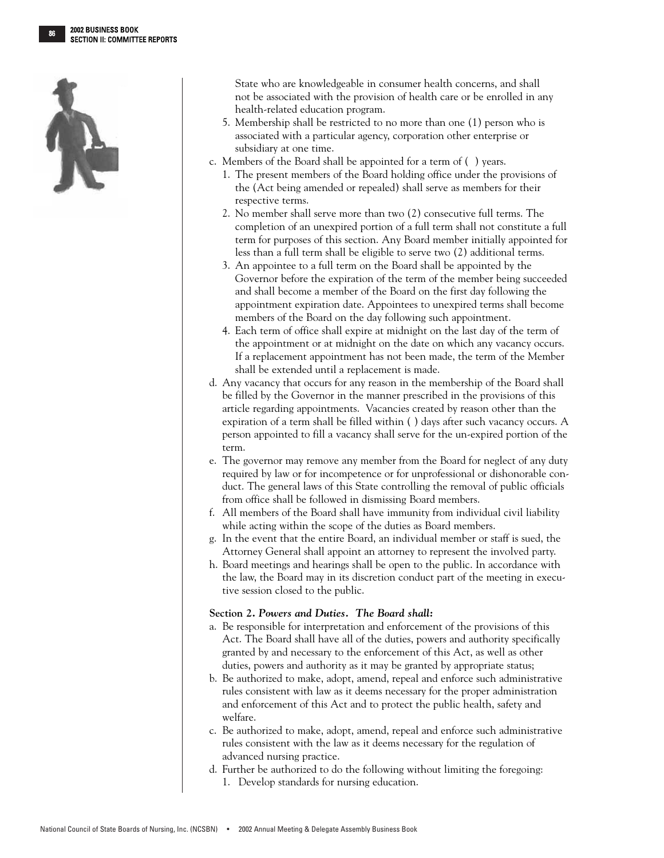

State who are knowledgeable in consumer health concerns, and shall not be associated with the provision of health care or be enrolled in any health-related education program.

- 5. Membership shall be restricted to no more than one (1) person who is associated with a particular agency, corporation other enterprise or subsidiary at one time.
- c. Members of the Board shall be appointed for a term of ( ) years.
	- 1. The present members of the Board holding office under the provisions of the (Act being amended or repealed) shall serve as members for their respective terms.
	- 2. No member shall serve more than two (2) consecutive full terms. The completion of an unexpired portion of a full term shall not constitute a full term for purposes of this section. Any Board member initially appointed for less than a full term shall be eligible to serve two (2) additional terms.
	- 3. An appointee to a full term on the Board shall be appointed by the Governor before the expiration of the term of the member being succeeded and shall become a member of the Board on the first day following the appointment expiration date. Appointees to unexpired terms shall become members of the Board on the day following such appointment.
	- 4. Each term of office shall expire at midnight on the last day of the term of the appointment or at midnight on the date on which any vacancy occurs. If a replacement appointment has not been made, the term of the Member shall be extended until a replacement is made.
- d. Any vacancy that occurs for any reason in the membership of the Board shall be filled by the Governor in the manner prescribed in the provisions of this article regarding appointments. Vacancies created by reason other than the expiration of a term shall be filled within ( ) days after such vacancy occurs. A person appointed to fill a vacancy shall serve for the un-expired portion of the term.
- e. The governor may remove any member from the Board for neglect of any duty required by law or for incompetence or for unprofessional or dishonorable conduct. The general laws of this State controlling the removal of public officials from office shall be followed in dismissing Board members.
- f. All members of the Board shall have immunity from individual civil liability while acting within the scope of the duties as Board members.
- g. In the event that the entire Board, an individual member or staff is sued, the Attorney General shall appoint an attorney to represent the involved party.
- h. Board meetings and hearings shall be open to the public. In accordance with the law, the Board may in its discretion conduct part of the meeting in executive session closed to the public.

### **Section 2.** *Powers and Duties. The Board shall:*

- a. Be responsible for interpretation and enforcement of the provisions of this Act. The Board shall have all of the duties, powers and authority specifically granted by and necessary to the enforcement of this Act, as well as other duties, powers and authority as it may be granted by appropriate status;
- b. Be authorized to make, adopt, amend, repeal and enforce such administrative rules consistent with law as it deems necessary for the proper administration and enforcement of this Act and to protect the public health, safety and welfare.
- c. Be authorized to make, adopt, amend, repeal and enforce such administrative rules consistent with the law as it deems necessary for the regulation of advanced nursing practice.
- d. Further be authorized to do the following without limiting the foregoing: 1. Develop standards for nursing education.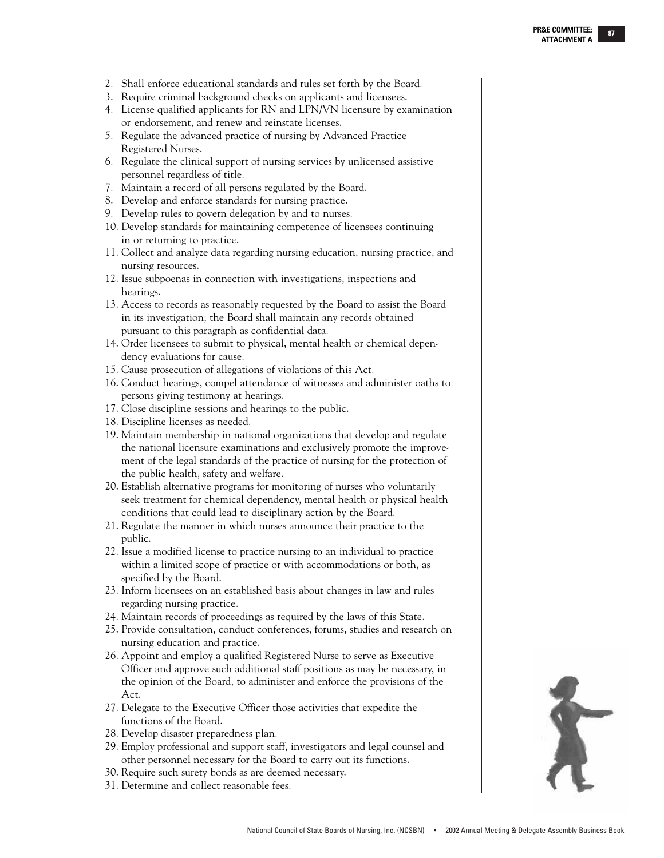- 2. Shall enforce educational standards and rules set forth by the Board.
- 3. Require criminal background checks on applicants and licensees.
- 4. License qualified applicants for RN and LPN/VN licensure by examination or endorsement, and renew and reinstate licenses.
- 5. Regulate the advanced practice of nursing by Advanced Practice Registered Nurses.
- 6. Regulate the clinical support of nursing services by unlicensed assistive personnel regardless of title.
- 7. Maintain a record of all persons regulated by the Board.
- 8. Develop and enforce standards for nursing practice.
- 9. Develop rules to govern delegation by and to nurses.
- 10. Develop standards for maintaining competence of licensees continuing in or returning to practice.
- 11. Collect and analyze data regarding nursing education, nursing practice, and nursing resources.
- 12. Issue subpoenas in connection with investigations, inspections and hearings.
- 13. Access to records as reasonably requested by the Board to assist the Board in its investigation; the Board shall maintain any records obtained pursuant to this paragraph as confidential data.
- 14. Order licensees to submit to physical, mental health or chemical dependency evaluations for cause.
- 15. Cause prosecution of allegations of violations of this Act.
- 16. Conduct hearings, compel attendance of witnesses and administer oaths to persons giving testimony at hearings.
- 17. Close discipline sessions and hearings to the public.
- 18. Discipline licenses as needed.
- 19. Maintain membership in national organizations that develop and regulate the national licensure examinations and exclusively promote the improvement of the legal standards of the practice of nursing for the protection of the public health, safety and welfare.
- 20. Establish alternative programs for monitoring of nurses who voluntarily seek treatment for chemical dependency, mental health or physical health conditions that could lead to disciplinary action by the Board.
- 21. Regulate the manner in which nurses announce their practice to the public.
- 22. Issue a modified license to practice nursing to an individual to practice within a limited scope of practice or with accommodations or both, as specified by the Board.
- 23. Inform licensees on an established basis about changes in law and rules regarding nursing practice.
- 24. Maintain records of proceedings as required by the laws of this State.
- 25. Provide consultation, conduct conferences, forums, studies and research on nursing education and practice.
- 26. Appoint and employ a qualified Registered Nurse to serve as Executive Officer and approve such additional staff positions as may be necessary, in the opinion of the Board, to administer and enforce the provisions of the Act.
- 27. Delegate to the Executive Officer those activities that expedite the functions of the Board.
- 28. Develop disaster preparedness plan.
- 29. Employ professional and support staff, investigators and legal counsel and other personnel necessary for the Board to carry out its functions.
- 30. Require such surety bonds as are deemed necessary.
- 31. Determine and collect reasonable fees.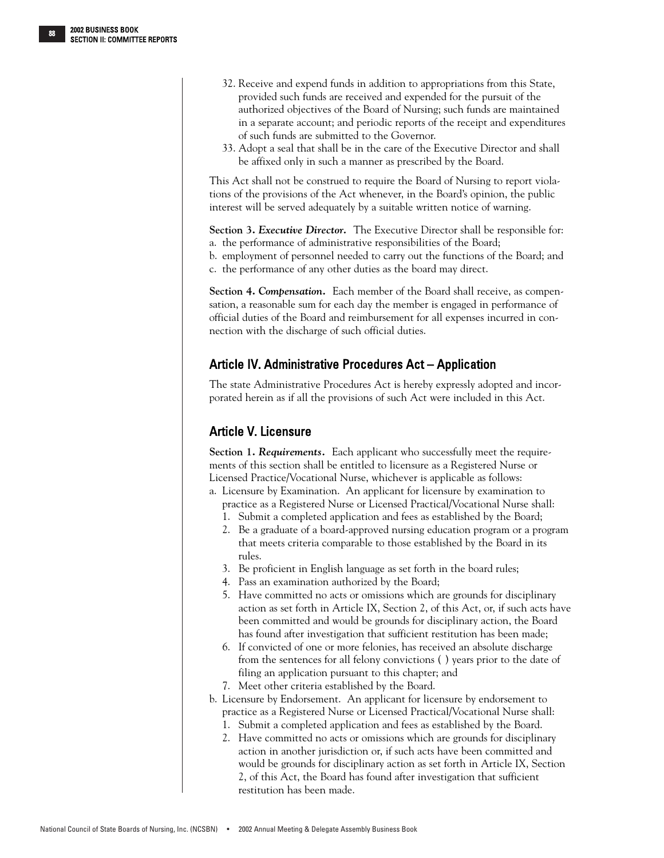- 32. Receive and expend funds in addition to appropriations from this State, provided such funds are received and expended for the pursuit of the authorized objectives of the Board of Nursing; such funds are maintained in a separate account; and periodic reports of the receipt and expenditures of such funds are submitted to the Governor.
- 33. Adopt a seal that shall be in the care of the Executive Director and shall be affixed only in such a manner as prescribed by the Board.

This Act shall not be construed to require the Board of Nursing to report violations of the provisions of the Act whenever, in the Board's opinion, the public interest will be served adequately by a suitable written notice of warning.

**Section 3.** *Executive Director.* The Executive Director shall be responsible for: a. the performance of administrative responsibilities of the Board;

b. employment of personnel needed to carry out the functions of the Board; and c. the performance of any other duties as the board may direct.

**Section 4.** *Compensation.* Each member of the Board shall receive, as compensation, a reasonable sum for each day the member is engaged in performance of official duties of the Board and reimbursement for all expenses incurred in connection with the discharge of such official duties.

### Article IV. Administrative Procedures Act – Application

The state Administrative Procedures Act is hereby expressly adopted and incorporated herein as if all the provisions of such Act were included in this Act.

### Article V. Licensure

**Section 1.** *Requirements.* Each applicant who successfully meet the requirements of this section shall be entitled to licensure as a Registered Nurse or Licensed Practice/Vocational Nurse, whichever is applicable as follows:

- a. Licensure by Examination. An applicant for licensure by examination to practice as a Registered Nurse or Licensed Practical/Vocational Nurse shall:
	- 1. Submit a completed application and fees as established by the Board;
	- 2. Be a graduate of a board-approved nursing education program or a program that meets criteria comparable to those established by the Board in its rules.
	- 3. Be proficient in English language as set forth in the board rules;
	- 4. Pass an examination authorized by the Board;
	- 5. Have committed no acts or omissions which are grounds for disciplinary action as set forth in Article IX, Section 2, of this Act, or, if such acts have been committed and would be grounds for disciplinary action, the Board has found after investigation that sufficient restitution has been made;
	- 6. If convicted of one or more felonies, has received an absolute discharge from the sentences for all felony convictions ( ) years prior to the date of filing an application pursuant to this chapter; and
	- 7. Meet other criteria established by the Board.
- b. Licensure by Endorsement. An applicant for licensure by endorsement to practice as a Registered Nurse or Licensed Practical/Vocational Nurse shall:
	- 1. Submit a completed application and fees as established by the Board.
	- 2. Have committed no acts or omissions which are grounds for disciplinary action in another jurisdiction or, if such acts have been committed and would be grounds for disciplinary action as set forth in Article IX, Section 2, of this Act, the Board has found after investigation that sufficient restitution has been made.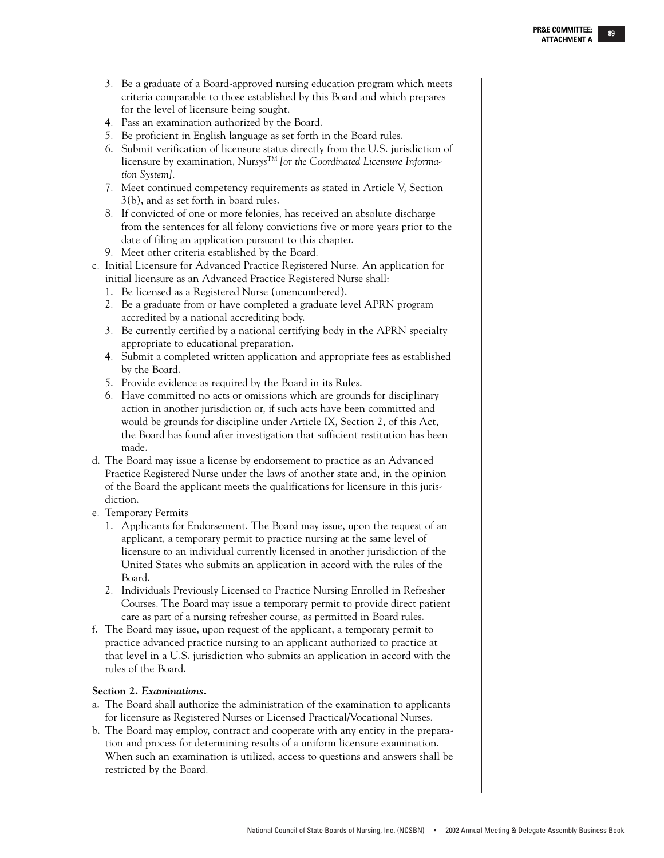- 3. Be a graduate of a Board-approved nursing education program which meets criteria comparable to those established by this Board and which prepares for the level of licensure being sought.
- 4. Pass an examination authorized by the Board.
- 5. Be proficient in English language as set forth in the Board rules.
- 6. Submit verification of licensure status directly from the U.S. jurisdiction of licensure by examination, Nur*sys*TM *[or the Coordinated Licensure Information System].*
- 7. Meet continued competency requirements as stated in Article V, Section 3(b), and as set forth in board rules.
- 8. If convicted of one or more felonies, has received an absolute discharge from the sentences for all felony convictions five or more years prior to the date of filing an application pursuant to this chapter.
- 9. Meet other criteria established by the Board.
- c. Initial Licensure for Advanced Practice Registered Nurse. An application for initial licensure as an Advanced Practice Registered Nurse shall:
	- 1. Be licensed as a Registered Nurse (unencumbered).
	- 2. Be a graduate from or have completed a graduate level APRN program accredited by a national accrediting body.
	- 3. Be currently certified by a national certifying body in the APRN specialty appropriate to educational preparation.
	- 4. Submit a completed written application and appropriate fees as established by the Board.
	- 5. Provide evidence as required by the Board in its Rules.
	- 6. Have committed no acts or omissions which are grounds for disciplinary action in another jurisdiction or, if such acts have been committed and would be grounds for discipline under Article IX, Section 2, of this Act, the Board has found after investigation that sufficient restitution has been made.
- d. The Board may issue a license by endorsement to practice as an Advanced Practice Registered Nurse under the laws of another state and, in the opinion of the Board the applicant meets the qualifications for licensure in this jurisdiction.
- e. Temporary Permits
	- 1. Applicants for Endorsement. The Board may issue, upon the request of an applicant, a temporary permit to practice nursing at the same level of licensure to an individual currently licensed in another jurisdiction of the United States who submits an application in accord with the rules of the Board.
	- 2. Individuals Previously Licensed to Practice Nursing Enrolled in Refresher Courses. The Board may issue a temporary permit to provide direct patient care as part of a nursing refresher course, as permitted in Board rules.
- f. The Board may issue, upon request of the applicant, a temporary permit to practice advanced practice nursing to an applicant authorized to practice at that level in a U.S. jurisdiction who submits an application in accord with the rules of the Board.

### **Section 2.** *Examinations.*

- a. The Board shall authorize the administration of the examination to applicants for licensure as Registered Nurses or Licensed Practical/Vocational Nurses.
- b. The Board may employ, contract and cooperate with any entity in the preparation and process for determining results of a uniform licensure examination. When such an examination is utilized, access to questions and answers shall be restricted by the Board.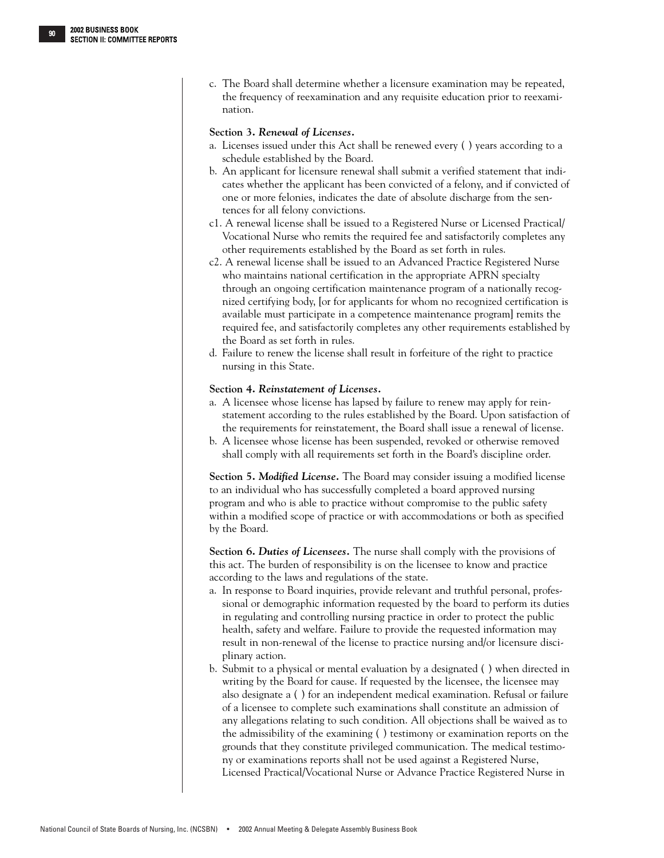c. The Board shall determine whether a licensure examination may be repeated, the frequency of reexamination and any requisite education prior to reexamination.

### **Section 3.** *Renewal of Licenses.*

- a. Licenses issued under this Act shall be renewed every ( ) years according to a schedule established by the Board.
- b. An applicant for licensure renewal shall submit a verified statement that indicates whether the applicant has been convicted of a felony, and if convicted of one or more felonies, indicates the date of absolute discharge from the sentences for all felony convictions.
- c1. A renewal license shall be issued to a Registered Nurse or Licensed Practical/ Vocational Nurse who remits the required fee and satisfactorily completes any other requirements established by the Board as set forth in rules.
- c2. A renewal license shall be issued to an Advanced Practice Registered Nurse who maintains national certification in the appropriate APRN specialty through an ongoing certification maintenance program of a nationally recognized certifying body, [or for applicants for whom no recognized certification is available must participate in a competence maintenance program] remits the required fee, and satisfactorily completes any other requirements established by the Board as set forth in rules.
- d. Failure to renew the license shall result in forfeiture of the right to practice nursing in this State.

#### **Section 4.** *Reinstatement of Licenses.*

- a. A licensee whose license has lapsed by failure to renew may apply for reinstatement according to the rules established by the Board. Upon satisfaction of the requirements for reinstatement, the Board shall issue a renewal of license.
- b. A licensee whose license has been suspended, revoked or otherwise removed shall comply with all requirements set forth in the Board's discipline order.

**Section 5.** *Modified License.* The Board may consider issuing a modified license to an individual who has successfully completed a board approved nursing program and who is able to practice without compromise to the public safety within a modified scope of practice or with accommodations or both as specified by the Board.

**Section 6.** *Duties of Licensees.* The nurse shall comply with the provisions of this act. The burden of responsibility is on the licensee to know and practice according to the laws and regulations of the state.

- a. In response to Board inquiries, provide relevant and truthful personal, professional or demographic information requested by the board to perform its duties in regulating and controlling nursing practice in order to protect the public health, safety and welfare. Failure to provide the requested information may result in non-renewal of the license to practice nursing and/or licensure disciplinary action.
- b. Submit to a physical or mental evaluation by a designated ( ) when directed in writing by the Board for cause. If requested by the licensee, the licensee may also designate a ( ) for an independent medical examination. Refusal or failure of a licensee to complete such examinations shall constitute an admission of any allegations relating to such condition. All objections shall be waived as to the admissibility of the examining ( ) testimony or examination reports on the grounds that they constitute privileged communication. The medical testimony or examinations reports shall not be used against a Registered Nurse, Licensed Practical/Vocational Nurse or Advance Practice Registered Nurse in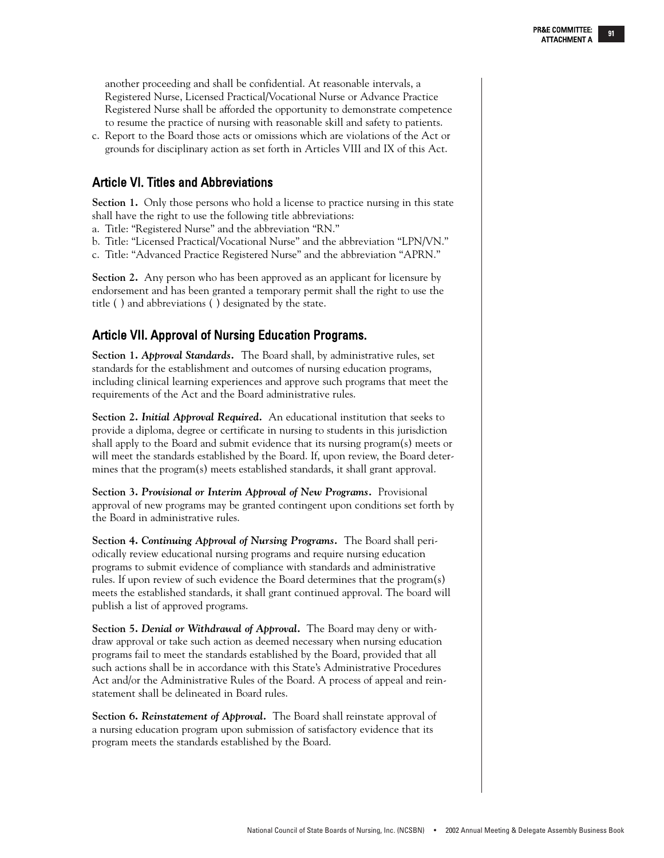another proceeding and shall be confidential. At reasonable intervals, a Registered Nurse, Licensed Practical/Vocational Nurse or Advance Practice Registered Nurse shall be afforded the opportunity to demonstrate competence to resume the practice of nursing with reasonable skill and safety to patients.

c. Report to the Board those acts or omissions which are violations of the Act or grounds for disciplinary action as set forth in Articles VIII and IX of this Act.

## Article VI. Titles and Abbreviations

**Section 1.** Only those persons who hold a license to practice nursing in this state shall have the right to use the following title abbreviations:

- a. Title: "Registered Nurse" and the abbreviation "RN."
- b. Title: "Licensed Practical/Vocational Nurse" and the abbreviation "LPN/VN."
- c. Title: "Advanced Practice Registered Nurse" and the abbreviation "APRN."

**Section 2.** Any person who has been approved as an applicant for licensure by endorsement and has been granted a temporary permit shall the right to use the title ( ) and abbreviations ( ) designated by the state.

## Article VII. Approval of Nursing Education Programs.

**Section 1.** *Approval Standards.* The Board shall, by administrative rules, set standards for the establishment and outcomes of nursing education programs, including clinical learning experiences and approve such programs that meet the requirements of the Act and the Board administrative rules.

**Section 2.** *Initial Approval Required.* An educational institution that seeks to provide a diploma, degree or certificate in nursing to students in this jurisdiction shall apply to the Board and submit evidence that its nursing program(s) meets or will meet the standards established by the Board. If, upon review, the Board determines that the program(s) meets established standards, it shall grant approval.

**Section 3.** *Provisional or Interim Approval of New Programs.* Provisional approval of new programs may be granted contingent upon conditions set forth by the Board in administrative rules.

**Section 4.** *Continuing Approval of Nursing Programs.* The Board shall periodically review educational nursing programs and require nursing education programs to submit evidence of compliance with standards and administrative rules. If upon review of such evidence the Board determines that the program(s) meets the established standards, it shall grant continued approval. The board will publish a list of approved programs.

**Section 5.** *Denial or Withdrawal of Approval.* The Board may deny or withdraw approval or take such action as deemed necessary when nursing education programs fail to meet the standards established by the Board, provided that all such actions shall be in accordance with this State's Administrative Procedures Act and/or the Administrative Rules of the Board. A process of appeal and reinstatement shall be delineated in Board rules.

**Section 6.** *Reinstatement of Approval.* The Board shall reinstate approval of a nursing education program upon submission of satisfactory evidence that its program meets the standards established by the Board.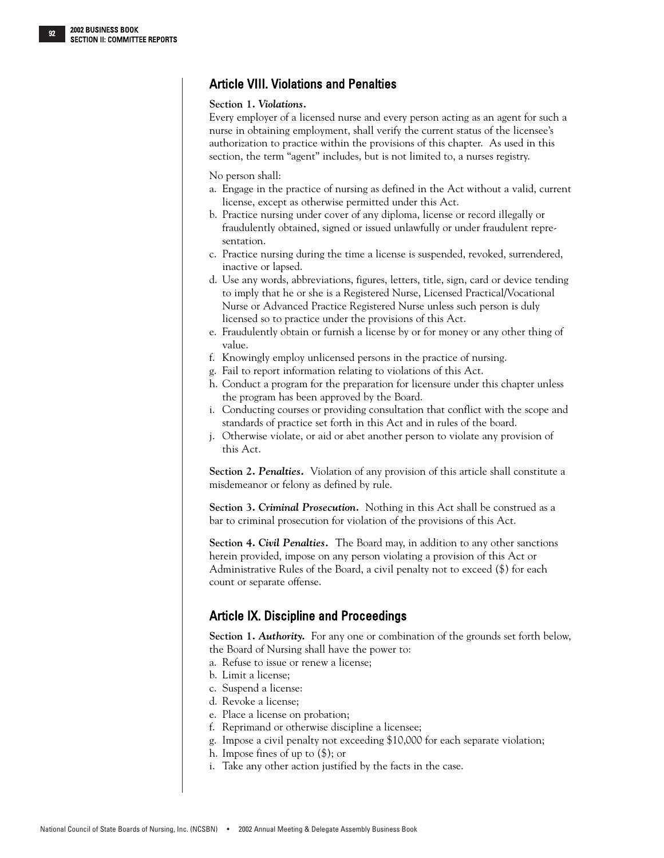### Article VIII. Violations and Penalties

#### **Section 1.** *Violations.*

Every employer of a licensed nurse and every person acting as an agent for such a nurse in obtaining employment, shall verify the current status of the licensee's authorization to practice within the provisions of this chapter. As used in this section, the term "agent" includes, but is not limited to, a nurses registry.

No person shall:

- a. Engage in the practice of nursing as defined in the Act without a valid, current license, except as otherwise permitted under this Act.
- b. Practice nursing under cover of any diploma, license or record illegally or fraudulently obtained, signed or issued unlawfully or under fraudulent representation.
- c. Practice nursing during the time a license is suspended, revoked, surrendered, inactive or lapsed.
- d. Use any words, abbreviations, figures, letters, title, sign, card or device tending to imply that he or she is a Registered Nurse, Licensed Practical/Vocational Nurse or Advanced Practice Registered Nurse unless such person is duly licensed so to practice under the provisions of this Act.
- e. Fraudulently obtain or furnish a license by or for money or any other thing of value.
- f. Knowingly employ unlicensed persons in the practice of nursing.
- g. Fail to report information relating to violations of this Act.
- h. Conduct a program for the preparation for licensure under this chapter unless the program has been approved by the Board.
- i. Conducting courses or providing consultation that conflict with the scope and standards of practice set forth in this Act and in rules of the board.
- j. Otherwise violate, or aid or abet another person to violate any provision of this Act.

**Section 2.** *Penalties.* Violation of any provision of this article shall constitute a misdemeanor or felony as defined by rule.

**Section 3.** *Criminal Prosecution.* Nothing in this Act shall be construed as a bar to criminal prosecution for violation of the provisions of this Act.

**Section 4.** *Civil Penalties.* The Board may, in addition to any other sanctions herein provided, impose on any person violating a provision of this Act or Administrative Rules of the Board, a civil penalty not to exceed (\$) for each count or separate offense.

### Article IX. Discipline and Proceedings

**Section 1.** *Authority.* For any one or combination of the grounds set forth below, the Board of Nursing shall have the power to:

- a. Refuse to issue or renew a license;
- b. Limit a license;
- c. Suspend a license:
- d. Revoke a license;
- e. Place a license on probation;
- f. Reprimand or otherwise discipline a licensee;
- g. Impose a civil penalty not exceeding \$10,000 for each separate violation;
- h. Impose fines of up to (\$); or
- i. Take any other action justified by the facts in the case.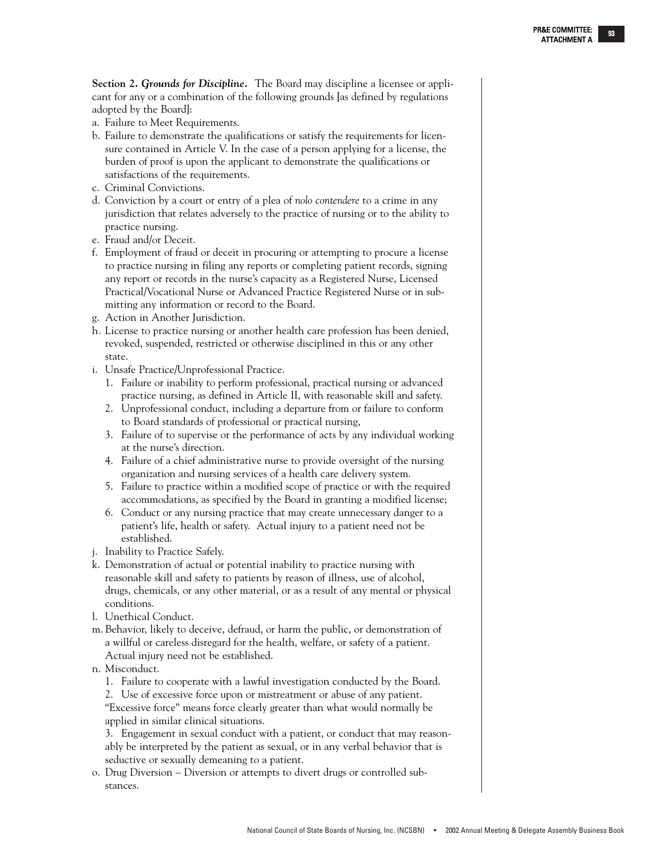**Section 2.** *Grounds for Discipline.* The Board may discipline a licensee or applicant for any or a combination of the following grounds [as defined by regulations adopted by the Board]:

- a. Failure to Meet Requirements.
- b. Failure to demonstrate the qualifications or satisfy the requirements for licensure contained in Article V. In the case of a person applying for a license, the burden of proof is upon the applicant to demonstrate the qualifications or satisfactions of the requirements.
- c. Criminal Convictions.
- d. Conviction by a court or entry of a plea of *nolo contendere* to a crime in any jurisdiction that relates adversely to the practice of nursing or to the ability to practice nursing.
- e. Fraud and/or Deceit.
- f. Employment of fraud or deceit in procuring or attempting to procure a license to practice nursing in filing any reports or completing patient records, signing any report or records in the nurse's capacity as a Registered Nurse, Licensed Practical/Vocational Nurse or Advanced Practice Registered Nurse or in submitting any information or record to the Board.
- g. Action in Another Jurisdiction.
- h*.* License to practice nursing or another health care profession has been denied, revoked, suspended, restricted or otherwise disciplined in this or any other state.
- i. Unsafe Practice/Unprofessional Practice.
	- 1. Failure or inability to perform professional, practical nursing or advanced practice nursing, as defined in Article II, with reasonable skill and safety.
	- 2. Unprofessional conduct, including a departure from or failure to conform to Board standards of professional or practical nursing,
	- 3. Failure of to supervise or the performance of acts by any individual working at the nurse's direction.
	- 4. Failure of a chief administrative nurse to provide oversight of the nursing organization and nursing services of a health care delivery system.
	- 5. Failure to practice within a modified scope of practice or with the required accommodations, as specified by the Board in granting a modified license;
	- 6. Conduct or any nursing practice that may create unnecessary danger to a patient's life, health or safety. Actual injury to a patient need not be established.
- j. Inability to Practice Safely.
- k. Demonstration of actual or potential inability to practice nursing with reasonable skill and safety to patients by reason of illness, use of alcohol, drugs, chemicals, or any other material, or as a result of any mental or physical conditions.
- l. Unethical Conduct.
- m. Behavior, likely to deceive, defraud, or harm the public, or demonstration of a willful or careless disregard for the health, welfare, or safety of a patient. Actual injury need not be established.
- n. Misconduct.
	- 1. Failure to cooperate with a lawful investigation conducted by the Board.
	- 2. Use of excessive force upon or mistreatment or abuse of any patient. "Excessive force" means force clearly greater than what would normally be applied in similar clinical situations.
	- 3. Engagement in sexual conduct with a patient, or conduct that may reasonably be interpreted by the patient as sexual, or in any verbal behavior that is seductive or sexually demeaning to a patient.
- o. Drug Diversion Diversion or attempts to divert drugs or controlled substances.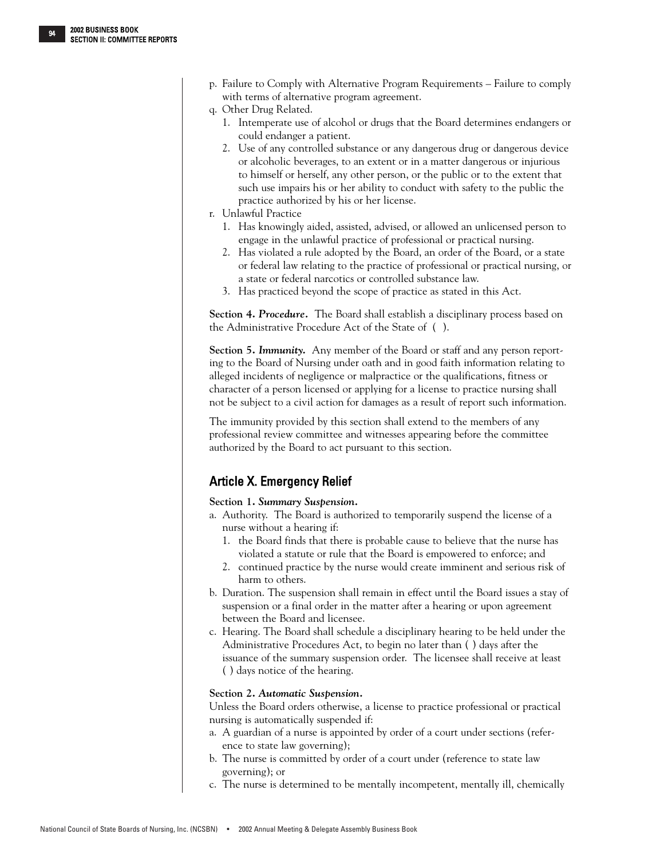- p. Failure to Comply with Alternative Program Requirements Failure to comply with terms of alternative program agreement.
- q. Other Drug Related.
	- 1. Intemperate use of alcohol or drugs that the Board determines endangers or could endanger a patient.
	- 2. Use of any controlled substance or any dangerous drug or dangerous device or alcoholic beverages, to an extent or in a matter dangerous or injurious to himself or herself, any other person, or the public or to the extent that such use impairs his or her ability to conduct with safety to the public the practice authorized by his or her license.
- r. Unlawful Practice
	- 1. Has knowingly aided, assisted, advised, or allowed an unlicensed person to engage in the unlawful practice of professional or practical nursing.
	- 2. Has violated a rule adopted by the Board, an order of the Board, or a state or federal law relating to the practice of professional or practical nursing, or a state or federal narcotics or controlled substance law.
	- 3. Has practiced beyond the scope of practice as stated in this Act.

**Section 4.** *Procedure.* The Board shall establish a disciplinary process based on the Administrative Procedure Act of the State of ( ).

**Section 5.** *Immunity.* Any member of the Board or staff and any person reporting to the Board of Nursing under oath and in good faith information relating to alleged incidents of negligence or malpractice or the qualifications, fitness or character of a person licensed or applying for a license to practice nursing shall not be subject to a civil action for damages as a result of report such information.

The immunity provided by this section shall extend to the members of any professional review committee and witnesses appearing before the committee authorized by the Board to act pursuant to this section.

# Article X. Emergency Relief

### **Section 1.** *Summary Suspension.*

- a. Authority. The Board is authorized to temporarily suspend the license of a nurse without a hearing if:
	- 1. the Board finds that there is probable cause to believe that the nurse has violated a statute or rule that the Board is empowered to enforce; and
	- 2. continued practice by the nurse would create imminent and serious risk of harm to others.
- b. Duration. The suspension shall remain in effect until the Board issues a stay of suspension or a final order in the matter after a hearing or upon agreement between the Board and licensee.
- c. Hearing. The Board shall schedule a disciplinary hearing to be held under the Administrative Procedures Act, to begin no later than ( ) days after the issuance of the summary suspension order. The licensee shall receive at least ( ) days notice of the hearing.

### **Section 2.** *Automatic Suspension.*

Unless the Board orders otherwise, a license to practice professional or practical nursing is automatically suspended if:

- a. A guardian of a nurse is appointed by order of a court under sections (reference to state law governing);
- b. The nurse is committed by order of a court under (reference to state law governing); or
- c. The nurse is determined to be mentally incompetent, mentally ill, chemically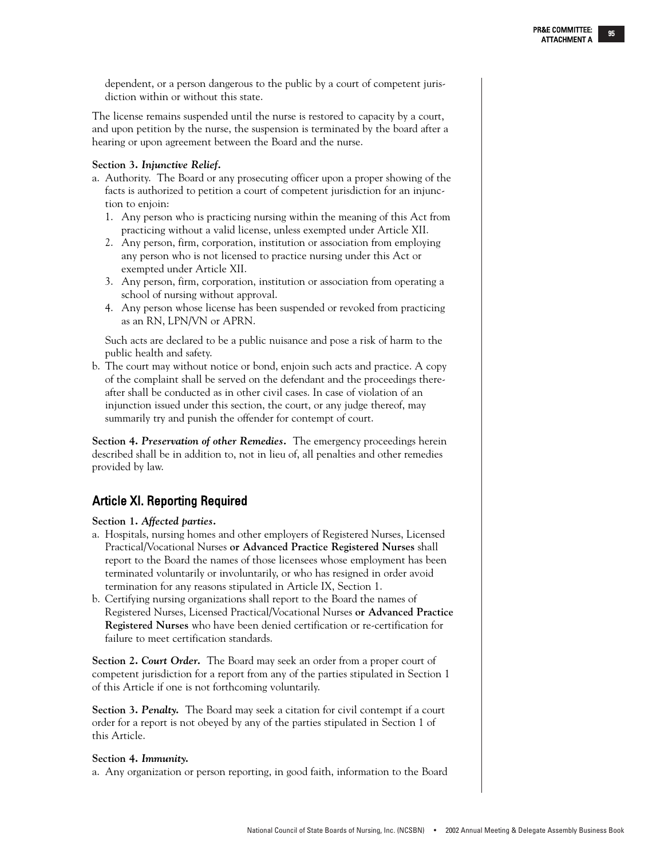dependent, or a person dangerous to the public by a court of competent jurisdiction within or without this state.

The license remains suspended until the nurse is restored to capacity by a court, and upon petition by the nurse, the suspension is terminated by the board after a hearing or upon agreement between the Board and the nurse.

### **Section 3.** *Injunctive Relief.*

- a. Authority. The Board or any prosecuting officer upon a proper showing of the facts is authorized to petition a court of competent jurisdiction for an injunction to enjoin:
	- 1. Any person who is practicing nursing within the meaning of this Act from practicing without a valid license, unless exempted under Article XII.
	- 2. Any person, firm, corporation, institution or association from employing any person who is not licensed to practice nursing under this Act or exempted under Article XII.
	- 3. Any person, firm, corporation, institution or association from operating a school of nursing without approval.
	- 4. Any person whose license has been suspended or revoked from practicing as an RN, LPN/VN or APRN.

Such acts are declared to be a public nuisance and pose a risk of harm to the public health and safety.

b. The court may without notice or bond, enjoin such acts and practice. A copy of the complaint shall be served on the defendant and the proceedings thereafter shall be conducted as in other civil cases. In case of violation of an injunction issued under this section, the court, or any judge thereof, may summarily try and punish the offender for contempt of court.

**Section 4.** *Preservation of other Remedies.* The emergency proceedings herein described shall be in addition to, not in lieu of, all penalties and other remedies provided by law.

### Article XI. Reporting Required

### **Section 1.** *Affected parties.*

- a. Hospitals, nursing homes and other employers of Registered Nurses, Licensed Practical/Vocational Nurses **or Advanced Practice Registered Nurses** shall report to the Board the names of those licensees whose employment has been terminated voluntarily or involuntarily, or who has resigned in order avoid termination for any reasons stipulated in Article IX, Section 1.
- b. Certifying nursing organizations shall report to the Board the names of Registered Nurses, Licensed Practical/Vocational Nurses **or Advanced Practice Registered Nurses** who have been denied certification or re-certification for failure to meet certification standards.

**Section 2.** *Court Order.* The Board may seek an order from a proper court of competent jurisdiction for a report from any of the parties stipulated in Section 1 of this Article if one is not forthcoming voluntarily.

**Section 3.** *Penalty.* The Board may seek a citation for civil contempt if a court order for a report is not obeyed by any of the parties stipulated in Section 1 of this Article.

### **Section 4.** *Immunity.*

a. Any organization or person reporting, in good faith, information to the Board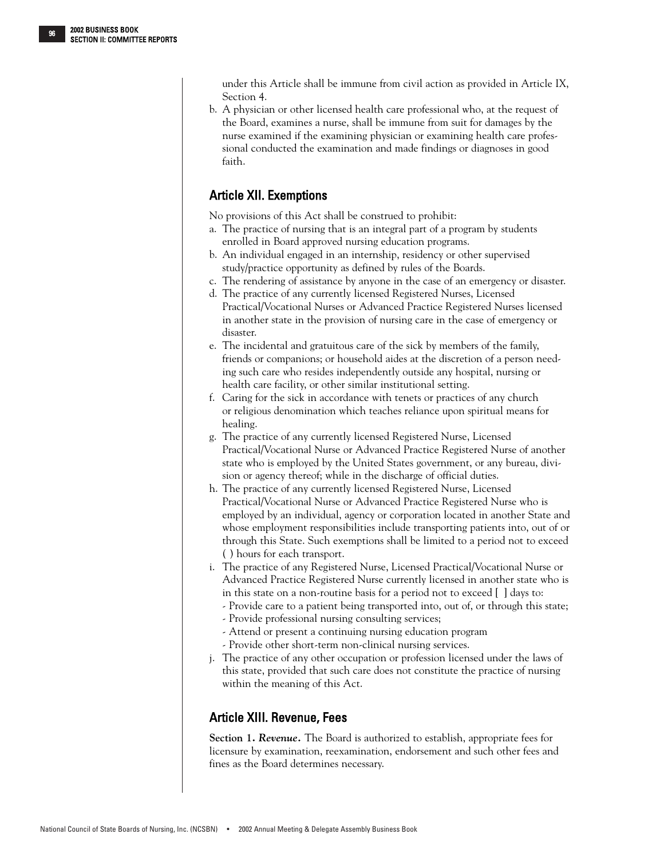under this Article shall be immune from civil action as provided in Article IX, Section 4.

b. A physician or other licensed health care professional who, at the request of the Board, examines a nurse, shall be immune from suit for damages by the nurse examined if the examining physician or examining health care professional conducted the examination and made findings or diagnoses in good faith.

# Article XII. Exemptions

No provisions of this Act shall be construed to prohibit:

- a. The practice of nursing that is an integral part of a program by students enrolled in Board approved nursing education programs.
- b. An individual engaged in an internship, residency or other supervised study/practice opportunity as defined by rules of the Boards.
- c. The rendering of assistance by anyone in the case of an emergency or disaster.
- d. The practice of any currently licensed Registered Nurses, Licensed Practical/Vocational Nurses or Advanced Practice Registered Nurses licensed in another state in the provision of nursing care in the case of emergency or disaster.
- e. The incidental and gratuitous care of the sick by members of the family, friends or companions; or household aides at the discretion of a person needing such care who resides independently outside any hospital, nursing or health care facility, or other similar institutional setting.
- f. Caring for the sick in accordance with tenets or practices of any church or religious denomination which teaches reliance upon spiritual means for healing.
- g. The practice of any currently licensed Registered Nurse, Licensed Practical/Vocational Nurse or Advanced Practice Registered Nurse of another state who is employed by the United States government, or any bureau, division or agency thereof; while in the discharge of official duties.
- h. The practice of any currently licensed Registered Nurse, Licensed Practical/Vocational Nurse or Advanced Practice Registered Nurse who is employed by an individual, agency or corporation located in another State and whose employment responsibilities include transporting patients into, out of or through this State. Such exemptions shall be limited to a period not to exceed ( ) hours for each transport.
- i. The practice of any Registered Nurse, Licensed Practical/Vocational Nurse or Advanced Practice Registered Nurse currently licensed in another state who is in this state on a non-routine basis for a period not to exceed [ ] days to:
	- Provide care to a patient being transported into, out of, or through this state;
	- Provide professional nursing consulting services;
	- Attend or present a continuing nursing education program
	- Provide other short-term non-clinical nursing services.
- j. The practice of any other occupation or profession licensed under the laws of this state, provided that such care does not constitute the practice of nursing within the meaning of this Act.

## Article XIII. Revenue, Fees

**Section 1.** *Revenue.* The Board is authorized to establish, appropriate fees for licensure by examination, reexamination, endorsement and such other fees and fines as the Board determines necessary.

National Council of State Boards of Nursing, Inc. (NCSBN) • 2002 Annual Meeting & Delegate Assembly Business Book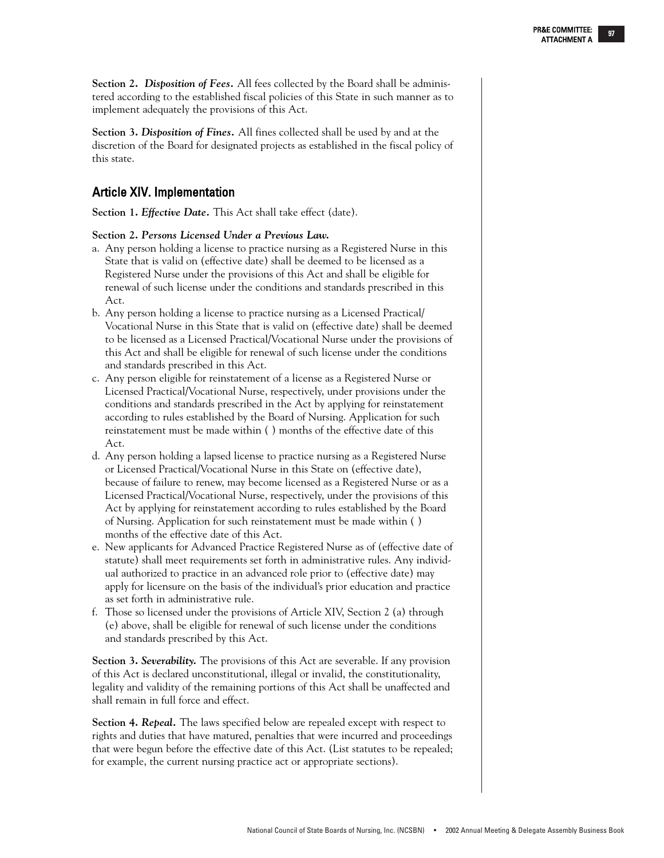**Section 2.** *Disposition of Fees.* All fees collected by the Board shall be administered according to the established fiscal policies of this State in such manner as to implement adequately the provisions of this Act.

**Section 3.** *Disposition of Fines.* All fines collected shall be used by and at the discretion of the Board for designated projects as established in the fiscal policy of this state.

## Article XIV. Implementation

**Section 1.** *Effective Date.* This Act shall take effect (date).

### **Section 2.** *Persons Licensed Under a Previous Law.*

- a. Any person holding a license to practice nursing as a Registered Nurse in this State that is valid on (effective date) shall be deemed to be licensed as a Registered Nurse under the provisions of this Act and shall be eligible for renewal of such license under the conditions and standards prescribed in this Act.
- b. Any person holding a license to practice nursing as a Licensed Practical/ Vocational Nurse in this State that is valid on (effective date) shall be deemed to be licensed as a Licensed Practical/Vocational Nurse under the provisions of this Act and shall be eligible for renewal of such license under the conditions and standards prescribed in this Act.
- c. Any person eligible for reinstatement of a license as a Registered Nurse or Licensed Practical/Vocational Nurse, respectively, under provisions under the conditions and standards prescribed in the Act by applying for reinstatement according to rules established by the Board of Nursing. Application for such reinstatement must be made within ( ) months of the effective date of this Act.
- d. Any person holding a lapsed license to practice nursing as a Registered Nurse or Licensed Practical/Vocational Nurse in this State on (effective date), because of failure to renew, may become licensed as a Registered Nurse or as a Licensed Practical/Vocational Nurse, respectively, under the provisions of this Act by applying for reinstatement according to rules established by the Board of Nursing. Application for such reinstatement must be made within ( ) months of the effective date of this Act.
- e. New applicants for Advanced Practice Registered Nurse as of (effective date of statute) shall meet requirements set forth in administrative rules. Any individual authorized to practice in an advanced role prior to (effective date) may apply for licensure on the basis of the individual's prior education and practice as set forth in administrative rule.
- f. Those so licensed under the provisions of Article XIV, Section 2 (a) through (e) above, shall be eligible for renewal of such license under the conditions and standards prescribed by this Act.

**Section 3.** *Severability.* The provisions of this Act are severable. If any provision of this Act is declared unconstitutional, illegal or invalid, the constitutionality, legality and validity of the remaining portions of this Act shall be unaffected and shall remain in full force and effect.

**Section 4.** *Repeal.* The laws specified below are repealed except with respect to rights and duties that have matured, penalties that were incurred and proceedings that were begun before the effective date of this Act. (List statutes to be repealed; for example, the current nursing practice act or appropriate sections).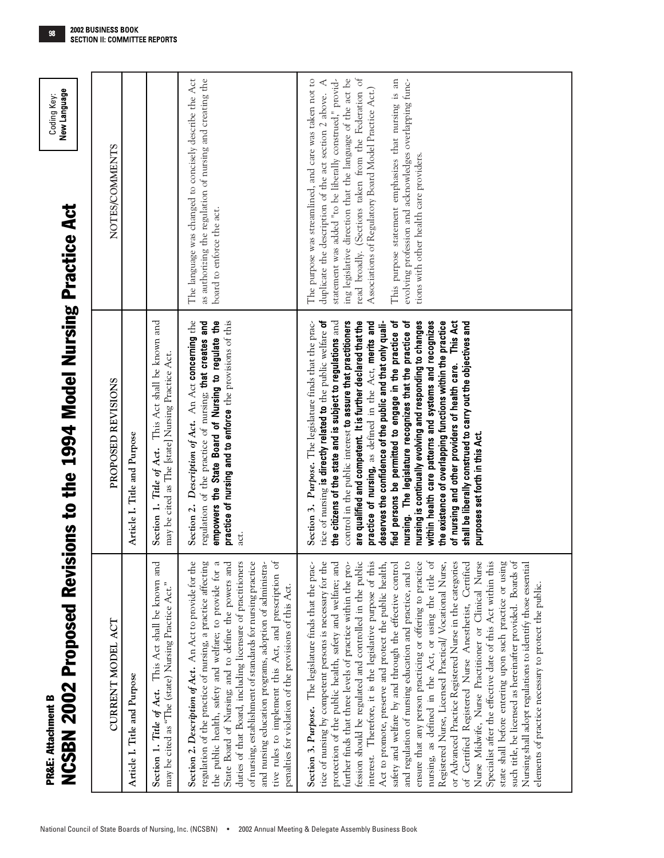**PRAE: Attachment B**<br>NCSBN 2002 Proposed Revisions to the 1994 Model Nursing Practice Act NCSBN 2002 Proposed Revisions to the 1994 Model Nursing Practice Act PR&E: Attachment B

| NOTES/COMMENTS     |                              |                                                                                                             | as authorizing the regulation of nursing and creating the<br>The language was changed to concisely describe the Act<br>board to enforce the act.                                                                                                                                                                                                                                                                                                                                                                                                      | read broadly. (Sections taken from the Federation of<br>ing legislative direction that the language of the act be<br>statement was added "to be liberally construed," provid-<br>This purpose statement emphasizes that nursing is an<br>The purpose was streamlined, and care was taken not to<br>duplicate the description of the act section 2 above. A<br>evolving profession and acknowledges overlapping func-<br>Associations of Regulatory Board Model Practice Act.)<br>tions with other health care providers.                                                                                                                                                                                                                                                                                                                                                                                                                                                                                                                                                                                                                                                                                                               |
|--------------------|------------------------------|-------------------------------------------------------------------------------------------------------------|-------------------------------------------------------------------------------------------------------------------------------------------------------------------------------------------------------------------------------------------------------------------------------------------------------------------------------------------------------------------------------------------------------------------------------------------------------------------------------------------------------------------------------------------------------|----------------------------------------------------------------------------------------------------------------------------------------------------------------------------------------------------------------------------------------------------------------------------------------------------------------------------------------------------------------------------------------------------------------------------------------------------------------------------------------------------------------------------------------------------------------------------------------------------------------------------------------------------------------------------------------------------------------------------------------------------------------------------------------------------------------------------------------------------------------------------------------------------------------------------------------------------------------------------------------------------------------------------------------------------------------------------------------------------------------------------------------------------------------------------------------------------------------------------------------|
| PROPOSED REVISIONS | Article I. Title and Purpose | Section 1. Title of Act. This Act shall be known and<br>may be cited as The [state] Nursing Practice Act.   | empowers the State Board of Nursing to regulate the<br>Section 2. Description of Act. An Act concerning the<br>regulation of the practice of nursing; that creates and<br>practice of nursing and to enforce the provisions of this<br>act.                                                                                                                                                                                                                                                                                                           | fied persons be permitted to engage in the practice of<br>nursing. The legislature recognizes that the practice of<br>of nursing and other providers of health care. This Act<br>tice of nursing is directly related to the public welfare of<br>the citizens of the state and is subject to regulations and<br>control in the public interest to assure that practitioners<br>are qualified and competent. It is further declared that the<br>deserves the confidence of the public and that only quali-<br>nursing is continually evolving and responding to changes<br>within health care patterns and systems and recognizes<br>the existence of overlapping functions within the practice<br>Section 3. Purpose. The legislature finds that the prac-<br>practice of nursing, as defined in the Act, merits and<br>shall be liberally construed to carry out the objectives and<br>purposes set forth in this Act.                                                                                                                                                                                                                                                                                                                |
| CURRENT MODEL ACT  | Article I. Title and Purpose | Section 1. Title of Act. This Act shall be known and<br>may be cited as "The (state) Nursing Practice Act." | Section 2. Description of Act. An Act to provide for the<br>regulation of the practice of nursing, a practice affecting<br>duties of that Board, including licensure of practitioners<br>of nursing, establishment of standards for nursing practice<br>tive rules to implement this Act, and prescription of<br>State Board of Nursing; and to define the powers and<br>and nursing education programs, adoption of administra-<br>the public health, safety and welfare; to provide for a<br>penalties for violation of the provisions of this Act. | ensure that any person practicing or offering to practice<br>tice of nursing by competent persons is necessary for the<br>interest. Therefore, it is the legislative purpose of this<br>nursing, as defined in the Act, or using the title of<br>or Advanced Practice Registered Nurse in the categories<br>Specialist after the effective date of this Act within this<br>state shall before entering upon such practice or using<br>such title, be licensed as hereinafter provided. Boards of<br>protection of the public health, safety and welfare; and<br>fession should be regulated and controlled in the public<br>safety and welfare by and through the effective control<br>and regulation of nursing education and practice, and to<br>Registered Nurse, Licensed Practical/Vocational Nurse,<br>of Certified Registered Nurse Anesthetist, Certified<br>Nurse Midwife, Nurse Practitioner or Clinical Nurse<br>Section 3. Purpose. The legislature finds that the prac-<br>further finds that three levels of practice within the pro-<br>Act to promote, preserve and protect the public health,<br>Nursing shall adopt regulations to identify those essential<br>elements of practice necessary to protect the public. |

Coding Key:<br>**New Language** New Language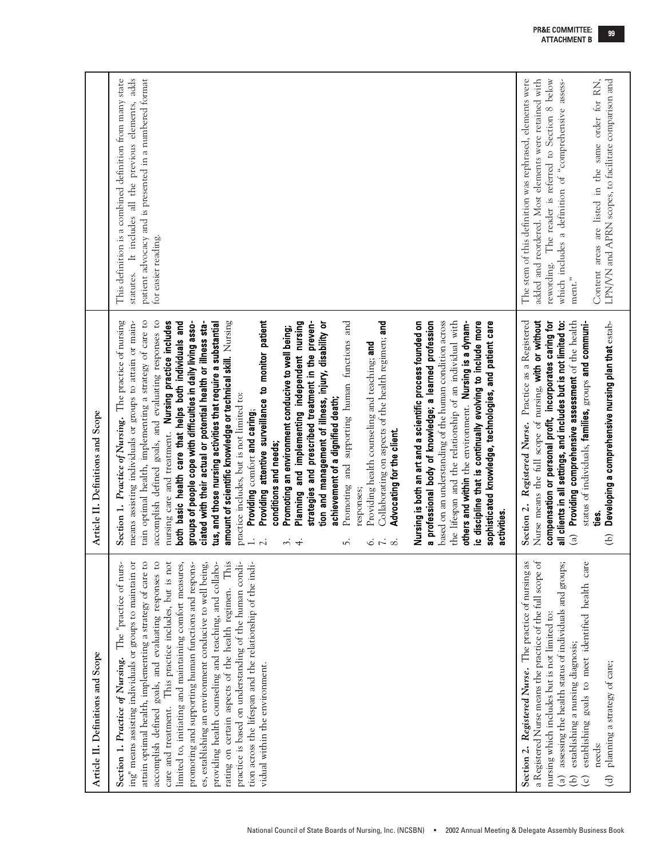| Article II. Definitions and Scope                                                                                                                                                                                                                                                                                                                                                                                                                                                                                                                                                                                                                                                                                                                                          | Article II. Definitions and Scope                                                                                                                                                                                                                                                                                                                                                                                                                                                                                                                                                                                                                                                                                                                                                                                                                                                                                                                                                                                                                                                                                                                                                                                                                                                                                                                                                                                                                                                                                                                                                                                                                                                                                                                       |                                                                                                                                                                                                                                                                                                                                                               |
|----------------------------------------------------------------------------------------------------------------------------------------------------------------------------------------------------------------------------------------------------------------------------------------------------------------------------------------------------------------------------------------------------------------------------------------------------------------------------------------------------------------------------------------------------------------------------------------------------------------------------------------------------------------------------------------------------------------------------------------------------------------------------|---------------------------------------------------------------------------------------------------------------------------------------------------------------------------------------------------------------------------------------------------------------------------------------------------------------------------------------------------------------------------------------------------------------------------------------------------------------------------------------------------------------------------------------------------------------------------------------------------------------------------------------------------------------------------------------------------------------------------------------------------------------------------------------------------------------------------------------------------------------------------------------------------------------------------------------------------------------------------------------------------------------------------------------------------------------------------------------------------------------------------------------------------------------------------------------------------------------------------------------------------------------------------------------------------------------------------------------------------------------------------------------------------------------------------------------------------------------------------------------------------------------------------------------------------------------------------------------------------------------------------------------------------------------------------------------------------------------------------------------------------------|---------------------------------------------------------------------------------------------------------------------------------------------------------------------------------------------------------------------------------------------------------------------------------------------------------------------------------------------------------------|
| This practice includes, but is not<br>This<br>ing" means assisting individuals or groups to maintain or<br>attain optimal health, implementing a strategy of care to<br>accomplish defined goals, and evaluating responses to<br>limited to, initiating and maintaining comfort measures,<br>es, establishing an environment conducive to well being,<br>practice is based on understanding of the human condi-<br>promoting and supporting human functions and respons-<br>providing health counseling and teaching, and collabo-<br>tion across the lifespan and the relationship of the indi-<br>The "practice of nurs-<br>rating on certain aspects of the health regimen.<br>Section 1. Practice of Nursing.<br>vidual within the environment.<br>care and treatment. | tain optimal health, implementing a strategy of care to<br>accomplish defined goals, and evaluating responses to<br>ciated with their actual or potential health or illness sta-<br>based on an understanding of the human condition across<br>Section 1. Practice of Nursing. The practice of nursing<br>means assisting individuals or groups to attain or main-<br>nursing care and treatment. Nursing practice includes<br>both basic health care that helps both individuals and<br>groups of people cope with difficulties in daily living asso-<br>amount of scientific knowledge or technical skill. Nursing<br>Providing attentive surveillance to monitor patient<br>strategies and prescribed treatment in the preven-<br>Promoting and supporting human functions and<br>Nursing is both an art and a scientific process founded on<br>a professional body of knowledge; a learned profession<br>the lifespan and the relationship of an individual with<br>others and within the environment. Nursing is a dynam-<br>ic discipline that is continually evolving to include more<br>sophisticated knowledge, technologies, and patient care<br>tus, and those nursing activities that require a substantial<br>and implementing independent nursing<br>tion and management of illness, injury, disability or<br>Collaborating on aspects of the health regimen; and<br>Promoting an environment conducive to well being;<br>Providing health counseling and teaching; and<br>practice includes, but is not limited to:<br>achievement of a dignified death;<br>Providing comfort and caring;<br>Advocating for the client.<br>conditions and needs;<br>responses;<br>Planning<br>activities.<br>$\phi \sim \infty$<br>3.<br>$\dot{4}$<br>ທ່ | patient advocacy and is presented in a numbered format<br>It includes all the previous elements, adds<br>This definition is a combined definition from many state<br>for easier reading.<br>statutes.                                                                                                                                                         |
| a Registered Nurse means the practice of the full scope of<br>Section 2. Registered Nurse. The practice of nursing as<br>assessing the health status of individuals and groups;<br>establishing goals to meet identified health care<br>nursing which includes but is not limited to:<br>establishing a nursing diagnosis;<br>planning a strategy of care;<br>needs:<br>$\binom{a}{b}$<br>$\ddot{e}$<br>$\widehat{c}$<br>$\odot$                                                                                                                                                                                                                                                                                                                                           | Nurse means the full scope of nursing, with or without<br>Section 2. Registered Nurse. Practice as a Registered<br>compensation or personal profit, incorporates caring for<br>all clients in all settings, and includes but is not limited to:<br>Providing comprehensive assessment of the health<br>Developing a comprehensive nursing plan that estab-<br>status of individuals, families, groups and communi-<br>ties.<br>$\overline{E}$<br>$\widehat{a}$                                                                                                                                                                                                                                                                                                                                                                                                                                                                                                                                                                                                                                                                                                                                                                                                                                                                                                                                                                                                                                                                                                                                                                                                                                                                                          | The stem of this definition was rephrased, elements were<br>added and reordered. Most elements were retained with<br>The reader is referred to Section 8 below<br>Content areas are listed in the same order for RN,<br>LPN/VN and APRN scopes, to facilitate comparison and<br>which includes a definition of "comprehensive assess-<br>rewording.<br>ment." |

99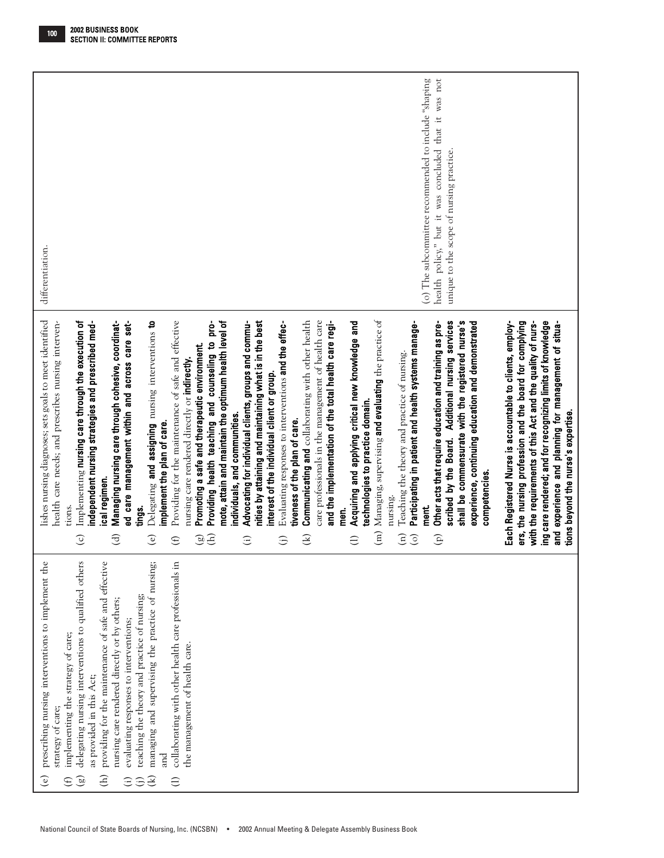| differentiation                                                                                                                                                                                                                                                                                                                                                                                                                                                                                                                                                  |                                                                                                                                                                                                                                                                                                                                                                                                                                                                                                                                                                                                                                                        | (o) The subcommittee recommended to include "shaping<br>that it was not<br>health policy," but it was concluded<br>unique to the scope of nursing practice.                                                                                                                                                                                                                                                                                                                                                                                                                                                                                                    |                                                                                                                                                                                                                                                                                                                                                                                                                                                                         |
|------------------------------------------------------------------------------------------------------------------------------------------------------------------------------------------------------------------------------------------------------------------------------------------------------------------------------------------------------------------------------------------------------------------------------------------------------------------------------------------------------------------------------------------------------------------|--------------------------------------------------------------------------------------------------------------------------------------------------------------------------------------------------------------------------------------------------------------------------------------------------------------------------------------------------------------------------------------------------------------------------------------------------------------------------------------------------------------------------------------------------------------------------------------------------------------------------------------------------------|----------------------------------------------------------------------------------------------------------------------------------------------------------------------------------------------------------------------------------------------------------------------------------------------------------------------------------------------------------------------------------------------------------------------------------------------------------------------------------------------------------------------------------------------------------------------------------------------------------------------------------------------------------------|-------------------------------------------------------------------------------------------------------------------------------------------------------------------------------------------------------------------------------------------------------------------------------------------------------------------------------------------------------------------------------------------------------------------------------------------------------------------------|
| lishes nursing diagnoses; sets goals to meet identified<br>Implementing nursing care through the execution of<br>Managing nursing care through cohesive, coordinat-<br>ed care management within and across care set-<br>Delegating and assigning nursing interventions to<br>health care needs; and prescribes nursing interven-<br>independent nursing strategies and prescribed med-<br>implement the plan of care.<br>cal regimen.<br>tinas.<br>tions.<br><u>ਰ</u><br>$\odot$<br>$\odot$                                                                     | Providing for the maintenance of safe and effective<br>Providing health teaching and counseling to pro-<br>note, attain and maintain the optimum health level of<br>Advocating for individual clients, groups and commu-<br>nities by attaining and maintaining what is in the best<br>Evaluating responses to interventions and the effec-<br>Promoting a safe and therapeutic environment.<br>nursing care rendered directly or $\text{indirect}$<br>nterest of the individual client or group<br>ndividuals, and communities.<br>tiveness of the plan of care.<br>$\widehat{E}$<br>$\mathbf{g})$<br>$\widehat{\Theta}$<br>$\odot$<br>$\hat{\Theta}$ | Managing, supervising and evaluating the practice of<br><b>Communicating and</b> collaborating with other health<br>care professionals in the management of health care<br>scribed by the Board. Additional nursing services<br>and the implementation of the total health care regi-<br>Acquiring and applying critical new knowledge and<br>Participating in patient and health systems manage-<br>Other acts that require education and training as pre-<br>Teaching the theory and practice of nursing.<br>technologies to practice domain.<br>nursing.<br>ment.<br>men.<br>$\binom{m}{k}$<br>$\widehat{E}$<br>$\mathcal{E}$<br>$\odot$<br>Э)<br>$\ominus$ | ing care rendered; and for recognizing limits of knowledge<br>shall be commensurate with the registered nurse's<br>experience, continuing education and demonstrated<br>Each Registered Nurse is accountable to clients, employ-<br>ers, the nursing profession and the board for complying<br>with the requirements of this Act and the quality of nurs-<br>and experience and planning for management of situa-<br>tions beyond the nurse's expertise<br>competencies |
| delegating nursing interventions to qualified others<br>providing for the maintenance of safe and effective<br>prescribing nursing interventions to implement the<br>managing and supervising the practice of nursing;<br>teaching the theory and practice of nursing;<br>nursing care rendered directly or by others;<br>evaluating responses to interventions;<br>implementing the strategy of care;<br>as provided in this Act;<br>strategy of care<br>ਰੂ<br>$\widehat{E}$<br>$(\frac{1}{2})$<br>$\circledcirc$<br><u>ම</u><br>$\widehat{\Xi}$<br>$\bigoplus$ | collaborating with other health care professionals in<br>the management of health care.<br>$\ominus$                                                                                                                                                                                                                                                                                                                                                                                                                                                                                                                                                   |                                                                                                                                                                                                                                                                                                                                                                                                                                                                                                                                                                                                                                                                |                                                                                                                                                                                                                                                                                                                                                                                                                                                                         |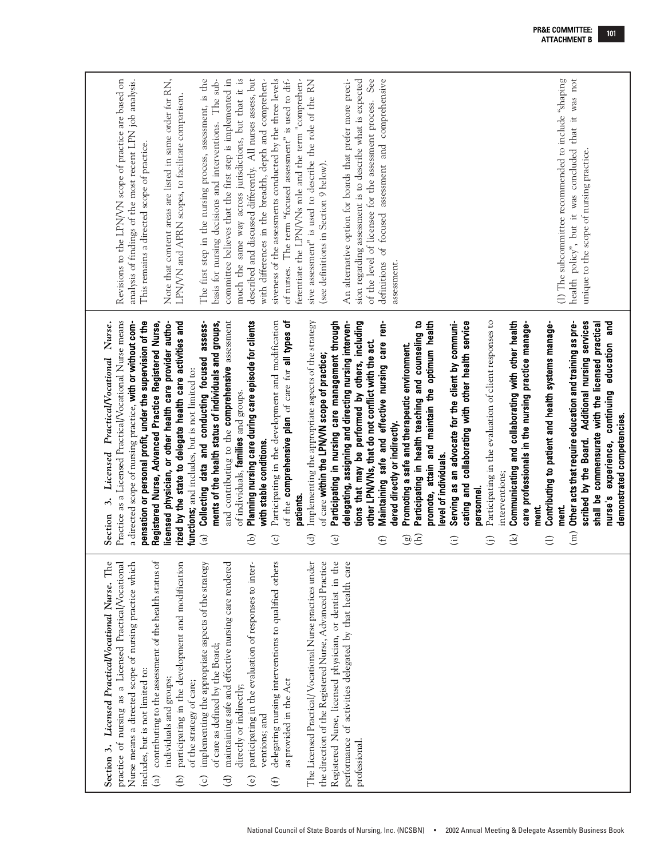| contributing to the assessment of the health status of<br>Nurse means a directed scope of nursing practice which<br>participating in the development and modification<br>Licensed Practical/Vocational Nurse. The<br>practice of nursing as a Licensed Practical/Vocational<br>includes, but is not limited to:<br>individuals and groups;<br>Section 3.<br>$\binom{a}{b}$<br>(b)                                        | Practice as a Licensed Practical/Vocational Nurse means<br>a directed scope of nursing practice, with or without com-<br>pensation or personal profit, under the supervision of the<br>rized by the state to delegate health care activities and<br>Section 3. Licensed Practical/Vocational Nurse.<br>Registered Nurse, Advanced Practice Registered Nurse,<br>licensed physician, or other health care provider autho-                                                                                                                                                                                                                                                                                                                                                                         | Revisions to the LPN/VN scope of practice are based on<br>Note that content areas are listed in same order for RN,<br>analysis of findings of the most recent LPN job analysis.<br>LPN/VN and APRN scopes, to facilitate comparison.<br>This remains a directed scope of practice.                                                                                                                                                                                                                                                                  |
|--------------------------------------------------------------------------------------------------------------------------------------------------------------------------------------------------------------------------------------------------------------------------------------------------------------------------------------------------------------------------------------------------------------------------|--------------------------------------------------------------------------------------------------------------------------------------------------------------------------------------------------------------------------------------------------------------------------------------------------------------------------------------------------------------------------------------------------------------------------------------------------------------------------------------------------------------------------------------------------------------------------------------------------------------------------------------------------------------------------------------------------------------------------------------------------------------------------------------------------|-----------------------------------------------------------------------------------------------------------------------------------------------------------------------------------------------------------------------------------------------------------------------------------------------------------------------------------------------------------------------------------------------------------------------------------------------------------------------------------------------------------------------------------------------------|
| delegating nursing interventions to qualified others<br>maintaining safe and effective nursing care rendered<br>implementing the appropriate aspects of the strategy<br>participating in the evaluation of responses to inter-<br>of care as defined by the Board;<br>as provided in the Act<br>of the strategy of care;<br>directly or indirectly;<br>ventions; and<br>$\bigoplus$<br>$\odot$<br>$\odot$<br>$\bigoplus$ | and contributing to the <b>comprehensive</b> assessment<br>Participating in the development and modification<br>of the comprehensive plan of care for all types of<br>Collecting data and conducting focused assess-<br>ments of the health status of individuals and groups,<br>Planning nursing care during care episode for clients<br>functions; and includes, but is not limited to:<br>of individuals, families and groups.<br>with stable conditions.<br>patients.<br>(a)<br>(a)<br>$\odot$                                                                                                                                                                                                                                                                                               | The first step in the nursing process, assessment, is the<br>described and discussed differently. All nurses assess, but<br>siveness of the assessments conducted by the three levels<br>committee believes that the first step is implemented in<br>much the same way across jurisdictions, but that it is<br>with differences in the breadth, depth and comprehen-<br>of nurses. The term "focused assessment" is used to dif-<br>basis for nursing decisions and interventions. The sub-<br>ferentiate the LPN/VNs role and the term "comprehen- |
| Registered Nurse, licensed physician, or dentist in the<br>the direction of the Registered Nurse, Advanced Practice<br>The Licensed Practical/Vocational Nurse practices under<br>performance of activities delegated by that health care<br>professional                                                                                                                                                                | Participating in health teaching and counseling to<br>Serving as an advocate for the client by communi-<br>cating and collaborating with other health service<br>Participating in nursing care management through<br>delegating, assigning and directing nursing interven-<br>tions that may be performed by others, including<br>Maintaining safe and effective nursing care ren-<br>promote, attain and maintain the optimum health<br>Implementing the appropriate aspects of the strategy<br>other LPN/VNs, that do not conflict with the act.<br>Promoting a safe and therapeutic environment.<br>of care within the LPN/VN scope of practice;<br>dered directly or indirectly.<br>level of individuals.<br>personnel.<br>ΘĤ<br>$\widehat{\mathbf{C}}$<br>$\odot$<br>$\odot$<br>$\bigoplus$ | See<br>definitions of focused assessment and comprehensive<br>sion regarding assessment is to describe what is expected<br>sive assessment" is used to describe the role of the RN<br>An alternative option for boards that prefer more preci-<br>of the level of licensee for the assessment process.<br>(see definitions in Section 9 below).<br>assessment.                                                                                                                                                                                      |
|                                                                                                                                                                                                                                                                                                                                                                                                                          | Participating in the evaluation of client responses to<br>Communicating and collaborating with other health<br>scribed by the Board. Additional nursing services<br>experience, continuing education and<br>care professionals in the nursing practice manage-<br>Other acts that require education and training as pre-<br>shall be commensurate with the licensed practical<br>Contributing to patient and health systems manage-<br>demonstrated competencies.<br>nterventions;<br>nurse's<br>ment.<br>ment<br>$\binom{m}{n}$<br>$\overline{E}$<br>$\ominus$<br>$\bigoplus$                                                                                                                                                                                                                   | (1) The subcommittee recommended to include "shaping<br>health policy", but it was concluded that it was not<br>unique to the scope of nursing practice.                                                                                                                                                                                                                                                                                                                                                                                            |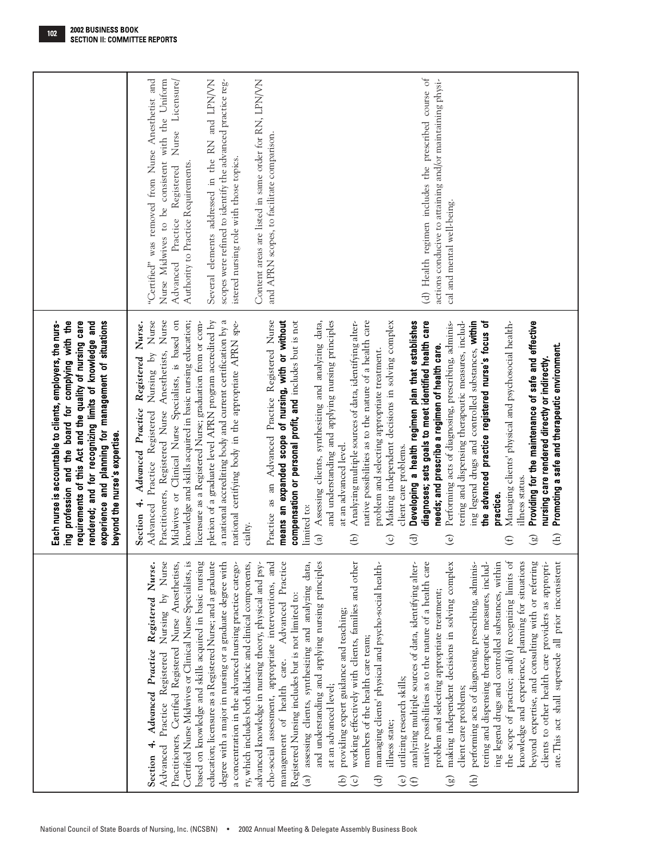|                                                                                                                                                                                                                                                                                                                                                                                                                                                                                                                                                                                                                                                                                                                                                                                                                                                                                                                                                                                                                                                                                     | ing profession and the board for complying with the<br>requirements of this Act and the quality of nursing care<br>experience and planning for management of situations<br>rendered; and for recognizing limits of knowledge and<br>Each nurse is accountable to clients, employers, the nurs-<br>beyond the nurse's expertise.                                                                                                                                                                                                                                                                                                                                                                                                                                                                                                                                                                                                                                                                                                        |                                                                                                                                                                                                                                                                                                                                                                                                                                                                            |
|-------------------------------------------------------------------------------------------------------------------------------------------------------------------------------------------------------------------------------------------------------------------------------------------------------------------------------------------------------------------------------------------------------------------------------------------------------------------------------------------------------------------------------------------------------------------------------------------------------------------------------------------------------------------------------------------------------------------------------------------------------------------------------------------------------------------------------------------------------------------------------------------------------------------------------------------------------------------------------------------------------------------------------------------------------------------------------------|----------------------------------------------------------------------------------------------------------------------------------------------------------------------------------------------------------------------------------------------------------------------------------------------------------------------------------------------------------------------------------------------------------------------------------------------------------------------------------------------------------------------------------------------------------------------------------------------------------------------------------------------------------------------------------------------------------------------------------------------------------------------------------------------------------------------------------------------------------------------------------------------------------------------------------------------------------------------------------------------------------------------------------------|----------------------------------------------------------------------------------------------------------------------------------------------------------------------------------------------------------------------------------------------------------------------------------------------------------------------------------------------------------------------------------------------------------------------------------------------------------------------------|
| Certified Nurse Midwives or Clinical Nurse Specialists, is<br>degree with a major in nursing or a graduate degree with<br>working effectively with clients, families and other<br>Advanced Practice Registered Nursing by Nurse<br>Practitioners, Certified Registered Nurse Anesthetists,<br>education; licensure as a Registered Nurse; and a graduate<br>ry, which includes both didactic and clinical components,<br>management of health care. Advanced Practice<br>assessing clients, synthesizing and analyzing data,<br>and understanding and applying nursing principles<br>based on knowledge and skills acquired in basic nursing<br>cho-social assessment, appropriate interventions, and<br>a concentration in the advanced nursing practice catego-<br>Section 4. Advanced Practice Registered Nurse.<br>advanced knowledge in nursing theory, physical and psy-<br>Registered Nursing includes but is not limited to:<br>providing expert guidance and teaching;<br>members of the health care team;<br>at an advanced level;<br>$\Theta$<br>$\odot$<br>$\mathbf{G}$ | Nursing by Nurse<br>Practitioners, Registered Nurse Anesthetists, Nurse<br>Clinical Nurse Specialists, is based on<br>means an expanded scope of nursing, with or without<br>compensation or personal profit, and includes but is not<br>knowledge and skills acquired in basic nursing education;<br>licensure as a Registered Nurse; graduation from or com-<br>pletion of a graduate level APRN program accredited by<br>a national accrediting body and current certification by a<br>national certifying body in the appropriate APRN spe-<br>Practice as an Advanced Practice Registered Nurse<br>Assessing clients, synthesizing and analyzing data,<br>and understanding and applying nursing principles<br>Analyzing multiple sources of data, identifying alter-<br>native possibilities as to the nature of a health care<br>Registered Nurse.<br>Advanced Practice<br>Advanced Practice Registered<br>at an advanced level.<br>Midwives or<br>$\ddot{ }$<br>limited to:<br>Section<br>cialty.<br>$\Theta$<br>$\widehat{a}$ | "Certified" was removed from Nurse Anesthetist and<br>Nurse Midwives to be consistent with the Uniform<br>Nurse Licensure/<br>Several elements addressed in the RN and LPN/VN<br>Content areas are listed in same order for RN, LPN/VN<br>scopes were refined to identify the advanced practice reg-<br>and APRN scopes, to facilitate comparison.<br>istered nursing role with those topics.<br>Authority to Practice Requirements.<br>Registered<br>Practice<br>Advanced |
| the scope of practice; and(i) recognizing limits of<br>knowledge and experience, planning for situations<br>ate.This act shall supersede all prior inconsistent<br>native possibilities as to the nature of a health care<br>ing legend drugs and controlled substances, within<br>beyond expertise, and consulting with or referring<br>analyzing multiple sources of data, identifying alter-<br>tering and dispensing therapeutic measures, includ-<br>clients to other health care providers as appropri-<br>managing clients' physical and psycho-social health-<br>making independent decisions in solving complex<br>performing acts of diagnosing, prescribing, adminis-<br>problem and selecting appropriate treatment;<br>utilizing research skills;<br>client care problems;<br>illness state;<br>$\widehat{E}$<br>$\bigoplus$<br>$\odot$<br>$\circledcirc$<br>$\bigoplus$                                                                                                                                                                                               | Developing a health regimen plan that establishes<br>ing legend drugs and controlled substances, within<br>Providing for the maintenance of safe and effective<br>Making independent decisions in solving complex<br>diagnoses; sets goals to meet identified health care<br>tering and dispensing therapeutic measures, includ-<br>the advanced practice registered nurse's focus of<br>Managing clients' physical and psychosocial health-<br>Performing acts of diagnosing, prescribing, adminis-<br>Promoting a safe and therapeutic environment.<br>needs; and prescribe a regimen of health care.<br>problem and selecting appropriate treatment.<br>nursing care rendered directly or indirectly.<br>client care problems.<br>illness status.<br>practice.<br>$\hat{E}$<br>$\widehat{d}$<br>$\Theta$<br>$\odot$<br>$\circledcirc$<br>$\widehat{\Theta}$                                                                                                                                                                         | (d) Health regimen includes the prescribed course of<br>actions conducive to attaining and/or maintaining physi-<br>cal and mental well-being.                                                                                                                                                                                                                                                                                                                             |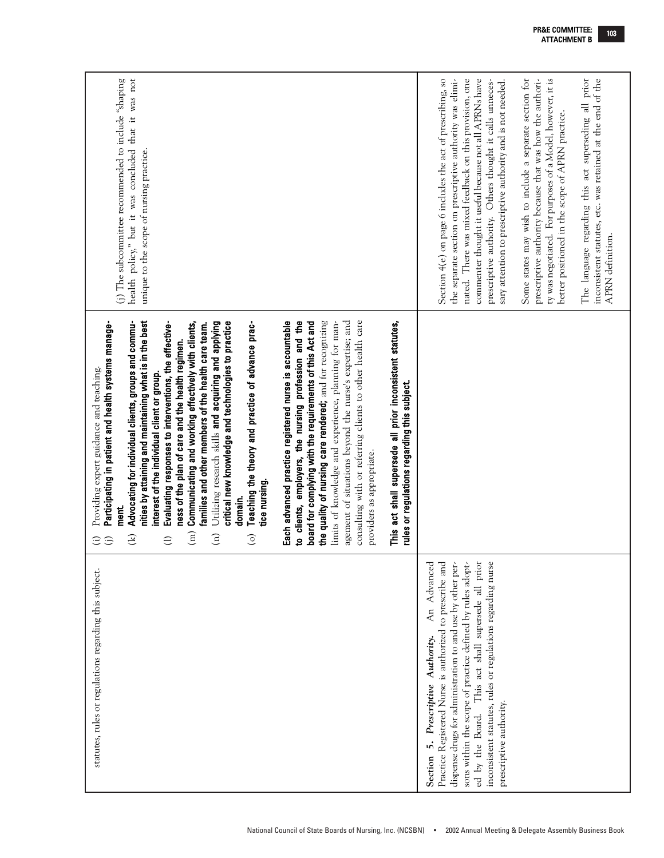| health policy," but it was concluded that it was not<br>(j) The subcommittee recommended to include "shaping<br>unique to the scope of nursing practice.                                                                                                                                                                                                                                                                                                                                                                                                                                                                                                                                                                                                                                              |                                                                                                                                                                                                                                                                                                                                                                                                                                                                                                                      |                                              | inconsistent statutes, etc. was retained at the end of the<br>Section 4(e) on page 6 includes the act of prescribing, so<br>nated. There was mixed feedback on this provision, one<br>commenter thought it useful because not all APRNs have<br>Some states may wish to include a separate section for<br>The language regarding this act superseding all prior<br>the separate section on prescriptive authority was elimi-<br>prescriptive authority because that was how the authori-<br>ty was negotiated. For purposes of a Model, however, it is<br>prescriptive authority. Others thought it calls unneces-<br>sary attention to prescriptive authority and is not needed.<br>better positioned in the scope of APRN practice.<br>APRN definition. |  |
|-------------------------------------------------------------------------------------------------------------------------------------------------------------------------------------------------------------------------------------------------------------------------------------------------------------------------------------------------------------------------------------------------------------------------------------------------------------------------------------------------------------------------------------------------------------------------------------------------------------------------------------------------------------------------------------------------------------------------------------------------------------------------------------------------------|----------------------------------------------------------------------------------------------------------------------------------------------------------------------------------------------------------------------------------------------------------------------------------------------------------------------------------------------------------------------------------------------------------------------------------------------------------------------------------------------------------------------|----------------------------------------------|-----------------------------------------------------------------------------------------------------------------------------------------------------------------------------------------------------------------------------------------------------------------------------------------------------------------------------------------------------------------------------------------------------------------------------------------------------------------------------------------------------------------------------------------------------------------------------------------------------------------------------------------------------------------------------------------------------------------------------------------------------------|--|
| nities by attaining and maintaining what is in the best<br>critical new knowledge and technologies to practice<br>Participating in patient and health systems manage-<br>Advocating for individual clients, groups and commu-<br>Communicating and working effectively with clients,<br>Utilizing research skills and acquiring and applying<br>Teaching the theory and practice of advance prac-<br>Evaluating responses to interventions, the effective-<br>families and other members of the health care team.<br>ness of the plan of care and the health regimen.<br>Providing expert guidance and teaching.<br>interest of the individual client or group.<br>tice nursing<br>domain.<br>nent<br>$\binom{m}{k}$<br>$\binom{n}{n}$<br>$\odot$<br>$\Im$<br>$\ominus$<br>$\bigoplus$<br>$\bigoplus$ | Each advanced practice registered nurse is accountable<br>to clients, employers, the nursing profession and the<br>board for complying with the requirements of this Act and<br>the quality of nursing care rendered; and for recognizing<br>consulting with or referring clients to other health care<br>limits of knowledge and experience, planning for man-<br>agement of situations beyond the nurse's expertise; and<br>This act shall supersede all prior inconsistent statutes,<br>providers as appropriate. | rules or regulations regarding this subject. |                                                                                                                                                                                                                                                                                                                                                                                                                                                                                                                                                                                                                                                                                                                                                           |  |
| statutes, rules or regulations regarding this subject.                                                                                                                                                                                                                                                                                                                                                                                                                                                                                                                                                                                                                                                                                                                                                |                                                                                                                                                                                                                                                                                                                                                                                                                                                                                                                      |                                              | ed by the Board. This act shall supersede all prior<br>sons within the scope of practice defined by rules adopt-<br>inconsistent statutes, rules or regulations regarding nurse<br>An Advanced<br>Practice Registered Nurse is authorized to prescribe and<br>dispense drugs for administration to and use by other per-<br>Authority.<br>5. Prescriptive<br>prescriptive authority.<br>Section                                                                                                                                                                                                                                                                                                                                                           |  |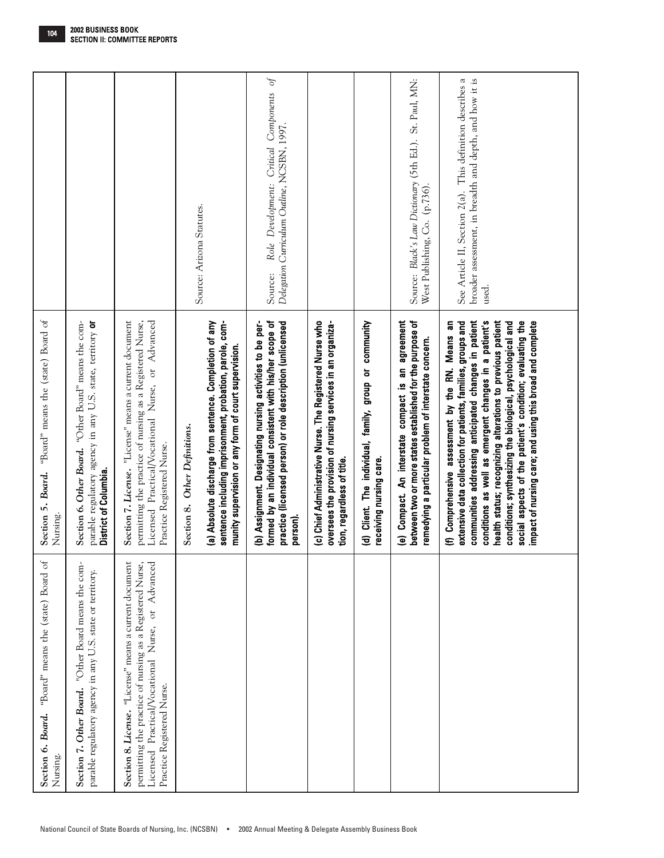| "Board" means the (state) Board of<br>Section 6. Board.<br>Nursing.                                                                                                                                         | "Board" means the (state) Board of<br>Section 5. Board.<br>Nursing.                                                                                                                                                                                                                                                                                                                                                                                                                      |                                                                                                                               |
|-------------------------------------------------------------------------------------------------------------------------------------------------------------------------------------------------------------|------------------------------------------------------------------------------------------------------------------------------------------------------------------------------------------------------------------------------------------------------------------------------------------------------------------------------------------------------------------------------------------------------------------------------------------------------------------------------------------|-------------------------------------------------------------------------------------------------------------------------------|
| "Other Board means the com-<br>parable regulatory agency in any U.S. state or territory.<br>Section 7. Other Board.                                                                                         | Section 6. Other Board. "Other Board" means the com-<br>parable regulatory agency in any U.S. state, territory or<br>District of Columbia.                                                                                                                                                                                                                                                                                                                                               |                                                                                                                               |
| Section 8. License. "License" means a current document<br>permitting the practice of nursing as a Registered Nurse,<br>Advanced<br>Practical/Vocational Nurse, or<br>Practice Registered Nurse.<br>Licensed | Section 7. License. "License" means a current document<br>permitting the practice of nursing as a Registered Nurse,<br>Licensed Practical/Vocational Nurse, or Advanced<br>Practice Registered Nurse.                                                                                                                                                                                                                                                                                    |                                                                                                                               |
|                                                                                                                                                                                                             | Other Definitions.<br>Section 8.                                                                                                                                                                                                                                                                                                                                                                                                                                                         |                                                                                                                               |
|                                                                                                                                                                                                             | sentence including imprisonment, probation, parole, com-<br>(a) Absolute discharge from sentence. Completion of any<br>munity supervision or any form of court supervision.                                                                                                                                                                                                                                                                                                              | Source: Arizona Statutes.                                                                                                     |
|                                                                                                                                                                                                             | (b) Assignment. Designating nursing activities to be per-<br>formed by an individual consistent with his/her scope of<br>practice (licensed person) or role description (unlicensed<br>person).                                                                                                                                                                                                                                                                                          | Role Development: Critical Components of<br>Delegation Curriculum Outline, NCSBN, 1997.<br>Source:                            |
|                                                                                                                                                                                                             | (c) Chief Administrative Nurse. The Registered Nurse who<br>oversees the provision of nursing services in an organiza-<br>tion, regardless of title.                                                                                                                                                                                                                                                                                                                                     |                                                                                                                               |
|                                                                                                                                                                                                             | (d) Client. The individual, family, group or community<br>receiving nursing care.                                                                                                                                                                                                                                                                                                                                                                                                        |                                                                                                                               |
|                                                                                                                                                                                                             | between two or more states established for the purpose of<br>(e) Compact. An interstate compact is an agreement<br>remedying a particular problem of interstate concern.                                                                                                                                                                                                                                                                                                                 | Source: Black's Law Dictionary (5th Ed.). St. Paul, MN:<br>West Publishing, Co. (p.736).                                      |
|                                                                                                                                                                                                             | extensive data collection for patients, families, groups and<br>communities addressing anticipated changes in patient<br>conditions as well as emergent changes in a patient's<br>health status; recognizing alterations to previous patient<br>social aspects of the patient's condition; evaluating the<br>impact of nursing care; and using this broad and complete<br>(f) Comprehensive assessment by the RN. Means an<br>conditions; synthesizing the biological, psychological and | See Article II, Section 2(a). This definition describes a<br>broader assessment, in breadth and depth, and how it is<br>used. |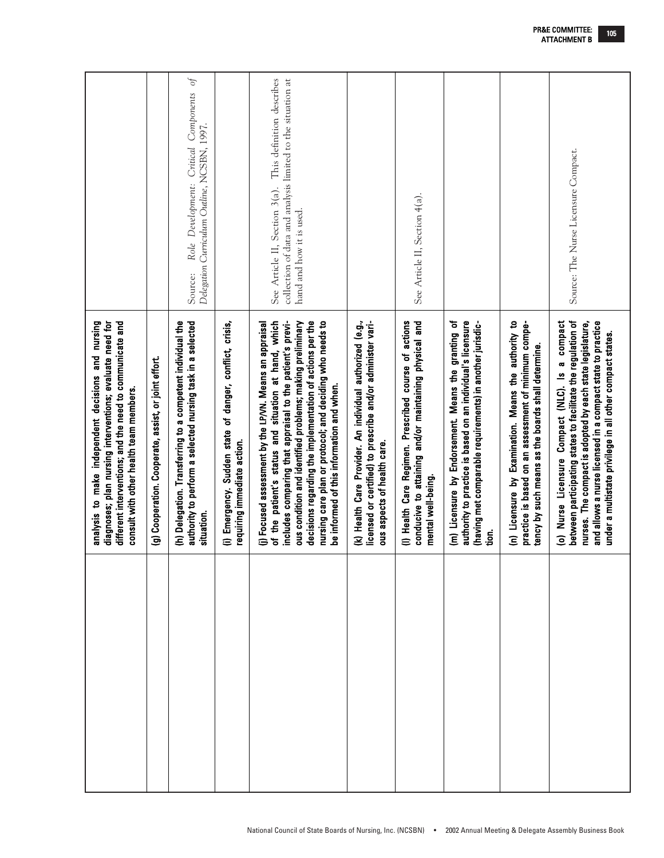| analysis to make independent decisions and nursing<br>diagnoses; plan nursing interventions; evaluate need for<br>different interventions; and the need to communicate and<br>consult with other health team members.                                                                                                                                                                                           |                                                                                                                                                    |
|-----------------------------------------------------------------------------------------------------------------------------------------------------------------------------------------------------------------------------------------------------------------------------------------------------------------------------------------------------------------------------------------------------------------|----------------------------------------------------------------------------------------------------------------------------------------------------|
| (g) Cooperation. Cooperate, assist, or joint effort.                                                                                                                                                                                                                                                                                                                                                            |                                                                                                                                                    |
| (h) Delegation. Transferring to a competent individual the<br>authority to perform a selected nursing task in a selected<br>situation.                                                                                                                                                                                                                                                                          | Critical Components of<br>Delegation Curriculum Outline, NCSBN, 1997.<br>Role Development:<br>Source:                                              |
| (i) Emergency. Sudden state of danger, conflict, crisis,<br>requiring immediate action.                                                                                                                                                                                                                                                                                                                         |                                                                                                                                                    |
| (j) Focused assessment by the LP/VN. Means an appraisal<br>nursing care plan or protocol; and deciding who needs to<br>of the patient's status and situation at hand, which<br>includes comparing that appraisal to the patient's previ-<br>ous condition and identified problems; making preliminary<br>decisions regarding the implementation of actions per the<br>be informed of this information and when. | collection of data and analysis limited to the situation at<br>See Article II, Section 3(a). This definition describes<br>hand and how it is used. |
| (k) Health Care Provider. An individual authorized (e.g.,<br>licensed or certified) to prescribe and/or administer vari-<br>ous aspects of health care.                                                                                                                                                                                                                                                         |                                                                                                                                                    |
| (I) Health Care Regimen. Prescribed course of actions<br>conducive to attaining and/or maintaining physical and<br>mental well-being.                                                                                                                                                                                                                                                                           | See Article II, Section 4(a).                                                                                                                      |
| authority to practice is based on an individual's licensure<br>(m) Licensure by Endorsement. Means the granting of<br>(having met comparable requirements) in another jurisdic-<br>.<br>S                                                                                                                                                                                                                       |                                                                                                                                                    |
| (n) Licensure by Examination. Means the authority to<br>practice is based on an assessment of minimum compe-<br>tency by such means as the boards shall determine.                                                                                                                                                                                                                                              |                                                                                                                                                    |
| between participating states to facilitate the regulation of<br>(o) Nurse Licensure Compact (NLC). Is a compact<br>nurses. The compact is adopted by each state legislature,<br>and allows a nurse licensed in a compact state to practice<br>under a multistate privilege in all other compact states.                                                                                                         | Source: The Nurse Licensure Compact.                                                                                                               |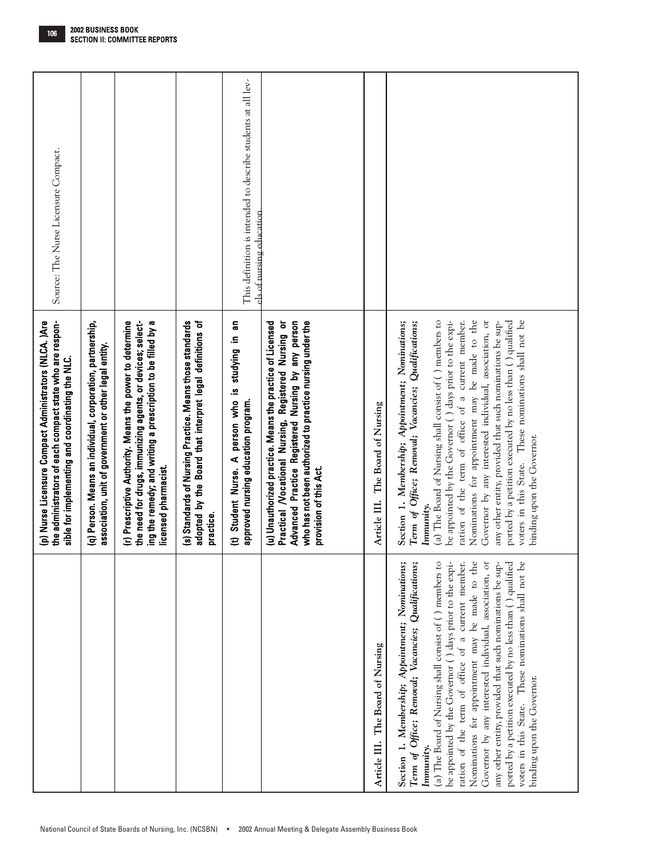| Source: The Nurse Licensure Compact.                                                                                                                                   |                                                                                                                      |                                                                                                                                                                                                                |                                                                                                                                   | This definition is intended to describe students at all lev-<br>els of nursing education. |                                                                                                                                                                                                                                                                |                                      |                                                                                                                                                                                                                                                                                                                                                                                                                                                                                                                                                                                                                             |
|------------------------------------------------------------------------------------------------------------------------------------------------------------------------|----------------------------------------------------------------------------------------------------------------------|----------------------------------------------------------------------------------------------------------------------------------------------------------------------------------------------------------------|-----------------------------------------------------------------------------------------------------------------------------------|-------------------------------------------------------------------------------------------|----------------------------------------------------------------------------------------------------------------------------------------------------------------------------------------------------------------------------------------------------------------|--------------------------------------|-----------------------------------------------------------------------------------------------------------------------------------------------------------------------------------------------------------------------------------------------------------------------------------------------------------------------------------------------------------------------------------------------------------------------------------------------------------------------------------------------------------------------------------------------------------------------------------------------------------------------------|
| the administrators of each compact state who are respon-<br>(p) Nurse Licensure Compact Administrators (NLCA. )Are<br>sible for implementing and coordinating the NLC. | (q) Person. Means an individual, corporation, partnership,<br>association, unit of government or other legal entity. | (r) Prescriptive Authority. Means the power to determine<br>the need for drugs, immunizing agents, or devices; select-<br>ing the remedy; and writing a prescription to be filled by a<br>licensed pharmacist. | adopted by the Board that interpret legal definitions of<br>(s) Standards of Nursing Practice. Means those standards<br>practice. | (t) Student Nurse. A person who is studying in an<br>approved nursing education program.  | Advanced Practice Registered Nursing by any person<br>who has not been authorized to practice nursing under the<br>(u) Unauthorized practice. Means the practice of Licensed<br>Practical /Vocational Nursing, Registered Nursing or<br>provision of this Act. | The Board of Nursing<br>Article III. | Nominations for appointment may be made to the<br>Governor by any interested individual, association, or<br>(a) The Board of Nursing shall consist of () members to<br>ration of the term of office of a current member.<br>ported by a petition executed by no less than () qualified<br>voters in this State. These nominations shall not be<br>Section 1. Membership; Appointment; Nominations;<br>Term of Office; Removal; Vacancies; Qualifications;<br>be appointed by the Governor () days prior to the expi-<br>any other entity, provided that such nominations be sup-<br>binding upon the Governor.<br>Immunity. |
|                                                                                                                                                                        |                                                                                                                      |                                                                                                                                                                                                                |                                                                                                                                   |                                                                                           |                                                                                                                                                                                                                                                                | The Board of Nursing<br>Article III. | Nominations for appointment may be made to the<br>(a) The Board of Nursing shall consist of () members to<br>ration of the term of office of a current member.<br>Governor by any interested individual, association, or<br>ported by a petition executed by no less than () qualified<br>voters in this State. These nominations shall not be<br>be appointed by the Governor () days prior to the expi-<br>Section 1. Membership; Appointment; Nominations;<br>Term of Office; Removal; Vacancies; Qualifications;<br>any other entity, provided that such nominations be sup-<br>binding upon the Governor.<br>Immunity. |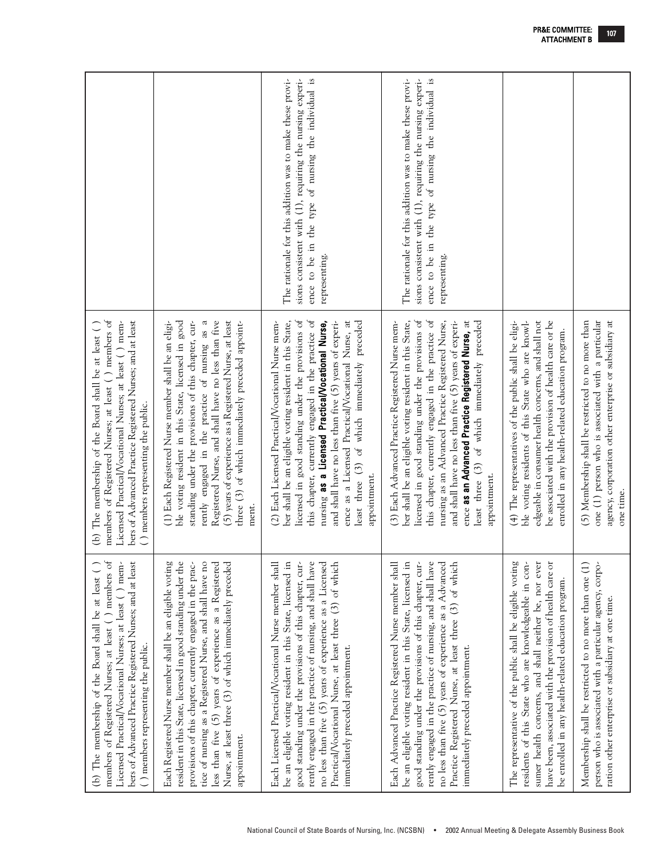| members of Registered Nurses; at least () members of<br>bers of Advanced Practice Registered Nurses; and at least<br>(b) The membership of the Board shall be at least ()<br>Licensed Practical/Vocational Nurses; at least () mem-<br>() members representing the public.                                                                                                                             | bers of Advanced Practice Registered Nurses; and at least<br>members of Registered Nurses; at least () members of<br>Licensed Practical/Vocational Nurses; at least () mem-<br>(b) The membership of the Board shall be at least ()<br>() members representing the public.                                                                                                                                                                                  |                                                                                                                                                                                              |
|--------------------------------------------------------------------------------------------------------------------------------------------------------------------------------------------------------------------------------------------------------------------------------------------------------------------------------------------------------------------------------------------------------|-------------------------------------------------------------------------------------------------------------------------------------------------------------------------------------------------------------------------------------------------------------------------------------------------------------------------------------------------------------------------------------------------------------------------------------------------------------|----------------------------------------------------------------------------------------------------------------------------------------------------------------------------------------------|
| resident in this State, licensed in good standing under the<br>tice of nursing as a Registered Nurse, and shall have no<br>Each Registered Nurse member shall be an eligible voting<br>provisions of this chapter, currently engaged in the prac-<br>less than five (5) years of experience as a Registered<br>Nurse, at least three (3) of which immediately preceded<br>appointment.                 | (5) years of experience as a Registered Nurse, at least<br>ble voting resident in this State, licensed in good<br>standing under the provisions of this chapter, cur-<br>rently engaged in the practice of nursing as a<br>Registered Nurse, and shall have no less than five<br>three (3) of which immediately preceded appoint-<br>(1) Each Registered Nurse member shall be an eligi-<br>ment                                                            |                                                                                                                                                                                              |
| be an eligible voting resident in this State, licensed in<br>no less than five (5) years of experience as a Licensed<br>Practical/Vocational Nurse, at least three (3) of which<br>Each Licensed Practical/Vocational Nurse member shall<br>good standing under the provisions of this chapter, cur-<br>rently engaged in the practice of nursing, and shall have<br>immediately preceded appointment. | licensed in good standing under the provisions of<br>this chapter, currently engaged in the practice of<br>ence as a Licensed Practical/Vocational Nurse, at<br>least three (3) of which immediately preceded<br>(2) Each Licensed Practical/Vocational Nurse mem-<br>ber shall be an eligible voting resident in this State,<br>nursing as a Licensed Practical/Vocational Nurse,<br>and shall have no less than five (5) years of experi-<br>appointment. | ence to be in the type of nursing the individual is<br>The rationale for this addition was to make these provi-<br>sions consistent with (1), requiring the nursing experi-<br>representing. |
| be an eligible voting resident in this State, licensed in<br>Practice Registered Nurse, at least three (3) of which<br>Each Advanced Practice Registered Nurse member shall<br>good standing under the provisions of this chapter, cur-<br>rently engaged in the practice of nursing, and shall have<br>no less than five (5) years of experience as a Advanced<br>immediately preceded appointment.   | licensed in good standing under the provisions of<br>this chapter, currently engaged in the practice of<br>and shall have no less than five (5) years of experi-<br>ence as an Advanced Practice Registered Nurse, at<br>(3) Each Advanced Practice Registered Nurse mem-<br>ber shall be an eligible voting resident in this State,<br>nursing as an Advanced Practice Registered Nurse,<br>least three (3) of which immediately preceded<br>appointment.  | ence to be in the type of nursing the individual is<br>The rationale for this addition was to make these provi-<br>sions consistent with (1), requiring the nursing experi-<br>representing. |
| sumer health concerns, and shall neither be, nor ever<br>have been, associated with the provision of health care or<br>The representative of the public shall be eligible voting<br>residents of this State who are knowledgeable in con-<br>be enrolled in any health-related education program.                                                                                                      | edgeable in consumer health concerns, and shall not<br>ble voting residents of this State who are knowl-<br>be associated with the provision of health care or be<br>(4) The representatives of the public shall be eligi-<br>enrolled in any health-related education program.                                                                                                                                                                             |                                                                                                                                                                                              |
| Membership shall be restricted to no more than one (1)<br>person who is associated with a particular agency, corpo-<br>ration other enterprise or subsidiary at one time.                                                                                                                                                                                                                              | (5) Membership shall be restricted to no more than<br>one (1) person who is associated with a particular<br>agency, corporation other enterprise or subsidiary at<br>one time.                                                                                                                                                                                                                                                                              |                                                                                                                                                                                              |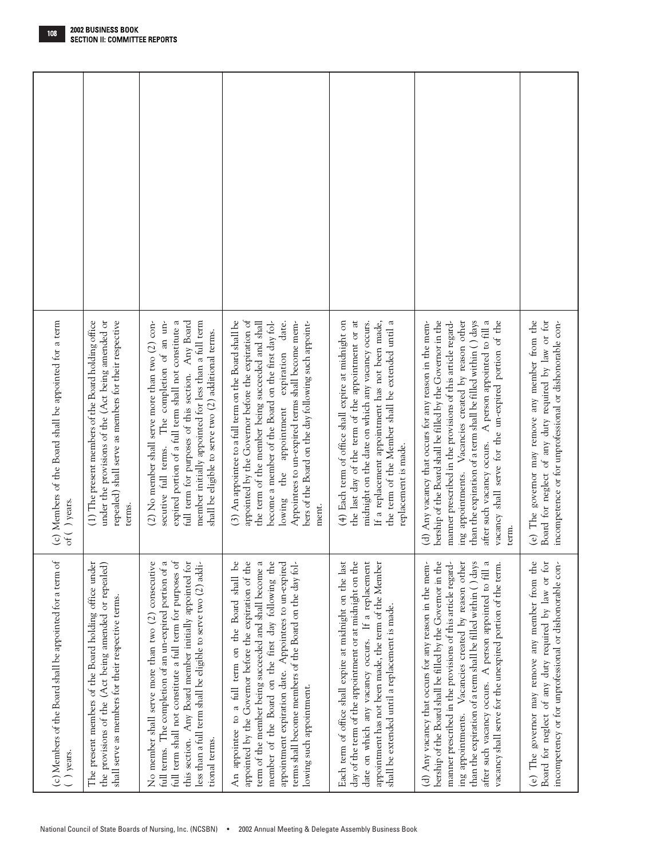| (c) Members of the Board shall be appointed for a term of<br>$( )$ years.                                                                                                                                                                                                                                                                                                                                                            | (c) Members of the Board shall be appointed for a term<br>of ( ) years.                                                                                                                                                                                                                                                                                                                                                                     |  |
|--------------------------------------------------------------------------------------------------------------------------------------------------------------------------------------------------------------------------------------------------------------------------------------------------------------------------------------------------------------------------------------------------------------------------------------|---------------------------------------------------------------------------------------------------------------------------------------------------------------------------------------------------------------------------------------------------------------------------------------------------------------------------------------------------------------------------------------------------------------------------------------------|--|
| The present members of the Board holding office under<br>the provisions of the (Act being amended or repealed)<br>shall serve as members for their respective terms.                                                                                                                                                                                                                                                                 | (1) The present members of the Board holding office<br>repealed) shall serve as members for their respective<br>under the provisions of the (Act being amended or<br>terms                                                                                                                                                                                                                                                                  |  |
| Any Board member initially appointed for<br>No member shall serve more than two (2) consecutive<br>full term shall not constitute a full term for purposes of<br>full terms. The completion of an un-expired portion of a<br>less than a full term shall be eligible to serve two (2) addi-<br>this section.<br>tional terms.                                                                                                        | full term for purposes of this section. Any Board<br>member initially appointed for less than a full term<br>$(2)$ No member shall serve more than two $(2)$ con-<br>The completion of an un-<br>expired portion of a full term shall not constitute a<br>shall be eligible to serve two (2) additional terms.<br>secutive full terms.                                                                                                      |  |
| appointed by the Governor before the expiration of the<br>term of the member being succeeded and shall become a<br>appointment expiration date. Appointees to un-expired<br>An appointee to a full term on the Board shall be<br>member of the Board on the first day following the<br>terms shall become members of the Board on the day fol-<br>lowing such appointment.                                                           | appointed by the Governor before the expiration of<br>the term of the member being succeeded and shall<br>(3) An appointee to a full term on the Board shall be<br>become a member of the Board on the first day fol-<br>date.<br>Appointees to un-expired terms shall become mem-<br>bers of the Board on the day following such appoint-<br>the appointment expiration<br>lowing<br>ment                                                  |  |
| Each term of office shall expire at midnight on the last<br>date on which any vacancy occurs. If a replacement<br>appointment has not been made, the term of the Member<br>day of the term of the appointment or at midnight on the<br>shall be extended until a replacement is made.                                                                                                                                                | (4) Each term of office shall expire at midnight on<br>the last day of the term of the appointment or at<br>midnight on the date on which any vacancy occurs.<br>If a replacement appointment has not been made,<br>the term of the Member shall be extended until a<br>replacement is made.                                                                                                                                                |  |
| ing appointments. Vacancies created by reason other<br>than the expiration of a term shall be filled within () days<br>bership of the Board shall be filled by the Governor in the<br>after such vacancy occurs. A person appointed to fill a<br>(d) Any vacancy that occurs for any reason in the mem-<br>manner prescribed in the provisions of this article regard-<br>vacancy shall serve for the unexpired portion of the term. | ing appointments. Vacancies created by reason other<br>than the expiration of a term shall be filled within () days<br>bership of the Board shall be filled by the Governor in the<br>manner prescribed in the provisions of this article regard-<br>A person appointed to fill a<br>vacancy shall serve for the un-expired portion of the<br>(d) Any vacancy that occurs for any reason in the mem-<br>after such vacancy occurs.<br>term. |  |
| Board for neglect of any duty required by law or for<br>(e) The governor may remove any member from the<br>incompetency or for unprofessional or dishonorable con-                                                                                                                                                                                                                                                                   | Board for neglect of any duty required by law or for<br>(e) The governor may remove any member from the<br>incompetence or for unprofessional or dishonorable con-                                                                                                                                                                                                                                                                          |  |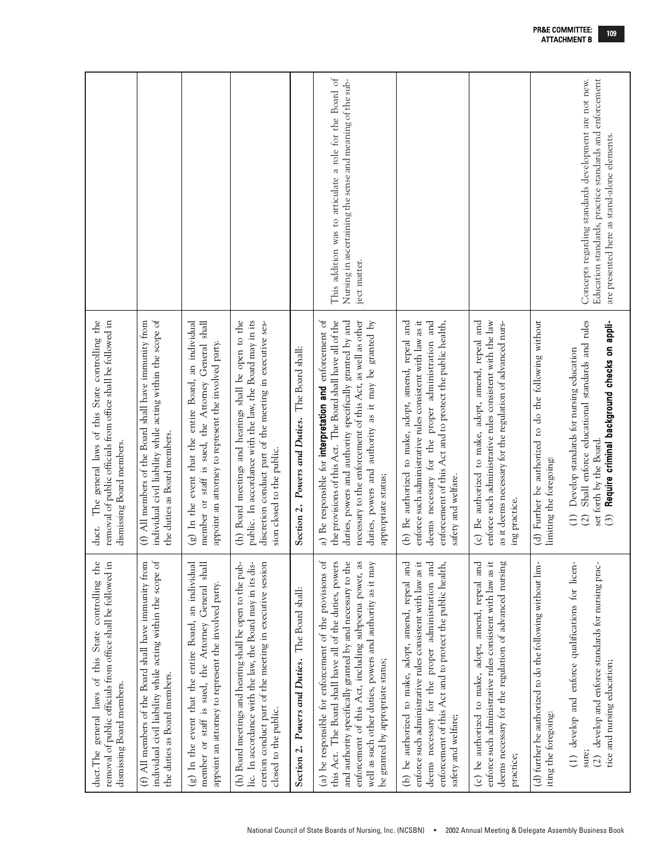| (h) Board meetings and hearings shall be open to the<br>public. In accordance with the law, the Board may in its<br>a) Be responsible for <b>interpretation and</b> enforcement of<br>the provisions of this Act. The Board shall have all of the<br>necessary to the enforcement of this Act, as well as other<br>enforce such administrative rules consistent with law as it<br>enforce such administrative rules consistent with the law<br>(d) Further be authorized to do the following without<br>discretion conduct part of the meeting in executive ses-<br>duties, powers and authority specifically granted by and<br>(b) Be authorized to make, adopt, amend, repeal and<br>deems necessary for the proper administration and<br>(c) Be authorized to make, adopt, amend, repeal and<br>(g) In the event that the entire Board, an individual<br>member or staff is sued, the Attorney General shall<br>duties, powers and authority as it may be granted by<br>enforcement of this Act and to protect the public health,<br>as it deems necessary for the regulation of advanced nurs-<br>appoint an attorney to represent the involved party.<br><b>Powers and Duties.</b> The Board shall:<br>sion closed to the public. | limiting the foregoing:<br>appropriate status;<br>safety and welfare.<br>ing practice.<br>Section 2. | and authority specifically granted by and necessary to the<br>cretion conduct part of the meeting in executive session<br>this Act. The Board shall have all of the duties, powers<br>enforce such administrative rules consistent with law as it<br>enforce such administrative rules consistent with law as it<br>(a) be responsible for enforcement of the provisions of<br>enforcement of this Act, including subpoena power, as<br>well as such other duties, powers and authority as it may<br>deems necessary for the regulation of advanced nursing<br>(b) be authorized to make, adopt, amend, repeal and<br>deems necessary for the proper administration and<br>enforcement of this Act and to protect the public health,<br>(c) be authorized to make, adopt, amend, repeal and<br>lic. In accordance with the law, the Board may in its dis-<br>(g) In the event that the entire Board, an individual<br>member or staff is sued, the Attorney General shall<br>(h) Board meetings and hearing shall be open to the pub-<br>(d) further be authorized to do the following without lim-<br>appoint an attorney to represent the involved party.<br>Section 2. Powers and Duties. The Board shall: |
|----------------------------------------------------------------------------------------------------------------------------------------------------------------------------------------------------------------------------------------------------------------------------------------------------------------------------------------------------------------------------------------------------------------------------------------------------------------------------------------------------------------------------------------------------------------------------------------------------------------------------------------------------------------------------------------------------------------------------------------------------------------------------------------------------------------------------------------------------------------------------------------------------------------------------------------------------------------------------------------------------------------------------------------------------------------------------------------------------------------------------------------------------------------------------------------------------------------------------------------|------------------------------------------------------------------------------------------------------|---------------------------------------------------------------------------------------------------------------------------------------------------------------------------------------------------------------------------------------------------------------------------------------------------------------------------------------------------------------------------------------------------------------------------------------------------------------------------------------------------------------------------------------------------------------------------------------------------------------------------------------------------------------------------------------------------------------------------------------------------------------------------------------------------------------------------------------------------------------------------------------------------------------------------------------------------------------------------------------------------------------------------------------------------------------------------------------------------------------------------------------------------------------------------------------------------------------|
| Shall enforce educational standards and rules<br>(3) Require criminal background checks on appli-<br>Develop standards for nursing education<br>set forth by the Board.                                                                                                                                                                                                                                                                                                                                                                                                                                                                                                                                                                                                                                                                                                                                                                                                                                                                                                                                                                                                                                                                |                                                                                                      | $\widehat{\Xi}$<br>(2)                                                                                                                                                                                                                                                                                                                                                                                                                                                                                                                                                                                                                                                                                                                                                                                                                                                                                                                                                                                                                                                                                                                                                                                        |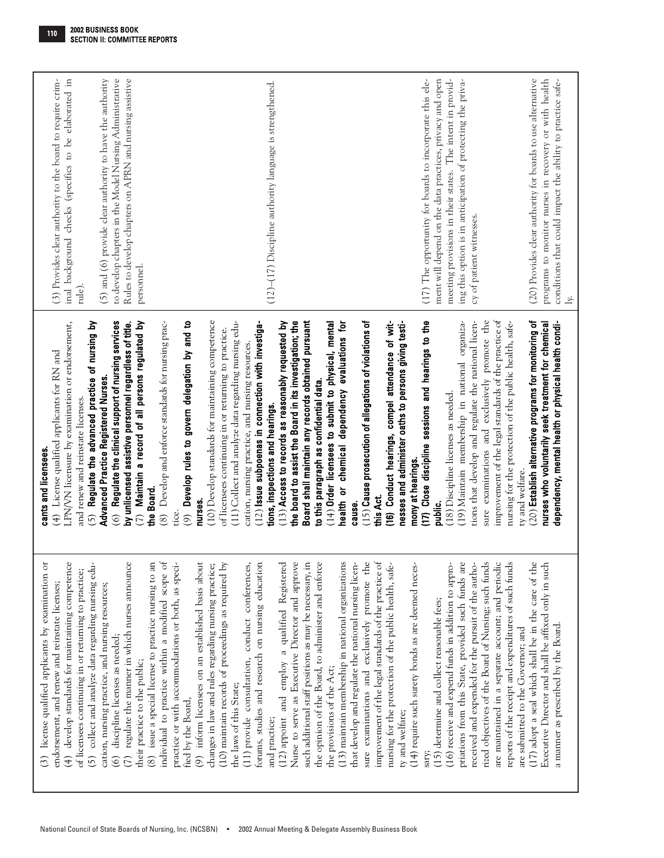| (3) license qualified applicants by examination or                     | cants and licensees.                                                     |                                                             |
|------------------------------------------------------------------------|--------------------------------------------------------------------------|-------------------------------------------------------------|
| endorsement, and renew and reinstate licenses;                         | (4) License qualified applicants for RN and                              | (3) Provides clear authority to the board to require crim-  |
| (4) develop standards for maintaining competence                       | LPN/VN licensure by examination or endorsement,                          | inal background checks (specifics to be elaborated in       |
| of licensees continuing in or returning to practice;                   | and renew and reinstate licenses                                         | rule).                                                      |
| (5) collect and analyze data regarding nursing edu-                    | Regulate the advanced practice of nursing by<br>(5)                      |                                                             |
| cation, nursing practice, and nursing resources;                       | Advanced Practice Registered Nurses.                                     | (5) and (6) provide clear authority to have the authority   |
| discipline licenses as needed;<br>$\circ$                              | Regulate the clinical support of nursing services<br>$\widetilde{\circ}$ | to develop chapters in the Model Nursing Administrative     |
| (7) regulate the manner in which nurses announce                       | by unlicensed assistive personnel regardless of title.                   | Rules to develop chapters on APRN and nursing assistive     |
| their practice to the public;                                          | Maintain a record of all persons regulated by<br>(7)                     | personnel.                                                  |
| issue a special license to practice nursing to an<br>$\left( 8\right)$ | the Board.                                                               |                                                             |
| individual to practice within a modified scope of                      | (8) Develop and enforce standards for nursing prac-                      |                                                             |
| practice or with accommodations or both, as speci-                     | tice.                                                                    |                                                             |
| fied by the Board,                                                     | (9) Develop rules to govern delegation by and to                         |                                                             |
| (9) inform licensees on an established basis about                     | nurses.                                                                  |                                                             |
| changes in law and rules regarding nursing practice;                   | (10) Develop standards for maintaining competence                        |                                                             |
| (10) maintain records of proceedings as required by                    | of licensees continuing in or returning to practice.                     |                                                             |
| the laws of this State;                                                | (11) Collect and analyze data regarding nursing edu-                     |                                                             |
| (11) provide consultation, conduct conferences,                        | cation, nursing practice, and nursing resources.                         |                                                             |
| forums, studies and research on nursing education                      | $(12)$ Issue subpoenas in connection with investiga-                     |                                                             |
| and practice;                                                          | tions, inspections and hearings.                                         | (12)-(17) Discipline authority language is strengthened.    |
| (12) appoint and employ a qualified Registered                         | (13) Access to records as reasonably requested by                        |                                                             |
| Nurse to serve as Executive Director and approve                       | the board to assist the Board in its investigation; the                  |                                                             |
| such additional staff positions as may be necessary, in                | Board shall maintain any records obtained pursuant                       |                                                             |
| the opinion of the Board, to administer and enforce                    | to this paragraph as confidential data.                                  |                                                             |
| the provisions of the Act;                                             | (14) Order licensees to submit to physical, mental                       |                                                             |
| (13) maintain membership in national organizations                     | chemical dependency evaluations for<br>health or                         |                                                             |
| that develop and regulate the national nursing licen-                  | cause.                                                                   |                                                             |
| sure examinations and exclusively promote the                          | (15) Cause prosecution of allegations of violations of                   |                                                             |
| improvement of the legal standards of the practice of                  | this Act.                                                                |                                                             |
| nursing for the protection of the public health, safe-                 | (16) Conduct hearings, compel attendance of wit-                         |                                                             |
| ty and welfare;                                                        | nesses and administer oaths to persons giving testi-                     |                                                             |
| (14) require such surety bonds as are deemed neces-                    | mony at hearings.                                                        |                                                             |
| sary;                                                                  | (17) Close discipline sessions and hearings to the                       | (17) The opportunity for boards to incorporate this ele-    |
| (15) determine and collect reasonable fees;                            | public.                                                                  | ment will depend on the data practices, privacy and open    |
| (16) receive and expend funds in addition to appro-                    | (18) Discipline licenses as needed.                                      | meeting provisions in their states. The intent in provid-   |
| priations from this State, provided such funds are                     | (19) Maintain membership in national organiza-                           | ing this option is in anticipation of protecting the priva- |
| received and expended for the pursuit of the autho-                    | tions that develop and regulate the national licen-                      | cy of patient witnesses.                                    |
| rized objectives of the Board of Nursing; such funds                   | sure examinations and exclusively promote the                            |                                                             |
| are maintained in a separate account; and periodic                     | improvement of the legal standards of the practice of                    |                                                             |
| reports of the receipt and expenditures of such funds                  | nursing for the protection of the public health, safe-                   |                                                             |
| are submitted to the Governor; and                                     | ty and welfare.                                                          |                                                             |
| (17) adopt a seal which shall be in the care of the                    | (20) Establish alternative programs for monitoring of                    | (20) Provides clear authority for boards to use alternative |
| Executive Director and shall be affixed only in such                   | nurses who voluntarily seek treatment for chemical                       | programs to monitor nurses in recovery or with health       |
| a manner as prescribed by the Board.                                   | dependency, mental health or physical health condi-                      | conditions that could impact the ability to practice safe-  |
|                                                                        |                                                                          | ly.                                                         |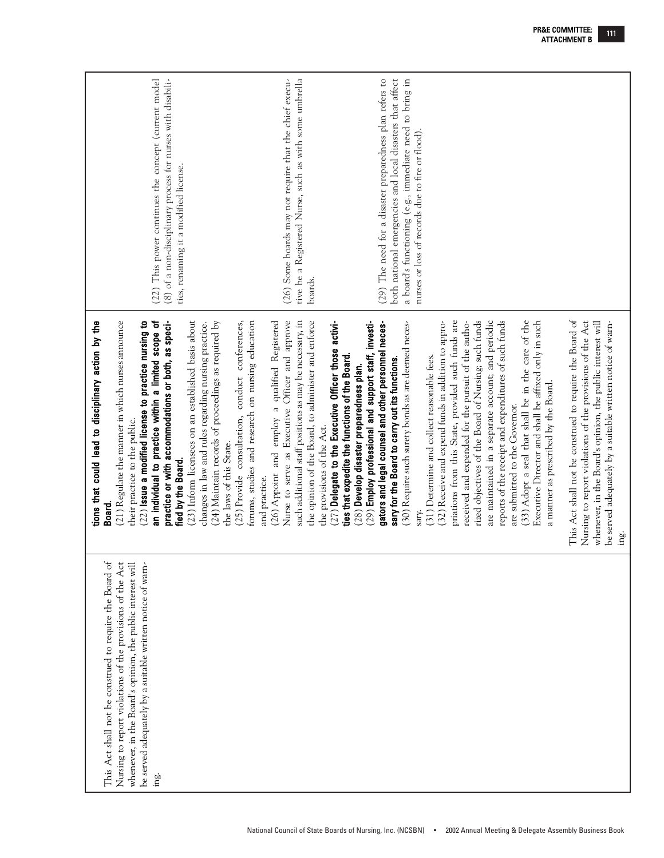| (22) This power continues the concept (current model<br>(8) of a non-disciplinary process for nurses with disabili-<br>ties, renaming it a modified license.                                                                                                                                                                                                                                                                                                                                                                                                                                                                                              | tive be a Registered Nurse, such as with some umbrella<br>(26) Some boards may not require that the chief execu-<br>boards.                                                                                                                                        | both national emergencies and local disasters that affect<br>a board's functioning (e.g., immediate need to bring in<br>(29) The need for a disaster preparedness plan refers to<br>nurses or loss of records due to fire or flood).                                                                                                                                                                                                                                                                                                                                                                                                                                                                                                                                                                                                                                                                                                                                                                                                                                                          |                                                                                                                                  |
|-----------------------------------------------------------------------------------------------------------------------------------------------------------------------------------------------------------------------------------------------------------------------------------------------------------------------------------------------------------------------------------------------------------------------------------------------------------------------------------------------------------------------------------------------------------------------------------------------------------------------------------------------------------|--------------------------------------------------------------------------------------------------------------------------------------------------------------------------------------------------------------------------------------------------------------------|-----------------------------------------------------------------------------------------------------------------------------------------------------------------------------------------------------------------------------------------------------------------------------------------------------------------------------------------------------------------------------------------------------------------------------------------------------------------------------------------------------------------------------------------------------------------------------------------------------------------------------------------------------------------------------------------------------------------------------------------------------------------------------------------------------------------------------------------------------------------------------------------------------------------------------------------------------------------------------------------------------------------------------------------------------------------------------------------------|----------------------------------------------------------------------------------------------------------------------------------|
| (23) Inform licensees on an established basis about<br>practice or with accommodations or both, as speci-<br>forums, studies and research on nursing education<br>tions that could lead to disciplinary action by the<br>(21) Regulate the manner in which nurses announce<br>$(22)$ Issue a modified license to practice nursing to<br>an individual to practice within a limited scope of<br>(24) Maintain records of proceedings as required by<br>(25) Provide consultation, conduct conferences,<br>changes in law and rules regarding nursing practice.<br>their practice to the public.<br>the laws of this State.<br>fied by the Board.<br>Board. | (26) Appoint and employ a qualified Registered<br>Nurse to serve as Executive Officer and approve<br>such additional staff positions as may be necessary, in<br>the opinion of the Board, to administer and enforce<br>the provisions of the Act.<br>and practice. | rized objectives of the Board of Nursing; such funds<br>This Act shall not be construed to require the Board of<br>Nursing to report violations of the provisions of the Act<br>are maintained in a separate account; and periodic<br>reports of the receipt and expenditures of such funds<br>(33) Adopt a seal that shall be in the care of the<br>Executive Director and shall be affixed only in such<br>(27) Delegate to the Executive Officer those activi-<br>(29) Employ professional and support staff, investi-<br>gators and legal counsel and other personnel neces-<br>priations from this State, provided such funds are<br>received and expended for the pursuit of the autho-<br>(32) Receive and expend funds in addition to appro-<br>(30) Require such surety bonds as are deemed neces-<br>ties that expedite the functions of the Board.<br>(31) Determine and collect reasonable fees.<br>sary for the Board to carry out its functions.<br>(28) Develop disaster preparedness plan.<br>a manner as prescribed by the Board.<br>are submitted to the Governor.<br>sary. | whenever, in the Board's opinion, the public interest will<br>be served adequately by a suitable written notice of warn-<br>ing. |
| Nursing to report violations of the provisions of the Act<br>This Act shall not be construed to require the Board of<br>whenever, in the Board's opinion, the public interest will<br>be served adequately by a suitable written notice of warn-<br>ing.                                                                                                                                                                                                                                                                                                                                                                                                  |                                                                                                                                                                                                                                                                    |                                                                                                                                                                                                                                                                                                                                                                                                                                                                                                                                                                                                                                                                                                                                                                                                                                                                                                                                                                                                                                                                                               |                                                                                                                                  |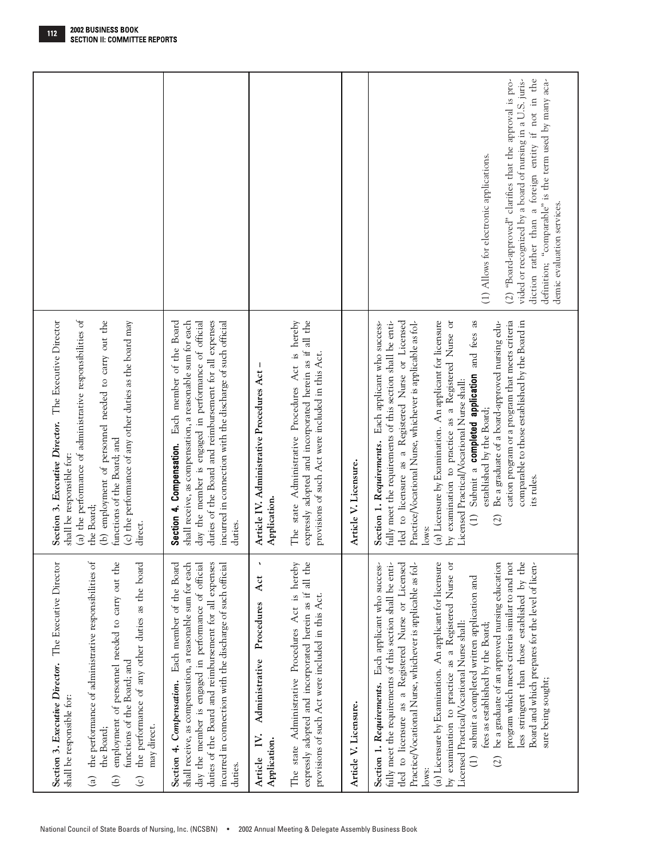|                                                                                                                                                                                                                                                                                                                                                         |                                                                                                                                                                                                                                                                                                              |                                                                                                                                                                                       |                                                                            | diction rather than a foreign entity if not in the<br>(2) "Board-approved" clarifies that the approval is pro-<br>vided or recognized by a board of nursing in a U.S. juris-<br>definition; "comparable" is the term used by many aca-<br>(1) Allows for electronic applications.<br>demic evaluation services.                                                                                                                                                                                                                                                                                                                                                                                                                                                  |
|---------------------------------------------------------------------------------------------------------------------------------------------------------------------------------------------------------------------------------------------------------------------------------------------------------------------------------------------------------|--------------------------------------------------------------------------------------------------------------------------------------------------------------------------------------------------------------------------------------------------------------------------------------------------------------|---------------------------------------------------------------------------------------------------------------------------------------------------------------------------------------|----------------------------------------------------------------------------|------------------------------------------------------------------------------------------------------------------------------------------------------------------------------------------------------------------------------------------------------------------------------------------------------------------------------------------------------------------------------------------------------------------------------------------------------------------------------------------------------------------------------------------------------------------------------------------------------------------------------------------------------------------------------------------------------------------------------------------------------------------|
| (a) the performance of administrative responsibilities of<br>Section 3. Executive Director. The Executive Director<br>(b) employment of personnel needed to carry out the<br>(c) the performance of any other duties as the board may<br>functions of the Board; and<br>shall be responsible for:<br>the Board;<br>direct.                              | duties of the Board and reimbursement for all expenses<br>Each member of the Board<br>shall receive, as compensation, a reasonable sum for each<br>day the member is engaged in performance of official<br>incurred in connection with the discharge of such official<br>Section 4. Compensation.<br>duties. | The state Administrative Procedures Act is hereby<br>expressly adopted and incorporated herein as if all the<br>Article IV. Administrative Procedures Act-<br>Application.            | provisions of such Act were included in this Act.<br>Article V. Licensure. | (a) Licensure by Examination. An applicant for licensure<br>by examination to practice as a Registered Nurse or<br>comparable to those established by the Board in<br>tled to licensure as a Registered Nurse or Licensed<br>Submit a completed application and fees as<br>Be a graduate of a board-approved nursing edu-<br>cation program or a program that meets criteria<br>fully meet the requirements of this section shall be enti-<br>Practice/Vocational Nurse, whichever is applicable as fol-<br>Each applicant who success-<br>Licensed Practical/Vocational Nurse shall:<br>established by the Board;<br>Section 1. Requirements.<br>its rules.<br>$\begin{pmatrix} 1 \end{pmatrix}$<br>(2)<br>lows:                                                |
| Section 3. Executive Director. The Executive Director<br>the performance of administrative responsibilities of<br>employment of personnel needed to carry out the<br>the performance of any other duties as the board<br>functions of the Board; and<br>shall be responsible for:<br>may direct.<br>the Board;<br>$\binom{a}{b}$<br>$\Theta$<br>$\odot$ | duties of the Board and reimbursement for all expenses<br>Each member of the Board<br>shall receive, as compensation, a reasonable sum for each<br>day the member is engaged in performance of official<br>incurred in connection with the discharge of such official<br>Section 4. Compensation.<br>duties. | expressly adopted and incorporated herein as if all the<br>The state Administrative Procedures Act is hereby<br>Act<br>Procedures<br>Administrative<br>IV.<br>Application.<br>Article | provisions of such Act were included in this Act.<br>Article V. Licensure. | (a) Licensure by Examination. An applicant for licensure<br>be a graduate of an approved nursing education<br>program which meets criteria similar to and not<br>less stringent than those established by the<br>fully meet the requirements of this section shall be enti-<br>tled to licensure as a Registered Nurse or Licensed<br>by examination to practice as a Registered Nurse or<br>Practice/Vocational Nurse, whichever is applicable as fol-<br>Each applicant who success-<br>Board and which prepares for the level of licen-<br>submit a completed written application and<br>Licensed Practical/Vocational Nurse shall:<br>fees as established by the Board;<br>sure being sought;<br>Section 1. Requirements.<br>$\widehat{\Xi}$<br>(2)<br>lows: |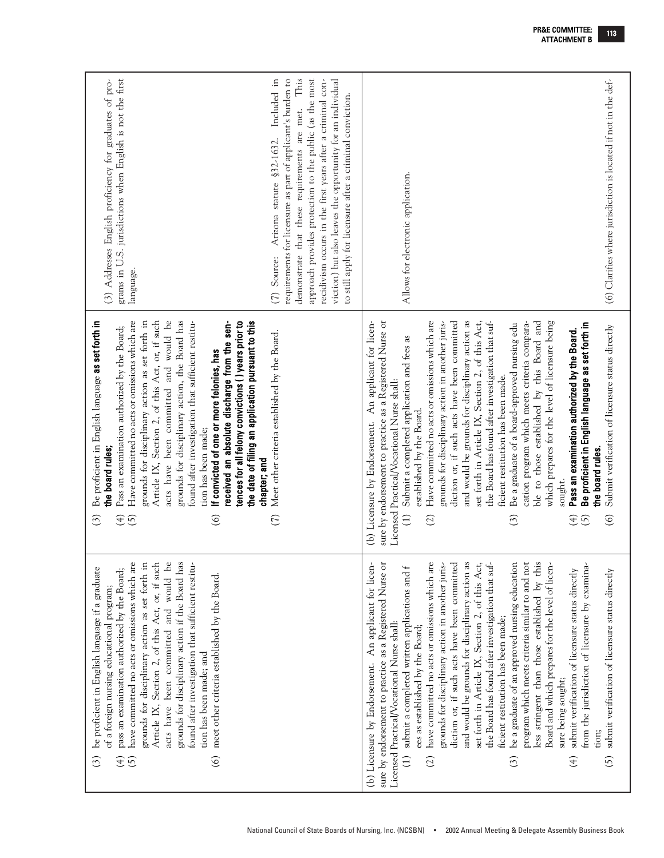| viction) but also leaves the opportunity for an individual<br>grams in U.S. jurisdictions when English is not the first<br>Included in<br>requirements for licensure as part of applicant's burden to<br>This<br>approach provides protection to the public (as the most<br>recidivism occurs in the first years after a criminal con-<br>(3) Addresses English proficiency for graduates of pro-<br>to still apply for licensure after a criminal conviction.<br>demonstrate that these requirements are met.<br>Arizona statute §32-1632.<br>(7) Source:<br>language.                                                                                                                                                                                                                      | (6) Clarifies where jurisdiction is located if not in the def-<br>Allows for electronic application.                                                                                                                                                                                                                                                                                                                                                                                                                                                                                                                                                                                                                                                                                                                                                                                                                                                                                                                                                                            |
|----------------------------------------------------------------------------------------------------------------------------------------------------------------------------------------------------------------------------------------------------------------------------------------------------------------------------------------------------------------------------------------------------------------------------------------------------------------------------------------------------------------------------------------------------------------------------------------------------------------------------------------------------------------------------------------------------------------------------------------------------------------------------------------------|---------------------------------------------------------------------------------------------------------------------------------------------------------------------------------------------------------------------------------------------------------------------------------------------------------------------------------------------------------------------------------------------------------------------------------------------------------------------------------------------------------------------------------------------------------------------------------------------------------------------------------------------------------------------------------------------------------------------------------------------------------------------------------------------------------------------------------------------------------------------------------------------------------------------------------------------------------------------------------------------------------------------------------------------------------------------------------|
| Article IX, Section 2, of this Act, or, if such<br>acts have been committed and would be<br>grounds for disciplinary action, the Board has<br>Have committed no acts or omissions which are<br>grounds for disciplinary action as set forth in<br>found after investigation that sufficient restitu-<br>received an absolute discharge from the sen-<br>tences for all felony convictions () years prior to<br>the date of filing an application pursuant to this<br>Be proficient in English language as set forth in<br>Pass an examination authorized by the Board;<br>Meet other criteria established by the Board.<br>If convicted of one or more felonies, has<br>tion has been made;<br>the board rules;<br>chapter; and<br>(5)<br>(7)<br>$\circ$<br>$\widetilde{S}$<br>$\widehat{f}$ | and would be grounds for disciplinary action as<br>diction or, if such acts have been committed<br>set forth in Article IX, Section 2, of this Act,<br>sure by endorsement to practice as a Registered Nurse or<br>Have committed no acts or omissions which are<br>ble to those established by this Board and<br>(b) Licensure by Endorsement. An applicant for licen-<br>grounds for disciplinary action in another juris-<br>the Board has found after investigation that suf-<br>cation program which meets criteria compara-<br>which prepares for the level of licensure being<br>Be a graduate of a board-approved nursing edu<br>Be proficient in English language as set forth in<br>Submit verification of licensure status directly<br>Pass an examination authorized by the Board.<br>Submit a completed application and fees as<br>ficient restitution has been made.<br>Licensed Practical/Vocational Nurse shall:<br>established by the Board.<br>the board rules.<br>sought.<br>$\overline{1}$<br>$\hat{t}$<br>$\odot$<br>$\odot$<br>$\widetilde{5}$<br>$\odot$ |
| Article IX, Section 2, of this Act, or, if such<br>acts have been committed and would be<br>grounds for disciplinary action if the Board has<br>have committed no acts or omissions which are<br>grounds for disciplinary action as set forth in<br>found after investigation that sufficient restitu-<br>be proficient in English language if a graduate<br>pass an examination authorized by the Board;<br>meet other criteria established by the Board.<br>of a foreign nursing educational program;<br>tion has been made; and<br>$\odot$<br>(5)<br>$\odot$<br>E                                                                                                                                                                                                                         | and would be grounds for disciplinary action as<br>program which meets criteria similar to and not<br>less stringent than those established by this<br>diction or, if such acts have been committed<br>set forth in Article IX, Section 2, of this Act,<br>be a graduate of an approved nursing education<br>sure by endorsement to practice as a Registered Nurse or<br>have committed no acts or omissions which are<br>the Board has found after investigation that suf-<br>Board and which prepares for the level of licen-<br>(b) Licensure by Endorsement. An applicant for licen-<br>grounds for disciplinary action in another juris-<br>from the jurisdiction of licensure by examina-<br>submit a completed written applications and f<br>submit verification of licensure status directly<br>submit verification of licensure status directly<br>ficient restitution has been made;<br>Licensed Practical/Vocational Nurse shall:<br>ees as established by the Board;<br>sure being sought;<br>tion;<br>$\widehat{\Xi}$<br>(5)<br>(2)<br>(3)<br>$\left( 4\right)$    |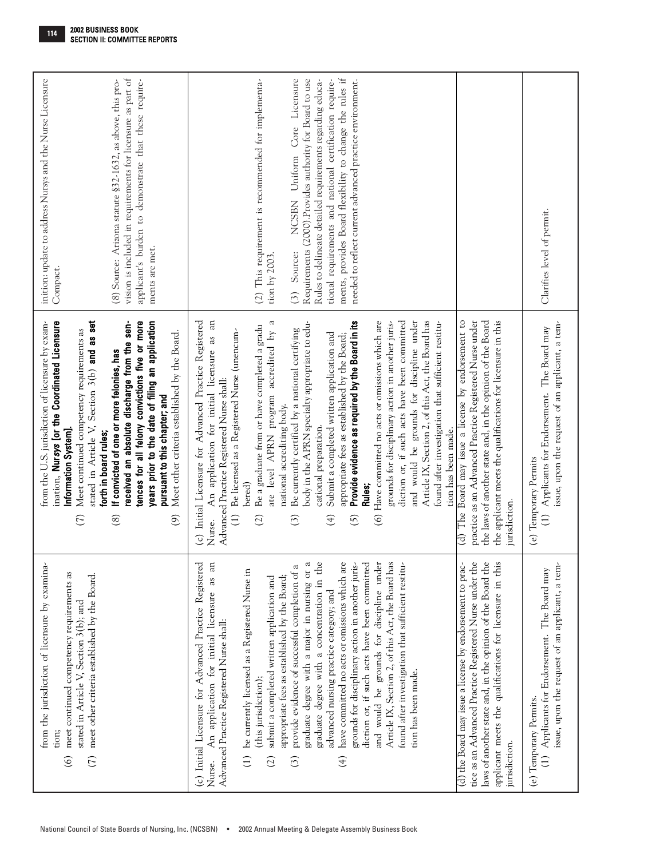| from the jurisdiction of licensure by examina-<br>meet continued competency requirements as<br>meet other criteria established by the Board.<br>stated in Article V, Section 3(b); and<br>tion;<br>$\odot$<br>$\overline{C}$                                                                                                                                                                                                                                                                                                                                                                                                                                                                                                                                                                                                                                                                                                                                                                                                                                                                                                                                                                             | stated in Article V, Section 3(b) and as set<br>from the U.S. jurisdiction of licensure by exam-<br>ination, Nursys [or the Coordinated Licensure<br>received an absolute discharge from the sen-<br>tences for all felony convictions five or more<br>years prior to the date of filing an application<br>Meet continued competency requirements as<br>Meet other criteria established by the Board.<br>If convicted of one or more felonies, has<br>pursuant to this chapter; and<br>Information System].<br>forth in board rules;<br>$\widetilde{C}$<br>$\circledS$<br>$\odot$                                                                                                                                                                                                                                                                                                                                                                                                                                                                                                                                                                                                                                                                                                                                                                            | vision is included in requirements for licensure as part of<br>inition: update to address Nursys and the Nurse Licensure<br>(8) Source: Arizona statute §32-1632, as above, this pro-<br>applicant's burden to demonstrate that these require-<br>ments are met.<br>Compact.                                                                                                                                                      |
|----------------------------------------------------------------------------------------------------------------------------------------------------------------------------------------------------------------------------------------------------------------------------------------------------------------------------------------------------------------------------------------------------------------------------------------------------------------------------------------------------------------------------------------------------------------------------------------------------------------------------------------------------------------------------------------------------------------------------------------------------------------------------------------------------------------------------------------------------------------------------------------------------------------------------------------------------------------------------------------------------------------------------------------------------------------------------------------------------------------------------------------------------------------------------------------------------------|--------------------------------------------------------------------------------------------------------------------------------------------------------------------------------------------------------------------------------------------------------------------------------------------------------------------------------------------------------------------------------------------------------------------------------------------------------------------------------------------------------------------------------------------------------------------------------------------------------------------------------------------------------------------------------------------------------------------------------------------------------------------------------------------------------------------------------------------------------------------------------------------------------------------------------------------------------------------------------------------------------------------------------------------------------------------------------------------------------------------------------------------------------------------------------------------------------------------------------------------------------------------------------------------------------------------------------------------------------------|-----------------------------------------------------------------------------------------------------------------------------------------------------------------------------------------------------------------------------------------------------------------------------------------------------------------------------------------------------------------------------------------------------------------------------------|
| Article IX, Section 2, of this Act, the Board has<br>applicant meets the qualifications for licensure in this<br>(c) Initial Licensure for Advanced Practice Registered<br>An application for initial licensure as an<br>graduate degree with a concentration in the<br>have committed no acts or omissions which are<br>and would be grounds for discipline under<br>tice as an Advanced Practice Registered Nurse under the<br>laws of another state and, in the opinion of the Board the<br>graduate degree with a major in nursing or a<br>diction or, if such acts have been committed<br>found after investigation that sufficient restitu-<br>grounds for disciplinary action in another juris-<br>(d) the Board may issue a license by endorsement to prac-<br>provide evidence of successful completion of a<br>be currently licensed as a Registered Nurse in<br>appropriate fees as established by the Board;<br>submit a completed written application and<br>advanced nursing practice category; and<br>Advanced Practice Registered Nurse shall:<br>tion has been made.<br>(this jurisdiction);<br>jurisdiction.<br>Nurse.<br>$\overline{1}$<br>(2)<br>$\left( 4\right)$<br>$\binom{3}{2}$ | and would be grounds for discipline under<br>Article IX, Section 2, of this Act, the Board has<br>practice as an Advanced Practice Registered Nurse under<br>the applicant meets the qualifications for licensure in this<br>Nurse. An application for initial licensure as an<br>diction or, if such acts have been committed<br>the laws of another state and, in the opinion of the Board<br>(c) Initial Licensure for Advanced Practice Registered<br>ate level APRN program accredited by a<br>Provide evidence as required by the Board in its<br>(6) Have committed no acts or omissions which are<br>grounds for disciplinary action in another juris-<br>(d) The Board may issue a license by endorsement to<br>body in the APRN specialty appropriate to edu-<br>found after investigation that sufficient restitu-<br>Be a graduate from or have completed a gradu<br>Be licensed as a Registered Nurse (unencum-<br>Be currently certified by a national certifying<br>Submit a completed written application and<br>appropriate fees as established by the Board;<br>Advanced Practice Registered Nurse shall:<br>national accrediting body.<br>cational preparation.<br>tion has been made.<br>bered)<br>Rules;<br>jurisdiction.<br>$\left(\frac{1}{2}\right)$<br>$\bigoplus$<br>$\overline{c}$<br>$\left( \frac{3}{2} \right)$<br>$\tilde{5}$ | ments, provides Board flexibility to change the rules if<br>NCSBN Uniform Core Licensure<br>Requirements (2000). Provides authority for Board to use<br>tional requirements and national certification require-<br>needed to reflect current advanced practice environment.<br>(2) This requirement is recommended for implementa-<br>Rules to delineate detailed requirements regarding educa-<br>Source:<br>tion by 2003<br>(3) |
| issue, upon the request of an applicant, a tem-<br>(1) Applicants for Endorsement. The Board may<br>(e) Temporary Permits.                                                                                                                                                                                                                                                                                                                                                                                                                                                                                                                                                                                                                                                                                                                                                                                                                                                                                                                                                                                                                                                                               | issue, upon the request of an applicant, a tem-<br>Applicants for Endorsement. The Board may<br>(e) Temporary Permits<br>$\widehat{\Xi}$                                                                                                                                                                                                                                                                                                                                                                                                                                                                                                                                                                                                                                                                                                                                                                                                                                                                                                                                                                                                                                                                                                                                                                                                                     | Clarifies level of permit.                                                                                                                                                                                                                                                                                                                                                                                                        |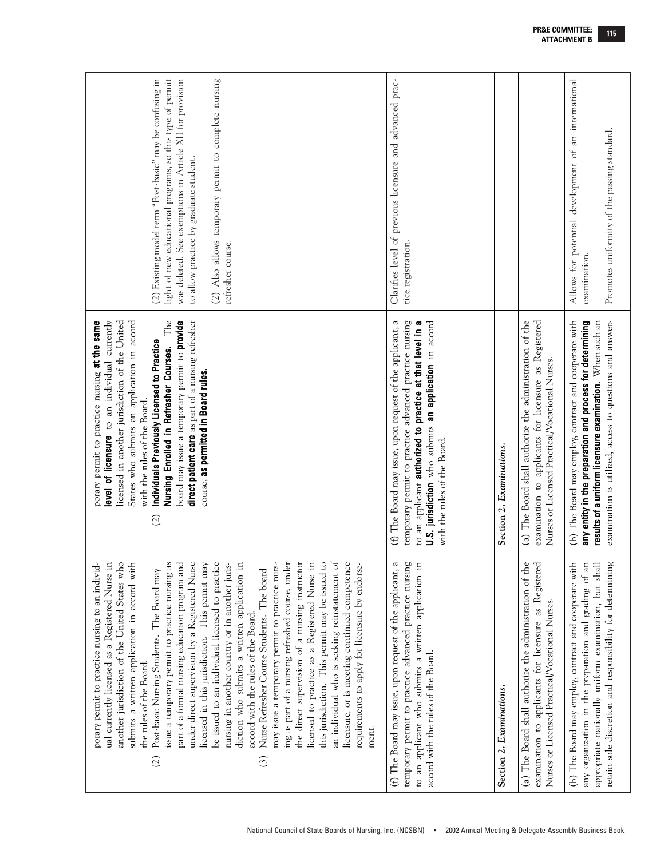| (2) Existing model term "Post-basic" may be confusing in<br>light of new educational programs, so this type of permit<br>was deleted. See exemptions in Article XII for provision<br>(2) Also allows temporary permit to complete nursing<br>to allow practice by graduate student.<br>refresher course.                                                                                                                                                                                                                                                                                                                                                                                                                                                                                                                                                                                                                                                                                                                                                                                                                                                                             | Clarifies level of previous licensure and advanced prac-<br>tice registration.                                                                                                                                                                                             |                          |                                                                                                                                                                     | an international<br>Promotes uniformity of the passing standard.<br>Allows for potential development of<br>examination.                                                                                                                    |
|--------------------------------------------------------------------------------------------------------------------------------------------------------------------------------------------------------------------------------------------------------------------------------------------------------------------------------------------------------------------------------------------------------------------------------------------------------------------------------------------------------------------------------------------------------------------------------------------------------------------------------------------------------------------------------------------------------------------------------------------------------------------------------------------------------------------------------------------------------------------------------------------------------------------------------------------------------------------------------------------------------------------------------------------------------------------------------------------------------------------------------------------------------------------------------------|----------------------------------------------------------------------------------------------------------------------------------------------------------------------------------------------------------------------------------------------------------------------------|--------------------------|---------------------------------------------------------------------------------------------------------------------------------------------------------------------|--------------------------------------------------------------------------------------------------------------------------------------------------------------------------------------------------------------------------------------------|
| direct patient care as part of a nursing refresher<br>States who submits an application in accord<br>porary permit to practice nursing at the same<br>level of licensure to an individual currently<br>licensed in another jurisdiction of the United<br>The<br>board may issue a temporary permit to <b>provide</b><br>Individuals Previously Licensed to Practice<br>Nursing Enrolled in Refresher Courses.<br>course, as permitted in Board rules.<br>with the rules of the Board.<br>(2)                                                                                                                                                                                                                                                                                                                                                                                                                                                                                                                                                                                                                                                                                         | U.S. jurisdiction who submits an application in accord<br>temporary permit to practice advanced practice nursing<br>(f) The Board may issue, upon request of the applicant, a<br>to an applicant authorized to practice at that level in a<br>with the rules of the Board. | Section 2. Examinations. | examination to applicants for licensure as Registered<br>(a) The Board shall authorize the administration of the<br>Nurses or Licensed Practical/Vocational Nurses. | examination is utilized, access to questions and answers<br>(b) The Board may employ, contract and cooperate with<br>any entity in the preparation and process for determining<br>results of a uniform licensure examination. When such an |
| an individual who is seeking reinstatement of<br>another jurisdiction of the United States who<br>the direct supervision of a nursing instructor<br>this jurisdiction. This permit may be issued to<br>ual currently licensed as a Registered Nurse in<br>submits a written application in accord with<br>under direct supervision by a Registered Nurse<br>licensed in this jurisdiction. This permit may<br>be issued to an individual licensed to practice<br>ing as part of a nursing refreshed course, under<br>licensed to practice as a Registered Nurse in<br>licensure, or is meeting continued competence<br>issue a temporary permit to practice nursing as<br>part of a formal nursing education program and<br>diction who submits a written application in<br>nursing in another country or in another juris-<br>may issue a temporary permit to practice nurs-<br>requirements to apply for licensure by endorse-<br>porary permit to practice nursing to an individ-<br>Nurse Refresher Course Students. The board<br>Post-basic Nursing Students. The Board may<br>accord with the rules of the Board.<br>the rules of the Board.<br>ment.<br>(2)<br>$\binom{3}{2}$ | temporary permit to practice advanced practice nursing<br>to an applicant who submits a written application in<br>(f) The Board may issue, upon request of the applicant, a<br>accord with the rules of the Board.                                                         | Section 2. Examinations. | examination to applicants for licensure as Registered<br>(a) The Board shall authorize the administration of the<br>Nurses or Licensed Practical/Vocational Nurses. | (b) The Board may employ, contract and cooperate with<br>any organization in the preparation and grading of an<br>appropriate nationally uniform examination, but shall<br>retain sole discretion and responsibility for determining       |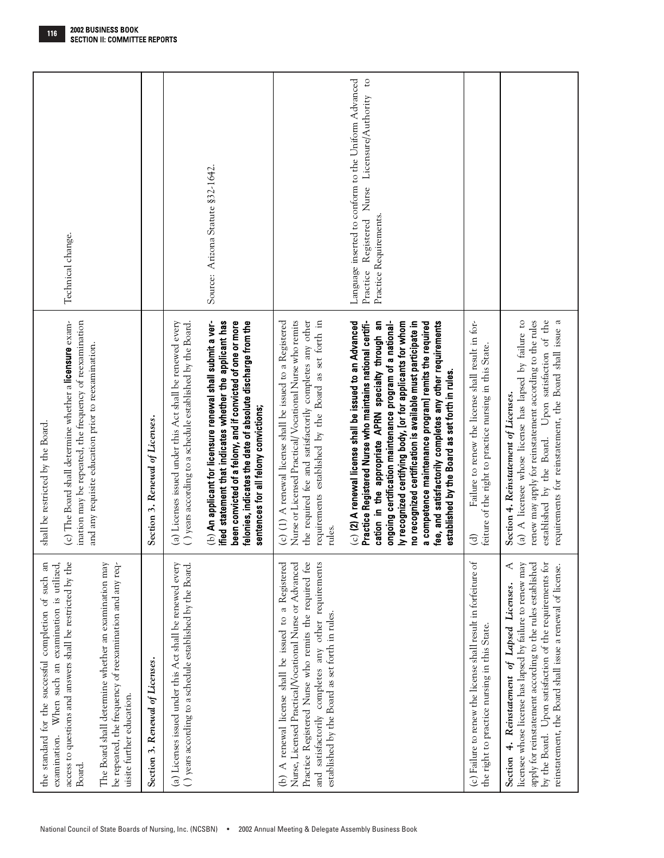| When such an examination is utilized,<br>the standard for the successful completion of such an<br>examination.                                                                                                                                                                                        | shall be restricted by the Board                                                                                                                                                                                                                                                                                                                                                                                                                                                                                                                  |                                                                                                                                                |
|-------------------------------------------------------------------------------------------------------------------------------------------------------------------------------------------------------------------------------------------------------------------------------------------------------|---------------------------------------------------------------------------------------------------------------------------------------------------------------------------------------------------------------------------------------------------------------------------------------------------------------------------------------------------------------------------------------------------------------------------------------------------------------------------------------------------------------------------------------------------|------------------------------------------------------------------------------------------------------------------------------------------------|
| access to questions and answers shall be restricted by the<br>Board.                                                                                                                                                                                                                                  | ination may be repeated, the frequency of reexamination<br>(c) The Board shall determine whether a <b>licensure</b> exam-<br>and any requisite education prior to reexamination.                                                                                                                                                                                                                                                                                                                                                                  | Technical change.                                                                                                                              |
| The Board shall determine whether an examination may<br>be repeated, the frequency of reexamination and any req-<br>uisite further education.                                                                                                                                                         |                                                                                                                                                                                                                                                                                                                                                                                                                                                                                                                                                   |                                                                                                                                                |
| Section 3. Renewal of Licenses.                                                                                                                                                                                                                                                                       | Section 3. Renewal of Licenses.                                                                                                                                                                                                                                                                                                                                                                                                                                                                                                                   |                                                                                                                                                |
| (a) Licenses issued under this Act shall be renewed every<br>() years according to a schedule established by the Board.                                                                                                                                                                               | (a) Licenses issued under this Act shall be renewed every<br>() years according to a schedule established by the Board.                                                                                                                                                                                                                                                                                                                                                                                                                           |                                                                                                                                                |
|                                                                                                                                                                                                                                                                                                       | (b) An applicant for licensure renewal shall submit a ver-<br>ffied statement that indicates whether the applicant has<br>been convicted of a felony, and if convicted of one or more<br>felonies, indicates the date of absolute discharge from the<br>sentences for all felony convictions;                                                                                                                                                                                                                                                     | Source: Arizona Statute §32-1642.                                                                                                              |
| and satisfactorily completes any other requirements<br>(b) A renewal license shall be issued to a Registered<br>Nurse, Licensed Practical/Vocational Nurse or Advanced<br>Practice Registered Nurse who remits the required fee<br>established by the Board as set forth in rules.                    | the required fee and satisfactorily completes any other<br>Nurse or Licensed Practical/Vocational Nurse who remits<br>requirements established by the Board as set forth in<br>(c) (1) A renewal license shall be issued to a Registered<br>rules.                                                                                                                                                                                                                                                                                                |                                                                                                                                                |
|                                                                                                                                                                                                                                                                                                       | ongoing certification maintenance program of a national-<br>ly recognized certifying body, [or for applicants for whom<br>fee, and satisfactorily completes any other requirements<br>$\phi$ (2) A renewal license shall be issued to an Advanced<br>Practice Registered Nurse who maintains national certifi-<br>cation in the appropriate APRN specialty through an<br>no recognized certification is available must participate in<br>a competence maintenance program] remits the required<br>established by the Board as set forth in rules. | $\mathbf{c}$<br>Language inserted to conform to the Uniform Advanced<br>Practice Registered Nurse Licensure/Authority<br>Practice Requirements |
| (c) Failure to renew the license shall result in forfeiture of<br>the right to practice nursing in this State.                                                                                                                                                                                        | Failure to renew the license shall result in for-<br>feiture of the right to practice nursing in this State.<br>$\bigoplus$                                                                                                                                                                                                                                                                                                                                                                                                                       |                                                                                                                                                |
| apply for reinstatement according to the rules established<br>by the Board. Upon satisfaction of the requirements for<br>licensee whose license has lapsed by failure to renew may<br>⋖<br>reinstatement, the Board shall issue a renewal of license.<br>Section 4. Reinstatement of Lapsed Licenses. | renew may apply for reinstatement according to the rules<br>(a) A licensee whose license has lapsed by failure to<br>established by the Board. Upon satisfaction of the<br>requirements for reinstatement, the Board shall issue a<br>Section 4. Reinstatement of Licenses.                                                                                                                                                                                                                                                                       |                                                                                                                                                |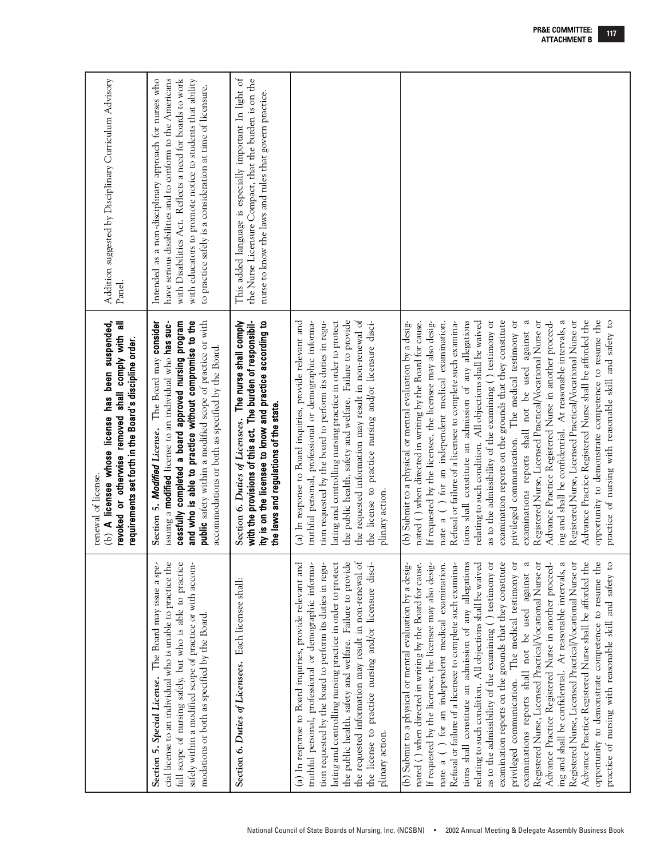| cial license to an individual who is unable to practice the<br>full scope of nursing safely, but who is able to practice<br>Section 5. Special License. The Board may issue a spe-                                                                                                                                                                                                                                                                                                                                                                                                                                                                                                                                                                                                                                                                                                                                                                                                                                                                                                                            | Section 5. Modified License. The Board may consider<br>cessfully completed a board approved nursing program<br>(b) A licensee whose license has been suspended,<br>revoked or otherwise removed shall comply with all<br>issuing a modified license to an individual who has suc-<br>requirements set forth in the Board's discipline order.                                                                                                                                                                                                                                                                                                                                                                                                                                                                                                                                                                                                                                                                                                                                                            | Intended as a non-disciplinary approach for nurses who<br>have serious disabilities and to conform to the Americans<br>with Disabilities Act. Reflects a need for boards to work<br>Addition suggested by Disciplinary Curriculum Advisory<br>Panel.                                                    |
|---------------------------------------------------------------------------------------------------------------------------------------------------------------------------------------------------------------------------------------------------------------------------------------------------------------------------------------------------------------------------------------------------------------------------------------------------------------------------------------------------------------------------------------------------------------------------------------------------------------------------------------------------------------------------------------------------------------------------------------------------------------------------------------------------------------------------------------------------------------------------------------------------------------------------------------------------------------------------------------------------------------------------------------------------------------------------------------------------------------|---------------------------------------------------------------------------------------------------------------------------------------------------------------------------------------------------------------------------------------------------------------------------------------------------------------------------------------------------------------------------------------------------------------------------------------------------------------------------------------------------------------------------------------------------------------------------------------------------------------------------------------------------------------------------------------------------------------------------------------------------------------------------------------------------------------------------------------------------------------------------------------------------------------------------------------------------------------------------------------------------------------------------------------------------------------------------------------------------------|---------------------------------------------------------------------------------------------------------------------------------------------------------------------------------------------------------------------------------------------------------------------------------------------------------|
| safely within a modified scope of practice or with accom-<br>Section 6. Duties of Licensees. Each licensee shall:<br>modations or both as specified by the Board.                                                                                                                                                                                                                                                                                                                                                                                                                                                                                                                                                                                                                                                                                                                                                                                                                                                                                                                                             | and who is able to practice without compromise to the<br>public safety within a modified scope of practice or with<br>ity is on the licensee to know and practice according to<br>with the provisions of this act. The burden of responsibil-<br>Section 6. Duties of Licensees. The nurse shall comply<br>accommodations or both as specified by the Board.<br>the laws and regulations of the state.                                                                                                                                                                                                                                                                                                                                                                                                                                                                                                                                                                                                                                                                                                  | This added language is especially important In light of<br>the Nurse Licensure Compact, that the burden is on the<br>with educators to promote notice to students that ability<br>to practice safely is a consideration at time of licensure.<br>nurse to know the laws and rules that govern practice. |
| the requested information may result in non-renewal of<br>lating and controlling nursing practice in order to protect<br>the public health, safety and welfare. Failure to provide<br>(a) In response to Board inquiries, provide relevant and<br>tion requested by the board to perform its duties in regu-<br>the license to practice nursing and/or licensure disci-<br>truthful personal, professional or demographic informa-                                                                                                                                                                                                                                                                                                                                                                                                                                                                                                                                                                                                                                                                            | the requested information may result in non-renewal of<br>lating and controlling nursing practice in order to protect<br>the public health, safety and welfare. Failure to provide<br>(a) In response to Board inquiries, provide relevant and<br>tion requested by the board to perform its duties in regu-<br>the license to practice nursing and/or licensure disci-<br>truthful personal, professional or demographic informa-<br>plinary action.                                                                                                                                                                                                                                                                                                                                                                                                                                                                                                                                                                                                                                                   |                                                                                                                                                                                                                                                                                                         |
| opportunity to demonstrate competence to resume the<br>tions shall constitute an admission of any allegations<br>privileged communication. The medical testimony or<br>$\mathfrak{a}$<br>Registered Nurse, Licensed Practical/Vocational Nurse or<br>ing and shall be confidential. At reasonable intervals, a<br>Registered Nurse, Licensed Practical/Vocational Nurse or<br>Advance Practice Registered Nurse shall be afforded the<br>as to the admissibility of the examining ( ) testimony or<br>examination reports on the grounds that they constitute<br>nated () when directed in writing by the Board for cause.<br>If requested by the licensee, the licensee may also desig-<br>Refusal or failure of a licensee to complete such examina-<br>relating to such condition. All objections shall be waived<br>Advance Practice Registered Nurse in another proceed-<br>practice of nursing with reasonable skill and safety to<br>(b) Submit to a physical or mental evaluation by a desig-<br>nate a ( ) for an independent medical examination.<br>examinations reports shall not be used against | Registered Nurse, Licensed Practical/Vocational Nurse or<br>opportunity to demonstrate competence to resume the<br>tions shall constitute an admission of any allegations<br>as to the admissibility of the examining () testimony or<br>privileged communication. The medical testimony or<br>$\approx$<br>Registered Nurse, Licensed Practical/Vocational Nurse or<br>Advance Practice Registered Nurse shall be afforded the<br>relating to such condition. All objections shall be waived<br>examination reports on the grounds that they constitute<br>ing and shall be confidential. At reasonable intervals, a<br>practice of nursing with reasonable skill and safety to<br>If requested by the licensee, the licensee may also desig-<br>Refusal or failure of a licensee to complete such examina-<br>Advance Practice Registered Nurse in another proceed-<br>nated () when directed in writing by the Board for cause.<br>nate a ( ) for an independent medical examination.<br>(b) Submit to a physical or mental evaluation by a desig-<br>examinations reports shall not be used against |                                                                                                                                                                                                                                                                                                         |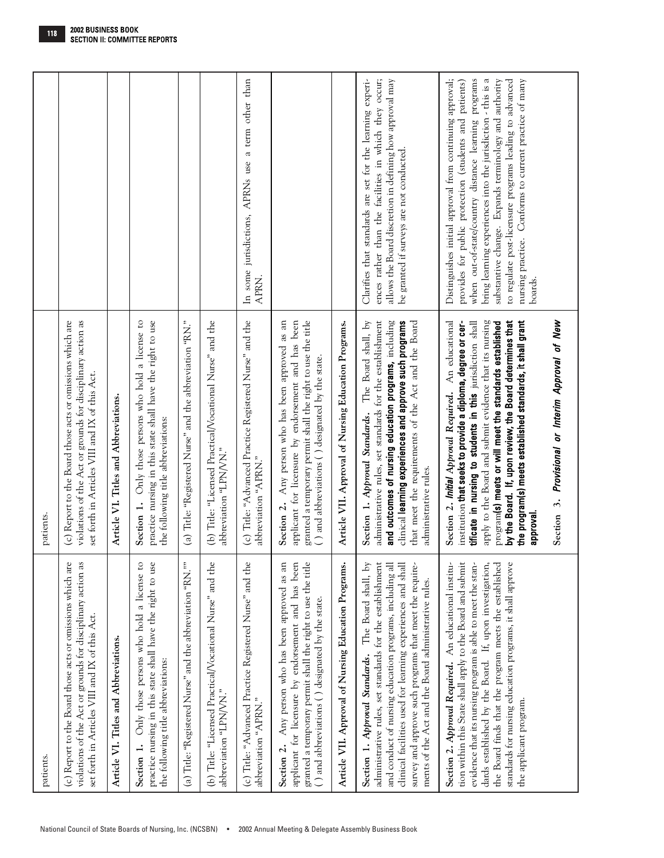| patients.                                                                                                                                                                                                                                                                                                                                                                                          | patients.                                                                                                                                                                                                                                                                                                                                                                                                                                                                                             |                                                                                                                                                                                                                                                                                                                                                                                                                                     |
|----------------------------------------------------------------------------------------------------------------------------------------------------------------------------------------------------------------------------------------------------------------------------------------------------------------------------------------------------------------------------------------------------|-------------------------------------------------------------------------------------------------------------------------------------------------------------------------------------------------------------------------------------------------------------------------------------------------------------------------------------------------------------------------------------------------------------------------------------------------------------------------------------------------------|-------------------------------------------------------------------------------------------------------------------------------------------------------------------------------------------------------------------------------------------------------------------------------------------------------------------------------------------------------------------------------------------------------------------------------------|
| (c) Report to the Board those acts or omissions which are<br>violations of the Act or grounds for disciplinary action as<br>set forth in Articles VIII and IX of this Act.                                                                                                                                                                                                                         | (c) Report to the Board those acts or omissions which are<br>violations of the Act or grounds for disciplinary action as<br>set forth in Articles VIII and IX of this Act.                                                                                                                                                                                                                                                                                                                            |                                                                                                                                                                                                                                                                                                                                                                                                                                     |
| Article VI. Titles and Abbreviations.                                                                                                                                                                                                                                                                                                                                                              | Article VI. Titles and Abbreviations.                                                                                                                                                                                                                                                                                                                                                                                                                                                                 |                                                                                                                                                                                                                                                                                                                                                                                                                                     |
| Only those persons who hold a license to<br>practice nursing in this state shall have the right to use<br>the following title abbreviations:<br>Section 1.                                                                                                                                                                                                                                         | practice nursing in this state shall have the right to use<br>Section 1. Only those persons who hold a license to<br>the following title abbreviations:                                                                                                                                                                                                                                                                                                                                               |                                                                                                                                                                                                                                                                                                                                                                                                                                     |
| (a) Title: "Registered Nurse" and the abbreviation "RN.""                                                                                                                                                                                                                                                                                                                                          | (a) Title: "Registered Nurse" and the abbreviation "RN."                                                                                                                                                                                                                                                                                                                                                                                                                                              |                                                                                                                                                                                                                                                                                                                                                                                                                                     |
| (b) Title: "Licensed Practical/Vocational Nurse" and the<br>abbreviation "LPN/VN."                                                                                                                                                                                                                                                                                                                 | (b) Title: "Licensed Practical/Vocational Nurse" and the<br>abbreviation "LPN/VN."                                                                                                                                                                                                                                                                                                                                                                                                                    |                                                                                                                                                                                                                                                                                                                                                                                                                                     |
| (c) Title: "Advanced Practice Registered Nurse" and the<br>abbreviation "APRN."                                                                                                                                                                                                                                                                                                                    | (c) Title: "Advanced Practice Registered Nurse" and the<br>abbreviation "APRN."                                                                                                                                                                                                                                                                                                                                                                                                                       | In some jurisdictions, APRNs use a term other than<br>APRN.                                                                                                                                                                                                                                                                                                                                                                         |
| Any person who has been approved as an<br>applicant for licensure by endorsement and has been<br>granted a temporary permit shall the right to use the title<br>() and abbreviations () designated by the state.<br>Section 2.                                                                                                                                                                     | Any person who has been approved as an<br>applicant for licensure by endorsement and has been<br>granted a temporary permit shall the right to use the title<br>() and abbreviations () designated by the state.<br>Section 2.                                                                                                                                                                                                                                                                        |                                                                                                                                                                                                                                                                                                                                                                                                                                     |
| Article VII. Approval of Nursing Education Programs.                                                                                                                                                                                                                                                                                                                                               | Article VII. Approval of Nursing Education Programs.                                                                                                                                                                                                                                                                                                                                                                                                                                                  |                                                                                                                                                                                                                                                                                                                                                                                                                                     |
| administrative rules, set standards for the establishment<br>and conduct of nursing education programs, including all<br>clinical facilities used for learning experiences and shall<br>The Board shall, by<br>survey and approve such programs that meet the require-<br>ments of the Act and the Board administrative rules.<br>Section 1. Approval Standards.                                   | administrative rules, set standards for the establishment<br>The Board shall, by<br>and outcomes of nursing education programs, including<br>clinical learning experiences and approve such programs<br>that meet the requirements of the Act and the Board<br>Section 1. Approval Standards.<br>administrative rules.                                                                                                                                                                                | ences rather than the facilities in which they occur;<br>allows the Board discretion in defining how approval may<br>Clarifies that standards are set for the learning experi-<br>be granted if surveys are not conducted.                                                                                                                                                                                                          |
| tion within this State shall apply to the Board and submit<br>An educational institu-<br>evidence that its nursing program is able to meet the stan-<br>dards established by the Board. If, upon investigation,<br>the Board finds that the program meets the established<br>standards for nursing education programs, it shall approve<br>Section 2. Approval Required.<br>the applicant program. | Section 3. Provisional or Interim Approval of New<br>An educational<br>institution that seeks to provide a diploma, degree or cer-<br>by the Board. If, upon review, the Board determines that<br>the program(s) meets established standards, it shall grant<br>tificate in nursing to students in this jurisdiction shall<br>apply to the Board and submit evidence that its nursing<br>program(s) meets or will meet the standards established<br>Section 2. Initial Approval Required.<br>lsvondde | bring learning experiences into the jurisdiction - this is a<br>when out-of-state/country distance learning programs<br>substantive change. Expands terminology and authority<br>nursing practice. Conforms to current practice of many<br>Distinguishes initial approval from continuing approval;<br>provides for public protection (students and patients)<br>to regulate post-licensure programs leading to advanced<br>boards. |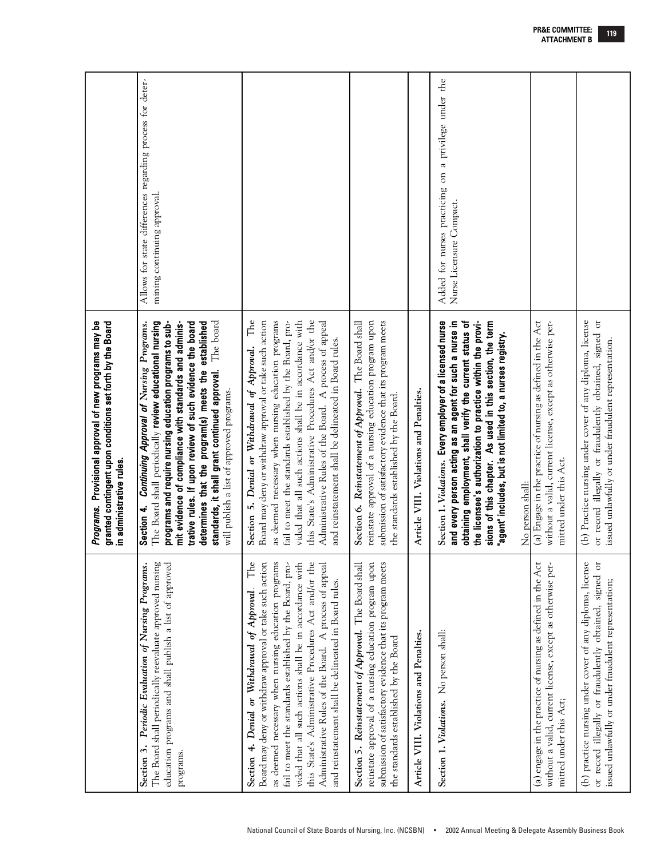|                                                                                                                                                                                                                                                                                                                                                                                                                                                                           | Programs. Provisional approval of new programs may be<br>granted contingent upon conditions set forth by the Board<br>in administrative rules.                                                                                                                                                                                                                                                                                                                            |                                                                                          |
|---------------------------------------------------------------------------------------------------------------------------------------------------------------------------------------------------------------------------------------------------------------------------------------------------------------------------------------------------------------------------------------------------------------------------------------------------------------------------|---------------------------------------------------------------------------------------------------------------------------------------------------------------------------------------------------------------------------------------------------------------------------------------------------------------------------------------------------------------------------------------------------------------------------------------------------------------------------|------------------------------------------------------------------------------------------|
| The Board shall periodically reevaluate approved nursing<br>education programs and shall publish a list of approved<br>Section 3. Periodic Evaluation of Nursing Programs.<br>programs.                                                                                                                                                                                                                                                                                   | standards, it shall grant continued approval. The board<br>The Board shall periodically review educational nursing<br>programs and require nursing education programs to sub-<br>trative rules. If upon review of such evidence the board<br>determines that the program(s) meets the established<br>mit evidence of compliance with standards and adminis-<br>Section 4. Continuing Approval of Nursing Programs.<br>will publish a list of approved programs.           | Allows for state differences regarding process for deter-<br>mining continuing approval. |
| vided that all such actions shall be in accordance with<br>this State's Administrative Procedures Act and/or the<br>The<br>Board may deny or withdraw approval or take such action<br>as deemed necessary when nursing education programs<br>fail to meet the standards established by the Board, pro-<br>Administrative Rules of the Board. A process of appeal<br>and reinstatement shall be delineated in Board rules.<br>Section 4. Denial or Withdrawal of Approval. | as deemed necessary when nursing education programs<br>vided that all such actions shall be in accordance with<br>The<br>Board may deny or withdraw approval or take such action<br>this State's Administrative Procedures Act and/or the<br>fail to meet the standards established by the Board, pro-<br>Administrative Rules of the Board. A process of appeal<br>and reinstatement shall be delineated in Board rules.<br>Section 5. Denial or Withdrawal of Approval. |                                                                                          |
| reinstate approval of a nursing education program upon<br>submission of satisfactory evidence that its program meets<br>Section 5. Reinstatement of Approval. The Board shall<br>the standards established by the Board                                                                                                                                                                                                                                                   | reinstate approval of a nursing education program upon<br>submission of satisfactory evidence that its program meets<br>Section 6. Reinstatement of Approval. The Board shall<br>the standards established by the Board.                                                                                                                                                                                                                                                  |                                                                                          |
| Article VIII. Violations and Penalties.                                                                                                                                                                                                                                                                                                                                                                                                                                   | Article VIII. Violations and Penalties.                                                                                                                                                                                                                                                                                                                                                                                                                                   |                                                                                          |
| Section 1. Violations. No person shall:                                                                                                                                                                                                                                                                                                                                                                                                                                   | obtaining employment, shall verify the current status of<br>Section 1. Violations. Every employer of a licensed nurse<br>the licensee's authorization to practice within the provi-<br>sions of this chapter. As used in this section, the term<br>and every person acting as an agent for such a nurse in<br>agent" includes, but is not limited to, a nurses registry.<br>No person shall:                                                                              | Added for nurses practicing on a privilege under the<br>Nurse Licensure Compact.         |
| (a) engage in the practice of nursing as defined in the Act<br>without a valid, current license, except as otherwise per-<br>mitted under this Act;                                                                                                                                                                                                                                                                                                                       | (a) Engage in the practice of nursing as defined in the Act<br>without a valid, current license, except as otherwise per-<br>mitted under this Act.                                                                                                                                                                                                                                                                                                                       |                                                                                          |
| (b) practice nursing under cover of any diploma, license<br>or record illegally or fraudulently obtained, signed or<br>issued unlawfully or under fraudulent representation;                                                                                                                                                                                                                                                                                              | (b) Practice nursing under cover of any diploma, license<br>or record illegally or fraudulently obtained, signed or<br>issued unlawfully or under fraudulent representation.                                                                                                                                                                                                                                                                                              |                                                                                          |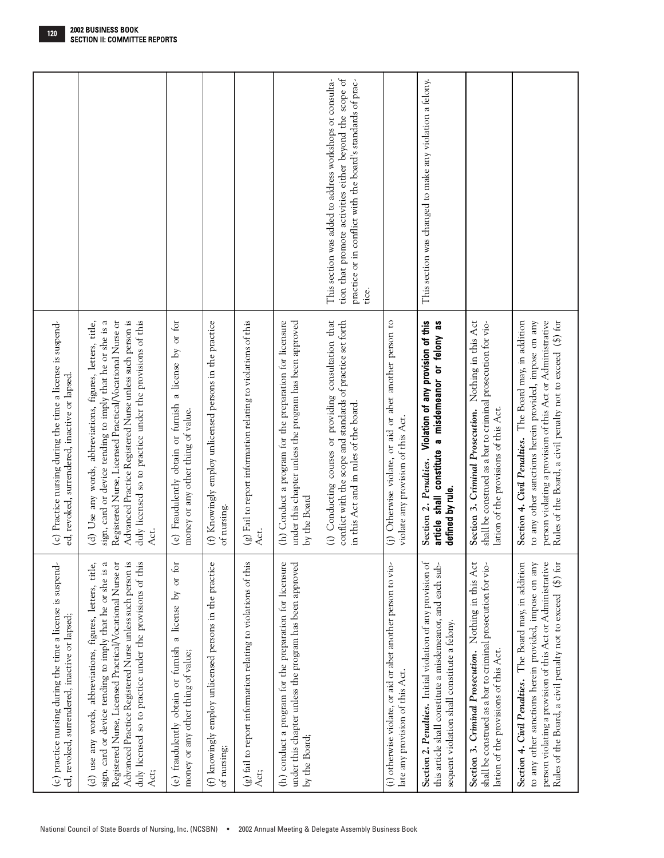| (c) practice nursing during the time a license is suspend-<br>ed, revoked, surrendered, inactive or lapsed;                                                                                                                                                                                                          | (c) Practice nursing during the time a license is suspend-<br>ed, revoked, surrendered, inactive or lapsed.                                                                                                                                                                                                          |                                                                                                                                                                                             |
|----------------------------------------------------------------------------------------------------------------------------------------------------------------------------------------------------------------------------------------------------------------------------------------------------------------------|----------------------------------------------------------------------------------------------------------------------------------------------------------------------------------------------------------------------------------------------------------------------------------------------------------------------|---------------------------------------------------------------------------------------------------------------------------------------------------------------------------------------------|
| Registered Nurse, Licensed Practical/Vocational Nurse or<br>Advanced Practice Registered Nurse unless such person is<br>duly licensed so to practice under the provisions of this<br>sign, card or device tending to imply that he or she is a<br>(d) use any words, abbreviations, figures, letters, title,<br>Act; | Registered Nurse, Licensed Practical/Vocational Nurse or<br>Advanced Practice Registered Nurse unless such person is<br>duly licensed so to practice under the provisions of this<br>(d) Use any words, abbreviations, figures, letters, title,<br>sign, card or device tending to imply that he or she is a<br>Act. |                                                                                                                                                                                             |
| a license by or for<br>(e) fraudulently obtain or furnish<br>money or any other thing of value;                                                                                                                                                                                                                      | (e) Fraudulently obtain or furnish a license by or for<br>money or any other thing of value.                                                                                                                                                                                                                         |                                                                                                                                                                                             |
| (f) knowingly employ unlicensed persons in the practice<br>of nursing;                                                                                                                                                                                                                                               | (f) Knowingly employ unlicensed persons in the practice<br>of nursing.                                                                                                                                                                                                                                               |                                                                                                                                                                                             |
| (g) fail to report information relating to violations of this<br>Act;                                                                                                                                                                                                                                                | (g) Fail to report information relating to violations of this<br>Act.                                                                                                                                                                                                                                                |                                                                                                                                                                                             |
| (h) conduct a program for the preparation for licensure<br>under this chapter unless the program has been approved<br>by the Board;                                                                                                                                                                                  | (h) Conduct a program for the preparation for licensure<br>under this chapter unless the program has been approved<br>by the Board                                                                                                                                                                                   |                                                                                                                                                                                             |
|                                                                                                                                                                                                                                                                                                                      | (i) Conducting courses or providing consultation that<br>conflict with the scope and standards of practice set forth<br>in this Act and in rules of the board.                                                                                                                                                       | tion that promote activities either beyond the scope of<br>This section was added to address workshops or consulta-<br>practice or in conflict with the board's standards of prac-<br>tice. |
| (i) otherwise violate, or aid or abet another person to vio-<br>late any provision of this Act.                                                                                                                                                                                                                      | (j) Otherwise violate, or aid or abet another person to<br>violate any provision of this Act.                                                                                                                                                                                                                        |                                                                                                                                                                                             |
| Section 2. Penalties. Initial violation of any provision of<br>this article shall constitute a misdemeanor, and each sub-<br>sequent violation shall constitute a felony.                                                                                                                                            | Section 2. Penalties. Violation of any provision of this<br>article shall constitute a misdemeanor or felony as<br>defined by rule.                                                                                                                                                                                  | This section was changed to make any violation a felony.                                                                                                                                    |
| Nothing in this Act<br>shall be construed as a bar to criminal prosecution for vio-<br>Section 3. Criminal Prosecution.<br>lation of the provisions of this Act.                                                                                                                                                     | Nothing in this Act<br>shall be construed as a bar to criminal prosecution for vio-<br>Section 3. Criminal Prosecution.<br>lation of the provisions of this Act.                                                                                                                                                     |                                                                                                                                                                                             |
| person violating a provision of this Act or Administrative<br>Section 4. Civil Penalties. The Board may, in addition<br>Rules of the Board, a civil penalty not to exceed (\$) for<br>to any other sanctions herein provided, impose on any                                                                          | person violating a provision of this Act or Administrative<br>Rules of the Board, a civil penalty not to exceed (\$) for<br>Section 4. Civil Penalties. The Board may, in addition<br>to any other sanctions herein provided, impose on any                                                                          |                                                                                                                                                                                             |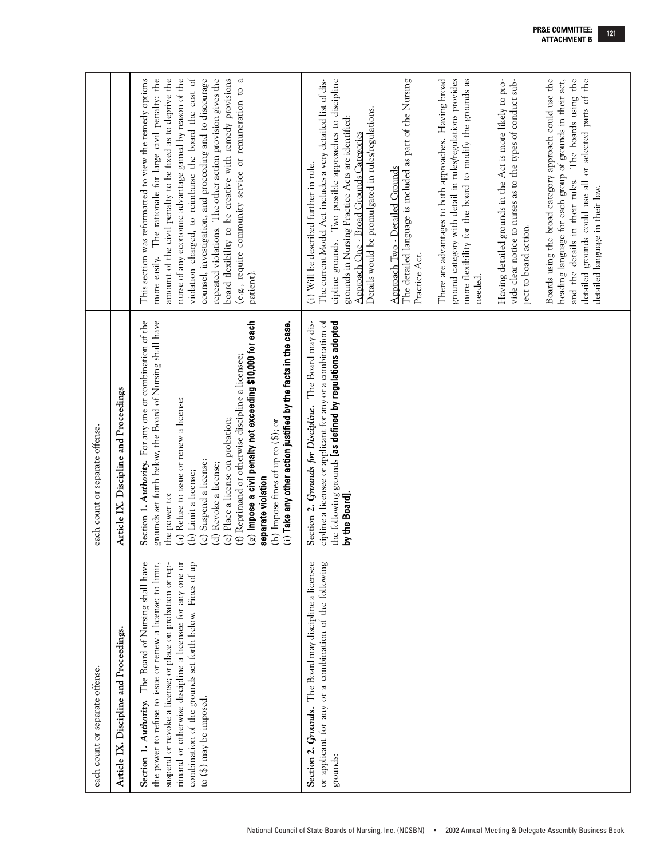| each count or separate offense.                                                                                                                                                                                                                                                                                                     | each count or separate offense.                                                                                                                                                                                                                                                                                                                                                                                                                                                                                                                                              |                                                                                                                                                                                                                                                                                                                                                                                                                                                                                                                                                                                                                                                                                                                                                                                                                                                                                                                                                                                                                                   |
|-------------------------------------------------------------------------------------------------------------------------------------------------------------------------------------------------------------------------------------------------------------------------------------------------------------------------------------|------------------------------------------------------------------------------------------------------------------------------------------------------------------------------------------------------------------------------------------------------------------------------------------------------------------------------------------------------------------------------------------------------------------------------------------------------------------------------------------------------------------------------------------------------------------------------|-----------------------------------------------------------------------------------------------------------------------------------------------------------------------------------------------------------------------------------------------------------------------------------------------------------------------------------------------------------------------------------------------------------------------------------------------------------------------------------------------------------------------------------------------------------------------------------------------------------------------------------------------------------------------------------------------------------------------------------------------------------------------------------------------------------------------------------------------------------------------------------------------------------------------------------------------------------------------------------------------------------------------------------|
| Article IX. Discipline and Proceedings.                                                                                                                                                                                                                                                                                             | Article IX. Discipline and Proceedings                                                                                                                                                                                                                                                                                                                                                                                                                                                                                                                                       |                                                                                                                                                                                                                                                                                                                                                                                                                                                                                                                                                                                                                                                                                                                                                                                                                                                                                                                                                                                                                                   |
| combination of the grounds set forth below. Fines of up<br>Section 1. Authority. The Board of Nursing shall have<br>suspend or revoke a license; or place on probation or rep-<br>rimand or otherwise discipline a licensee for any one or<br>the power to refuse to issue or renew a license; to limit,<br>to (\$) may be imposed. | Section 1. Authority. For any one or combination of the<br>grounds set forth below, the Board of Nursing shall have<br>$\left( \mathbf{g}\right)$ Impose a civil penalty not exceeding \$10,000 for each<br>$(i)$ Take any other action justified by the facts in the case.<br>(f) Reprimand or otherwise discipline a licensee;<br>(a) Refuse to issue or renew a license;<br>(e) Place a license on probation;<br>(h) Impose fines of up to $(\$\)$ ; or<br>(c) Suspend a license:<br>(d) Revoke a license;<br>(b) Limit a license;<br>separate violation<br>the power to: | violation charged, to reimburse the board the cost of<br>more easily. The rationale for large civil penalty: the<br>counsel, investigation, and proceeding and to discourage<br>repeated violations. The other action provision gives the<br>amount of the civil penalty to be fixed as to deprive the<br>nurse of any economic advantage gained by reason of the<br>board flexibility to be creative with remedy provisions<br>$\, \alpha \,$<br>This section was reformatted to view the remedy options<br>(e.g., require community service or remuneration to<br>patient).                                                                                                                                                                                                                                                                                                                                                                                                                                                     |
| or applicant for any or a combination of the following<br>Section 2. Grounds. The Board may discipline a licensee<br>grounds:                                                                                                                                                                                                       | cipline a licensee or applicant for any or a combination of<br>Section 2. Grounds for Discipline. The Board may dis-<br>the following grounds [as defined by regulations adopted<br>by the Board].                                                                                                                                                                                                                                                                                                                                                                           | cipline grounds. Two possible approaches to discipline<br>The detailed language is included as part of the Nursing<br>ground category with detail in rules/regulations provides<br>Boards using the broad category approach could use the<br>The boards using the<br>detailed grounds could use all or selected parts of the<br>There are advantages to both approaches. Having broad<br>more flexibility for the board to modify the grounds as<br>heading language for each group of grounds in their act,<br>Having detailed grounds in the Act is more likely to pro-<br>The current Model Act includes a very detailed list of dis-<br>vide clear notice to nurses as to the types of conduct sub-<br>Details would be promulgated in rules/regulations.<br>grounds in Nursing Practice Acts are identified:<br>Approach One - Broad Grounds Categories<br>(i) Will be described further in rule.<br>Approach Two - Detailed Grounds<br>and the details in their rules.<br>ject to board action.<br>Practice Act.<br>needed. |
|                                                                                                                                                                                                                                                                                                                                     |                                                                                                                                                                                                                                                                                                                                                                                                                                                                                                                                                                              | detailed language in their law.                                                                                                                                                                                                                                                                                                                                                                                                                                                                                                                                                                                                                                                                                                                                                                                                                                                                                                                                                                                                   |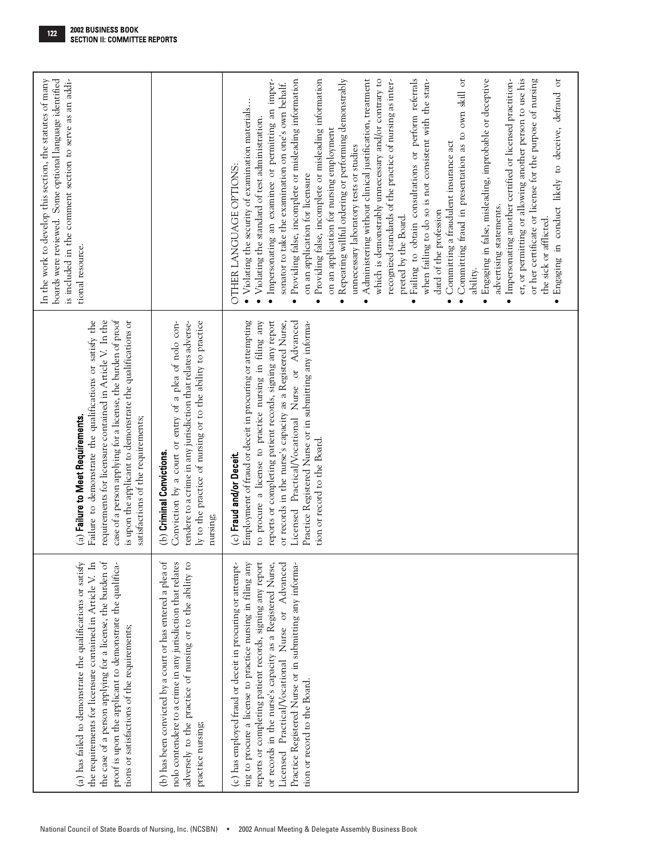| the case of a person applying for a license, the burden of<br>the requirements for licensure contained in Article V. In<br>(a) has failed to demonstrate the qualifications or satisfy<br>proof is upon the applicant to demonstrate the qualifica-<br>tions or satisfactions of the requirements;                                                                                              | case of a person applying for a license, the burden of proof<br>requirements for licensure contained in Article V. In the<br>is upon the applicant to demonstrate the qualifications or<br>Failure to demonstrate the qualifications or satisfy the<br>$(a)$ Failure to Meet Requirements.<br>satisfactions of the requirements;                                                                                       | boards were reviewed. Some optional language identified<br>In the work to develop this section, the statutes of many<br>is included in the comment section to serve as an addi-<br>tional resource.                                                                                                                                                                                                                                                                                                                                                                                                                                                                                                                                                                                                                                                                                                                                                                                                                                                                                                                                                                                                                                                                                                                                                                                                                                          |
|-------------------------------------------------------------------------------------------------------------------------------------------------------------------------------------------------------------------------------------------------------------------------------------------------------------------------------------------------------------------------------------------------|------------------------------------------------------------------------------------------------------------------------------------------------------------------------------------------------------------------------------------------------------------------------------------------------------------------------------------------------------------------------------------------------------------------------|----------------------------------------------------------------------------------------------------------------------------------------------------------------------------------------------------------------------------------------------------------------------------------------------------------------------------------------------------------------------------------------------------------------------------------------------------------------------------------------------------------------------------------------------------------------------------------------------------------------------------------------------------------------------------------------------------------------------------------------------------------------------------------------------------------------------------------------------------------------------------------------------------------------------------------------------------------------------------------------------------------------------------------------------------------------------------------------------------------------------------------------------------------------------------------------------------------------------------------------------------------------------------------------------------------------------------------------------------------------------------------------------------------------------------------------------|
| adversely to the practice of nursing or to the ability to<br>(b) has been convicted by a court or has entered a plea of<br>nolo contendere to a crime in any jurisdiction that relates<br>practice nursing;                                                                                                                                                                                     | ly to the practice of nursing or to the ability to practice<br>Conviction by a court or entry of a plea of nolo con-<br>tendere to a crime in any jurisdiction that relates adverse-<br>(b) Criminal Convictions.<br>nursing:                                                                                                                                                                                          |                                                                                                                                                                                                                                                                                                                                                                                                                                                                                                                                                                                                                                                                                                                                                                                                                                                                                                                                                                                                                                                                                                                                                                                                                                                                                                                                                                                                                                              |
| reports or completing patient records, signing any report<br>ing to procure a license to practice nursing in filing any<br>or records in the nurse's capacity as a Registered Nurse,<br>(c) has employed fraud or deceit in procuring or attempt-<br>Licensed Practical/Vocational Nurse or Advanced<br>Practice Registered Nurse or in submitting any informa-<br>tion or record to the Board. | reports or completing patient records, signing any report<br>to procure a license to practice nursing in filing any<br>or records in the nurse's capacity as a Registered Nurse,<br>Licensed Practical/Vocational Nurse or Advanced<br>Practice Registered Nurse or in submitting any informa-<br>Employment of fraud or deceit in procuring or attempting<br>tion or record to the Board.<br>(c) Fraud and/or Deceit. | Providing false, incomplete or misleading information<br>Repeating willful ordering or performing demonstrably<br>Administering without clinical justification, treatment<br>which is demonstrably unnecessary and/or contrary to<br>Failing to obtain consultations or perform referrals<br>· Engaging in false, misleading, improbable or deceptive<br>er, or permitting or allowing another person to use his<br>or her certificate or license for the purpose of nursing<br>· Engaging in conduct likely to deceive, defraud or<br>Providing false, incomplete or misleading information<br>recognized standards of the practice of nursing as inter-<br>when failing to do so is not consistent with the stan-<br>• Committing fraud in presentation as to own skill or<br>· Impersonating an examinee or permitting an imper-<br>Impersonating another certified or licensed practition-<br>sonator to take the examination on one's own behalf.<br>• Violating the security of examination materials<br>$\bullet$ Violating the standard of test administration.<br>on an application for nursing employment<br>Committing a fraudulent insurance act<br>unnecessary laboratory tests or studies<br>OTHER LANGUAGE OPTIONS:<br>on an application for licensure<br>advertising statements.<br>dard of the profession<br>preted by the Board.<br>the sick or afflicted.<br>ability.<br>$\bullet$<br>$\bullet$<br>$\bullet$<br>$\bullet$ |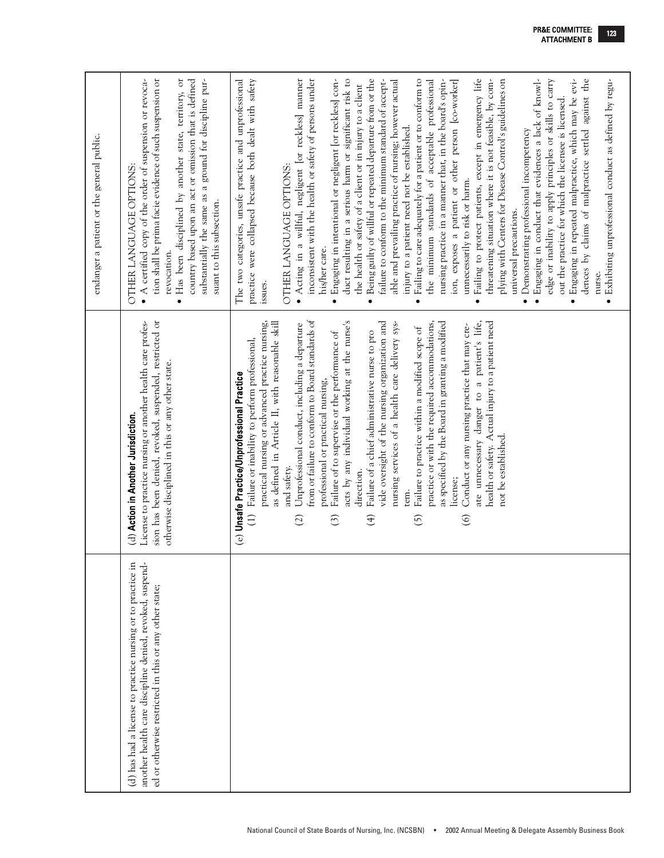| endanger a patient or the general public. | tion shall be prima facie evidence of such suspension or<br>substantially the same as a ground for discipline pur-<br>• A certified copy of the order of suspension or revoca-<br>country based upon an act or omission that is defined<br>Has been disciplined by another state, territory, or<br>OTHER LANGUAGE OPTIONS:<br>suant to this subsection.<br>revocation.<br>$\bullet$ | Failing to protect patients, except in emergency life<br>Being guilty of willful or repeated departure from or the<br>able and prevailing practice of nursing; however actual<br>the minimum standards of acceptable professional<br>dences by claims of malpractice settled against the<br>The two categories, unsafe practice and unprofessional<br>practice were collapsed because both dealt with safety<br>· Acting in a willful, negligent [or reckless] manner<br>duct resulting in a serious harm or significant risk to<br>Failing to care adequately for a patient or to conform to<br>ion, exposes a patient or other person [co-worker]<br>plying with Centers for Disease Control's guidelines on<br>edge or inability to apply principles or skills to carry<br>Engaging in repeated malpractice, which may be evi-<br>inconsistent with the health or safety of persons under<br>Engaging in intentional or negligent [or reckless] con-<br>failure to conform to the minimum standard of accept-<br>nursing practice in a manner that, in the board's opin-<br>threatening situation where it is not feasible, by com-<br>· Engaging in conduct that evidences a lack of knowl-<br>Exhibiting unprofessional conduct as defined by regu-<br>the health or safety of a client or in injury to a client<br>out the practice for which the licensee is licensed.<br>injury to a patient need not be established.<br>Demonstrating professional incompetency<br>OTHER LANGUAGE OPTIONS:<br>unnecessarily to risk or harm.<br>universal precautions.<br>his/her care.<br>nurse.<br>issues.<br>$\bullet$<br>$\bullet$<br>$\bullet$<br>$\bullet$<br>$\bullet$<br>$\bullet$<br>$\bullet$ |
|-------------------------------------------|-------------------------------------------------------------------------------------------------------------------------------------------------------------------------------------------------------------------------------------------------------------------------------------------------------------------------------------------------------------------------------------|--------------------------------------------------------------------------------------------------------------------------------------------------------------------------------------------------------------------------------------------------------------------------------------------------------------------------------------------------------------------------------------------------------------------------------------------------------------------------------------------------------------------------------------------------------------------------------------------------------------------------------------------------------------------------------------------------------------------------------------------------------------------------------------------------------------------------------------------------------------------------------------------------------------------------------------------------------------------------------------------------------------------------------------------------------------------------------------------------------------------------------------------------------------------------------------------------------------------------------------------------------------------------------------------------------------------------------------------------------------------------------------------------------------------------------------------------------------------------------------------------------------------------------------------------------------------------------------------------------------------------------------------------------------------------------------------------|
|                                           | sion has been denied, revoked, suspended, restricted or<br>License to practice nursing or another health care profes-<br>otherwise disciplined in this or any other state.<br>$(d)$ Action in Another Jurisdiction.                                                                                                                                                                 | acts by any individual working at the nurse's<br>from or failure to conform to Board standards of<br>vide oversight of the nursing organization and<br>health or safety. Actual injury to a patient need<br>as defined in Article II, with reasonable skill<br>nursing services of a health care delivery sys-<br>as specified by the Board in granting a modified<br>ate unnecessary danger to a patient's life,<br>practice or with the required accommodations,<br>practical nursing or advanced practice nursing,<br>Unprofessional conduct, including a departure<br>Conduct or any nursing practice that may cre-<br>Failure to practice within a modified scope of<br>Failure of a chief administrative nurse to pro<br>Failure of to supervise or the performance of<br>Failure or inability to perform professional,<br>(e) Unsafe Practice/Unprofessional Practice<br>professional or practical nursing,<br>not be established.<br>and safety.<br>direction.<br>license;<br>tem.<br>$\binom{3}{2}$<br>$\widehat{f}$<br>$\odot$<br>$\overline{c}$<br>$\overline{5}$<br>$\widehat{\Xi}$                                                                                                                                                                                                                                                                                                                                                                                                                                                                                                                                                                                                  |
|                                           | another health care discipline denied, revoked, suspend-<br>(d) has had a license to practice nursing or to practice in<br>ed or otherwise restricted in this or any other state;                                                                                                                                                                                                   |                                                                                                                                                                                                                                                                                                                                                                                                                                                                                                                                                                                                                                                                                                                                                                                                                                                                                                                                                                                                                                                                                                                                                                                                                                                                                                                                                                                                                                                                                                                                                                                                                                                                                                  |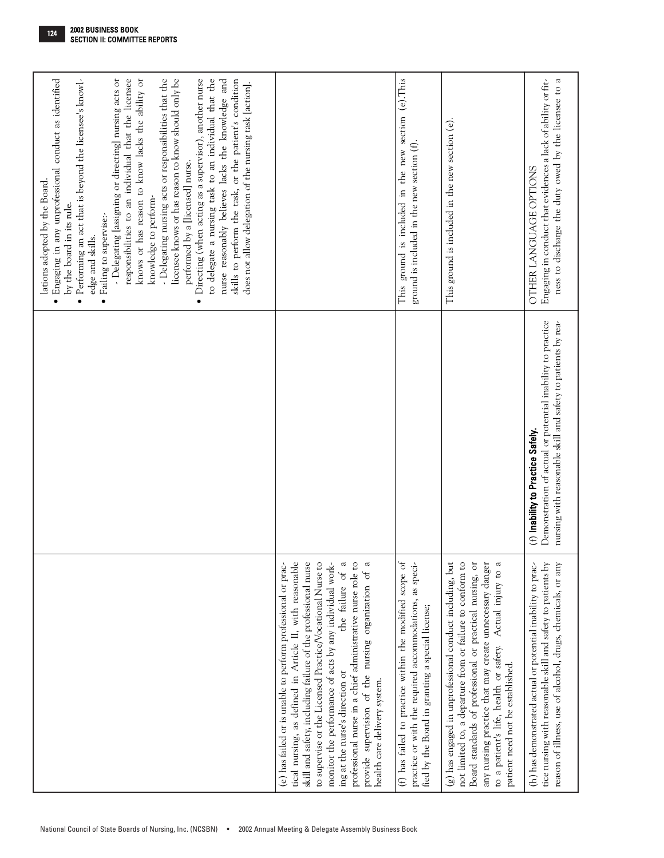|                                                                                                                                                                                                                                                                                                                                                                                                                                                                                                                                                     |                                                                                                                                                                 | - Delegating nursing acts or responsibilities that the<br>responsibilities to an individual that the licensee<br>licensee knows or has reason to know should only be<br>· Directing (when acting as a supervisor), another nurse<br>to delegate a nursing task to an individual that the<br>skills to perform the task, or the patient's condition<br>Engaging in any unprofessional conduct as identified<br>- Delegating [assigning or directing] nursing acts or<br>knows or has reason to know lacks the ability or<br>Performing an act that is beyond the licensee's knowl-<br>nurse reasonably believes lacks the knowledge and<br>does not allow delegation of the nursing task [action].<br>performed by a [licensed] nurse.<br>lations adopted by the Board.<br>knowledge to perform-<br>by the board in its rule.<br>Failing to supervise:-<br>edge and skills.<br>$\bullet$<br>$\bullet$<br>$\bullet$ |
|-----------------------------------------------------------------------------------------------------------------------------------------------------------------------------------------------------------------------------------------------------------------------------------------------------------------------------------------------------------------------------------------------------------------------------------------------------------------------------------------------------------------------------------------------------|-----------------------------------------------------------------------------------------------------------------------------------------------------------------|-------------------------------------------------------------------------------------------------------------------------------------------------------------------------------------------------------------------------------------------------------------------------------------------------------------------------------------------------------------------------------------------------------------------------------------------------------------------------------------------------------------------------------------------------------------------------------------------------------------------------------------------------------------------------------------------------------------------------------------------------------------------------------------------------------------------------------------------------------------------------------------------------------------------|
| to supervise or the Licensed Practice/Vocational Nurse to<br>monitor the performance of acts by any individual work-<br>professional nurse in a chief administrative nurse role to<br>$\approx$<br>tical nursing, as defined in Article II, with reasonable<br>skill and safety, including failure of the professional nurse<br>$\sigma$<br>(e) has failed or is unable to perform professional or prac-<br>the failure of<br>provide supervision of the nursing organization of<br>ing at the nurse's direction or<br>health care delivery system. |                                                                                                                                                                 |                                                                                                                                                                                                                                                                                                                                                                                                                                                                                                                                                                                                                                                                                                                                                                                                                                                                                                                   |
| (f) has failed to practice within the modified scope of<br>practice or with the required accommodations, as speci-<br>fied by the Board in granting a special license;                                                                                                                                                                                                                                                                                                                                                                              |                                                                                                                                                                 | This ground is included in the new section (e).This<br>ground is included in the new section $(f)$ .                                                                                                                                                                                                                                                                                                                                                                                                                                                                                                                                                                                                                                                                                                                                                                                                              |
| (g) has engaged in unprofessional conduct including, but<br>not limited to, a departure from or failure to conform to<br>Board standards of professional or practical nursing, or<br>any nursing practice that may create unnecessary danger<br>Actual injury to a<br>to a patient's life, health or safety.<br>patient need not be established.                                                                                                                                                                                                    |                                                                                                                                                                 | This ground is included in the new section (e).                                                                                                                                                                                                                                                                                                                                                                                                                                                                                                                                                                                                                                                                                                                                                                                                                                                                   |
| tice nursing with reasonable skill and safety to patients by<br>(h) has demonstrated actual or potential inability to prac-<br>reason of illness, use of alcohol, drugs, chemicals, or any                                                                                                                                                                                                                                                                                                                                                          | Demonstration of actual or potential inability to practice<br>nursing with reasonable skill and safety to patients by rea-<br>(f) Inability to Practice Safely. | ness to discharge the duty owed by the licensee to a<br>Engaging in conduct that evidences a lack of ability or fit-<br>OTHER LANGUAGE OPTIONS                                                                                                                                                                                                                                                                                                                                                                                                                                                                                                                                                                                                                                                                                                                                                                    |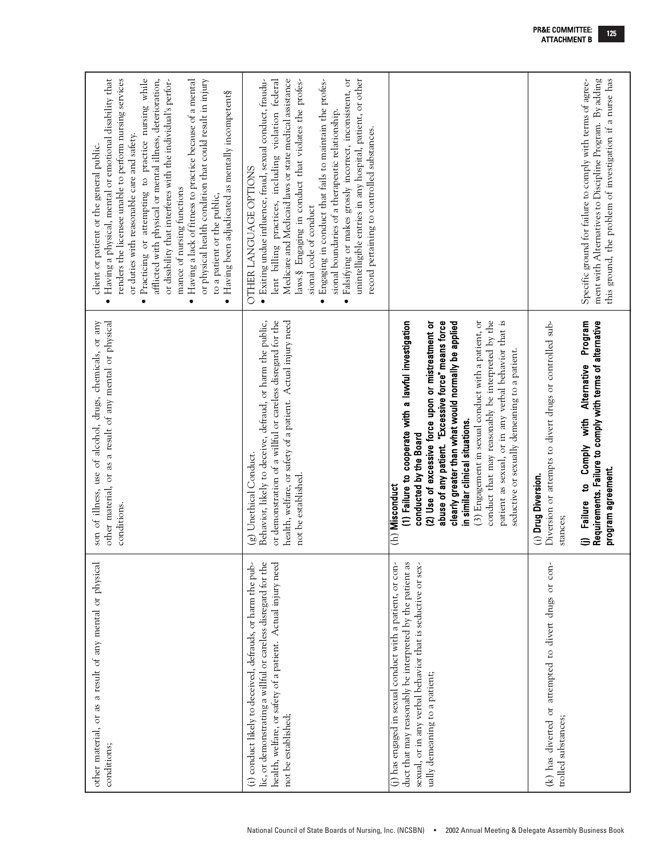| renders the licensee unable to perform nursing services<br>Practicing or attempting to practice nursing while<br>Having a lack of fitness to practice because of a mental<br>Having a physical, mental or emotional disability that<br>afflicted with physical or mental illness, deterioration,<br>or disability that interferes with the individual's perfor-<br>or physical health condition that could result in injury<br>Having been adjudicated as mentally incompetent§<br>or duties with reasonable care and safety.<br>client or patient or the general public.<br>mance of nursing functions<br>to a patient or the public,<br>$\bullet$<br>$\bullet$<br>$\bullet$ | Medicare and Medicaid laws or state medical assistance<br>unintelligible entries in any hospital, patient, or other<br>lent billing practices, including violation federal<br>laws.§ Engaging in conduct that violates the profes-<br>Falsifying or makes grossly incorrect, inconsistent, or<br>• Exiting undue influence, fraud, sexual conduct, fraudu-<br>Engaging in conduct that fails to maintain the profes-<br>sional boundaries of a therapeutic relationship.<br>record pertaining to controlled substances.<br>OTHER LANGUAGE OPTIONS<br>sional code of conduct<br>$\bullet$<br>$\bullet$ |                                                                                                                                                                                                                                                                                                                                                                                                                                                                                                                                | ment with Alternatives to Discipline Program. By adding<br>Specific ground for failure to comply with terms of agree-<br>this ground, the problem of investigation if a nurse has                                                                |
|-------------------------------------------------------------------------------------------------------------------------------------------------------------------------------------------------------------------------------------------------------------------------------------------------------------------------------------------------------------------------------------------------------------------------------------------------------------------------------------------------------------------------------------------------------------------------------------------------------------------------------------------------------------------------------|-------------------------------------------------------------------------------------------------------------------------------------------------------------------------------------------------------------------------------------------------------------------------------------------------------------------------------------------------------------------------------------------------------------------------------------------------------------------------------------------------------------------------------------------------------------------------------------------------------|--------------------------------------------------------------------------------------------------------------------------------------------------------------------------------------------------------------------------------------------------------------------------------------------------------------------------------------------------------------------------------------------------------------------------------------------------------------------------------------------------------------------------------|--------------------------------------------------------------------------------------------------------------------------------------------------------------------------------------------------------------------------------------------------|
| son of illness, use of alcohol, drugs, chemicals, or any<br>other material, or as a result of any mental or physical<br>conditions                                                                                                                                                                                                                                                                                                                                                                                                                                                                                                                                            | or demonstration of a willful or careless disregard for the<br>health, welfare, or safety of a patient. Actual injury need<br>Behavior, likely to deceive, defraud, or harm the public,<br>(g) Unethical Conduct.<br>not be established.                                                                                                                                                                                                                                                                                                                                                              | (3) Engagement in sexual conduct with a patient, or<br>conduct that may reasonably be interpreted by the<br>patient as sexual, or in any verbal behavior that is<br>(1) Failure to cooperate with a lawful investigation<br>(2) Use of excessive force upon or mistreatment or<br>abuse of any patient. "Excessive force" means force<br>clearly greater than what would normally be applied<br>seductive or sexually demeaning to a patient.<br>in similar clinical situations.<br>conducted by the Board<br>$(h)$ Misconduct | Program<br>Requirements. Failure to comply with terms of alternative<br>Diversion or attempts to divert drugs or controlled sub-<br>to Comply with Alternative<br>program agreement.<br>(i) Drug Diversion.<br>Failure<br>stances;<br>$\ddot{=}$ |
| other material, or as a result of any mental or physical<br>conditions;                                                                                                                                                                                                                                                                                                                                                                                                                                                                                                                                                                                                       | lic, or demonstrating a willful or careless disregard for the<br>health, welfare, or safety of a patient. Actual injury need<br>(i) conduct likely to deceived, defrauds, or harm the pub-<br>not be established;                                                                                                                                                                                                                                                                                                                                                                                     | duct that may reasonably be interpreted by the patient as<br>(j) has engaged in sexual conduct with a patient, or con-<br>sexual, or in any verbal behavior that is seductive or sex-<br>ually demeaning to a patient;                                                                                                                                                                                                                                                                                                         | (k) has diverted or attempted to divert drugs or con-<br>trolled substances;                                                                                                                                                                     |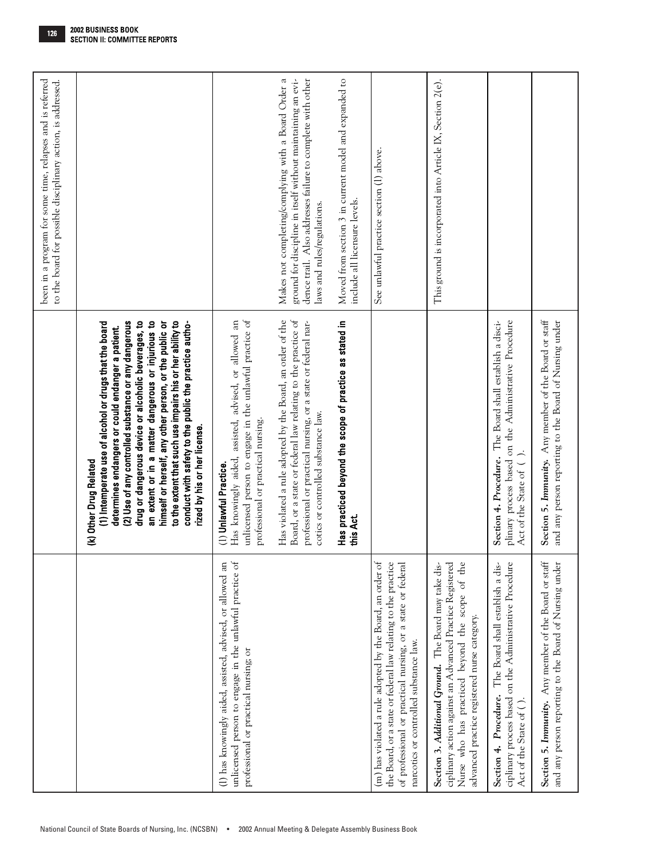|                                                                                                                                                                                                                                     |                                                                                                                                                                                                                                                                                                                                                                                                                                                                                                                           | to the board for possible disciplinary action, is addressed.<br>been in a program for some time, relapses and is referred                                                                                       |
|-------------------------------------------------------------------------------------------------------------------------------------------------------------------------------------------------------------------------------------|---------------------------------------------------------------------------------------------------------------------------------------------------------------------------------------------------------------------------------------------------------------------------------------------------------------------------------------------------------------------------------------------------------------------------------------------------------------------------------------------------------------------------|-----------------------------------------------------------------------------------------------------------------------------------------------------------------------------------------------------------------|
|                                                                                                                                                                                                                                     | (2) Use of any controlled substance or any dangerous<br>drug or dangerous device or alcoholic beverages, to<br>an extent or in a matter dangerous or injurious to<br>himself or herself, any other person, or the public or<br>to the extent that such use impairs his or her ability to<br>conduct with safety to the public the practice autho-<br>(1) Intemperate use of alcohol or drugs that the board<br>determines endangers or could endanger a patient.<br>rized by his or her license<br>(k) Other Drug Related |                                                                                                                                                                                                                 |
| (1) has knowingly aided, assisted, advised, or allowed an<br>unlicensed person to engage in the unlawful practice of<br>professional or practical nursing; or                                                                       | unlicensed person to engage in the unlawful practice of<br>Has knowingly aided, assisted, advised, or allowed an<br>professional or practical nursing.<br>(1) Unlawful Practice.                                                                                                                                                                                                                                                                                                                                          |                                                                                                                                                                                                                 |
|                                                                                                                                                                                                                                     | Board, or a state or federal law relating to the practice of<br>Has violated a rule adopted by the Board, an order of the<br>professional or practical nursing, or a state or federal nar-<br>cotics or controlled substance law.                                                                                                                                                                                                                                                                                         | Makes not completing/complying with a Board Order a<br>ground for discipline in itself without maintaining an evi-<br>dence trail. Also addresses failure to complete with other<br>laws and rules/regulations. |
|                                                                                                                                                                                                                                     | Has practiced beyond the scope of practice as stated in<br>this Act.                                                                                                                                                                                                                                                                                                                                                                                                                                                      | Moved from section 3 in current model and expanded to<br>include all licensure levels.                                                                                                                          |
| the Board, or a state or federal law relating to the practice<br>(m) has violated a rule adopted by the Board, an order of<br>of professional or practical nursing, or a state or federal<br>narcotics or controlled substance law. |                                                                                                                                                                                                                                                                                                                                                                                                                                                                                                                           | See unlawful practice section (l) above.                                                                                                                                                                        |
| of the<br>ciplinary action against an Advanced Practice Registered<br>Section 3. Additional Ground. The Board may take dis-<br>Nurse who has practiced beyond the scope<br>advanced practice registered nurse category.             |                                                                                                                                                                                                                                                                                                                                                                                                                                                                                                                           | This ground is incorporated into Article IX, Section 2(e).                                                                                                                                                      |
| ciplinary process based on the Administrative Procedure<br>Section 4. Procedure. The Board shall establish a dis-<br>Act of the State of ().                                                                                        | plinary process based on the Administrative Procedure<br>Section 4. Procedure. The Board shall establish a disci-<br>Act of the State of ( ).                                                                                                                                                                                                                                                                                                                                                                             |                                                                                                                                                                                                                 |
| Section 5. Immunity. Any member of the Board or staff<br>and any person reporting to the Board of Nursing under                                                                                                                     | and any person reporting to the Board of Nursing under<br>Section 5. Immunity. Any member of the Board or staff                                                                                                                                                                                                                                                                                                                                                                                                           |                                                                                                                                                                                                                 |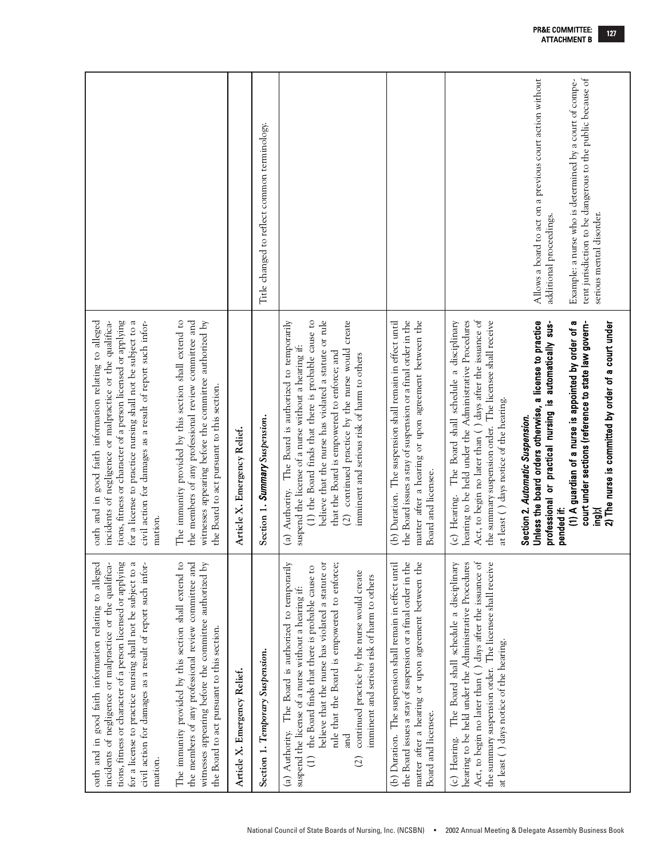|                                                                                                                                                                                                                                                                                                                            |                                                                                                                                                                                                                       |                              | Title changed to reflect common terminology. |                                                                                                                                                                                                                                                                                                                                                                                          |                                                                                                                                                                                                           |                                                                                                                                                                                                                                                                                     | tent jurisdiction to be dangerous to the public because of<br>Allows a board to act on a previous court action without<br>Example: a nurse who is determined by a court of compe-<br>serious mental disorder.<br>additional proceedings.                                                                                                               |
|----------------------------------------------------------------------------------------------------------------------------------------------------------------------------------------------------------------------------------------------------------------------------------------------------------------------------|-----------------------------------------------------------------------------------------------------------------------------------------------------------------------------------------------------------------------|------------------------------|----------------------------------------------|------------------------------------------------------------------------------------------------------------------------------------------------------------------------------------------------------------------------------------------------------------------------------------------------------------------------------------------------------------------------------------------|-----------------------------------------------------------------------------------------------------------------------------------------------------------------------------------------------------------|-------------------------------------------------------------------------------------------------------------------------------------------------------------------------------------------------------------------------------------------------------------------------------------|--------------------------------------------------------------------------------------------------------------------------------------------------------------------------------------------------------------------------------------------------------------------------------------------------------------------------------------------------------|
| oath and in good faith information relating to alleged<br>tions, fitness or character of a person licensed or applying<br>for a license to practice nursing shall not be subject to a<br>civil action for damages as a result of report such infor-<br>incidents of negligence or malpractice or the qualifica-<br>mation. | The immunity provided by this section shall extend to<br>the members of any professional review committee and<br>witnesses appearing before the committee authorized by<br>the Board to act pursuant to this section. | Article X. Emergency Relief. | Section 1. Summary Suspension.               | continued practice by the nurse would create<br>(1) the Board finds that there is probable cause to<br>believe that the nurse has violated a statute or rule<br>The Board is authorized to temporarily<br>suspend the license of a nurse without a hearing if:<br>that the Board is empowered to enforce; and<br>imminent and serious risk of harm to others<br>(a) Authority.<br>(2)    | the Board issues a stay of suspension or a final order in the<br>matter after a hearing or upon agreement between the<br>(b) Duration. The suspension shall remain in effect until<br>Board and licensee. | Act, to begin no later than ( ) days after the issuance of<br>hearing to be held under the Administrative Procedures<br>the summary suspension order. The licensee shall receive<br>(c) Hearing. The Board shall schedule a disciplinary<br>at least () days notice of the hearing. | Unless the board orders otherwise, a license to practice<br>(1) A guardian of a nurse is appointed by order of a<br>court under sections (reference to state law govern-<br>professional or practical nursing is automatically sus-<br>2) The nurse is committed by order of a court under<br>Section 2. Automatic Suspension.<br>pended if:<br>ing);( |
| tions, fitness or character of a person licensed or applying<br>for a license to practice nursing shall not be subject to a<br>oath and in good faith information relating to alleged<br>civil action for damages as a result of report such infor-<br>incidents of negligence or malpractice or the qualifica-<br>mation. | the members of any professional review committee and<br>The immunity provided by this section shall extend to<br>witnesses appearing before the committee authorized by<br>the Board to act pursuant to this section. | Article X. Emergency Relief. | Section 1. Temporary Suspension.             | The Board is authorized to temporarily<br>believe that the nurse has violated a statute or<br>rule that the Board is empowered to enforce;<br>(1) the Board finds that there is probable cause to<br>continued practice by the nurse would create<br>imminent and serious risk of harm to others<br>suspend the license of a nurse without a hearing if:<br>(a) Authority.<br>and<br>(2) | the Board issues a stay of suspension or a final order in the<br>matter after a hearing or upon agreement between the<br>(b) Duration. The suspension shall remain in effect until<br>Board and licensee. | Act, to begin no later than ( ) days after the issuance of<br>hearing to be held under the Administrative Procedures<br>(c) Hearing. The Board shall schedule a disciplinary<br>the summary suspension order. The licensee shall receive<br>at least () days notice of the hearing. |                                                                                                                                                                                                                                                                                                                                                        |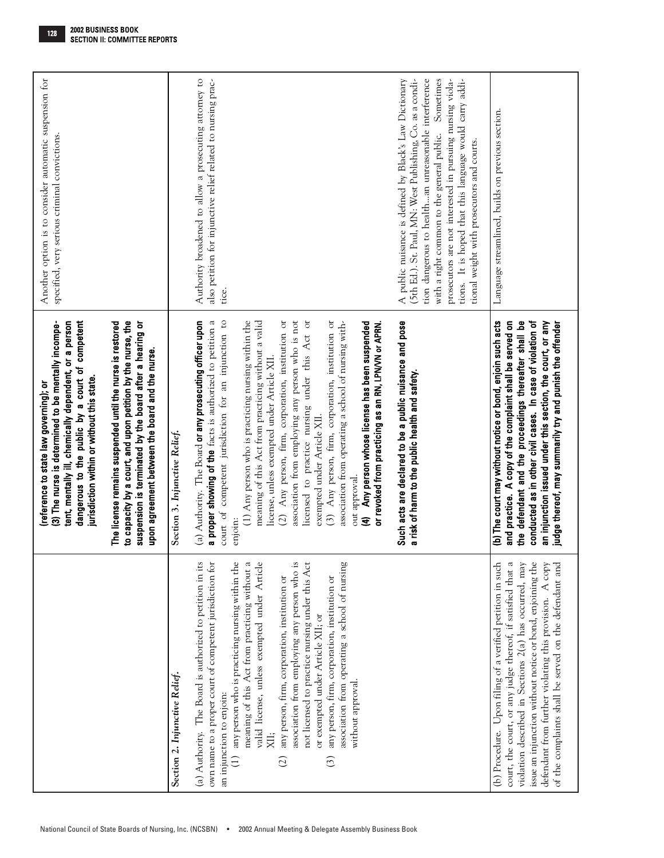|                                                                                                                                                                                                                                                                                                                                                                                                                                                                                                                                                                                                                                                  | dangerous to the public by a court of competent<br>tent, mentally ill, chemically dependent, or a person<br>(3) The nurse is determined to be mentally incompe-<br>jurisdiction within or without this state.<br>(reference to state law governing); or                                                                                                                                                                                                                                                                                                                                                                                                                                                                                                                                  | Another option is to consider automatic suspension for<br>specified, very serious criminal convictions.                                                                                                                                                                                                                                                                                                      |
|--------------------------------------------------------------------------------------------------------------------------------------------------------------------------------------------------------------------------------------------------------------------------------------------------------------------------------------------------------------------------------------------------------------------------------------------------------------------------------------------------------------------------------------------------------------------------------------------------------------------------------------------------|------------------------------------------------------------------------------------------------------------------------------------------------------------------------------------------------------------------------------------------------------------------------------------------------------------------------------------------------------------------------------------------------------------------------------------------------------------------------------------------------------------------------------------------------------------------------------------------------------------------------------------------------------------------------------------------------------------------------------------------------------------------------------------------|--------------------------------------------------------------------------------------------------------------------------------------------------------------------------------------------------------------------------------------------------------------------------------------------------------------------------------------------------------------------------------------------------------------|
|                                                                                                                                                                                                                                                                                                                                                                                                                                                                                                                                                                                                                                                  | to capacity by a court, and upon petition by the nurse, the<br>The license remains suspended until the nurse is restored<br>suspension is terminated by the board after a hearing or<br>upon agreement between the board and the nurse.                                                                                                                                                                                                                                                                                                                                                                                                                                                                                                                                                  |                                                                                                                                                                                                                                                                                                                                                                                                              |
| Section 2. Injunctive Relief.                                                                                                                                                                                                                                                                                                                                                                                                                                                                                                                                                                                                                    | Section 3. Injunctive Relief.                                                                                                                                                                                                                                                                                                                                                                                                                                                                                                                                                                                                                                                                                                                                                            |                                                                                                                                                                                                                                                                                                                                                                                                              |
| own name to a proper court of competent jurisdiction for<br>valid license, unless exempted under Article<br>association from employing any person who is<br>not licensed to practice nursing under this Act<br>(a) Authority. The Board is authorized to petition in its<br>(1) any person who is practicing nursing within the<br>meaning of this Act from practicing without a<br>association from operating a school of nursing<br>any person, firm, corporation, institution or<br>any person, firm, corporation, institution or<br>or exempted under Article XII; or<br>without approval.<br>an injunction to enjoin:<br>XII;<br>(3)<br>(2) | (a) Authority. The Board or any prosecuting officer upon<br>a proper showing of the facts is authorized to petition a<br>court of competent jurisdiction for an injunction to<br>(1) Any person who is practicing nursing within the<br>meaning of this Act from practicing without a valid<br>(2) Any person, firm, corporation, institution or<br>association from employing any person who is not<br>licensed to practice nursing under this Act or<br>(3) Any person, firm, corporation, institution or<br>(4) Any person whose license has been suspended<br>association from operating a school of nursing with-<br>or revoked from practicing as an RN, LPN/VN or APRN.<br>license, unless exempted under Article XII.<br>exempted under Article XII.<br>out approval.<br>enjoin: | Authority broadened to allow a prosecuting attorney to<br>also petition for injunctive relief related to nursing prac-<br>tice.                                                                                                                                                                                                                                                                              |
|                                                                                                                                                                                                                                                                                                                                                                                                                                                                                                                                                                                                                                                  | Such acts are declared to be a public nuisance and pose<br>a risk of harm to the public health and safety.                                                                                                                                                                                                                                                                                                                                                                                                                                                                                                                                                                                                                                                                               | A public nuisance is defined by Black's Law Dictionary<br>tion dangerous to healthan unreasonable interference<br>Sometimes<br>prosecutors are not interested in pursuing nursing viola-<br>(5th Ed.). St. Paul, MN: West Publishing, Co. as a condi-<br>tions. It is hoped that this language would carry addi-<br>with a right common to the general public.<br>tional weight with prosecutors and courts. |
| (b) Procedure. Upon filing of a verified petition in such<br>court, the court, or any judge thereof, if satisfied that a<br>violation described in Sections 2(a) has occurred, may<br>issue an injunction without notice or bond, enjoining the<br>defendant from further violating this provision. A copy<br>of the complaints shall be served on the defendant and                                                                                                                                                                                                                                                                             | conducted as in other civil cases. In case of violation of<br>and practice. A copy of the complaint shall be served on<br>(b) The court may without notice or bond, enjoin such acts<br>the defendant and the proceedings thereafter shall be<br>an injunction issued under this section, the court, or any<br>judge thereof, may summarily try and punish the offender                                                                                                                                                                                                                                                                                                                                                                                                                  | Language streamlined, builds on previous section.                                                                                                                                                                                                                                                                                                                                                            |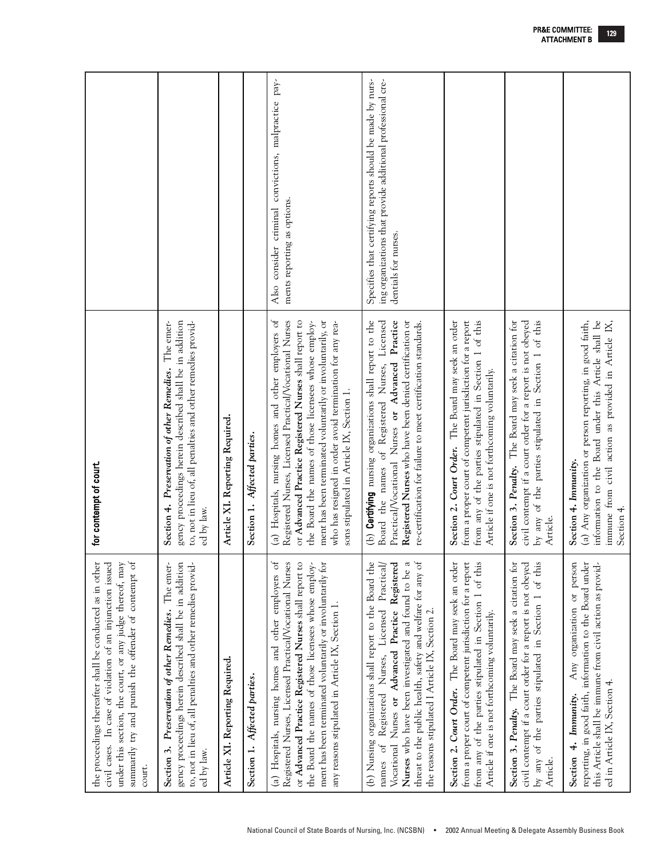| summarily try and punish the offender of contempt of<br>the proceedings thereafter shall be conducted as in other<br>civil cases. In case of violation of an injunction issued<br>under this section, the court, or any judge thereof, may<br>court.                                                                                              | for contempt of court.                                                                                                                                                                                                                                                                                                                                                                                 |                                                                                                                                                  |
|---------------------------------------------------------------------------------------------------------------------------------------------------------------------------------------------------------------------------------------------------------------------------------------------------------------------------------------------------|--------------------------------------------------------------------------------------------------------------------------------------------------------------------------------------------------------------------------------------------------------------------------------------------------------------------------------------------------------------------------------------------------------|--------------------------------------------------------------------------------------------------------------------------------------------------|
| gency proceedings herein described shall be in addition<br>to, not in lieu of, all penalties and other remedies provid-<br>Section 3. Preservation of other Remedies. The emer-<br>ed by law.                                                                                                                                                     | gency proceedings herein described shall be in addition<br>Section 4. Preservation of other Remedies. The emer-<br>to, not in lieu of, all penalties and other remedies provid-<br>ed by law.                                                                                                                                                                                                          |                                                                                                                                                  |
| Article XI. Reporting Required.                                                                                                                                                                                                                                                                                                                   | Article XI. Reporting Required.                                                                                                                                                                                                                                                                                                                                                                        |                                                                                                                                                  |
| Affected parties.<br>Section 1.                                                                                                                                                                                                                                                                                                                   | Section 1. Affected parties.                                                                                                                                                                                                                                                                                                                                                                           |                                                                                                                                                  |
| (a) Hospitals, nursing homes and other employers of<br>Registered Nurses, Licensed Practical/Vocational Nurses<br>or Advanced Practice Registered Nurses shall report to<br>ment has been terminated voluntarily or involuntarily for<br>the Board the names of those licensees whose employ-<br>any reasons stipulated in Article IX, Section 1. | (a) Hospitals, nursing homes and other employers of<br>Registered Nurses, Licensed Practical/Vocational Nurses<br>or Advanced Practice Registered Nurses shall report to<br>the Board the names of those licensees whose employ-<br>ment has been terminated voluntarily or involuntarily, or<br>who has resigned in order avoid termination for any rea-<br>sons stipulated in Article IX, Section 1. | Also consider criminal convictions, malpractice pay-<br>ments reporting as options.                                                              |
| threat to the public health, safety and welfare for any of<br>Vocational Nurses or Advanced Practice Registered<br>Nurses who have been investigated and found to be a<br>(b) Nursing organizations shall report to the Board the<br>Practical/<br>Registered Nurses, Licensed<br>the reasons stipulated I Article IX, Section 2.<br>names of     | Registered Nurses who have been denied certification or<br>(b) <b>Certifying</b> nursing organizations shall report to the<br>Board the names of Registered Nurses, Licensed<br>Practical/Vocational Nurses or Advanced Practice<br>re-certification for failure to meet certification standards.                                                                                                      | ing organizations that provide additional professional cre-<br>Specifies that certifying reports should be made by nurs-<br>dentials for nurses. |
| Section 2. Court Order. The Board may seek an order<br>from a proper court of competent jurisdiction for a report<br>from any of the parties stipulated in Section 1 of this<br>Article if one is not forthcoming voluntarily.                                                                                                                    | Section 2. Court Order. The Board may seek an order<br>from a proper court of competent jurisdiction for a report<br>from any of the parties stipulated in Section 1 of this<br>Article if one is not forthcoming voluntarily.                                                                                                                                                                         |                                                                                                                                                  |
| Section 3. Penalty. The Board may seek a citation for<br>civil contempt if a court order for a report is not obeyed<br>by any of the parties stipulated in Section 1 of this<br>Article.                                                                                                                                                          | civil contempt if a court order for a report is not obeyed<br>by any of the parties stipulated in Section 1 of this<br>Section 3. Penalty. The Board may seek a citation for<br>Article.                                                                                                                                                                                                               |                                                                                                                                                  |
| Any organization or person<br>reporting, in good faith, information to the Board under<br>this Article shall be immune from civil action as provid-<br>ed in Article IX, Section 4.<br>4. Immunity.<br>Section                                                                                                                                    | information to the Board under this Article shall be<br>(a) Any organization or person reporting, in good faith,<br>immune from civil action as provided in Article IX,<br>Section 4. Immunity.<br>Section 4.                                                                                                                                                                                          |                                                                                                                                                  |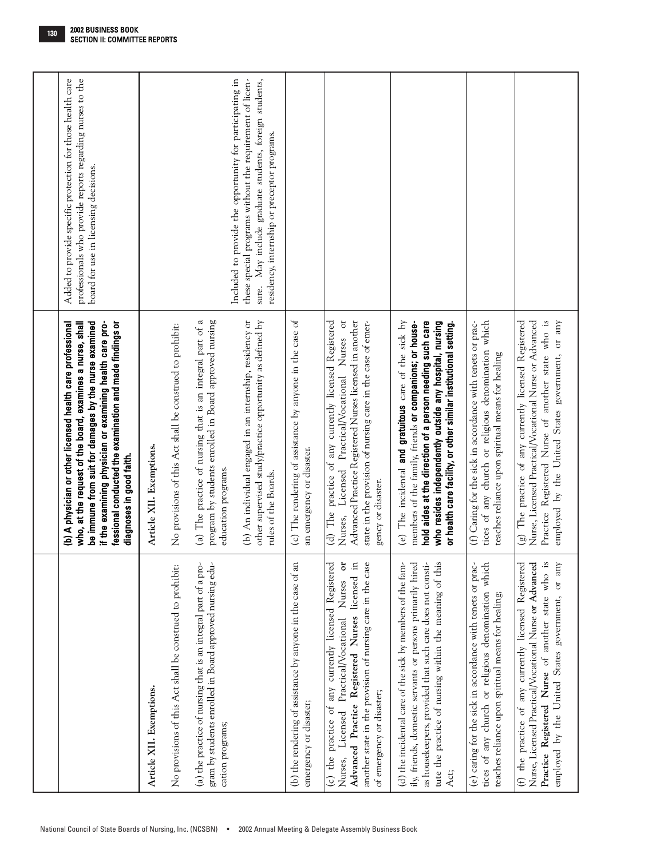|                                                                                                                                                                                                                                                                       | fessional conducted the examination and made findings or<br>(b) A physician or other licensed health care professional<br>be immune from suit for damages by the nurse examined<br>if the examining physician or examining health care pro-<br>who, at the request of the board, examines a nurse, shall<br>diagnoses in good faith. | professionals who provide reports regarding nurses to the<br>Added to provide specific protection for those health care<br>board for use in licensing decisions.                                                               |
|-----------------------------------------------------------------------------------------------------------------------------------------------------------------------------------------------------------------------------------------------------------------------|--------------------------------------------------------------------------------------------------------------------------------------------------------------------------------------------------------------------------------------------------------------------------------------------------------------------------------------|--------------------------------------------------------------------------------------------------------------------------------------------------------------------------------------------------------------------------------|
| Article XII. Exemptions.                                                                                                                                                                                                                                              | Article XII. Exemptions.                                                                                                                                                                                                                                                                                                             |                                                                                                                                                                                                                                |
| No provisions of this Act shall be construed to prohibit:                                                                                                                                                                                                             | No provisions of this Act shall be construed to prohibit:                                                                                                                                                                                                                                                                            |                                                                                                                                                                                                                                |
| gram by students enrolled in Board approved nursing edu-<br>(a) the practice of nursing that is an integral part of a pro-<br>cation programs;                                                                                                                        | (a) The practice of nursing that is an integral part of a<br>program by students enrolled in Board approved nursing<br>education programs.                                                                                                                                                                                           |                                                                                                                                                                                                                                |
|                                                                                                                                                                                                                                                                       | (b) An individual engaged in an internship, residency or<br>other supervised study/practice opportunity as defined by<br>rules of the Boards.                                                                                                                                                                                        | Included to provide the opportunity for participating in<br>these special programs without the requirement of licen-<br>sure. May include graduate students, foreign students,<br>residency, internship or preceptor programs. |
| (b) the rendering of assistance by anyone in the case of an<br>emergency or disaster;                                                                                                                                                                                 | (c) The rendering of assistance by anyone in the case of<br>an emergency or disaster.                                                                                                                                                                                                                                                |                                                                                                                                                                                                                                |
| $\sigma$<br>$\Xi$<br>(c) the practice of any currently licensed Registered<br>another state in the provision of nursing care in the case<br>Advanced Practice Registered Nurses licensed<br>Nurses, Licensed Practical/Vocational Nurses<br>of emergency or disaster; | Advanced Practice Registered Nurses licensed in another<br>Nurses, Licensed Practical/Vocational Nurses or<br>(d) The practice of any currently licensed Registered<br>state in the provision of nursing care in the case of emer-<br>gency or disaster.                                                                             |                                                                                                                                                                                                                                |
| ily, friends, domestic servants or persons primarily hired<br>tute the practice of nursing within the meaning of this<br>as housekeepers, provided that such care does not consti-<br>(d) the incidental care of the sick by members of the fam-<br>Act;              | hold aides at the direction of a person needing such care<br>(e) The incidental <b>and gratuitous</b> care of the sick by<br>members of the family, friends or companions; or house-<br>who resides independently outside any hospital, nursing<br>or health care facility, or other similar institutional setting.                  |                                                                                                                                                                                                                                |
| tices of any church or religious denomination which<br>(e) caring for the sick in accordance with tenets or prac-<br>teaches reliance upon spiritual means for healing;                                                                                               | tices of any church or religious denomination which<br>(f) Caring for the sick in accordance with tenets or prac-<br>teaches reliance upon spiritual means for healing                                                                                                                                                               |                                                                                                                                                                                                                                |
| Practice Registered Nurse of another state who is<br>(f) the practice of any currently licensed Registered<br>Nurse, Licensed Practical/Vocational Nurse or Advanced<br>employed by the United States government, or any                                              | Practice Registered Nurse of another state who is<br>(g) The practice of any currently licensed Registered<br>Nurse, Licensed Practical/Vocational Nurse or Advanced<br>employed by the United States government, or any                                                                                                             |                                                                                                                                                                                                                                |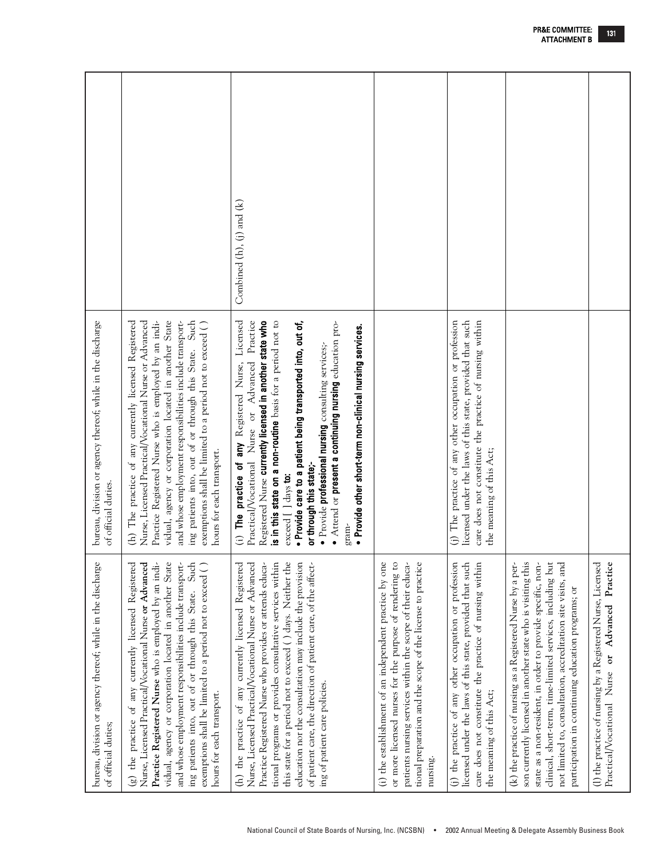| bureau, division or agency thereof; while in the discharge<br>of official duties;                                                                                                                                                                                                                                                                                                                                                                                     | bureau, division or agency thereof; while in the discharge<br>of official duties.                                                                                                                                                                                                                                                                                                                                                                                                                                                         |                           |
|-----------------------------------------------------------------------------------------------------------------------------------------------------------------------------------------------------------------------------------------------------------------------------------------------------------------------------------------------------------------------------------------------------------------------------------------------------------------------|-------------------------------------------------------------------------------------------------------------------------------------------------------------------------------------------------------------------------------------------------------------------------------------------------------------------------------------------------------------------------------------------------------------------------------------------------------------------------------------------------------------------------------------------|---------------------------|
| ing patients into, out of or through this State. Such<br>exemptions shall be limited to a period not to exceed ()<br>Nurse, Licensed Practical/Vocational Nurse or Advanced<br>vidual, agency or corporation located in another State<br>the practice of any currently licensed Registered<br>Practice Registered Nurse who is employed by an indi-<br>and whose employment responsibilities include transport-<br>hours for each transport.<br>$\binom{6}{2}$        | vidual, agency or corporation located in another State<br>and whose employment responsibilities include transport-<br>ing patients into, out of or through this State. Such<br>(h) The practice of any currently licensed Registered<br>Nurse, Licensed Practical/Vocational Nurse or Advanced<br>Practice Registered Nurse who is employed by an indi-<br>exemptions shall be limited to a period not to exceed ()<br>hours for each transport.                                                                                          |                           |
| education nor the consultation may include the provision<br>this state for a period not to exceed ( ) days. Neither the<br>tional programs or provides consultative services within<br>Nurse, Licensed Practical/Vocational Nurse or Advanced<br>Practice Registered Nurse who provides or attends educa-<br>(h) the practice of any currently licensed Registered<br>of patient care, the direction of patient care, of the affect-<br>ing of patient care policies. | Registered Nurse currently licensed in another state who<br>· Provide care to a patient being transported into, out of,<br>(i) The practice of any Registered Nurse, Licensed<br>Practical/Vocational Nurse or Advanced Practice<br>is in this state on a non-routine basis for a period not to<br>• Attend or present a continuing nursing education pro-<br>· Provide other short-term non-clinical nursing services.<br>· Provide professional nursing consulting services;-<br>or through this state;<br>exceed [ ] days to:<br>gram- | Combined (h), (j) and (k) |
| or more licensed nurses for the purpose of rendering to<br>(i) the establishment of an independent practice by one<br>tional preparation and the scope of the license to practice<br>patients nursing services within the scope of their educa-<br>nursing.                                                                                                                                                                                                           |                                                                                                                                                                                                                                                                                                                                                                                                                                                                                                                                           |                           |
| licensed under the laws of this state, provided that such<br>(j) the practice of any other occupation or profession<br>care does not constitute the practice of nursing within<br>the meaning of this Act;                                                                                                                                                                                                                                                            | licensed under the laws of this state, provided that such<br>(j) The practice of any other occupation or profession<br>care does not constitute the practice of nursing within<br>the meaning of this Act;                                                                                                                                                                                                                                                                                                                                |                           |
| son currently licensed in another state who is visiting this<br>clinical, short-term, time-limited services, including but<br>state as a non-resident, in order to provide specific, non-<br>not limited to, consultation, accreditation site visits, and<br>(k) the practice of nursing as a Registered Nurse by a per-<br>participation in continuing education programs; or                                                                                        |                                                                                                                                                                                                                                                                                                                                                                                                                                                                                                                                           |                           |
| (1) the practice of nursing by a Registered Nurse, Licensed<br>Practical/Vocational Nurse or Advanced Practice                                                                                                                                                                                                                                                                                                                                                        |                                                                                                                                                                                                                                                                                                                                                                                                                                                                                                                                           |                           |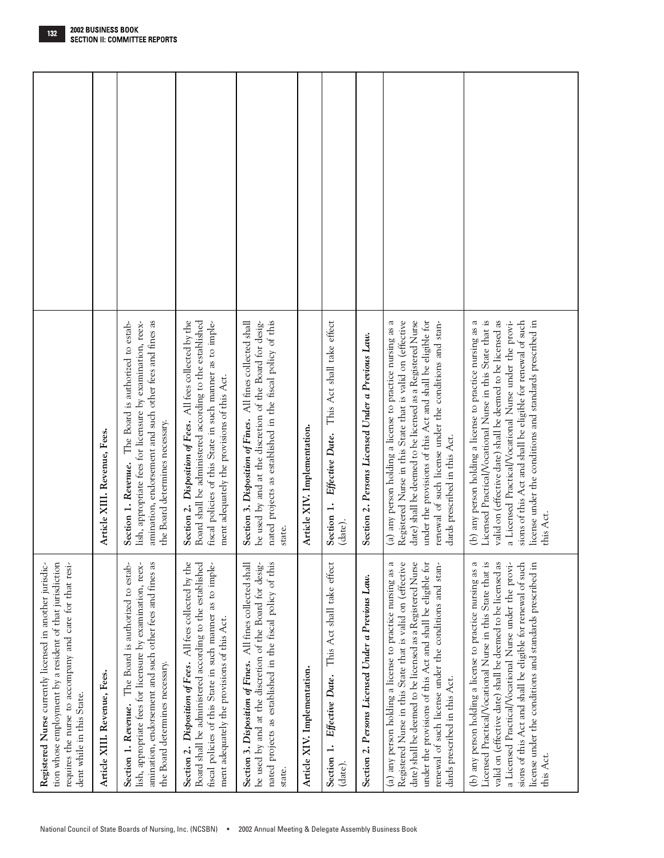| tion whose employment by a resident of that jurisdiction<br>requires the nurse to accompany and care for that resi-<br>Registered Nurse currently licensed in another jurisdic-<br>dent while in this State.                                                                                                                                                                            |                                                                                                                                                                                                                                                                                                                                                                                         |  |
|-----------------------------------------------------------------------------------------------------------------------------------------------------------------------------------------------------------------------------------------------------------------------------------------------------------------------------------------------------------------------------------------|-----------------------------------------------------------------------------------------------------------------------------------------------------------------------------------------------------------------------------------------------------------------------------------------------------------------------------------------------------------------------------------------|--|
| Article XIII. Revenue, Fees.                                                                                                                                                                                                                                                                                                                                                            | Article XIII. Revenue, Fees.                                                                                                                                                                                                                                                                                                                                                            |  |
| amination, endorsement and such other fees and fines as<br>lish, appropriate fees for licensure by examination, reex-<br>The Board is authorized to estab-<br>the Board determines necessary.<br>Section 1. Revenue.                                                                                                                                                                    | amination, endorsement and such other fees and fines as<br>lish, appropriate fees for licensure by examination, reex-<br>The Board is authorized to estab-<br>the Board determines necessary.<br>Section 1. Revenue.                                                                                                                                                                    |  |
| Section 2. Disposition of Fees. All fees collected by the<br>Board shall be administered according to the established<br>fiscal policies of this State in such manner as to imple-<br>ment adequately the provisions of this Act.                                                                                                                                                       | Section 2. Disposition of Fees. All fees collected by the<br>Board shall be administered according to the established<br>fiscal policies of this State in such manner as to imple-<br>ment adequately the provisions of this Act.                                                                                                                                                       |  |
| nated projects as established in the fiscal policy of this<br>Section 3. Disposition of Fines. All fines collected shall<br>be used by and at the discretion of the Board for desig-<br>state.                                                                                                                                                                                          | nated projects as established in the fiscal policy of this<br>be used by and at the discretion of the Board for desig-<br>Section 3. Disposition of Fines. All fines collected shall<br>state.                                                                                                                                                                                          |  |
| Article XIV. Implementation.                                                                                                                                                                                                                                                                                                                                                            | Article XIV. Implementation.                                                                                                                                                                                                                                                                                                                                                            |  |
| This Act shall take effect<br>Effective Date.<br>Section 1.<br>(date).                                                                                                                                                                                                                                                                                                                  | This Act shall take effect<br>Effective Date.<br>Section 1.<br>(date).                                                                                                                                                                                                                                                                                                                  |  |
| Section 2. Persons Licensed Under a Previous Law.                                                                                                                                                                                                                                                                                                                                       | Section 2. Persons Licensed Under a Previous Law.                                                                                                                                                                                                                                                                                                                                       |  |
| Registered Nurse in this State that is valid on (effective<br>under the provisions of this Act and shall be eligible for<br>date) shall be deemed to be licensed as a Registered Nurse<br>α<br>renewal of such license under the conditions and stan-<br>(a) any person holding a license to practice nursing as<br>dards prescribed in this Act.                                       | under the provisions of this Act and shall be eligible for<br>Registered Nurse in this State that is valid on (effective<br>date) shall be deemed to be licensed as a Registered Nurse<br>(a) any person holding a license to practice nursing as a<br>renewal of such license under the conditions and stan-<br>dards prescribed in this Act.                                          |  |
| Licensed Practical/Vocational Nurse in this State that is<br>valid on (effective date) shall be deemed to be licensed as<br>sions of this Act and shall be eligible for renewal of such<br>(b) any person holding a license to practice nursing as a<br>a Licensed Practical/Vocational Nurse under the provi-<br>license under the conditions and standards prescribed in<br>this Act. | Licensed Practical/Vocational Nurse in this State that is<br>valid on (effective date) shall be deemed to be licensed as<br>a Licensed Practical/Vocational Nurse under the provi-<br>sions of this Act and shall be eligible for renewal of such<br>license under the conditions and standards prescribed in<br>(b) any person holding a license to practice nursing as a<br>this Act. |  |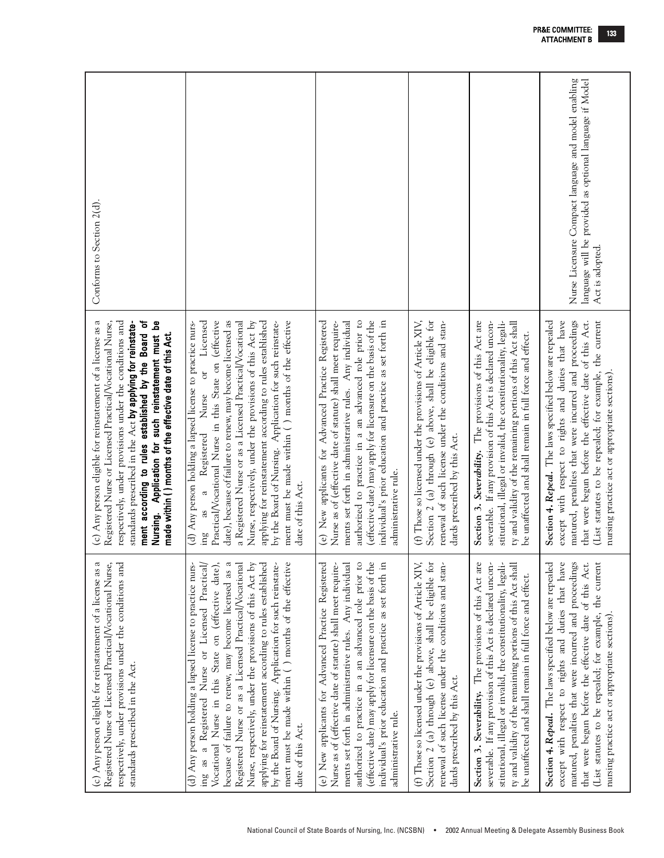| Conforms to Section 2(d)                                                                                                                                                                                                                                                                                                                                                                                                   |                                                                                                                                                                                                                                                                                                                                                                                                                                                                                                                                                                               |                                                                                                                                                                                                                                                                                                                                                                                             |                                                                                                                                                                                                                 |                                                                                                                                                                                                                                                                                                                     | Nurse Licensure Compact language and model enabling<br>language will be provided as optional language if Model<br>Act is adopted.                                                                                                                                                                                                              |
|----------------------------------------------------------------------------------------------------------------------------------------------------------------------------------------------------------------------------------------------------------------------------------------------------------------------------------------------------------------------------------------------------------------------------|-------------------------------------------------------------------------------------------------------------------------------------------------------------------------------------------------------------------------------------------------------------------------------------------------------------------------------------------------------------------------------------------------------------------------------------------------------------------------------------------------------------------------------------------------------------------------------|---------------------------------------------------------------------------------------------------------------------------------------------------------------------------------------------------------------------------------------------------------------------------------------------------------------------------------------------------------------------------------------------|-----------------------------------------------------------------------------------------------------------------------------------------------------------------------------------------------------------------|---------------------------------------------------------------------------------------------------------------------------------------------------------------------------------------------------------------------------------------------------------------------------------------------------------------------|------------------------------------------------------------------------------------------------------------------------------------------------------------------------------------------------------------------------------------------------------------------------------------------------------------------------------------------------|
| Nursing. Application for such reinstatement must be<br>respectively, under provisions under the conditions and<br>ment according to rules established by the Board of<br>(c) Any person eligible for reinstatement of a license as a<br>standards prescribed in the Act by applying for reinstate-<br>Registered Nurse or Licensed Practical/Vocational Nurse,<br>made within () months of the effective date of this Act. | Licensed<br>Practical/Vocational Nurse in this State on (effective<br>date), because of failure to renew, may become licensed as<br>a Registered Nurse or as a Licensed Practical/Vocational<br>Nurse, respectively, under the provisions of this Act by<br>applying for reinstatement according to rules established<br>ment must be made within () months of the effective<br>by the Board of Nursing. Application for such reinstate-<br>(d) Any person holding a lapsed license to practice nurs-<br>Nurse or<br>Registered<br>date of this Act.<br>$\approx$<br>as<br>mg | authorized to practice in a an advanced role prior to<br>(effective date) may apply for licensure on the basis of the<br>(e) New applicants for Advanced Practice Registered<br>ments set forth in administrative rules. Any individual<br>individual's prior education and practice as set forth in<br>Nurse as of (effective date of statute) shall meet require-<br>administrative rule. | Section 2 (a) through (e) above, shall be eligible for<br>(f) Those so licensed under the provisions of Article XIV,<br>renewal of such license under the conditions and stan-<br>dards prescribed by this Act. | Section 3. Severability. The provisions of this Act are<br>severable. If any provision of this Act is declared uncon-<br>stitutional, illegal or invalid, the constitutionality, legali-<br>ty and validity of the remaining portions of this Act shall<br>be unaffected and shall remain in full force and effect. | matured, penalties that were incurred and proceedings<br>(List statutes to be repealed; for example, the current<br>Section 4. Repeal. The laws specified below are repealed<br>except with respect to rights and duties that have<br>that were begun before the effective date of this Act.<br>nursing practice act or appropriate sections)  |
| respectively, under provisions under the conditions and<br>(c) Any person eligible for reinstatement of a license as a<br>Registered Nurse or Licensed Practical/Vocational Nurse,<br>standards prescribed in the Act.                                                                                                                                                                                                     | applying for reinstatement according to rules established<br>Vocational Nurse in this State on (effective date),<br>Nurse, respectively, under the provisions of this Act by<br>ment must be made within () months of the effective<br>ing as a Registered Nurse or Licensed Practical/<br>Registered Nurse or as a Licensed Practical/Vocational<br>because of failure to renew, may become licensed as a<br>by the Board of Nursing. Application for such reinstate-<br>(d) Any person holding a lapsed license to practice nurs-<br>date of this Act.                      | authorized to practice in a an advanced role prior to<br>(effective date) may apply for licensure on the basis of the<br>individual's prior education and practice as set forth in<br>ments set forth in administrative rules. Any individual<br>(e) New applicants for Advanced Practice Registered<br>Nurse as of (effective date of statute) shall meet require-<br>administrative rule. | Section 2 (a) through (e) above, shall be eligible for<br>(f) Those so licensed under the provisions of Article XIV,<br>renewal of such license under the conditions and stan-<br>dards prescribed by this Act. | Section 3. Severability. The provisions of this Act are<br>severable. If any provision of this Act is declared uncon-<br>stitutional, illegal or invalid, the constitutionality, legali-<br>ty and validity of the remaining portions of this Act shall<br>be unaffected and shall remain in full force and effect. | matured, penalties that were incurred and proceedings<br>(List statutes to be repealed; for example, the current<br>except with respect to rights and duties that have<br>Section 4. Repeal. The laws specified below are repealed<br>that were begun before the effective date of this Act.<br>nursing practice act or appropriate sections). |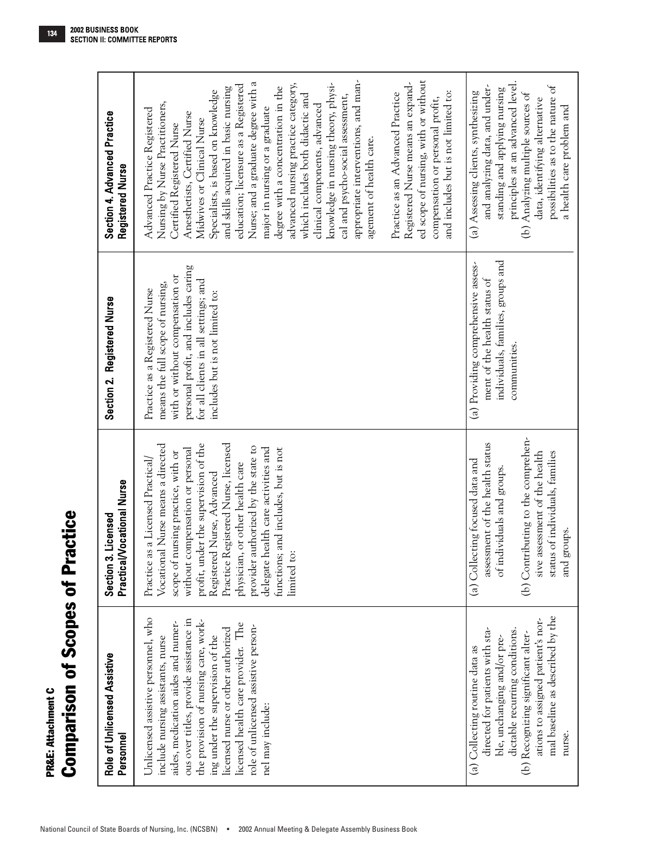|        | Ī<br>COMP |
|--------|-----------|
| -<br>2 | j<br>Š    |

<u>ဗ</u>

| Role of Unlicensed Assistive<br>Personnel                                                                                                                                                                                                                                                                                                                                   | Practical/Vocational Nurse<br>Section 3. Licensed                                                                                                                                                                                                                                                                                                                                                                                         | Section 2. Registered Nurse                                                                                                                                                                                              | <b>Section 4. Advanced Practice</b><br>Registered Nurse                                                                                                                                                                                                                                                                                                                                                                                                                                                                                                                                                                                                                                                                                                                                                                                                 |
|-----------------------------------------------------------------------------------------------------------------------------------------------------------------------------------------------------------------------------------------------------------------------------------------------------------------------------------------------------------------------------|-------------------------------------------------------------------------------------------------------------------------------------------------------------------------------------------------------------------------------------------------------------------------------------------------------------------------------------------------------------------------------------------------------------------------------------------|--------------------------------------------------------------------------------------------------------------------------------------------------------------------------------------------------------------------------|---------------------------------------------------------------------------------------------------------------------------------------------------------------------------------------------------------------------------------------------------------------------------------------------------------------------------------------------------------------------------------------------------------------------------------------------------------------------------------------------------------------------------------------------------------------------------------------------------------------------------------------------------------------------------------------------------------------------------------------------------------------------------------------------------------------------------------------------------------|
| Unlicensed assistive personnel, who<br>ous over titles, provide assistance in<br>the provision of nursing care, work-<br>aides, medication aides and numer-<br>licensed health care provider. The<br>role of unlicensed assistive person-<br>icensed nurse or other authorized<br>ing under the supervision of the<br>include nursing assistants, nurse<br>nel may include: | Registered Nurse, licensed<br>profit, under the supervision of the<br>Vocational Nurse means a directed<br>provider authorized by the state to<br>functions; and includes, but is not<br>delegate health care activities and<br>without compensation or personal<br>scope of nursing practice, with or<br>Practice as a Licensed Practical/<br>physician, or other health care<br>Registered Nurse, Advanced<br>limited to:<br>Practice 1 | personal profit, and includes caring<br>with or without compensation or<br>for all clients in all settings; and<br>means the full scope of nursing,<br>Practice as a Registered Nurse<br>includes but is not limited to: | appropriate interventions, and man-<br>ed scope of nursing, with or without<br>Nurse; and a graduate degree with a<br>knowledge in nursing theory, physi-<br>Registered Nurse means an expand-<br>advanced nursing practice category,<br>education; licensure as a Registered<br>and skills acquired in basic nursing<br>degree with a concentration in the<br>Specialists, is based on knowledge<br>and includes but is not limited to:<br>Practice as an Advanced Practice<br>which includes both didactic and<br>cal and psycho-social assessment,<br>compensation or personal profit,<br>Nursing by Nurse Practitioners,<br>clinical components, advanced<br>major in nursing or a graduate<br>Advanced Practice Registered<br>Anesthetists, Certified Nurse<br>Midwives or Clinical Nurse<br>Certified Registered Nurse<br>agement of health care. |
| mal baseline as described by the<br>ations to assigned patient's nor-<br>directed for patients with sta-<br>dictable recurring conditions.<br>(b) Recognizing significant alter-<br>ble, unchanging and/or pre-<br>(a) Collecting routine data as<br>nurse                                                                                                                  | (b) Contributing to the comprehen-<br>assessment of the health status<br>sive assessment of the health<br>status of individuals, families<br>(a) Collecting focused data and<br>of individuals and groups.<br>groups.<br>and g                                                                                                                                                                                                            | individuals, families, groups and<br>(a) Providing comprehensive assess-<br>ment of the health status of<br>communities.                                                                                                 | principles at an advanced level.<br>and analyzing data, and under-<br>possibilities as to the nature of<br>standing and applying nursing<br>(a) Assessing clients, synthesizing<br>(b) Analyzing multiple sources of<br>data, identifying alternative<br>a health care problem and                                                                                                                                                                                                                                                                                                                                                                                                                                                                                                                                                                      |

٦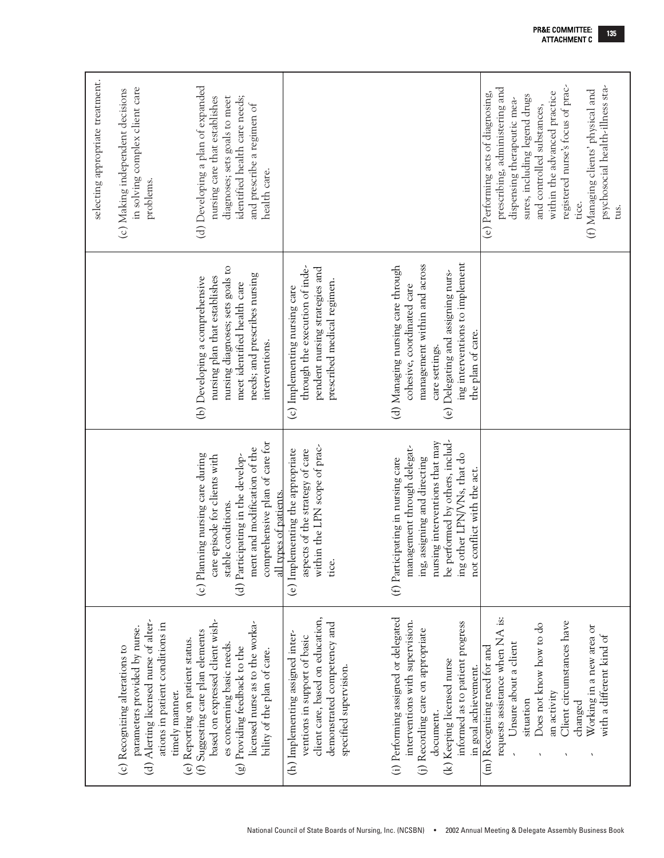|                                                                                                                                                                                                                                                 |                                                                                                                                                                                                                                      |                                                                                                                                                                                                                | selecting appropriate treatment.                                                                                                                                                                                                                                                                                                   |
|-------------------------------------------------------------------------------------------------------------------------------------------------------------------------------------------------------------------------------------------------|--------------------------------------------------------------------------------------------------------------------------------------------------------------------------------------------------------------------------------------|----------------------------------------------------------------------------------------------------------------------------------------------------------------------------------------------------------------|------------------------------------------------------------------------------------------------------------------------------------------------------------------------------------------------------------------------------------------------------------------------------------------------------------------------------------|
| (d) Alerting licensed nurse of alter-<br>ations in patient conditions in<br>parameters provided by nurse.<br>(c) Recognizing alterations to<br>timely manner.                                                                                   |                                                                                                                                                                                                                                      |                                                                                                                                                                                                                | in solving complex client care<br>(c) Making independent decisions<br>problems.                                                                                                                                                                                                                                                    |
| based on expressed client wish-<br>licensed nurse as to the worka-<br>(f) Suggesting care plan elements<br>(e) Reporting on patient status.<br>es concerning basic needs.<br>(g) Providing feedback to the<br>bility of the plan of care.       | comprehensive plan of care for<br>ment and modification of the<br>(c) Planning nursing care during<br>care episode for clients with<br>(d) Participating in the develop-<br>all types of patients.<br>stable conditions.             | nursing diagnoses; sets goals to<br>needs; and prescribes nursing<br>(b) Developing a comprehensive<br>nursing plan that establishes<br>meet identified health care<br>interventions.                          | (d) Developing a plan of expanded<br>identified health care needs;<br>nursing care that establishes<br>diagnoses; sets goals to meet<br>and prescribe a regimen of<br>health care.                                                                                                                                                 |
| client care, based on education,<br>demonstrated competency and<br>(h) Implementing assigned inter-<br>ventions in support of basic<br>specified supervision.                                                                                   | within the LPN scope of prac-<br>(e) Implementing the appropriate<br>aspects of the strategy of care<br>tice.                                                                                                                        | through the execution of inde-<br>pendent nursing strategies and<br>prescribed medical regimen.<br>(c) Implementing nursing care                                                                               |                                                                                                                                                                                                                                                                                                                                    |
| (i) Performing assigned or delegated<br>interventions with supervision.<br>informed as to patient progress<br>(j) Recording care on appropriate<br>(k) Keeping licensed nurse<br>in goal achievement.<br>document.                              | be performed by others, includ-<br>nursing interventions that may<br>management through delegat-<br>ing other LPN/VNs, that do<br>assigning and directing<br>(f) Participating in nursing care<br>not conflict with the act.<br>ing, | ing interventions to implement<br>management within and across<br>(d) Managing nursing care through<br>(e) Delegating and assigning nurs-<br>cohesive, coordinated care<br>the plan of care.<br>care settings. |                                                                                                                                                                                                                                                                                                                                    |
| requests assistance when NA is:<br>Client circumstances have<br>Does not know how to do<br>Working in a new area or<br>with a different kind of<br>Unsure about a client<br>(m) Recognizing need for and<br>an activity<br>situation<br>changed |                                                                                                                                                                                                                                      |                                                                                                                                                                                                                | registered nurse's focus of prac-<br>psychosocial health-illness sta-<br>prescribing, administering and<br>(f) Managing clients' physical and<br>within the advanced practice<br>(e) Performing acts of diagnosing,<br>sures, including legend drugs<br>dispensing therapeutic mea-<br>and controlled substances,<br>tice.<br>tus. |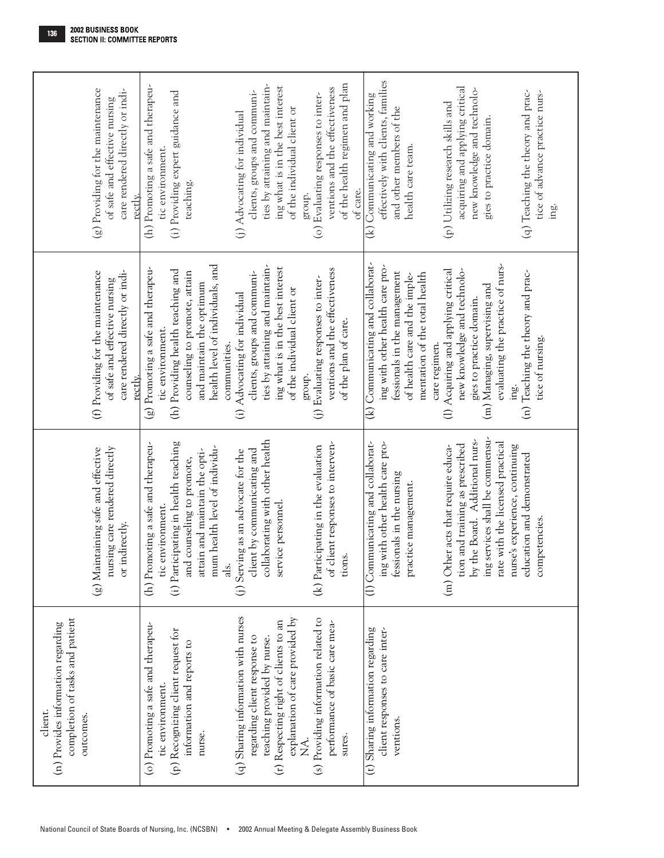| (g) Providing for the maintenance<br>care rendered directly or indi-<br>of safe and effective nursing<br>rectly. | (h) Promoting a safe and therapeu-<br>(i) Providing expert guidance and<br>tic environment.<br>teaching.                                                                                                     | ties by attaining and maintain-<br>ing what is in the best interest<br>clients, groups and communi-<br>of the individual client or<br>(j) Advocating for individual<br>group.            | of the health regimen and plan<br>ventions and the effectiveness<br>Evaluating responses to inter-<br>of care.<br>$\odot$ | effectively with clients, families<br>(k) Communicating and working<br>and other members of the<br>health care team.                                                   | acquiring and applying critical<br>new knowledge and technolo-<br>(p) Utilizing research skills and<br>gies to practice domain.                                                               | (q) Teaching the theory and prac-<br>tice of advance practice nurs-<br>ing.   |
|------------------------------------------------------------------------------------------------------------------|--------------------------------------------------------------------------------------------------------------------------------------------------------------------------------------------------------------|------------------------------------------------------------------------------------------------------------------------------------------------------------------------------------------|---------------------------------------------------------------------------------------------------------------------------|------------------------------------------------------------------------------------------------------------------------------------------------------------------------|-----------------------------------------------------------------------------------------------------------------------------------------------------------------------------------------------|-------------------------------------------------------------------------------|
| care rendered directly or indi-<br>(f) Providing for the maintenance<br>of safe and effective nursing<br>rectly. | health level of individuals, and<br>(g) Promoting a safe and therapeu-<br>(h) Providing health teaching and<br>counseling to promote, attain<br>and maintain the optimum<br>tic environment.<br>communities. | ties by attaining and maintain-<br>ing what is in the best interest<br>clients, groups and communi-<br>of the individual client or<br>(i) Advocating for individual<br>group.            | ventions and the effectiveness<br>(j) Evaluating responses to inter-<br>of the plan of care.                              | (k) Communicating and collaborat-<br>ing with other health care pro-<br>fessionals in the management<br>mentation of the total health<br>of health care and the imple- | evaluating the practice of nurs-<br>new knowledge and technolo-<br>Acquiring and applying critical<br>(m) Managing, supervising and<br>gies to practice domain.<br>care regimen.<br>$\ominus$ | (n) Teaching the theory and prac-<br>tice of nursing.                         |
| nursing care rendered directly<br>(g) Maintaining safe and effective<br>or indirectly.                           | (i) Participating in health teaching<br>(h) Promoting a safe and therapeu-<br>mum health level of individu-<br>attain and maintain the opti-<br>and counseling to promote,<br>tic environment.<br>as.        | collaborating with other health<br>client by communicating and<br>(j) Serving as an advocate for the<br>service personnel.                                                               | of client responses to interven-<br>(k) Participating in the evaluation<br>tions.                                         | (1) Communicating and collaborat-<br>ing with other health care pro-<br>fessionals in the nursing<br>practice management.                                              | ing services shall be commensu-<br>by the Board. Additional nurs-<br>rate with the licensed practical<br>tion and training as prescribed<br>(m) Other acts that require educa-                | nurse's experience, continuing<br>education and demonstrated<br>competencies. |
| completion of tasks and patient<br>(n) Provides information regarding<br>client.<br>outcomes.                    | (o) Promoting a safe and therapeu-<br>(p) Recognizing client request for<br>information and reports to<br>tic environment.<br>nurse.                                                                         | (q) Sharing information with nurses<br>explanation of care provided by<br>(r) Respecting right of clients to an<br>regarding client response to<br>teaching provided by nurse.<br>∠<br>Z | (s) Providing information related to<br>performance of basic care mea-<br>sures.                                          | (t) Sharing information regarding<br>client responses to care inter-<br>ventions.                                                                                      |                                                                                                                                                                                               |                                                                               |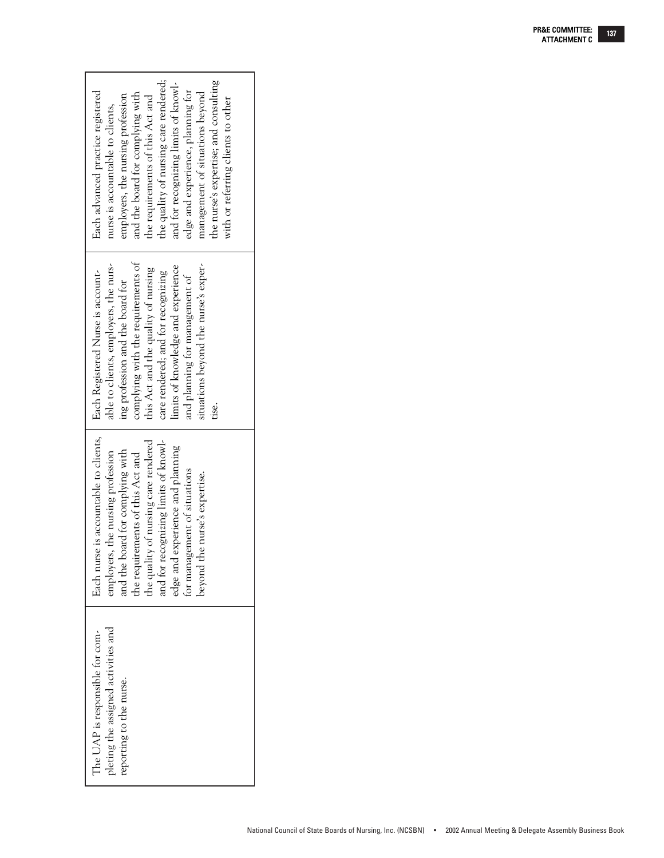| the quality of nursing care rendered;<br>the nurse's expertise; and consulting<br>and for recognizing limits of knowl-<br>edge and experience, planning for<br>Each advanced practice registered<br>and the board for complying with<br>management of situations beyond<br>employers, the nursing profession<br>the requirements of this Act and<br>with or referring clients to other<br>nurse is accountable to clients, |
|----------------------------------------------------------------------------------------------------------------------------------------------------------------------------------------------------------------------------------------------------------------------------------------------------------------------------------------------------------------------------------------------------------------------------|
| complying with the requirements of<br>able to clients, employers, the nurs-<br>situations beyond the nurse's exper-<br>limits of knowledge and experience<br>this Act and the quality of nursing<br>Each Registered Nurse is account-<br>care rendered; and for recognizing<br>and planning for management of<br>ing profession and the board for<br>tise.                                                                 |
| Each nurse is accountable to clients,<br>and for recognizing limits of knowl-<br>the requirements of this Act and<br>the quality of nursing care rendered<br>experience and planning<br>employers, the nursing profession<br>and the board for complying with<br>for management of situations<br>beyond the nurse's expertise.<br>edge and                                                                                 |
| bleting the assigned activities and<br>The UAP is responsible for com-<br>reporting to the nurse.                                                                                                                                                                                                                                                                                                                          |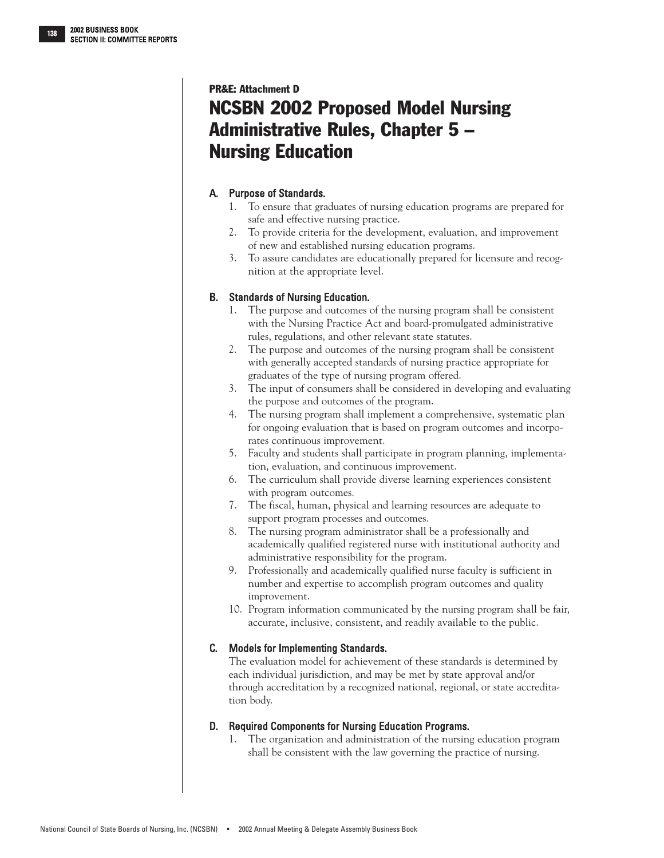# PR&E: Attachment D

# NCSBN 2002 Proposed Model Nursing Administrative Rules, Chapter 5 – Nursing Education

# A. Purpose of Standards.

- 1. To ensure that graduates of nursing education programs are prepared for safe and effective nursing practice.
- 2. To provide criteria for the development, evaluation, and improvement of new and established nursing education programs.
- 3. To assure candidates are educationally prepared for licensure and recognition at the appropriate level.

# B. Standards of Nursing Education.

- 1. The purpose and outcomes of the nursing program shall be consistent with the Nursing Practice Act and board-promulgated administrative rules, regulations, and other relevant state statutes.
- 2. The purpose and outcomes of the nursing program shall be consistent with generally accepted standards of nursing practice appropriate for graduates of the type of nursing program offered.
- 3. The input of consumers shall be considered in developing and evaluating the purpose and outcomes of the program.
- 4. The nursing program shall implement a comprehensive, systematic plan for ongoing evaluation that is based on program outcomes and incorporates continuous improvement.
- 5. Faculty and students shall participate in program planning, implementation, evaluation, and continuous improvement.
- 6. The curriculum shall provide diverse learning experiences consistent with program outcomes.
- 7. The fiscal, human, physical and learning resources are adequate to support program processes and outcomes.
- 8. The nursing program administrator shall be a professionally and academically qualified registered nurse with institutional authority and administrative responsibility for the program.
- 9. Professionally and academically qualified nurse faculty is sufficient in number and expertise to accomplish program outcomes and quality improvement.
- 10. Program information communicated by the nursing program shall be fair, accurate, inclusive, consistent, and readily available to the public.

# C. Models for Implementing Standards.

The evaluation model for achievement of these standards is determined by each individual jurisdiction, and may be met by state approval and/or through accreditation by a recognized national, regional, or state accreditation body.

# D. Required Components for Nursing Education Programs.

1. The organization and administration of the nursing education program shall be consistent with the law governing the practice of nursing.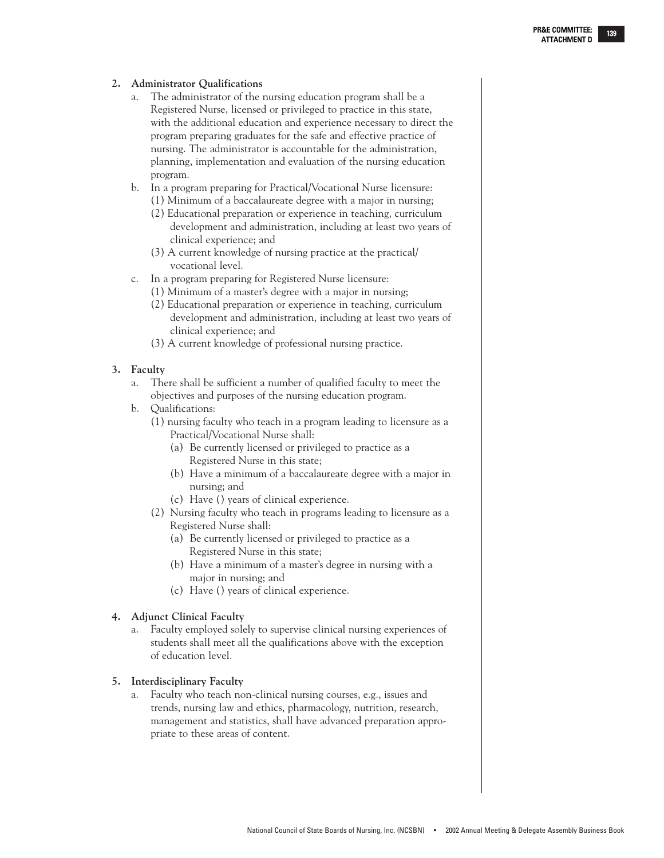# **2. Administrator Qualifications**

- a. The administrator of the nursing education program shall be a Registered Nurse, licensed or privileged to practice in this state, with the additional education and experience necessary to direct the program preparing graduates for the safe and effective practice of nursing. The administrator is accountable for the administration, planning, implementation and evaluation of the nursing education program.
- b. In a program preparing for Practical/Vocational Nurse licensure: (1) Minimum of a baccalaureate degree with a major in nursing;
	- (2) Educational preparation or experience in teaching, curriculum
		- development and administration, including at least two years of clinical experience; and
	- (3) A current knowledge of nursing practice at the practical/ vocational level.
- c. In a program preparing for Registered Nurse licensure:
	- (1) Minimum of a master's degree with a major in nursing;
	- (2) Educational preparation or experience in teaching, curriculum development and administration, including at least two years of clinical experience; and
	- (3) A current knowledge of professional nursing practice.

## **3. Faculty**

- a. There shall be sufficient a number of qualified faculty to meet the objectives and purposes of the nursing education program.
- b. Qualifications:
	- (1) nursing faculty who teach in a program leading to licensure as a Practical/Vocational Nurse shall:
		- (a) Be currently licensed or privileged to practice as a Registered Nurse in this state;
		- (b) Have a minimum of a baccalaureate degree with a major in nursing; and
		- (c) Have () years of clinical experience.
	- (2) Nursing faculty who teach in programs leading to licensure as a Registered Nurse shall:
		- (a) Be currently licensed or privileged to practice as a Registered Nurse in this state;
		- (b) Have a minimum of a master's degree in nursing with a major in nursing; and
		- (c) Have () years of clinical experience.

# **4. Adjunct Clinical Faculty**

a. Faculty employed solely to supervise clinical nursing experiences of students shall meet all the qualifications above with the exception of education level.

## **5. Interdisciplinary Faculty**

a. Faculty who teach non-clinical nursing courses, e.g., issues and trends, nursing law and ethics, pharmacology, nutrition, research, management and statistics, shall have advanced preparation appropriate to these areas of content.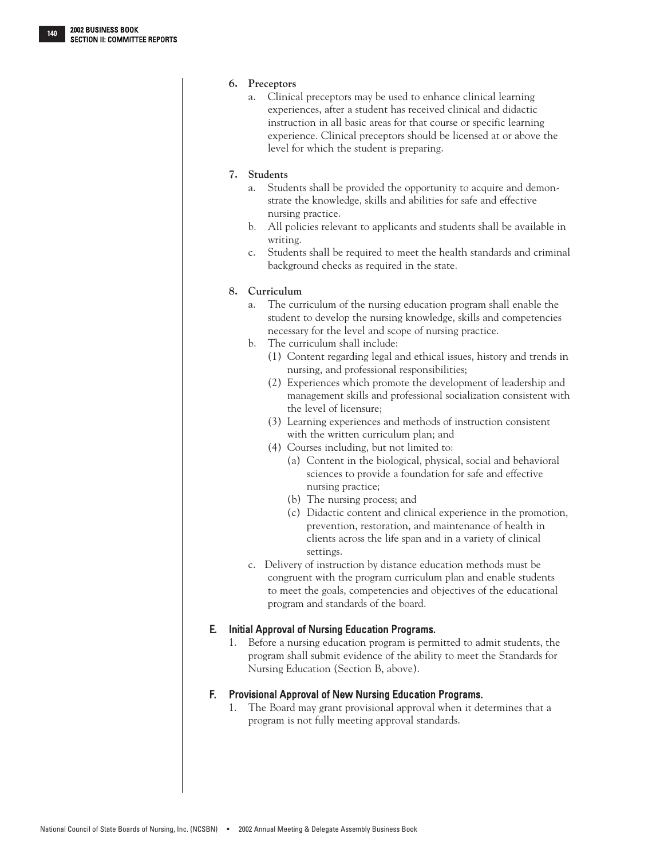## **6. Preceptors**

a. Clinical preceptors may be used to enhance clinical learning experiences, after a student has received clinical and didactic instruction in all basic areas for that course or specific learning experience. Clinical preceptors should be licensed at or above the level for which the student is preparing.

#### **7. Students**

- a. Students shall be provided the opportunity to acquire and demonstrate the knowledge, skills and abilities for safe and effective nursing practice.
- b. All policies relevant to applicants and students shall be available in writing.
- c. Students shall be required to meet the health standards and criminal background checks as required in the state.

## **8. Curriculum**

- a. The curriculum of the nursing education program shall enable the student to develop the nursing knowledge, skills and competencies necessary for the level and scope of nursing practice.
- b. The curriculum shall include:
	- (1) Content regarding legal and ethical issues, history and trends in nursing, and professional responsibilities;
	- (2) Experiences which promote the development of leadership and management skills and professional socialization consistent with the level of licensure;
	- (3) Learning experiences and methods of instruction consistent with the written curriculum plan; and
	- (4) Courses including, but not limited to:
		- (a) Content in the biological, physical, social and behavioral sciences to provide a foundation for safe and effective nursing practice;
		- (b) The nursing process; and
		- (c) Didactic content and clinical experience in the promotion, prevention, restoration, and maintenance of health in clients across the life span and in a variety of clinical settings.
- c. Delivery of instruction by distance education methods must be congruent with the program curriculum plan and enable students to meet the goals, competencies and objectives of the educational program and standards of the board.

## E. Initial Approval of Nursing Education Programs.

1. Before a nursing education program is permitted to admit students, the program shall submit evidence of the ability to meet the Standards for Nursing Education (Section B, above).

## F. Provisional Approval of New Nursing Education Programs.

1. The Board may grant provisional approval when it determines that a program is not fully meeting approval standards.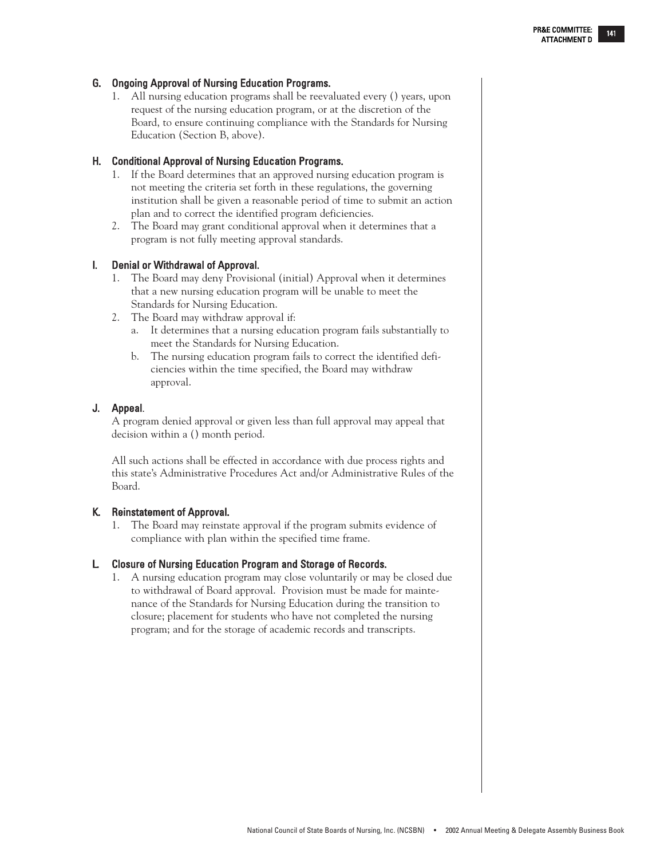# G. Ongoing Approval of Nursing Education Programs.

1. All nursing education programs shall be reevaluated every () years, upon request of the nursing education program, or at the discretion of the Board, to ensure continuing compliance with the Standards for Nursing Education (Section B, above).

# H. Conditional Approval of Nursing Education Programs.

- 1. If the Board determines that an approved nursing education program is not meeting the criteria set forth in these regulations, the governing institution shall be given a reasonable period of time to submit an action plan and to correct the identified program deficiencies.
- 2. The Board may grant conditional approval when it determines that a program is not fully meeting approval standards.

## I. Denial or Withdrawal of Approval.

- 1. The Board may deny Provisional (initial) Approval when it determines that a new nursing education program will be unable to meet the Standards for Nursing Education.
- 2. The Board may withdraw approval if:
	- a. It determines that a nursing education program fails substantially to meet the Standards for Nursing Education.
	- b. The nursing education program fails to correct the identified deficiencies within the time specified, the Board may withdraw approval.

## J. Appeal.

A program denied approval or given less than full approval may appeal that decision within a () month period.

All such actions shall be effected in accordance with due process rights and this state's Administrative Procedures Act and/or Administrative Rules of the Board.

## K. Reinstatement of Approval.

1. The Board may reinstate approval if the program submits evidence of compliance with plan within the specified time frame.

## L. Closure of Nursing Education Program and Storage of Records.

1. A nursing education program may close voluntarily or may be closed due to withdrawal of Board approval. Provision must be made for maintenance of the Standards for Nursing Education during the transition to closure; placement for students who have not completed the nursing program; and for the storage of academic records and transcripts.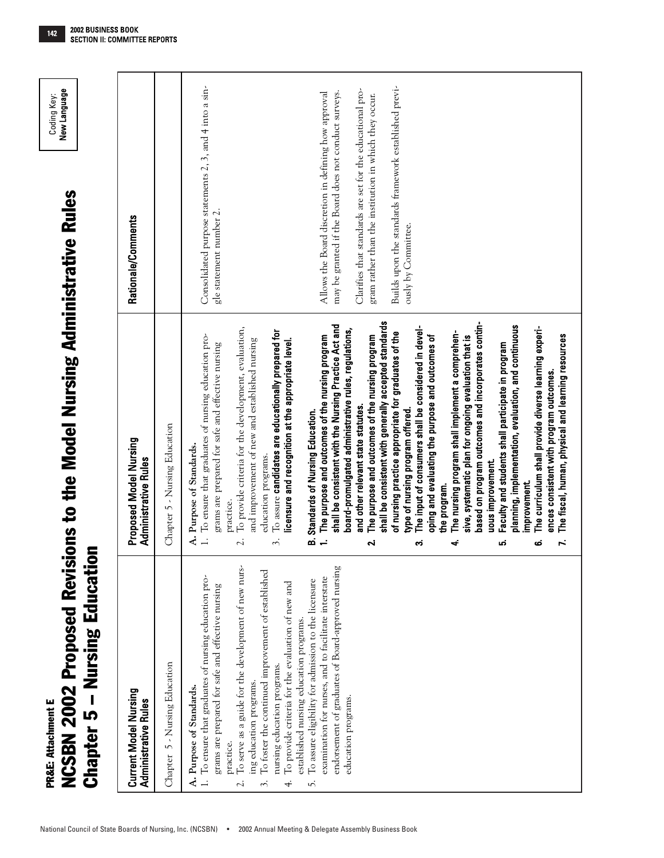| Current Model Nursing<br><b>Administrative Rules</b>                                                                                                                                                                                                                                                                                                                                                                                                                                                                                                                                                                                                         | Proposed Model Nursing<br><b>Administrative Rules</b>                                                                                                                                                                                                                                                                                                                                                                                                                                                                                                                                                                                                                                                                                                                                                                                                                                                                                                                                                                                                                                                                                                                                                                                                                                                                                                                                                                                                                                                                                                   | Rationale/Comments                                                                                                                                                                                                                                                                                                                                                                                         |
|--------------------------------------------------------------------------------------------------------------------------------------------------------------------------------------------------------------------------------------------------------------------------------------------------------------------------------------------------------------------------------------------------------------------------------------------------------------------------------------------------------------------------------------------------------------------------------------------------------------------------------------------------------------|---------------------------------------------------------------------------------------------------------------------------------------------------------------------------------------------------------------------------------------------------------------------------------------------------------------------------------------------------------------------------------------------------------------------------------------------------------------------------------------------------------------------------------------------------------------------------------------------------------------------------------------------------------------------------------------------------------------------------------------------------------------------------------------------------------------------------------------------------------------------------------------------------------------------------------------------------------------------------------------------------------------------------------------------------------------------------------------------------------------------------------------------------------------------------------------------------------------------------------------------------------------------------------------------------------------------------------------------------------------------------------------------------------------------------------------------------------------------------------------------------------------------------------------------------------|------------------------------------------------------------------------------------------------------------------------------------------------------------------------------------------------------------------------------------------------------------------------------------------------------------------------------------------------------------------------------------------------------------|
| Chapter 5 - Nursing Education                                                                                                                                                                                                                                                                                                                                                                                                                                                                                                                                                                                                                                | Chapter 5 - Nursing Education                                                                                                                                                                                                                                                                                                                                                                                                                                                                                                                                                                                                                                                                                                                                                                                                                                                                                                                                                                                                                                                                                                                                                                                                                                                                                                                                                                                                                                                                                                                           |                                                                                                                                                                                                                                                                                                                                                                                                            |
| To serve as a guide for the development of new nurs-<br>endorsement of graduates of Board-approved nursing<br>To foster the continued improvement of established<br>1. To ensure that graduates of nursing education pro-<br>examination for nurses, and to facilitate interstate<br>To assure eligibility for admission to the licensure<br>To provide criteria for the evaluation of new and<br>grams are prepared for safe and effective nursing<br>established nursing education programs.<br>nursing education programs.<br>ing education programs.<br>A. Purpose of Standards.<br>education programs.<br>practice.<br>$\overline{5}$<br>$\dot{+}$<br>Ń | shall be consistent with generally accepted standards<br>based on program outcomes and incorporates contin-<br>shall be consistent with the Nursing Practice Act and<br>planning, implementation, evaluation, and continuous<br>The input of consumers shall be considered in devel-<br>The curriculum shall provide diverse learning experi-<br>To provide criteria for the development, evaluation,<br>board-promulgated administrative rules, regulations,<br>To assure candidates are educationally prepared for<br>The nursing program shall implement a comprehen-<br>of nursing practice appropriate for graduates of the<br>The fiscal, human, physical and learning resources<br>1. To ensure that graduates of nursing education pro-<br>sive, systematic plan for ongoing evaluation that is<br>The purpose and outcomes of the nursing program<br>The purpose and outcomes of the nursing program<br>oping and evaluating the purpose and outcomes of<br>and improvement of new and established nursing<br>licensure and recognition at the appropriate level.<br>Faculty and students shall participate in program<br>grams are prepared for safe and effective nursing<br>ences consistent with program outcomes.<br>and other relevant state statutes.<br>type of nursing program offered.<br><b>B. Standards of Nursing Education.</b><br>A. Purpose of Standards.<br>education programs.<br>uous improvement.<br>improvement.<br>the program.<br>practice.<br>$\ddot{ }$<br>$\ddot{\cdot}$<br>$\mathbf{a}$<br>ż.<br>÷<br>r.<br>ო<br>ග් | Consolidated purpose statements 2, 3, and 4 into a sin-<br>Builds upon the standards framework established previ-<br>Clarifies that standards are set for the educational pro-<br>Allows the Board discretion in defining how approval<br>may be granted if the Board does not conduct surveys.<br>gram rather than the institution in which they occur.<br>gle statement number 2.<br>ously by Committee. |

Coding Key:<br>**New Language** New Language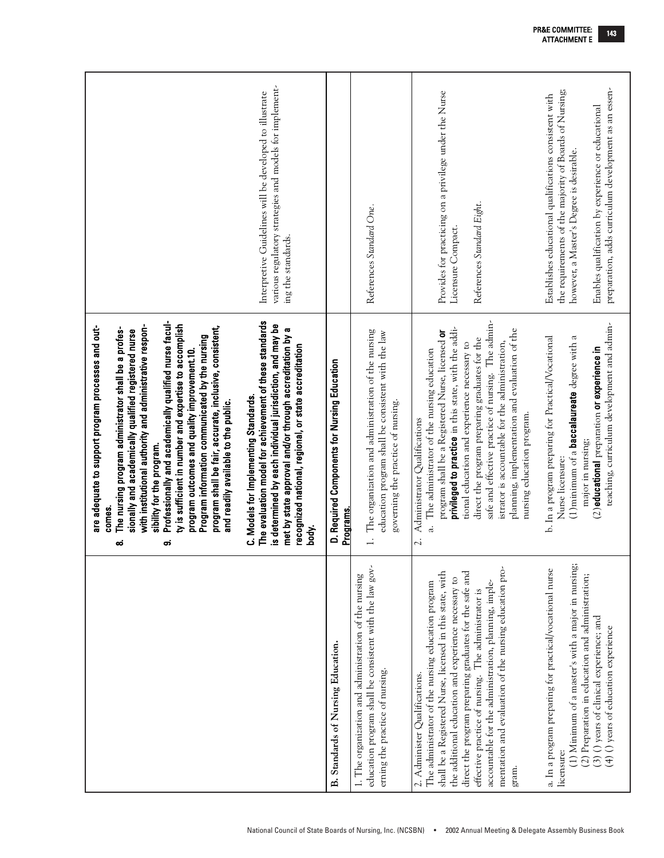| various regulatory strategies and models for implement-<br>Interpretive Guidelines will be developed to illustrate<br>ing the standards.                                                                                                                                                                                                                                                                                                                                                                                                                                                                                                                                                                                                                                                                                                                                                                |                                                                 | References Standard One.                                                                                                                                     | Provides for practicing on a privilege under the Nurse<br>References Standard Eight.<br>Licensure Compact.                                                                                                                                                                                                                                                                                                                                                                                                | preparation, adds curriculum development as an essen-<br>the requirements of the majority of Boards of Nursing;<br>Establishes educational qualifications consistent with<br>Enables qualification by experience or educational<br>however, a Master's Degree is desirable. |
|---------------------------------------------------------------------------------------------------------------------------------------------------------------------------------------------------------------------------------------------------------------------------------------------------------------------------------------------------------------------------------------------------------------------------------------------------------------------------------------------------------------------------------------------------------------------------------------------------------------------------------------------------------------------------------------------------------------------------------------------------------------------------------------------------------------------------------------------------------------------------------------------------------|-----------------------------------------------------------------|--------------------------------------------------------------------------------------------------------------------------------------------------------------|-----------------------------------------------------------------------------------------------------------------------------------------------------------------------------------------------------------------------------------------------------------------------------------------------------------------------------------------------------------------------------------------------------------------------------------------------------------------------------------------------------------|-----------------------------------------------------------------------------------------------------------------------------------------------------------------------------------------------------------------------------------------------------------------------------|
| The evaluation model for achievement of these standards<br>Professionally and academically qualified nurse facul-<br>is determined by each individual jurisdiction, and may be<br>ty is sufficient in number and expertise to accomplish<br>with institutional authority and administrative respon-<br>program shall be fair, accurate, inclusive, consistent,<br>are adequate to support program processes and out-<br>The nursing program administrator shall be a profes-<br>met by state approval and/or through accreditation by a<br>sionally and academically qualified registered nurse<br>Program information communicated by the nursing<br>recognized national, regional, or state accreditation<br>program outcomes and quality improvement.10.<br>C. Models for Implementing Standards.<br>and readily available to the public.<br>sibility for the program.<br>comes.<br>body.<br>တ<br>ထံ | D. Required Components for Nursing Education<br><b>Programs</b> | The organization and administration of the nursing<br>education program shall be consistent with the law<br>governing the practice of nursing.<br>$\ddot{ }$ | safe and effective practice of nursing. The admin-<br>privileged to practice in this state, with the addi-<br>planning, implementation and evaluation of the<br>program shall be a Registered Nurse, licensed <b>or</b><br>direct the program preparing graduates for the<br>tional education and experience necessary to<br>istrator is accountable for the administration,<br>The administrator of the nursing education<br>nursing education program.<br>2. Administrator Qualifications<br>$\ddot{a}$ | teaching, curriculum development and admin-<br>$(1)$ minimum of a <b>baccalaureate</b> degree with a<br>b. In a program preparing for Practical/Vocational<br>(2) educational preparation or experience in<br>major in nursing;<br>Nurse licensure:                         |
|                                                                                                                                                                                                                                                                                                                                                                                                                                                                                                                                                                                                                                                                                                                                                                                                                                                                                                         | B. Standards of Nursing Education.                              | education program shall be consistent with the law gov-<br>1. The organization and administration of the nursing<br>erning the practice of nursing.          | mentation and evaluation of the nursing education pro-<br>shall be a Registered Nurse, licensed in this state, with<br>direct the program preparing graduates for the safe and<br>the additional education and experience necessary to<br>accountable for the administration, planning, imple-<br>The administrator of the nursing education program<br>effective practice of nursing. The administrator is<br>2. Administer Qualifications.<br>gram.                                                     | (1) Minimum of a master's with a major in nursing;<br>a. In a program preparing for practical/vocational nurse<br>(2) Preparation in education and administration;<br>(3) () years of clinical experience; and<br>(4) () years of education experience<br>licensure:        |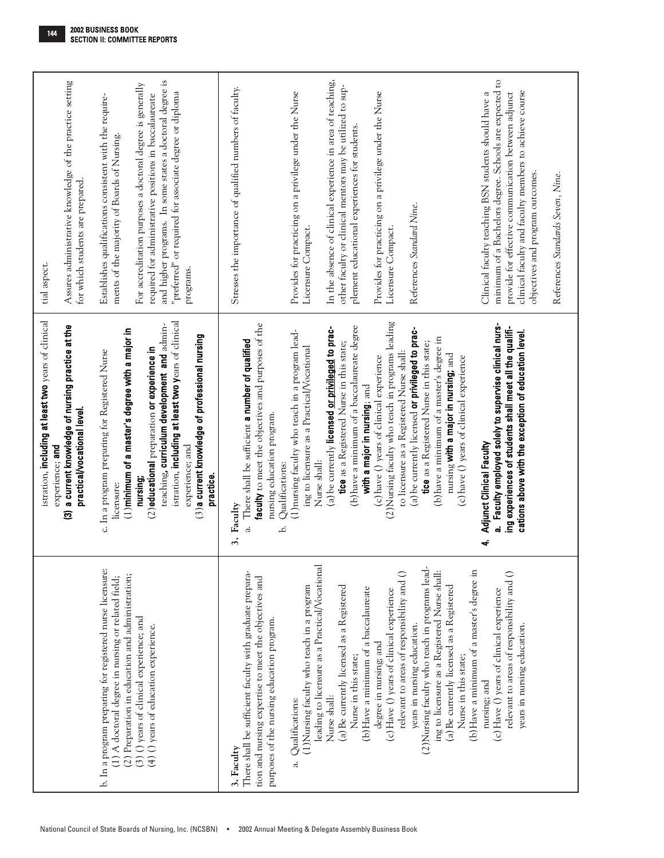| Assures administrative knowledge of the practice setting<br>for which students are prepared.<br>tial aspect.                                               | and higher programs. In some states a doctoral degree is<br>For accreditation purposes a doctoral degree is generally<br>"preferred" or required for associate degree or diploma<br>required for administrative positions in baccalaureate<br>Establishes qualifications consistent with the require-<br>ments of the majority of Boards of Nursing.<br>programs.         | In the absence of clinical experience in area of teaching,<br>other faculty or clinical mentors may be utilized to sup-<br>Stresses the importance of qualified numbers of faculty.<br>minimum of a Bachelors degree. Schools are expected<br>clinical faculty and faculty members to achieve course<br>Provides for practicing on a privilege under the Nurse<br>Provides for practicing on a privilege under the Nurse<br>provide for effective communication between adjunct<br>Clinical faculty teaching BSN students should have a<br>plement educational experiences for students.<br>objectives and program outcomes.<br>References Standards Seven, Nine.<br>References Standard Nine.<br>Licensure Compact.<br>Licensure Compact.                                                                                                                                                                                                                                                                                                                                                                                               |
|------------------------------------------------------------------------------------------------------------------------------------------------------------|---------------------------------------------------------------------------------------------------------------------------------------------------------------------------------------------------------------------------------------------------------------------------------------------------------------------------------------------------------------------------|------------------------------------------------------------------------------------------------------------------------------------------------------------------------------------------------------------------------------------------------------------------------------------------------------------------------------------------------------------------------------------------------------------------------------------------------------------------------------------------------------------------------------------------------------------------------------------------------------------------------------------------------------------------------------------------------------------------------------------------------------------------------------------------------------------------------------------------------------------------------------------------------------------------------------------------------------------------------------------------------------------------------------------------------------------------------------------------------------------------------------------------|
| istration, including at least two years of clinical<br>(3) a current knowledge of nursing practice at the<br>practical/vocational level<br>experience; and | istration, including at least two years of clinical<br>teaching, curriculum development and admin-<br>$(1)$ minimum of a master's degree with a major in<br>(3) a current knowledge of professional nursing<br>$(2)$ educational preparation or experience in<br>c. In a program preparing for Registered Nurse<br>experience; and<br>practice.<br>nursing;<br>licensure: | (2) Nursing faculty who teach in programs leading<br>a. Faculty employed solely to supervise clinical nurs-<br>faculty to meet the objectives and purposes of the<br>(b) have a minimum of a baccalaureate degree<br>(a) be currently licensed or privileged to prac-<br>ing experiences of students shall meet all the qualifi-<br>(a) be currently licensed or privileged to prac-<br>cations above with the exception of education level.<br>(1) nursing faculty who teach in a program lead-<br>(b) have a minimum of a master's degree in<br>There shall be sufficient a number of qualified<br>tice as a Registered Nurse in this state;<br>tice as a Registered Nurse in this state;<br>ing to licensure as a Practical/Vocational<br>to licensure as a Registered Nurse shall:<br>$\mathrm{n}$ ur $\mathrm{sing}$ with a major in nursing; and<br>(c) have () years of clinical experience<br>(c) have () years of clinical experience<br>with a major in nursing; and<br>nursing education program.<br><b>Adjunct Clinical Faculty</b><br>Nurse shall:<br>Qualifications:<br>Faculty<br>خ<br>$\dot{\vec{a}}$<br>$\ddot{.}$<br>÷ |
|                                                                                                                                                            | b. In a program preparing for registered nurse licensure:<br>(2) Preparation in education and administration;<br>(1) A doctoral degree in nursing or related field;<br>(3) () years of clinical experience; and<br>(4) years of education experience.                                                                                                                     | leading to licensure as a Practical/Vocational<br>(2) Nursing faculty who teach in programs lead-<br>(b)Have a minimum of a master's degree in<br>ing to licensure as a Registered Nurse shall:<br>There shall be sufficient faculty with graduate prepara-<br>relevant to areas of responsibility and ()<br>relevant to areas of responsibility and ()<br>tion and nursing expertise to meet the objectives and<br>(1)Nursing faculty who teach in a program<br>(a) Be currently licensed as a Registered<br>(a) Be currently licensed as a Registered<br>(b)Have a minimum of a baccalaureate<br>(c) Have () years of clinical experience<br>(c) Have () years of clinical experience<br>purposes of the nursing education program.<br>years in nursing education.<br>years in nursing education.<br>degree in nursing; and<br>Nurse in this state;<br>Nurse in this state;<br>nursing; and<br>Nurse shall:<br>a. Qualifications:<br>3. Faculty                                                                                                                                                                                        |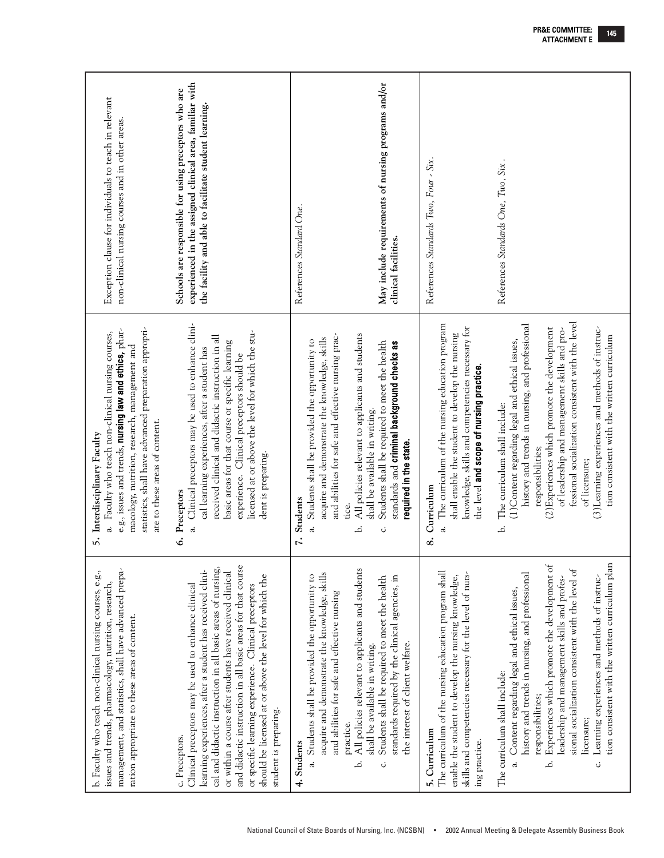| management, and statistics, shall have advanced prepa-<br>b. Faculty who teach non-clinical nursing courses, e.g.,<br>issues and trends, pharmacology, nutrition, research,<br>ration appropriate to these areas of content.                                                                                                                                                                                                                                            | statistics, shall have advanced preparation appropri-<br>e.g., issues and trends, nursing law and ethics, phar-<br>a. Faculty who teach non-clinical nursing courses,<br>macology, nutrition, research, management and<br>ate to these areas of content.<br>5. Interdisciplinary Faculty                                                                                                                                                | Exception clause for individuals to teach in relevant<br>non-clinical nursing courses and in other areas.                                                                 |
|-------------------------------------------------------------------------------------------------------------------------------------------------------------------------------------------------------------------------------------------------------------------------------------------------------------------------------------------------------------------------------------------------------------------------------------------------------------------------|-----------------------------------------------------------------------------------------------------------------------------------------------------------------------------------------------------------------------------------------------------------------------------------------------------------------------------------------------------------------------------------------------------------------------------------------|---------------------------------------------------------------------------------------------------------------------------------------------------------------------------|
| and didactic instruction in all basic areas for that course<br>cal and didactic instruction in all basic areas of nursing,<br>learning experiences, after a student has received clini-<br>or within a course after students have received clinical<br>should be licensed at or above the level for which the<br>or specific learning experience. Clinical preceptors<br>Clinical preceptors may be used to enhance clinical<br>student is preparing.<br>c. Preceptors. | Clinical preceptors may be used to enhance clini-<br>licensed at or above the level for which the stu-<br>received clinical and didactic instruction in all<br>basic areas for that course or specific learning<br>cal learning experiences, after a student has<br>experience. Clinical preceptors should be<br>dent is preparing.<br>Preceptors<br>$\ddot{a}$<br>Ġ                                                                    | experienced in the assigned clinical area, familiar with<br>Schools are responsible for using preceptors who are<br>the facility and able to facilitate student learning. |
| All policies relevant to applicants and students<br>acquire and demonstrate the knowledge, skills<br>Students shall be provided the opportunity to<br>standards required by the clinical agencies, in<br>Students shall be required to meet the health<br>and abilities for safe and effective nursing<br>shall be available in writing.<br>the interest of client welfare.<br>practice.<br>4. Students<br>خ<br>ن                                                       | All policies relevant to applicants and students<br>and abilities for safe and effective nursing prac-<br>acquire and demonstrate the knowledge, skills<br>Students shall be provided the opportunity to<br>Students shall be required to meet the health<br>standards and criminal background checks as<br>shall be available in writing.<br>required in the state.<br><b>Students</b><br>tice.<br>d.<br>خہ<br>ن<br>$\ddot{\sim}$      | May include requirements of nursing programs and/or<br>References Standard One.<br>clinical facilities.                                                                   |
| The curriculum of the nursing education program shall<br>skills and competencies necessary for the level of nurs-<br>enable the student to develop the nursing knowledge,<br>5. Curriculum<br>ing practice.                                                                                                                                                                                                                                                             | a. The curriculum of the nursing education program<br>knowledge, skills and competencies necessary for<br>shall enable the student to develop the nursing<br>the level and scope of nursing practice.<br>Curriculum<br>o.                                                                                                                                                                                                               | References Standards Two, Four - Six.                                                                                                                                     |
| tion consistent with the written curriculum plan<br>Experiences which promote the development of<br>sional socialization consistent with the level of<br>history and trends in nursing, and professional<br>leadership and management skills and profes-<br>Learning experiences and methods of instruc-<br>Content regarding legal and ethical issues,<br>The curriculum shall include:<br>responsibilities;<br>licensure;<br>خ<br>ن                                   | fessional socialization consistent with the level<br>history and trends in nursing, and professional<br>(3) Learning experiences and methods of instruc-<br>(2) Experiences which promote the development<br>of leadership and management skills and pro-<br>tion consistent with the written curriculum<br>(1)Content regarding legal and ethical issues,<br>The curriculum shall include:<br>responsibilities;<br>of licensure;<br>نم | References Standards One, Two, Six.                                                                                                                                       |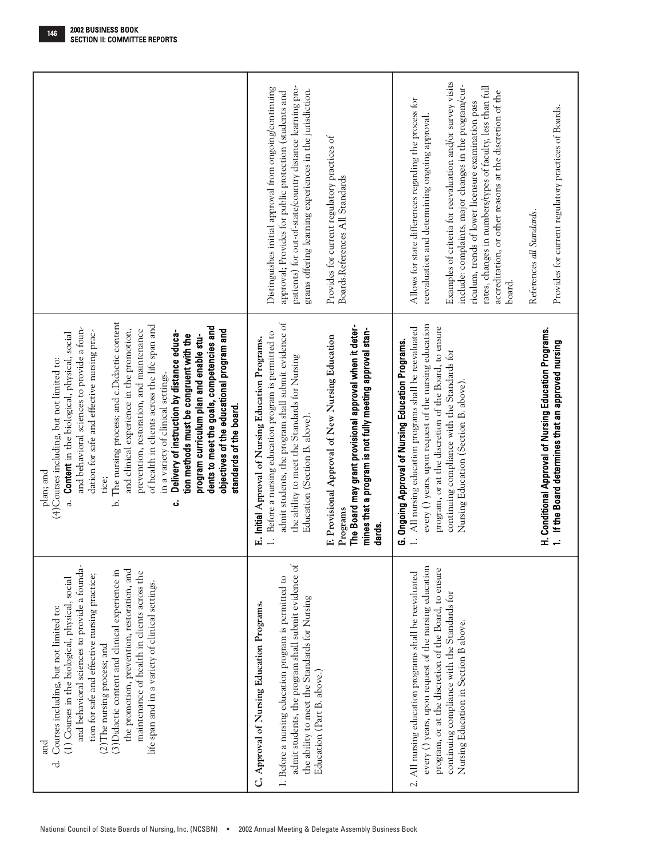| and behavioral sciences to provide a founda-<br>the promotion, prevention, restoration, and<br>(3) Didactic content and clinical experience in<br>maintenance of health in clients across the<br>tion for safe and effective nursing practice;<br>(1) Courses in the biological, physical, social<br>life span and in a variety of clinical settings.<br>Courses including, but not limited to:<br>(2)The nursing process; and<br>nd<br>and<br>ಕ | The nursing process; and c.Didactic content<br>of health in clients across the life span and<br>dents to meet the goals, competencies and<br>and behavioral sciences to provide a foun-<br>and clinical experience in the promotion,<br>prevention, restoration, and maintenance<br>objectives of the educational program and<br>dation for safe and effective nursing prac-<br>Delivery of instruction by distance educa-<br><b>Content</b> in the biological, physical, social<br>tion methods must be congruent with the<br>program curriculum plan and enable stu-<br>(4)Courses including, but not limited to:<br>in a variety of clinical settings.<br>standards of the board.<br>plan; and<br>tice;<br>خ<br>ن<br>$\ddot{a}$ |                                                                                                                                                                                                                                                                                                                                                                                                                             |
|--------------------------------------------------------------------------------------------------------------------------------------------------------------------------------------------------------------------------------------------------------------------------------------------------------------------------------------------------------------------------------------------------------------------------------------------------|------------------------------------------------------------------------------------------------------------------------------------------------------------------------------------------------------------------------------------------------------------------------------------------------------------------------------------------------------------------------------------------------------------------------------------------------------------------------------------------------------------------------------------------------------------------------------------------------------------------------------------------------------------------------------------------------------------------------------------|-----------------------------------------------------------------------------------------------------------------------------------------------------------------------------------------------------------------------------------------------------------------------------------------------------------------------------------------------------------------------------------------------------------------------------|
| admit students, the program shall submit evidence of<br>1. Before a nursing education program is permitted to<br>the ability to meet the Standards for Nursing<br>C. Approval of Nursing Education Programs.<br>Education (Part B. above.)                                                                                                                                                                                                       | admit students, the program shall submit evidence of<br>Before a nursing education program is permitted to<br>E. Initial Approval of Nursing Education Programs.<br>the ability to meet the Standards for Nursing<br>Education (Section B. above).<br>$\overline{a}$                                                                                                                                                                                                                                                                                                                                                                                                                                                               | patients) for out-of-state/country distance learning pro-<br>Distinguishes initial approval from ongoing/continuing<br>grams offering learning experiences in the jurisdiction.<br>approval; Provides for public protection (students and                                                                                                                                                                                   |
|                                                                                                                                                                                                                                                                                                                                                                                                                                                  | The Board may grant provisional approval when it deter-<br>mines that a program is not fully meeting approval stan-<br>F. Provisional Approval of New Nursing Education<br>Programs<br>dards.                                                                                                                                                                                                                                                                                                                                                                                                                                                                                                                                      | Provides for current regulatory practices of<br>Boards.References All Standards                                                                                                                                                                                                                                                                                                                                             |
| every () years, upon request of the nursing education<br>program, or at the discretion of the Board, to ensure<br>2. All nursing education programs shall be reevaluated<br>continuing compliance with the Standards for<br>Nursing Education in Section B above.                                                                                                                                                                                | every () years, upon request of the nursing education<br>program, or at the discretion of the Board, to ensure<br>1. All nursing education programs shall be reevaluated<br>G. Ongoing Approval of Nursing Education Programs.<br>continuing compliance with the Standards for<br>Nursing Education (Section B. above).                                                                                                                                                                                                                                                                                                                                                                                                            | Examples of criteria for reevaluation and/or survey visits<br>include: complaints, major changes in the program/cur-<br>rates, changes in numbers/types of faculty, less than full<br>accreditation, or other reasons at the discretion of the<br>Allows for state differences regarding the process for<br>riculum, trends of lower licensure examination pass<br>reevaluation and determining ongoing approval.<br>board. |
|                                                                                                                                                                                                                                                                                                                                                                                                                                                  | H. Conditional Approval of Nursing Education Programs.<br>1. If the Board determines that an approved nursing                                                                                                                                                                                                                                                                                                                                                                                                                                                                                                                                                                                                                      | Provides for current regulatory practices of Boards.<br>References all Standards.                                                                                                                                                                                                                                                                                                                                           |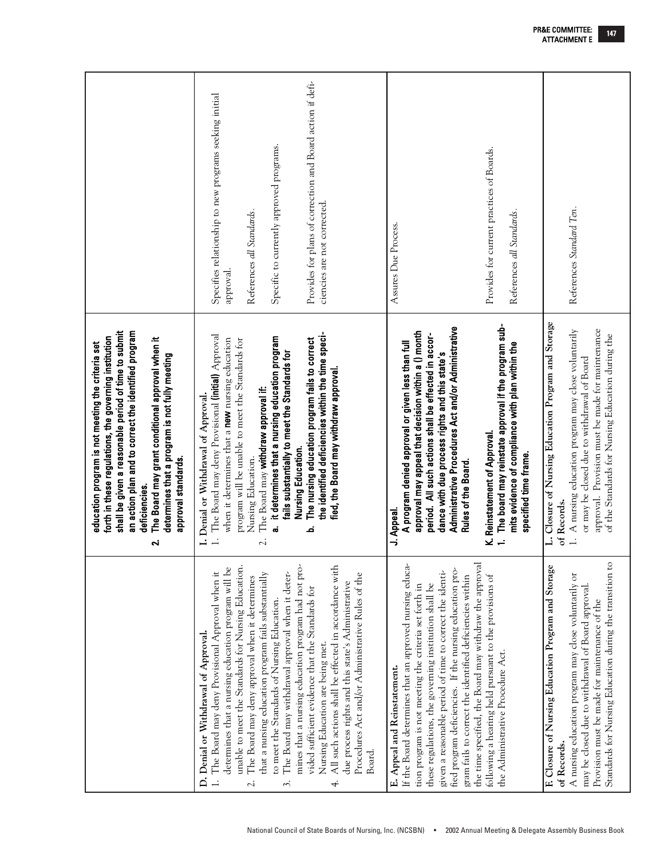|                                                                                                                                                                                                                                                                                                                                                                                | Provides for plans of correction and Board action if defi-<br>Specifies relationship to new programs seeking initial<br>Specific to currently approved programs.<br>ciencies are not corrected.<br>References all Standards.<br>approval                                                                                                                                                                                                                                                                                                                                                                                                                                                                                                                          | Provides for current practices of Boards.<br>References all Standards.<br>Assures Due Process.                                                                                                                                                                                                                                                                                                                                                                                                                                                          | References Standard Ten.                                                                                                                                                                                                                                                                          |
|--------------------------------------------------------------------------------------------------------------------------------------------------------------------------------------------------------------------------------------------------------------------------------------------------------------------------------------------------------------------------------|-------------------------------------------------------------------------------------------------------------------------------------------------------------------------------------------------------------------------------------------------------------------------------------------------------------------------------------------------------------------------------------------------------------------------------------------------------------------------------------------------------------------------------------------------------------------------------------------------------------------------------------------------------------------------------------------------------------------------------------------------------------------|---------------------------------------------------------------------------------------------------------------------------------------------------------------------------------------------------------------------------------------------------------------------------------------------------------------------------------------------------------------------------------------------------------------------------------------------------------------------------------------------------------------------------------------------------------|---------------------------------------------------------------------------------------------------------------------------------------------------------------------------------------------------------------------------------------------------------------------------------------------------|
| shall be given a reasonable period of time to submit<br>an action plan and to correct the identified program<br>forth in these regulations, the governing institution<br>The Board may grant conditional approval when it<br>education program is not meeting the criteria set<br>determines that a program is not fully meeting<br>approval standards.<br>deficiencies.<br>نہ | the identified deficiencies within the time speci-<br>The Board may deny Provisional (initial) Approval<br>it determines that a nursing education program<br>The nursing education program fails to correct<br>when it determines that a new nursing education<br>program will be unable to meet the Standards for<br>fails substantially to meet the Standards for<br>fied, the Board may withdraw approval.<br>The Board may withdraw approval if:<br>I. Denial or Withdrawal of Approval.<br>Nursing Education.<br>Nursing Education.<br>a<br>نم<br>$\dot{\sim}$                                                                                                                                                                                               | The board may reinstate approval if the program sub-<br>Administrative Procedures Act and/or Administrative<br>approval may appeal that decision within a $()$ month<br>period. All such actions shall be effected in accor-<br>A program denied approval or given less than full<br>mits evidence of compliance with plan within the<br>dance with due process rights and this state's<br>K. Reinstatement of Approval.<br>specified time frame.<br>Rules of the Board<br>J. Appeal.                                                                   | L. Closure of Nursing Education Program and Storage<br>approval. Provision must be made for maintenance<br>A nursing education program may close voluntarily<br>of the Standards for Nursing Education during the<br>or may be closed due to withdrawal of Board<br>of Records.<br>$\overline{a}$ |
|                                                                                                                                                                                                                                                                                                                                                                                | mines that a nursing education program had not pro-<br>All such actions shall be effected in accordance with<br>unable to meet the Standards for Nursing Education.<br>determines that a nursing education program will be<br>The Board may deny Provisional Approval when it<br>The Board may withdrawal approval when it deter-<br>that a nursing education program fails substantially<br>Procedures Act and/or Administrative Rules of the<br>The Board may deny approval when it determines<br>due process rights and this state's Administrative<br>vided sufficient evidence that the Standards for<br>to meet the Standards of Nursing Education.<br>D. Denial or Withdrawal of Approval.<br>Nursing Education are being met.<br>Board.<br>4.<br>3.<br>ż, | the time specified, the Board may withdraw the approval<br>If the Board determines that an approved nursing educa-<br>fied program deficiencies. If the nursing education pro-<br>given a reasonable period of time to correct the identi-<br>gram fails to correct the identified deficiencies within<br>following a hearing held pursuant to the provisions of<br>these regulations, the governing institution shall be<br>tion program is not meeting the criteria set forth in<br>the Administrative Procedure Act.<br>E. Appeal and Reinstatement. | Standards for Nursing Education during the transition to<br>F. Closure of Nursing Education Program and Storage<br>A nursing education program may close voluntarily or<br>may be closed due to withdrawal of Board approval.<br>Provision must be made for maintenance of the<br>of Records.     |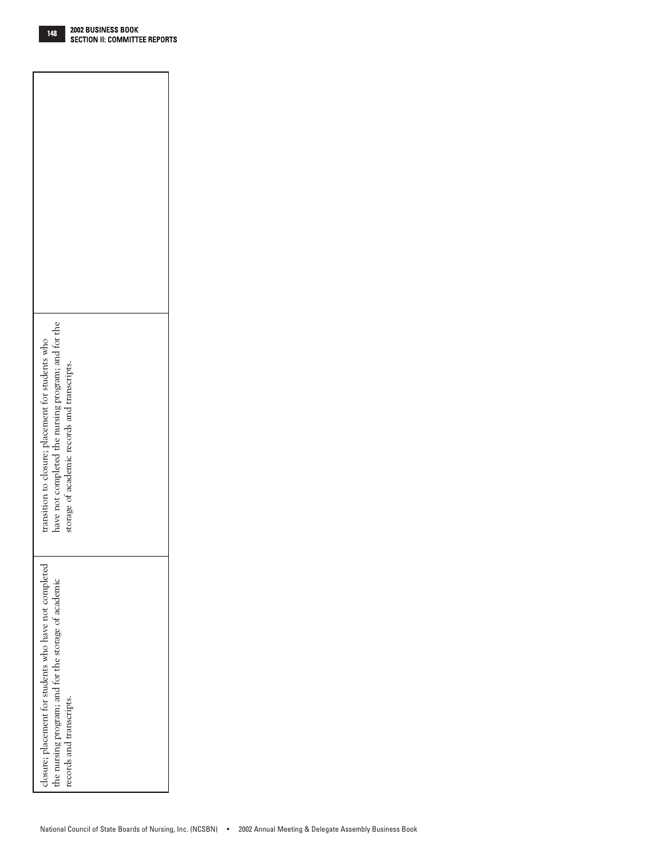| have not completed the nursing program; and for the<br>transition to closure; placement for students who<br>storage of academic records and transcripts. |  |
|----------------------------------------------------------------------------------------------------------------------------------------------------------|--|
| closure; placement for students who have not completed<br>the nursing program; and for the storage of academic<br>records and transcripts.               |  |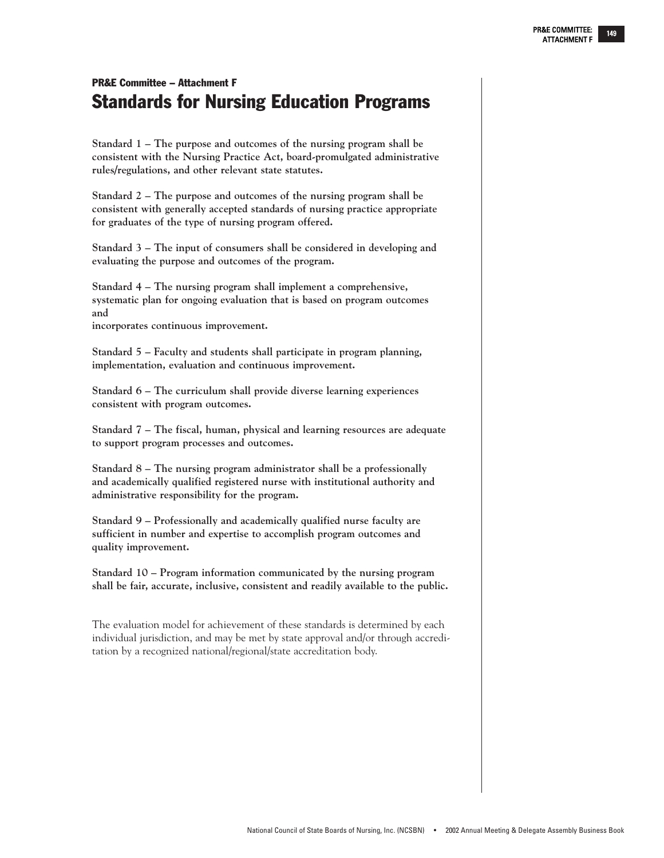## PR&E Committee – Attachment F Standards for Nursing Education Programs

**Standard 1 – The purpose and outcomes of the nursing program shall be consistent with the Nursing Practice Act, board-promulgated administrative rules/regulations, and other relevant state statutes.**

**Standard 2 – The purpose and outcomes of the nursing program shall be consistent with generally accepted standards of nursing practice appropriate for graduates of the type of nursing program offered.**

**Standard 3 – The input of consumers shall be considered in developing and evaluating the purpose and outcomes of the program.** 

**Standard 4 – The nursing program shall implement a comprehensive, systematic plan for ongoing evaluation that is based on program outcomes and** 

**incorporates continuous improvement.**

**Standard 5 – Faculty and students shall participate in program planning, implementation, evaluation and continuous improvement.** 

**Standard 6 – The curriculum shall provide diverse learning experiences consistent with program outcomes.** 

**Standard 7 – The fiscal, human, physical and learning resources are adequate to support program processes and outcomes.**

**Standard 8 – The nursing program administrator shall be a professionally and academically qualified registered nurse with institutional authority and administrative responsibility for the program.**

**Standard 9 – Professionally and academically qualified nurse faculty are sufficient in number and expertise to accomplish program outcomes and quality improvement.**

**Standard 10 – Program information communicated by the nursing program shall be fair, accurate, inclusive, consistent and readily available to the public.**

The evaluation model for achievement of these standards is determined by each individual jurisdiction, and may be met by state approval and/or through accreditation by a recognized national/regional/state accreditation body.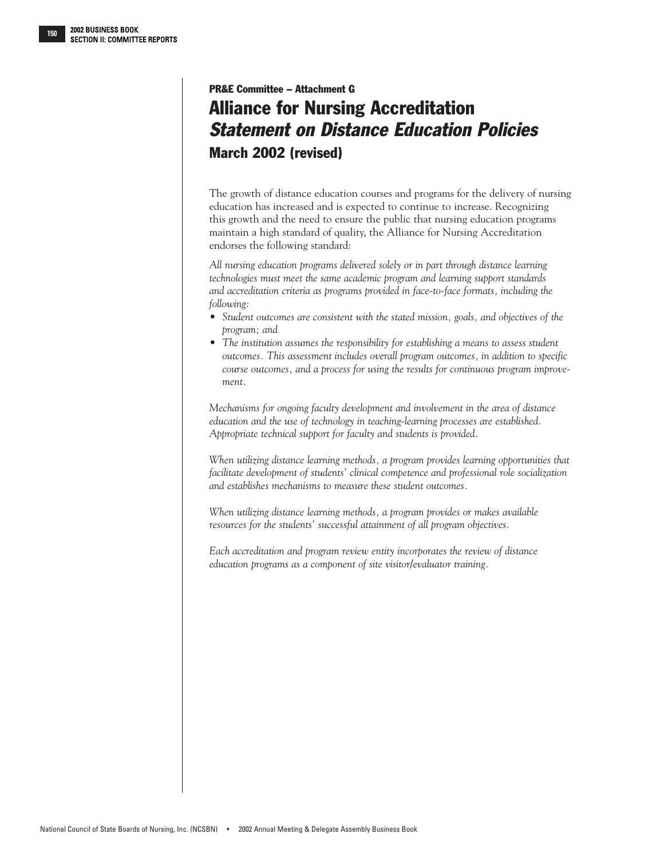PR&E Committee – Attachment G

# Alliance for Nursing Accreditation Statement on Distance Education Policies March 2002 (revised)

The growth of distance education courses and programs for the delivery of nursing education has increased and is expected to continue to increase. Recognizing this growth and the need to ensure the public that nursing education programs maintain a high standard of quality, the Alliance for Nursing Accreditation endorses the following standard:

*All nursing education programs delivered solely or in part through distance learning technologies must meet the same academic program and learning support standards and accreditation criteria as programs provided in face-to-face formats, including the following:*

- *Student outcomes are consistent with the stated mission, goals, and objectives of the program; and*
- *The institution assumes the responsibility for establishing a means to assess student outcomes. This assessment includes overall program outcomes, in addition to specific course outcomes, and a process for using the results for continuous program improvement.*

*Mechanisms for ongoing faculty development and involvement in the area of distance education and the use of technology in teaching-learning processes are established. Appropriate technical support for faculty and students is provided.* 

*When utilizing distance learning methods, a program provides learning opportunities that facilitate development of students' clinical competence and professional role socialization and establishes mechanisms to measure these student outcomes.* 

*When utilizing distance learning methods, a program provides or makes available resources for the students' successful attainment of all program objectives.* 

*Each accreditation and program review entity incorporates the review of distance education programs as a component of site visitor/evaluator training.*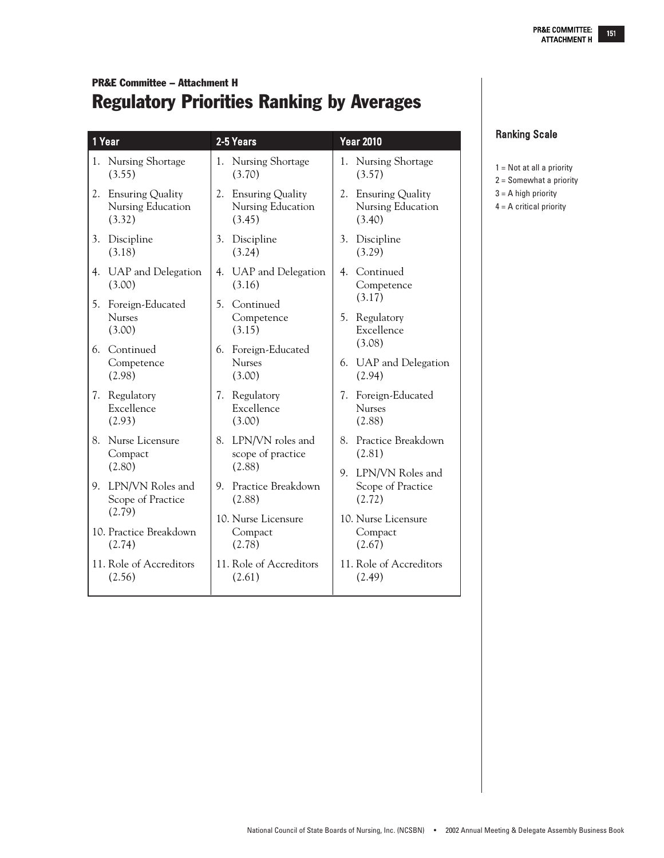## PR&E Committee – Attachment H Regulatory Priorities Ranking by Averages

| 1 Year                                                       | 2-5 Years                                          | <b>Year 2010</b>                                   |
|--------------------------------------------------------------|----------------------------------------------------|----------------------------------------------------|
| 1. Nursing Shortage<br>(3.55)                                | 1. Nursing Shortage<br>(3.70)                      | 1. Nursing Shortage<br>(3.57)                      |
| <b>Ensuring Quality</b><br>2.<br>Nursing Education<br>(3.32) | 2. Ensuring Quality<br>Nursing Education<br>(3.45) | 2. Ensuring Quality<br>Nursing Education<br>(3.40) |
| Discipline<br>3.<br>(3.18)                                   | 3. Discipline<br>(3.24)                            | Discipline<br>3.<br>(3.29)                         |
| UAP and Delegation<br>4.<br>(3.00)                           | 4. UAP and Delegation<br>(3.16)                    | 4.<br>Continued<br>Competence                      |
| Foreign-Educated<br>5.<br><b>Nurses</b><br>(3.00)            | 5. Continued<br>Competence<br>(3.15)               | (3.17)<br>5. Regulatory<br>Excellence              |
| Continued<br>6.<br>Competence<br>(2.98)                      | 6. Foreign-Educated<br><b>Nurses</b><br>(3.00)     | (3.08)<br>6. UAP and Delegation<br>(2.94)          |
| 7.<br>Regulatory<br>Excellence<br>(2.93)                     | 7. Regulatory<br>Excellence<br>(3.00)              | Foreign-Educated<br>7.<br><b>Nurses</b><br>(2.88)  |
| Nurse Licensure<br>8.<br>Compact                             | 8. LPN/VN roles and<br>scope of practice           | Practice Breakdown<br>8.<br>(2.81)                 |
| (2.80)<br>LPN/VN Roles and<br>9.<br>Scope of Practice        | (2.88)<br>9. Practice Breakdown<br>(2.88)          | 9. LPN/VN Roles and<br>Scope of Practice<br>(2.72) |
| (2.79)<br>10. Practice Breakdown<br>(2.74)                   | 10. Nurse Licensure<br>Compact<br>(2.78)           | 10. Nurse Licensure<br>Compact<br>(2.67)           |
| 11. Role of Accreditors<br>(2.56)                            | 11. Role of Accreditors<br>(2.61)                  | 11. Role of Accreditors<br>(2.49)                  |

## Ranking Scale

- $1 =$  Not at all a priority
- 2 = Somewhat a priority
- $3 = A$  high priority
- 4 = A critical priority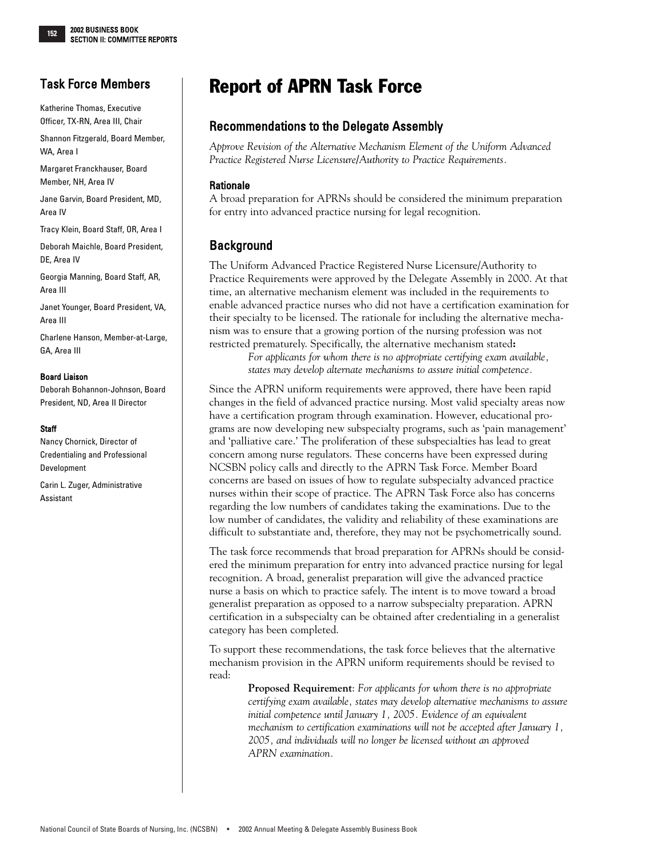## Task Force Members

Katherine Thomas, Executive Officer, TX-RN, Area III, Chair

Shannon Fitzgerald, Board Member, WA, Area I

Margaret Franckhauser, Board Member, NH, Area IV

Jane Garvin, Board President, MD, Area IV

Tracy Klein, Board Staff, OR, Area I

Deborah Maichle, Board President, DE, Area IV

Georgia Manning, Board Staff, AR, Area III

Janet Younger, Board President, VA, Area III

Charlene Hanson, Member-at-Large, GA, Area III

#### Board Liaison

Deborah Bohannon-Johnson, Board President, ND, Area II Director

#### **Staff**

Nancy Chornick, Director of Credentialing and Professional Development

Carin L. Zuger, Administrative Assistant

# Report of APRN Task Force

#### Recommendations to the Delegate Assembly

*Approve Revision of the Alternative Mechanism Element of the Uniform Advanced Practice Registered Nurse Licensure/Authority to Practice Requirements.*

#### **Rationale**

A broad preparation for APRNs should be considered the minimum preparation for entry into advanced practice nursing for legal recognition.

#### **Background**

The Uniform Advanced Practice Registered Nurse Licensure/Authority to Practice Requirements were approved by the Delegate Assembly in 2000. At that time, an alternative mechanism element was included in the requirements to enable advanced practice nurses who did not have a certification examination for their specialty to be licensed. The rationale for including the alternative mechanism was to ensure that a growing portion of the nursing profession was not restricted prematurely. Specifically, the alternative mechanism stated**:**

*For applicants for whom there is no appropriate certifying exam available, states may develop alternate mechanisms to assure initial competence.*

Since the APRN uniform requirements were approved, there have been rapid changes in the field of advanced practice nursing. Most valid specialty areas now have a certification program through examination. However, educational programs are now developing new subspecialty programs, such as 'pain management' and 'palliative care.' The proliferation of these subspecialties has lead to great concern among nurse regulators. These concerns have been expressed during NCSBN policy calls and directly to the APRN Task Force. Member Board concerns are based on issues of how to regulate subspecialty advanced practice nurses within their scope of practice. The APRN Task Force also has concerns regarding the low numbers of candidates taking the examinations. Due to the low number of candidates, the validity and reliability of these examinations are difficult to substantiate and, therefore, they may not be psychometrically sound.

The task force recommends that broad preparation for APRNs should be considered the minimum preparation for entry into advanced practice nursing for legal recognition. A broad, generalist preparation will give the advanced practice nurse a basis on which to practice safely. The intent is to move toward a broad generalist preparation as opposed to a narrow subspecialty preparation. APRN certification in a subspecialty can be obtained after credentialing in a generalist category has been completed.

To support these recommendations, the task force believes that the alternative mechanism provision in the APRN uniform requirements should be revised to read:

> **Proposed Requirement**: *For applicants for whom there is no appropriate certifying exam available, states may develop alternative mechanisms to assure initial competence until January 1, 2005. Evidence of an equivalent mechanism to certification examinations will not be accepted after January 1, 2005, and individuals will no longer be licensed without an approved APRN examination.*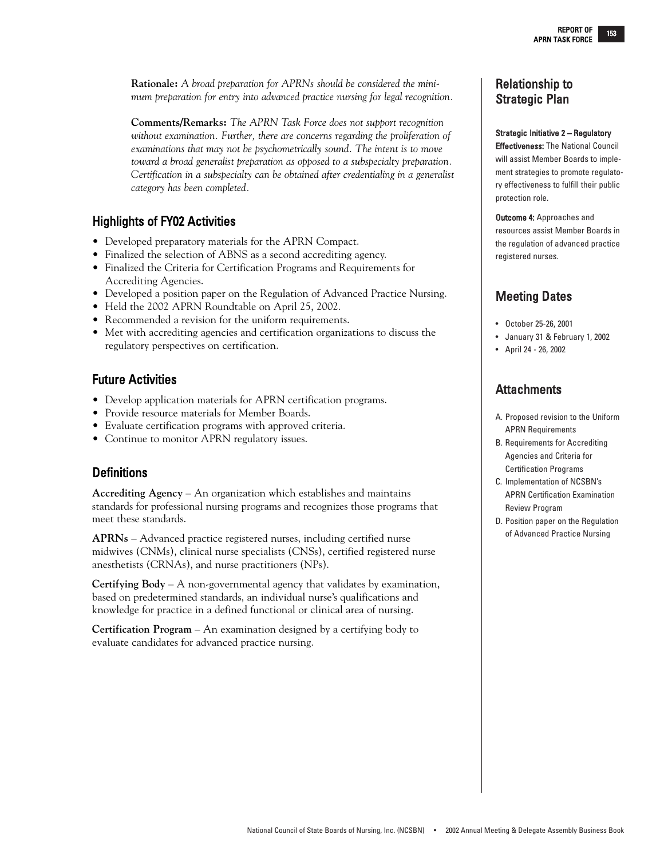**Rationale:** *A broad preparation for APRNs should be considered the minimum preparation for entry into advanced practice nursing for legal recognition.*

**Comments/Remarks:** *The APRN Task Force does not support recognition without examination. Further, there are concerns regarding the proliferation of examinations that may not be psychometrically sound. The intent is to move toward a broad generalist preparation as opposed to a subspecialty preparation. Certification in a subspecialty can be obtained after credentialing in a generalist category has been completed.*

#### Highlights of FY02 Activities

- Developed preparatory materials for the APRN Compact.
- Finalized the selection of ABNS as a second accrediting agency.
- Finalized the Criteria for Certification Programs and Requirements for Accrediting Agencies.
- Developed a position paper on the Regulation of Advanced Practice Nursing.
- Held the 2002 APRN Roundtable on April 25, 2002.
- Recommended a revision for the uniform requirements.
- Met with accrediting agencies and certification organizations to discuss the regulatory perspectives on certification.

#### Future Activities

- Develop application materials for APRN certification programs.
- Provide resource materials for Member Boards.
- Evaluate certification programs with approved criteria.
- Continue to monitor APRN regulatory issues.

#### **Definitions**

**Accrediting Agency** – An organization which establishes and maintains standards for professional nursing programs and recognizes those programs that meet these standards.

**APRNs** – Advanced practice registered nurses, including certified nurse midwives (CNMs), clinical nurse specialists (CNSs), certified registered nurse anesthetists (CRNAs), and nurse practitioners (NPs).

**Certifying Body** – A non-governmental agency that validates by examination, based on predetermined standards, an individual nurse's qualifications and knowledge for practice in a defined functional or clinical area of nursing.

**Certification Program** – An examination designed by a certifying body to evaluate candidates for advanced practice nursing.

## Relationship to Strategic Plan

#### Strategic Initiative 2 – Regulatory

Effectiveness: The National Council will assist Member Boards to implement strategies to promote regulatory effectiveness to fulfill their public protection role.

Outcome 4: Approaches and resources assist Member Boards in the regulation of advanced practice registered nurses.

## Meeting Dates

- October 25-26, 2001
- January 31 & February 1, 2002
- April 24 26, 2002

### **Attachments**

- A. Proposed revision to the Uniform APRN Requirements
- B. Requirements for Accrediting Agencies and Criteria for Certification Programs
- C. Implementation of NCSBN's APRN Certification Examination Review Program
- D. Position paper on the Regulation of Advanced Practice Nursing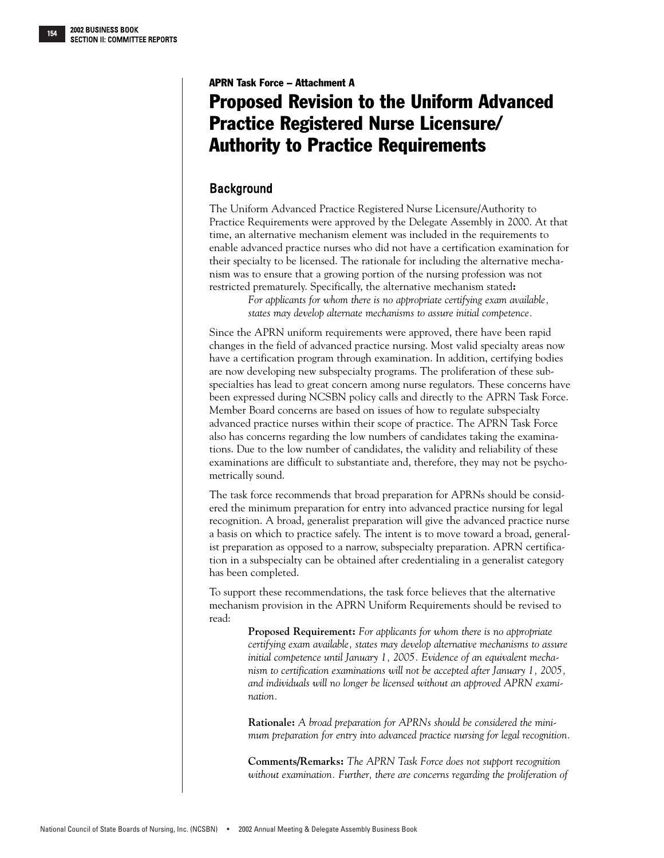#### APRN Task Force – Attachment A

# Proposed Revision to the Uniform Advanced Practice Registered Nurse Licensure/ Authority to Practice Requirements

#### **Background**

The Uniform Advanced Practice Registered Nurse Licensure/Authority to Practice Requirements were approved by the Delegate Assembly in 2000. At that time, an alternative mechanism element was included in the requirements to enable advanced practice nurses who did not have a certification examination for their specialty to be licensed. The rationale for including the alternative mechanism was to ensure that a growing portion of the nursing profession was not restricted prematurely. Specifically, the alternative mechanism stated**:**

> *For applicants for whom there is no appropriate certifying exam available, states may develop alternate mechanisms to assure initial competence.*

Since the APRN uniform requirements were approved, there have been rapid changes in the field of advanced practice nursing. Most valid specialty areas now have a certification program through examination. In addition, certifying bodies are now developing new subspecialty programs. The proliferation of these subspecialties has lead to great concern among nurse regulators. These concerns have been expressed during NCSBN policy calls and directly to the APRN Task Force. Member Board concerns are based on issues of how to regulate subspecialty advanced practice nurses within their scope of practice. The APRN Task Force also has concerns regarding the low numbers of candidates taking the examinations. Due to the low number of candidates, the validity and reliability of these examinations are difficult to substantiate and, therefore, they may not be psychometrically sound.

The task force recommends that broad preparation for APRNs should be considered the minimum preparation for entry into advanced practice nursing for legal recognition. A broad, generalist preparation will give the advanced practice nurse a basis on which to practice safely. The intent is to move toward a broad, generalist preparation as opposed to a narrow, subspecialty preparation. APRN certification in a subspecialty can be obtained after credentialing in a generalist category has been completed.

To support these recommendations, the task force believes that the alternative mechanism provision in the APRN Uniform Requirements should be revised to read:

> **Proposed Requirement:** *For applicants for whom there is no appropriate certifying exam available, states may develop alternative mechanisms to assure initial competence until January 1, 2005. Evidence of an equivalent mechanism to certification examinations will not be accepted after January 1, 2005, and individuals will no longer be licensed without an approved APRN examination.*

> **Rationale:** *A broad preparation for APRNs should be considered the minimum preparation for entry into advanced practice nursing for legal recognition.*

> **Comments/Remarks:** *The APRN Task Force does not support recognition without examination. Further, there are concerns regarding the proliferation of*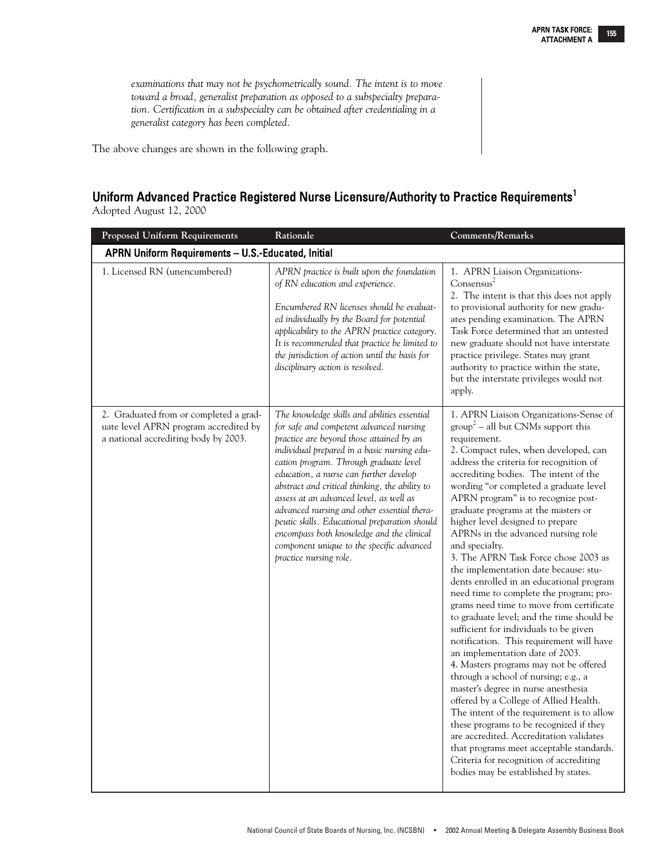*examinations that may not be psychometrically sound. The intent is to move toward a broad, generalist preparation as opposed to a subspecialty preparation. Certification in a subspecialty can be obtained after credentialing in a generalist category has been completed.*

The above changes are shown in the following graph.

### Uniform Advanced Practice Registered Nurse Licensure/Authority to Practice Requirements<sup>1</sup> Adopted August 12, 2000

| Proposed Uniform Requirements                                                                                           | Rationale                                                                                                                                                                                                                                                                                                                                                                                                                                                                                                                                                                               | <b>Comments/Remarks</b>                                                                                                                                                                                                                                                                                                                                                                                                                                                                                                                                                                                                                                                                                                                                                                                                                                                                                                                                                                                                                                                                                                                                                                                                                                                                |  |  |
|-------------------------------------------------------------------------------------------------------------------------|-----------------------------------------------------------------------------------------------------------------------------------------------------------------------------------------------------------------------------------------------------------------------------------------------------------------------------------------------------------------------------------------------------------------------------------------------------------------------------------------------------------------------------------------------------------------------------------------|----------------------------------------------------------------------------------------------------------------------------------------------------------------------------------------------------------------------------------------------------------------------------------------------------------------------------------------------------------------------------------------------------------------------------------------------------------------------------------------------------------------------------------------------------------------------------------------------------------------------------------------------------------------------------------------------------------------------------------------------------------------------------------------------------------------------------------------------------------------------------------------------------------------------------------------------------------------------------------------------------------------------------------------------------------------------------------------------------------------------------------------------------------------------------------------------------------------------------------------------------------------------------------------|--|--|
|                                                                                                                         | APRN Uniform Requirements - U.S.-Educated, Initial                                                                                                                                                                                                                                                                                                                                                                                                                                                                                                                                      |                                                                                                                                                                                                                                                                                                                                                                                                                                                                                                                                                                                                                                                                                                                                                                                                                                                                                                                                                                                                                                                                                                                                                                                                                                                                                        |  |  |
| 1. Licensed RN (unencumbered)                                                                                           | APRN practice is built upon the foundation<br>of RN education and experience.<br>Encumbered RN licenses should be evaluat-<br>ed individually by the Board for potential<br>applicability to the APRN practice category.<br>It is recommended that practice be limited to<br>the jurisdiction of action until the basis for<br>disciplinary action is resolved.                                                                                                                                                                                                                         | 1. APRN Liaison Organizations-<br>Consensus <sup>2</sup><br>2. The intent is that this does not apply<br>to provisional authority for new gradu-<br>ates pending examination. The APRN<br>Task Force determined that an untested<br>new graduate should not have interstate<br>practice privilege. States may grant<br>authority to practice within the state,<br>but the interstate privileges would not<br>apply.                                                                                                                                                                                                                                                                                                                                                                                                                                                                                                                                                                                                                                                                                                                                                                                                                                                                    |  |  |
| 2. Graduated from or completed a grad-<br>uate level APRN program accredited by<br>a national accrediting body by 2003. | The knowledge skills and abilities essential<br>for safe and competent advanced nursing<br>practice are beyond those attained by an<br>individual prepared in a basic nursing edu-<br>cation program. Through graduate level<br>education, a nurse can further develop<br>abstract and critical thinking, the ability to<br>assess at an advanced level, as well as<br>advanced nursing and other essential thera-<br>peutic skills. Educational preparation should<br>encompass both knowledge and the clinical<br>component unique to the specific advanced<br>practice nursing role. | 1. APRN Liaison Organizations-Sense of<br>$\text{group}^2$ – all but CNMs support this<br>requirement.<br>2. Compact rules, when developed, can<br>address the criteria for recognition of<br>accrediting bodies. The intent of the<br>wording "or completed a graduate level<br>APRN program" is to recognize post-<br>graduate programs at the masters or<br>higher level designed to prepare<br>APRNs in the advanced nursing role<br>and specialty.<br>3. The APRN Task Force chose 2003 as<br>the implementation date because: stu-<br>dents enrolled in an educational program<br>need time to complete the program; pro-<br>grams need time to move from certificate<br>to graduate level; and the time should be<br>sufficient for individuals to be given<br>notification. This requirement will have<br>an implementation date of 2003.<br>4. Masters programs may not be offered<br>through a school of nursing; e.g., a<br>master's degree in nurse anesthesia<br>offered by a College of Allied Health.<br>The intent of the requirement is to allow<br>these programs to be recognized if they<br>are accredited. Accreditation validates<br>that programs meet acceptable standards.<br>Criteria for recognition of accrediting<br>bodies may be established by states. |  |  |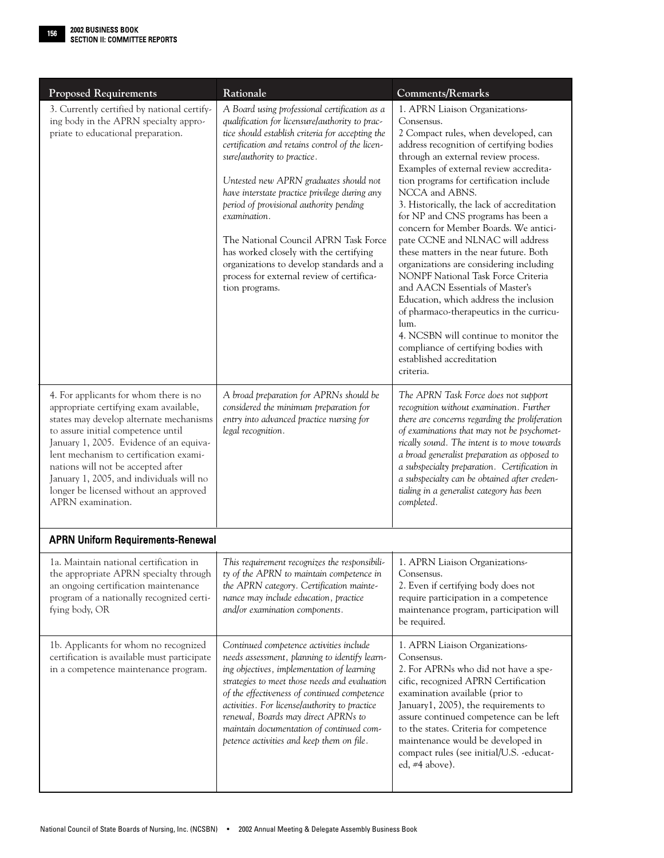| <b>Proposed Requirements</b>                                                                                                                                                                                                                                                                                                                                                                            | Rationale                                                                                                                                                                                                                                                                                                                                                                                                                                                                                                                                                                                | <b>Comments/Remarks</b>                                                                                                                                                                                                                                                                                                                                                                                                                                                                                                                                                                                                                                                                                                                                                                                                                |
|---------------------------------------------------------------------------------------------------------------------------------------------------------------------------------------------------------------------------------------------------------------------------------------------------------------------------------------------------------------------------------------------------------|------------------------------------------------------------------------------------------------------------------------------------------------------------------------------------------------------------------------------------------------------------------------------------------------------------------------------------------------------------------------------------------------------------------------------------------------------------------------------------------------------------------------------------------------------------------------------------------|----------------------------------------------------------------------------------------------------------------------------------------------------------------------------------------------------------------------------------------------------------------------------------------------------------------------------------------------------------------------------------------------------------------------------------------------------------------------------------------------------------------------------------------------------------------------------------------------------------------------------------------------------------------------------------------------------------------------------------------------------------------------------------------------------------------------------------------|
| 3. Currently certified by national certify-<br>ing body in the APRN specialty appro-<br>priate to educational preparation.                                                                                                                                                                                                                                                                              | A Board using professional certification as a<br>qualification for licensure/authority to prac-<br>tice should establish criteria for accepting the<br>certification and retains control of the licen-<br>sure/authority to practice.<br>Untested new APRN graduates should not<br>have interstate practice privilege during any<br>period of provisional authority pending<br>examination.<br>The National Council APRN Task Force<br>has worked closely with the certifying<br>organizations to develop standards and a<br>process for external review of certifica-<br>tion programs. | 1. APRN Liaison Organizations-<br>Consensus.<br>2 Compact rules, when developed, can<br>address recognition of certifying bodies<br>through an external review process.<br>Examples of external review accredita-<br>tion programs for certification include<br>NCCA and ABNS.<br>3. Historically, the lack of accreditation<br>for NP and CNS programs has been a<br>concern for Member Boards. We antici-<br>pate CCNE and NLNAC will address<br>these matters in the near future. Both<br>organizations are considering including<br>NONPF National Task Force Criteria<br>and AACN Essentials of Master's<br>Education, which address the inclusion<br>of pharmaco-therapeutics in the curricu-<br>lum.<br>4. NCSBN will continue to monitor the<br>compliance of certifying bodies with<br>established accreditation<br>criteria. |
| 4. For applicants for whom there is no<br>appropriate certifying exam available,<br>states may develop alternate mechanisms<br>to assure initial competence until<br>January 1, 2005. Evidence of an equiva-<br>lent mechanism to certification exami-<br>nations will not be accepted after<br>January 1, 2005, and individuals will no<br>longer be licensed without an approved<br>APRN examination. | A broad preparation for APRNs should be<br>considered the minimum preparation for<br>entry into advanced practice nursing for<br>legal recognition.                                                                                                                                                                                                                                                                                                                                                                                                                                      | The APRN Task Force does not support<br>recognition without examination. Further<br>there are concerns regarding the proliferation<br>of examinations that may not be psychomet-<br>rically sound. The intent is to move towards<br>a broad generalist preparation as opposed to<br>a subspecialty preparation. Certification in<br>a subspecialty can be obtained after creden-<br>tialing in a generalist category has been<br>completed.                                                                                                                                                                                                                                                                                                                                                                                            |
| <b>APRN Uniform Requirements-Renewal</b>                                                                                                                                                                                                                                                                                                                                                                |                                                                                                                                                                                                                                                                                                                                                                                                                                                                                                                                                                                          |                                                                                                                                                                                                                                                                                                                                                                                                                                                                                                                                                                                                                                                                                                                                                                                                                                        |
| 1a. Maintain national certification in<br>the appropriate APRN specialty through<br>an ongoing certification maintenance<br>program of a nationally recognized certi-<br>fying body, OR                                                                                                                                                                                                                 | This requirement recognizes the responsibili-<br>ty of the APRN to maintain competence in<br>the APRN category. Certification mainte-<br>nance may include education, practice<br>and/or examination components.                                                                                                                                                                                                                                                                                                                                                                         | 1. APRN Liaison Organizations-<br>Consensus.<br>2. Even if certifying body does not<br>require participation in a competence<br>maintenance program, participation will<br>be required.                                                                                                                                                                                                                                                                                                                                                                                                                                                                                                                                                                                                                                                |
| 1b. Applicants for whom no recognized<br>certification is available must participate<br>in a competence maintenance program.                                                                                                                                                                                                                                                                            | Continued competence activities include<br>needs assessment, planning to identify learn-<br>ing objectives, implementation of learning<br>strategies to meet those needs and evaluation<br>of the effectiveness of continued competence<br>activities. For license/authority to practice<br>renewal, Boards may direct APRNs to<br>maintain documentation of continued com-<br>petence activities and keep them on file.                                                                                                                                                                 | 1. APRN Liaison Organizations-<br>Consensus.<br>2. For APRNs who did not have a spe-<br>cific, recognized APRN Certification<br>examination available (prior to<br>January1, 2005), the requirements to<br>assure continued competence can be left<br>to the states. Criteria for competence<br>maintenance would be developed in<br>compact rules (see initial/U.S. -educat-<br>ed, #4 above).                                                                                                                                                                                                                                                                                                                                                                                                                                        |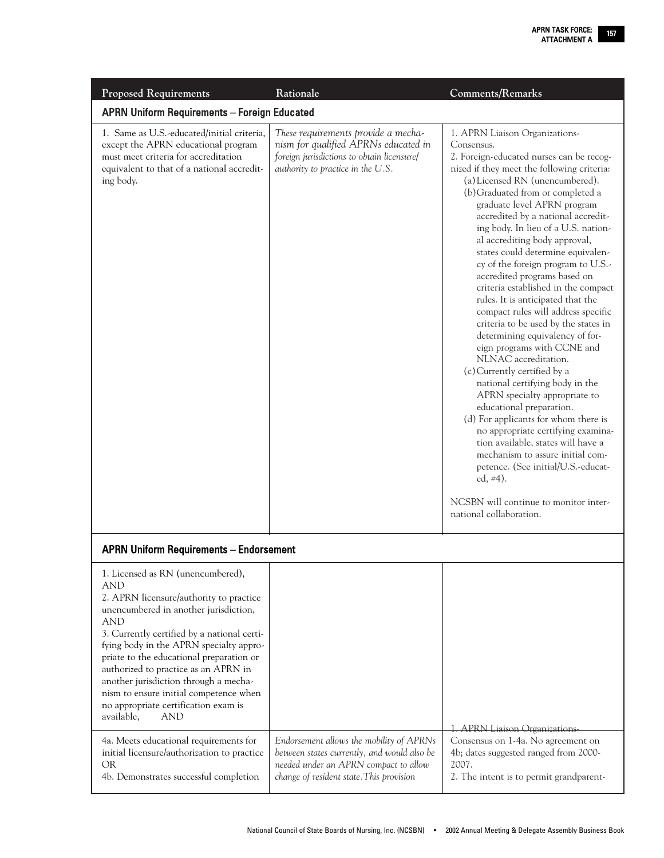| <b>Proposed Requirements</b>                                                                                                                                                                                                                                                                                                                                                                                                                                                    | Rationale                                                                                                                                                                    | <b>Comments/Remarks</b>                                                                                                                                                                                                                                                                                                                                                                                                                                                                                                                                                                                                                                                                                                                                                                                                                                                                                                                                                                                                                                                                                                                  |
|---------------------------------------------------------------------------------------------------------------------------------------------------------------------------------------------------------------------------------------------------------------------------------------------------------------------------------------------------------------------------------------------------------------------------------------------------------------------------------|------------------------------------------------------------------------------------------------------------------------------------------------------------------------------|------------------------------------------------------------------------------------------------------------------------------------------------------------------------------------------------------------------------------------------------------------------------------------------------------------------------------------------------------------------------------------------------------------------------------------------------------------------------------------------------------------------------------------------------------------------------------------------------------------------------------------------------------------------------------------------------------------------------------------------------------------------------------------------------------------------------------------------------------------------------------------------------------------------------------------------------------------------------------------------------------------------------------------------------------------------------------------------------------------------------------------------|
| <b>APRN Uniform Requirements - Foreign Educated</b>                                                                                                                                                                                                                                                                                                                                                                                                                             |                                                                                                                                                                              |                                                                                                                                                                                                                                                                                                                                                                                                                                                                                                                                                                                                                                                                                                                                                                                                                                                                                                                                                                                                                                                                                                                                          |
| 1. Same as U.S.-educated/initial criteria,<br>except the APRN educational program<br>must meet criteria for accreditation<br>equivalent to that of a national accredit-<br>ing body.                                                                                                                                                                                                                                                                                            | These requirements provide a mecha-<br>nism for qualified APRNs educated in<br>foreign jurisdictions to obtain licensure/<br>authority to practice in the U.S.               | 1. APRN Liaison Organizations-<br>Consensus.<br>2. Foreign-educated nurses can be recog-<br>nized if they meet the following criteria:<br>(a) Licensed RN (unencumbered).<br>(b)Graduated from or completed a<br>graduate level APRN program<br>accredited by a national accredit-<br>ing body. In lieu of a U.S. nation-<br>al accrediting body approval,<br>states could determine equivalen-<br>cy of the foreign program to U.S.-<br>accredited programs based on<br>criteria established in the compact<br>rules. It is anticipated that the<br>compact rules will address specific<br>criteria to be used by the states in<br>determining equivalency of for-<br>eign programs with CCNE and<br>NLNAC accreditation.<br>(c) Currently certified by a<br>national certifying body in the<br>APRN specialty appropriate to<br>educational preparation.<br>(d) For applicants for whom there is<br>no appropriate certifying examina-<br>tion available, states will have a<br>mechanism to assure initial com-<br>petence. (See initial/U.S.-educat-<br>ed, #4).<br>NCSBN will continue to monitor inter-<br>national collaboration. |
| <b>APRN Uniform Requirements - Endorsement</b>                                                                                                                                                                                                                                                                                                                                                                                                                                  |                                                                                                                                                                              |                                                                                                                                                                                                                                                                                                                                                                                                                                                                                                                                                                                                                                                                                                                                                                                                                                                                                                                                                                                                                                                                                                                                          |
| 1. Licensed as RN (unencumbered),<br><b>AND</b><br>2. APRN licensure/authority to practice<br>unencumbered in another jurisdiction,<br>AND<br>3. Currently certified by a national certi-<br>fying body in the APRN specialty appro-<br>priate to the educational preparation or<br>authorized to practice as an APRN in<br>another jurisdiction through a mecha-<br>nism to ensure initial competence when<br>no appropriate certification exam is<br>available,<br><b>AND</b> |                                                                                                                                                                              | 1. APRN Liaison Organizations-                                                                                                                                                                                                                                                                                                                                                                                                                                                                                                                                                                                                                                                                                                                                                                                                                                                                                                                                                                                                                                                                                                           |
| 4a. Meets educational requirements for<br>initial licensure/authorization to practice<br><b>OR</b><br>4b. Demonstrates successful completion                                                                                                                                                                                                                                                                                                                                    | Endorsement allows the mobility of APRNs<br>between states currently, and would also be<br>needed under an APRN compact to allow<br>change of resident state. This provision | Consensus on 1-4a. No agreement on<br>4b; dates suggested ranged from 2000-<br>2007.<br>2. The intent is to permit grandparent-                                                                                                                                                                                                                                                                                                                                                                                                                                                                                                                                                                                                                                                                                                                                                                                                                                                                                                                                                                                                          |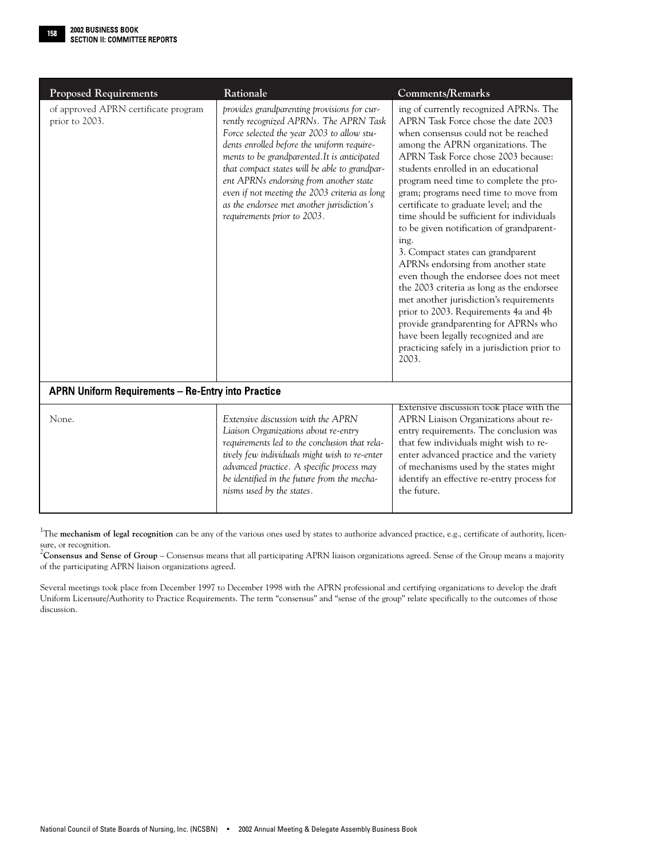| <b>Proposed Requirements</b>                              | Rationale                                                                                                                                                                                                                                                                                                                                                                                                                                                  | <b>Comments/Remarks</b>                                                                                                                                                                                                                                                                                                                                                                                                                                                                                                                                                                                                                                                                                                                                                                                                                                              |
|-----------------------------------------------------------|------------------------------------------------------------------------------------------------------------------------------------------------------------------------------------------------------------------------------------------------------------------------------------------------------------------------------------------------------------------------------------------------------------------------------------------------------------|----------------------------------------------------------------------------------------------------------------------------------------------------------------------------------------------------------------------------------------------------------------------------------------------------------------------------------------------------------------------------------------------------------------------------------------------------------------------------------------------------------------------------------------------------------------------------------------------------------------------------------------------------------------------------------------------------------------------------------------------------------------------------------------------------------------------------------------------------------------------|
| of approved APRN certificate program<br>prior to 2003.    | provides grandparenting provisions for cur-<br>rently recognized APRNs. The APRN Task<br>Force selected the year 2003 to allow stu-<br>dents enrolled before the uniform require-<br>ments to be grandparented. It is anticipated<br>that compact states will be able to grandpar-<br>ent APRNs endorsing from another state<br>even if not meeting the 2003 criteria as long<br>as the endorsee met another jurisdiction's<br>requirements prior to 2003. | ing of currently recognized APRNs. The<br>APRN Task Force chose the date 2003<br>when consensus could not be reached<br>among the APRN organizations. The<br>APRN Task Force chose 2003 because:<br>students enrolled in an educational<br>program need time to complete the pro-<br>gram; programs need time to move from<br>certificate to graduate level; and the<br>time should be sufficient for individuals<br>to be given notification of grandparent-<br>ing.<br>3. Compact states can grandparent<br>APRNs endorsing from another state<br>even though the endorsee does not meet<br>the 2003 criteria as long as the endorsee<br>met another jurisdiction's requirements<br>prior to 2003. Requirements 4a and 4b<br>provide grandparenting for APRNs who<br>have been legally recognized and are<br>practicing safely in a jurisdiction prior to<br>2003. |
| <b>APRN Uniform Requirements - Re-Entry into Practice</b> |                                                                                                                                                                                                                                                                                                                                                                                                                                                            |                                                                                                                                                                                                                                                                                                                                                                                                                                                                                                                                                                                                                                                                                                                                                                                                                                                                      |
| None.                                                     | Extensive discussion with the APRN<br>Liaison Organizations about re-entry<br>requirements led to the conclusion that rela-<br>tively few individuals might wish to re-enter<br>advanced practice. A specific process may<br>be identified in the future from the mecha-<br>nisms used by the states.                                                                                                                                                      | Extensive discussion took place with the<br>APRN Liaison Organizations about re-<br>entry requirements. The conclusion was<br>that few individuals might wish to re-<br>enter advanced practice and the variety<br>of mechanisms used by the states might<br>identify an effective re-entry process for<br>the future.                                                                                                                                                                                                                                                                                                                                                                                                                                                                                                                                               |

<sup>1</sup>The mechanism of legal recognition can be any of the various ones used by states to authorize advanced practice, e.g., certificate of authority, licen-

sure, or recognition.<br><sup>2</sup>Co**nsensus and Sense of Group** – Consensus means that all participating APRN liaison organizations agreed. Sense of the Group means a majority of the participating APRN liaison organizations agreed.

Several meetings took place from December 1997 to December 1998 with the APRN professional and certifying organizations to develop the draft Uniform Licensure/Authority to Practice Requirements. The term "consensus" and "sense of the group" relate specifically to the outcomes of those discussion.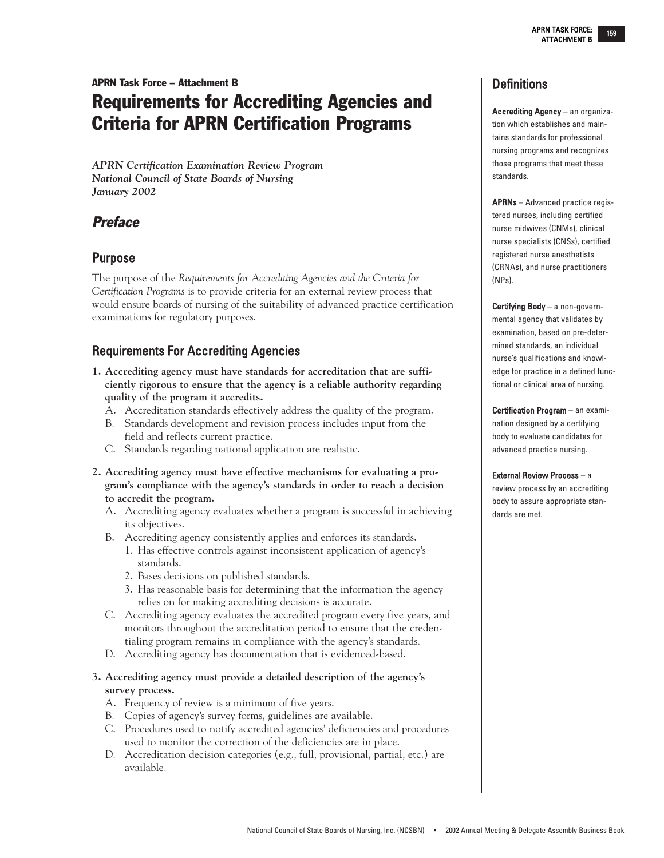## APRN Task Force – Attachment B Requirements for Accrediting Agencies and Criteria for APRN Certification Programs

*APRN Certification Examination Review Program National Council of State Boards of Nursing January 2002*

## **Preface**

## Purpose

The purpose of the *Requirements for Accrediting Agencies and the Criteria for Certification Programs* is to provide criteria for an external review process that would ensure boards of nursing of the suitability of advanced practice certification examinations for regulatory purposes.

## Requirements For Accrediting Agencies

- **1. Accrediting agency must have standards for accreditation that are sufficiently rigorous to ensure that the agency is a reliable authority regarding quality of the program it accredits.**
	- A. Accreditation standards effectively address the quality of the program.
	- Standards development and revision process includes input from the field and reflects current practice.
	- C. Standards regarding national application are realistic.
- **2. Accrediting agency must have effective mechanisms for evaluating a program's compliance with the agency's standards in order to reach a decision to accredit the program.**
	- A. Accrediting agency evaluates whether a program is successful in achieving its objectives.
	- B. Accrediting agency consistently applies and enforces its standards.
		- 1. Has effective controls against inconsistent application of agency's standards.
			- 2. Bases decisions on published standards.
		- 3. Has reasonable basis for determining that the information the agency relies on for making accrediting decisions is accurate.
	- C. Accrediting agency evaluates the accredited program every five years, and monitors throughout the accreditation period to ensure that the credentialing program remains in compliance with the agency's standards.
	- D. Accrediting agency has documentation that is evidenced-based.

#### **3. Accrediting agency must provide a detailed description of the agency's survey process.**

- A. Frequency of review is a minimum of five years.
- B. Copies of agency's survey forms, guidelines are available.
- C. Procedures used to notify accredited agencies' deficiencies and procedures used to monitor the correction of the deficiencies are in place.
- D. Accreditation decision categories (e.g., full, provisional, partial, etc.) are available.

## **Definitions**

Accrediting Agency – an organization which establishes and maintains standards for professional nursing programs and recognizes those programs that meet these standards.

APRNs – Advanced practice registered nurses, including certified nurse midwives (CNMs), clinical nurse specialists (CNSs), certified registered nurse anesthetists (CRNAs), and nurse practitioners (NPs).

Certifying Body – a non-governmental agency that validates by examination, based on pre-determined standards, an individual nurse's qualifications and knowledge for practice in a defined functional or clinical area of nursing.

Certification Program – an examination designed by a certifying body to evaluate candidates for advanced practice nursing.

External Review Process – a

review process by an accrediting body to assure appropriate standards are met.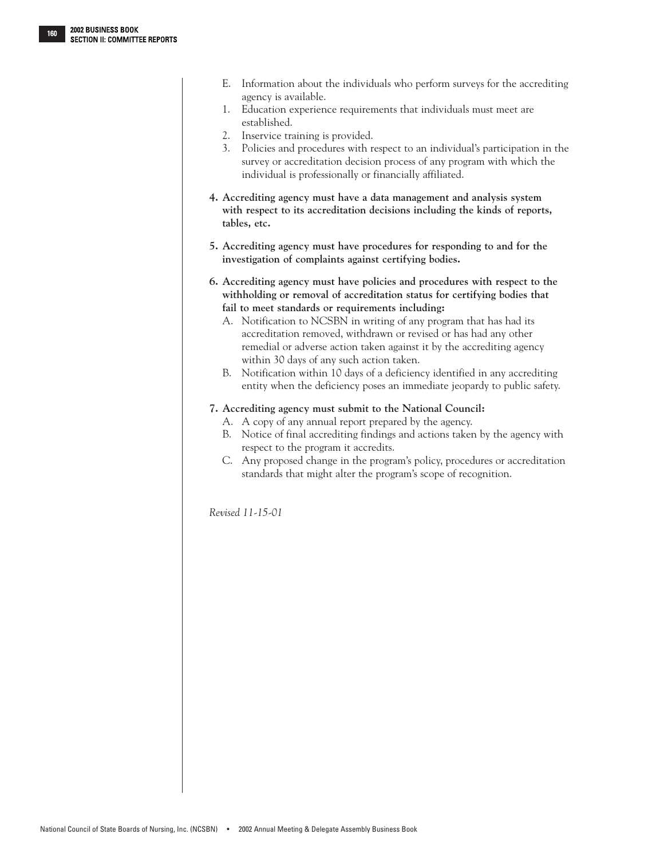- E. Information about the individuals who perform surveys for the accrediting agency is available.
- 1. Education experience requirements that individuals must meet are established.
- 2. Inservice training is provided.
- 3. Policies and procedures with respect to an individual's participation in the survey or accreditation decision process of any program with which the individual is professionally or financially affiliated.
- **4. Accrediting agency must have a data management and analysis system with respect to its accreditation decisions including the kinds of reports, tables, etc.**
- **5. Accrediting agency must have procedures for responding to and for the investigation of complaints against certifying bodies.**
- **6. Accrediting agency must have policies and procedures with respect to the withholding or removal of accreditation status for certifying bodies that fail to meet standards or requirements including:**
	- A. Notification to NCSBN in writing of any program that has had its accreditation removed, withdrawn or revised or has had any other remedial or adverse action taken against it by the accrediting agency within 30 days of any such action taken.
	- B. Notification within 10 days of a deficiency identified in any accrediting entity when the deficiency poses an immediate jeopardy to public safety.
- **7. Accrediting agency must submit to the National Council:**
	- A. A copy of any annual report prepared by the agency.
	- B. Notice of final accrediting findings and actions taken by the agency with respect to the program it accredits.
	- C. Any proposed change in the program's policy, procedures or accreditation standards that might alter the program's scope of recognition.

*Revised 11-15-01*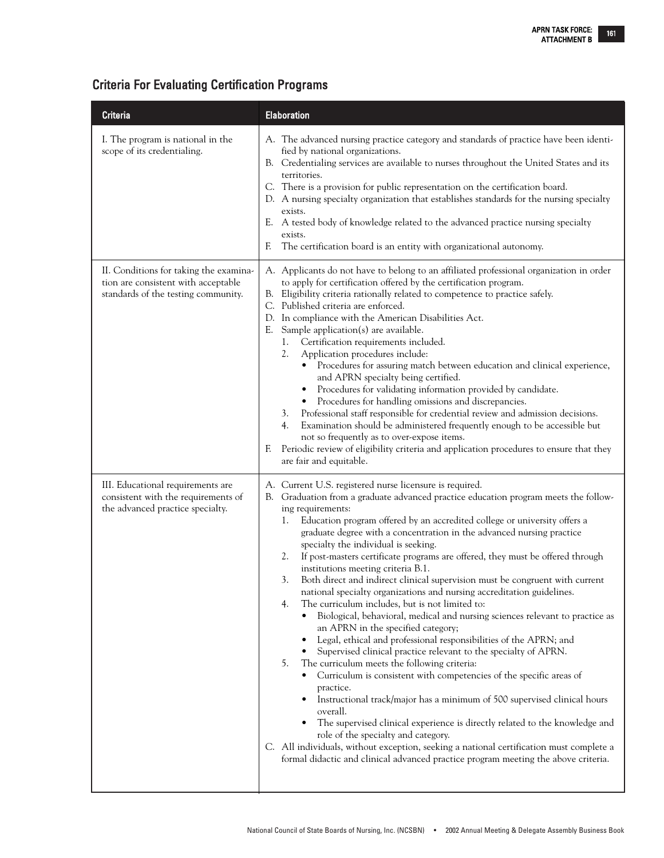# Criteria For Evaluating Certification Programs

| <b>Criteria</b>                                                                                                      | <b>Elaboration</b>                                                                                                                                                                                                                                                                                                                                                                                                                                                                                                                                                                                                                                                                                                                                                                                                                                                                                                                                                                                                                                                                                                                                                                                                                                                                                                                                                                                                                                                                                                                                   |
|----------------------------------------------------------------------------------------------------------------------|------------------------------------------------------------------------------------------------------------------------------------------------------------------------------------------------------------------------------------------------------------------------------------------------------------------------------------------------------------------------------------------------------------------------------------------------------------------------------------------------------------------------------------------------------------------------------------------------------------------------------------------------------------------------------------------------------------------------------------------------------------------------------------------------------------------------------------------------------------------------------------------------------------------------------------------------------------------------------------------------------------------------------------------------------------------------------------------------------------------------------------------------------------------------------------------------------------------------------------------------------------------------------------------------------------------------------------------------------------------------------------------------------------------------------------------------------------------------------------------------------------------------------------------------------|
| I. The program is national in the<br>scope of its credentialing.                                                     | A. The advanced nursing practice category and standards of practice have been identi-<br>fied by national organizations.<br>B. Credentialing services are available to nurses throughout the United States and its<br>territories.<br>C. There is a provision for public representation on the certification board.<br>D. A nursing specialty organization that establishes standards for the nursing specialty<br>exists.<br>E. A tested body of knowledge related to the advanced practice nursing specialty<br>exists.<br>The certification board is an entity with organizational autonomy.<br>F.                                                                                                                                                                                                                                                                                                                                                                                                                                                                                                                                                                                                                                                                                                                                                                                                                                                                                                                                                |
| II. Conditions for taking the examina-<br>tion are consistent with acceptable<br>standards of the testing community. | A. Applicants do not have to belong to an affiliated professional organization in order<br>to apply for certification offered by the certification program.<br>B. Eligibility criteria rationally related to competence to practice safely.<br>C. Published criteria are enforced.<br>D. In compliance with the American Disabilities Act.<br>Sample application(s) are available.<br>Е.<br>Certification requirements included.<br>1.<br>2.<br>Application procedures include:<br>Procedures for assuring match between education and clinical experience,<br>and APRN specialty being certified.<br>Procedures for validating information provided by candidate.<br>Procedures for handling omissions and discrepancies.<br>Professional staff responsible for credential review and admission decisions.<br>3.<br>Examination should be administered frequently enough to be accessible but<br>4.<br>not so frequently as to over-expose items.<br>Periodic review of eligibility criteria and application procedures to ensure that they<br>Е.<br>are fair and equitable.                                                                                                                                                                                                                                                                                                                                                                                                                                                                        |
| III. Educational requirements are<br>consistent with the requirements of<br>the advanced practice specialty.         | A. Current U.S. registered nurse licensure is required.<br>B. Graduation from a graduate advanced practice education program meets the follow-<br>ing requirements:<br>Education program offered by an accredited college or university offers a<br>1.<br>graduate degree with a concentration in the advanced nursing practice<br>specialty the individual is seeking.<br>If post-masters certificate programs are offered, they must be offered through<br>2.<br>institutions meeting criteria B.1.<br>Both direct and indirect clinical supervision must be congruent with current<br>3.<br>national specialty organizations and nursing accreditation guidelines.<br>The curriculum includes, but is not limited to:<br>4.<br>Biological, behavioral, medical and nursing sciences relevant to practice as<br>an APRN in the specified category;<br>• Legal, ethical and professional responsibilities of the APRN; and<br>Supervised clinical practice relevant to the specialty of APRN.<br>The curriculum meets the following criteria:<br>5.<br>Curriculum is consistent with competencies of the specific areas of<br>$\bullet$<br>practice.<br>Instructional track/major has a minimum of 500 supervised clinical hours<br>overall.<br>The supervised clinical experience is directly related to the knowledge and<br>role of the specialty and category.<br>C. All individuals, without exception, seeking a national certification must complete a<br>formal didactic and clinical advanced practice program meeting the above criteria. |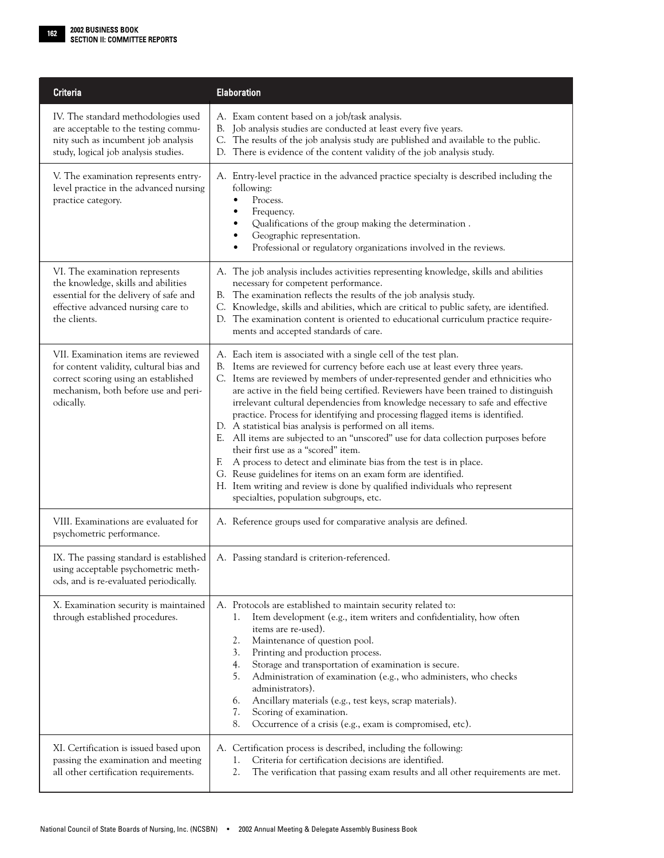| Criteria                                                                                                                                                                    | <b>Elaboration</b>                                                                                                                                                                                                                                                                                                                                                                                                                                                                                                                                                                                                                                                                                                                                                                                                                                                                                                                                              |
|-----------------------------------------------------------------------------------------------------------------------------------------------------------------------------|-----------------------------------------------------------------------------------------------------------------------------------------------------------------------------------------------------------------------------------------------------------------------------------------------------------------------------------------------------------------------------------------------------------------------------------------------------------------------------------------------------------------------------------------------------------------------------------------------------------------------------------------------------------------------------------------------------------------------------------------------------------------------------------------------------------------------------------------------------------------------------------------------------------------------------------------------------------------|
| IV. The standard methodologies used<br>are acceptable to the testing commu-<br>nity such as incumbent job analysis<br>study, logical job analysis studies.                  | A. Exam content based on a job/task analysis.<br>Job analysis studies are conducted at least every five years.<br>B.<br>The results of the job analysis study are published and available to the public.<br>C.<br>D. There is evidence of the content validity of the job analysis study.                                                                                                                                                                                                                                                                                                                                                                                                                                                                                                                                                                                                                                                                       |
| V. The examination represents entry-<br>level practice in the advanced nursing<br>practice category.                                                                        | A. Entry-level practice in the advanced practice specialty is described including the<br>following:<br>Process.<br>٠<br>Frequency.<br>٠<br>Qualifications of the group making the determination.<br>٠<br>Geographic representation.<br>٠<br>Professional or regulatory organizations involved in the reviews.<br>٠                                                                                                                                                                                                                                                                                                                                                                                                                                                                                                                                                                                                                                              |
| VI. The examination represents<br>the knowledge, skills and abilities<br>essential for the delivery of safe and<br>effective advanced nursing care to<br>the clients.       | A. The job analysis includes activities representing knowledge, skills and abilities<br>necessary for competent performance.<br>The examination reflects the results of the job analysis study.<br>В.<br>Knowledge, skills and abilities, which are critical to public safety, are identified.<br>C.<br>D. The examination content is oriented to educational curriculum practice require-<br>ments and accepted standards of care.                                                                                                                                                                                                                                                                                                                                                                                                                                                                                                                             |
| VII. Examination items are reviewed<br>for content validity, cultural bias and<br>correct scoring using an established<br>mechanism, both before use and peri-<br>odically. | A. Each item is associated with a single cell of the test plan.<br>B. Items are reviewed for currency before each use at least every three years.<br>C. Items are reviewed by members of under-represented gender and ethnicities who<br>are active in the field being certified. Reviewers have been trained to distinguish<br>irrelevant cultural dependencies from knowledge necessary to safe and effective<br>practice. Process for identifying and processing flagged items is identified.<br>D. A statistical bias analysis is performed on all items.<br>E. All items are subjected to an "unscored" use for data collection purposes before<br>their first use as a "scored" item.<br>A process to detect and eliminate bias from the test is in place.<br>F.<br>G. Reuse guidelines for items on an exam form are identified.<br>H. Item writing and review is done by qualified individuals who represent<br>specialties, population subgroups, etc. |
| VIII. Examinations are evaluated for<br>psychometric performance.                                                                                                           | A. Reference groups used for comparative analysis are defined.                                                                                                                                                                                                                                                                                                                                                                                                                                                                                                                                                                                                                                                                                                                                                                                                                                                                                                  |
| IX. The passing standard is established<br>using acceptable psychometric meth-<br>ods, and is re-evaluated periodically.                                                    | A. Passing standard is criterion-referenced.                                                                                                                                                                                                                                                                                                                                                                                                                                                                                                                                                                                                                                                                                                                                                                                                                                                                                                                    |
| X. Examination security is maintained<br>through established procedures.                                                                                                    | A. Protocols are established to maintain security related to:<br>Item development (e.g., item writers and confidentiality, how often<br>1.<br>items are re-used).<br>Maintenance of question pool.<br>2.<br>3.<br>Printing and production process.<br>Storage and transportation of examination is secure.<br>4.<br>Administration of examination (e.g., who administers, who checks<br>5.<br>administrators).<br>Ancillary materials (e.g., test keys, scrap materials).<br>6.<br>7.<br>Scoring of examination.<br>8.<br>Occurrence of a crisis (e.g., exam is compromised, etc).                                                                                                                                                                                                                                                                                                                                                                              |
| XI. Certification is issued based upon<br>passing the examination and meeting<br>all other certification requirements.                                                      | Certification process is described, including the following:<br>A.<br>Criteria for certification decisions are identified.<br>1.<br>2.<br>The verification that passing exam results and all other requirements are met.                                                                                                                                                                                                                                                                                                                                                                                                                                                                                                                                                                                                                                                                                                                                        |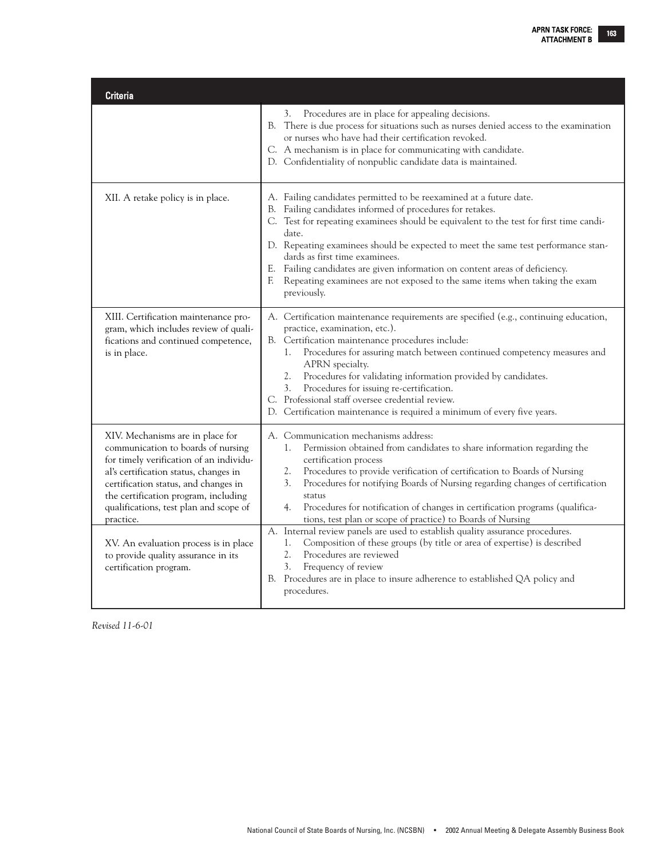| <b>Criteria</b>                                                                                                                                                                                                                                                                                   |                                                                                                                                                                                                                                                                                                                                                                                                                                                                                                                                             |
|---------------------------------------------------------------------------------------------------------------------------------------------------------------------------------------------------------------------------------------------------------------------------------------------------|---------------------------------------------------------------------------------------------------------------------------------------------------------------------------------------------------------------------------------------------------------------------------------------------------------------------------------------------------------------------------------------------------------------------------------------------------------------------------------------------------------------------------------------------|
|                                                                                                                                                                                                                                                                                                   | 3. Procedures are in place for appealing decisions.<br>B. There is due process for situations such as nurses denied access to the examination<br>or nurses who have had their certification revoked.<br>C. A mechanism is in place for communicating with candidate.<br>D. Confidentiality of nonpublic candidate data is maintained.                                                                                                                                                                                                       |
| XII. A retake policy is in place.                                                                                                                                                                                                                                                                 | A. Failing candidates permitted to be reexamined at a future date.<br>B. Failing candidates informed of procedures for retakes.<br>C. Test for repeating examinees should be equivalent to the test for first time candi-<br>date.<br>D. Repeating examinees should be expected to meet the same test performance stan-<br>dards as first time examinees.<br>E. Failing candidates are given information on content areas of deficiency.<br>E.<br>Repeating examinees are not exposed to the same items when taking the exam<br>previously. |
| XIII. Certification maintenance pro-<br>gram, which includes review of quali-<br>fications and continued competence,<br>is in place.                                                                                                                                                              | A. Certification maintenance requirements are specified (e.g., continuing education,<br>practice, examination, etc.).<br>B. Certification maintenance procedures include:<br>Procedures for assuring match between continued competency measures and<br>1.<br>APRN specialty.<br>Procedures for validating information provided by candidates.<br>2.<br>3.<br>Procedures for issuing re-certification.<br>C. Professional staff oversee credential review.<br>D. Certification maintenance is required a minimum of every five years.       |
| XIV. Mechanisms are in place for<br>communication to boards of nursing<br>for timely verification of an individu-<br>al's certification status, changes in<br>certification status, and changes in<br>the certification program, including<br>qualifications, test plan and scope of<br>practice. | A. Communication mechanisms address:<br>1.<br>Permission obtained from candidates to share information regarding the<br>certification process<br>Procedures to provide verification of certification to Boards of Nursing<br>2.<br>3.<br>Procedures for notifying Boards of Nursing regarding changes of certification<br>status<br>4.<br>Procedures for notification of changes in certification programs (qualifica-<br>tions, test plan or scope of practice) to Boards of Nursing                                                       |
| XV. An evaluation process is in place<br>to provide quality assurance in its<br>certification program.                                                                                                                                                                                            | A. Internal review panels are used to establish quality assurance procedures.<br>Composition of these groups (by title or area of expertise) is described<br>1.<br>2.<br>Procedures are reviewed<br>3.<br>Frequency of review<br>B. Procedures are in place to insure adherence to established QA policy and<br>procedures.                                                                                                                                                                                                                 |

*Revised 11-6-01*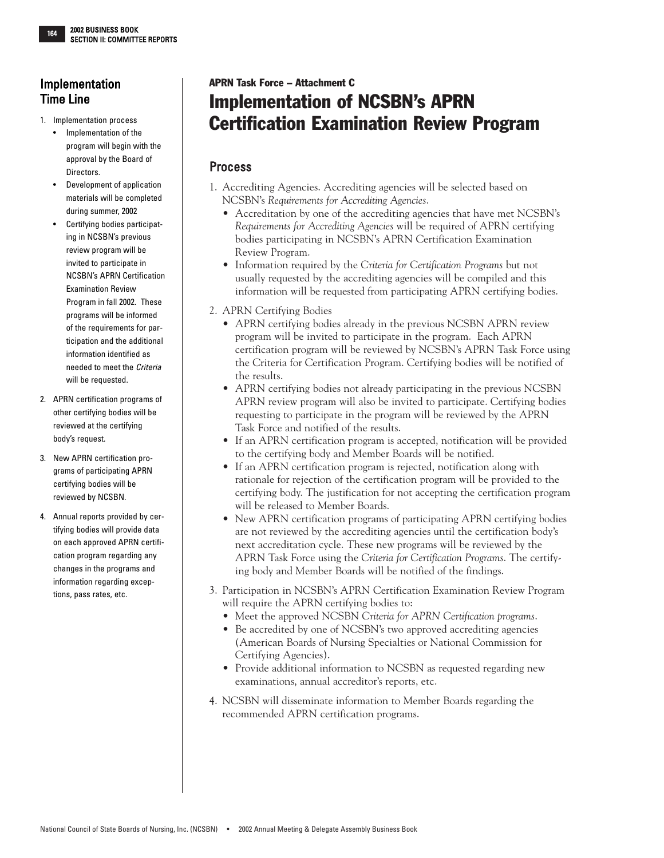## Implementation Time Line

- 1. Implementation process
	- Implementation of the program will begin with the approval by the Board of Directors.
	- Development of application materials will be completed during summer, 2002
	- Certifying bodies participating in NCSBN's previous review program will be invited to participate in NCSBN's APRN Certification Examination Review Program in fall 2002. These programs will be informed of the requirements for participation and the additional information identified as needed to meet the Criteria will be requested.
- 2. APRN certification programs of other certifying bodies will be reviewed at the certifying body's request.
- 3. New APRN certification programs of participating APRN certifying bodies will be reviewed by NCSBN.
- 4. Annual reports provided by certifying bodies will provide data on each approved APRN certification program regarding any changes in the programs and information regarding exceptions, pass rates, etc.

# APRN Task Force – Attachment C Implementation of NCSBN's APRN Certification Examination Review Program

## Process

- 1. Accrediting Agencies. Accrediting agencies will be selected based on NCSBN's *Requirements for Accrediting Agencies*.
	- Accreditation by one of the accrediting agencies that have met NCSBN's *Requirements for Accrediting Agencies* will be required of APRN certifying bodies participating in NCSBN's APRN Certification Examination Review Program.
	- Information required by the *Criteria for Certification Programs* but not usually requested by the accrediting agencies will be compiled and this information will be requested from participating APRN certifying bodies.
- 2. APRN Certifying Bodies
	- APRN certifying bodies already in the previous NCSBN APRN review program will be invited to participate in the program. Each APRN certification program will be reviewed by NCSBN's APRN Task Force using the Criteria for Certification Program. Certifying bodies will be notified of the results.
	- APRN certifying bodies not already participating in the previous NCSBN APRN review program will also be invited to participate. Certifying bodies requesting to participate in the program will be reviewed by the APRN Task Force and notified of the results.
	- If an APRN certification program is accepted, notification will be provided to the certifying body and Member Boards will be notified.
	- If an APRN certification program is rejected, notification along with rationale for rejection of the certification program will be provided to the certifying body. The justification for not accepting the certification program will be released to Member Boards.
	- New APRN certification programs of participating APRN certifying bodies are not reviewed by the accrediting agencies until the certification body's next accreditation cycle. These new programs will be reviewed by the APRN Task Force using the *Criteria for Certification Programs*. The certifying body and Member Boards will be notified of the findings.
- 3. Participation in NCSBN's APRN Certification Examination Review Program will require the APRN certifying bodies to:
	- Meet the approved NCSBN *Criteria for APRN Certification programs*.
	- Be accredited by one of NCSBN's two approved accrediting agencies (American Boards of Nursing Specialties or National Commission for Certifying Agencies).
	- Provide additional information to NCSBN as requested regarding new examinations, annual accreditor's reports, etc.
- 4. NCSBN will disseminate information to Member Boards regarding the recommended APRN certification programs.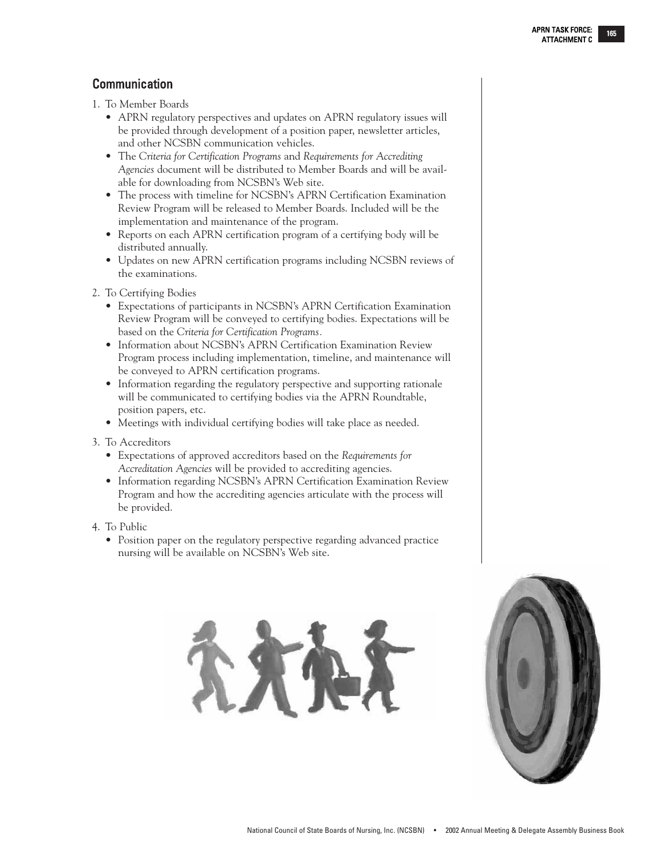## Communication

- 1. To Member Boards
	- APRN regulatory perspectives and updates on APRN regulatory issues will be provided through development of a position paper, newsletter articles, and other NCSBN communication vehicles.
	- The *Criteria for Certification Programs* and *Requirements for Accrediting Agencies* document will be distributed to Member Boards and will be available for downloading from NCSBN's Web site.
	- The process with timeline for NCSBN's APRN Certification Examination Review Program will be released to Member Boards. Included will be the implementation and maintenance of the program.
	- Reports on each APRN certification program of a certifying body will be distributed annually.
	- Updates on new APRN certification programs including NCSBN reviews of the examinations.
- 2. To Certifying Bodies
	- Expectations of participants in NCSBN's APRN Certification Examination Review Program will be conveyed to certifying bodies. Expectations will be based on the *Criteria for Certification Programs.*
	- Information about NCSBN's APRN Certification Examination Review Program process including implementation, timeline, and maintenance will be conveyed to APRN certification programs.
	- Information regarding the regulatory perspective and supporting rationale will be communicated to certifying bodies via the APRN Roundtable, position papers, etc.
	- Meetings with individual certifying bodies will take place as needed.
- 3. To Accreditors
	- Expectations of approved accreditors based on the *Requirements for Accreditation Agencies* will be provided to accrediting agencies.
	- Information regarding NCSBN's APRN Certification Examination Review Program and how the accrediting agencies articulate with the process will be provided.
- 4. To Public
	- Position paper on the regulatory perspective regarding advanced practice nursing will be available on NCSBN's Web site.



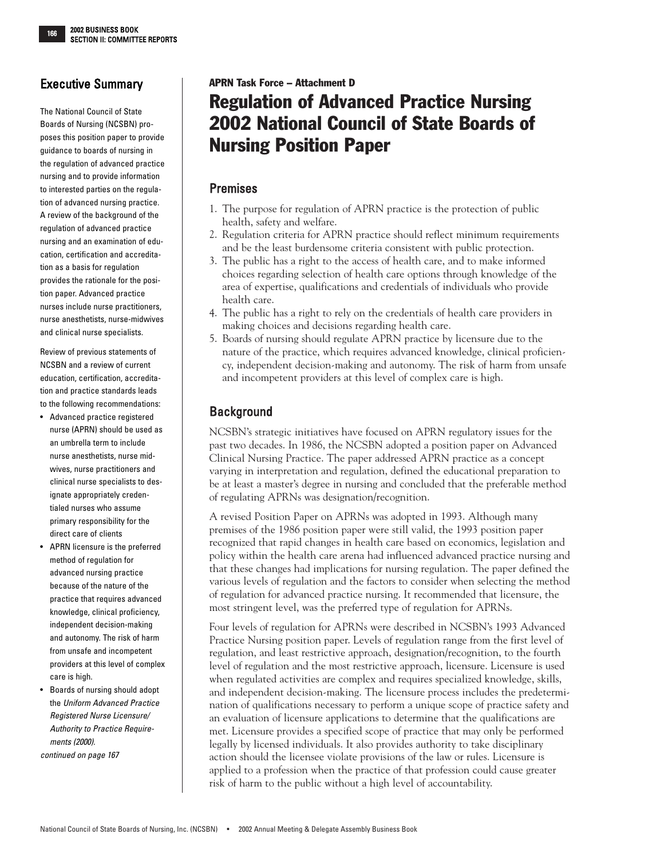## Executive Summary

The National Council of State Boards of Nursing (NCSBN) proposes this position paper to provide guidance to boards of nursing in the regulation of advanced practice nursing and to provide information to interested parties on the regulation of advanced nursing practice. A review of the background of the regulation of advanced practice nursing and an examination of education, certification and accreditation as a basis for regulation provides the rationale for the position paper. Advanced practice nurses include nurse practitioners, nurse anesthetists, nurse-midwives and clinical nurse specialists.

Review of previous statements of NCSBN and a review of current education, certification, accreditation and practice standards leads to the following recommendations:

- Advanced practice registered nurse (APRN) should be used as an umbrella term to include nurse anesthetists, nurse midwives, nurse practitioners and clinical nurse specialists to designate appropriately credentialed nurses who assume primary responsibility for the direct care of clients
- APRN licensure is the preferred method of regulation for advanced nursing practice because of the nature of the practice that requires advanced knowledge, clinical proficiency, independent decision-making and autonomy. The risk of harm from unsafe and incompetent providers at this level of complex care is high.
- Boards of nursing should adopt the Uniform Advanced Practice Registered Nurse Licensure/ Authority to Practice Requirements (2000).

continued on page 167

# APRN Task Force – Attachment D Regulation of Advanced Practice Nursing 2002 National Council of State Boards of Nursing Position Paper

#### Premises

- 1. The purpose for regulation of APRN practice is the protection of public health, safety and welfare.
- 2. Regulation criteria for APRN practice should reflect minimum requirements and be the least burdensome criteria consistent with public protection.
- 3. The public has a right to the access of health care, and to make informed choices regarding selection of health care options through knowledge of the area of expertise, qualifications and credentials of individuals who provide health care.
- 4. The public has a right to rely on the credentials of health care providers in making choices and decisions regarding health care.
- 5. Boards of nursing should regulate APRN practice by licensure due to the nature of the practice, which requires advanced knowledge, clinical proficiency, independent decision-making and autonomy. The risk of harm from unsafe and incompetent providers at this level of complex care is high.

## **Background**

NCSBN's strategic initiatives have focused on APRN regulatory issues for the past two decades. In 1986, the NCSBN adopted a position paper on Advanced Clinical Nursing Practice. The paper addressed APRN practice as a concept varying in interpretation and regulation, defined the educational preparation to be at least a master's degree in nursing and concluded that the preferable method of regulating APRNs was designation/recognition.

A revised Position Paper on APRNs was adopted in 1993. Although many premises of the 1986 position paper were still valid, the 1993 position paper recognized that rapid changes in health care based on economics, legislation and policy within the health care arena had influenced advanced practice nursing and that these changes had implications for nursing regulation. The paper defined the various levels of regulation and the factors to consider when selecting the method of regulation for advanced practice nursing. It recommended that licensure, the most stringent level, was the preferred type of regulation for APRNs.

Four levels of regulation for APRNs were described in NCSBN's 1993 Advanced Practice Nursing position paper. Levels of regulation range from the first level of regulation, and least restrictive approach, designation/recognition, to the fourth level of regulation and the most restrictive approach, licensure. Licensure is used when regulated activities are complex and requires specialized knowledge, skills, and independent decision-making. The licensure process includes the predetermination of qualifications necessary to perform a unique scope of practice safety and an evaluation of licensure applications to determine that the qualifications are met. Licensure provides a specified scope of practice that may only be performed legally by licensed individuals. It also provides authority to take disciplinary action should the licensee violate provisions of the law or rules. Licensure is applied to a profession when the practice of that profession could cause greater risk of harm to the public without a high level of accountability.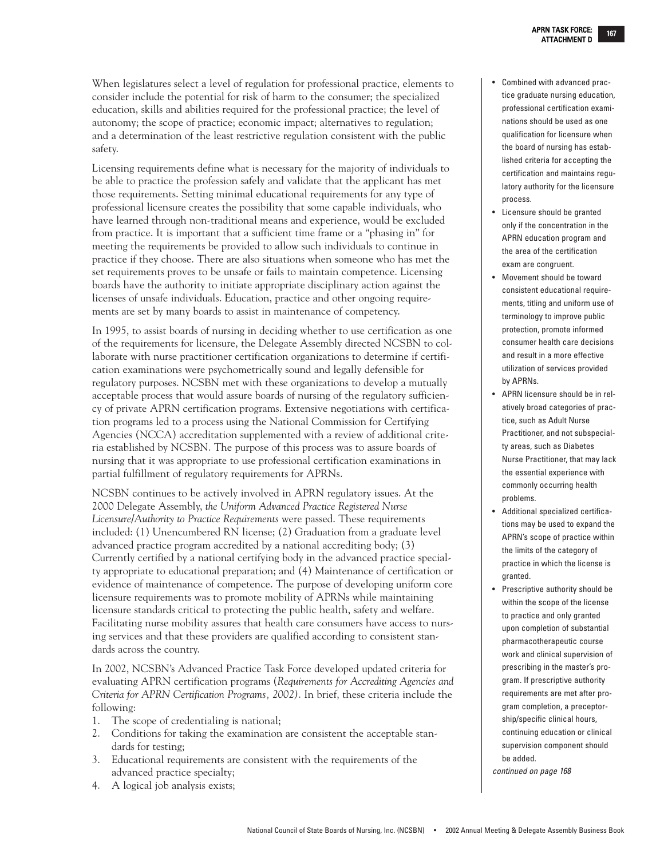When legislatures select a level of regulation for professional practice, elements to consider include the potential for risk of harm to the consumer; the specialized education, skills and abilities required for the professional practice; the level of autonomy; the scope of practice; economic impact; alternatives to regulation; and a determination of the least restrictive regulation consistent with the public safety.

Licensing requirements define what is necessary for the majority of individuals to be able to practice the profession safely and validate that the applicant has met those requirements. Setting minimal educational requirements for any type of professional licensure creates the possibility that some capable individuals, who have learned through non-traditional means and experience, would be excluded from practice. It is important that a sufficient time frame or a "phasing in" for meeting the requirements be provided to allow such individuals to continue in practice if they choose. There are also situations when someone who has met the set requirements proves to be unsafe or fails to maintain competence. Licensing boards have the authority to initiate appropriate disciplinary action against the licenses of unsafe individuals. Education, practice and other ongoing requirements are set by many boards to assist in maintenance of competency.

In 1995, to assist boards of nursing in deciding whether to use certification as one of the requirements for licensure, the Delegate Assembly directed NCSBN to collaborate with nurse practitioner certification organizations to determine if certification examinations were psychometrically sound and legally defensible for regulatory purposes. NCSBN met with these organizations to develop a mutually acceptable process that would assure boards of nursing of the regulatory sufficiency of private APRN certification programs. Extensive negotiations with certification programs led to a process using the National Commission for Certifying Agencies (NCCA) accreditation supplemented with a review of additional criteria established by NCSBN. The purpose of this process was to assure boards of nursing that it was appropriate to use professional certification examinations in partial fulfillment of regulatory requirements for APRNs.

NCSBN continues to be actively involved in APRN regulatory issues. At the 2000 Delegate Assembly, *the Uniform Advanced Practice Registered Nurse Licensure/Authority to Practice Requirements* were passed. These requirements included: (1) Unencumbered RN license; (2) Graduation from a graduate level advanced practice program accredited by a national accrediting body; (3) Currently certified by a national certifying body in the advanced practice specialty appropriate to educational preparation; and (4) Maintenance of certification or evidence of maintenance of competence. The purpose of developing uniform core licensure requirements was to promote mobility of APRNs while maintaining licensure standards critical to protecting the public health, safety and welfare. Facilitating nurse mobility assures that health care consumers have access to nursing services and that these providers are qualified according to consistent standards across the country.

In 2002, NCSBN's Advanced Practice Task Force developed updated criteria for evaluating APRN certification programs (*Requirements for Accrediting Agencies and Criteria for APRN Certification Programs, 2002)*. In brief, these criteria include the following:

- 1. The scope of credentialing is national;
- 2. Conditions for taking the examination are consistent the acceptable standards for testing;
- 3. Educational requirements are consistent with the requirements of the advanced practice specialty;
- 4. A logical job analysis exists;
- Combined with advanced practice graduate nursing education, professional certification examinations should be used as one qualification for licensure when the board of nursing has established criteria for accepting the certification and maintains regulatory authority for the licensure process.
- Licensure should be granted only if the concentration in the APRN education program and the area of the certification exam are congruent.
- Movement should be toward consistent educational requirements, titling and uniform use of terminology to improve public protection, promote informed consumer health care decisions and result in a more effective utilization of services provided by APRNs.
- APRN licensure should be in relatively broad categories of practice, such as Adult Nurse Practitioner, and not subspecialty areas, such as Diabetes Nurse Practitioner, that may lack the essential experience with commonly occurring health problems.
- Additional specialized certifications may be used to expand the APRN's scope of practice within the limits of the category of practice in which the license is granted.
- Prescriptive authority should be within the scope of the license to practice and only granted upon completion of substantial pharmacotherapeutic course work and clinical supervision of prescribing in the master's program. If prescriptive authority requirements are met after program completion, a preceptorship/specific clinical hours, continuing education or clinical supervision component should be added.
- continued on page 168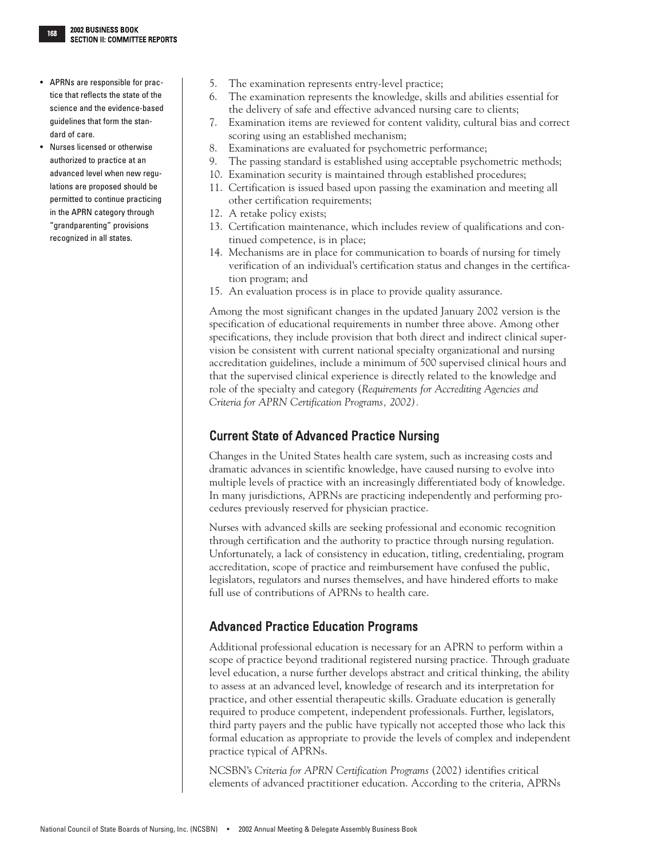- APRNs are responsible for practice that reflects the state of the science and the evidence-based guidelines that form the standard of care.
- Nurses licensed or otherwise authorized to practice at an advanced level when new regulations are proposed should be permitted to continue practicing in the APRN category through "grandparenting" provisions recognized in all states.
- 5. The examination represents entry-level practice;
- 6. The examination represents the knowledge, skills and abilities essential for the delivery of safe and effective advanced nursing care to clients;
- 7. Examination items are reviewed for content validity, cultural bias and correct scoring using an established mechanism;
- 8. Examinations are evaluated for psychometric performance;
- 9. The passing standard is established using acceptable psychometric methods;
- 10. Examination security is maintained through established procedures;
- 11. Certification is issued based upon passing the examination and meeting all other certification requirements;
- 12. A retake policy exists;
- 13. Certification maintenance, which includes review of qualifications and continued competence, is in place;
- 14. Mechanisms are in place for communication to boards of nursing for timely verification of an individual's certification status and changes in the certification program; and
- 15. An evaluation process is in place to provide quality assurance.

Among the most significant changes in the updated January 2002 version is the specification of educational requirements in number three above. Among other specifications, they include provision that both direct and indirect clinical supervision be consistent with current national specialty organizational and nursing accreditation guidelines, include a minimum of 500 supervised clinical hours and that the supervised clinical experience is directly related to the knowledge and role of the specialty and category (*Requirements for Accrediting Agencies and Criteria for APRN Certification Programs, 2002).*

#### Current State of Advanced Practice Nursing

Changes in the United States health care system, such as increasing costs and dramatic advances in scientific knowledge, have caused nursing to evolve into multiple levels of practice with an increasingly differentiated body of knowledge. In many jurisdictions, APRNs are practicing independently and performing procedures previously reserved for physician practice.

Nurses with advanced skills are seeking professional and economic recognition through certification and the authority to practice through nursing regulation. Unfortunately, a lack of consistency in education, titling, credentialing, program accreditation, scope of practice and reimbursement have confused the public, legislators, regulators and nurses themselves, and have hindered efforts to make full use of contributions of APRNs to health care.

### Advanced Practice Education Programs

Additional professional education is necessary for an APRN to perform within a scope of practice beyond traditional registered nursing practice. Through graduate level education, a nurse further develops abstract and critical thinking, the ability to assess at an advanced level, knowledge of research and its interpretation for practice, and other essential therapeutic skills. Graduate education is generally required to produce competent, independent professionals. Further, legislators, third party payers and the public have typically not accepted those who lack this formal education as appropriate to provide the levels of complex and independent practice typical of APRNs.

NCSBN's *Criteria for APRN Certification Programs* (2002) identifies critical elements of advanced practitioner education. According to the criteria, APRNs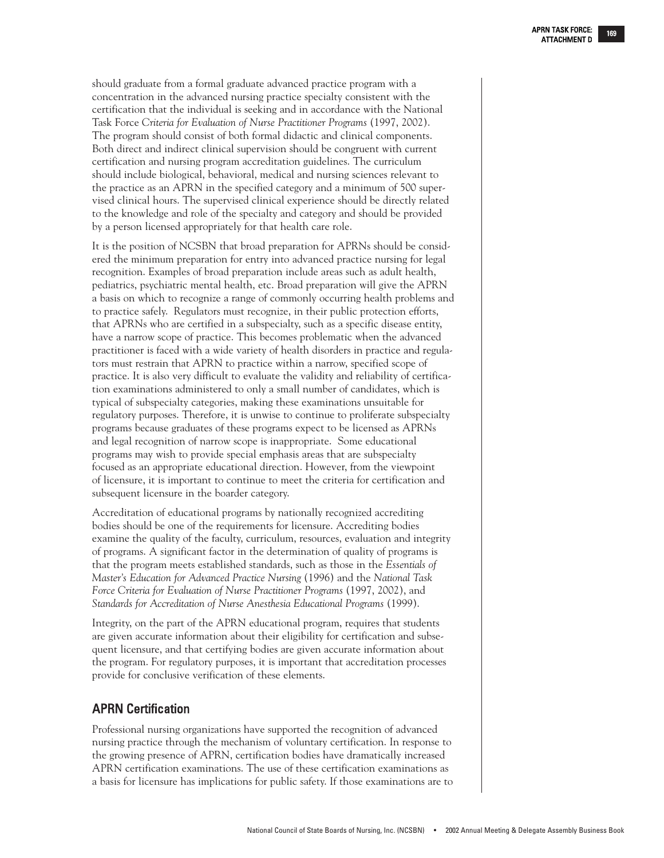should graduate from a formal graduate advanced practice program with a concentration in the advanced nursing practice specialty consistent with the certification that the individual is seeking and in accordance with the National Task Force *Criteria for Evaluation of Nurse Practitioner Programs* (1997, 2002). The program should consist of both formal didactic and clinical components. Both direct and indirect clinical supervision should be congruent with current certification and nursing program accreditation guidelines. The curriculum should include biological, behavioral, medical and nursing sciences relevant to the practice as an APRN in the specified category and a minimum of 500 supervised clinical hours. The supervised clinical experience should be directly related to the knowledge and role of the specialty and category and should be provided by a person licensed appropriately for that health care role.

It is the position of NCSBN that broad preparation for APRNs should be considered the minimum preparation for entry into advanced practice nursing for legal recognition. Examples of broad preparation include areas such as adult health, pediatrics, psychiatric mental health, etc. Broad preparation will give the APRN a basis on which to recognize a range of commonly occurring health problems and to practice safely. Regulators must recognize, in their public protection efforts, that APRNs who are certified in a subspecialty, such as a specific disease entity, have a narrow scope of practice. This becomes problematic when the advanced practitioner is faced with a wide variety of health disorders in practice and regulators must restrain that APRN to practice within a narrow, specified scope of practice. It is also very difficult to evaluate the validity and reliability of certification examinations administered to only a small number of candidates, which is typical of subspecialty categories, making these examinations unsuitable for regulatory purposes. Therefore, it is unwise to continue to proliferate subspecialty programs because graduates of these programs expect to be licensed as APRNs and legal recognition of narrow scope is inappropriate. Some educational programs may wish to provide special emphasis areas that are subspecialty focused as an appropriate educational direction. However, from the viewpoint of licensure, it is important to continue to meet the criteria for certification and subsequent licensure in the boarder category.

Accreditation of educational programs by nationally recognized accrediting bodies should be one of the requirements for licensure. Accrediting bodies examine the quality of the faculty, curriculum, resources, evaluation and integrity of programs. A significant factor in the determination of quality of programs is that the program meets established standards, such as those in the *Essentials of Master's Education for Advanced Practice Nursing* (1996) and the *National Task Force Criteria for Evaluation of Nurse Practitioner Programs* (1997, 2002), and *Standards for Accreditation of Nurse Anesthesia Educational Programs* (1999).

Integrity, on the part of the APRN educational program, requires that students are given accurate information about their eligibility for certification and subsequent licensure, and that certifying bodies are given accurate information about the program. For regulatory purposes, it is important that accreditation processes provide for conclusive verification of these elements.

## APRN Certification

Professional nursing organizations have supported the recognition of advanced nursing practice through the mechanism of voluntary certification. In response to the growing presence of APRN, certification bodies have dramatically increased APRN certification examinations. The use of these certification examinations as a basis for licensure has implications for public safety. If those examinations are to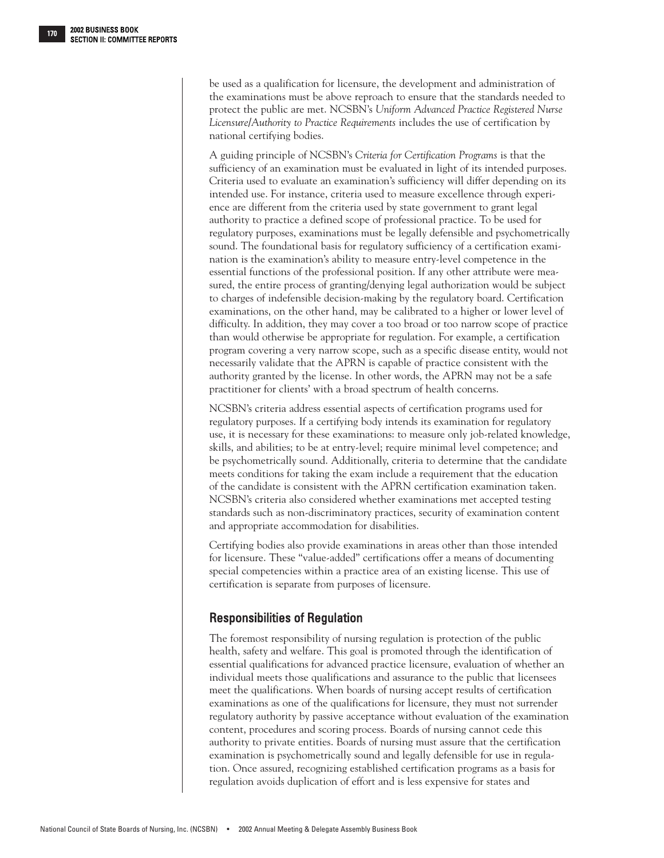be used as a qualification for licensure, the development and administration of the examinations must be above reproach to ensure that the standards needed to protect the public are met. NCSBN's *Uniform Advanced Practice Registered Nurse Licensure/Authority to Practice Requirements* includes the use of certification by national certifying bodies.

A guiding principle of NCSBN's *Criteria for Certification Programs* is that the sufficiency of an examination must be evaluated in light of its intended purposes. Criteria used to evaluate an examination's sufficiency will differ depending on its intended use. For instance, criteria used to measure excellence through experience are different from the criteria used by state government to grant legal authority to practice a defined scope of professional practice. To be used for regulatory purposes, examinations must be legally defensible and psychometrically sound. The foundational basis for regulatory sufficiency of a certification examination is the examination's ability to measure entry-level competence in the essential functions of the professional position. If any other attribute were measured, the entire process of granting/denying legal authorization would be subject to charges of indefensible decision-making by the regulatory board. Certification examinations, on the other hand, may be calibrated to a higher or lower level of difficulty. In addition, they may cover a too broad or too narrow scope of practice than would otherwise be appropriate for regulation. For example, a certification program covering a very narrow scope, such as a specific disease entity, would not necessarily validate that the APRN is capable of practice consistent with the authority granted by the license. In other words, the APRN may not be a safe practitioner for clients' with a broad spectrum of health concerns.

NCSBN's criteria address essential aspects of certification programs used for regulatory purposes. If a certifying body intends its examination for regulatory use, it is necessary for these examinations: to measure only job-related knowledge, skills, and abilities; to be at entry-level; require minimal level competence; and be psychometrically sound. Additionally, criteria to determine that the candidate meets conditions for taking the exam include a requirement that the education of the candidate is consistent with the APRN certification examination taken. NCSBN's criteria also considered whether examinations met accepted testing standards such as non-discriminatory practices, security of examination content and appropriate accommodation for disabilities.

Certifying bodies also provide examinations in areas other than those intended for licensure. These "value-added" certifications offer a means of documenting special competencies within a practice area of an existing license. This use of certification is separate from purposes of licensure.

## Responsibilities of Regulation

The foremost responsibility of nursing regulation is protection of the public health, safety and welfare. This goal is promoted through the identification of essential qualifications for advanced practice licensure, evaluation of whether an individual meets those qualifications and assurance to the public that licensees meet the qualifications. When boards of nursing accept results of certification examinations as one of the qualifications for licensure, they must not surrender regulatory authority by passive acceptance without evaluation of the examination content, procedures and scoring process. Boards of nursing cannot cede this authority to private entities. Boards of nursing must assure that the certification examination is psychometrically sound and legally defensible for use in regulation. Once assured, recognizing established certification programs as a basis for regulation avoids duplication of effort and is less expensive for states and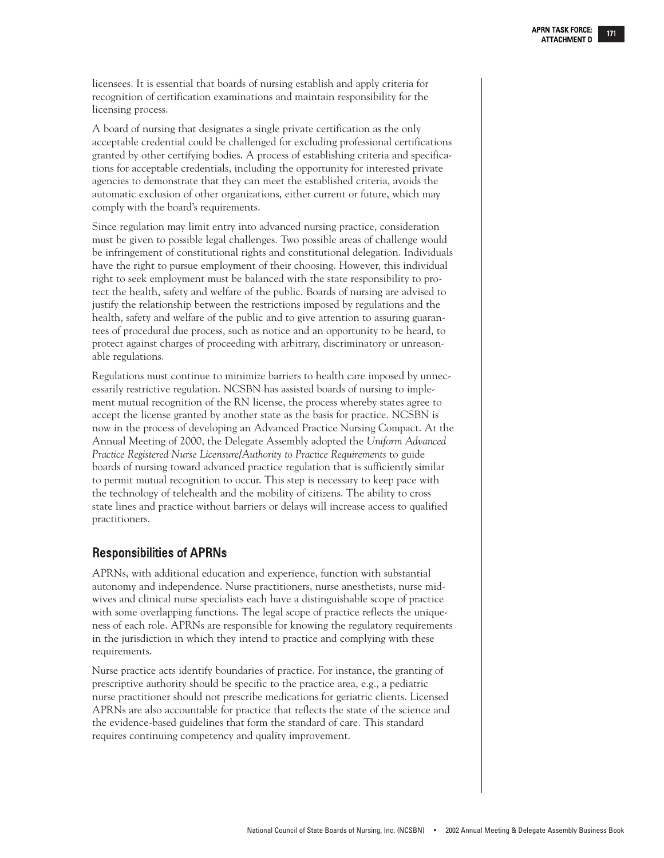licensees. It is essential that boards of nursing establish and apply criteria for recognition of certification examinations and maintain responsibility for the licensing process.

A board of nursing that designates a single private certification as the only acceptable credential could be challenged for excluding professional certifications granted by other certifying bodies. A process of establishing criteria and specifications for acceptable credentials, including the opportunity for interested private agencies to demonstrate that they can meet the established criteria, avoids the automatic exclusion of other organizations, either current or future, which may comply with the board's requirements.

Since regulation may limit entry into advanced nursing practice, consideration must be given to possible legal challenges. Two possible areas of challenge would be infringement of constitutional rights and constitutional delegation. Individuals have the right to pursue employment of their choosing. However, this individual right to seek employment must be balanced with the state responsibility to protect the health, safety and welfare of the public. Boards of nursing are advised to justify the relationship between the restrictions imposed by regulations and the health, safety and welfare of the public and to give attention to assuring guarantees of procedural due process, such as notice and an opportunity to be heard, to protect against charges of proceeding with arbitrary, discriminatory or unreasonable regulations.

Regulations must continue to minimize barriers to health care imposed by unnecessarily restrictive regulation. NCSBN has assisted boards of nursing to implement mutual recognition of the RN license, the process whereby states agree to accept the license granted by another state as the basis for practice. NCSBN is now in the process of developing an Advanced Practice Nursing Compact. At the Annual Meeting of 2000, the Delegate Assembly adopted the *Uniform Advanced Practice Registered Nurse Licensure/Authority to Practice Requirements* to guide boards of nursing toward advanced practice regulation that is sufficiently similar to permit mutual recognition to occur. This step is necessary to keep pace with the technology of telehealth and the mobility of citizens. The ability to cross state lines and practice without barriers or delays will increase access to qualified practitioners.

## Responsibilities of APRNs

APRNs, with additional education and experience, function with substantial autonomy and independence. Nurse practitioners, nurse anesthetists, nurse midwives and clinical nurse specialists each have a distinguishable scope of practice with some overlapping functions. The legal scope of practice reflects the uniqueness of each role. APRNs are responsible for knowing the regulatory requirements in the jurisdiction in which they intend to practice and complying with these requirements.

Nurse practice acts identify boundaries of practice. For instance, the granting of prescriptive authority should be specific to the practice area, e.g., a pediatric nurse practitioner should not prescribe medications for geriatric clients. Licensed APRNs are also accountable for practice that reflects the state of the science and the evidence-based guidelines that form the standard of care. This standard requires continuing competency and quality improvement.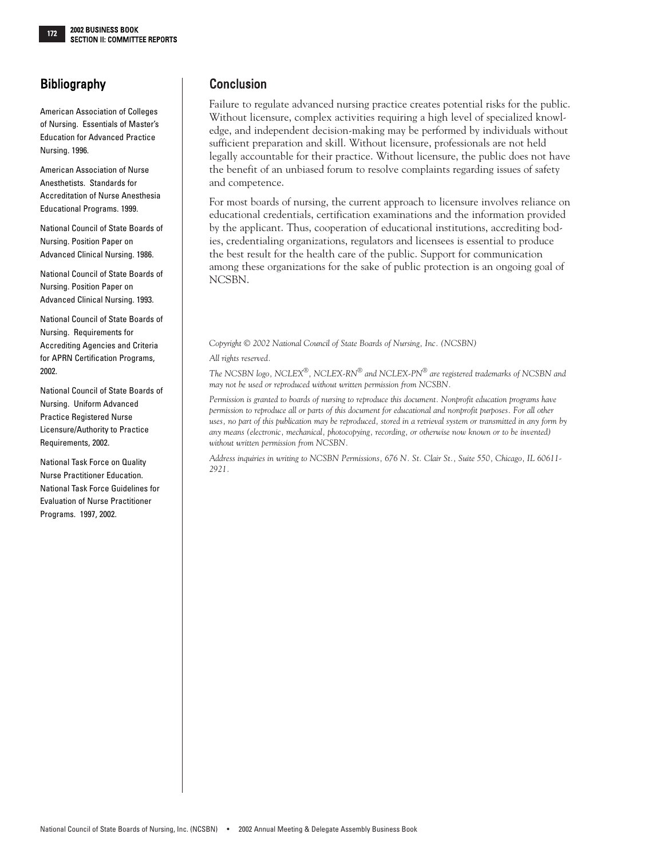## **Bibliography**

American Association of Colleges of Nursing. Essentials of Master's Education for Advanced Practice Nursing. 1996.

American Association of Nurse Anesthetists. Standards for Accreditation of Nurse Anesthesia Educational Programs. 1999.

National Council of State Boards of Nursing. Position Paper on Advanced Clinical Nursing. 1986.

National Council of State Boards of Nursing. Position Paper on Advanced Clinical Nursing. 1993.

National Council of State Boards of Nursing. Requirements for Accrediting Agencies and Criteria for APRN Certification Programs, 2002.

National Council of State Boards of Nursing. Uniform Advanced Practice Registered Nurse Licensure/Authority to Practice Requirements, 2002.

National Task Force on Quality Nurse Practitioner Education. National Task Force Guidelines for Evaluation of Nurse Practitioner Programs. 1997, 2002.

### Conclusion

Failure to regulate advanced nursing practice creates potential risks for the public. Without licensure, complex activities requiring a high level of specialized knowledge, and independent decision-making may be performed by individuals without sufficient preparation and skill. Without licensure, professionals are not held legally accountable for their practice. Without licensure, the public does not have the benefit of an unbiased forum to resolve complaints regarding issues of safety and competence.

For most boards of nursing, the current approach to licensure involves reliance on educational credentials, certification examinations and the information provided by the applicant. Thus, cooperation of educational institutions, accrediting bodies, credentialing organizations, regulators and licensees is essential to produce the best result for the health care of the public. Support for communication among these organizations for the sake of public protection is an ongoing goal of NCSBN.

*Copyright © 2002 National Council of State Boards of Nursing, Inc. (NCSBN)*

*All rights reserved.* 

*The NCSBN logo, NCLEX®, NCLEX-RN® and NCLEX-PN® are registered trademarks of NCSBN and may not be used or reproduced without written permission from NCSBN.* 

*Permission is granted to boards of nursing to reproduce this document. Nonprofit education programs have permission to reproduce all or parts of this document for educational and nonprofit purposes. For all other uses, no part of this publication may be reproduced, stored in a retrieval system or transmitted in any form by any means (electronic, mechanical, photocopying, recording, or otherwise now known or to be invented) without written permission from NCSBN.* 

*Address inquiries in writing to NCSBN Permissions, 676 N. St. Clair St., Suite 550, Chicago, IL 60611- 2921.*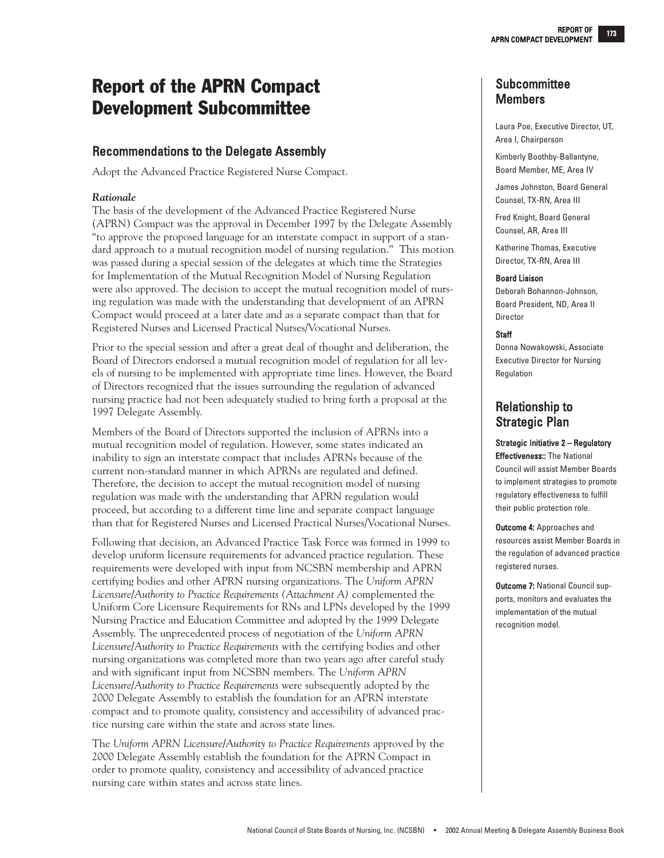# Report of the APRN Compact Development Subcommittee

### Recommendations to the Delegate Assembly

Adopt the Advanced Practice Registered Nurse Compact.

#### *Rationale*

The basis of the development of the Advanced Practice Registered Nurse (APRN) Compact was the approval in December 1997 by the Delegate Assembly "to approve the proposed language for an interstate compact in support of a standard approach to a mutual recognition model of nursing regulation." This motion was passed during a special session of the delegates at which time the Strategies for Implementation of the Mutual Recognition Model of Nursing Regulation were also approved. The decision to accept the mutual recognition model of nursing regulation was made with the understanding that development of an APRN Compact would proceed at a later date and as a separate compact than that for Registered Nurses and Licensed Practical Nurses/Vocational Nurses.

Prior to the special session and after a great deal of thought and deliberation, the Board of Directors endorsed a mutual recognition model of regulation for all levels of nursing to be implemented with appropriate time lines. However, the Board of Directors recognized that the issues surrounding the regulation of advanced nursing practice had not been adequately studied to bring forth a proposal at the 1997 Delegate Assembly.

Members of the Board of Directors supported the inclusion of APRNs into a mutual recognition model of regulation. However, some states indicated an inability to sign an interstate compact that includes APRNs because of the current non-standard manner in which APRNs are regulated and defined. Therefore, the decision to accept the mutual recognition model of nursing regulation was made with the understanding that APRN regulation would proceed, but according to a different time line and separate compact language than that for Registered Nurses and Licensed Practical Nurses/Vocational Nurses.

Following that decision, an Advanced Practice Task Force was formed in 1999 to develop uniform licensure requirements for advanced practice regulation. These requirements were developed with input from NCSBN membership and APRN certifying bodies and other APRN nursing organizations. The *Uniform APRN Licensure/Authority to Practice Requirements (Attachment A)* complemented the Uniform Core Licensure Requirements for RNs and LPNs developed by the 1999 Nursing Practice and Education Committee and adopted by the 1999 Delegate Assembly. The unprecedented process of negotiation of the *Uniform APRN Licensure/Authority to Practice Requirements* with the certifying bodies and other nursing organizations was completed more than two years ago after careful study and with significant input from NCSBN members. The *Uniform APRN Licensure/Authority to Practice Requirements* were subsequently adopted by the 2000 Delegate Assembly to establish the foundation for an APRN interstate compact and to promote quality, consistency and accessibility of advanced practice nursing care within the state and across state lines.

The *Uniform APRN Licensure/Authority to Practice Requirements* approved by the 2000 Delegate Assembly establish the foundation for the APRN Compact in order to promote quality, consistency and accessibility of advanced practice nursing care within states and across state lines.

## Subcommittee **Members**

Laura Poe, Executive Director, UT, Area I, Chairperson

Kimberly Boothby-Ballantyne, Board Member, ME, Area IV

James Johnston, Board General Counsel, TX-RN, Area III

Fred Knight, Board General Counsel, AR, Area III

Katherine Thomas, Executive Director, TX-RN, Area III

#### Board Liaison

Deborah Bohannon-Johnson, Board President, ND, Area II Director

#### Staff

Donna Nowakowski, Associate Executive Director for Nursing Regulation

## Relationship to Strategic Plan

### Strategic Initiative 2 – Regulatory

Effectiveness:: The National Council will assist Member Boards to implement strategies to promote regulatory effectiveness to fulfill their public protection role.

Outcome 4: Approaches and resources assist Member Boards in the regulation of advanced practice registered nurses.

Outcome 7: National Council supports, monitors and evaluates the implementation of the mutual recognition model.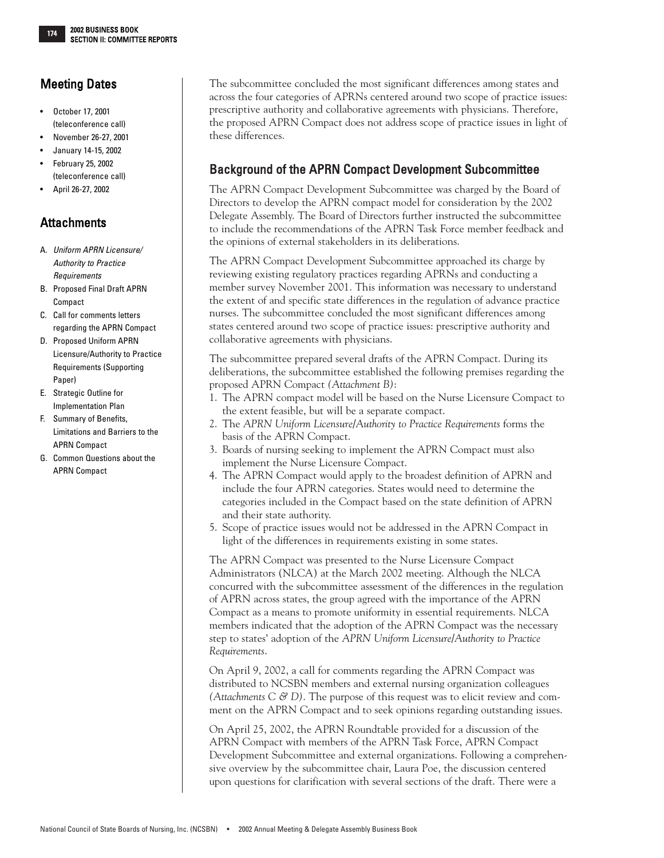## Meeting Dates

- October 17, 2001 (teleconference call)
- November 26-27, 2001
- January 14-15, 2002
- February 25, 2002 (teleconference call)
- April 26-27, 2002

## **Attachments**

- A. Uniform APRN Licensure/ Authority to Practice **Requirements**
- B. Proposed Final Draft APRN Compact
- C. Call for comments letters regarding the APRN Compact
- D. Proposed Uniform APRN Licensure/Authority to Practice Requirements (Supporting Paper)
- E. Strategic Outline for Implementation Plan
- F. Summary of Benefits, Limitations and Barriers to the APRN Compact
- G. Common Questions about the APRN Compact

The subcommittee concluded the most significant differences among states and across the four categories of APRNs centered around two scope of practice issues: prescriptive authority and collaborative agreements with physicians. Therefore, the proposed APRN Compact does not address scope of practice issues in light of these differences.

## Background of the APRN Compact Development Subcommittee

The APRN Compact Development Subcommittee was charged by the Board of Directors to develop the APRN compact model for consideration by the 2002 Delegate Assembly. The Board of Directors further instructed the subcommittee to include the recommendations of the APRN Task Force member feedback and the opinions of external stakeholders in its deliberations.

The APRN Compact Development Subcommittee approached its charge by reviewing existing regulatory practices regarding APRNs and conducting a member survey November 2001. This information was necessary to understand the extent of and specific state differences in the regulation of advance practice nurses. The subcommittee concluded the most significant differences among states centered around two scope of practice issues: prescriptive authority and collaborative agreements with physicians.

The subcommittee prepared several drafts of the APRN Compact. During its deliberations, the subcommittee established the following premises regarding the proposed APRN Compact *(Attachment B)*:

- 1. The APRN compact model will be based on the Nurse Licensure Compact to the extent feasible, but will be a separate compact.
- 2. The *APRN Uniform Licensure/Authority to Practice Requirements* forms the basis of the APRN Compact.
- 3. Boards of nursing seeking to implement the APRN Compact must also implement the Nurse Licensure Compact.
- 4. The APRN Compact would apply to the broadest definition of APRN and include the four APRN categories. States would need to determine the categories included in the Compact based on the state definition of APRN and their state authority.
- 5. Scope of practice issues would not be addressed in the APRN Compact in light of the differences in requirements existing in some states.

The APRN Compact was presented to the Nurse Licensure Compact Administrators (NLCA) at the March 2002 meeting. Although the NLCA concurred with the subcommittee assessment of the differences in the regulation of APRN across states, the group agreed with the importance of the APRN Compact as a means to promote uniformity in essential requirements. NLCA members indicated that the adoption of the APRN Compact was the necessary step to states' adoption of the *APRN Uniform Licensure/Authority to Practice Requirements*.

On April 9, 2002, a call for comments regarding the APRN Compact was distributed to NCSBN members and external nursing organization colleagues *(Attachments C & D)*. The purpose of this request was to elicit review and comment on the APRN Compact and to seek opinions regarding outstanding issues.

On April 25, 2002, the APRN Roundtable provided for a discussion of the APRN Compact with members of the APRN Task Force, APRN Compact Development Subcommittee and external organizations. Following a comprehensive overview by the subcommittee chair, Laura Poe, the discussion centered upon questions for clarification with several sections of the draft. There were a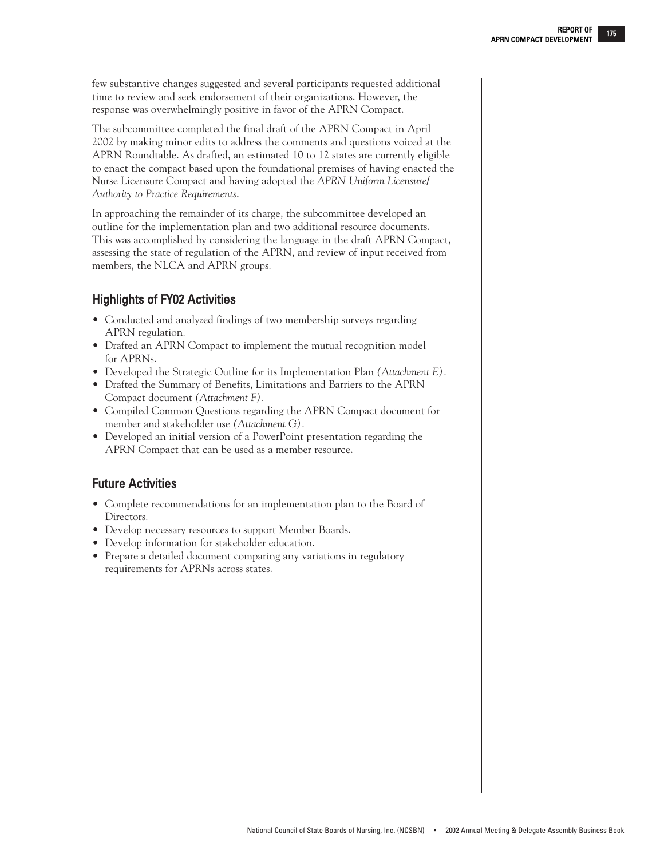few substantive changes suggested and several participants requested additional time to review and seek endorsement of their organizations. However, the response was overwhelmingly positive in favor of the APRN Compact.

The subcommittee completed the final draft of the APRN Compact in April 2002 by making minor edits to address the comments and questions voiced at the APRN Roundtable. As drafted, an estimated 10 to 12 states are currently eligible to enact the compact based upon the foundational premises of having enacted the Nurse Licensure Compact and having adopted the *APRN Uniform Licensure/ Authority to Practice Requirements*.

In approaching the remainder of its charge, the subcommittee developed an outline for the implementation plan and two additional resource documents. This was accomplished by considering the language in the draft APRN Compact, assessing the state of regulation of the APRN, and review of input received from members, the NLCA and APRN groups.

## Highlights of FY02 Activities

- Conducted and analyzed findings of two membership surveys regarding APRN regulation.
- Drafted an APRN Compact to implement the mutual recognition model for APRNs.
- Developed the Strategic Outline for its Implementation Plan *(Attachment E).*
- Drafted the Summary of Benefits, Limitations and Barriers to the APRN Compact document *(Attachment F).*
- Compiled Common Questions regarding the APRN Compact document for member and stakeholder use *(Attachment G).*
- Developed an initial version of a PowerPoint presentation regarding the APRN Compact that can be used as a member resource.

## Future Activities

- Complete recommendations for an implementation plan to the Board of Directors.
- Develop necessary resources to support Member Boards.
- Develop information for stakeholder education.
- Prepare a detailed document comparing any variations in regulatory requirements for APRNs across states.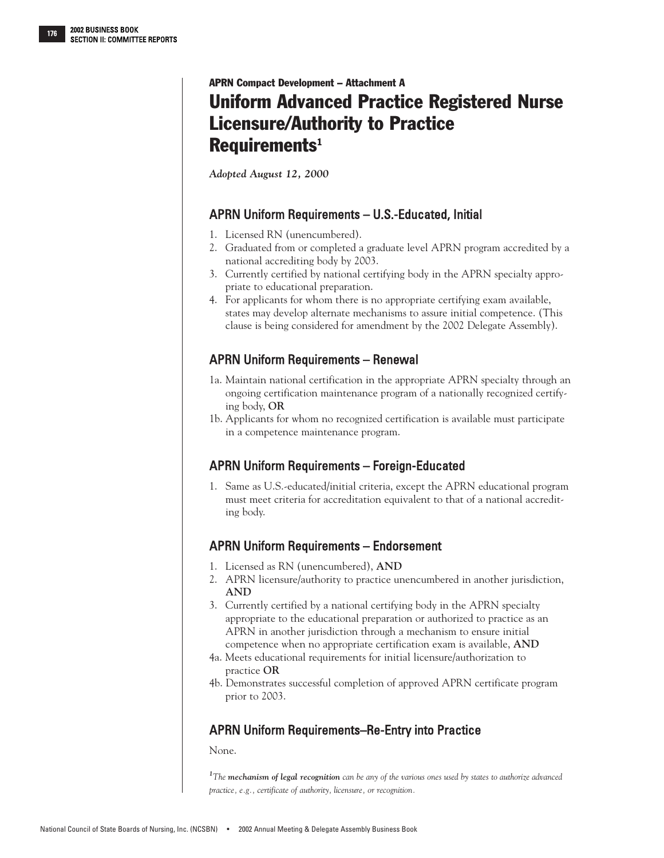# APRN Compact Development – Attachment A Uniform Advanced Practice Registered Nurse Licensure/Authority to Practice  $\mathbf{Requirements}^1$

*Adopted August 12, 2000*

### APRN Uniform Requirements – U.S.-Educated, Initial

- 1. Licensed RN (unencumbered).
- 2. Graduated from or completed a graduate level APRN program accredited by a national accrediting body by 2003.
- 3. Currently certified by national certifying body in the APRN specialty appropriate to educational preparation.
- 4. For applicants for whom there is no appropriate certifying exam available, states may develop alternate mechanisms to assure initial competence. (This clause is being considered for amendment by the 2002 Delegate Assembly).

## APRN Uniform Requirements – Renewal

- 1a. Maintain national certification in the appropriate APRN specialty through an ongoing certification maintenance program of a nationally recognized certifying body, **OR**
- 1b. Applicants for whom no recognized certification is available must participate in a competence maintenance program.

## APRN Uniform Requirements – Foreign-Educated

1. Same as U.S.-educated/initial criteria, except the APRN educational program must meet criteria for accreditation equivalent to that of a national accrediting body.

#### APRN Uniform Requirements – Endorsement

- 1. Licensed as RN (unencumbered), **AND**
- 2. APRN licensure/authority to practice unencumbered in another jurisdiction, **AND**
- 3. Currently certified by a national certifying body in the APRN specialty appropriate to the educational preparation or authorized to practice as an APRN in another jurisdiction through a mechanism to ensure initial competence when no appropriate certification exam is available, **AND**
- 4a. Meets educational requirements for initial licensure/authorization to practice **OR**
- 4b. Demonstrates successful completion of approved APRN certificate program prior to 2003.

## APRN Uniform Requirements–Re-Entry into Practice

None.

*1 The mechanism of legal recognition can be any of the various ones used by states to authorize advanced practice, e.g., certificate of authority, licensure, or recognition.*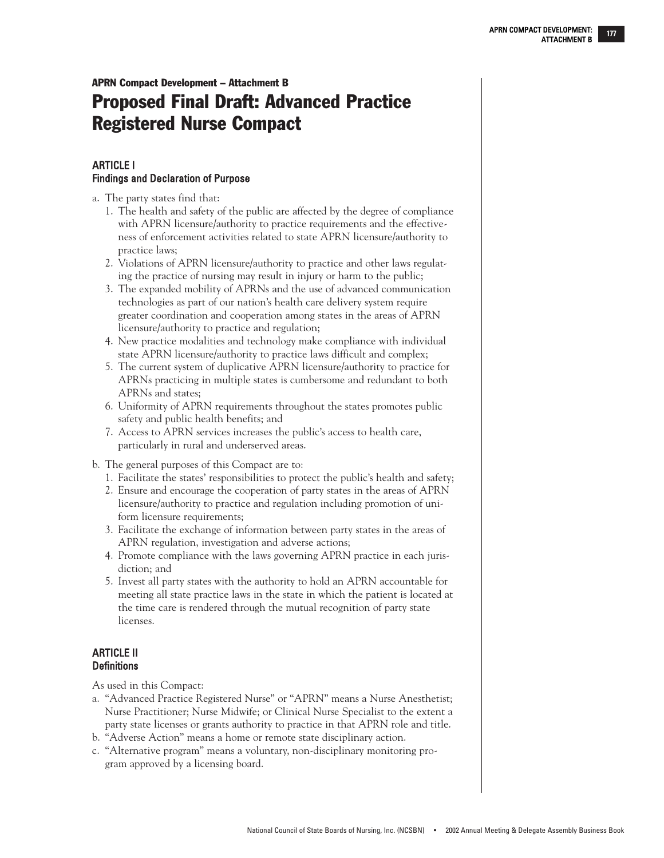APRN Compact Development – Attachment B

# Proposed Final Draft: Advanced Practice Registered Nurse Compact

#### ARTICLE I Findings and Declaration of Purpose

a. The party states find that:

- 1. The health and safety of the public are affected by the degree of compliance with APRN licensure/authority to practice requirements and the effectiveness of enforcement activities related to state APRN licensure/authority to practice laws;
- 2. Violations of APRN licensure/authority to practice and other laws regulating the practice of nursing may result in injury or harm to the public;
- 3. The expanded mobility of APRNs and the use of advanced communication technologies as part of our nation's health care delivery system require greater coordination and cooperation among states in the areas of APRN licensure/authority to practice and regulation;
- 4. New practice modalities and technology make compliance with individual state APRN licensure/authority to practice laws difficult and complex;
- 5. The current system of duplicative APRN licensure/authority to practice for APRNs practicing in multiple states is cumbersome and redundant to both APRNs and states;
- 6. Uniformity of APRN requirements throughout the states promotes public safety and public health benefits; and
- 7. Access to APRN services increases the public's access to health care, particularly in rural and underserved areas.
- b. The general purposes of this Compact are to:
	- 1. Facilitate the states' responsibilities to protect the public's health and safety;
	- 2. Ensure and encourage the cooperation of party states in the areas of APRN licensure/authority to practice and regulation including promotion of uniform licensure requirements;
	- 3. Facilitate the exchange of information between party states in the areas of APRN regulation, investigation and adverse actions;
	- 4. Promote compliance with the laws governing APRN practice in each jurisdiction; and
	- 5. Invest all party states with the authority to hold an APRN accountable for meeting all state practice laws in the state in which the patient is located at the time care is rendered through the mutual recognition of party state licenses.

#### ARTICLE II **Definitions**

As used in this Compact:

- a. "Advanced Practice Registered Nurse" or "APRN" means a Nurse Anesthetist; Nurse Practitioner; Nurse Midwife; or Clinical Nurse Specialist to the extent a party state licenses or grants authority to practice in that APRN role and title.
- b. "Adverse Action" means a home or remote state disciplinary action.
- c. "Alternative program" means a voluntary, non-disciplinary monitoring program approved by a licensing board.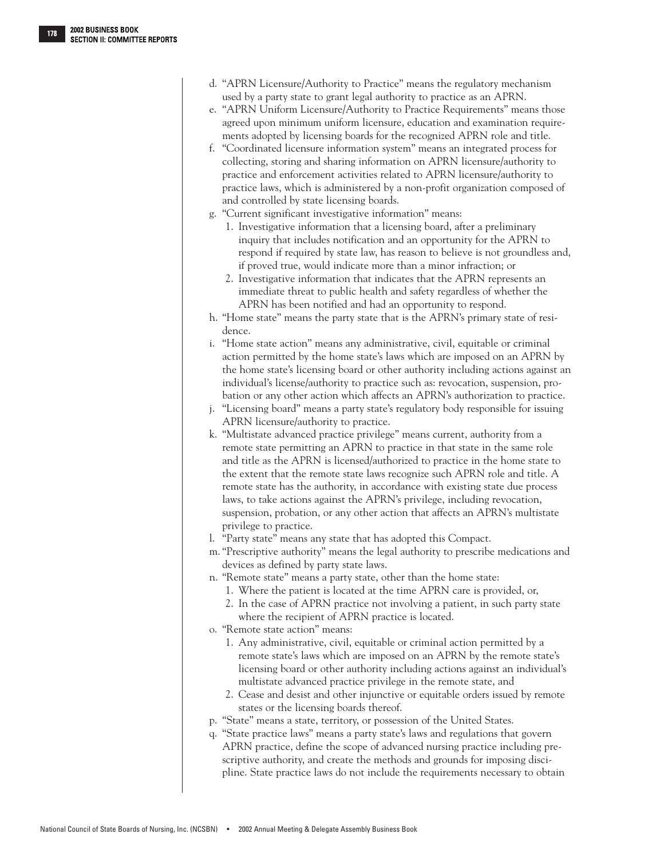- d. "APRN Licensure/Authority to Practice" means the regulatory mechanism used by a party state to grant legal authority to practice as an APRN.
- e. "APRN Uniform Licensure/Authority to Practice Requirements" means those agreed upon minimum uniform licensure, education and examination requirements adopted by licensing boards for the recognized APRN role and title.
- f. "Coordinated licensure information system" means an integrated process for collecting, storing and sharing information on APRN licensure/authority to practice and enforcement activities related to APRN licensure/authority to practice laws, which is administered by a non-profit organization composed of and controlled by state licensing boards.
- g. "Current significant investigative information" means:
	- 1. Investigative information that a licensing board, after a preliminary inquiry that includes notification and an opportunity for the APRN to respond if required by state law, has reason to believe is not groundless and, if proved true, would indicate more than a minor infraction; or
	- 2. Investigative information that indicates that the APRN represents an immediate threat to public health and safety regardless of whether the APRN has been notified and had an opportunity to respond.
- h. "Home state" means the party state that is the APRN's primary state of residence.
- i. "Home state action" means any administrative, civil, equitable or criminal action permitted by the home state's laws which are imposed on an APRN by the home state's licensing board or other authority including actions against an individual's license/authority to practice such as: revocation, suspension, probation or any other action which affects an APRN's authorization to practice.
- j. "Licensing board" means a party state's regulatory body responsible for issuing APRN licensure/authority to practice.
- k. "Multistate advanced practice privilege" means current, authority from a remote state permitting an APRN to practice in that state in the same role and title as the APRN is licensed/authorized to practice in the home state to the extent that the remote state laws recognize such APRN role and title. A remote state has the authority, in accordance with existing state due process laws, to take actions against the APRN's privilege, including revocation, suspension, probation, or any other action that affects an APRN's multistate privilege to practice.
- l. "Party state" means any state that has adopted this Compact.
- m. "Prescriptive authority" means the legal authority to prescribe medications and devices as defined by party state laws.
- n. "Remote state" means a party state, other than the home state:
	- 1. Where the patient is located at the time APRN care is provided, or,
	- 2. In the case of APRN practice not involving a patient, in such party state where the recipient of APRN practice is located.
- o. "Remote state action" means:
	- 1. Any administrative, civil, equitable or criminal action permitted by a remote state's laws which are imposed on an APRN by the remote state's licensing board or other authority including actions against an individual's multistate advanced practice privilege in the remote state, and
	- 2. Cease and desist and other injunctive or equitable orders issued by remote states or the licensing boards thereof.
- p. "State" means a state, territory, or possession of the United States.
- q. "State practice laws" means a party state's laws and regulations that govern APRN practice, define the scope of advanced nursing practice including prescriptive authority, and create the methods and grounds for imposing discipline. State practice laws do not include the requirements necessary to obtain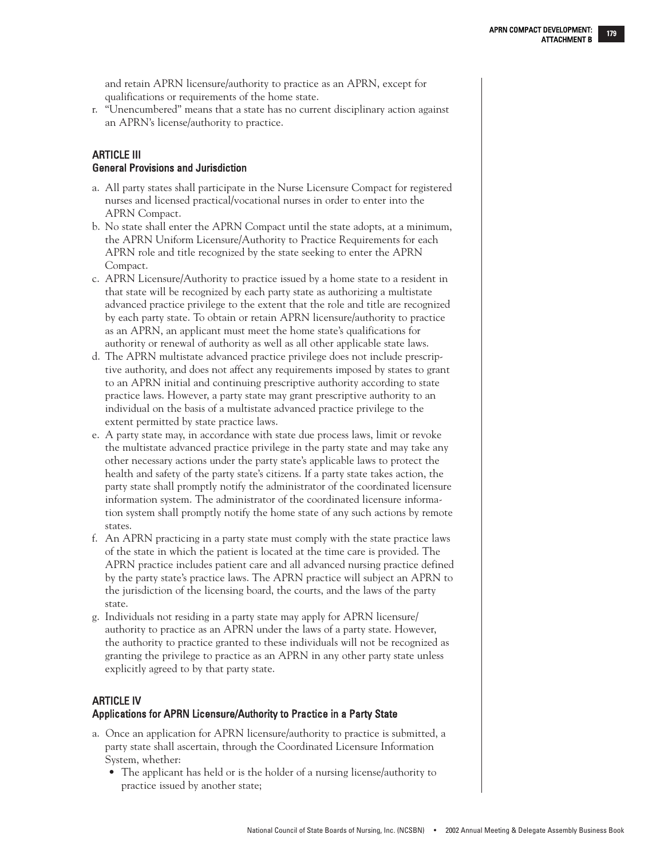and retain APRN licensure/authority to practice as an APRN, except for qualifications or requirements of the home state.

r. "Unencumbered" means that a state has no current disciplinary action against an APRN's license/authority to practice.

#### ARTICLE III General Provisions and Jurisdiction

- a. All party states shall participate in the Nurse Licensure Compact for registered nurses and licensed practical/vocational nurses in order to enter into the APRN Compact.
- b. No state shall enter the APRN Compact until the state adopts, at a minimum, the APRN Uniform Licensure/Authority to Practice Requirements for each APRN role and title recognized by the state seeking to enter the APRN Compact.
- c. APRN Licensure/Authority to practice issued by a home state to a resident in that state will be recognized by each party state as authorizing a multistate advanced practice privilege to the extent that the role and title are recognized by each party state. To obtain or retain APRN licensure/authority to practice as an APRN, an applicant must meet the home state's qualifications for authority or renewal of authority as well as all other applicable state laws.
- d. The APRN multistate advanced practice privilege does not include prescriptive authority, and does not affect any requirements imposed by states to grant to an APRN initial and continuing prescriptive authority according to state practice laws. However, a party state may grant prescriptive authority to an individual on the basis of a multistate advanced practice privilege to the extent permitted by state practice laws.
- e. A party state may, in accordance with state due process laws, limit or revoke the multistate advanced practice privilege in the party state and may take any other necessary actions under the party state's applicable laws to protect the health and safety of the party state's citizens. If a party state takes action, the party state shall promptly notify the administrator of the coordinated licensure information system. The administrator of the coordinated licensure information system shall promptly notify the home state of any such actions by remote states.
- f. An APRN practicing in a party state must comply with the state practice laws of the state in which the patient is located at the time care is provided. The APRN practice includes patient care and all advanced nursing practice defined by the party state's practice laws. The APRN practice will subject an APRN to the jurisdiction of the licensing board, the courts, and the laws of the party state.
- g. Individuals not residing in a party state may apply for APRN licensure/ authority to practice as an APRN under the laws of a party state. However, the authority to practice granted to these individuals will not be recognized as granting the privilege to practice as an APRN in any other party state unless explicitly agreed to by that party state.

#### ARTICLE IV

#### Applications for APRN Licensure/Authority to Practice in a Party State

- a. Once an application for APRN licensure/authority to practice is submitted, a party state shall ascertain, through the Coordinated Licensure Information System, whether:
	- The applicant has held or is the holder of a nursing license/authority to practice issued by another state;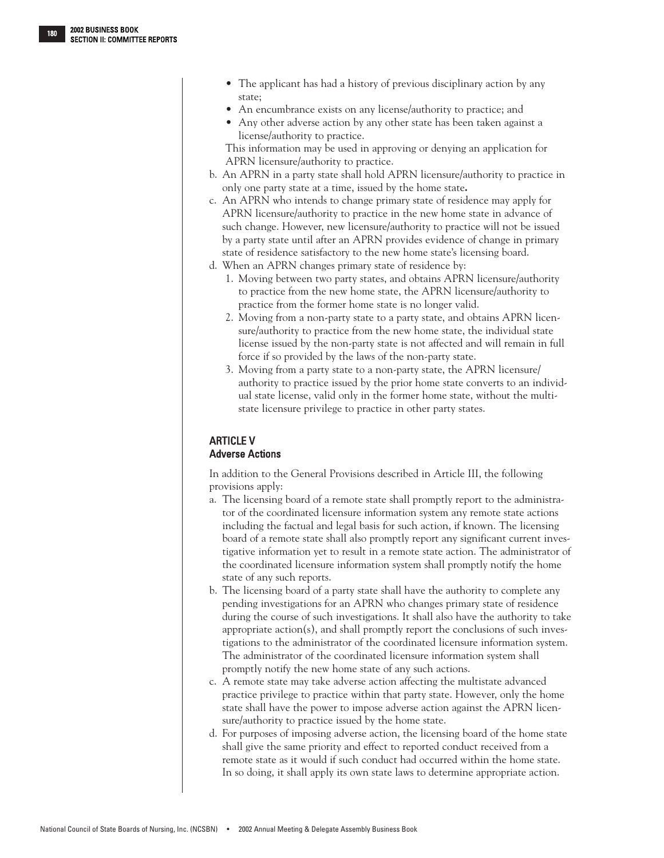- The applicant has had a history of previous disciplinary action by any state;
- An encumbrance exists on any license/authority to practice; and
- Any other adverse action by any other state has been taken against a license/authority to practice.

This information may be used in approving or denying an application for APRN licensure/authority to practice.

- b. An APRN in a party state shall hold APRN licensure/authority to practice in only one party state at a time, issued by the home state**.**
- c. An APRN who intends to change primary state of residence may apply for APRN licensure/authority to practice in the new home state in advance of such change. However, new licensure/authority to practice will not be issued by a party state until after an APRN provides evidence of change in primary state of residence satisfactory to the new home state's licensing board.
- d. When an APRN changes primary state of residence by:
	- 1. Moving between two party states, and obtains APRN licensure/authority to practice from the new home state, the APRN licensure/authority to practice from the former home state is no longer valid.
	- 2. Moving from a non-party state to a party state, and obtains APRN licensure/authority to practice from the new home state, the individual state license issued by the non-party state is not affected and will remain in full force if so provided by the laws of the non-party state.
	- 3. Moving from a party state to a non-party state, the APRN licensure/ authority to practice issued by the prior home state converts to an individual state license, valid only in the former home state, without the multistate licensure privilege to practice in other party states.

#### ARTICLE V Adverse Actions

In addition to the General Provisions described in Article III, the following provisions apply:

- a. The licensing board of a remote state shall promptly report to the administrator of the coordinated licensure information system any remote state actions including the factual and legal basis for such action, if known. The licensing board of a remote state shall also promptly report any significant current investigative information yet to result in a remote state action. The administrator of the coordinated licensure information system shall promptly notify the home state of any such reports.
- b. The licensing board of a party state shall have the authority to complete any pending investigations for an APRN who changes primary state of residence during the course of such investigations. It shall also have the authority to take appropriate action(s), and shall promptly report the conclusions of such investigations to the administrator of the coordinated licensure information system. The administrator of the coordinated licensure information system shall promptly notify the new home state of any such actions.
- c. A remote state may take adverse action affecting the multistate advanced practice privilege to practice within that party state. However, only the home state shall have the power to impose adverse action against the APRN licensure/authority to practice issued by the home state.
- d. For purposes of imposing adverse action, the licensing board of the home state shall give the same priority and effect to reported conduct received from a remote state as it would if such conduct had occurred within the home state. In so doing, it shall apply its own state laws to determine appropriate action.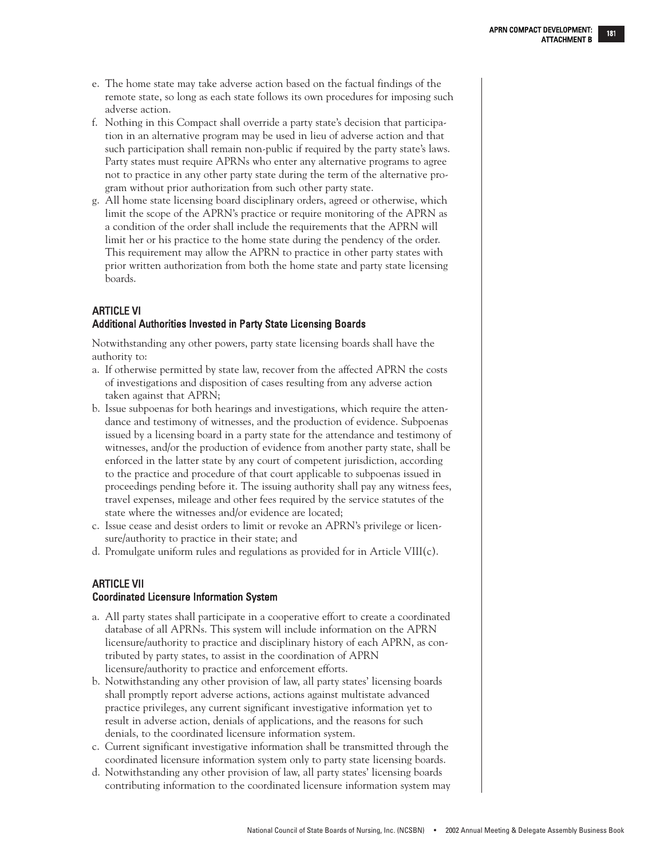- e. The home state may take adverse action based on the factual findings of the remote state, so long as each state follows its own procedures for imposing such adverse action.
- f. Nothing in this Compact shall override a party state's decision that participation in an alternative program may be used in lieu of adverse action and that such participation shall remain non-public if required by the party state's laws. Party states must require APRNs who enter any alternative programs to agree not to practice in any other party state during the term of the alternative program without prior authorization from such other party state.
- g. All home state licensing board disciplinary orders, agreed or otherwise, which limit the scope of the APRN's practice or require monitoring of the APRN as a condition of the order shall include the requirements that the APRN will limit her or his practice to the home state during the pendency of the order. This requirement may allow the APRN to practice in other party states with prior written authorization from both the home state and party state licensing boards.

#### ARTICLE VI Additional Authorities Invested in Party State Licensing Boards

Notwithstanding any other powers, party state licensing boards shall have the authority to:

- a. If otherwise permitted by state law, recover from the affected APRN the costs of investigations and disposition of cases resulting from any adverse action taken against that APRN;
- b. Issue subpoenas for both hearings and investigations, which require the attendance and testimony of witnesses, and the production of evidence. Subpoenas issued by a licensing board in a party state for the attendance and testimony of witnesses, and/or the production of evidence from another party state, shall be enforced in the latter state by any court of competent jurisdiction, according to the practice and procedure of that court applicable to subpoenas issued in proceedings pending before it. The issuing authority shall pay any witness fees, travel expenses, mileage and other fees required by the service statutes of the state where the witnesses and/or evidence are located;
- c. Issue cease and desist orders to limit or revoke an APRN's privilege or licensure/authority to practice in their state; and
- d. Promulgate uniform rules and regulations as provided for in Article VIII(c).

#### ARTICLE VII Coordinated Licensure Information System

- a. All party states shall participate in a cooperative effort to create a coordinated database of all APRNs. This system will include information on the APRN licensure/authority to practice and disciplinary history of each APRN, as contributed by party states, to assist in the coordination of APRN licensure/authority to practice and enforcement efforts.
- b. Notwithstanding any other provision of law, all party states' licensing boards shall promptly report adverse actions, actions against multistate advanced practice privileges, any current significant investigative information yet to result in adverse action, denials of applications, and the reasons for such denials, to the coordinated licensure information system.
- c. Current significant investigative information shall be transmitted through the coordinated licensure information system only to party state licensing boards.
- d. Notwithstanding any other provision of law, all party states' licensing boards contributing information to the coordinated licensure information system may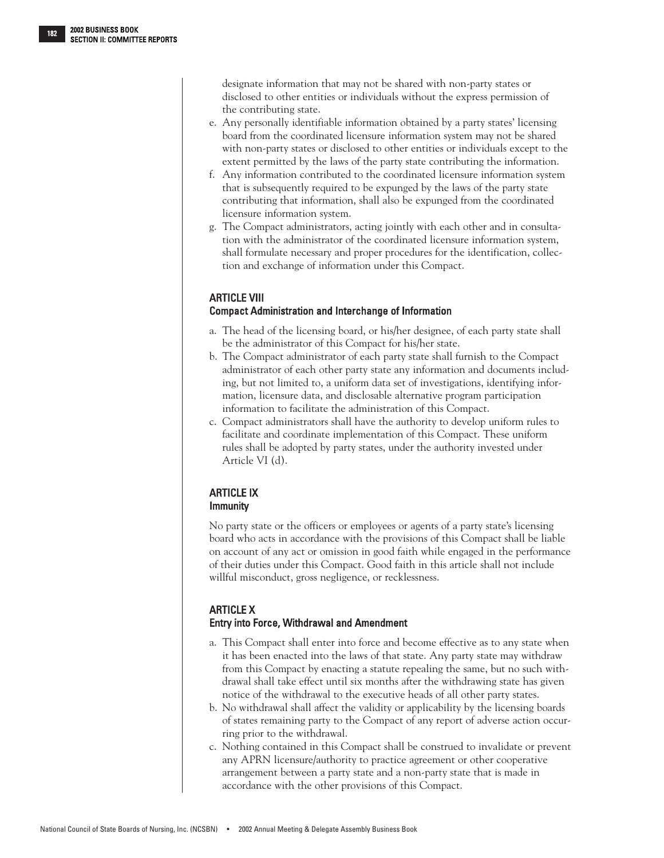designate information that may not be shared with non-party states or disclosed to other entities or individuals without the express permission of the contributing state.

- e. Any personally identifiable information obtained by a party states' licensing board from the coordinated licensure information system may not be shared with non-party states or disclosed to other entities or individuals except to the extent permitted by the laws of the party state contributing the information.
- f. Any information contributed to the coordinated licensure information system that is subsequently required to be expunged by the laws of the party state contributing that information, shall also be expunged from the coordinated licensure information system.
- g. The Compact administrators, acting jointly with each other and in consultation with the administrator of the coordinated licensure information system, shall formulate necessary and proper procedures for the identification, collection and exchange of information under this Compact.

#### ARTICLE VIII Compact Administration and Interchange of Information

- a. The head of the licensing board, or his/her designee, of each party state shall be the administrator of this Compact for his/her state.
- b. The Compact administrator of each party state shall furnish to the Compact administrator of each other party state any information and documents including, but not limited to, a uniform data set of investigations, identifying information, licensure data, and disclosable alternative program participation information to facilitate the administration of this Compact.
- c. Compact administrators shall have the authority to develop uniform rules to facilitate and coordinate implementation of this Compact. These uniform rules shall be adopted by party states, under the authority invested under Article VI (d).

#### ARTICLE IX Immunity

No party state or the officers or employees or agents of a party state's licensing board who acts in accordance with the provisions of this Compact shall be liable on account of any act or omission in good faith while engaged in the performance of their duties under this Compact. Good faith in this article shall not include willful misconduct, gross negligence, or recklessness.

#### ARTICLE X Entry into Force, Withdrawal and Amendment

- a. This Compact shall enter into force and become effective as to any state when it has been enacted into the laws of that state. Any party state may withdraw from this Compact by enacting a statute repealing the same, but no such withdrawal shall take effect until six months after the withdrawing state has given notice of the withdrawal to the executive heads of all other party states.
- b. No withdrawal shall affect the validity or applicability by the licensing boards of states remaining party to the Compact of any report of adverse action occurring prior to the withdrawal.
- c. Nothing contained in this Compact shall be construed to invalidate or prevent any APRN licensure/authority to practice agreement or other cooperative arrangement between a party state and a non-party state that is made in accordance with the other provisions of this Compact.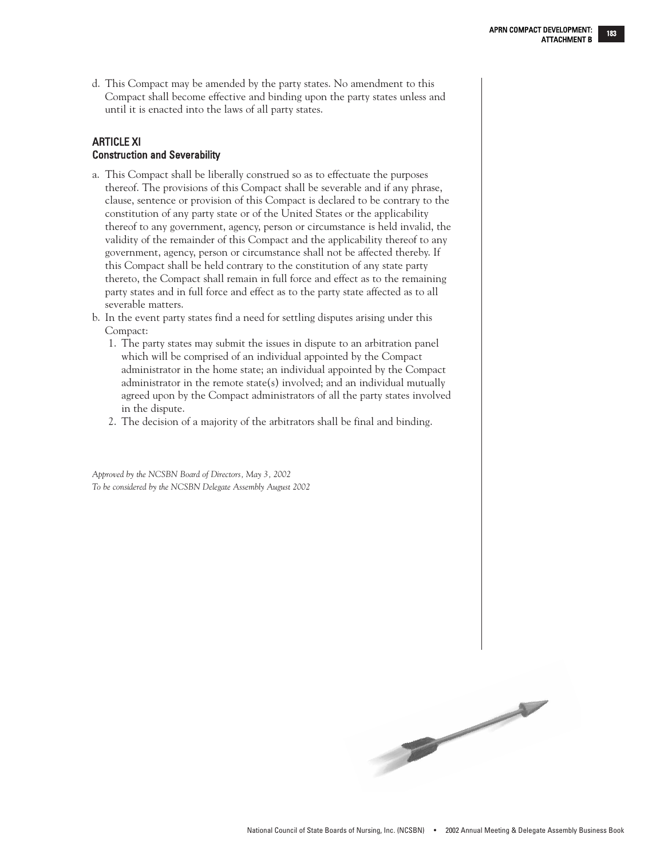d. This Compact may be amended by the party states. No amendment to this Compact shall become effective and binding upon the party states unless and until it is enacted into the laws of all party states.

#### ARTICLE XI Construction and Severability

- a. This Compact shall be liberally construed so as to effectuate the purposes thereof. The provisions of this Compact shall be severable and if any phrase, clause, sentence or provision of this Compact is declared to be contrary to the constitution of any party state or of the United States or the applicability thereof to any government, agency, person or circumstance is held invalid, the validity of the remainder of this Compact and the applicability thereof to any government, agency, person or circumstance shall not be affected thereby. If this Compact shall be held contrary to the constitution of any state party thereto, the Compact shall remain in full force and effect as to the remaining party states and in full force and effect as to the party state affected as to all severable matters.
- b. In the event party states find a need for settling disputes arising under this Compact:
	- 1. The party states may submit the issues in dispute to an arbitration panel which will be comprised of an individual appointed by the Compact administrator in the home state; an individual appointed by the Compact administrator in the remote state(s) involved; and an individual mutually agreed upon by the Compact administrators of all the party states involved in the dispute.
	- 2. The decision of a majority of the arbitrators shall be final and binding.

*Approved by the NCSBN Board of Directors, May 3, 2002 To be considered by the NCSBN Delegate Assembly August 2002*

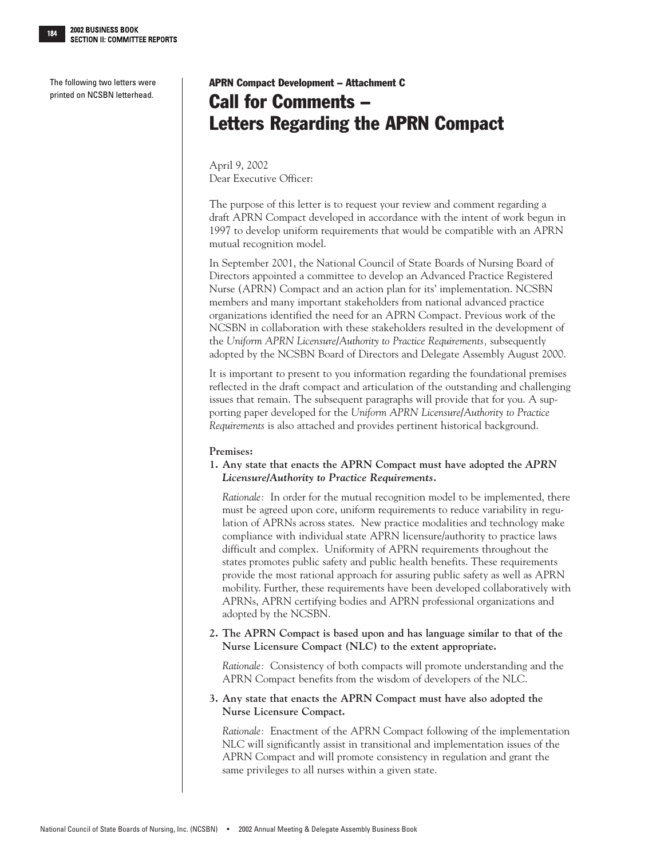The following two letters were printed on NCSBN letterhead.

# APRN Compact Development – Attachment C Call for Comments – Letters Regarding the APRN Compact

April 9, 2002 Dear Executive Officer:

The purpose of this letter is to request your review and comment regarding a draft APRN Compact developed in accordance with the intent of work begun in 1997 to develop uniform requirements that would be compatible with an APRN mutual recognition model.

In September 2001, the National Council of State Boards of Nursing Board of Directors appointed a committee to develop an Advanced Practice Registered Nurse (APRN) Compact and an action plan for its' implementation. NCSBN members and many important stakeholders from national advanced practice organizations identified the need for an APRN Compact. Previous work of the NCSBN in collaboration with these stakeholders resulted in the development of the *Uniform APRN Licensure/Authority to Practice Requirements,* subsequently adopted by the NCSBN Board of Directors and Delegate Assembly August 2000.

It is important to present to you information regarding the foundational premises reflected in the draft compact and articulation of the outstanding and challenging issues that remain. The subsequent paragraphs will provide that for you. A supporting paper developed for the *Uniform APRN Licensure/Authority to Practice Requirements* is also attached and provides pertinent historical background.

#### **Premises:**

**1. Any state that enacts the APRN Compact must have adopted the** *APRN Licensure/Authority to Practice Requirements.*

*Rationale:* In order for the mutual recognition model to be implemented, there must be agreed upon core, uniform requirements to reduce variability in regulation of APRNs across states. New practice modalities and technology make compliance with individual state APRN licensure/authority to practice laws difficult and complex. Uniformity of APRN requirements throughout the states promotes public safety and public health benefits. These requirements provide the most rational approach for assuring public safety as well as APRN mobility. Further, these requirements have been developed collaboratively with APRNs, APRN certifying bodies and APRN professional organizations and adopted by the NCSBN.

**2. The APRN Compact is based upon and has language similar to that of the Nurse Licensure Compact (NLC) to the extent appropriate.**

*Rationale:* Consistency of both compacts will promote understanding and the APRN Compact benefits from the wisdom of developers of the NLC.

**3. Any state that enacts the APRN Compact must have also adopted the Nurse Licensure Compact.** 

*Rationale:* Enactment of the APRN Compact following of the implementation NLC will significantly assist in transitional and implementation issues of the APRN Compact and will promote consistency in regulation and grant the same privileges to all nurses within a given state.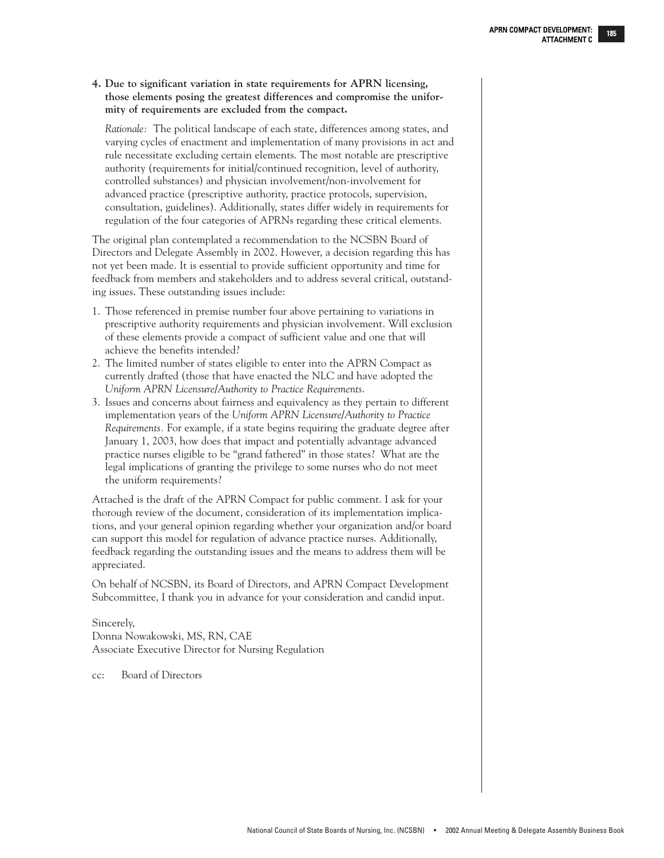#### **4. Due to significant variation in state requirements for APRN licensing, those elements posing the greatest differences and compromise the uniformity of requirements are excluded from the compact.**

*Rationale:* The political landscape of each state, differences among states, and varying cycles of enactment and implementation of many provisions in act and rule necessitate excluding certain elements. The most notable are prescriptive authority (requirements for initial/continued recognition, level of authority, controlled substances) and physician involvement/non-involvement for advanced practice (prescriptive authority, practice protocols, supervision, consultation, guidelines). Additionally, states differ widely in requirements for regulation of the four categories of APRNs regarding these critical elements.

The original plan contemplated a recommendation to the NCSBN Board of Directors and Delegate Assembly in 2002. However, a decision regarding this has not yet been made. It is essential to provide sufficient opportunity and time for feedback from members and stakeholders and to address several critical, outstanding issues. These outstanding issues include:

- 1. Those referenced in premise number four above pertaining to variations in prescriptive authority requirements and physician involvement. Will exclusion of these elements provide a compact of sufficient value and one that will achieve the benefits intended?
- 2. The limited number of states eligible to enter into the APRN Compact as currently drafted (those that have enacted the NLC and have adopted the *Uniform APRN Licensure/Authority to Practice Requirements*.
- 3. Issues and concerns about fairness and equivalency as they pertain to different implementation years of the *Uniform APRN Licensure/Authority to Practice Requirements.* For example, if a state begins requiring the graduate degree after January 1, 2003, how does that impact and potentially advantage advanced practice nurses eligible to be "grand fathered" in those states? What are the legal implications of granting the privilege to some nurses who do not meet the uniform requirements?

Attached is the draft of the APRN Compact for public comment. I ask for your thorough review of the document, consideration of its implementation implications, and your general opinion regarding whether your organization and/or board can support this model for regulation of advance practice nurses. Additionally, feedback regarding the outstanding issues and the means to address them will be appreciated.

On behalf of NCSBN, its Board of Directors, and APRN Compact Development Subcommittee, I thank you in advance for your consideration and candid input.

Sincerely, Donna Nowakowski, MS, RN, CAE Associate Executive Director for Nursing Regulation

cc: Board of Directors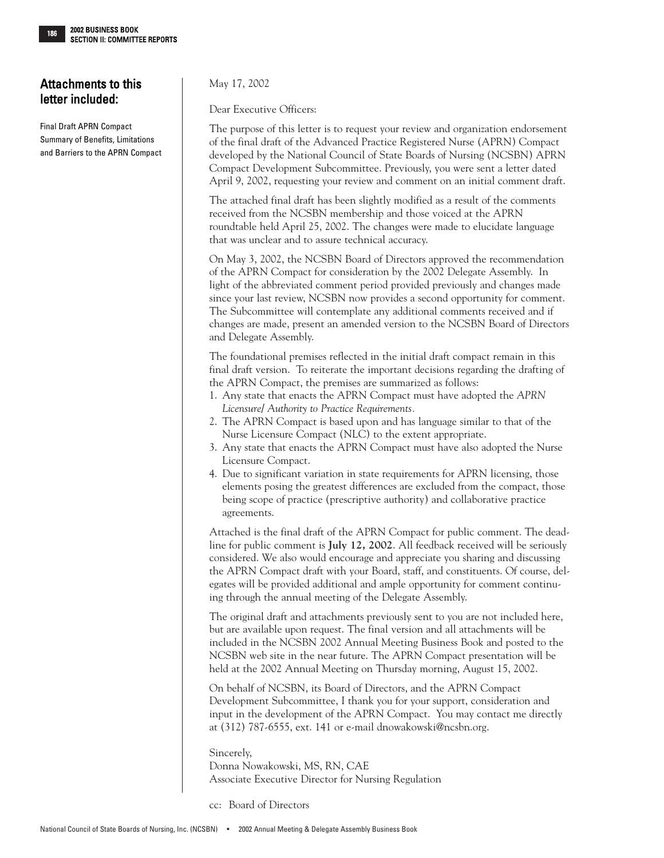## Attachments to this letter included:

Final Draft APRN Compact Summary of Benefits, Limitations and Barriers to the APRN Compact

#### May 17, 2002

Dear Executive Officers:

The purpose of this letter is to request your review and organization endorsement of the final draft of the Advanced Practice Registered Nurse (APRN) Compact developed by the National Council of State Boards of Nursing (NCSBN) APRN Compact Development Subcommittee. Previously, you were sent a letter dated April 9, 2002, requesting your review and comment on an initial comment draft.

The attached final draft has been slightly modified as a result of the comments received from the NCSBN membership and those voiced at the APRN roundtable held April 25, 2002. The changes were made to elucidate language that was unclear and to assure technical accuracy.

On May 3, 2002, the NCSBN Board of Directors approved the recommendation of the APRN Compact for consideration by the 2002 Delegate Assembly. In light of the abbreviated comment period provided previously and changes made since your last review, NCSBN now provides a second opportunity for comment. The Subcommittee will contemplate any additional comments received and if changes are made, present an amended version to the NCSBN Board of Directors and Delegate Assembly.

The foundational premises reflected in the initial draft compact remain in this final draft version. To reiterate the important decisions regarding the drafting of the APRN Compact, the premises are summarized as follows:

- 1. Any state that enacts the APRN Compact must have adopted the *APRN Licensure/ Authority to Practice Requirements.*
- 2. The APRN Compact is based upon and has language similar to that of the Nurse Licensure Compact (NLC) to the extent appropriate.
- 3. Any state that enacts the APRN Compact must have also adopted the Nurse Licensure Compact.
- 4. Due to significant variation in state requirements for APRN licensing, those elements posing the greatest differences are excluded from the compact, those being scope of practice (prescriptive authority) and collaborative practice agreements.

Attached is the final draft of the APRN Compact for public comment. The deadline for public comment is **July 12, 2002**. All feedback received will be seriously considered. We also would encourage and appreciate you sharing and discussing the APRN Compact draft with your Board, staff, and constituents. Of course, delegates will be provided additional and ample opportunity for comment continuing through the annual meeting of the Delegate Assembly.

The original draft and attachments previously sent to you are not included here, but are available upon request. The final version and all attachments will be included in the NCSBN 2002 Annual Meeting Business Book and posted to the NCSBN web site in the near future. The APRN Compact presentation will be held at the 2002 Annual Meeting on Thursday morning, August 15, 2002.

On behalf of NCSBN, its Board of Directors, and the APRN Compact Development Subcommittee, I thank you for your support, consideration and input in the development of the APRN Compact. You may contact me directly at (312) 787-6555, ext. 141 or e-mail dnowakowski@ncsbn.org.

Sincerely,

Donna Nowakowski, MS, RN, CAE Associate Executive Director for Nursing Regulation

cc: Board of Directors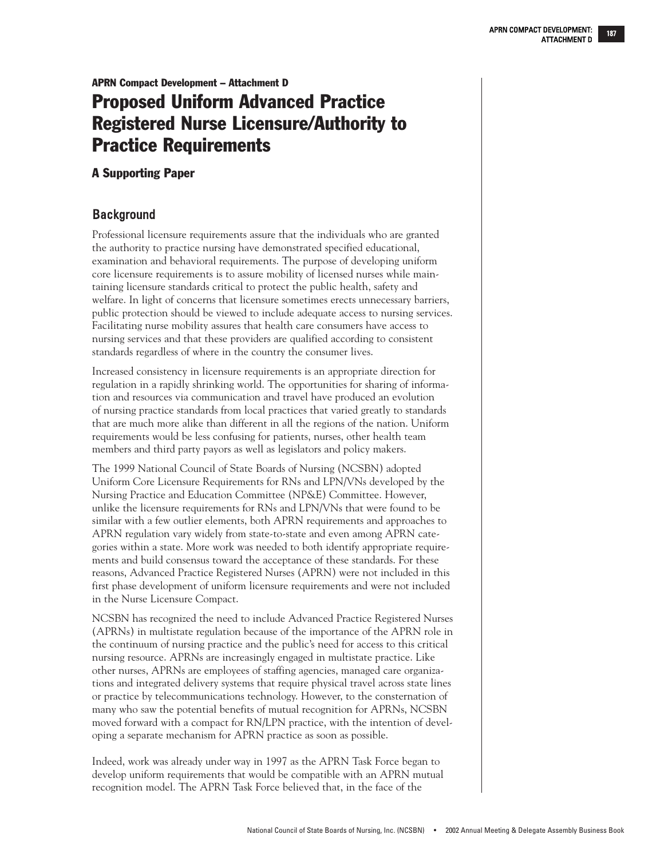APRN Compact Development – Attachment D

# Proposed Uniform Advanced Practice Registered Nurse Licensure/Authority to Practice Requirements

A Supporting Paper

### **Background**

Professional licensure requirements assure that the individuals who are granted the authority to practice nursing have demonstrated specified educational, examination and behavioral requirements. The purpose of developing uniform core licensure requirements is to assure mobility of licensed nurses while maintaining licensure standards critical to protect the public health, safety and welfare. In light of concerns that licensure sometimes erects unnecessary barriers, public protection should be viewed to include adequate access to nursing services. Facilitating nurse mobility assures that health care consumers have access to nursing services and that these providers are qualified according to consistent standards regardless of where in the country the consumer lives.

Increased consistency in licensure requirements is an appropriate direction for regulation in a rapidly shrinking world. The opportunities for sharing of information and resources via communication and travel have produced an evolution of nursing practice standards from local practices that varied greatly to standards that are much more alike than different in all the regions of the nation. Uniform requirements would be less confusing for patients, nurses, other health team members and third party payors as well as legislators and policy makers.

The 1999 National Council of State Boards of Nursing (NCSBN) adopted Uniform Core Licensure Requirements for RNs and LPN/VNs developed by the Nursing Practice and Education Committee (NP&E) Committee. However, unlike the licensure requirements for RNs and LPN/VNs that were found to be similar with a few outlier elements, both APRN requirements and approaches to APRN regulation vary widely from state-to-state and even among APRN categories within a state. More work was needed to both identify appropriate requirements and build consensus toward the acceptance of these standards. For these reasons, Advanced Practice Registered Nurses (APRN) were not included in this first phase development of uniform licensure requirements and were not included in the Nurse Licensure Compact.

NCSBN has recognized the need to include Advanced Practice Registered Nurses (APRNs) in multistate regulation because of the importance of the APRN role in the continuum of nursing practice and the public's need for access to this critical nursing resource. APRNs are increasingly engaged in multistate practice. Like other nurses, APRNs are employees of staffing agencies, managed care organizations and integrated delivery systems that require physical travel across state lines or practice by telecommunications technology. However, to the consternation of many who saw the potential benefits of mutual recognition for APRNs, NCSBN moved forward with a compact for RN/LPN practice, with the intention of developing a separate mechanism for APRN practice as soon as possible.

Indeed, work was already under way in 1997 as the APRN Task Force began to develop uniform requirements that would be compatible with an APRN mutual recognition model. The APRN Task Force believed that, in the face of the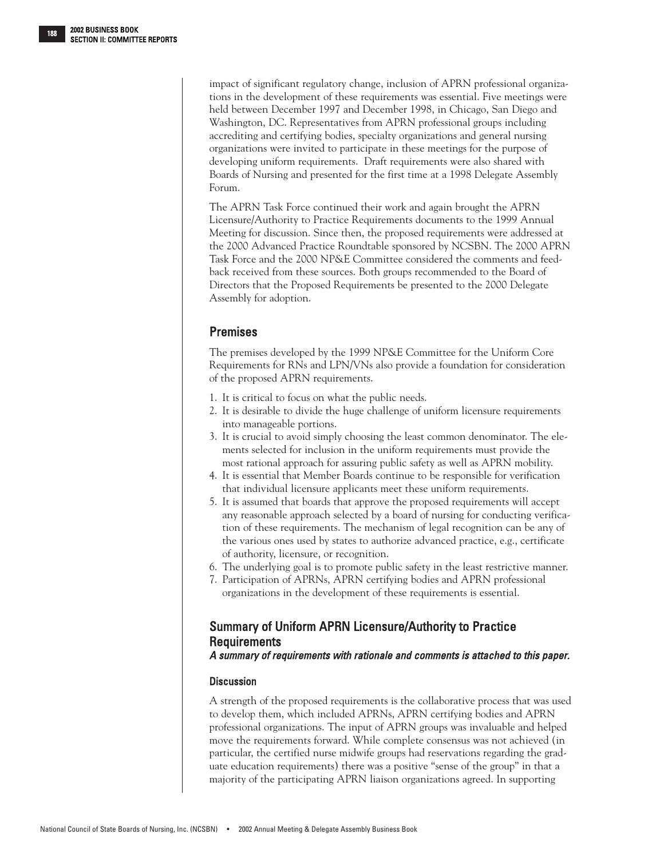impact of significant regulatory change, inclusion of APRN professional organizations in the development of these requirements was essential. Five meetings were held between December 1997 and December 1998, in Chicago, San Diego and Washington, DC. Representatives from APRN professional groups including accrediting and certifying bodies, specialty organizations and general nursing organizations were invited to participate in these meetings for the purpose of developing uniform requirements. Draft requirements were also shared with Boards of Nursing and presented for the first time at a 1998 Delegate Assembly Forum.

The APRN Task Force continued their work and again brought the APRN Licensure/Authority to Practice Requirements documents to the 1999 Annual Meeting for discussion. Since then, the proposed requirements were addressed at the 2000 Advanced Practice Roundtable sponsored by NCSBN. The 2000 APRN Task Force and the 2000 NP&E Committee considered the comments and feedback received from these sources. Both groups recommended to the Board of Directors that the Proposed Requirements be presented to the 2000 Delegate Assembly for adoption.

### Premises

The premises developed by the 1999 NP&E Committee for the Uniform Core Requirements for RNs and LPN/VNs also provide a foundation for consideration of the proposed APRN requirements.

- 1. It is critical to focus on what the public needs.
- 2. It is desirable to divide the huge challenge of uniform licensure requirements into manageable portions.
- 3. It is crucial to avoid simply choosing the least common denominator. The elements selected for inclusion in the uniform requirements must provide the most rational approach for assuring public safety as well as APRN mobility.
- 4. It is essential that Member Boards continue to be responsible for verification that individual licensure applicants meet these uniform requirements.
- 5. It is assumed that boards that approve the proposed requirements will accept any reasonable approach selected by a board of nursing for conducting verification of these requirements. The mechanism of legal recognition can be any of the various ones used by states to authorize advanced practice, e.g., certificate of authority, licensure, or recognition.
- 6. The underlying goal is to promote public safety in the least restrictive manner.
- 7. Participation of APRNs, APRN certifying bodies and APRN professional organizations in the development of these requirements is essential.

# Summary of Uniform APRN Licensure/Authority to Practice Requirements

A summary of requirements with rationale and comments is attached to this paper.

#### **Discussion**

A strength of the proposed requirements is the collaborative process that was used to develop them, which included APRNs, APRN certifying bodies and APRN professional organizations. The input of APRN groups was invaluable and helped move the requirements forward. While complete consensus was not achieved (in particular, the certified nurse midwife groups had reservations regarding the graduate education requirements) there was a positive "sense of the group" in that a majority of the participating APRN liaison organizations agreed. In supporting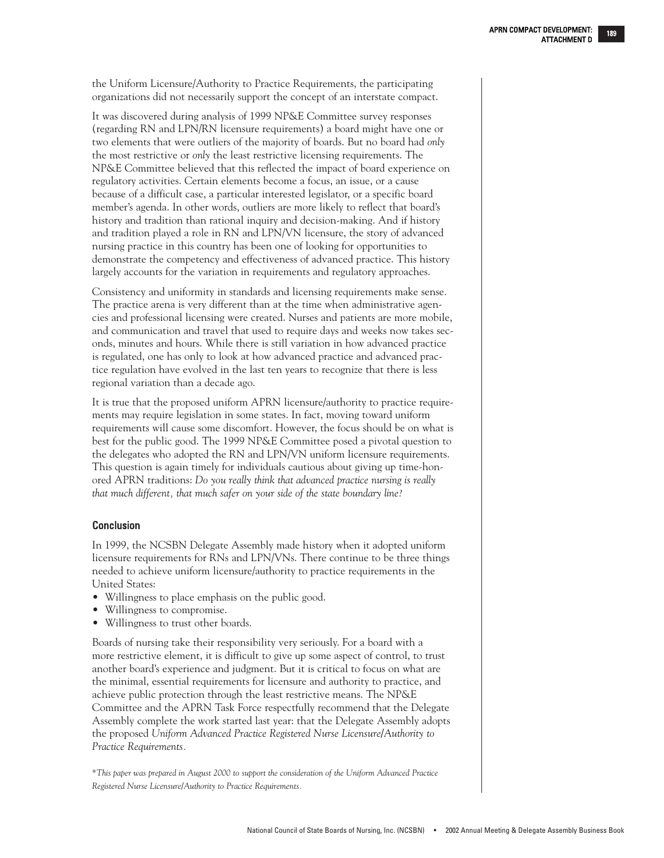the Uniform Licensure/Authority to Practice Requirements, the participating organizations did not necessarily support the concept of an interstate compact.

It was discovered during analysis of 1999 NP&E Committee survey responses (regarding RN and LPN/RN licensure requirements) a board might have one or two elements that were outliers of the majority of boards. But no board had *only* the most restrictive or *only* the least restrictive licensing requirements. The NP&E Committee believed that this reflected the impact of board experience on regulatory activities. Certain elements become a focus, an issue, or a cause because of a difficult case, a particular interested legislator, or a specific board member's agenda. In other words, outliers are more likely to reflect that board's history and tradition than rational inquiry and decision-making. And if history and tradition played a role in RN and LPN/VN licensure, the story of advanced nursing practice in this country has been one of looking for opportunities to demonstrate the competency and effectiveness of advanced practice. This history largely accounts for the variation in requirements and regulatory approaches.

Consistency and uniformity in standards and licensing requirements make sense. The practice arena is very different than at the time when administrative agencies and professional licensing were created. Nurses and patients are more mobile, and communication and travel that used to require days and weeks now takes seconds, minutes and hours. While there is still variation in how advanced practice is regulated, one has only to look at how advanced practice and advanced practice regulation have evolved in the last ten years to recognize that there is less regional variation than a decade ago.

It is true that the proposed uniform APRN licensure/authority to practice requirements may require legislation in some states. In fact, moving toward uniform requirements will cause some discomfort. However, the focus should be on what is best for the public good. The 1999 NP&E Committee posed a pivotal question to the delegates who adopted the RN and LPN/VN uniform licensure requirements. This question is again timely for individuals cautious about giving up time-honored APRN traditions: *Do you really think that advanced practice nursing is really that much different, that much safer on your side of the state boundary line?*

#### Conclusion

In 1999, the NCSBN Delegate Assembly made history when it adopted uniform licensure requirements for RNs and LPN/VNs. There continue to be three things needed to achieve uniform licensure/authority to practice requirements in the United States:

- Willingness to place emphasis on the public good.
- Willingness to compromise.
- Willingness to trust other boards.

Boards of nursing take their responsibility very seriously. For a board with a more restrictive element, it is difficult to give up some aspect of control, to trust another board's experience and judgment. But it is critical to focus on what are the minimal, essential requirements for licensure and authority to practice, and achieve public protection through the least restrictive means. The NP&E Committee and the APRN Task Force respectfully recommend that the Delegate Assembly complete the work started last year: that the Delegate Assembly adopts the proposed *Uniform Advanced Practice Registered Nurse Licensure/Authority to Practice Requirements.*

*\*This paper was prepared in August 2000 to support the consideration of the Uniform Advanced Practice Registered Nurse Licensure/Authority to Practice Requirements.*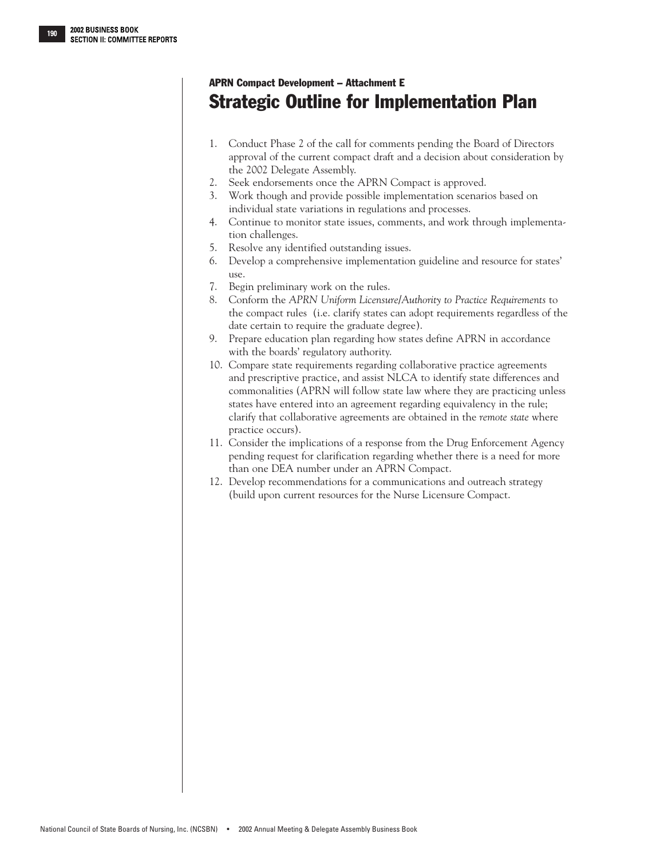# APRN Compact Development – Attachment E Strategic Outline for Implementation Plan

- 1. Conduct Phase 2 of the call for comments pending the Board of Directors approval of the current compact draft and a decision about consideration by the 2002 Delegate Assembly.
- 2. Seek endorsements once the APRN Compact is approved.
- 3. Work though and provide possible implementation scenarios based on individual state variations in regulations and processes.
- 4. Continue to monitor state issues, comments, and work through implementation challenges.
- 5. Resolve any identified outstanding issues.
- 6. Develop a comprehensive implementation guideline and resource for states' use.
- 7. Begin preliminary work on the rules.
- 8. Conform the *APRN Uniform Licensure/Authority to Practice Requirements* to the compact rules (i.e. clarify states can adopt requirements regardless of the date certain to require the graduate degree).
- 9. Prepare education plan regarding how states define APRN in accordance with the boards' regulatory authority.
- 10. Compare state requirements regarding collaborative practice agreements and prescriptive practice, and assist NLCA to identify state differences and commonalities (APRN will follow state law where they are practicing unless states have entered into an agreement regarding equivalency in the rule; clarify that collaborative agreements are obtained in the *remote state* where practice occurs).
- 11. Consider the implications of a response from the Drug Enforcement Agency pending request for clarification regarding whether there is a need for more than one DEA number under an APRN Compact.
- 12. Develop recommendations for a communications and outreach strategy (build upon current resources for the Nurse Licensure Compact.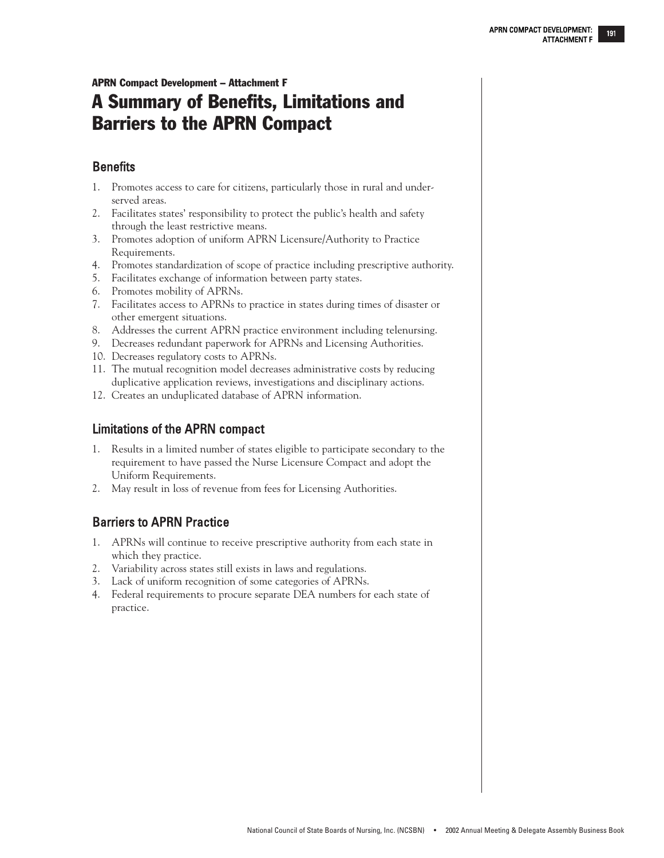APRN Compact Development – Attachment F

# A Summary of Benefits, Limitations and Barriers to the APRN Compact

## **Benefits**

- 1. Promotes access to care for citizens, particularly those in rural and underserved areas.
- 2. Facilitates states' responsibility to protect the public's health and safety through the least restrictive means.
- 3. Promotes adoption of uniform APRN Licensure/Authority to Practice Requirements.
- 4. Promotes standardization of scope of practice including prescriptive authority.
- 5. Facilitates exchange of information between party states.
- 6. Promotes mobility of APRNs.
- 7. Facilitates access to APRNs to practice in states during times of disaster or other emergent situations.
- 8. Addresses the current APRN practice environment including telenursing.
- 9. Decreases redundant paperwork for APRNs and Licensing Authorities.
- 10. Decreases regulatory costs to APRNs.
- 11. The mutual recognition model decreases administrative costs by reducing duplicative application reviews, investigations and disciplinary actions.
- 12. Creates an unduplicated database of APRN information.

# Limitations of the APRN compact

- 1. Results in a limited number of states eligible to participate secondary to the requirement to have passed the Nurse Licensure Compact and adopt the Uniform Requirements.
- 2. May result in loss of revenue from fees for Licensing Authorities.

# Barriers to APRN Practice

- 1. APRNs will continue to receive prescriptive authority from each state in which they practice.
- 2. Variability across states still exists in laws and regulations.
- 3. Lack of uniform recognition of some categories of APRNs.
- 4. Federal requirements to procure separate DEA numbers for each state of practice.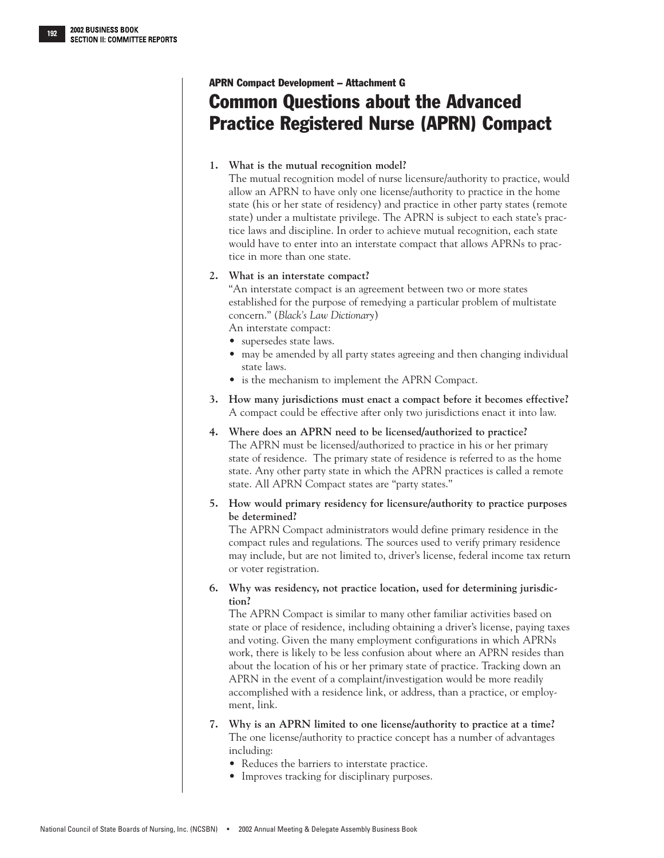### APRN Compact Development – Attachment G

# Common Questions about the Advanced Practice Registered Nurse (APRN) Compact

#### **1. What is the mutual recognition model?**

The mutual recognition model of nurse licensure/authority to practice, would allow an APRN to have only one license/authority to practice in the home state (his or her state of residency) and practice in other party states (remote state) under a multistate privilege. The APRN is subject to each state's practice laws and discipline. In order to achieve mutual recognition, each state would have to enter into an interstate compact that allows APRNs to practice in more than one state.

#### **2. What is an interstate compact?**

"An interstate compact is an agreement between two or more states established for the purpose of remedying a particular problem of multistate concern." (*Black's Law Dictionary*)

- An interstate compact: • supersedes state laws.
- may be amended by all party states agreeing and then changing individual state laws.
- is the mechanism to implement the APRN Compact.
- **3. How many jurisdictions must enact a compact before it becomes effective?** A compact could be effective after only two jurisdictions enact it into law.
- **4. Where does an APRN need to be licensed/authorized to practice?** The APRN must be licensed/authorized to practice in his or her primary state of residence. The primary state of residence is referred to as the home state. Any other party state in which the APRN practices is called a remote state. All APRN Compact states are "party states."
- **5. How would primary residency for licensure/authority to practice purposes be determined?**

The APRN Compact administrators would define primary residence in the compact rules and regulations. The sources used to verify primary residence may include, but are not limited to, driver's license, federal income tax return or voter registration.

#### **6. Why was residency, not practice location, used for determining jurisdiction?**

The APRN Compact is similar to many other familiar activities based on state or place of residence, including obtaining a driver's license, paying taxes and voting. Given the many employment configurations in which APRNs work, there is likely to be less confusion about where an APRN resides than about the location of his or her primary state of practice. Tracking down an APRN in the event of a complaint/investigation would be more readily accomplished with a residence link, or address, than a practice, or employment, link.

- **7. Why is an APRN limited to one license/authority to practice at a time?** The one license/authority to practice concept has a number of advantages including:
	- Reduces the barriers to interstate practice.
	- Improves tracking for disciplinary purposes.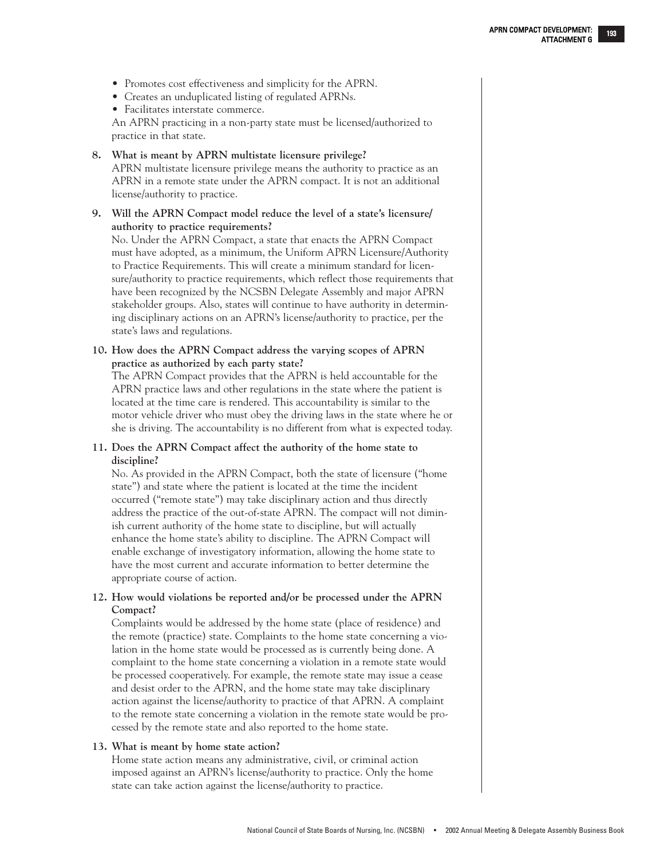- Promotes cost effectiveness and simplicity for the APRN.
- Creates an unduplicated listing of regulated APRNs.
- Facilitates interstate commerce.

An APRN practicing in a non-party state must be licensed/authorized to practice in that state.

**8. What is meant by APRN multistate licensure privilege?** APRN multistate licensure privilege means the authority to practice as an APRN in a remote state under the APRN compact. It is not an additional license/authority to practice.

**9. Will the APRN Compact model reduce the level of a state's licensure/ authority to practice requirements?**

No. Under the APRN Compact, a state that enacts the APRN Compact must have adopted, as a minimum, the Uniform APRN Licensure/Authority to Practice Requirements. This will create a minimum standard for licensure/authority to practice requirements, which reflect those requirements that have been recognized by the NCSBN Delegate Assembly and major APRN stakeholder groups. Also, states will continue to have authority in determining disciplinary actions on an APRN's license/authority to practice, per the state's laws and regulations.

**10. How does the APRN Compact address the varying scopes of APRN practice as authorized by each party state?**

The APRN Compact provides that the APRN is held accountable for the APRN practice laws and other regulations in the state where the patient is located at the time care is rendered. This accountability is similar to the motor vehicle driver who must obey the driving laws in the state where he or she is driving. The accountability is no different from what is expected today.

#### **11. Does the APRN Compact affect the authority of the home state to discipline?**

No. As provided in the APRN Compact, both the state of licensure ("home state") and state where the patient is located at the time the incident occurred ("remote state") may take disciplinary action and thus directly address the practice of the out-of-state APRN. The compact will not diminish current authority of the home state to discipline, but will actually enhance the home state's ability to discipline. The APRN Compact will enable exchange of investigatory information, allowing the home state to have the most current and accurate information to better determine the appropriate course of action.

#### **12. How would violations be reported and/or be processed under the APRN Compact?**

Complaints would be addressed by the home state (place of residence) and the remote (practice) state. Complaints to the home state concerning a violation in the home state would be processed as is currently being done. A complaint to the home state concerning a violation in a remote state would be processed cooperatively. For example, the remote state may issue a cease and desist order to the APRN, and the home state may take disciplinary action against the license/authority to practice of that APRN. A complaint to the remote state concerning a violation in the remote state would be processed by the remote state and also reported to the home state.

#### **13. What is meant by home state action?**

Home state action means any administrative, civil, or criminal action imposed against an APRN's license/authority to practice. Only the home state can take action against the license/authority to practice.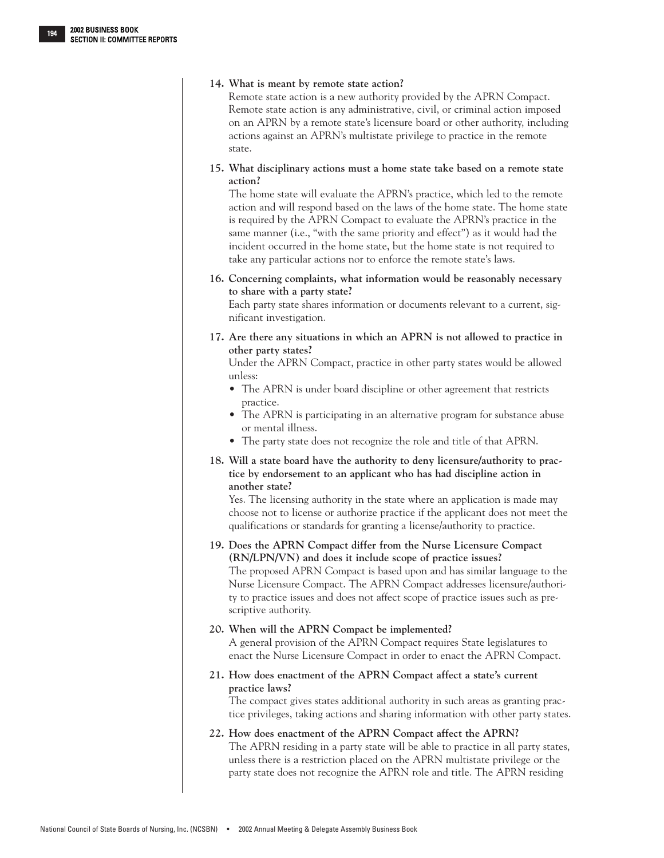#### **14. What is meant by remote state action?**

Remote state action is a new authority provided by the APRN Compact. Remote state action is any administrative, civil, or criminal action imposed on an APRN by a remote state's licensure board or other authority, including actions against an APRN's multistate privilege to practice in the remote state.

**15. What disciplinary actions must a home state take based on a remote state action?**

The home state will evaluate the APRN's practice, which led to the remote action and will respond based on the laws of the home state. The home state is required by the APRN Compact to evaluate the APRN's practice in the same manner (i.e., "with the same priority and effect") as it would had the incident occurred in the home state, but the home state is not required to take any particular actions nor to enforce the remote state's laws.

**16. Concerning complaints, what information would be reasonably necessary to share with a party state?**

Each party state shares information or documents relevant to a current, significant investigation.

**17. Are there any situations in which an APRN is not allowed to practice in other party states?** 

Under the APRN Compact, practice in other party states would be allowed unless:

- The APRN is under board discipline or other agreement that restricts practice.
- The APRN is participating in an alternative program for substance abuse or mental illness.
- The party state does not recognize the role and title of that APRN.
- **18. Will a state board have the authority to deny licensure/authority to practice by endorsement to an applicant who has had discipline action in another state?**

Yes. The licensing authority in the state where an application is made may choose not to license or authorize practice if the applicant does not meet the qualifications or standards for granting a license/authority to practice.

**19. Does the APRN Compact differ from the Nurse Licensure Compact (RN/LPN/VN) and does it include scope of practice issues?** The proposed APRN Compact is based upon and has similar language to the Nurse Licensure Compact. The APRN Compact addresses licensure/authority to practice issues and does not affect scope of practice issues such as prescriptive authority.

#### **20. When will the APRN Compact be implemented?**

A general provision of the APRN Compact requires State legislatures to enact the Nurse Licensure Compact in order to enact the APRN Compact.

#### **21. How does enactment of the APRN Compact affect a state's current practice laws?**

The compact gives states additional authority in such areas as granting practice privileges, taking actions and sharing information with other party states.

**22. How does enactment of the APRN Compact affect the APRN?** The APRN residing in a party state will be able to practice in all party states, unless there is a restriction placed on the APRN multistate privilege or the party state does not recognize the APRN role and title. The APRN residing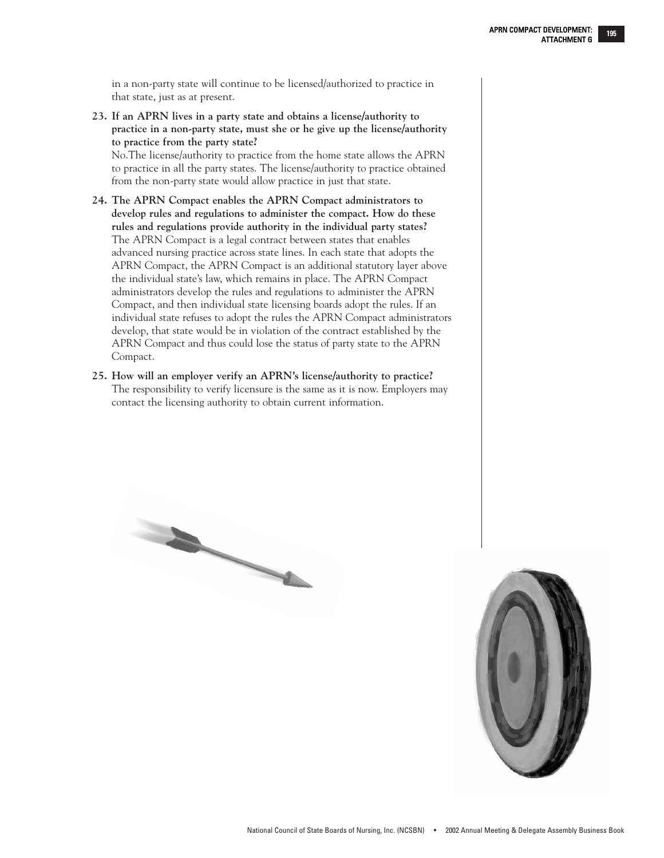in a non-party state will continue to be licensed/authorized to practice in that state, just as at present.

**23. If an APRN lives in a party state and obtains a license/authority to practice in a non-party state, must she or he give up the license/authority to practice from the party state?**

No.The license/authority to practice from the home state allows the APRN to practice in all the party states. The license/authority to practice obtained from the non-party state would allow practice in just that state.

- **24. The APRN Compact enables the APRN Compact administrators to develop rules and regulations to administer the compact. How do these rules and regulations provide authority in the individual party states?** The APRN Compact is a legal contract between states that enables advanced nursing practice across state lines. In each state that adopts the APRN Compact, the APRN Compact is an additional statutory layer above the individual state's law, which remains in place. The APRN Compact administrators develop the rules and regulations to administer the APRN Compact, and then individual state licensing boards adopt the rules. If an individual state refuses to adopt the rules the APRN Compact administrators develop, that state would be in violation of the contract established by the APRN Compact and thus could lose the status of party state to the APRN Compact.
- **25. How will an employer verify an APRN's license/authority to practice?** The responsibility to verify licensure is the same as it is now. Employers may contact the licensing authority to obtain current information.



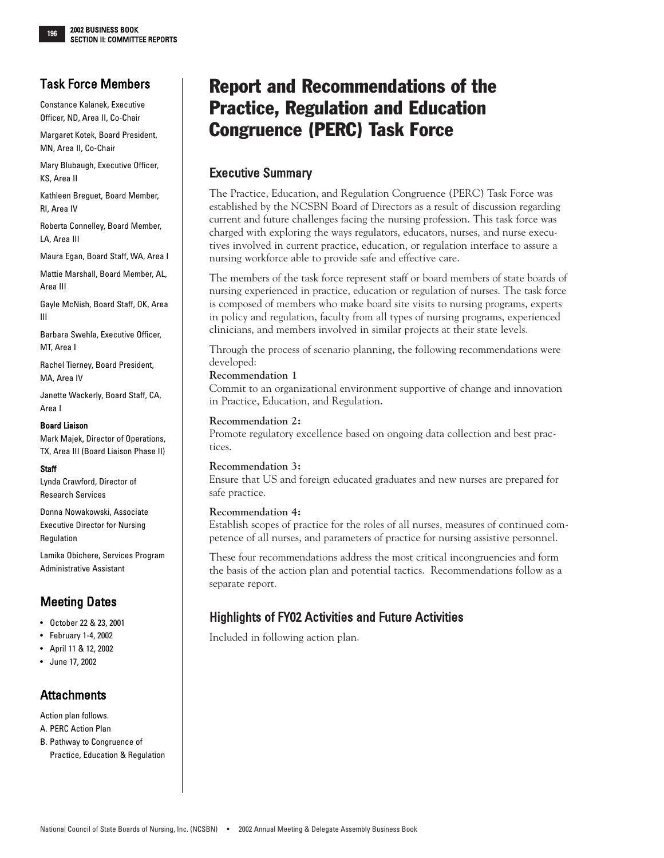# Task Force Members

Constance Kalanek, Executive Officer, ND, Area II, Co-Chair

Margaret Kotek, Board President, MN, Area II, Co-Chair

Mary Blubaugh, Executive Officer, KS, Area II

Kathleen Breguet, Board Member, RI, Area IV

Roberta Connelley, Board Member, LA, Area III

Maura Egan, Board Staff, WA, Area I

Mattie Marshall, Board Member, AL, Area III

Gayle McNish, Board Staff, OK, Area III

Barbara Swehla, Executive Officer, MT, Area I

Rachel Tierney, Board President, MA, Area IV

Janette Wackerly, Board Staff, CA, Area I

#### Board Liaison

Mark Majek, Director of Operations, TX, Area III (Board Liaison Phase II)

#### **Staff**

Lynda Crawford, Director of Research Services

Donna Nowakowski, Associate Executive Director for Nursing Regulation

Lamika Obichere, Services Program Administrative Assistant

# Meeting Dates

- October 22 & 23, 2001
- February 1-4, 2002
- April 11 & 12, 2002
- June 17, 2002

# **Attachments**

Action plan follows.

- A. PERC Action Plan B. Pathway to Congruence of
- Practice, Education & Regulation

# Report and Recommendations of the Practice, Regulation and Education Congruence (PERC) Task Force

# Executive Summary

The Practice, Education, and Regulation Congruence (PERC) Task Force was established by the NCSBN Board of Directors as a result of discussion regarding current and future challenges facing the nursing profession. This task force was charged with exploring the ways regulators, educators, nurses, and nurse executives involved in current practice, education, or regulation interface to assure a nursing workforce able to provide safe and effective care.

The members of the task force represent staff or board members of state boards of nursing experienced in practice, education or regulation of nurses. The task force is composed of members who make board site visits to nursing programs, experts in policy and regulation, faculty from all types of nursing programs, experienced clinicians, and members involved in similar projects at their state levels.

Through the process of scenario planning, the following recommendations were developed:

#### **Recommendation 1**

Commit to an organizational environment supportive of change and innovation in Practice, Education, and Regulation.

#### **Recommendation 2:**

Promote regulatory excellence based on ongoing data collection and best practices.

#### **Recommendation 3:**

Ensure that US and foreign educated graduates and new nurses are prepared for safe practice.

#### **Recommendation 4:**

Establish scopes of practice for the roles of all nurses, measures of continued competence of all nurses, and parameters of practice for nursing assistive personnel.

These four recommendations address the most critical incongruencies and form the basis of the action plan and potential tactics. Recommendations follow as a separate report.

# Highlights of FY02 Activities and Future Activities

Included in following action plan.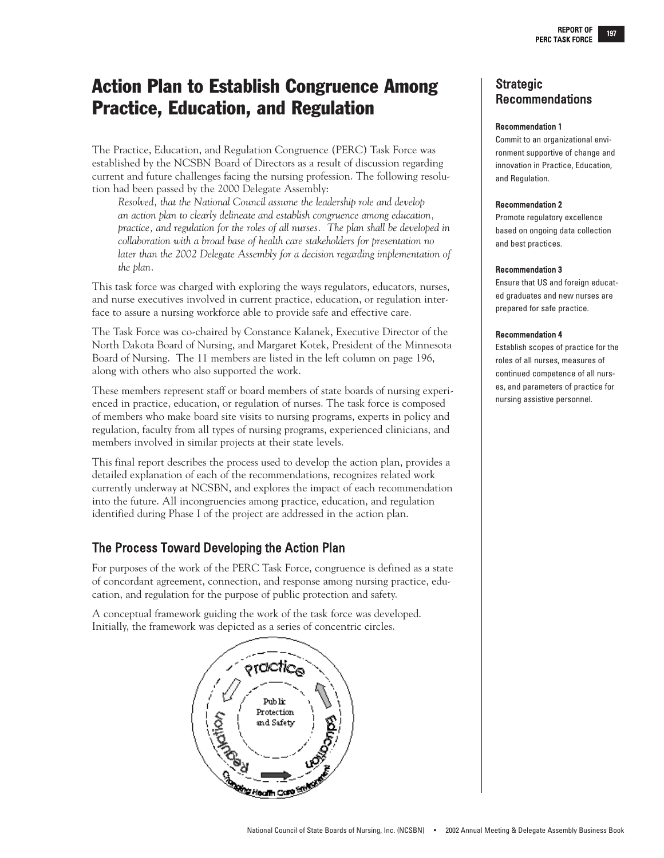# Action Plan to Establish Congruence Among Practice, Education, and Regulation

The Practice, Education, and Regulation Congruence (PERC) Task Force was established by the NCSBN Board of Directors as a result of discussion regarding current and future challenges facing the nursing profession. The following resolution had been passed by the 2000 Delegate Assembly:

*Resolved, that the National Council assume the leadership role and develop an action plan to clearly delineate and establish congruence among education, practice, and regulation for the roles of all nurses. The plan shall be developed in collaboration with a broad base of health care stakeholders for presentation no later than the 2002 Delegate Assembly for a decision regarding implementation of the plan.*

This task force was charged with exploring the ways regulators, educators, nurses, and nurse executives involved in current practice, education, or regulation interface to assure a nursing workforce able to provide safe and effective care.

The Task Force was co-chaired by Constance Kalanek, Executive Director of the North Dakota Board of Nursing, and Margaret Kotek, President of the Minnesota Board of Nursing. The 11 members are listed in the left column on page 196, along with others who also supported the work.

These members represent staff or board members of state boards of nursing experienced in practice, education, or regulation of nurses. The task force is composed of members who make board site visits to nursing programs, experts in policy and regulation, faculty from all types of nursing programs, experienced clinicians, and members involved in similar projects at their state levels.

This final report describes the process used to develop the action plan, provides a detailed explanation of each of the recommendations, recognizes related work currently underway at NCSBN, and explores the impact of each recommendation into the future. All incongruencies among practice, education, and regulation identified during Phase I of the project are addressed in the action plan.

# The Process Toward Developing the Action Plan

For purposes of the work of the PERC Task Force, congruence is defined as a state of concordant agreement, connection, and response among nursing practice, education, and regulation for the purpose of public protection and safety.

A conceptual framework guiding the work of the task force was developed. Initially, the framework was depicted as a series of concentric circles.



# **Strategic** Recommendations

#### Recommendation 1

Commit to an organizational environment supportive of change and innovation in Practice, Education, and Regulation.

#### Recommendation 2

Promote regulatory excellence based on ongoing data collection and best practices.

#### Recommendation 3

Ensure that US and foreign educated graduates and new nurses are prepared for safe practice.

#### Recommendation 4

Establish scopes of practice for the roles of all nurses, measures of continued competence of all nurses, and parameters of practice for nursing assistive personnel.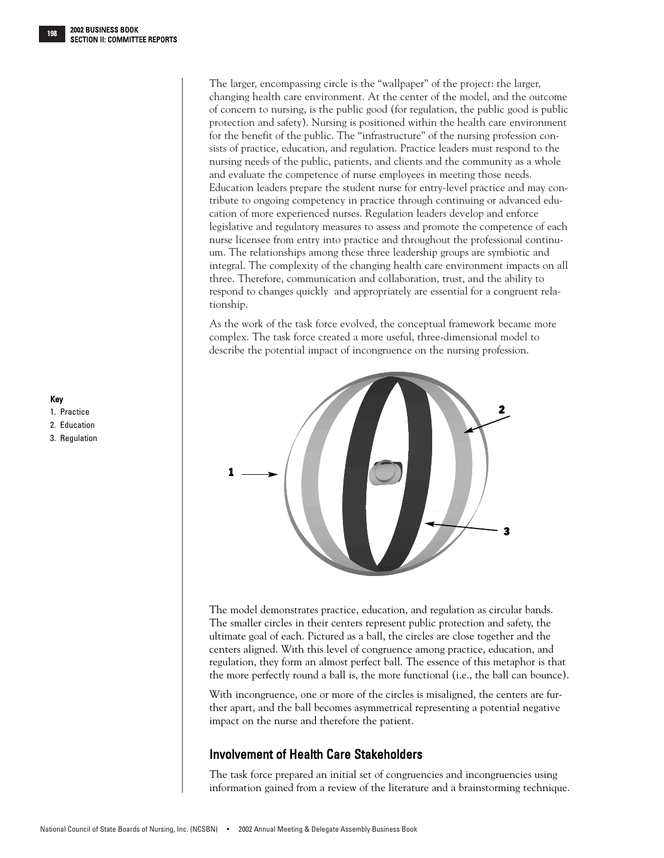The larger, encompassing circle is the "wallpaper" of the project: the larger, changing health care environment. At the center of the model, and the outcome of concern to nursing, is the public good (for regulation, the public good is public protection and safety). Nursing is positioned within the health care environment for the benefit of the public. The "infrastructure" of the nursing profession consists of practice, education, and regulation. Practice leaders must respond to the nursing needs of the public, patients, and clients and the community as a whole and evaluate the competence of nurse employees in meeting those needs. Education leaders prepare the student nurse for entry-level practice and may contribute to ongoing competency in practice through continuing or advanced education of more experienced nurses. Regulation leaders develop and enforce legislative and regulatory measures to assess and promote the competence of each nurse licensee from entry into practice and throughout the professional continuum. The relationships among these three leadership groups are symbiotic and integral. The complexity of the changing health care environment impacts on all three. Therefore, communication and collaboration, trust, and the ability to respond to changes quickly and appropriately are essential for a congruent relationship.

As the work of the task force evolved, the conceptual framework became more complex. The task force created a more useful, three-dimensional model to describe the potential impact of incongruence on the nursing profession.



The model demonstrates practice, education, and regulation as circular bands. The smaller circles in their centers represent public protection and safety, the ultimate goal of each. Pictured as a ball, the circles are close together and the centers aligned. With this level of congruence among practice, education, and regulation, they form an almost perfect ball. The essence of this metaphor is that the more perfectly round a ball is, the more functional (i.e., the ball can bounce).

With incongruence, one or more of the circles is misaligned, the centers are further apart, and the ball becomes asymmetrical representing a potential negative impact on the nurse and therefore the patient.

## Involvement of Health Care Stakeholders

The task force prepared an initial set of congruencies and incongruencies using information gained from a review of the literature and a brainstorming technique.

# Key

1. Practice

2. Education 3. Regulation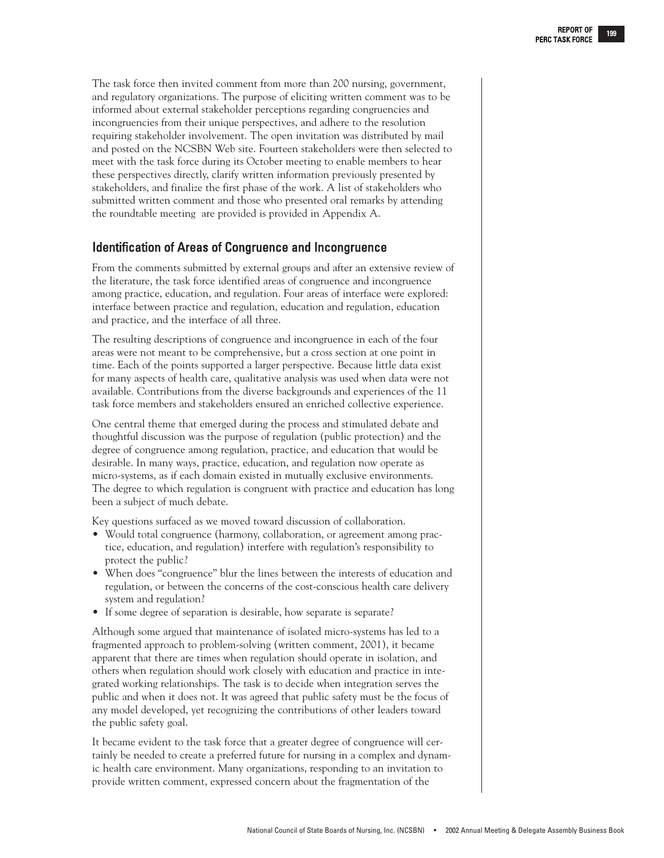The task force then invited comment from more than 200 nursing, government, and regulatory organizations. The purpose of eliciting written comment was to be informed about external stakeholder perceptions regarding congruencies and incongruencies from their unique perspectives, and adhere to the resolution requiring stakeholder involvement. The open invitation was distributed by mail and posted on the NCSBN Web site. Fourteen stakeholders were then selected to meet with the task force during its October meeting to enable members to hear these perspectives directly, clarify written information previously presented by stakeholders, and finalize the first phase of the work. A list of stakeholders who submitted written comment and those who presented oral remarks by attending the roundtable meeting are provided is provided in Appendix A.

## Identification of Areas of Congruence and Incongruence

From the comments submitted by external groups and after an extensive review of the literature, the task force identified areas of congruence and incongruence among practice, education, and regulation. Four areas of interface were explored: interface between practice and regulation, education and regulation, education and practice, and the interface of all three.

The resulting descriptions of congruence and incongruence in each of the four areas were not meant to be comprehensive, but a cross section at one point in time. Each of the points supported a larger perspective. Because little data exist for many aspects of health care, qualitative analysis was used when data were not available. Contributions from the diverse backgrounds and experiences of the 11 task force members and stakeholders ensured an enriched collective experience.

One central theme that emerged during the process and stimulated debate and thoughtful discussion was the purpose of regulation (public protection) and the degree of congruence among regulation, practice, and education that would be desirable. In many ways, practice, education, and regulation now operate as micro-systems, as if each domain existed in mutually exclusive environments. The degree to which regulation is congruent with practice and education has long been a subject of much debate.

Key questions surfaced as we moved toward discussion of collaboration.

- Would total congruence (harmony, collaboration, or agreement among practice, education, and regulation) interfere with regulation's responsibility to protect the public?
- When does "congruence" blur the lines between the interests of education and regulation, or between the concerns of the cost-conscious health care delivery system and regulation?
- If some degree of separation is desirable, how separate is separate?

Although some argued that maintenance of isolated micro-systems has led to a fragmented approach to problem-solving (written comment, 2001), it became apparent that there are times when regulation should operate in isolation, and others when regulation should work closely with education and practice in integrated working relationships. The task is to decide when integration serves the public and when it does not. It was agreed that public safety must be the focus of any model developed, yet recognizing the contributions of other leaders toward the public safety goal.

It became evident to the task force that a greater degree of congruence will certainly be needed to create a preferred future for nursing in a complex and dynamic health care environment. Many organizations, responding to an invitation to provide written comment, expressed concern about the fragmentation of the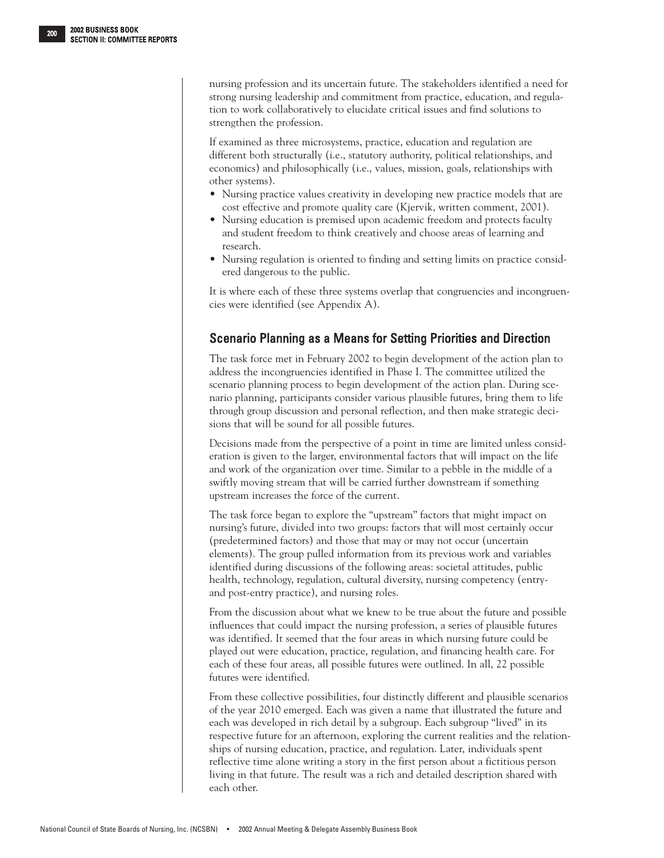nursing profession and its uncertain future. The stakeholders identified a need for strong nursing leadership and commitment from practice, education, and regulation to work collaboratively to elucidate critical issues and find solutions to strengthen the profession.

If examined as three microsystems, practice, education and regulation are different both structurally (i.e., statutory authority, political relationships, and economics) and philosophically (i.e., values, mission, goals, relationships with other systems).

- Nursing practice values creativity in developing new practice models that are cost effective and promote quality care (Kjervik, written comment, 2001).
- Nursing education is premised upon academic freedom and protects faculty and student freedom to think creatively and choose areas of learning and research.
- Nursing regulation is oriented to finding and setting limits on practice considered dangerous to the public.

It is where each of these three systems overlap that congruencies and incongruencies were identified (see Appendix A).

# Scenario Planning as a Means for Setting Priorities and Direction

The task force met in February 2002 to begin development of the action plan to address the incongruencies identified in Phase I. The committee utilized the scenario planning process to begin development of the action plan. During scenario planning, participants consider various plausible futures, bring them to life through group discussion and personal reflection, and then make strategic decisions that will be sound for all possible futures.

Decisions made from the perspective of a point in time are limited unless consideration is given to the larger, environmental factors that will impact on the life and work of the organization over time. Similar to a pebble in the middle of a swiftly moving stream that will be carried further downstream if something upstream increases the force of the current.

The task force began to explore the "upstream" factors that might impact on nursing's future, divided into two groups: factors that will most certainly occur (predetermined factors) and those that may or may not occur (uncertain elements). The group pulled information from its previous work and variables identified during discussions of the following areas: societal attitudes, public health, technology, regulation, cultural diversity, nursing competency (entryand post-entry practice), and nursing roles.

From the discussion about what we knew to be true about the future and possible influences that could impact the nursing profession, a series of plausible futures was identified. It seemed that the four areas in which nursing future could be played out were education, practice, regulation, and financing health care. For each of these four areas, all possible futures were outlined. In all, 22 possible futures were identified.

From these collective possibilities, four distinctly different and plausible scenarios of the year 2010 emerged. Each was given a name that illustrated the future and each was developed in rich detail by a subgroup. Each subgroup "lived" in its respective future for an afternoon, exploring the current realities and the relationships of nursing education, practice, and regulation. Later, individuals spent reflective time alone writing a story in the first person about a fictitious person living in that future. The result was a rich and detailed description shared with each other.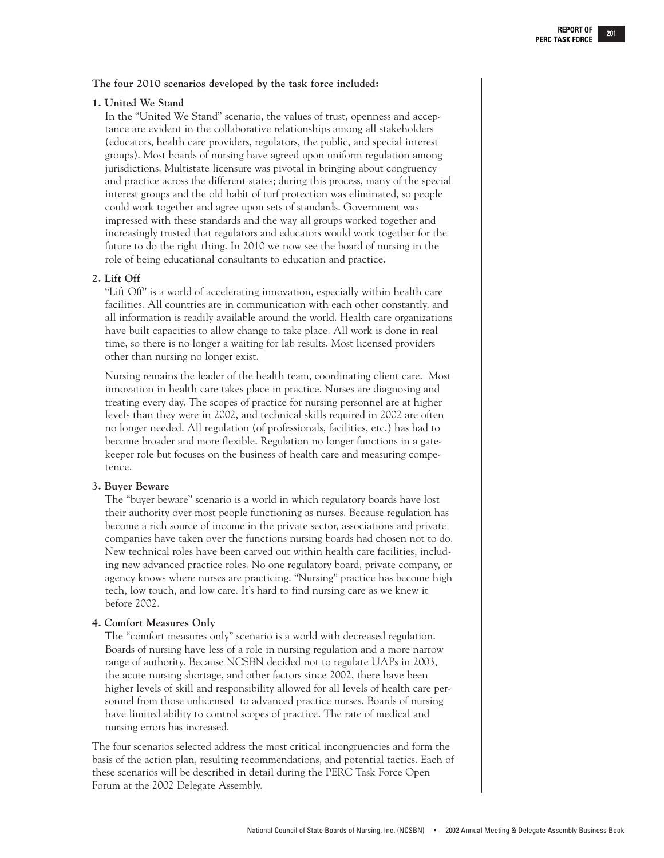#### **The four 2010 scenarios developed by the task force included:**

#### **1. United We Stand**

In the "United We Stand" scenario, the values of trust, openness and acceptance are evident in the collaborative relationships among all stakeholders (educators, health care providers, regulators, the public, and special interest groups). Most boards of nursing have agreed upon uniform regulation among jurisdictions. Multistate licensure was pivotal in bringing about congruency and practice across the different states; during this process, many of the special interest groups and the old habit of turf protection was eliminated, so people could work together and agree upon sets of standards. Government was impressed with these standards and the way all groups worked together and increasingly trusted that regulators and educators would work together for the future to do the right thing. In 2010 we now see the board of nursing in the role of being educational consultants to education and practice.

#### **2. Lift Off**

"Lift Off" is a world of accelerating innovation, especially within health care facilities. All countries are in communication with each other constantly, and all information is readily available around the world. Health care organizations have built capacities to allow change to take place. All work is done in real time, so there is no longer a waiting for lab results. Most licensed providers other than nursing no longer exist.

Nursing remains the leader of the health team, coordinating client care. Most innovation in health care takes place in practice. Nurses are diagnosing and treating every day. The scopes of practice for nursing personnel are at higher levels than they were in 2002, and technical skills required in 2002 are often no longer needed. All regulation (of professionals, facilities, etc.) has had to become broader and more flexible. Regulation no longer functions in a gatekeeper role but focuses on the business of health care and measuring competence.

#### **3. Buyer Beware**

The "buyer beware" scenario is a world in which regulatory boards have lost their authority over most people functioning as nurses. Because regulation has become a rich source of income in the private sector, associations and private companies have taken over the functions nursing boards had chosen not to do. New technical roles have been carved out within health care facilities, including new advanced practice roles. No one regulatory board, private company, or agency knows where nurses are practicing. "Nursing" practice has become high tech, low touch, and low care. It's hard to find nursing care as we knew it before 2002.

#### **4. Comfort Measures Only**

The "comfort measures only" scenario is a world with decreased regulation. Boards of nursing have less of a role in nursing regulation and a more narrow range of authority. Because NCSBN decided not to regulate UAPs in 2003, the acute nursing shortage, and other factors since 2002, there have been higher levels of skill and responsibility allowed for all levels of health care personnel from those unlicensed to advanced practice nurses. Boards of nursing have limited ability to control scopes of practice. The rate of medical and nursing errors has increased.

The four scenarios selected address the most critical incongruencies and form the basis of the action plan, resulting recommendations, and potential tactics. Each of these scenarios will be described in detail during the PERC Task Force Open Forum at the 2002 Delegate Assembly.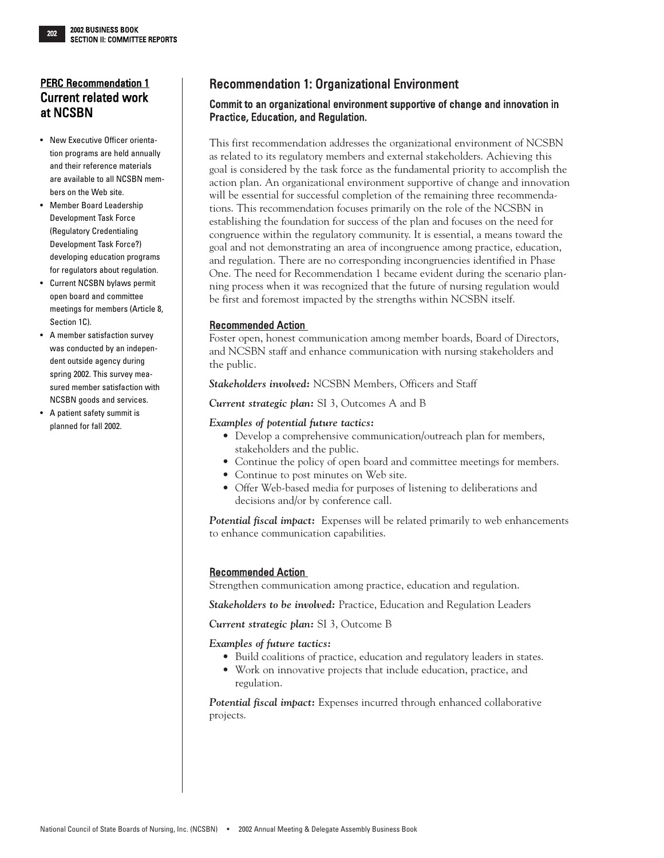## PERC Recommendation 1 Current related work at NCSBN

- New Executive Officer orientation programs are held annually and their reference materials are available to all NCSBN members on the Web site.
- Member Board Leadership Development Task Force (Regulatory Credentialing Development Task Force?) developing education programs for regulators about regulation.
- Current NCSBN bylaws permit open board and committee meetings for members (Article 8, Section 1C).
- A member satisfaction survey was conducted by an independent outside agency during spring 2002. This survey measured member satisfaction with NCSBN goods and services.
- A patient safety summit is planned for fall 2002.

# Recommendation 1: Organizational Environment

#### Commit to an organizational environment supportive of change and innovation in Practice, Education, and Regulation.

This first recommendation addresses the organizational environment of NCSBN as related to its regulatory members and external stakeholders. Achieving this goal is considered by the task force as the fundamental priority to accomplish the action plan. An organizational environment supportive of change and innovation will be essential for successful completion of the remaining three recommendations. This recommendation focuses primarily on the role of the NCSBN in establishing the foundation for success of the plan and focuses on the need for congruence within the regulatory community. It is essential, a means toward the goal and not demonstrating an area of incongruence among practice, education, and regulation. There are no corresponding incongruencies identified in Phase One. The need for Recommendation 1 became evident during the scenario planning process when it was recognized that the future of nursing regulation would be first and foremost impacted by the strengths within NCSBN itself.

### Recommended Action

Foster open, honest communication among member boards, Board of Directors, and NCSBN staff and enhance communication with nursing stakeholders and the public.

*Stakeholders involved:* NCSBN Members, Officers and Staff

*Current strategic plan:* SI 3, Outcomes A and B

#### *Examples of potential future tactics:*

- Develop a comprehensive communication/outreach plan for members, stakeholders and the public.
- Continue the policy of open board and committee meetings for members.
- Continue to post minutes on Web site.
- Offer Web-based media for purposes of listening to deliberations and decisions and/or by conference call.

*Potential fiscal impact:* Expenses will be related primarily to web enhancements to enhance communication capabilities.

## Recommended Action

Strengthen communication among practice, education and regulation.

*Stakeholders to be involved:* Practice, Education and Regulation Leaders

*Current strategic plan:* SI 3, Outcome B

#### *Examples of future tactics:*

- Build coalitions of practice, education and regulatory leaders in states.
- Work on innovative projects that include education, practice, and regulation.

*Potential fiscal impact:* Expenses incurred through enhanced collaborative projects.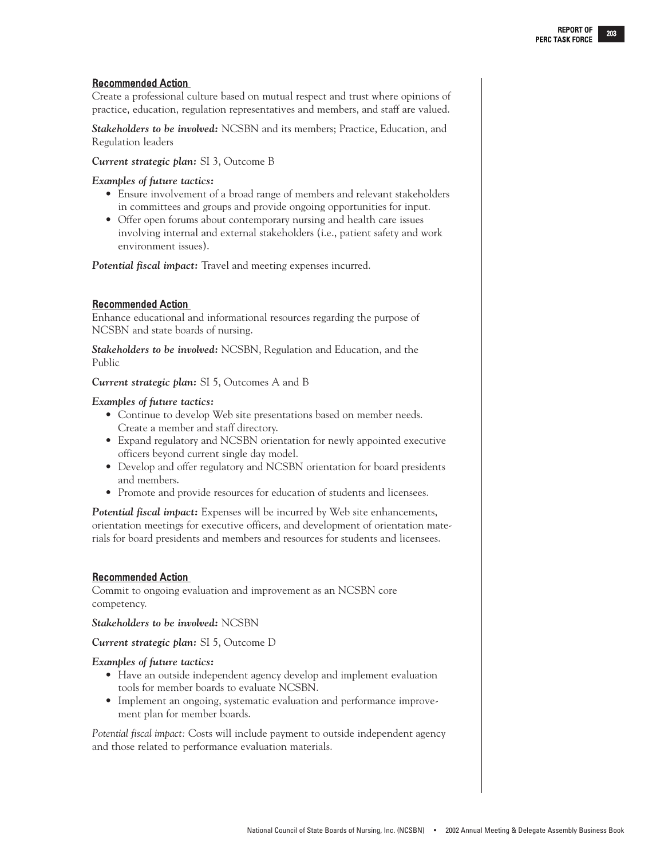#### Recommended Action

Create a professional culture based on mutual respect and trust where opinions of practice, education, regulation representatives and members, and staff are valued.

*Stakeholders to be involved:* NCSBN and its members; Practice, Education, and Regulation leaders

*Current strategic plan:* SI 3, Outcome B

#### *Examples of future tactics:*

- Ensure involvement of a broad range of members and relevant stakeholders in committees and groups and provide ongoing opportunities for input.
- Offer open forums about contemporary nursing and health care issues involving internal and external stakeholders (i.e., patient safety and work environment issues).

*Potential fiscal impact:* Travel and meeting expenses incurred.

#### Recommended Action

Enhance educational and informational resources regarding the purpose of NCSBN and state boards of nursing.

*Stakeholders to be involved:* NCSBN, Regulation and Education, and the Public

*Current strategic plan:* SI 5, Outcomes A and B

#### *Examples of future tactics:*

- Continue to develop Web site presentations based on member needs. Create a member and staff directory.
- Expand regulatory and NCSBN orientation for newly appointed executive officers beyond current single day model.
- Develop and offer regulatory and NCSBN orientation for board presidents and members.
- Promote and provide resources for education of students and licensees.

*Potential fiscal impact:* Expenses will be incurred by Web site enhancements, orientation meetings for executive officers, and development of orientation materials for board presidents and members and resources for students and licensees.

#### Recommended Action

Commit to ongoing evaluation and improvement as an NCSBN core competency.

*Stakeholders to be involved:* NCSBN

*Current strategic plan:* SI 5, Outcome D

#### *Examples of future tactics:*

- Have an outside independent agency develop and implement evaluation tools for member boards to evaluate NCSBN.
- Implement an ongoing, systematic evaluation and performance improvement plan for member boards.

*Potential fiscal impact:* Costs will include payment to outside independent agency and those related to performance evaluation materials.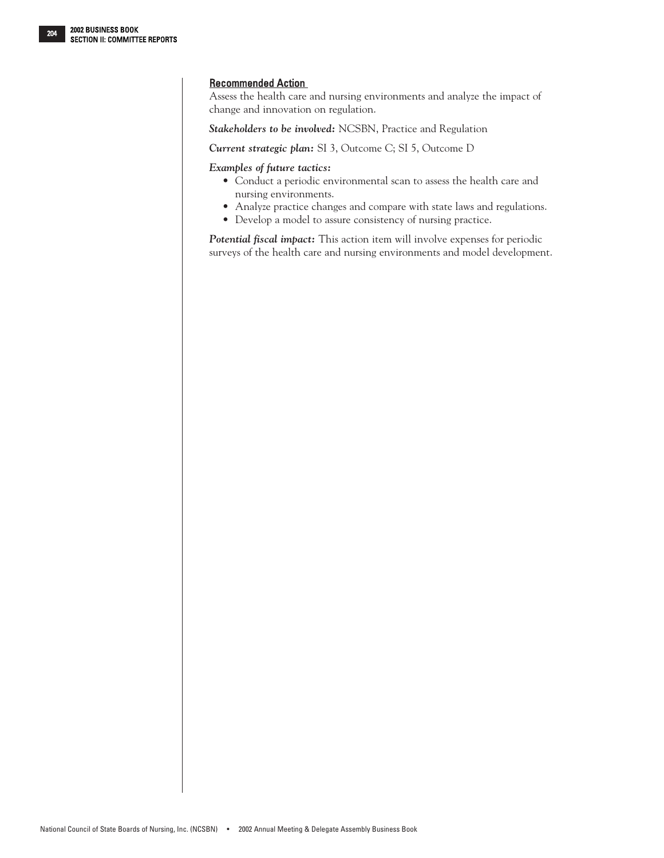#### Recommended Action

Assess the health care and nursing environments and analyze the impact of change and innovation on regulation.

*Stakeholders to be involved:* NCSBN, Practice and Regulation

*Current strategic plan:* SI 3, Outcome C; SI 5, Outcome D

*Examples of future tactics:*

- Conduct a periodic environmental scan to assess the health care and nursing environments.
- Analyze practice changes and compare with state laws and regulations.
- Develop a model to assure consistency of nursing practice.

*Potential fiscal impact:* This action item will involve expenses for periodic surveys of the health care and nursing environments and model development.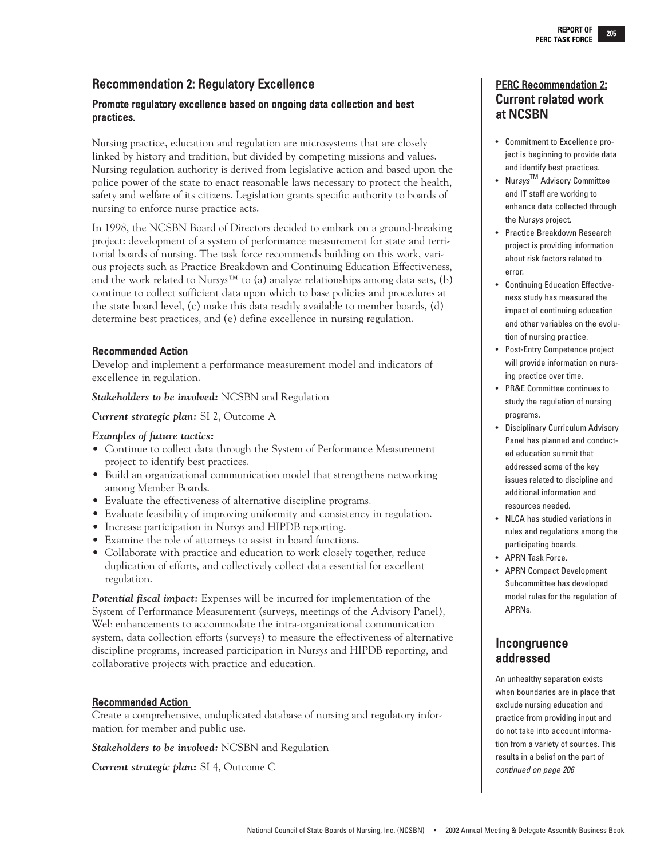## Recommendation 2: Regulatory Excellence

### Promote regulatory excellence based on ongoing data collection and best practices.

Nursing practice, education and regulation are microsystems that are closely linked by history and tradition, but divided by competing missions and values. Nursing regulation authority is derived from legislative action and based upon the police power of the state to enact reasonable laws necessary to protect the health, safety and welfare of its citizens. Legislation grants specific authority to boards of nursing to enforce nurse practice acts.

In 1998, the NCSBN Board of Directors decided to embark on a ground-breaking project: development of a system of performance measurement for state and territorial boards of nursing. The task force recommends building on this work, various projects such as Practice Breakdown and Continuing Education Effectiveness, and the work related to Nur*sys*™ to (a) analyze relationships among data sets, (b) continue to collect sufficient data upon which to base policies and procedures at the state board level, (c) make this data readily available to member boards, (d) determine best practices, and (e) define excellence in nursing regulation.

#### Recommended Action

Develop and implement a performance measurement model and indicators of excellence in regulation.

*Stakeholders to be involved:* NCSBN and Regulation

*Current strategic plan:* SI 2, Outcome A

#### *Examples of future tactics:*

- Continue to collect data through the System of Performance Measurement project to identify best practices.
- Build an organizational communication model that strengthens networking among Member Boards.
- Evaluate the effectiveness of alternative discipline programs.
- Evaluate feasibility of improving uniformity and consistency in regulation.
- Increase participation in Nur*sys* and HIPDB reporting.
- Examine the role of attorneys to assist in board functions.
- Collaborate with practice and education to work closely together, reduce duplication of efforts, and collectively collect data essential for excellent regulation.

*Potential fiscal impact:* Expenses will be incurred for implementation of the System of Performance Measurement (surveys, meetings of the Advisory Panel), Web enhancements to accommodate the intra-organizational communication system, data collection efforts (surveys) to measure the effectiveness of alternative discipline programs, increased participation in Nur*sys* and HIPDB reporting, and collaborative projects with practice and education.

#### Recommended Action

Create a comprehensive, unduplicated database of nursing and regulatory information for member and public use.

*Stakeholders to be involved:* NCSBN and Regulation

*Current strategic plan:* SI 4, Outcome C

## PERC Recommendation 2: Current related work at NCSBN

- Commitment to Excellence project is beginning to provide data and identify best practices.
- Nursys<sup>TM</sup> Advisory Committee and IT staff are working to enhance data collected through the Nursys project.
- Practice Breakdown Research project is providing information about risk factors related to error.
- Continuing Education Effectiveness study has measured the impact of continuing education and other variables on the evolution of nursing practice.
- Post-Entry Competence project will provide information on nursing practice over time.
- PR&E Committee continues to study the regulation of nursing programs.
- Disciplinary Curriculum Advisory Panel has planned and conducted education summit that addressed some of the key issues related to discipline and additional information and resources needed.
- NLCA has studied variations in rules and regulations among the participating boards.
- APRN Task Force.
- APRN Compact Development Subcommittee has developed model rules for the regulation of APRNs.

## Incongruence addressed

An unhealthy separation exists when boundaries are in place that exclude nursing education and practice from providing input and do not take into account information from a variety of sources. This results in a belief on the part of continued on page 206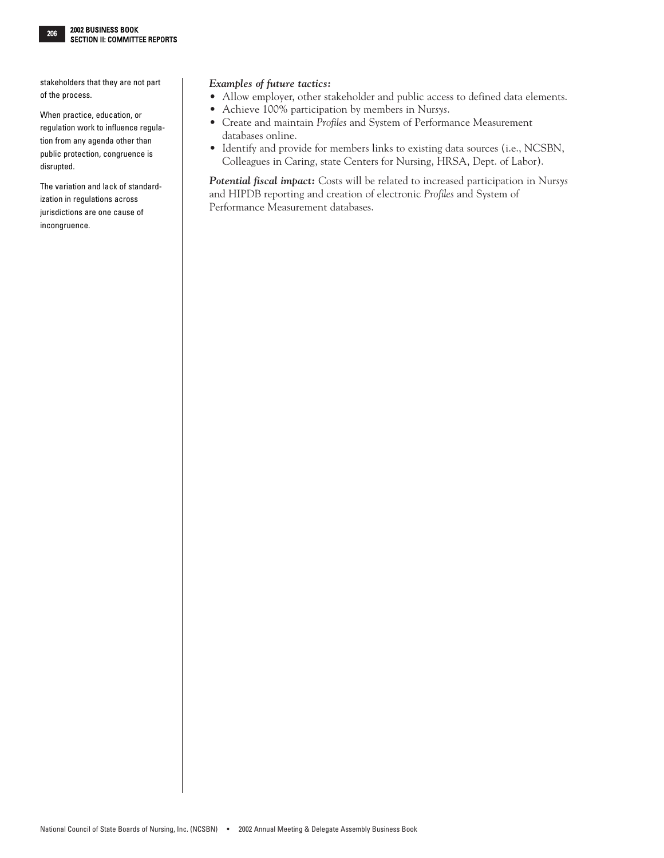stakeholders that they are not part of the process.

When practice, education, or regulation work to influence regulation from any agenda other than public protection, congruence is disrupted.

The variation and lack of standardization in regulations across jurisdictions are one cause of incongruence.

#### *Examples of future tactics:*

- Allow employer, other stakeholder and public access to defined data elements.
- Achieve 100% participation by members in Nur*sys*.
- Create and maintain *Profiles* and System of Performance Measurement databases online.
- Identify and provide for members links to existing data sources (i.e., NCSBN, Colleagues in Caring, state Centers for Nursing, HRSA, Dept. of Labor).

*Potential fiscal impact:* Costs will be related to increased participation in Nur*sys* and HIPDB reporting and creation of electronic *Profiles* and System of Performance Measurement databases.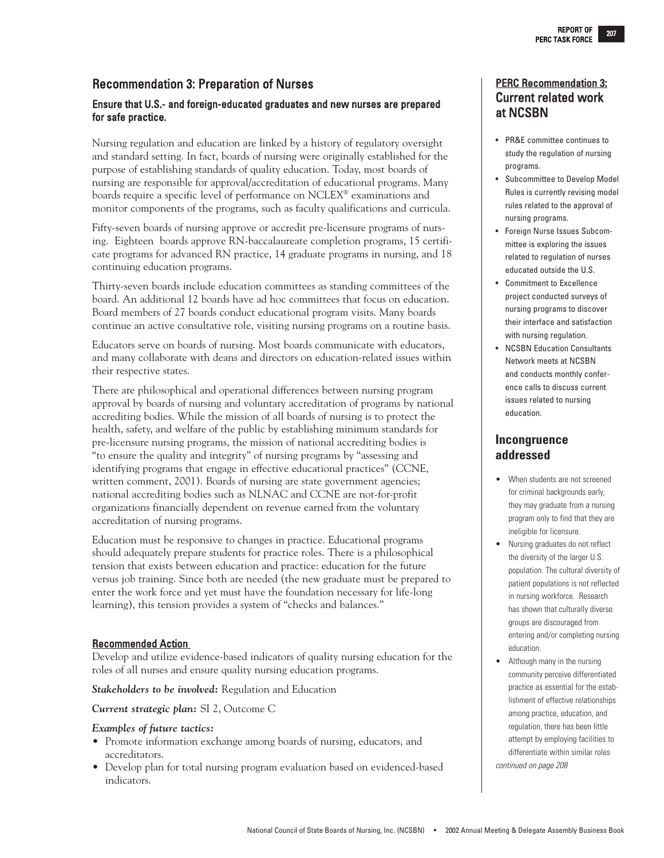## Recommendation 3: Preparation of Nurses

### Ensure that U.S.- and foreign-educated graduates and new nurses are prepared for safe practice.

Nursing regulation and education are linked by a history of regulatory oversight and standard setting. In fact, boards of nursing were originally established for the purpose of establishing standards of quality education. Today, most boards of nursing are responsible for approval/accreditation of educational programs. Many boards require a specific level of performance on NCLEX® examinations and monitor components of the programs, such as faculty qualifications and curricula.

Fifty-seven boards of nursing approve or accredit pre-licensure programs of nursing. Eighteen boards approve RN-baccalaureate completion programs, 15 certificate programs for advanced RN practice, 14 graduate programs in nursing, and 18 continuing education programs.

Thirty-seven boards include education committees as standing committees of the board. An additional 12 boards have ad hoc committees that focus on education. Board members of 27 boards conduct educational program visits. Many boards continue an active consultative role, visiting nursing programs on a routine basis.

Educators serve on boards of nursing. Most boards communicate with educators, and many collaborate with deans and directors on education-related issues within their respective states.

There are philosophical and operational differences between nursing program approval by boards of nursing and voluntary accreditation of programs by national accrediting bodies. While the mission of all boards of nursing is to protect the health, safety, and welfare of the public by establishing minimum standards for pre-licensure nursing programs, the mission of national accrediting bodies is "to ensure the quality and integrity" of nursing programs by "assessing and identifying programs that engage in effective educational practices" (CCNE, written comment, 2001). Boards of nursing are state government agencies; national accrediting bodies such as NLNAC and CCNE are not-for-profit organizations financially dependent on revenue earned from the voluntary accreditation of nursing programs.

Education must be responsive to changes in practice. Educational programs should adequately prepare students for practice roles. There is a philosophical tension that exists between education and practice: education for the future versus job training. Since both are needed (the new graduate must be prepared to enter the work force and yet must have the foundation necessary for life-long learning), this tension provides a system of "checks and balances."

#### Recommended Action

Develop and utilize evidence-based indicators of quality nursing education for the roles of all nurses and ensure quality nursing education programs.

*Stakeholders to be involved:* Regulation and Education

#### *Current strategic plan:* SI 2, Outcome C

#### *Examples of future tactics:*

- Promote information exchange among boards of nursing, educators, and accreditators.
- Develop plan for total nursing program evaluation based on evidenced-based indicators.

## PERC Recommendation 3: Current related work at NCSBN

- PR&E committee continues to study the regulation of nursing programs.
- Subcommittee to Develop Model Rules is currently revising model rules related to the approval of nursing programs.
- Foreign Nurse Issues Subcommittee is exploring the issues related to regulation of nurses educated outside the U.S.
- Commitment to Excellence project conducted surveys of nursing programs to discover their interface and satisfaction with nursing regulation.
- NCSBN Education Consultants Network meets at NCSBN and conducts monthly conference calls to discuss current issues related to nursing education.

## **Incongruence addressed**

- When students are not screened for criminal backgrounds early, they may graduate from a nursing program only to find that they are ineligible for licensure.
- Nursing graduates do not reflect the diversity of the larger U.S. population. The cultural diversity of patient populations is not reflected in nursing workforce. Research has shown that culturally diverse groups are discouraged from entering and/or completing nursing education.
- Although many in the nursing community perceive differentiated practice as essential for the establishment of effective relationships among practice, education, and regulation, there has been little attempt by employing facilities to differentiate within similar roles continued on page 208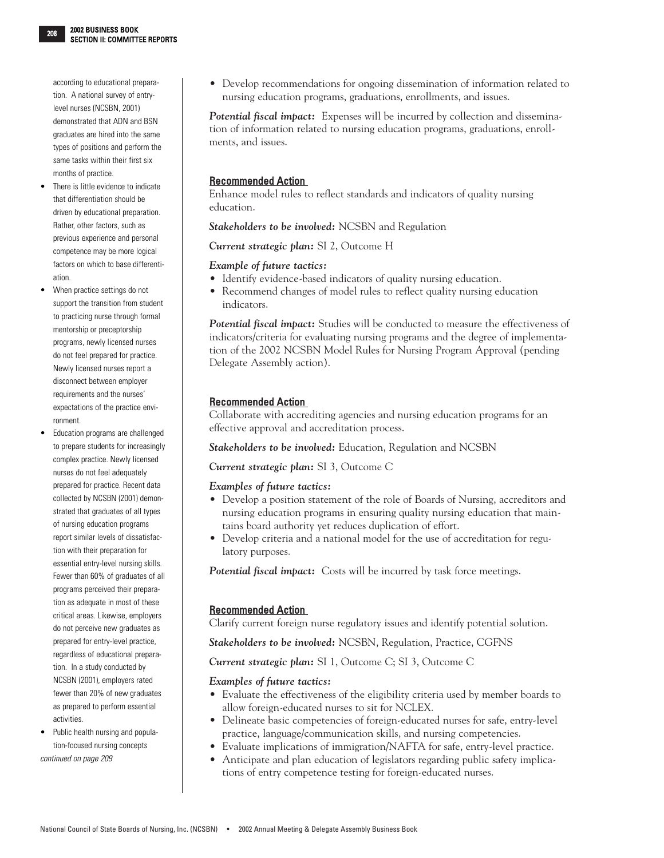according to educational preparation. A national survey of entrylevel nurses (NCSBN, 2001) demonstrated that ADN and BSN graduates are hired into the same types of positions and perform the same tasks within their first six months of practice.

- There is little evidence to indicate that differentiation should be driven by educational preparation. Rather, other factors, such as previous experience and personal competence may be more logical factors on which to base differentiation.
- When practice settings do not support the transition from student to practicing nurse through formal mentorship or preceptorship programs, newly licensed nurses do not feel prepared for practice. Newly licensed nurses report a disconnect between employer requirements and the nurses' expectations of the practice environment.
- Education programs are challenged to prepare students for increasingly complex practice. Newly licensed nurses do not feel adequately prepared for practice. Recent data collected by NCSBN (2001) demonstrated that graduates of all types of nursing education programs report similar levels of dissatisfaction with their preparation for essential entry-level nursing skills. Fewer than 60% of graduates of all programs perceived their preparation as adequate in most of these critical areas. Likewise, employers do not perceive new graduates as prepared for entry-level practice, regardless of educational preparation. In a study conducted by NCSBN (2001), employers rated fewer than 20% of new graduates as prepared to perform essential activities.
- Public health nursing and population-focused nursing concepts continued on page 209

• Develop recommendations for ongoing dissemination of information related to nursing education programs, graduations, enrollments, and issues.

*Potential fiscal impact:* Expenses will be incurred by collection and dissemination of information related to nursing education programs, graduations, enrollments, and issues.

#### Recommended Action

Enhance model rules to reflect standards and indicators of quality nursing education.

*Stakeholders to be involved:* NCSBN and Regulation

*Current strategic plan:* SI 2, Outcome H

#### *Example of future tactics:*

- Identify evidence-based indicators of quality nursing education.
- Recommend changes of model rules to reflect quality nursing education indicators.

*Potential fiscal impact:* Studies will be conducted to measure the effectiveness of indicators/criteria for evaluating nursing programs and the degree of implementation of the 2002 NCSBN Model Rules for Nursing Program Approval (pending Delegate Assembly action).

#### Recommended Action

Collaborate with accrediting agencies and nursing education programs for an effective approval and accreditation process.

*Stakeholders to be involved:* Education, Regulation and NCSBN

*Current strategic plan:* SI 3, Outcome C

#### *Examples of future tactics:*

- Develop a position statement of the role of Boards of Nursing, accreditors and nursing education programs in ensuring quality nursing education that maintains board authority yet reduces duplication of effort.
- Develop criteria and a national model for the use of accreditation for regulatory purposes.

*Potential fiscal impact:* Costs will be incurred by task force meetings.

#### Recommended Action

Clarify current foreign nurse regulatory issues and identify potential solution.

*Stakeholders to be involved:* NCSBN, Regulation, Practice, CGFNS

*Current strategic plan:* SI 1, Outcome C; SI 3, Outcome C

#### *Examples of future tactics:*

- Evaluate the effectiveness of the eligibility criteria used by member boards to allow foreign-educated nurses to sit for NCLEX.
- Delineate basic competencies of foreign-educated nurses for safe, entry-level practice, language/communication skills, and nursing competencies.
- Evaluate implications of immigration/NAFTA for safe, entry-level practice.
- Anticipate and plan education of legislators regarding public safety implications of entry competence testing for foreign-educated nurses.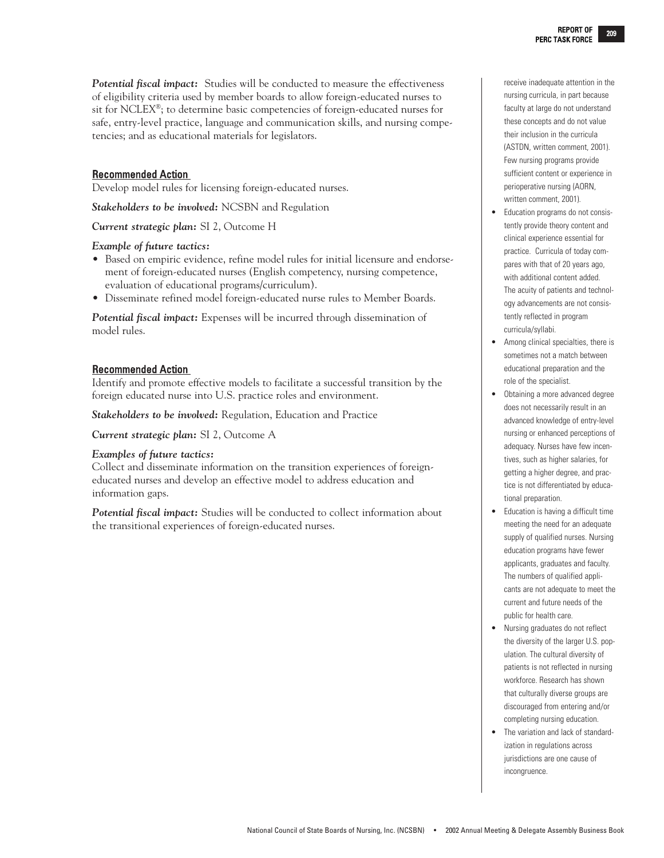*Potential fiscal impact:* Studies will be conducted to measure the effectiveness of eligibility criteria used by member boards to allow foreign-educated nurses to sit for NCLEX®; to determine basic competencies of foreign-educated nurses for safe, entry-level practice, language and communication skills, and nursing competencies; and as educational materials for legislators.

#### Recommended Action

Develop model rules for licensing foreign-educated nurses.

*Stakeholders to be involved:* NCSBN and Regulation

*Current strategic plan:* SI 2, Outcome H

#### *Example of future tactics:*

- Based on empiric evidence, refine model rules for initial licensure and endorsement of foreign-educated nurses (English competency, nursing competence, evaluation of educational programs/curriculum).
- Disseminate refined model foreign-educated nurse rules to Member Boards.

*Potential fiscal impact:* Expenses will be incurred through dissemination of model rules.

#### Recommended Action

Identify and promote effective models to facilitate a successful transition by the foreign educated nurse into U.S. practice roles and environment.

*Stakeholders to be involved:* Regulation, Education and Practice

*Current strategic plan:* SI 2, Outcome A

#### *Examples of future tactics:*

Collect and disseminate information on the transition experiences of foreigneducated nurses and develop an effective model to address education and information gaps.

*Potential fiscal impact:* Studies will be conducted to collect information about the transitional experiences of foreign-educated nurses.

receive inadequate attention in the nursing curricula, in part because faculty at large do not understand these concepts and do not value their inclusion in the curricula (ASTDN, written comment, 2001). Few nursing programs provide sufficient content or experience in perioperative nursing (AORN, written comment, 2001).

- Education programs do not consistently provide theory content and clinical experience essential for practice. Curricula of today compares with that of 20 years ago, with additional content added. The acuity of patients and technology advancements are not consistently reflected in program curricula/syllabi.
- Among clinical specialties, there is sometimes not a match between educational preparation and the role of the specialist.
- Obtaining a more advanced degree does not necessarily result in an advanced knowledge of entry-level nursing or enhanced perceptions of adequacy. Nurses have few incentives, such as higher salaries, for getting a higher degree, and practice is not differentiated by educational preparation.
- Education is having a difficult time meeting the need for an adequate supply of qualified nurses. Nursing education programs have fewer applicants, graduates and faculty. The numbers of qualified applicants are not adequate to meet the current and future needs of the public for health care.
- Nursing graduates do not reflect the diversity of the larger U.S. population. The cultural diversity of patients is not reflected in nursing workforce. Research has shown that culturally diverse groups are discouraged from entering and/or completing nursing education.
- The variation and lack of standardization in regulations across jurisdictions are one cause of incongruence.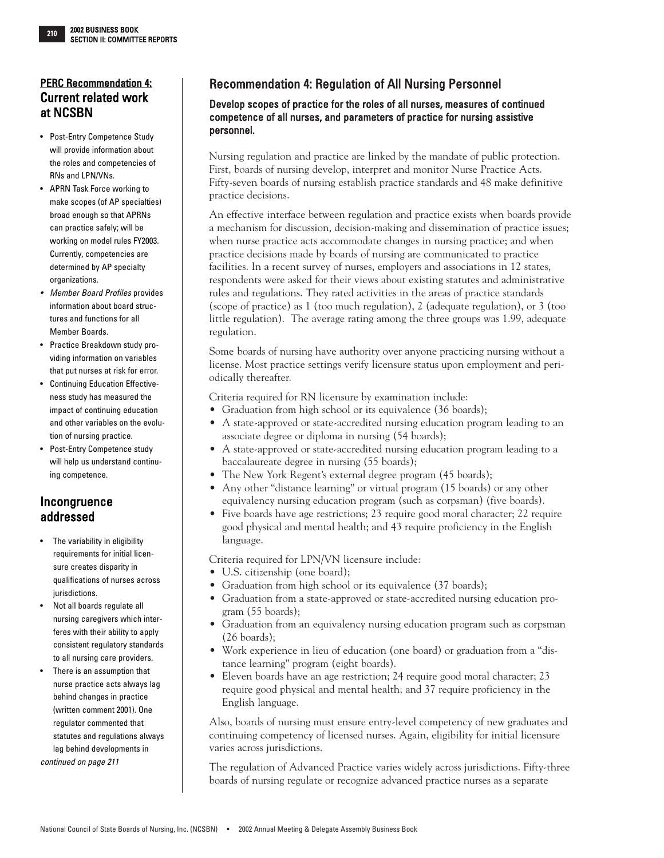## PERC Recommendation 4: Current related work at NCSBN

- Post-Entry Competence Study will provide information about the roles and competencies of RNs and LPN/VNs.
- APRN Task Force working to make scopes (of AP specialties) broad enough so that APRNs can practice safely; will be working on model rules FY2003. Currently, competencies are determined by AP specialty organizations.
- Member Board Profiles provides information about board structures and functions for all Member Boards.
- Practice Breakdown study providing information on variables that put nurses at risk for error.
- Continuing Education Effectiveness study has measured the impact of continuing education and other variables on the evolution of nursing practice.
- Post-Entry Competence study will help us understand continuing competence.

# Incongruence addressed

- The variability in eligibility requirements for initial licensure creates disparity in qualifications of nurses across jurisdictions.
- Not all boards regulate all nursing caregivers which interferes with their ability to apply consistent regulatory standards to all nursing care providers.
- There is an assumption that nurse practice acts always lag behind changes in practice (written comment 2001). One regulator commented that statutes and regulations always lag behind developments in continued on page 211

# Recommendation 4: Regulation of All Nursing Personnel

#### Develop scopes of practice for the roles of all nurses, measures of continued competence of all nurses, and parameters of practice for nursing assistive personnel.

Nursing regulation and practice are linked by the mandate of public protection. First, boards of nursing develop, interpret and monitor Nurse Practice Acts. Fifty-seven boards of nursing establish practice standards and 48 make definitive practice decisions.

An effective interface between regulation and practice exists when boards provide a mechanism for discussion, decision-making and dissemination of practice issues; when nurse practice acts accommodate changes in nursing practice; and when practice decisions made by boards of nursing are communicated to practice facilities. In a recent survey of nurses, employers and associations in 12 states, respondents were asked for their views about existing statutes and administrative rules and regulations. They rated activities in the areas of practice standards (scope of practice) as 1 (too much regulation), 2 (adequate regulation), or 3 (too little regulation). The average rating among the three groups was 1.99, adequate regulation.

Some boards of nursing have authority over anyone practicing nursing without a license. Most practice settings verify licensure status upon employment and periodically thereafter.

Criteria required for RN licensure by examination include:

- Graduation from high school or its equivalence (36 boards);
- A state-approved or state-accredited nursing education program leading to an associate degree or diploma in nursing (54 boards);
- A state-approved or state-accredited nursing education program leading to a baccalaureate degree in nursing (55 boards);
- The New York Regent's external degree program (45 boards);
	- Any other "distance learning" or virtual program (15 boards) or any other equivalency nursing education program (such as corpsman) (five boards).
	- Five boards have age restrictions; 23 require good moral character; 22 require good physical and mental health; and 43 require proficiency in the English language.

Criteria required for LPN/VN licensure include:

- U.S. citizenship (one board);
- Graduation from high school or its equivalence (37 boards);
- Graduation from a state-approved or state-accredited nursing education program (55 boards);
- Graduation from an equivalency nursing education program such as corpsman (26 boards);
- Work experience in lieu of education (one board) or graduation from a "distance learning" program (eight boards).
- Eleven boards have an age restriction; 24 require good moral character; 23 require good physical and mental health; and 37 require proficiency in the English language.

Also, boards of nursing must ensure entry-level competency of new graduates and continuing competency of licensed nurses. Again, eligibility for initial licensure varies across jurisdictions.

The regulation of Advanced Practice varies widely across jurisdictions. Fifty-three boards of nursing regulate or recognize advanced practice nurses as a separate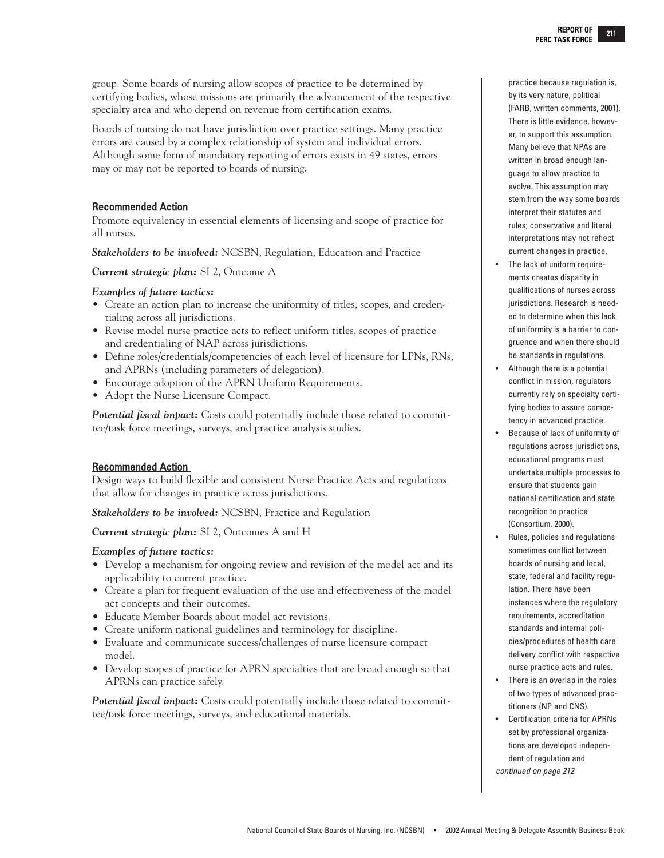group. Some boards of nursing allow scopes of practice to be determined by certifying bodies, whose missions are primarily the advancement of the respective specialty area and who depend on revenue from certification exams.

Boards of nursing do not have jurisdiction over practice settings. Many practice errors are caused by a complex relationship of system and individual errors. Although some form of mandatory reporting of errors exists in 49 states, errors may or may not be reported to boards of nursing.

#### Recommended Action

Promote equivalency in essential elements of licensing and scope of practice for all nurses.

*Stakeholders to be involved:* NCSBN, Regulation, Education and Practice

*Current strategic plan:* SI 2, Outcome A

#### *Examples of future tactics:*

- Create an action plan to increase the uniformity of titles, scopes, and credentialing across all jurisdictions.
- Revise model nurse practice acts to reflect uniform titles, scopes of practice and credentialing of NAP across jurisdictions.
- Define roles/credentials/competencies of each level of licensure for LPNs, RNs, and APRNs (including parameters of delegation).
- Encourage adoption of the APRN Uniform Requirements.
- Adopt the Nurse Licensure Compact.

*Potential fiscal impact:* Costs could potentially include those related to committee/task force meetings, surveys, and practice analysis studies.

#### Recommended Action

Design ways to build flexible and consistent Nurse Practice Acts and regulations that allow for changes in practice across jurisdictions.

*Stakeholders to be involved:* NCSBN, Practice and Regulation

*Current strategic plan:* SI 2, Outcomes A and H

#### *Examples of future tactics:*

- Develop a mechanism for ongoing review and revision of the model act and its applicability to current practice.
- Create a plan for frequent evaluation of the use and effectiveness of the model act concepts and their outcomes.
- Educate Member Boards about model act revisions.
- Create uniform national guidelines and terminology for discipline.
- Evaluate and communicate success/challenges of nurse licensure compact model.
- Develop scopes of practice for APRN specialties that are broad enough so that APRNs can practice safely.

*Potential fiscal impact:* Costs could potentially include those related to committee/task force meetings, surveys, and educational materials.

practice because regulation is, by its very nature, political (FARB, written comments, 2001). There is little evidence, however, to support this assumption. Many believe that NPAs are written in broad enough language to allow practice to evolve. This assumption may stem from the way some boards interpret their statutes and rules; conservative and literal interpretations may not reflect current changes in practice.

- The lack of uniform requirements creates disparity in qualifications of nurses across jurisdictions. Research is needed to determine when this lack of uniformity is a barrier to congruence and when there should be standards in regulations.
- Although there is a potential conflict in mission, regulators currently rely on specialty certifying bodies to assure competency in advanced practice.
- Because of lack of uniformity of regulations across jurisdictions, educational programs must undertake multiple processes to ensure that students gain national certification and state recognition to practice (Consortium, 2000).
- Rules, policies and regulations sometimes conflict between boards of nursing and local, state, federal and facility regulation. There have been instances where the regulatory requirements, accreditation standards and internal policies/procedures of health care delivery conflict with respective nurse practice acts and rules.
- There is an overlap in the roles of two types of advanced practitioners (NP and CNS).
- Certification criteria for APRNs set by professional organizations are developed independent of regulation and continued on page 212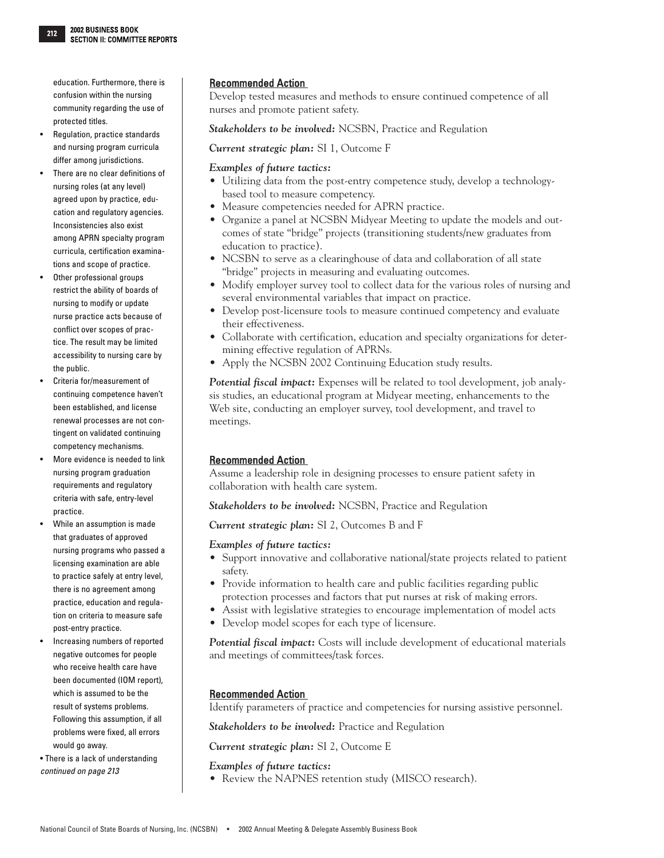education. Furthermore, there is confusion within the nursing community regarding the use of protected titles.

- Regulation, practice standards and nursing program curricula differ among jurisdictions.
- There are no clear definitions of nursing roles (at any level) agreed upon by practice, education and regulatory agencies. Inconsistencies also exist among APRN specialty program curricula, certification examinations and scope of practice.
- Other professional groups restrict the ability of boards of nursing to modify or update nurse practice acts because of conflict over scopes of practice. The result may be limited accessibility to nursing care by the public.
- Criteria for/measurement of continuing competence haven't been established, and license renewal processes are not contingent on validated continuing competency mechanisms.
- More evidence is needed to link nursing program graduation requirements and regulatory criteria with safe, entry-level practice.
- While an assumption is made that graduates of approved nursing programs who passed a licensing examination are able to practice safely at entry level, there is no agreement among practice, education and regulation on criteria to measure safe post-entry practice.
- Increasing numbers of reported negative outcomes for people who receive health care have been documented (IOM report), which is assumed to be the result of systems problems. Following this assumption, if all problems were fixed, all errors would go away.
- There is a lack of understanding continued on page 213

#### Recommended Action

Develop tested measures and methods to ensure continued competence of all nurses and promote patient safety.

*Stakeholders to be involved:* NCSBN, Practice and Regulation

*Current strategic plan:* SI 1, Outcome F

#### *Examples of future tactics:*

- Utilizing data from the post-entry competence study, develop a technologybased tool to measure competency.
- Measure competencies needed for APRN practice.
- Organize a panel at NCSBN Midyear Meeting to update the models and outcomes of state "bridge" projects (transitioning students/new graduates from education to practice).
- NCSBN to serve as a clearinghouse of data and collaboration of all state "bridge" projects in measuring and evaluating outcomes.
- Modify employer survey tool to collect data for the various roles of nursing and several environmental variables that impact on practice.
- Develop post-licensure tools to measure continued competency and evaluate their effectiveness.
- Collaborate with certification, education and specialty organizations for determining effective regulation of APRNs.
- Apply the NCSBN 2002 Continuing Education study results.

*Potential fiscal impact:* Expenses will be related to tool development, job analysis studies, an educational program at Midyear meeting, enhancements to the Web site, conducting an employer survey, tool development, and travel to meetings.

#### Recommended Action

Assume a leadership role in designing processes to ensure patient safety in collaboration with health care system.

*Stakeholders to be involved:* NCSBN, Practice and Regulation

*Current strategic plan:* SI 2, Outcomes B and F

#### *Examples of future tactics:*

- Support innovative and collaborative national/state projects related to patient safety.
- Provide information to health care and public facilities regarding public protection processes and factors that put nurses at risk of making errors.
- Assist with legislative strategies to encourage implementation of model acts
- Develop model scopes for each type of licensure.

*Potential fiscal impact:* Costs will include development of educational materials and meetings of committees/task forces.

### Recommended Action

Identify parameters of practice and competencies for nursing assistive personnel.

*Stakeholders to be involved:* Practice and Regulation

*Current strategic plan:* SI 2, Outcome E

*Examples of future tactics:*

• Review the NAPNES retention study (MISCO research).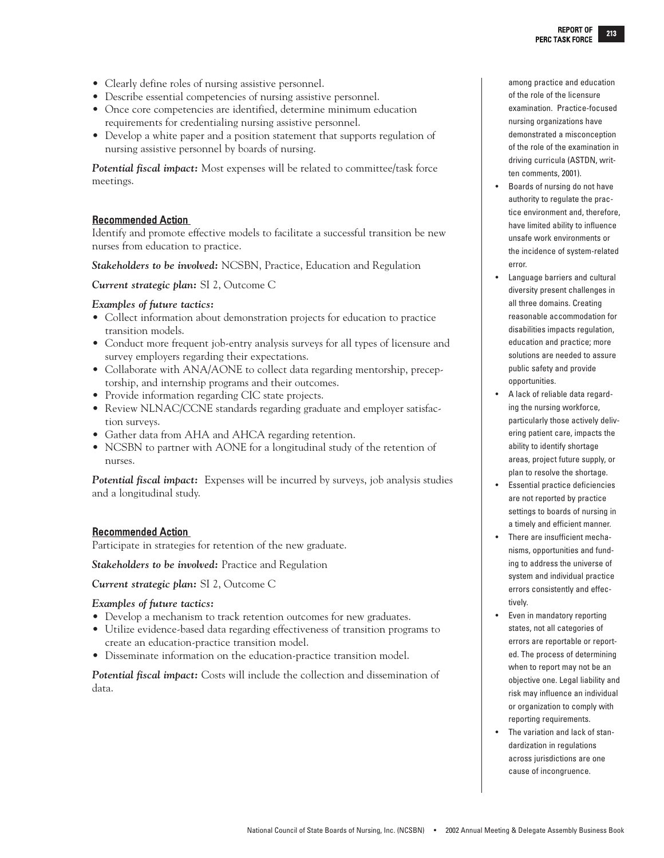- Clearly define roles of nursing assistive personnel.
- Describe essential competencies of nursing assistive personnel.
- Once core competencies are identified, determine minimum education requirements for credentialing nursing assistive personnel.
- Develop a white paper and a position statement that supports regulation of nursing assistive personnel by boards of nursing.

*Potential fiscal impact:* Most expenses will be related to committee/task force meetings.

#### Recommended Action

Identify and promote effective models to facilitate a successful transition be new nurses from education to practice.

*Stakeholders to be involved:* NCSBN, Practice, Education and Regulation

*Current strategic plan:* SI 2, Outcome C

#### *Examples of future tactics:*

- Collect information about demonstration projects for education to practice transition models.
- Conduct more frequent job-entry analysis surveys for all types of licensure and survey employers regarding their expectations.
- Collaborate with ANA/AONE to collect data regarding mentorship, preceptorship, and internship programs and their outcomes.
- Provide information regarding CIC state projects.
- Review NLNAC/CCNE standards regarding graduate and employer satisfaction surveys.
- Gather data from AHA and AHCA regarding retention.
- NCSBN to partner with AONE for a longitudinal study of the retention of nurses.

*Potential fiscal impact:* Expenses will be incurred by surveys, job analysis studies and a longitudinal study.

#### Recommended Action

Participate in strategies for retention of the new graduate.

*Stakeholders to be involved:* Practice and Regulation

*Current strategic plan:* SI 2, Outcome C

#### *Examples of future tactics:*

- Develop a mechanism to track retention outcomes for new graduates.
- Utilize evidence-based data regarding effectiveness of transition programs to create an education-practice transition model.
- Disseminate information on the education-practice transition model.

*Potential fiscal impact:* Costs will include the collection and dissemination of data.

among practice and education of the role of the licensure examination. Practice-focused nursing organizations have demonstrated a misconception of the role of the examination in driving curricula (ASTDN, written comments, 2001).

- Boards of nursing do not have authority to regulate the practice environment and, therefore, have limited ability to influence unsafe work environments or the incidence of system-related error.
- Language barriers and cultural diversity present challenges in all three domains. Creating reasonable accommodation for disabilities impacts regulation, education and practice; more solutions are needed to assure public safety and provide opportunities.
- A lack of reliable data regarding the nursing workforce, particularly those actively delivering patient care, impacts the ability to identify shortage areas, project future supply, or plan to resolve the shortage.
- Essential practice deficiencies are not reported by practice settings to boards of nursing in a timely and efficient manner.
- There are insufficient mechanisms, opportunities and funding to address the universe of system and individual practice errors consistently and effectively.
- Even in mandatory reporting states, not all categories of errors are reportable or reported. The process of determining when to report may not be an objective one. Legal liability and risk may influence an individual or organization to comply with reporting requirements.
- The variation and lack of standardization in regulations across jurisdictions are one cause of incongruence.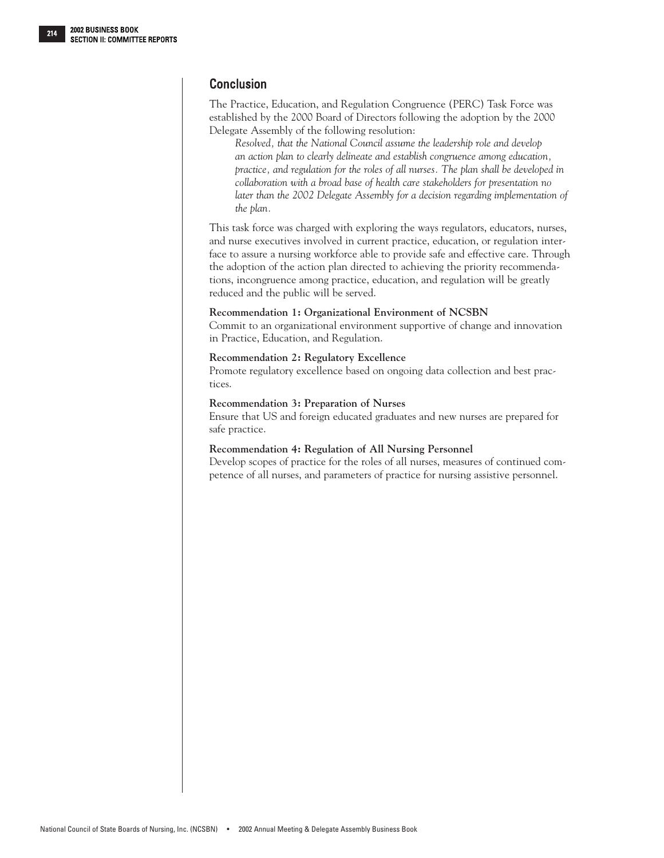## Conclusion

The Practice, Education, and Regulation Congruence (PERC) Task Force was established by the 2000 Board of Directors following the adoption by the 2000 Delegate Assembly of the following resolution:

*Resolved, that the National Council assume the leadership role and develop an action plan to clearly delineate and establish congruence among education, practice, and regulation for the roles of all nurses. The plan shall be developed in collaboration with a broad base of health care stakeholders for presentation no later than the 2002 Delegate Assembly for a decision regarding implementation of the plan.*

This task force was charged with exploring the ways regulators, educators, nurses, and nurse executives involved in current practice, education, or regulation interface to assure a nursing workforce able to provide safe and effective care. Through the adoption of the action plan directed to achieving the priority recommendations, incongruence among practice, education, and regulation will be greatly reduced and the public will be served.

#### **Recommendation 1: Organizational Environment of NCSBN**

Commit to an organizational environment supportive of change and innovation in Practice, Education, and Regulation.

#### **Recommendation 2: Regulatory Excellence**

Promote regulatory excellence based on ongoing data collection and best practices.

#### **Recommendation 3: Preparation of Nurses**

Ensure that US and foreign educated graduates and new nurses are prepared for safe practice.

#### **Recommendation 4: Regulation of All Nursing Personnel**

Develop scopes of practice for the roles of all nurses, measures of continued competence of all nurses, and parameters of practice for nursing assistive personnel.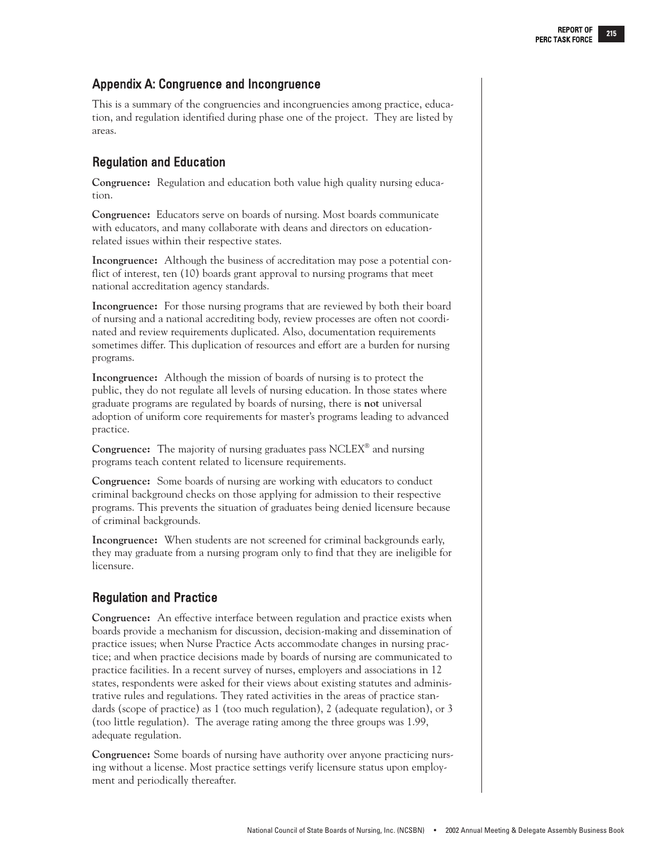# Appendix A: Congruence and Incongruence

This is a summary of the congruencies and incongruencies among practice, education, and regulation identified during phase one of the project. They are listed by areas.

### Regulation and Education

**Congruence:** Regulation and education both value high quality nursing education.

**Congruence:** Educators serve on boards of nursing. Most boards communicate with educators, and many collaborate with deans and directors on educationrelated issues within their respective states.

**Incongruence:** Although the business of accreditation may pose a potential conflict of interest, ten (10) boards grant approval to nursing programs that meet national accreditation agency standards.

**Incongruence:** For those nursing programs that are reviewed by both their board of nursing and a national accrediting body, review processes are often not coordinated and review requirements duplicated. Also, documentation requirements sometimes differ. This duplication of resources and effort are a burden for nursing programs.

**Incongruence:** Although the mission of boards of nursing is to protect the public, they do not regulate all levels of nursing education. In those states where graduate programs are regulated by boards of nursing, there is **not** universal adoption of uniform core requirements for master's programs leading to advanced practice.

**Congruence:** The majority of nursing graduates pass NCLEX® and nursing programs teach content related to licensure requirements.

**Congruence:** Some boards of nursing are working with educators to conduct criminal background checks on those applying for admission to their respective programs. This prevents the situation of graduates being denied licensure because of criminal backgrounds.

**Incongruence:** When students are not screened for criminal backgrounds early, they may graduate from a nursing program only to find that they are ineligible for licensure.

## Regulation and Practice

**Congruence:** An effective interface between regulation and practice exists when boards provide a mechanism for discussion, decision-making and dissemination of practice issues; when Nurse Practice Acts accommodate changes in nursing practice; and when practice decisions made by boards of nursing are communicated to practice facilities. In a recent survey of nurses, employers and associations in 12 states, respondents were asked for their views about existing statutes and administrative rules and regulations. They rated activities in the areas of practice standards (scope of practice) as 1 (too much regulation), 2 (adequate regulation), or 3 (too little regulation). The average rating among the three groups was 1.99, adequate regulation.

**Congruence:** Some boards of nursing have authority over anyone practicing nursing without a license. Most practice settings verify licensure status upon employment and periodically thereafter.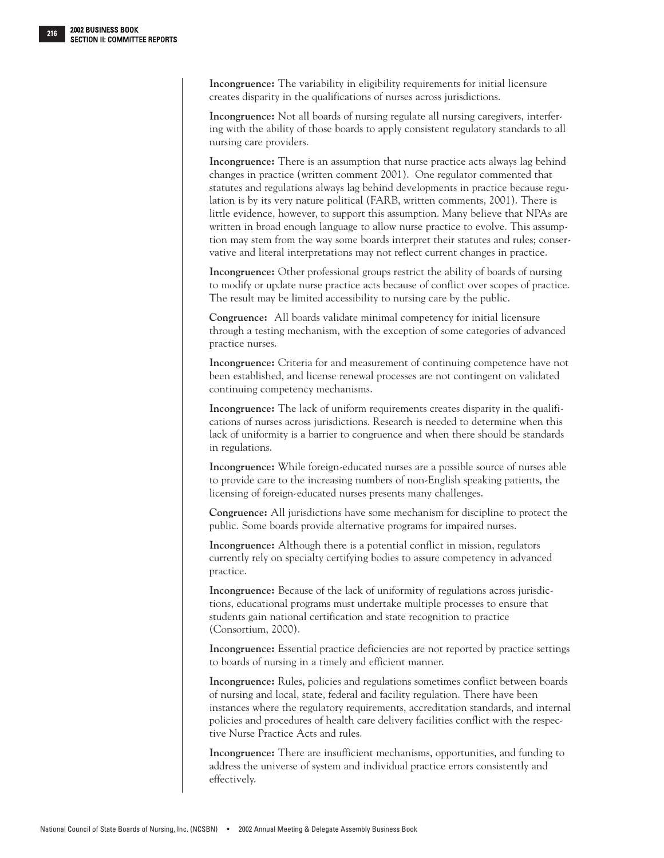**Incongruence:** The variability in eligibility requirements for initial licensure creates disparity in the qualifications of nurses across jurisdictions.

**Incongruence:** Not all boards of nursing regulate all nursing caregivers, interfering with the ability of those boards to apply consistent regulatory standards to all nursing care providers.

**Incongruence:** There is an assumption that nurse practice acts always lag behind changes in practice (written comment 2001). One regulator commented that statutes and regulations always lag behind developments in practice because regulation is by its very nature political (FARB, written comments, 2001). There is little evidence, however, to support this assumption. Many believe that NPAs are written in broad enough language to allow nurse practice to evolve. This assumption may stem from the way some boards interpret their statutes and rules; conservative and literal interpretations may not reflect current changes in practice.

**Incongruence:** Other professional groups restrict the ability of boards of nursing to modify or update nurse practice acts because of conflict over scopes of practice. The result may be limited accessibility to nursing care by the public.

**Congruence:** All boards validate minimal competency for initial licensure through a testing mechanism, with the exception of some categories of advanced practice nurses.

**Incongruence:** Criteria for and measurement of continuing competence have not been established, and license renewal processes are not contingent on validated continuing competency mechanisms.

**Incongruence:** The lack of uniform requirements creates disparity in the qualifications of nurses across jurisdictions. Research is needed to determine when this lack of uniformity is a barrier to congruence and when there should be standards in regulations.

**Incongruence:** While foreign-educated nurses are a possible source of nurses able to provide care to the increasing numbers of non-English speaking patients, the licensing of foreign-educated nurses presents many challenges.

**Congruence:** All jurisdictions have some mechanism for discipline to protect the public. Some boards provide alternative programs for impaired nurses.

**Incongruence:** Although there is a potential conflict in mission, regulators currently rely on specialty certifying bodies to assure competency in advanced practice.

**Incongruence:** Because of the lack of uniformity of regulations across jurisdictions, educational programs must undertake multiple processes to ensure that students gain national certification and state recognition to practice (Consortium, 2000).

**Incongruence:** Essential practice deficiencies are not reported by practice settings to boards of nursing in a timely and efficient manner.

**Incongruence:** Rules, policies and regulations sometimes conflict between boards of nursing and local, state, federal and facility regulation. There have been instances where the regulatory requirements, accreditation standards, and internal policies and procedures of health care delivery facilities conflict with the respective Nurse Practice Acts and rules.

**Incongruence:** There are insufficient mechanisms, opportunities, and funding to address the universe of system and individual practice errors consistently and effectively.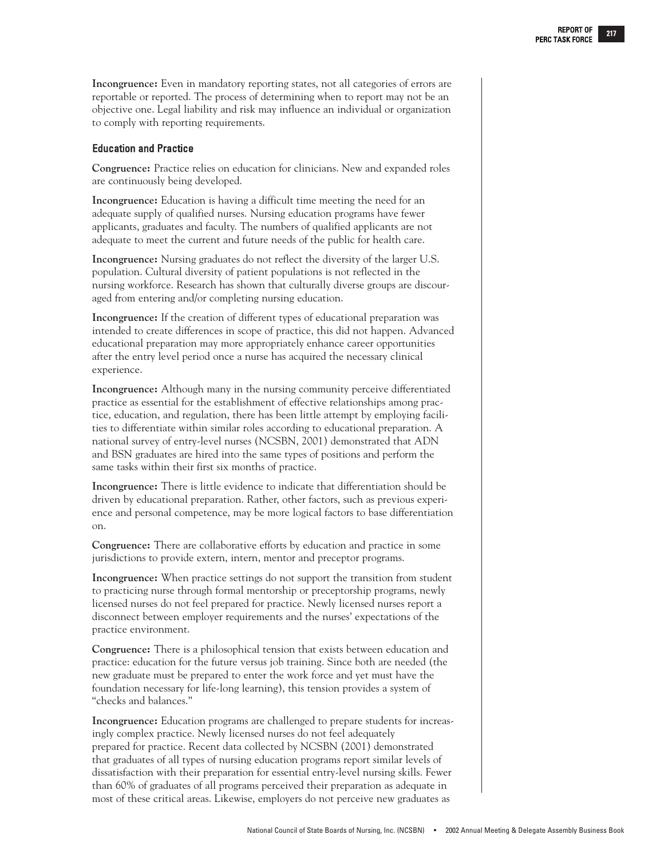**Incongruence:** Even in mandatory reporting states, not all categories of errors are reportable or reported. The process of determining when to report may not be an objective one. Legal liability and risk may influence an individual or organization to comply with reporting requirements.

#### Education and Practice

**Congruence:** Practice relies on education for clinicians. New and expanded roles are continuously being developed.

**Incongruence:** Education is having a difficult time meeting the need for an adequate supply of qualified nurses. Nursing education programs have fewer applicants, graduates and faculty. The numbers of qualified applicants are not adequate to meet the current and future needs of the public for health care.

**Incongruence:** Nursing graduates do not reflect the diversity of the larger U.S. population. Cultural diversity of patient populations is not reflected in the nursing workforce. Research has shown that culturally diverse groups are discouraged from entering and/or completing nursing education.

**Incongruence:** If the creation of different types of educational preparation was intended to create differences in scope of practice, this did not happen. Advanced educational preparation may more appropriately enhance career opportunities after the entry level period once a nurse has acquired the necessary clinical experience.

**Incongruence:** Although many in the nursing community perceive differentiated practice as essential for the establishment of effective relationships among practice, education, and regulation, there has been little attempt by employing facilities to differentiate within similar roles according to educational preparation. A national survey of entry-level nurses (NCSBN, 2001) demonstrated that ADN and BSN graduates are hired into the same types of positions and perform the same tasks within their first six months of practice.

**Incongruence:** There is little evidence to indicate that differentiation should be driven by educational preparation. Rather, other factors, such as previous experience and personal competence, may be more logical factors to base differentiation on.

**Congruence:** There are collaborative efforts by education and practice in some jurisdictions to provide extern, intern, mentor and preceptor programs.

**Incongruence:** When practice settings do not support the transition from student to practicing nurse through formal mentorship or preceptorship programs, newly licensed nurses do not feel prepared for practice. Newly licensed nurses report a disconnect between employer requirements and the nurses' expectations of the practice environment.

**Congruence:** There is a philosophical tension that exists between education and practice: education for the future versus job training. Since both are needed (the new graduate must be prepared to enter the work force and yet must have the foundation necessary for life-long learning), this tension provides a system of "checks and balances."

**Incongruence:** Education programs are challenged to prepare students for increasingly complex practice. Newly licensed nurses do not feel adequately prepared for practice. Recent data collected by NCSBN (2001) demonstrated that graduates of all types of nursing education programs report similar levels of dissatisfaction with their preparation for essential entry-level nursing skills. Fewer than 60% of graduates of all programs perceived their preparation as adequate in most of these critical areas. Likewise, employers do not perceive new graduates as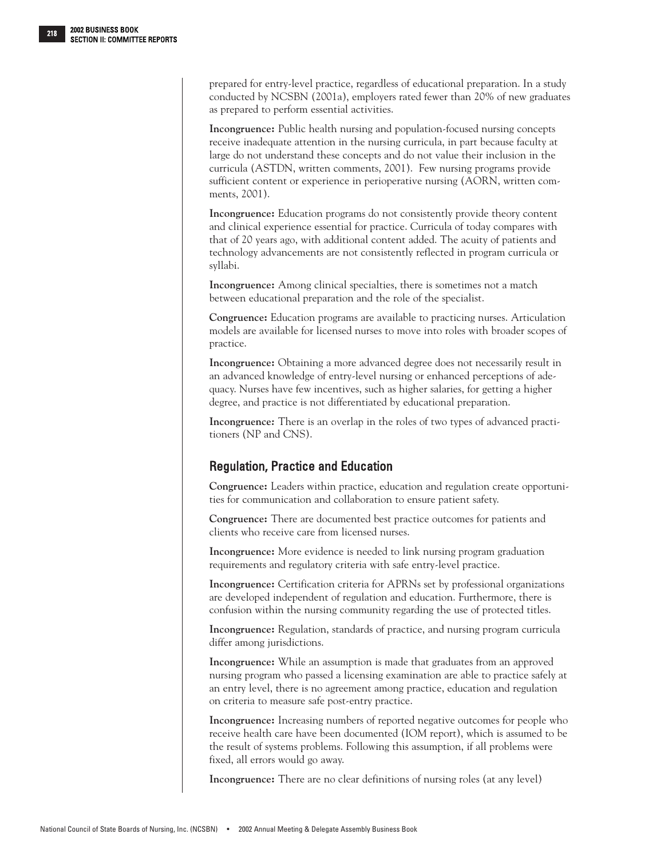prepared for entry-level practice, regardless of educational preparation. In a study conducted by NCSBN (2001a), employers rated fewer than 20% of new graduates as prepared to perform essential activities.

**Incongruence:** Public health nursing and population-focused nursing concepts receive inadequate attention in the nursing curricula, in part because faculty at large do not understand these concepts and do not value their inclusion in the curricula (ASTDN, written comments, 2001). Few nursing programs provide sufficient content or experience in perioperative nursing (AORN, written comments, 2001).

**Incongruence:** Education programs do not consistently provide theory content and clinical experience essential for practice. Curricula of today compares with that of 20 years ago, with additional content added. The acuity of patients and technology advancements are not consistently reflected in program curricula or syllabi.

**Incongruence:** Among clinical specialties, there is sometimes not a match between educational preparation and the role of the specialist.

**Congruence:** Education programs are available to practicing nurses. Articulation models are available for licensed nurses to move into roles with broader scopes of practice.

**Incongruence:** Obtaining a more advanced degree does not necessarily result in an advanced knowledge of entry-level nursing or enhanced perceptions of adequacy. Nurses have few incentives, such as higher salaries, for getting a higher degree, and practice is not differentiated by educational preparation.

**Incongruence***:* There is an overlap in the roles of two types of advanced practitioners (NP and CNS).

## Regulation, Practice and Education

**Congruence:** Leaders within practice, education and regulation create opportunities for communication and collaboration to ensure patient safety.

**Congruence:** There are documented best practice outcomes for patients and clients who receive care from licensed nurses.

**Incongruence:** More evidence is needed to link nursing program graduation requirements and regulatory criteria with safe entry-level practice.

**Incongruence:** Certification criteria for APRNs set by professional organizations are developed independent of regulation and education. Furthermore, there is confusion within the nursing community regarding the use of protected titles.

**Incongruence:** Regulation, standards of practice, and nursing program curricula differ among jurisdictions.

**Incongruence:** While an assumption is made that graduates from an approved nursing program who passed a licensing examination are able to practice safely at an entry level, there is no agreement among practice, education and regulation on criteria to measure safe post-entry practice.

**Incongruence:** Increasing numbers of reported negative outcomes for people who receive health care have been documented (IOM report), which is assumed to be the result of systems problems. Following this assumption, if all problems were fixed, all errors would go away.

**Incongruence:** There are no clear definitions of nursing roles (at any level)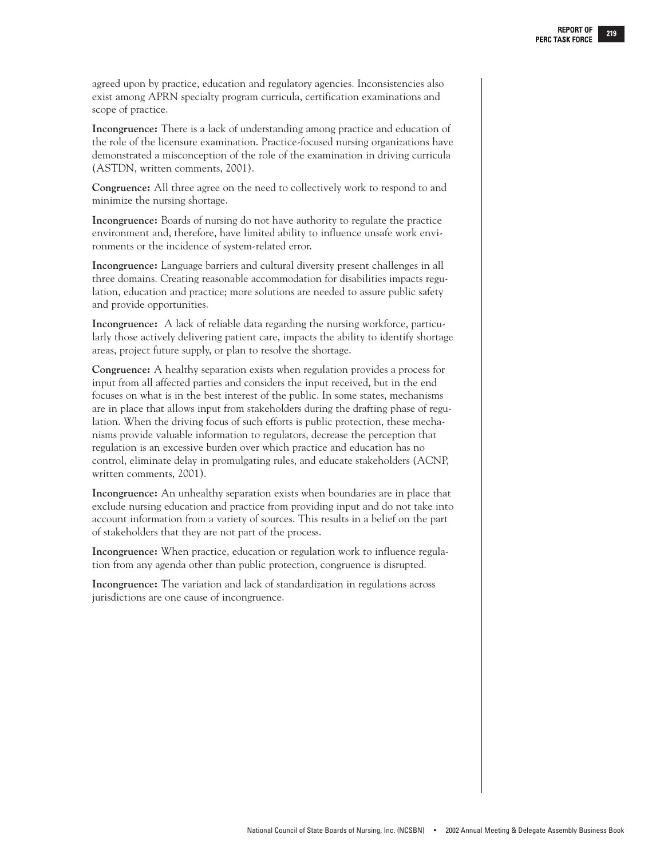agreed upon by practice, education and regulatory agencies. Inconsistencies also exist among APRN specialty program curricula, certification examinations and scope of practice.

**Incongruence:** There is a lack of understanding among practice and education of the role of the licensure examination. Practice-focused nursing organizations have demonstrated a misconception of the role of the examination in driving curricula (ASTDN, written comments, 2001).

**Congruence:** All three agree on the need to collectively work to respond to and minimize the nursing shortage.

**Incongruence:** Boards of nursing do not have authority to regulate the practice environment and, therefore, have limited ability to influence unsafe work environments or the incidence of system-related error.

**Incongruence:** Language barriers and cultural diversity present challenges in all three domains. Creating reasonable accommodation for disabilities impacts regulation, education and practice; more solutions are needed to assure public safety and provide opportunities.

**Incongruence:** A lack of reliable data regarding the nursing workforce, particularly those actively delivering patient care, impacts the ability to identify shortage areas, project future supply, or plan to resolve the shortage.

**Congruence:** A healthy separation exists when regulation provides a process for input from all affected parties and considers the input received, but in the end focuses on what is in the best interest of the public. In some states, mechanisms are in place that allows input from stakeholders during the drafting phase of regulation. When the driving focus of such efforts is public protection, these mechanisms provide valuable information to regulators, decrease the perception that regulation is an excessive burden over which practice and education has no control, eliminate delay in promulgating rules, and educate stakeholders (ACNP, written comments, 2001).

**Incongruence:** An unhealthy separation exists when boundaries are in place that exclude nursing education and practice from providing input and do not take into account information from a variety of sources. This results in a belief on the part of stakeholders that they are not part of the process.

**Incongruence:** When practice, education or regulation work to influence regulation from any agenda other than public protection, congruence is disrupted.

**Incongruence:** The variation and lack of standardization in regulations across jurisdictions are one cause of incongruence.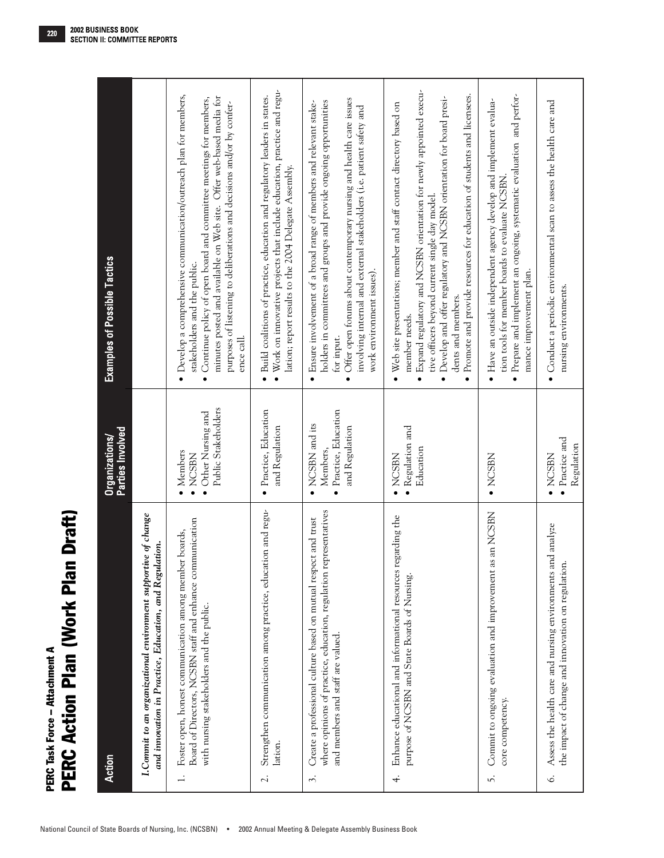| <b>Action</b>                                                                                                                                                                          | Parties Involved<br>Organizations/                                                           | <b>Examples of Possible Tactics</b>                                                                                                                                                                                                                                                                                                                                                                           |
|----------------------------------------------------------------------------------------------------------------------------------------------------------------------------------------|----------------------------------------------------------------------------------------------|---------------------------------------------------------------------------------------------------------------------------------------------------------------------------------------------------------------------------------------------------------------------------------------------------------------------------------------------------------------------------------------------------------------|
| I.Commit to an organizational environment supportive of change<br>and innovation in Practice, Education, and Regulation.                                                               |                                                                                              |                                                                                                                                                                                                                                                                                                                                                                                                               |
| Board of Directors, NCSBN staff and enhance communication<br>Foster open, honest communication among member boards,<br>with nursing stakeholders and the public.<br>$\div$             | Public Stakeholders<br>Other Nursing and<br>• Members<br>NCSBN<br>•<br>$\bullet$             | Develop a comprehensive communication/outreach plan for members,<br>minutes posted and available on Web site. Offer web-based media for<br>Continue policy of open board and committee meetings for members,<br>purposes of listening to deliberations and decisions and/or by confer-<br>stakeholders and the public.<br>ence call.<br>$\bullet$<br>$\bullet$                                                |
| Strengthen communication among practice, education and regu-<br>lation.<br>$\ddot{\rm c}$                                                                                              | · Practice, Education<br>and Regulation                                                      | Work on innovative projects that include education, practice and regu-<br>Build coalitions of practice, education and regulatory leaders in states.<br>lation; report results to the 2004 Delegate Assembly.<br>$\bullet$<br>$\bullet$                                                                                                                                                                        |
| where opinions of practice, education, regulation representatives<br>Create a professional culture based on mutual respect and trust<br>and members and staff are valued.<br>$\dot{3}$ | Practice, Education<br>NCSBN and its<br>and Regulation<br>Members,<br>$\bullet$<br>$\bullet$ | Offer open forums about contemporary nursing and health care issues<br>holders in committees and groups and provide ongoing opportunities<br>Ensure involvement of a broad range of members and relevant stake-<br>involving internal and external stakeholders (i.e. patient safety and<br>work environment issues).<br>for input.<br>$\bullet$                                                              |
| Enhance educational and informational resources regarding the<br>purpose of NCSBN and State Boards of Nursing.<br>$\vec{+}$                                                            | • Regulation and<br>Education<br><b>NCSBN</b><br>$\bullet$                                   | Expand regulatory and NCSBN orientation for newly appointed execu-<br>Promote and provide resources for education of students and licensees.<br>Develop and offer regulatory and NCSBN orientation for board presi-<br>Web site presentations; member and staff contact directory based on<br>tive officers beyond current single day model.<br>dents and members.<br>member needs.<br>$\bullet$<br>$\bullet$ |
| Commit to ongoing evaluation and improvement as an NCSBN<br>core competency.<br>$\vec{b}$                                                                                              | NCSBN<br>•                                                                                   | · Prepare and implement an ongoing, systematic evaluation and perfor-<br>• Have an outside independent agency develop and implement evalua-<br>tion tools for member boards to evaluate NCSBN<br>mance improvement plan.                                                                                                                                                                                      |
| Assess the health care and nursing environments and analyze<br>the impact of change and innovation on regulation<br>Ġ.                                                                 | Practice and<br>Regulation<br>· NCSBN<br>$\bullet$                                           | • Conduct a periodic environmental scan to assess the health care and<br>nursing environments.                                                                                                                                                                                                                                                                                                                |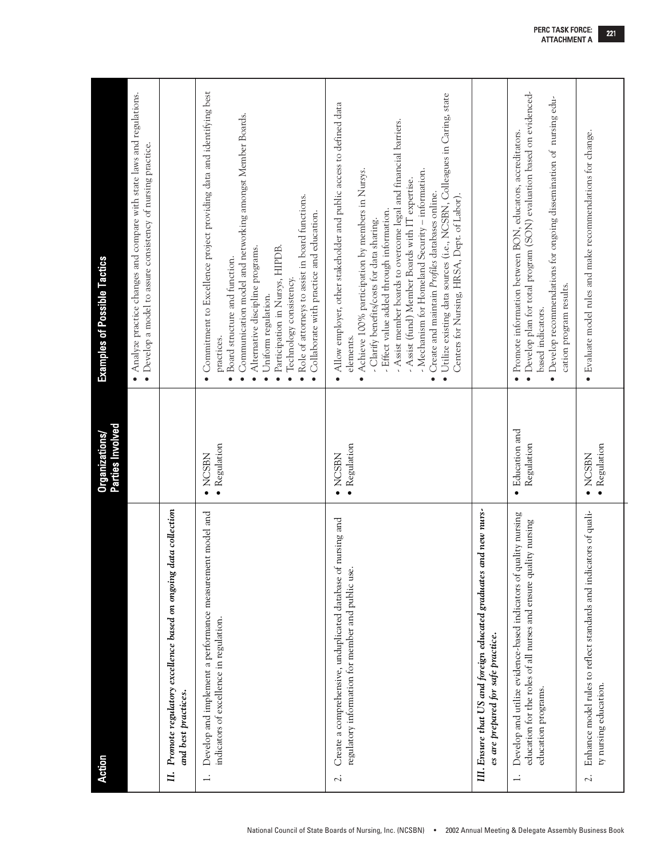| <b>Action</b>                                                                                                                                                         | Parties Involved<br>Organizations/    | <b>Examples of Possible Tactics</b>                                                                                                                                                                                                                                                                                                                                                                                                                                                                                                                                                                                                      |
|-----------------------------------------------------------------------------------------------------------------------------------------------------------------------|---------------------------------------|------------------------------------------------------------------------------------------------------------------------------------------------------------------------------------------------------------------------------------------------------------------------------------------------------------------------------------------------------------------------------------------------------------------------------------------------------------------------------------------------------------------------------------------------------------------------------------------------------------------------------------------|
|                                                                                                                                                                       |                                       | • Analyze practice changes and compare with state laws and regulations.<br>• Develop a model to assure consistency of nursing practice.                                                                                                                                                                                                                                                                                                                                                                                                                                                                                                  |
| Promote regulatory excellence based on ongoing data collection<br>and best practices.<br>H.                                                                           |                                       |                                                                                                                                                                                                                                                                                                                                                                                                                                                                                                                                                                                                                                          |
| Develop and implement a performance measurement model and<br>indicators of excellence in regulation.<br>$\div$                                                        | • Regulation<br>ACSOZ.                | Commitment to Excellence project providing data and identifying best<br>Communication model and networking amongst Member Boards.<br>Role of attorneys to assist in board functions.<br>Collaborate with practice and education.<br>Alternative discipline programs.<br>Participation in Nursys, HIPDB.<br>Board structure and function.<br>Technology consistency.<br>Uniform regulation.<br>practices.<br>$\bullet$<br>$\bullet$<br>$\bullet$<br>$\bullet$<br>$\bullet$                                                                                                                                                                |
| nursing and<br>Create a comprehensive, unduplicated database of<br>regulatory information for member and public use.<br>$\ddot{\sim}$                                 | $\bullet$ Regulation<br><b>NESOR</b>  | Utilize existing data sources (i.e., NCSBN, Colleagues in Caring, state<br>Allow employer, other stakeholder and public access to defined data<br>- Assist member boards to overcome legal and financial barriers.<br>Achieve 100% participation by members in Nursys.<br>- Mechanism for Homeland Security - information.<br>- Assist (fund) Member Boards with IT expertise.<br>Create and maintain Profiles databases online.<br>Centers for Nursing, HRSA, Dept. of Labor).<br>- Effect value added through information.<br>Clarify benefits/costs for data sharing.<br>elements<br>$\bullet$<br>$\bullet$<br>$\bullet$<br>$\bullet$ |
| III. Ensure that US and foreign educated graduates and new nurs-<br>es are prepared for safe practice.                                                                |                                       |                                                                                                                                                                                                                                                                                                                                                                                                                                                                                                                                                                                                                                          |
| Develop and utilize evidence-based indicators of quality nursing<br>education for the roles of all nurses and ensure quality nursing<br>education programs.<br>$\div$ | $\bullet$ Education and<br>Regulation | Develop plan for total program (SON) evaluation based on evidenced-<br>· Develop recommendations for ongoing dissemination of nursing edu-<br>• Promote information between BON, educators, accreditators.<br>cation program results.<br>based indicators.<br>$\bullet$                                                                                                                                                                                                                                                                                                                                                                  |
| Enhance model rules to reflect standards and indicators of quali-<br>ty nursing education.<br>$\dot{z}$                                                               | Regulation<br>NCSBN<br>•<br>$\bullet$ | • Evaluate model rules and make recommendations for change.                                                                                                                                                                                                                                                                                                                                                                                                                                                                                                                                                                              |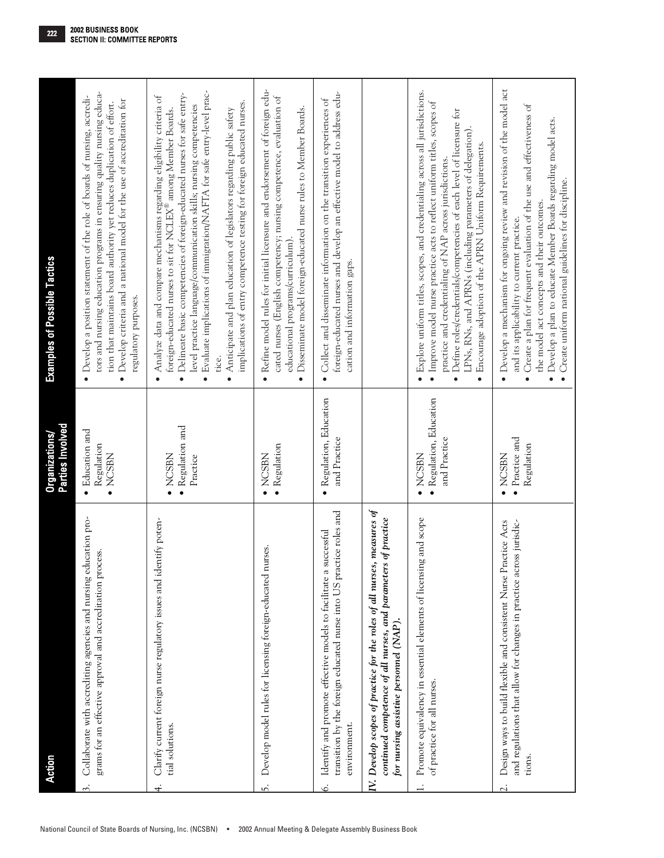| <b>Action</b> |                                                                                                                                                                                     | Parties Involved<br>Organizations/                        | <b>Examples of Possible Tactics</b>                                                                                                                                                                                                                                                                                                                                                                                                                                                                                                                                             |
|---------------|-------------------------------------------------------------------------------------------------------------------------------------------------------------------------------------|-----------------------------------------------------------|---------------------------------------------------------------------------------------------------------------------------------------------------------------------------------------------------------------------------------------------------------------------------------------------------------------------------------------------------------------------------------------------------------------------------------------------------------------------------------------------------------------------------------------------------------------------------------|
|               | Collaborate with accrediting agencies and nursing education pro-<br>grams for an effective approval and accreditation process.                                                      | • Education and<br>Regulation<br>· NCSBN                  | tors and nursing education programs in ensuring quality nursing educa-<br>· Develop a position statement of the role of boards of nursing, accredi-<br>Develop criteria and a national model for the use of accreditation for<br>tion that maintains board authority yet reduces duplication of effort.<br>regulatory purposes.<br>$\bullet$                                                                                                                                                                                                                                    |
|               | Clarify current foreign nurse regulatory issues and identify poten-<br>tial solutions.                                                                                              | • Regulation and<br><b>NCSBN</b><br>Practice<br>$\bullet$ | Evaluate implications of immigration/NAFTA for safe entry-level prac-<br>Delineate basic competencies of foreign-educated nurses for safe entry-<br>Analyze data and compare mechanisms regarding eligibility criteria of<br>implications of entry competence testing for foreign educated nurses.<br>level practice language/communication skills; nursing competencies<br>foreign-educated nurses to sit for NCLEX® among Member Boards.<br>Anticipate and plan education of legislators regarding public safety<br>tice.<br>$\bullet$<br>$\bullet$<br>$\bullet$<br>$\bullet$ |
|               | Develop model rules for licensing foreign-educated nurses.                                                                                                                          | · Regulation<br>NCSBN<br>•                                | · Refine model rules for initial licensure and endorsement of foreign edu-<br>cated nurses (English competency; nursing competence, evaluation of<br>Disseminate model foreign-educated nurse rules to Member Boards.<br>educational programs/curriculum).<br>$\bullet$                                                                                                                                                                                                                                                                                                         |
|               | transition by the foreign educated nurse into US practice roles and<br>Identify and promote effective models to facilitate a successful<br>environment.                             | · Regulation, Education<br>and Practice                   | foreign-educated nurses and develop an effective model to address edu-<br>Collect and disseminate information on the transition experiences of<br>cation and information gaps.<br>$\bullet$                                                                                                                                                                                                                                                                                                                                                                                     |
|               | IV. Develop scopes of practice for the roles of all nurses, measures of<br>continued competence of all nurses, and parameters of practice<br>for nursing assistive personnel (NAP). |                                                           |                                                                                                                                                                                                                                                                                                                                                                                                                                                                                                                                                                                 |
|               | Promote equivalency in essential elements of licensing and scope<br>of practice for all nurses.                                                                                     | · Regulation, Education<br>and Practice<br>· NCSBN        | Explore uniform titles, scopes, and credentialing across all jurisdictions.<br>Improve model nurse practice acts to reflect uniform titles, scopes of<br>Define roles/credentials/competencies of each level of licensure for<br>LPNs, RNs, and APRNs (including parameters of delegation).<br>Encourage adoption of the APRN Uniform Requirements.<br>practice and credentialing of NAP across jurisdictions.<br>$\bullet$<br>$\bullet$<br>$\bullet$<br>$\bullet$                                                                                                              |
|               | and regulations that allow for changes in practice across jurisdic-<br>Design ways to build flexible and consistent Nurse Practice Acts<br>tions.                                   | $\bullet$ Practice and<br>Regulation<br>· NCSBN           | • Develop a mechanism for ongoing review and revision of the model act<br>Create a plan for frequent evaluation of the use and effectiveness of<br>Develop a plan to educate Member Boards regarding model acts.<br>Create uniform national guidelines for discipline.<br>the model act concepts and their outcomes.<br>and its applicability to current practice.<br>$\bullet$<br>$\bullet$<br>$\bullet$                                                                                                                                                                       |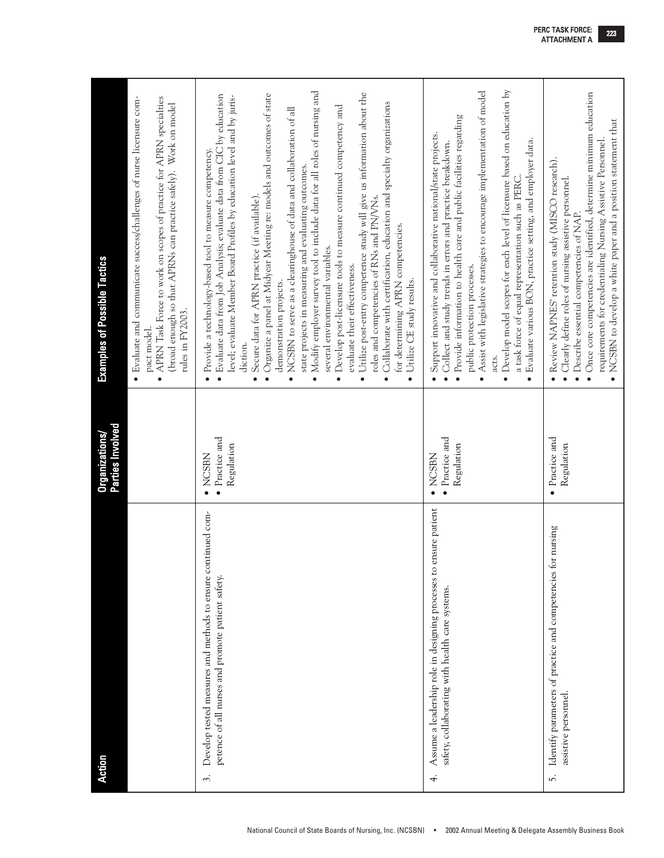|           | <b>Action</b>                                                                                                           | Parties Involved<br>Organizations/                 | <b>Examples of Possible Tactics</b>                                                                                                                                                                                                                                                                                                                                                                                                                                                                                                                                                                                                                                                                                                                                                                                                                                                                                                                                                                                                                                                                      |
|-----------|-------------------------------------------------------------------------------------------------------------------------|----------------------------------------------------|----------------------------------------------------------------------------------------------------------------------------------------------------------------------------------------------------------------------------------------------------------------------------------------------------------------------------------------------------------------------------------------------------------------------------------------------------------------------------------------------------------------------------------------------------------------------------------------------------------------------------------------------------------------------------------------------------------------------------------------------------------------------------------------------------------------------------------------------------------------------------------------------------------------------------------------------------------------------------------------------------------------------------------------------------------------------------------------------------------|
|           |                                                                                                                         |                                                    | APRN Task Force to work on scopes of practice for APRN specialties<br>• Evaluate and communicate success/challenges of nurse licensure com-<br>(broad enough so that APRNs can practice safely). Work on model<br>rules in FY2003.<br>pact model.<br>$\bullet$                                                                                                                                                                                                                                                                                                                                                                                                                                                                                                                                                                                                                                                                                                                                                                                                                                           |
| $\dot{3}$ | Develop tested measures and methods to ensure continued com-<br>petence of all nurses and promote patient safety.       | • Practice and<br>Regulation<br>NCSBN<br>•         | Modify employer survey tool to include data for all roles of nursing and<br>Utilize post-entry competence study will give us information about the<br>Evaluate data from Job Analysis; evaluate data from CIC by education<br>Organize a panel at Midyear Meeting re: models and outcomes of state<br>level; evaluate Member Board Profiles by education level and by juris-<br>Collaborate with certification, education and specialty organizations<br>• Develop post-licensure tools to measure continued competency and<br>NCSBN to serve as a clearinghouse of data and collaboration of all<br>• Provide a technology-based tool to measure competency.<br>state projects in measuring and evaluating outcomes.<br>roles and competencies of RNs and PN/VNs.<br>Secure data for APRN practice (if available)<br>for determining APRN competencies.<br>several environmental variables.<br>evaluate their effectiveness.<br>Utilize CE study results.<br>demonstration projects.<br>diction<br>$\bullet$<br>$\bullet$<br>$\bullet$<br>$\bullet$<br>$\bullet$<br>$\bullet$<br>$\bullet$<br>$\bullet$ |
| $\dot{+}$ | ensure patient<br>Assume a leadership role in designing processes to<br>safety, collaborating with health care systems. | Practice and<br>Regulation<br>· NCSBN<br>$\bullet$ | Develop model scopes for each level of licensure based on education by<br>Assist with legislative strategies to encourage implementation of model<br>Provide information to health care and public facilities regarding<br>Support innovative and collaborative national/state projects.<br>Evaluate various BON, practice setting, and employer data.<br>Collect and study trends in errors and practice breakdown.<br>a task force of equal representation such as PERC.<br>public protection processes.<br>acts.<br>$\bullet$<br>$\bullet$<br>$\bullet$<br>$\bullet$<br>$\bullet$<br>$\bullet$                                                                                                                                                                                                                                                                                                                                                                                                                                                                                                        |
| ທ່        | Identify parameters of practice and competencies for nursing<br>assistive personnel.                                    | Practice and<br>Regulation<br>$\bullet$            | Once core competencies are identified, determine minimum education<br>NCSBN to develop a white paper and a position statement that<br>requirements for credentialing Nursing Assistive Personnel.<br>Review NAPNES' retention study (MISCO research).<br>• Clearly define roles of nursing assistive personnel.<br>Describe essential competencies of NAP.<br>$\bullet$                                                                                                                                                                                                                                                                                                                                                                                                                                                                                                                                                                                                                                                                                                                                  |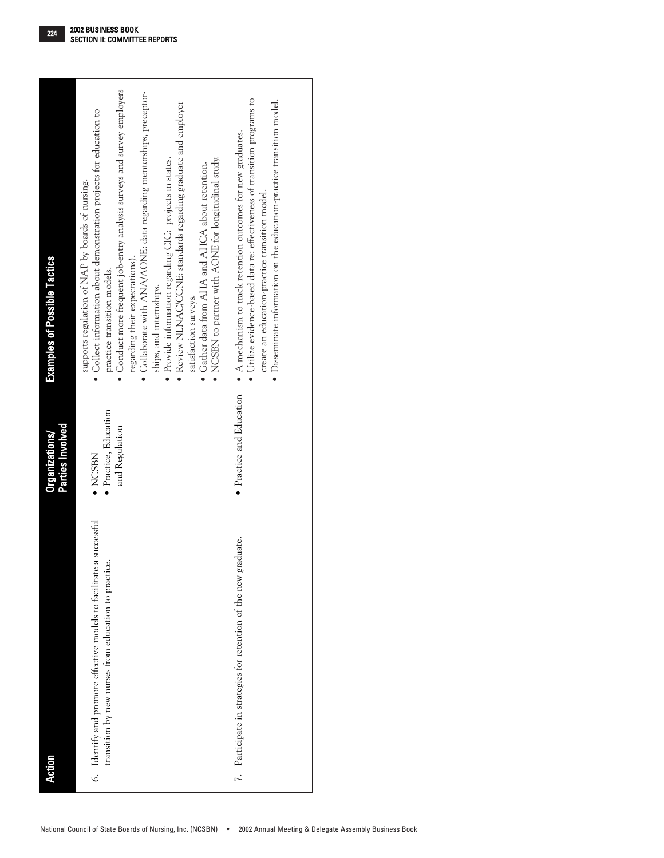|                                                                                                                                     | Parties Involved                                   |                                                                                                                                                                                                                                                                                                                                                                                                                                                                                                                                                                                                                                                                                                       |
|-------------------------------------------------------------------------------------------------------------------------------------|----------------------------------------------------|-------------------------------------------------------------------------------------------------------------------------------------------------------------------------------------------------------------------------------------------------------------------------------------------------------------------------------------------------------------------------------------------------------------------------------------------------------------------------------------------------------------------------------------------------------------------------------------------------------------------------------------------------------------------------------------------------------|
| Identify and promote effective models to facilitate a successful<br>transition by new nurses from education to practice.<br>$\circ$ | · Practice, Education<br>and Regulation<br>· NCSBN | Conduct more frequent job-entry analysis surveys and survey employers<br>Collaborate with ANA/AONE: data regarding mentorships, preceptor-<br>$\bullet$ Review NLNAC/CCNE: standards regarding graduate and employer<br>Collect information about demonstration projects for education to<br>NCSBN to partner with AONE for longitudinal study.<br>Provide information regarding CIC: projects in states.<br>Gather data from AHA and AHCA about retention.<br>supports regulation of NAP by boards of nursing.<br>regarding their expectations).<br>practice transition models.<br>ships, and internships.<br>satisfaction surveys.<br>$\bullet$<br>$\bullet$<br>$\bullet$<br>$\bullet$<br>$\bullet$ |
| Participate in strategies for retention of the new graduate.<br>$\ddot{\sim}$                                                       | • Practice and Education                           | • Utilize evidence-based data re: effectiveness of transition programs to<br>· Disseminate information on the education-practice transition model.<br>$\bullet$ A mechanism to track retention outcomes for new graduates.<br>create an education-practice transition model.                                                                                                                                                                                                                                                                                                                                                                                                                          |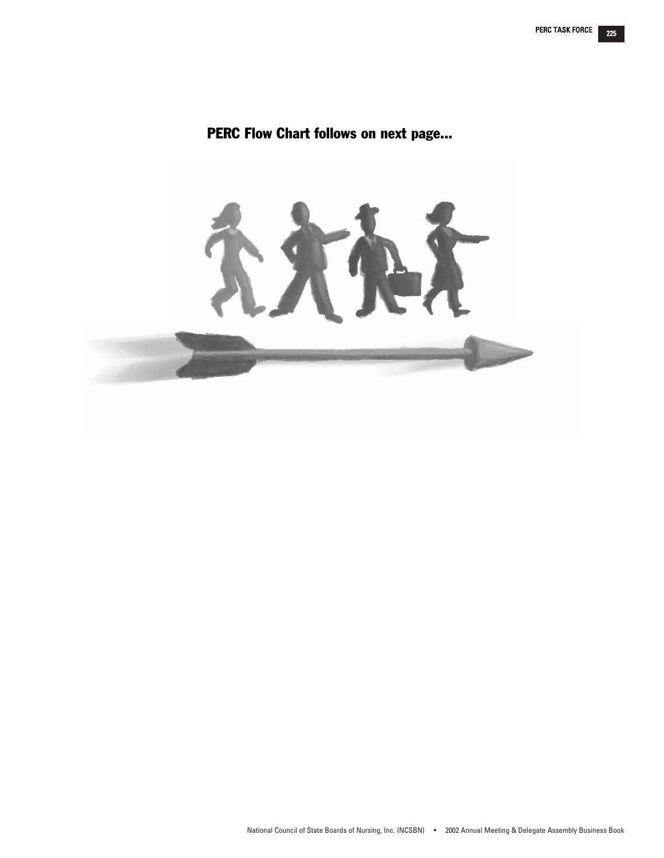## PERC Flow Chart follows on next page...

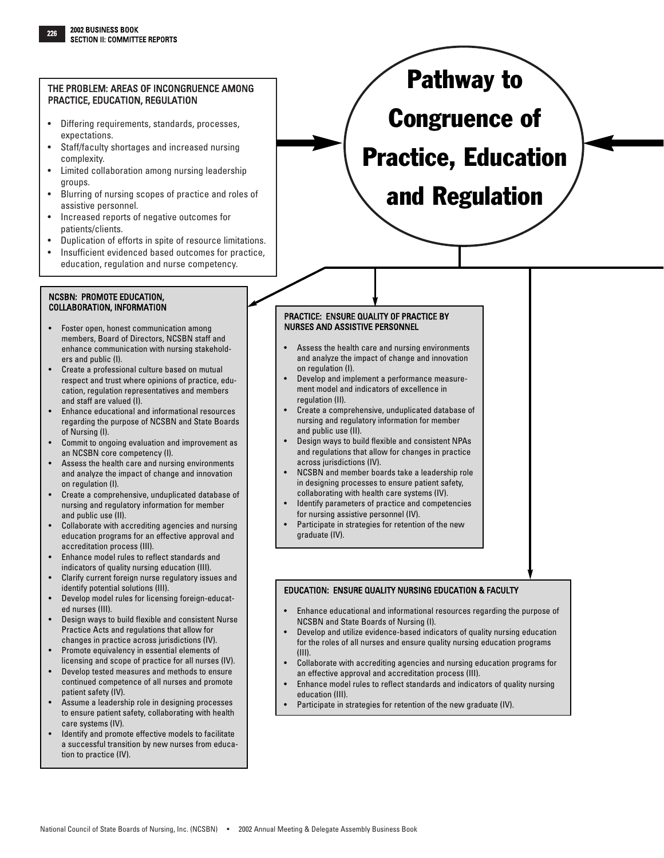#### THE PROBLEM: AREAS OF INCONGRUENCE AMONG PRACTICE, EDUCATION, REGULATION

- Differing requirements, standards, processes, expectations.
- Staff/faculty shortages and increased nursing complexity.
- Limited collaboration among nursing leadership groups.
- Blurring of nursing scopes of practice and roles of assistive personnel.
- Increased reports of negative outcomes for patients/clients.
- Duplication of efforts in spite of resource limitations.
- Insufficient evidenced based outcomes for practice, education, regulation and nurse competency.

#### NCSBN: PROMOTE EDUCATION, COLLABORATION, INFORMATION

- Foster open, honest communication among members, Board of Directors, NCSBN staff and enhance communication with nursing stakeholders and public (I).
- Create a professional culture based on mutual respect and trust where opinions of practice, education, regulation representatives and members and staff are valued (I).
- Enhance educational and informational resources regarding the purpose of NCSBN and State Boards of Nursing (I).
- Commit to ongoing evaluation and improvement as an NCSBN core competency (I).
- Assess the health care and nursing environments and analyze the impact of change and innovation on regulation (I).
- Create a comprehensive, unduplicated database of nursing and regulatory information for member and public use (II).
- Collaborate with accrediting agencies and nursing education programs for an effective approval and accreditation process (III).
- Enhance model rules to reflect standards and indicators of quality nursing education (III).
- Clarify current foreign nurse regulatory issues and identify potential solutions (III).
- Develop model rules for licensing foreign-educated nurses (III).
- Design ways to build flexible and consistent Nurse Practice Acts and regulations that allow for changes in practice across jurisdictions (IV).
- Promote equivalency in essential elements of licensing and scope of practice for all nurses (IV).
- Develop tested measures and methods to ensure continued competence of all nurses and promote patient safety (IV).
- Assume a leadership role in designing processes to ensure patient safety, collaborating with health care systems (IV).
- Identify and promote effective models to facilitate a successful transition by new nurses from education to practice (IV).

# Pathway to

# Congruence of

Practice, Education

and Regulation

#### PRACTICE: ENSURE QUALITY OF PRACTICE BY NURSES AND ASSISTIVE PERSONNEL

- Assess the health care and nursing environments and analyze the impact of change and innovation on regulation (I).
- Develop and implement a performance measurement model and indicators of excellence in regulation (II).
- Create a comprehensive, unduplicated database of nursing and regulatory information for member and public use (II).
- Design ways to build flexible and consistent NPAs and regulations that allow for changes in practice across jurisdictions (IV).
- NCSBN and member boards take a leadership role in designing processes to ensure patient safety, collaborating with health care systems (IV).
- Identify parameters of practice and competencies for nursing assistive personnel (IV).
- Participate in strategies for retention of the new graduate (IV).

#### EDUCATION: ENSURE QUALITY NURSING EDUCATION & FACULTY

- Enhance educational and informational resources regarding the purpose of NCSBN and State Boards of Nursing (I).
- Develop and utilize evidence-based indicators of quality nursing education for the roles of all nurses and ensure quality nursing education programs (III).
- Collaborate with accrediting agencies and nursing education programs for an effective approval and accreditation process (III).
- Enhance model rules to reflect standards and indicators of quality nursing education (III).
- Participate in strategies for retention of the new graduate (IV).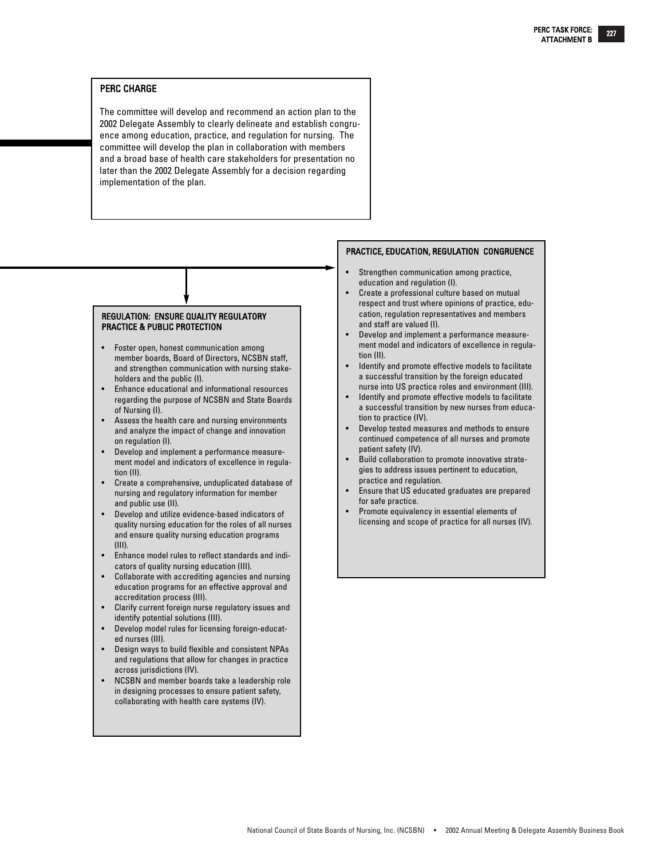#### PERC CHARGE

The committee will develop and recommend an action plan to the 2002 Delegate Assembly to clearly delineate and establish congruence among education, practice, and regulation for nursing. The committee will develop the plan in collaboration with members and a broad base of health care stakeholders for presentation no later than the 2002 Delegate Assembly for a decision regarding implementation of the plan.

#### REGULATION: ENSURE QUALITY REGULATORY PRACTICE & PUBLIC PROTECTION

- Foster open, honest communication among member boards, Board of Directors, NCSBN staff, and strengthen communication with nursing stakeholders and the public (I).
- Enhance educational and informational resources regarding the purpose of NCSBN and State Boards of Nursing (I).
- Assess the health care and nursing environments and analyze the impact of change and innovation on regulation (I).
- Develop and implement a performance measurement model and indicators of excellence in regulation (II).
- Create a comprehensive, unduplicated database of nursing and regulatory information for member and public use (II).
- Develop and utilize evidence-based indicators of quality nursing education for the roles of all nurses and ensure quality nursing education programs (III).
- Enhance model rules to reflect standards and indicators of quality nursing education (III).
- Collaborate with accrediting agencies and nursing education programs for an effective approval and accreditation process (III).
- Clarify current foreign nurse regulatory issues and identify potential solutions (III).
- Develop model rules for licensing foreign-educated nurses (III).
- Design ways to build flexible and consistent NPAs and regulations that allow for changes in practice across jurisdictions (IV).
- NCSBN and member boards take a leadership role in designing processes to ensure patient safety, collaborating with health care systems (IV).

#### PRACTICE, EDUCATION, REGULATION CONGRUENCE

- Strengthen communication among practice, education and regulation (I).
- Create a professional culture based on mutual respect and trust where opinions of practice, education, regulation representatives and members and staff are valued (I).
- Develop and implement a performance measurement model and indicators of excellence in regulation (II).
- Identify and promote effective models to facilitate a successful transition by the foreign educated nurse into US practice roles and environment (III).
- Identify and promote effective models to facilitate a successful transition by new nurses from education to practice (IV).
- Develop tested measures and methods to ensure continued competence of all nurses and promote patient safety (IV).
- Build collaboration to promote innovative strategies to address issues pertinent to education, practice and regulation.
- Ensure that US educated graduates are prepared for safe practice.
- Promote equivalency in essential elements of licensing and scope of practice for all nurses (IV).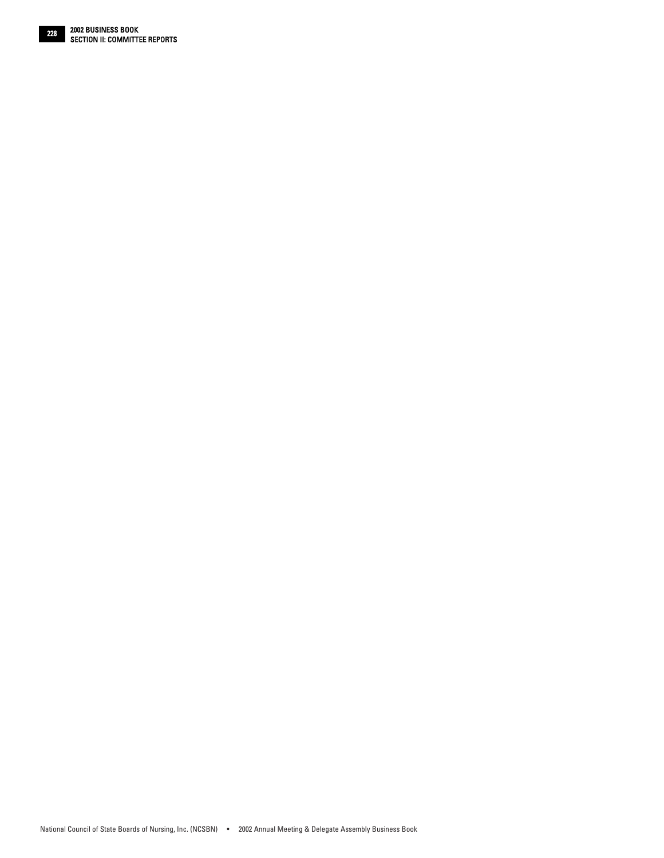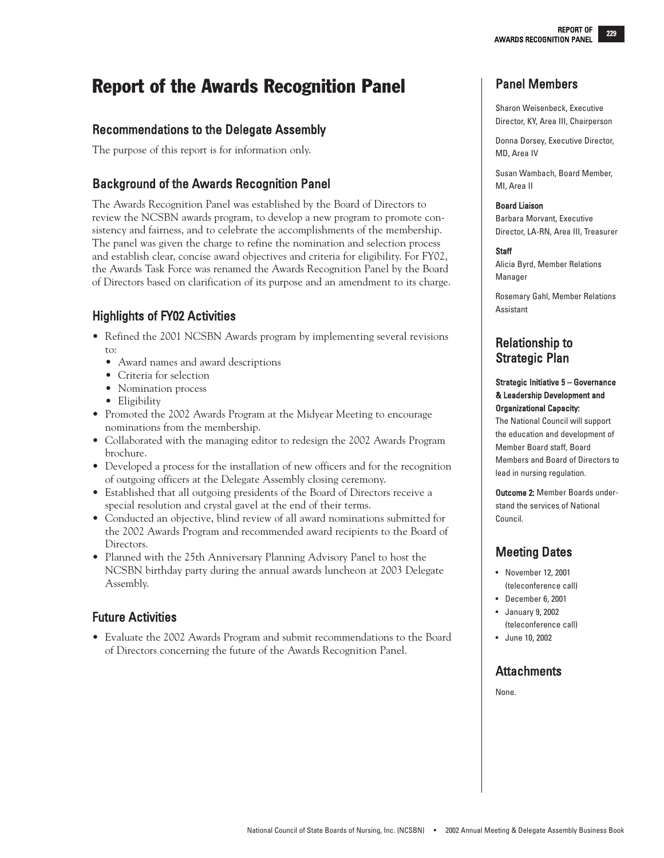## Report of the Awards Recognition Panel

## Recommendations to the Delegate Assembly

The purpose of this report is for information only.

## Background of the Awards Recognition Panel

The Awards Recognition Panel was established by the Board of Directors to review the NCSBN awards program, to develop a new program to promote consistency and fairness, and to celebrate the accomplishments of the membership. The panel was given the charge to refine the nomination and selection process and establish clear, concise award objectives and criteria for eligibility. For FY02, the Awards Task Force was renamed the Awards Recognition Panel by the Board of Directors based on clarification of its purpose and an amendment to its charge.

## Highlights of FY02 Activities

- Refined the 2001 NCSBN Awards program by implementing several revisions to:
	- Award names and award descriptions
	- Criteria for selection
	- Nomination process
	- Eligibility
- Promoted the 2002 Awards Program at the Midyear Meeting to encourage nominations from the membership.
- Collaborated with the managing editor to redesign the 2002 Awards Program brochure.
- Developed a process for the installation of new officers and for the recognition of outgoing officers at the Delegate Assembly closing ceremony.
- Established that all outgoing presidents of the Board of Directors receive a special resolution and crystal gavel at the end of their terms.
- Conducted an objective, blind review of all award nominations submitted for the 2002 Awards Program and recommended award recipients to the Board of Directors.
- Planned with the 25th Anniversary Planning Advisory Panel to host the NCSBN birthday party during the annual awards luncheon at 2003 Delegate Assembly.

## Future Activities

• Evaluate the 2002 Awards Program and submit recommendations to the Board of Directors concerning the future of the Awards Recognition Panel.

## Panel Members

Sharon Weisenbeck, Executive Director, KY, Area III, Chairperson

Donna Dorsey, Executive Director, MD, Area IV

Susan Wambach, Board Member, MI, Area II

#### Board Liaison

Barbara Morvant, Executive Director, LA-RN, Area III, Treasurer

#### **Staff**

Alicia Byrd, Member Relations Manager

Rosemary Gahl, Member Relations Assistant

### Relationship to Strategic Plan

#### Strategic Initiative 5 – Governance & Leadership Development and Organizational Capacity:

The National Council will support the education and development of Member Board staff, Board Members and Board of Directors to lead in nursing regulation.

Outcome 2: Member Boards understand the services of National Council.

## Meeting Dates

- November 12, 2001 (teleconference call)
- December 6, 2001
- January 9, 2002
- (teleconference call) • June 10, 2002

## **Attachments**

None.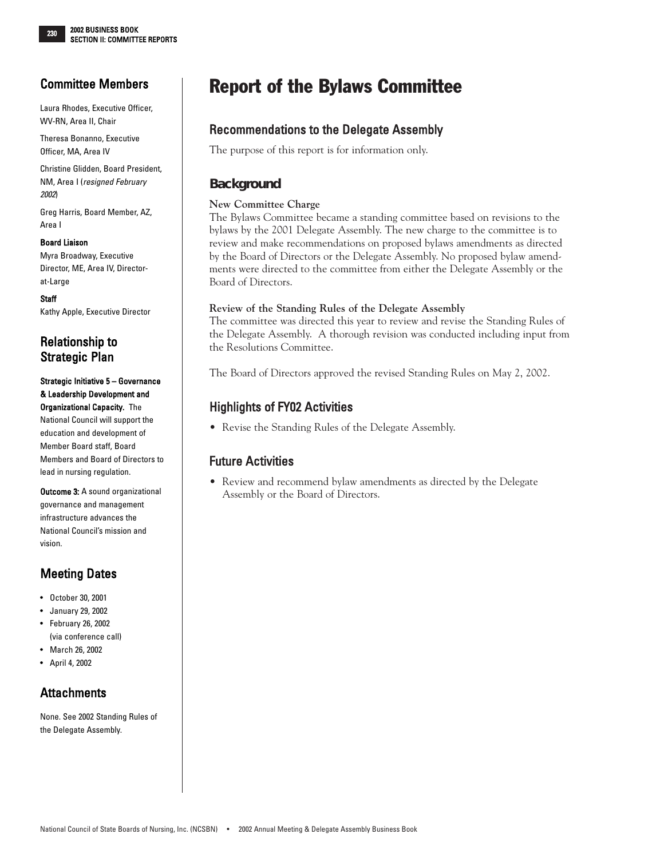## Committee Members

Laura Rhodes, Executive Officer, WV-RN, Area II, Chair

Theresa Bonanno, Executive Officer, MA, Area IV

Christine Glidden, Board President, NM, Area I (resigned February 2002)

Greg Harris, Board Member, AZ, Area I

Board Liaison Myra Broadway, Executive Director, ME, Area IV, Directorat-Large

Staff Kathy Apple, Executive Director

## Relationship to Strategic Plan

#### Strategic Initiative 5 – Governance & Leadership Development and Organizational Capacity. The

National Council will support the education and development of Member Board staff, Board Members and Board of Directors to lead in nursing regulation.

**Outcome 3:** A sound organizational governance and management infrastructure advances the National Council's mission and vision.

## Meeting Dates

- October 30, 2001
- January 29, 2002
- February 26, 2002 (via conference call)
- March 26, 2002
- April 4, 2002

## **Attachments**

None. See 2002 Standing Rules of the Delegate Assembly.

## Report of the Bylaws Committee

## Recommendations to the Delegate Assembly

The purpose of this report is for information only.

## **Background**

#### **New Committee Charge**

The Bylaws Committee became a standing committee based on revisions to the bylaws by the 2001 Delegate Assembly. The new charge to the committee is to review and make recommendations on proposed bylaws amendments as directed by the Board of Directors or the Delegate Assembly. No proposed bylaw amendments were directed to the committee from either the Delegate Assembly or the Board of Directors.

#### **Review of the Standing Rules of the Delegate Assembly**

The committee was directed this year to review and revise the Standing Rules of the Delegate Assembly. A thorough revision was conducted including input from the Resolutions Committee.

The Board of Directors approved the revised Standing Rules on May 2, 2002.

## Highlights of FY02 Activities

• Revise the Standing Rules of the Delegate Assembly.

## Future Activities

• Review and recommend bylaw amendments as directed by the Delegate Assembly or the Board of Directors.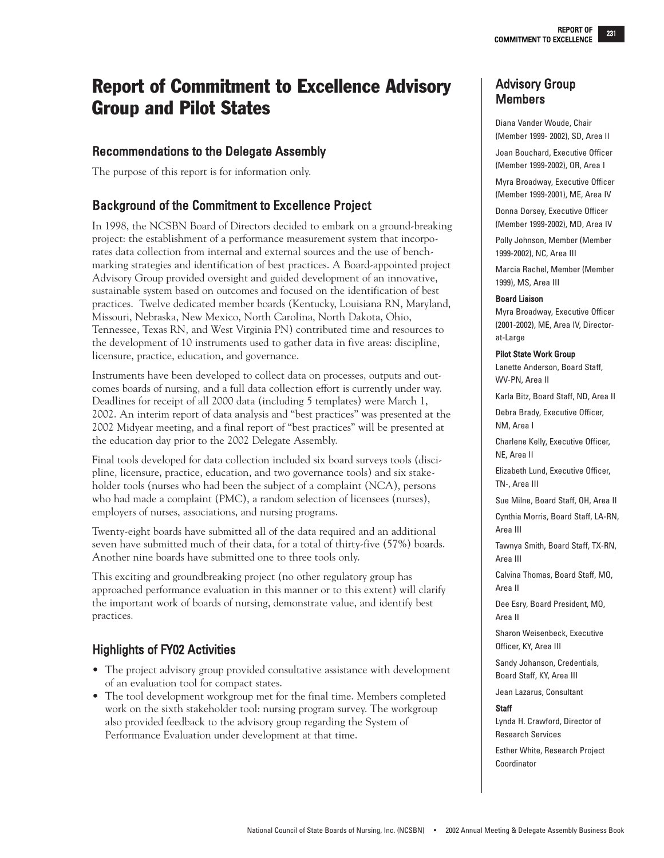## Report of Commitment to Excellence Advisory Group and Pilot States

#### Recommendations to the Delegate Assembly

The purpose of this report is for information only.

## Background of the Commitment to Excellence Project

In 1998, the NCSBN Board of Directors decided to embark on a ground-breaking project: the establishment of a performance measurement system that incorporates data collection from internal and external sources and the use of benchmarking strategies and identification of best practices. A Board-appointed project Advisory Group provided oversight and guided development of an innovative, sustainable system based on outcomes and focused on the identification of best practices. Twelve dedicated member boards (Kentucky, Louisiana RN, Maryland, Missouri, Nebraska, New Mexico, North Carolina, North Dakota, Ohio, Tennessee, Texas RN, and West Virginia PN) contributed time and resources to the development of 10 instruments used to gather data in five areas: discipline, licensure, practice, education, and governance.

Instruments have been developed to collect data on processes, outputs and outcomes boards of nursing, and a full data collection effort is currently under way. Deadlines for receipt of all 2000 data (including 5 templates) were March 1, 2002. An interim report of data analysis and "best practices" was presented at the 2002 Midyear meeting, and a final report of "best practices" will be presented at the education day prior to the 2002 Delegate Assembly.

Final tools developed for data collection included six board surveys tools (discipline, licensure, practice, education, and two governance tools) and six stakeholder tools (nurses who had been the subject of a complaint (NCA), persons who had made a complaint (PMC), a random selection of licensees (nurses), employers of nurses, associations, and nursing programs.

Twenty-eight boards have submitted all of the data required and an additional seven have submitted much of their data, for a total of thirty-five (57%) boards. Another nine boards have submitted one to three tools only.

This exciting and groundbreaking project (no other regulatory group has approached performance evaluation in this manner or to this extent) will clarify the important work of boards of nursing, demonstrate value, and identify best practices.

## Highlights of FY02 Activities

- The project advisory group provided consultative assistance with development of an evaluation tool for compact states.
- The tool development workgroup met for the final time. Members completed work on the sixth stakeholder tool: nursing program survey. The workgroup also provided feedback to the advisory group regarding the System of Performance Evaluation under development at that time.

## Advisory Group **Members**

Diana Vander Woude, Chair (Member 1999- 2002), SD, Area II

Joan Bouchard, Executive Officer (Member 1999-2002), OR, Area I

Myra Broadway, Executive Officer (Member 1999-2001), ME, Area IV

Donna Dorsey, Executive Officer (Member 1999-2002), MD, Area IV

Polly Johnson, Member (Member 1999-2002), NC, Area III

Marcia Rachel, Member (Member 1999), MS, Area III

#### Board Liaison

Myra Broadway, Executive Officer (2001-2002), ME, Area IV, Directorat-Large

#### Pilot State Work Group

Lanette Anderson, Board Staff, WV-PN, Area II

Karla Bitz, Board Staff, ND, Area II

Debra Brady, Executive Officer, NM, Area I

Charlene Kelly, Executive Officer, NE, Area II

Elizabeth Lund, Executive Officer, TN-, Area III

Sue Milne, Board Staff, OH, Area II

Cynthia Morris, Board Staff, LA-RN, Area III

Tawnya Smith, Board Staff, TX-RN, Area III

Calvina Thomas, Board Staff, MO, Area II

Dee Esry, Board President, MO, Area II

Sharon Weisenbeck, Executive Officer, KY, Area III

Sandy Johanson, Credentials, Board Staff, KY, Area III

Jean Lazarus, Consultant

#### Staff

Lynda H. Crawford, Director of Research Services

Esther White, Research Project Coordinator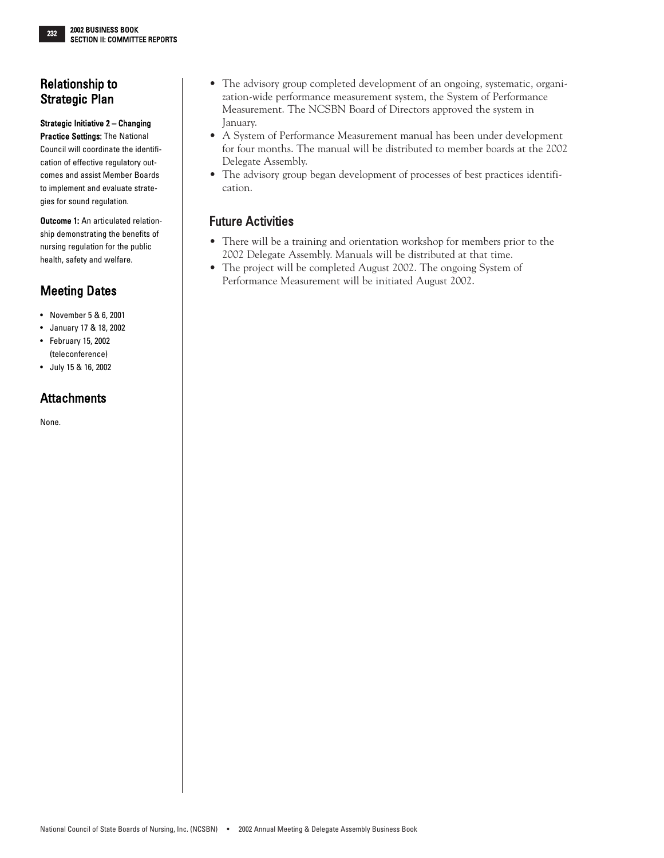### Relationship to Strategic Plan

#### Strategic Initiative 2 – Changing

Practice Settings: The National Council will coordinate the identification of effective regulatory outcomes and assist Member Boards to implement and evaluate strategies for sound regulation.

Outcome 1: An articulated relationship demonstrating the benefits of nursing regulation for the public health, safety and welfare.

## Meeting Dates

- November 5 & 6, 2001
- January 17 & 18, 2002
- February 15, 2002 (teleconference)
- July 15 & 16, 2002

## **Attachments**

None.

- The advisory group completed development of an ongoing, systematic, organization-wide performance measurement system, the System of Performance Measurement. The NCSBN Board of Directors approved the system in January.
- A System of Performance Measurement manual has been under development for four months. The manual will be distributed to member boards at the 2002 Delegate Assembly.
- The advisory group began development of processes of best practices identification.

## Future Activities

- There will be a training and orientation workshop for members prior to the 2002 Delegate Assembly. Manuals will be distributed at that time.
- The project will be completed August 2002. The ongoing System of Performance Measurement will be initiated August 2002.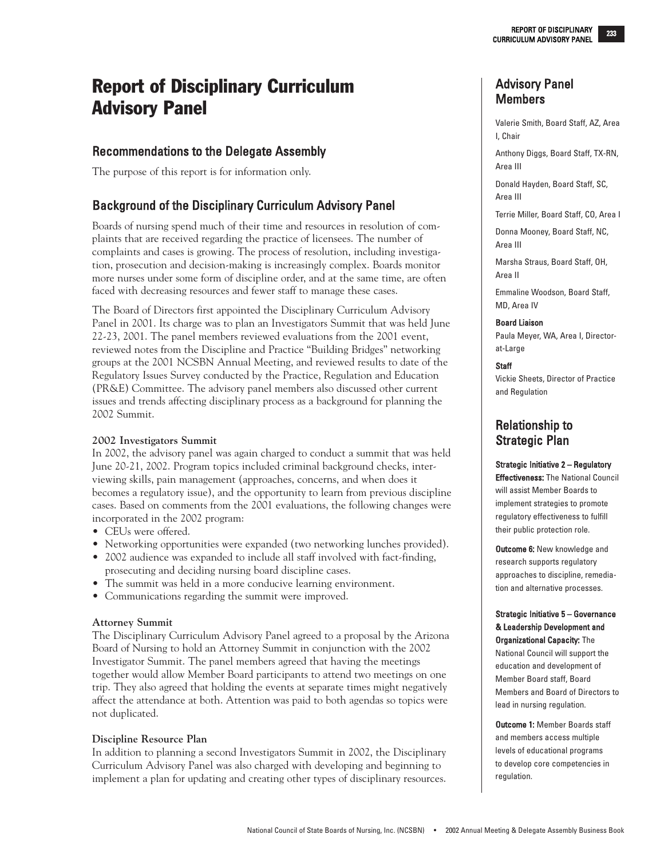## Report of Disciplinary Curriculum Advisory Panel

### Recommendations to the Delegate Assembly

The purpose of this report is for information only.

## Background of the Disciplinary Curriculum Advisory Panel

Boards of nursing spend much of their time and resources in resolution of complaints that are received regarding the practice of licensees. The number of complaints and cases is growing. The process of resolution, including investigation, prosecution and decision-making is increasingly complex. Boards monitor more nurses under some form of discipline order, and at the same time, are often faced with decreasing resources and fewer staff to manage these cases.

The Board of Directors first appointed the Disciplinary Curriculum Advisory Panel in 2001. Its charge was to plan an Investigators Summit that was held June 22-23, 2001. The panel members reviewed evaluations from the 2001 event, reviewed notes from the Discipline and Practice "Building Bridges" networking groups at the 2001 NCSBN Annual Meeting, and reviewed results to date of the Regulatory Issues Survey conducted by the Practice, Regulation and Education (PR&E) Committee. The advisory panel members also discussed other current issues and trends affecting disciplinary process as a background for planning the 2002 Summit.

#### **2002 Investigators Summit**

In 2002, the advisory panel was again charged to conduct a summit that was held June 20-21, 2002. Program topics included criminal background checks, interviewing skills, pain management (approaches, concerns, and when does it becomes a regulatory issue), and the opportunity to learn from previous discipline cases. Based on comments from the 2001 evaluations, the following changes were incorporated in the 2002 program:

- CEUs were offered.
- Networking opportunities were expanded (two networking lunches provided).
- 2002 audience was expanded to include all staff involved with fact-finding, prosecuting and deciding nursing board discipline cases.
- The summit was held in a more conducive learning environment.
- Communications regarding the summit were improved.

#### **Attorney Summit**

The Disciplinary Curriculum Advisory Panel agreed to a proposal by the Arizona Board of Nursing to hold an Attorney Summit in conjunction with the 2002 Investigator Summit. The panel members agreed that having the meetings together would allow Member Board participants to attend two meetings on one trip. They also agreed that holding the events at separate times might negatively affect the attendance at both. Attention was paid to both agendas so topics were not duplicated.

#### **Discipline Resource Plan**

In addition to planning a second Investigators Summit in 2002, the Disciplinary Curriculum Advisory Panel was also charged with developing and beginning to implement a plan for updating and creating other types of disciplinary resources.

## Advisory Panel Members

Valerie Smith, Board Staff, AZ, Area I, Chair

Anthony Diggs, Board Staff, TX-RN, Area III

Donald Hayden, Board Staff, SC, Area III

Terrie Miller, Board Staff, CO, Area I

Donna Mooney, Board Staff, NC, Area III

Marsha Straus, Board Staff, OH, Area II

Emmaline Woodson, Board Staff, MD, Area IV

#### Board Liaison

Paula Meyer, WA, Area I, Directorat-Large

#### Staff

Vickie Sheets, Director of Practice and Regulation

## Relationship to Strategic Plan

#### Strategic Initiative 2 – Regulatory

**Effectiveness:** The National Council will assist Member Boards to implement strategies to promote regulatory effectiveness to fulfill their public protection role.

**Outcome 6:** New knowledge and research supports regulatory approaches to discipline, remediation and alternative processes.

#### Strategic Initiative 5 – Governance & Leadership Development and Organizational Capacity: The

National Council will support the education and development of Member Board staff, Board Members and Board of Directors to lead in nursing regulation.

Outcome 1: Member Boards staff and members access multiple levels of educational programs to develop core competencies in regulation.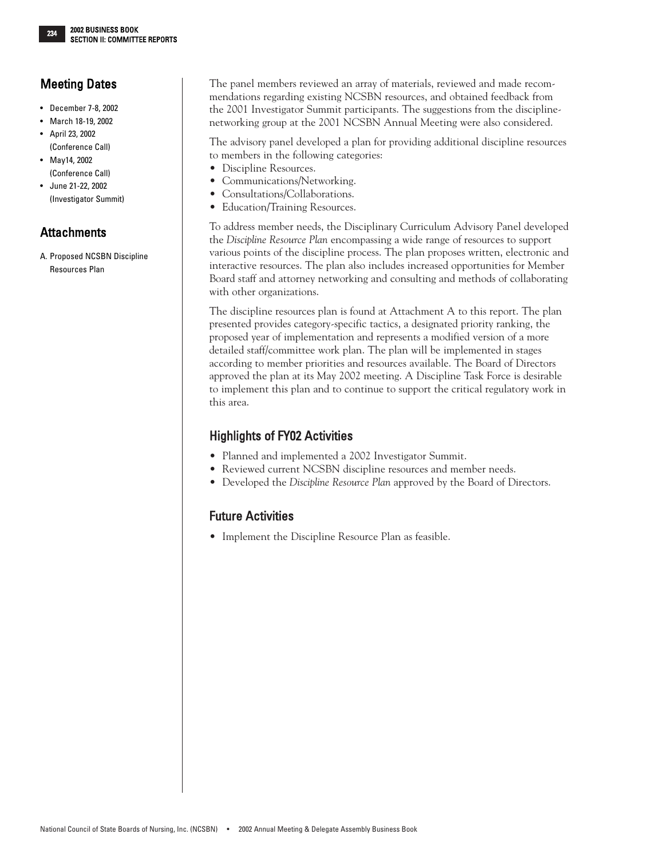## Meeting Dates

- December 7-8, 2002
- March 18-19, 2002 • April 23, 2002 (Conference Call)
- May14, 2002 (Conference Call)
- June 21-22, 2002 (Investigator Summit)

## **Attachments**

A. Proposed NCSBN Discipline Resources Plan

The panel members reviewed an array of materials, reviewed and made recommendations regarding existing NCSBN resources, and obtained feedback from the 2001 Investigator Summit participants. The suggestions from the disciplinenetworking group at the 2001 NCSBN Annual Meeting were also considered.

The advisory panel developed a plan for providing additional discipline resources to members in the following categories:

- Discipline Resources.
- Communications/Networking.
- Consultations/Collaborations.
- Education/Training Resources.

To address member needs, the Disciplinary Curriculum Advisory Panel developed the *Discipline Resource Plan* encompassing a wide range of resources to support various points of the discipline process. The plan proposes written, electronic and interactive resources. The plan also includes increased opportunities for Member Board staff and attorney networking and consulting and methods of collaborating with other organizations.

The discipline resources plan is found at Attachment A to this report. The plan presented provides category-specific tactics, a designated priority ranking, the proposed year of implementation and represents a modified version of a more detailed staff/committee work plan. The plan will be implemented in stages according to member priorities and resources available. The Board of Directors approved the plan at its May 2002 meeting. A Discipline Task Force is desirable to implement this plan and to continue to support the critical regulatory work in this area.

## Highlights of FY02 Activities

- Planned and implemented a 2002 Investigator Summit.
- Reviewed current NCSBN discipline resources and member needs.
- Developed the *Discipline Resource Plan* approved by the Board of Directors.

## Future Activities

• Implement the Discipline Resource Plan as feasible.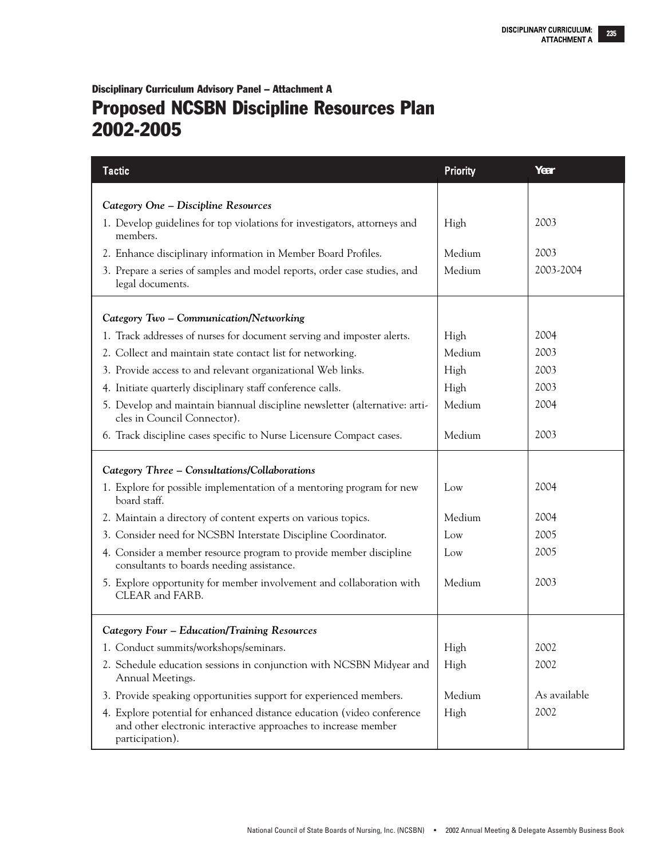Disciplinary Curriculum Advisory Panel – Attachment A

## Proposed NCSBN Discipline Resources Plan 2002-2005

| <b>Tactic</b>                                                                                                                                               | <b>Priority</b> | Year         |
|-------------------------------------------------------------------------------------------------------------------------------------------------------------|-----------------|--------------|
|                                                                                                                                                             |                 |              |
| Category One - Discipline Resources                                                                                                                         |                 |              |
| 1. Develop guidelines for top violations for investigators, attorneys and<br>members.                                                                       | High            | 2003         |
| 2. Enhance disciplinary information in Member Board Profiles.                                                                                               | Medium          | 2003         |
| 3. Prepare a series of samples and model reports, order case studies, and<br>legal documents.                                                               | Medium          | 2003-2004    |
| Category Two - Communication/Networking                                                                                                                     |                 |              |
| 1. Track addresses of nurses for document serving and imposter alerts.                                                                                      | High            | 2004         |
| 2. Collect and maintain state contact list for networking.                                                                                                  | Medium          | 2003         |
| 3. Provide access to and relevant organizational Web links.                                                                                                 | High            | 2003         |
| 4. Initiate quarterly disciplinary staff conference calls.                                                                                                  | High            | 2003         |
| 5. Develop and maintain biannual discipline newsletter (alternative: arti-<br>cles in Council Connector).                                                   | Medium          | 2004         |
| 6. Track discipline cases specific to Nurse Licensure Compact cases.                                                                                        | Medium          | 2003         |
| Category Three - Consultations/Collaborations                                                                                                               |                 |              |
| 1. Explore for possible implementation of a mentoring program for new<br>board staff.                                                                       | Low             | 2004         |
| 2. Maintain a directory of content experts on various topics.                                                                                               | Medium          | 2004         |
| 3. Consider need for NCSBN Interstate Discipline Coordinator.                                                                                               | Low             | 2005         |
| 4. Consider a member resource program to provide member discipline<br>consultants to boards needing assistance.                                             | Low             | 2005         |
| 5. Explore opportunity for member involvement and collaboration with<br>CLEAR and FARB.                                                                     | Medium          | 2003         |
| Category Four - Education/Training Resources                                                                                                                |                 |              |
| 1. Conduct summits/workshops/seminars.                                                                                                                      | High            | 2002         |
| 2. Schedule education sessions in conjunction with NCSBN Midyear and<br>Annual Meetings.                                                                    | High            | 2002         |
| 3. Provide speaking opportunities support for experienced members.                                                                                          | Medium          | As available |
| 4. Explore potential for enhanced distance education (video conference<br>and other electronic interactive approaches to increase member<br>participation). | High            | 2002         |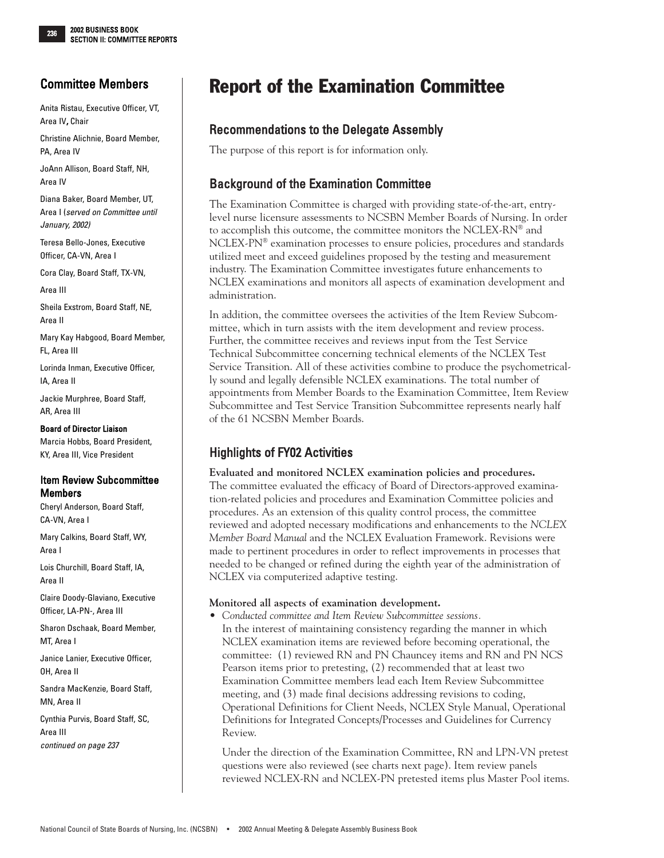## Committee Members

Anita Ristau, Executive Officer, VT, Area IV, Chair

Christine Alichnie, Board Member, PA, Area IV

JoAnn Allison, Board Staff, NH, Area IV

Diana Baker, Board Member, UT, Area I (served on Committee until January, 2002)

Teresa Bello-Jones, Executive Officer, CA-VN, Area I

Cora Clay, Board Staff, TX-VN,

Area III

Sheila Exstrom, Board Staff, NE, Area II

Mary Kay Habgood, Board Member, FL, Area III

Lorinda Inman, Executive Officer, IA, Area II

Jackie Murphree, Board Staff, AR, Area III

#### Board of Director Liaison

Marcia Hobbs, Board President, KY, Area III, Vice President

#### Item Review Subcommittee Members

Cheryl Anderson, Board Staff, CA-VN, Area I

Mary Calkins, Board Staff, WY, Area I

Lois Churchill, Board Staff, IA, Area II

Claire Doody-Glaviano, Executive Officer, LA-PN-, Area III

Sharon Dschaak, Board Member, MT, Area I

Janice Lanier, Executive Officer, OH, Area II

Sandra MacKenzie, Board Staff, MN, Area II

Cynthia Purvis, Board Staff, SC, Area III continued on page 237

Report of the Examination Committee

## Recommendations to the Delegate Assembly

The purpose of this report is for information only.

## Background of the Examination Committee

The Examination Committee is charged with providing state-of-the-art, entrylevel nurse licensure assessments to NCSBN Member Boards of Nursing. In order to accomplish this outcome, the committee monitors the NCLEX-RN® and NCLEX-PN® examination processes to ensure policies, procedures and standards utilized meet and exceed guidelines proposed by the testing and measurement industry. The Examination Committee investigates future enhancements to NCLEX examinations and monitors all aspects of examination development and administration.

In addition, the committee oversees the activities of the Item Review Subcommittee, which in turn assists with the item development and review process. Further, the committee receives and reviews input from the Test Service Technical Subcommittee concerning technical elements of the NCLEX Test Service Transition. All of these activities combine to produce the psychometrically sound and legally defensible NCLEX examinations. The total number of appointments from Member Boards to the Examination Committee, Item Review Subcommittee and Test Service Transition Subcommittee represents nearly half of the 61 NCSBN Member Boards.

## Highlights of FY02 Activities

**Evaluated and monitored NCLEX examination policies and procedures.** The committee evaluated the efficacy of Board of Directors-approved examination-related policies and procedures and Examination Committee policies and procedures. As an extension of this quality control process, the committee reviewed and adopted necessary modifications and enhancements to the *NCLEX Member Board Manual* and the NCLEX Evaluation Framework. Revisions were made to pertinent procedures in order to reflect improvements in processes that needed to be changed or refined during the eighth year of the administration of NCLEX via computerized adaptive testing.

#### **Monitored all aspects of examination development.**

*• Conducted committee and Item Review Subcommittee sessions.* In the interest of maintaining consistency regarding the manner in which NCLEX examination items are reviewed before becoming operational, the committee: (1) reviewed RN and PN Chauncey items and RN and PN NCS Pearson items prior to pretesting, (2) recommended that at least two Examination Committee members lead each Item Review Subcommittee meeting, and (3) made final decisions addressing revisions to coding, Operational Definitions for Client Needs, NCLEX Style Manual, Operational Definitions for Integrated Concepts/Processes and Guidelines for Currency Review.

Under the direction of the Examination Committee, RN and LPN-VN pretest questions were also reviewed (see charts next page). Item review panels reviewed NCLEX-RN and NCLEX-PN pretested items plus Master Pool items.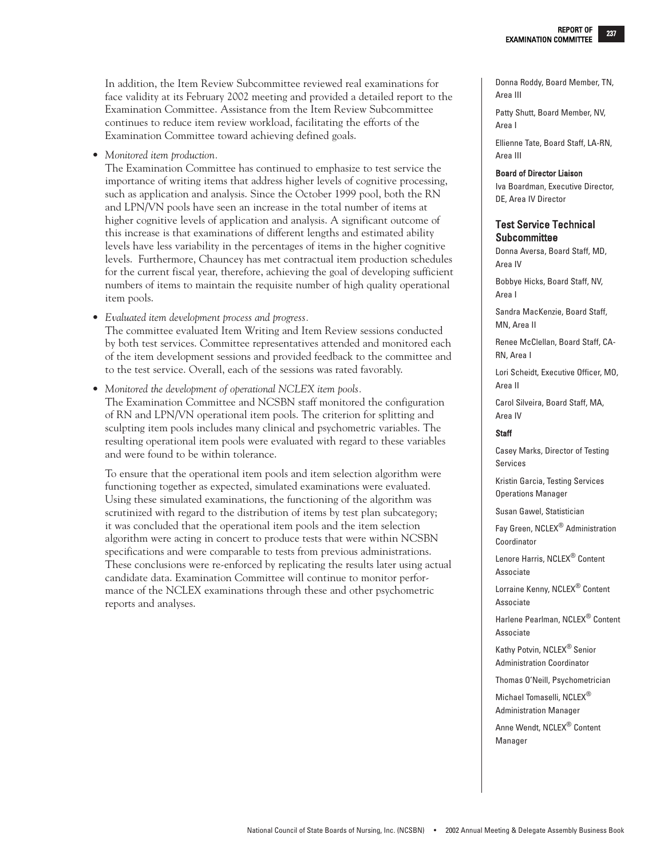In addition, the Item Review Subcommittee reviewed real examinations for face validity at its February 2002 meeting and provided a detailed report to the Examination Committee. Assistance from the Item Review Subcommittee continues to reduce item review workload, facilitating the efforts of the Examination Committee toward achieving defined goals.

*• Monitored item production.*

The Examination Committee has continued to emphasize to test service the importance of writing items that address higher levels of cognitive processing, such as application and analysis. Since the October 1999 pool, both the RN and LPN/VN pools have seen an increase in the total number of items at higher cognitive levels of application and analysis. A significant outcome of this increase is that examinations of different lengths and estimated ability levels have less variability in the percentages of items in the higher cognitive levels. Furthermore, Chauncey has met contractual item production schedules for the current fiscal year, therefore, achieving the goal of developing sufficient numbers of items to maintain the requisite number of high quality operational item pools.

- *Evaluated item development process and progress.* The committee evaluated Item Writing and Item Review sessions conducted by both test services. Committee representatives attended and monitored each of the item development sessions and provided feedback to the committee and to the test service. Overall, each of the sessions was rated favorably.
- *Monitored the development of operational NCLEX item pools.* The Examination Committee and NCSBN staff monitored the configuration of RN and LPN/VN operational item pools. The criterion for splitting and sculpting item pools includes many clinical and psychometric variables. The resulting operational item pools were evaluated with regard to these variables and were found to be within tolerance.

To ensure that the operational item pools and item selection algorithm were functioning together as expected, simulated examinations were evaluated. Using these simulated examinations, the functioning of the algorithm was scrutinized with regard to the distribution of items by test plan subcategory; it was concluded that the operational item pools and the item selection algorithm were acting in concert to produce tests that were within NCSBN specifications and were comparable to tests from previous administrations. These conclusions were re-enforced by replicating the results later using actual candidate data. Examination Committee will continue to monitor performance of the NCLEX examinations through these and other psychometric reports and analyses.

Donna Roddy, Board Member, TN, Area III

Patty Shutt, Board Member, NV, Area I

Ellienne Tate, Board Staff, LA-RN, Area III

#### Board of Director Liaison

Iva Boardman, Executive Director, DE, Area IV Director

#### Test Service Technical Subcommittee

Donna Aversa, Board Staff, MD, Area IV

Bobbye Hicks, Board Staff, NV, Area I

Sandra MacKenzie, Board Staff, MN, Area II

Renee McClellan, Board Staff, CA-RN, Area I

Lori Scheidt, Executive Officer, MO, Area II

Carol Silveira, Board Staff, MA, Area IV

#### Staff

Casey Marks, Director of Testing Services

Kristin Garcia, Testing Services Operations Manager

Susan Gawel, Statistician

Fay Green, NCLEX® Administration Coordinator

Lenore Harris, NCLEX® Content Associate

Lorraine Kenny, NCLEX® Content Associate

Harlene Pearlman, NCLEX® Content Associate

Kathy Potvin, NCLEX® Senior Administration Coordinator

Thomas O'Neill, Psychometrician

Michael Tomaselli, NCLEX® Administration Manager

Anne Wendt, NCLEX® Content Manager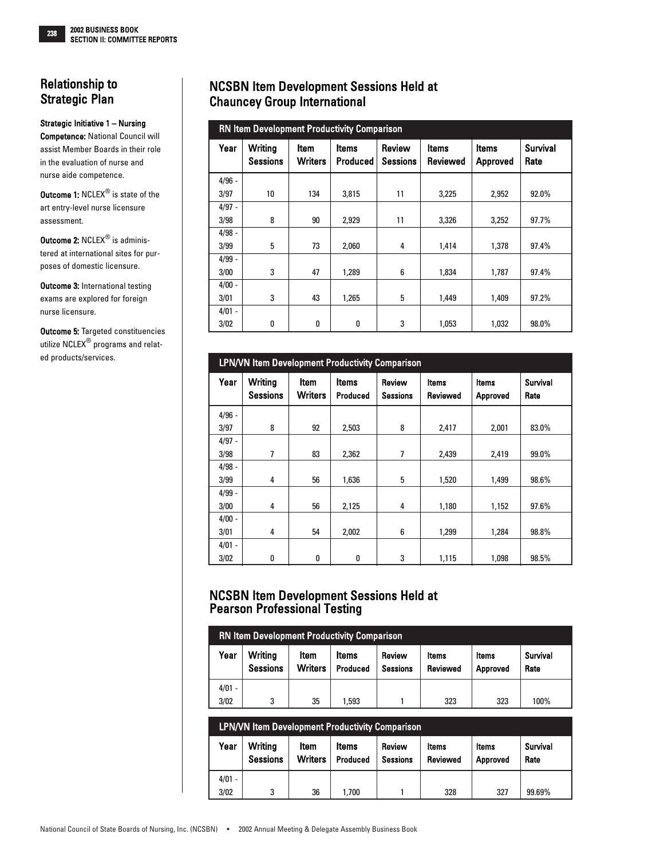### Relationship to Strategic Plan

#### Strategic Initiative 1 – Nursing

Competence: National Council will assist Member Boards in their role in the evaluation of nurse and nurse aide competence.

**Outcome 1: NCLEX®** is state of the art entry-level nurse licensure assessment.

**Outcome 2: NCLEX<sup>®</sup> is adminis**tered at international sites for purposes of domestic licensure.

**Outcome 3: International testing** exams are explored for foreign nurse licensure.

Outcome 5: Targeted constituencies utilize NCLEX® programs and related products/services.

## NCSBN Item Development Sessions Held at Chauncey Group International

| <b>RN Item Development Productivity Comparison</b> |                            |                        |                          |                                  |                          |                   |                         |  |  |  |  |
|----------------------------------------------------|----------------------------|------------------------|--------------------------|----------------------------------|--------------------------|-------------------|-------------------------|--|--|--|--|
| Year                                               | Writing<br><b>Sessions</b> | Item<br><b>Writers</b> | ltems<br><b>Produced</b> | <b>Review</b><br><b>Sessions</b> | <b>Items</b><br>Reviewed | Items<br>Approved | <b>Survival</b><br>Rate |  |  |  |  |
| $4/96 -$                                           |                            |                        |                          |                                  |                          |                   |                         |  |  |  |  |
| 3/97                                               | 10                         | 134                    | 3,815                    | 11                               | 3,225                    | 2,952             | 92.0%                   |  |  |  |  |
| $4/97 -$                                           |                            |                        |                          |                                  |                          |                   |                         |  |  |  |  |
| 3/98                                               | 8                          | 90                     | 2,929                    | 11                               | 3,326                    | 3,252             | 97.7%                   |  |  |  |  |
| $4/98 -$                                           |                            |                        |                          |                                  |                          |                   |                         |  |  |  |  |
| 3/99                                               | 5                          | 73                     | 2,060                    | 4                                | 1,414                    | 1,378             | 97.4%                   |  |  |  |  |
| $4/99 -$                                           |                            |                        |                          |                                  |                          |                   |                         |  |  |  |  |
| 3/00                                               | 3                          | 47                     | 1,289                    | 6                                | 1.834                    | 1,787             | 97.4%                   |  |  |  |  |
| $4/00 -$                                           |                            |                        |                          |                                  |                          |                   |                         |  |  |  |  |
| 3/01                                               | 3                          | 43                     | 1,265                    | 5                                | 1,449                    | 1,409             | 97.2%                   |  |  |  |  |
| $4/01 -$                                           |                            |                        |                          |                                  |                          |                   |                         |  |  |  |  |
| 3/02                                               | 0                          | 0                      | 0                        | 3                                | 1,053                    | 1,032             | 98.0%                   |  |  |  |  |

|          | <b>LPN/VN Item Development Productivity Comparison</b> |                        |                          |                           |                          |                          |                         |  |  |  |  |  |
|----------|--------------------------------------------------------|------------------------|--------------------------|---------------------------|--------------------------|--------------------------|-------------------------|--|--|--|--|--|
| Year     | <b>Writing</b><br><b>Sessions</b>                      | ltem<br><b>Writers</b> | <b>Items</b><br>Produced | Review<br><b>Sessions</b> | <b>Items</b><br>Reviewed | <b>Items</b><br>Approved | <b>Survival</b><br>Rate |  |  |  |  |  |
| $4/96 -$ |                                                        |                        |                          |                           |                          |                          |                         |  |  |  |  |  |
| 3/97     | 8                                                      | 92                     | 2,503                    | 8                         | 2,417                    | 2,001                    | 83.0%                   |  |  |  |  |  |
| $4/97 -$ |                                                        |                        |                          |                           |                          |                          |                         |  |  |  |  |  |
| 3/98     | 7                                                      | 83                     | 2,362                    | 7                         | 2,439                    | 2,419                    | 99.0%                   |  |  |  |  |  |
| $4/98 -$ |                                                        |                        |                          |                           |                          |                          |                         |  |  |  |  |  |
| 3/99     | 4                                                      | 56                     | 1,636                    | 5                         | 1,520                    | 1,499                    | 98.6%                   |  |  |  |  |  |
| $4/99 -$ |                                                        |                        |                          |                           |                          |                          |                         |  |  |  |  |  |
| 3/00     | 4                                                      | 56                     | 2,125                    | 4                         | 1,180                    | 1,152                    | 97.6%                   |  |  |  |  |  |
| $4/00 -$ |                                                        |                        |                          |                           |                          |                          |                         |  |  |  |  |  |
| 3/01     | 4                                                      | 54                     | 2,002                    | 6                         | 1,299                    | 1,284                    | 98.8%                   |  |  |  |  |  |
| $4/01 -$ |                                                        |                        |                          |                           |                          |                          |                         |  |  |  |  |  |
| 3/02     | 0                                                      | 0                      | 0                        | 3                         | 1,115                    | 1,098                    | 98.5%                   |  |  |  |  |  |

### NCSBN Item Development Sessions Held at Pearson Professional Testing

|                  | <b>RN Item Development Productivity Comparison</b> |                        |                   |                                                                     |     |     |                  |
|------------------|----------------------------------------------------|------------------------|-------------------|---------------------------------------------------------------------|-----|-----|------------------|
| Year             | Writing<br><b>Sessions</b>                         | Item<br><b>Writers</b> | Items<br>Produced | Review<br>Items<br>Items<br>Reviewed<br><b>Sessions</b><br>Approved |     |     | Survival<br>Rate |
| $4/01 -$<br>3/02 | 3                                                  | 35                     | 1,593             |                                                                     | 323 | 323 | 100%             |

|          | <b>LPN/VN Item Development Productivity Comparison</b> |                        |                   |                           |                   |                   |                  |
|----------|--------------------------------------------------------|------------------------|-------------------|---------------------------|-------------------|-------------------|------------------|
| Year     | Writing<br><b>Sessions</b>                             | Item<br><b>Writers</b> | Items<br>Produced | Review<br><b>Sessions</b> | Items<br>Reviewed | Items<br>Approved | Survival<br>Rate |
| $4/01 -$ |                                                        |                        |                   |                           |                   |                   |                  |
| 3/02     | 3                                                      | 36                     | 1.700             |                           | 328               | 327               | 99.69%           |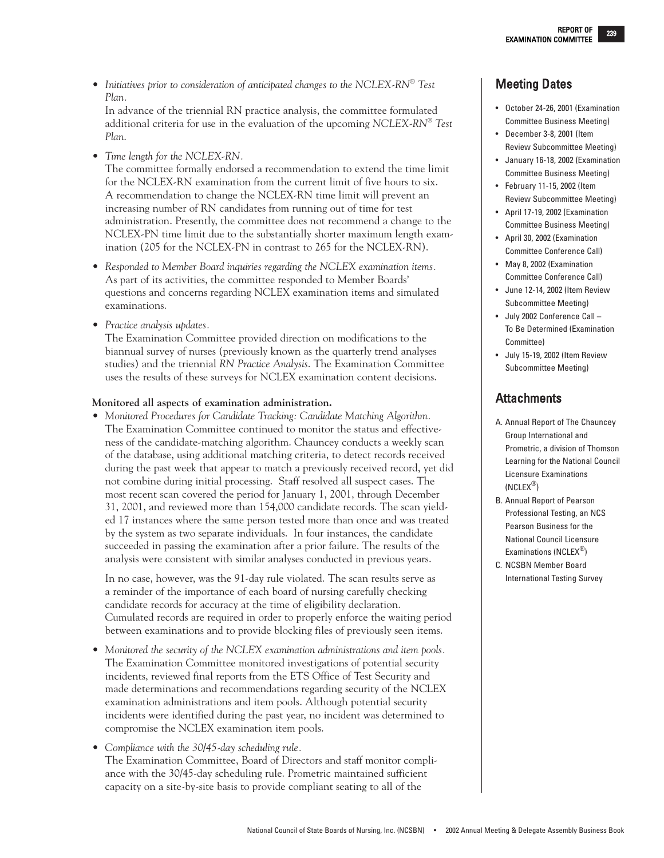*• Initiatives prior to consideration of anticipated changes to the NCLEX-RN® Test Plan.*

In advance of the triennial RN practice analysis, the committee formulated additional criteria for use in the evaluation of the upcoming *NCLEX-RN® Test Plan*.

*• Time length for the NCLEX-RN.*

The committee formally endorsed a recommendation to extend the time limit for the NCLEX-RN examination from the current limit of five hours to six. A recommendation to change the NCLEX-RN time limit will prevent an increasing number of RN candidates from running out of time for test administration. Presently, the committee does not recommend a change to the NCLEX-PN time limit due to the substantially shorter maximum length examination (205 for the NCLEX-PN in contrast to 265 for the NCLEX-RN).

- *Responded to Member Board inquiries regarding the NCLEX examination items.* As part of its activities, the committee responded to Member Boards' questions and concerns regarding NCLEX examination items and simulated examinations.
- *Practice analysis updates.*

The Examination Committee provided direction on modifications to the biannual survey of nurses (previously known as the quarterly trend analyses studies) and the triennial *RN Practice Analysis*. The Examination Committee uses the results of these surveys for NCLEX examination content decisions.

#### **Monitored all aspects of examination administration.**

*• Monitored Procedures for Candidate Tracking: Candidate Matching Algorithm.* The Examination Committee continued to monitor the status and effectiveness of the candidate-matching algorithm. Chauncey conducts a weekly scan of the database, using additional matching criteria, to detect records received during the past week that appear to match a previously received record, yet did not combine during initial processing. Staff resolved all suspect cases. The most recent scan covered the period for January 1, 2001, through December 31, 2001, and reviewed more than 154,000 candidate records. The scan yielded 17 instances where the same person tested more than once and was treated by the system as two separate individuals. In four instances, the candidate succeeded in passing the examination after a prior failure. The results of the analysis were consistent with similar analyses conducted in previous years.

In no case, however, was the 91-day rule violated. The scan results serve as a reminder of the importance of each board of nursing carefully checking candidate records for accuracy at the time of eligibility declaration. Cumulated records are required in order to properly enforce the waiting period between examinations and to provide blocking files of previously seen items.

- *Monitored the security of the NCLEX examination administrations and item pools.* The Examination Committee monitored investigations of potential security incidents, reviewed final reports from the ETS Office of Test Security and made determinations and recommendations regarding security of the NCLEX examination administrations and item pools. Although potential security incidents were identified during the past year, no incident was determined to compromise the NCLEX examination item pools.
- *Compliance with the 30/45-day scheduling rule.* The Examination Committee, Board of Directors and staff monitor compliance with the 30/45-day scheduling rule. Prometric maintained sufficient capacity on a site-by-site basis to provide compliant seating to all of the

## Meeting Dates

- October 24-26, 2001 (Examination Committee Business Meeting)
- December 3-8, 2001 (Item Review Subcommittee Meeting)
- January 16-18, 2002 (Examination Committee Business Meeting)
- February 11-15, 2002 (Item Review Subcommittee Meeting)
- April 17-19, 2002 (Examination Committee Business Meeting)
- April 30, 2002 (Examination Committee Conference Call)
- May 8, 2002 (Examination Committee Conference Call)
- June 12-14, 2002 (Item Review Subcommittee Meeting)
- July 2002 Conference Call To Be Determined (Examination Committee)
- July 15-19, 2002 (Item Review Subcommittee Meeting)

## **Attachments**

- A. Annual Report of The Chauncey Group International and Prometric, a division of Thomson Learning for the National Council Licensure Examinations  $(NCLEX^{\circledR})$
- B. Annual Report of Pearson Professional Testing, an NCS Pearson Business for the National Council Licensure Examinations (NCLEX®)
- C. NCSBN Member Board International Testing Survey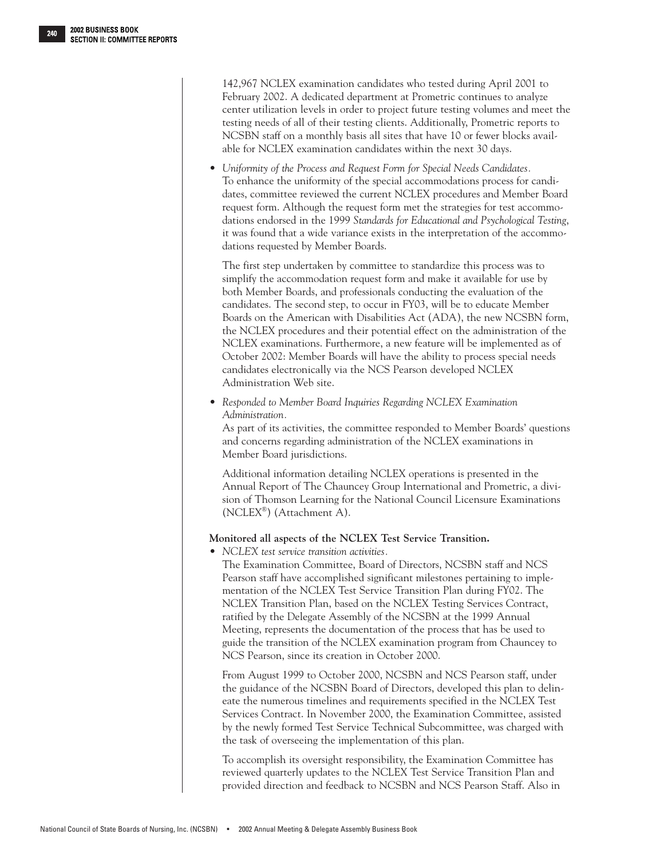142,967 NCLEX examination candidates who tested during April 2001 to February 2002. A dedicated department at Prometric continues to analyze center utilization levels in order to project future testing volumes and meet the testing needs of all of their testing clients. Additionally, Prometric reports to NCSBN staff on a monthly basis all sites that have 10 or fewer blocks available for NCLEX examination candidates within the next 30 days.

*• Uniformity of the Process and Request Form for Special Needs Candidates.* To enhance the uniformity of the special accommodations process for candidates, committee reviewed the current NCLEX procedures and Member Board request form. Although the request form met the strategies for test accommodations endorsed in the 1999 *Standards for Educational and Psychological Testing*, it was found that a wide variance exists in the interpretation of the accommodations requested by Member Boards.

The first step undertaken by committee to standardize this process was to simplify the accommodation request form and make it available for use by both Member Boards, and professionals conducting the evaluation of the candidates. The second step, to occur in FY03, will be to educate Member Boards on the American with Disabilities Act (ADA), the new NCSBN form, the NCLEX procedures and their potential effect on the administration of the NCLEX examinations. Furthermore, a new feature will be implemented as of October 2002: Member Boards will have the ability to process special needs candidates electronically via the NCS Pearson developed NCLEX Administration Web site.

*• Responded to Member Board Inquiries Regarding NCLEX Examination Administration.*

As part of its activities, the committee responded to Member Boards' questions and concerns regarding administration of the NCLEX examinations in Member Board jurisdictions.

Additional information detailing NCLEX operations is presented in the Annual Report of The Chauncey Group International and Prometric, a division of Thomson Learning for the National Council Licensure Examinations (NCLEX®) (Attachment A).

#### **Monitored all aspects of the NCLEX Test Service Transition.**

*• NCLEX test service transition activities.*

The Examination Committee, Board of Directors, NCSBN staff and NCS Pearson staff have accomplished significant milestones pertaining to implementation of the NCLEX Test Service Transition Plan during FY02. The NCLEX Transition Plan, based on the NCLEX Testing Services Contract, ratified by the Delegate Assembly of the NCSBN at the 1999 Annual Meeting, represents the documentation of the process that has be used to guide the transition of the NCLEX examination program from Chauncey to NCS Pearson, since its creation in October 2000.

From August 1999 to October 2000, NCSBN and NCS Pearson staff, under the guidance of the NCSBN Board of Directors, developed this plan to delineate the numerous timelines and requirements specified in the NCLEX Test Services Contract. In November 2000, the Examination Committee, assisted by the newly formed Test Service Technical Subcommittee, was charged with the task of overseeing the implementation of this plan.

To accomplish its oversight responsibility, the Examination Committee has reviewed quarterly updates to the NCLEX Test Service Transition Plan and provided direction and feedback to NCSBN and NCS Pearson Staff. Also in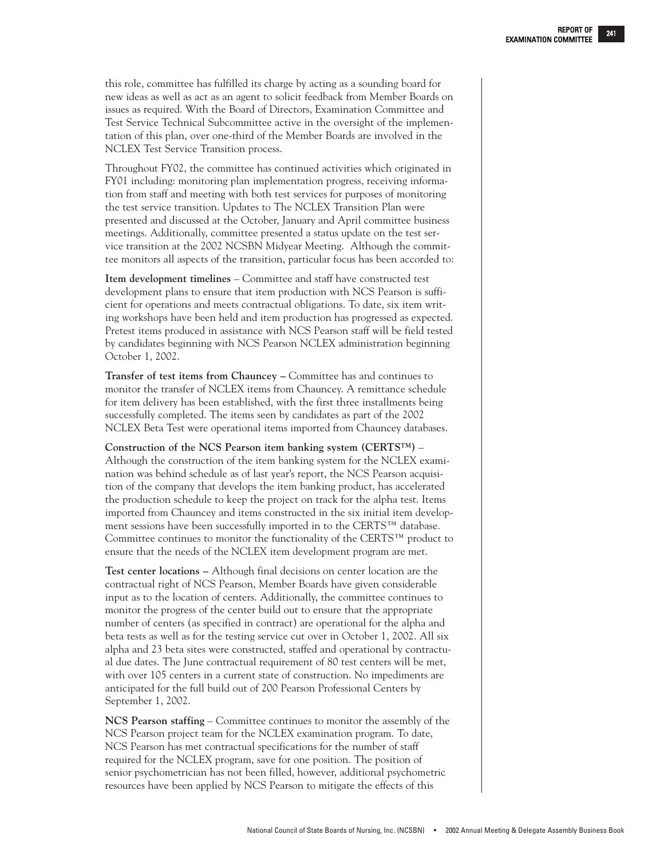this role, committee has fulfilled its charge by acting as a sounding board for new ideas as well as act as an agent to solicit feedback from Member Boards on issues as required. With the Board of Directors, Examination Committee and Test Service Technical Subcommittee active in the oversight of the implementation of this plan, over one-third of the Member Boards are involved in the NCLEX Test Service Transition process.

Throughout FY02, the committee has continued activities which originated in FY01 including: monitoring plan implementation progress, receiving information from staff and meeting with both test services for purposes of monitoring the test service transition. Updates to The NCLEX Transition Plan were presented and discussed at the October, January and April committee business meetings. Additionally, committee presented a status update on the test service transition at the 2002 NCSBN Midyear Meeting. Although the committee monitors all aspects of the transition, particular focus has been accorded to:

**Item development timelines** – Committee and staff have constructed test development plans to ensure that item production with NCS Pearson is sufficient for operations and meets contractual obligations. To date, six item writing workshops have been held and item production has progressed as expected. Pretest items produced in assistance with NCS Pearson staff will be field tested by candidates beginning with NCS Pearson NCLEX administration beginning October 1, 2002.

**Transfer of test items from Chauncey –** Committee has and continues to monitor the transfer of NCLEX items from Chauncey. A remittance schedule for item delivery has been established, with the first three installments being successfully completed. The items seen by candidates as part of the 2002 NCLEX Beta Test were operational items imported from Chauncey databases.

**Construction of the NCS Pearson item banking system (CERTS™)** – Although the construction of the item banking system for the NCLEX examination was behind schedule as of last year's report, the NCS Pearson acquisition of the company that develops the item banking product, has accelerated the production schedule to keep the project on track for the alpha test. Items imported from Chauncey and items constructed in the six initial item development sessions have been successfully imported in to the CERTS™ database. Committee continues to monitor the functionality of the CERTS™ product to ensure that the needs of the NCLEX item development program are met.

**Test center locations –** Although final decisions on center location are the contractual right of NCS Pearson, Member Boards have given considerable input as to the location of centers. Additionally, the committee continues to monitor the progress of the center build out to ensure that the appropriate number of centers (as specified in contract) are operational for the alpha and beta tests as well as for the testing service cut over in October 1, 2002. All six alpha and 23 beta sites were constructed, staffed and operational by contractual due dates. The June contractual requirement of 80 test centers will be met, with over 105 centers in a current state of construction. No impediments are anticipated for the full build out of 200 Pearson Professional Centers by September 1, 2002.

**NCS Pearson staffing** – Committee continues to monitor the assembly of the NCS Pearson project team for the NCLEX examination program. To date, NCS Pearson has met contractual specifications for the number of staff required for the NCLEX program, save for one position. The position of senior psychometrician has not been filled, however, additional psychometric resources have been applied by NCS Pearson to mitigate the effects of this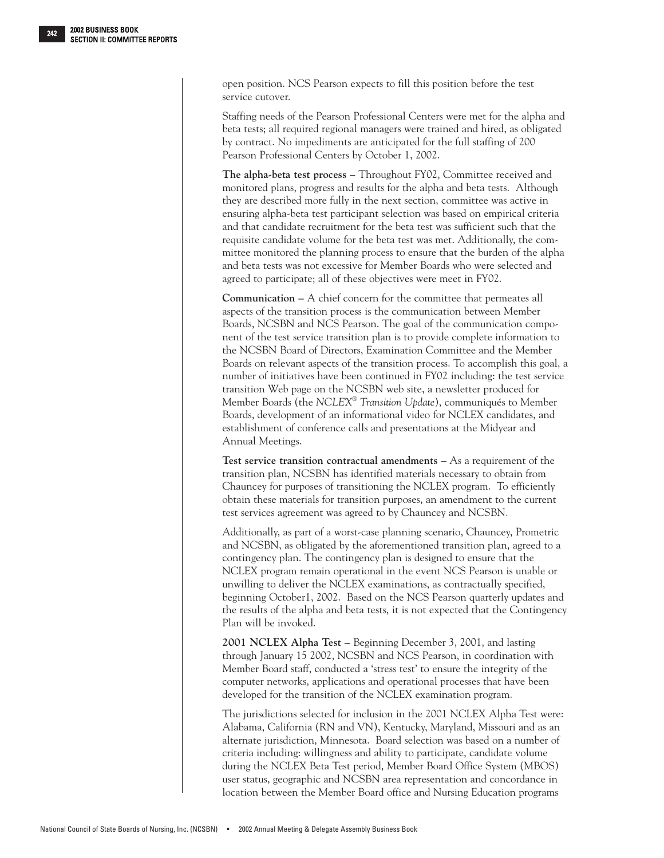open position. NCS Pearson expects to fill this position before the test service cutover.

Staffing needs of the Pearson Professional Centers were met for the alpha and beta tests; all required regional managers were trained and hired, as obligated by contract. No impediments are anticipated for the full staffing of 200 Pearson Professional Centers by October 1, 2002.

**The alpha-beta test process –** Throughout FY02, Committee received and monitored plans, progress and results for the alpha and beta tests. Although they are described more fully in the next section, committee was active in ensuring alpha-beta test participant selection was based on empirical criteria and that candidate recruitment for the beta test was sufficient such that the requisite candidate volume for the beta test was met. Additionally, the committee monitored the planning process to ensure that the burden of the alpha and beta tests was not excessive for Member Boards who were selected and agreed to participate; all of these objectives were meet in FY02.

**Communication –** A chief concern for the committee that permeates all aspects of the transition process is the communication between Member Boards, NCSBN and NCS Pearson. The goal of the communication component of the test service transition plan is to provide complete information to the NCSBN Board of Directors, Examination Committee and the Member Boards on relevant aspects of the transition process. To accomplish this goal, a number of initiatives have been continued in FY02 including: the test service transition Web page on the NCSBN web site, a newsletter produced for Member Boards (the *NCLEX*® *Transition Update*), communiqués to Member Boards, development of an informational video for NCLEX candidates, and establishment of conference calls and presentations at the Midyear and Annual Meetings.

**Test service transition contractual amendments –** As a requirement of the transition plan, NCSBN has identified materials necessary to obtain from Chauncey for purposes of transitioning the NCLEX program. To efficiently obtain these materials for transition purposes, an amendment to the current test services agreement was agreed to by Chauncey and NCSBN.

Additionally, as part of a worst-case planning scenario, Chauncey, Prometric and NCSBN, as obligated by the aforementioned transition plan, agreed to a contingency plan. The contingency plan is designed to ensure that the NCLEX program remain operational in the event NCS Pearson is unable or unwilling to deliver the NCLEX examinations, as contractually specified, beginning October1, 2002. Based on the NCS Pearson quarterly updates and the results of the alpha and beta tests, it is not expected that the Contingency Plan will be invoked.

**2001 NCLEX Alpha Test –** Beginning December 3, 2001, and lasting through January 15 2002, NCSBN and NCS Pearson, in coordination with Member Board staff, conducted a 'stress test' to ensure the integrity of the computer networks, applications and operational processes that have been developed for the transition of the NCLEX examination program.

The jurisdictions selected for inclusion in the 2001 NCLEX Alpha Test were: Alabama, California (RN and VN), Kentucky, Maryland, Missouri and as an alternate jurisdiction, Minnesota. Board selection was based on a number of criteria including: willingness and ability to participate, candidate volume during the NCLEX Beta Test period, Member Board Office System (MBOS) user status, geographic and NCSBN area representation and concordance in location between the Member Board office and Nursing Education programs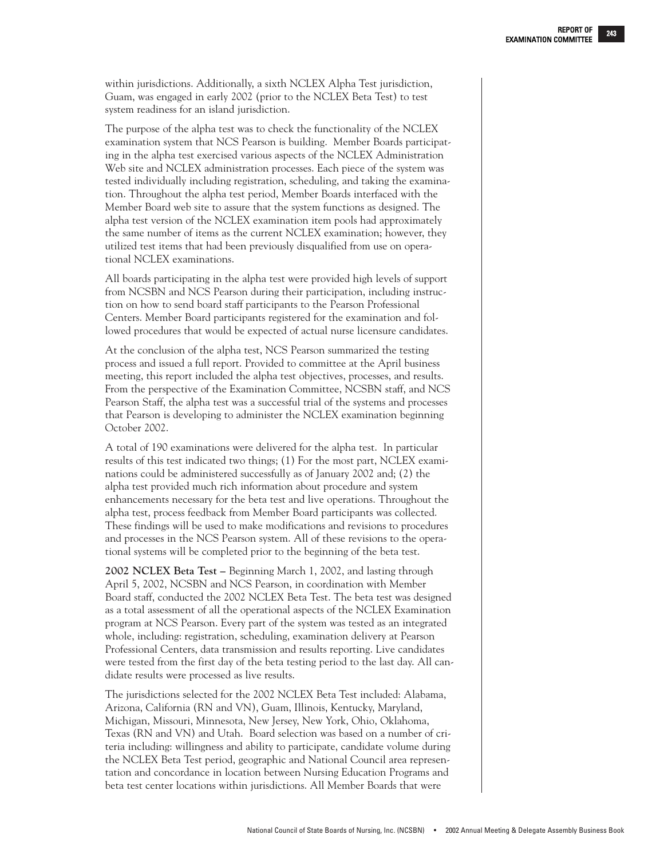within jurisdictions. Additionally, a sixth NCLEX Alpha Test jurisdiction, Guam, was engaged in early 2002 (prior to the NCLEX Beta Test) to test system readiness for an island jurisdiction.

The purpose of the alpha test was to check the functionality of the NCLEX examination system that NCS Pearson is building. Member Boards participating in the alpha test exercised various aspects of the NCLEX Administration Web site and NCLEX administration processes. Each piece of the system was tested individually including registration, scheduling, and taking the examination. Throughout the alpha test period, Member Boards interfaced with the Member Board web site to assure that the system functions as designed. The alpha test version of the NCLEX examination item pools had approximately the same number of items as the current NCLEX examination; however, they utilized test items that had been previously disqualified from use on operational NCLEX examinations.

All boards participating in the alpha test were provided high levels of support from NCSBN and NCS Pearson during their participation, including instruction on how to send board staff participants to the Pearson Professional Centers. Member Board participants registered for the examination and followed procedures that would be expected of actual nurse licensure candidates.

At the conclusion of the alpha test, NCS Pearson summarized the testing process and issued a full report. Provided to committee at the April business meeting, this report included the alpha test objectives, processes, and results. From the perspective of the Examination Committee, NCSBN staff, and NCS Pearson Staff, the alpha test was a successful trial of the systems and processes that Pearson is developing to administer the NCLEX examination beginning October 2002.

A total of 190 examinations were delivered for the alpha test. In particular results of this test indicated two things; (1) For the most part, NCLEX examinations could be administered successfully as of January 2002 and; (2) the alpha test provided much rich information about procedure and system enhancements necessary for the beta test and live operations. Throughout the alpha test, process feedback from Member Board participants was collected. These findings will be used to make modifications and revisions to procedures and processes in the NCS Pearson system. All of these revisions to the operational systems will be completed prior to the beginning of the beta test.

**2002 NCLEX Beta Test –** Beginning March 1, 2002, and lasting through April 5, 2002, NCSBN and NCS Pearson, in coordination with Member Board staff, conducted the 2002 NCLEX Beta Test. The beta test was designed as a total assessment of all the operational aspects of the NCLEX Examination program at NCS Pearson. Every part of the system was tested as an integrated whole, including: registration, scheduling, examination delivery at Pearson Professional Centers, data transmission and results reporting. Live candidates were tested from the first day of the beta testing period to the last day. All candidate results were processed as live results.

The jurisdictions selected for the 2002 NCLEX Beta Test included: Alabama, Arizona, California (RN and VN), Guam, Illinois, Kentucky, Maryland, Michigan, Missouri, Minnesota, New Jersey, New York, Ohio, Oklahoma, Texas (RN and VN) and Utah. Board selection was based on a number of criteria including: willingness and ability to participate, candidate volume during the NCLEX Beta Test period, geographic and National Council area representation and concordance in location between Nursing Education Programs and beta test center locations within jurisdictions. All Member Boards that were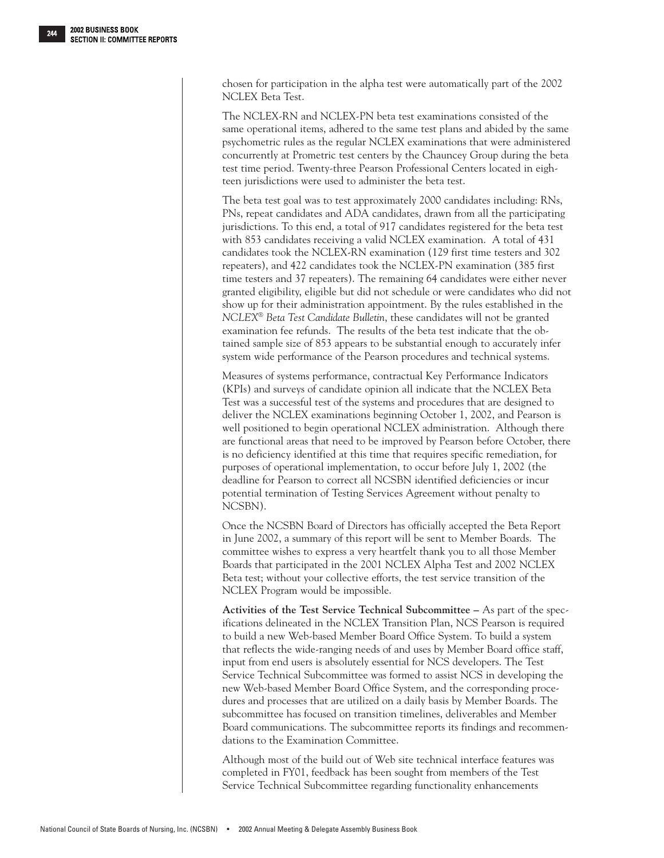chosen for participation in the alpha test were automatically part of the 2002 NCLEX Beta Test.

The NCLEX-RN and NCLEX-PN beta test examinations consisted of the same operational items, adhered to the same test plans and abided by the same psychometric rules as the regular NCLEX examinations that were administered concurrently at Prometric test centers by the Chauncey Group during the beta test time period. Twenty-three Pearson Professional Centers located in eighteen jurisdictions were used to administer the beta test.

The beta test goal was to test approximately 2000 candidates including: RNs, PNs, repeat candidates and ADA candidates, drawn from all the participating jurisdictions. To this end, a total of 917 candidates registered for the beta test with 853 candidates receiving a valid NCLEX examination. A total of 431 candidates took the NCLEX-RN examination (129 first time testers and 302 repeaters), and 422 candidates took the NCLEX-PN examination (385 first time testers and 37 repeaters). The remaining 64 candidates were either never granted eligibility, eligible but did not schedule or were candidates who did not show up for their administration appointment. By the rules established in the *NCLEX® Beta Test Candidate Bulletin*, these candidates will not be granted examination fee refunds. The results of the beta test indicate that the obtained sample size of 853 appears to be substantial enough to accurately infer system wide performance of the Pearson procedures and technical systems.

Measures of systems performance, contractual Key Performance Indicators (KPIs) and surveys of candidate opinion all indicate that the NCLEX Beta Test was a successful test of the systems and procedures that are designed to deliver the NCLEX examinations beginning October 1, 2002, and Pearson is well positioned to begin operational NCLEX administration. Although there are functional areas that need to be improved by Pearson before October, there is no deficiency identified at this time that requires specific remediation, for purposes of operational implementation, to occur before July 1, 2002 (the deadline for Pearson to correct all NCSBN identified deficiencies or incur potential termination of Testing Services Agreement without penalty to NCSBN).

Once the NCSBN Board of Directors has officially accepted the Beta Report in June 2002, a summary of this report will be sent to Member Boards. The committee wishes to express a very heartfelt thank you to all those Member Boards that participated in the 2001 NCLEX Alpha Test and 2002 NCLEX Beta test; without your collective efforts, the test service transition of the NCLEX Program would be impossible.

**Activities of the Test Service Technical Subcommittee –** As part of the specifications delineated in the NCLEX Transition Plan, NCS Pearson is required to build a new Web-based Member Board Office System. To build a system that reflects the wide-ranging needs of and uses by Member Board office staff, input from end users is absolutely essential for NCS developers. The Test Service Technical Subcommittee was formed to assist NCS in developing the new Web-based Member Board Office System, and the corresponding procedures and processes that are utilized on a daily basis by Member Boards. The subcommittee has focused on transition timelines, deliverables and Member Board communications. The subcommittee reports its findings and recommendations to the Examination Committee.

Although most of the build out of Web site technical interface features was completed in FY01, feedback has been sought from members of the Test Service Technical Subcommittee regarding functionality enhancements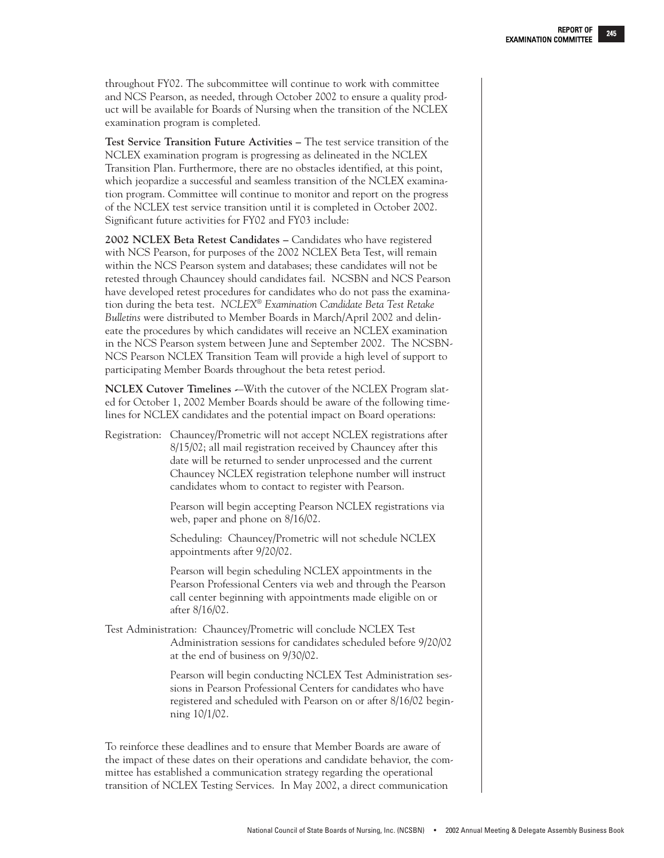throughout FY02. The subcommittee will continue to work with committee and NCS Pearson, as needed, through October 2002 to ensure a quality product will be available for Boards of Nursing when the transition of the NCLEX examination program is completed.

**Test Service Transition Future Activities –** The test service transition of the NCLEX examination program is progressing as delineated in the NCLEX Transition Plan. Furthermore, there are no obstacles identified, at this point, which jeopardize a successful and seamless transition of the NCLEX examination program. Committee will continue to monitor and report on the progress of the NCLEX test service transition until it is completed in October 2002. Significant future activities for FY02 and FY03 include:

**2002 NCLEX Beta Retest Candidates –** Candidates who have registered with NCS Pearson, for purposes of the 2002 NCLEX Beta Test, will remain within the NCS Pearson system and databases; these candidates will not be retested through Chauncey should candidates fail. NCSBN and NCS Pearson have developed retest procedures for candidates who do not pass the examination during the beta test. *NCLEX® Examination Candidate Beta Test Retake Bulletins* were distributed to Member Boards in March/April 2002 and delineate the procedures by which candidates will receive an NCLEX examination in the NCS Pearson system between June and September 2002. The NCSBN-NCS Pearson NCLEX Transition Team will provide a high level of support to participating Member Boards throughout the beta retest period.

**NCLEX Cutover Timelines -**–With the cutover of the NCLEX Program slated for October 1, 2002 Member Boards should be aware of the following timelines for NCLEX candidates and the potential impact on Board operations:

Registration: Chauncey/Prometric will not accept NCLEX registrations after 8/15/02; all mail registration received by Chauncey after this date will be returned to sender unprocessed and the current Chauncey NCLEX registration telephone number will instruct candidates whom to contact to register with Pearson.

> Pearson will begin accepting Pearson NCLEX registrations via web, paper and phone on 8/16/02.

Scheduling: Chauncey/Prometric will not schedule NCLEX appointments after 9/20/02.

Pearson will begin scheduling NCLEX appointments in the Pearson Professional Centers via web and through the Pearson call center beginning with appointments made eligible on or after 8/16/02.

Test Administration: Chauncey/Prometric will conclude NCLEX Test Administration sessions for candidates scheduled before 9/20/02 at the end of business on 9/30/02.

> Pearson will begin conducting NCLEX Test Administration sessions in Pearson Professional Centers for candidates who have registered and scheduled with Pearson on or after 8/16/02 beginning 10/1/02.

To reinforce these deadlines and to ensure that Member Boards are aware of the impact of these dates on their operations and candidate behavior, the committee has established a communication strategy regarding the operational transition of NCLEX Testing Services. In May 2002, a direct communication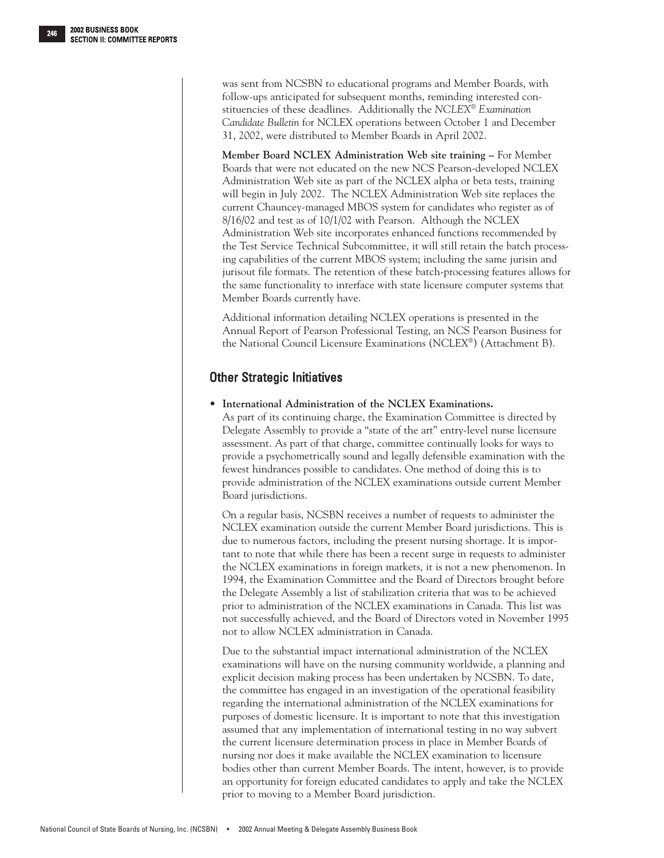was sent from NCSBN to educational programs and Member Boards, with follow-ups anticipated for subsequent months, reminding interested constituencies of these deadlines. Additionally the *NCLEX® Examination Candidate Bulletin* for NCLEX operations between October 1 and December 31, 2002, were distributed to Member Boards in April 2002.

**Member Board NCLEX Administration Web site training –** For Member Boards that were not educated on the new NCS Pearson-developed NCLEX Administration Web site as part of the NCLEX alpha or beta tests, training will begin in July 2002. The NCLEX Administration Web site replaces the current Chauncey-managed MBOS system for candidates who register as of 8/16/02 and test as of 10/1/02 with Pearson. Although the NCLEX Administration Web site incorporates enhanced functions recommended by the Test Service Technical Subcommittee, it will still retain the batch processing capabilities of the current MBOS system; including the same jurisin and jurisout file formats. The retention of these batch-processing features allows for the same functionality to interface with state licensure computer systems that Member Boards currently have.

Additional information detailing NCLEX operations is presented in the Annual Report of Pearson Professional Testing, an NCS Pearson Business for the National Council Licensure Examinations (NCLEX®) (Attachment B).

#### Other Strategic Initiatives

• **International Administration of the NCLEX Examinations.**

As part of its continuing charge, the Examination Committee is directed by Delegate Assembly to provide a "state of the art" entry-level nurse licensure assessment. As part of that charge, committee continually looks for ways to provide a psychometrically sound and legally defensible examination with the fewest hindrances possible to candidates. One method of doing this is to provide administration of the NCLEX examinations outside current Member Board jurisdictions.

On a regular basis, NCSBN receives a number of requests to administer the NCLEX examination outside the current Member Board jurisdictions. This is due to numerous factors, including the present nursing shortage. It is important to note that while there has been a recent surge in requests to administer the NCLEX examinations in foreign markets, it is not a new phenomenon. In 1994, the Examination Committee and the Board of Directors brought before the Delegate Assembly a list of stabilization criteria that was to be achieved prior to administration of the NCLEX examinations in Canada. This list was not successfully achieved, and the Board of Directors voted in November 1995 not to allow NCLEX administration in Canada.

Due to the substantial impact international administration of the NCLEX examinations will have on the nursing community worldwide, a planning and explicit decision making process has been undertaken by NCSBN. To date, the committee has engaged in an investigation of the operational feasibility regarding the international administration of the NCLEX examinations for purposes of domestic licensure. It is important to note that this investigation assumed that any implementation of international testing in no way subvert the current licensure determination process in place in Member Boards of nursing nor does it make available the NCLEX examination to licensure bodies other than current Member Boards. The intent, however, is to provide an opportunity for foreign educated candidates to apply and take the NCLEX prior to moving to a Member Board jurisdiction.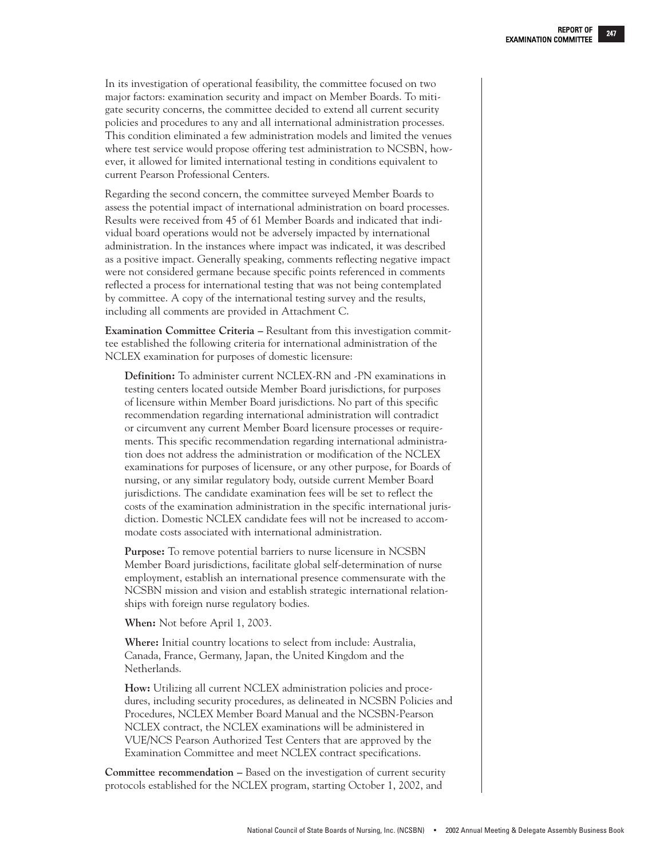In its investigation of operational feasibility, the committee focused on two major factors: examination security and impact on Member Boards. To mitigate security concerns, the committee decided to extend all current security policies and procedures to any and all international administration processes. This condition eliminated a few administration models and limited the venues where test service would propose offering test administration to NCSBN, however, it allowed for limited international testing in conditions equivalent to current Pearson Professional Centers.

Regarding the second concern, the committee surveyed Member Boards to assess the potential impact of international administration on board processes. Results were received from 45 of 61 Member Boards and indicated that individual board operations would not be adversely impacted by international administration. In the instances where impact was indicated, it was described as a positive impact. Generally speaking, comments reflecting negative impact were not considered germane because specific points referenced in comments reflected a process for international testing that was not being contemplated by committee. A copy of the international testing survey and the results, including all comments are provided in Attachment C.

**Examination Committee Criteria –** Resultant from this investigation committee established the following criteria for international administration of the NCLEX examination for purposes of domestic licensure:

**Definition:** To administer current NCLEX-RN and -PN examinations in testing centers located outside Member Board jurisdictions, for purposes of licensure within Member Board jurisdictions. No part of this specific recommendation regarding international administration will contradict or circumvent any current Member Board licensure processes or requirements. This specific recommendation regarding international administration does not address the administration or modification of the NCLEX examinations for purposes of licensure, or any other purpose, for Boards of nursing, or any similar regulatory body, outside current Member Board jurisdictions. The candidate examination fees will be set to reflect the costs of the examination administration in the specific international jurisdiction. Domestic NCLEX candidate fees will not be increased to accommodate costs associated with international administration.

**Purpose:** To remove potential barriers to nurse licensure in NCSBN Member Board jurisdictions, facilitate global self-determination of nurse employment, establish an international presence commensurate with the NCSBN mission and vision and establish strategic international relationships with foreign nurse regulatory bodies.

**When:** Not before April 1, 2003.

**Where:** Initial country locations to select from include: Australia, Canada, France, Germany, Japan, the United Kingdom and the Netherlands.

**How:** Utilizing all current NCLEX administration policies and procedures, including security procedures, as delineated in NCSBN Policies and Procedures, NCLEX Member Board Manual and the NCSBN-Pearson NCLEX contract, the NCLEX examinations will be administered in VUE/NCS Pearson Authorized Test Centers that are approved by the Examination Committee and meet NCLEX contract specifications.

**Committee recommendation –** Based on the investigation of current security protocols established for the NCLEX program, starting October 1, 2002, and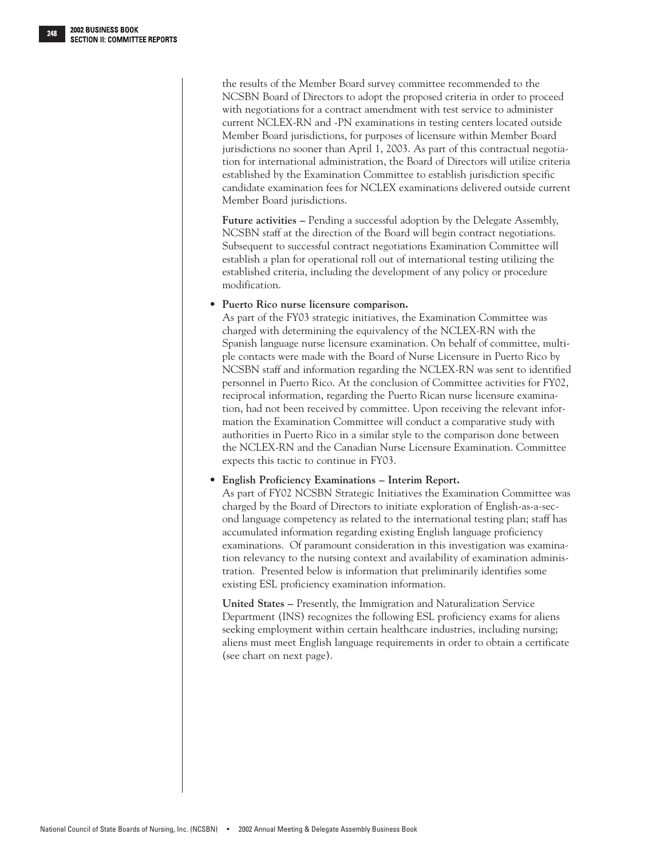the results of the Member Board survey committee recommended to the NCSBN Board of Directors to adopt the proposed criteria in order to proceed with negotiations for a contract amendment with test service to administer current NCLEX-RN and -PN examinations in testing centers located outside Member Board jurisdictions, for purposes of licensure within Member Board jurisdictions no sooner than April 1, 2003. As part of this contractual negotiation for international administration, the Board of Directors will utilize criteria established by the Examination Committee to establish jurisdiction specific candidate examination fees for NCLEX examinations delivered outside current Member Board jurisdictions.

**Future activities –** Pending a successful adoption by the Delegate Assembly, NCSBN staff at the direction of the Board will begin contract negotiations. Subsequent to successful contract negotiations Examination Committee will establish a plan for operational roll out of international testing utilizing the established criteria, including the development of any policy or procedure modification.

#### • **Puerto Rico nurse licensure comparison.**

As part of the FY03 strategic initiatives, the Examination Committee was charged with determining the equivalency of the NCLEX-RN with the Spanish language nurse licensure examination. On behalf of committee, multiple contacts were made with the Board of Nurse Licensure in Puerto Rico by NCSBN staff and information regarding the NCLEX-RN was sent to identified personnel in Puerto Rico. At the conclusion of Committee activities for FY02, reciprocal information, regarding the Puerto Rican nurse licensure examination, had not been received by committee. Upon receiving the relevant information the Examination Committee will conduct a comparative study with authorities in Puerto Rico in a similar style to the comparison done between the NCLEX-RN and the Canadian Nurse Licensure Examination. Committee expects this tactic to continue in FY03.

#### • **English Proficiency Examinations – Interim Report.**

As part of FY02 NCSBN Strategic Initiatives the Examination Committee was charged by the Board of Directors to initiate exploration of English-as-a-second language competency as related to the international testing plan; staff has accumulated information regarding existing English language proficiency examinations. Of paramount consideration in this investigation was examination relevancy to the nursing context and availability of examination administration. Presented below is information that preliminarily identifies some existing ESL proficiency examination information.

**United States –** Presently, the Immigration and Naturalization Service Department (INS) recognizes the following ESL proficiency exams for aliens seeking employment within certain healthcare industries, including nursing; aliens must meet English language requirements in order to obtain a certificate (see chart on next page).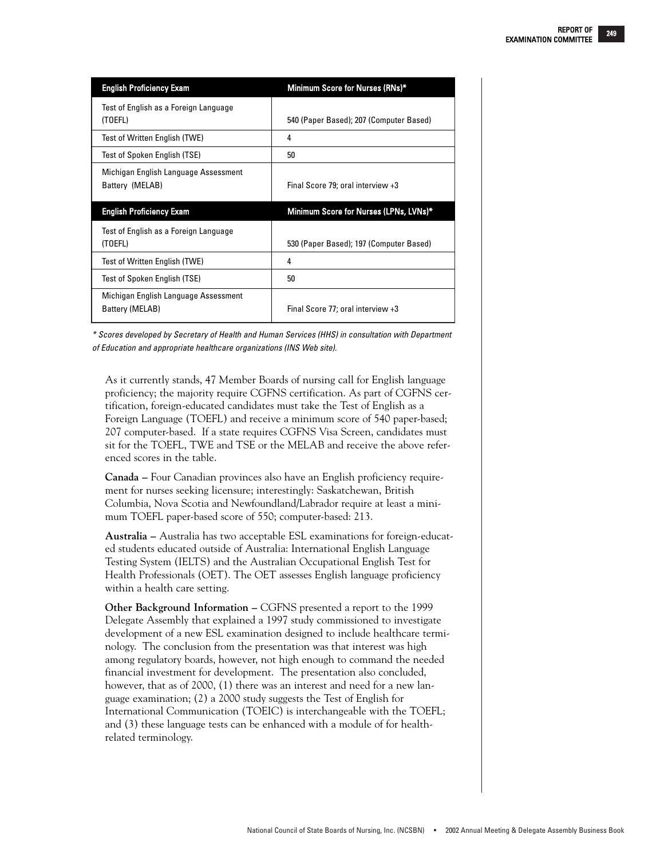| <b>English Proficiency Exam</b>                         | Minimum Score for Nurses (RNs)*         |
|---------------------------------------------------------|-----------------------------------------|
| Test of English as a Foreign Language<br>(TOEFL)        | 540 (Paper Based); 207 (Computer Based) |
| Test of Written English (TWE)                           | 4                                       |
| Test of Spoken English (TSE)                            | 50                                      |
| Michigan English Language Assessment<br>Battery (MELAB) | Final Score 79; oral interview $+3$     |
|                                                         |                                         |
| <b>English Proficiency Exam</b>                         | Minimum Score for Nurses (LPNs, LVNs)*  |
| Test of English as a Foreign Language<br>(TOEFL)        | 530 (Paper Based); 197 (Computer Based) |
| Test of Written English (TWE)                           | 4                                       |
| Test of Spoken English (TSE)                            | 50                                      |

\* Scores developed by Secretary of Health and Human Services (HHS) in consultation with Department of Education and appropriate healthcare organizations (INS Web site).

As it currently stands, 47 Member Boards of nursing call for English language proficiency; the majority require CGFNS certification. As part of CGFNS certification, foreign-educated candidates must take the Test of English as a Foreign Language (TOEFL) and receive a minimum score of 540 paper-based; 207 computer-based. If a state requires CGFNS Visa Screen, candidates must sit for the TOEFL, TWE and TSE or the MELAB and receive the above referenced scores in the table.

**Canada –** Four Canadian provinces also have an English proficiency requirement for nurses seeking licensure; interestingly: Saskatchewan, British Columbia, Nova Scotia and Newfoundland/Labrador require at least a minimum TOEFL paper-based score of 550; computer-based: 213.

**Australia –** Australia has two acceptable ESL examinations for foreign-educated students educated outside of Australia: International English Language Testing System (IELTS) and the Australian Occupational English Test for Health Professionals (OET). The OET assesses English language proficiency within a health care setting.

**Other Background Information –** CGFNS presented a report to the 1999 Delegate Assembly that explained a 1997 study commissioned to investigate development of a new ESL examination designed to include healthcare terminology. The conclusion from the presentation was that interest was high among regulatory boards, however, not high enough to command the needed financial investment for development. The presentation also concluded, however, that as of 2000, (1) there was an interest and need for a new language examination; (2) a 2000 study suggests the Test of English for International Communication (TOEIC) is interchangeable with the TOEFL; and (3) these language tests can be enhanced with a module of for healthrelated terminology.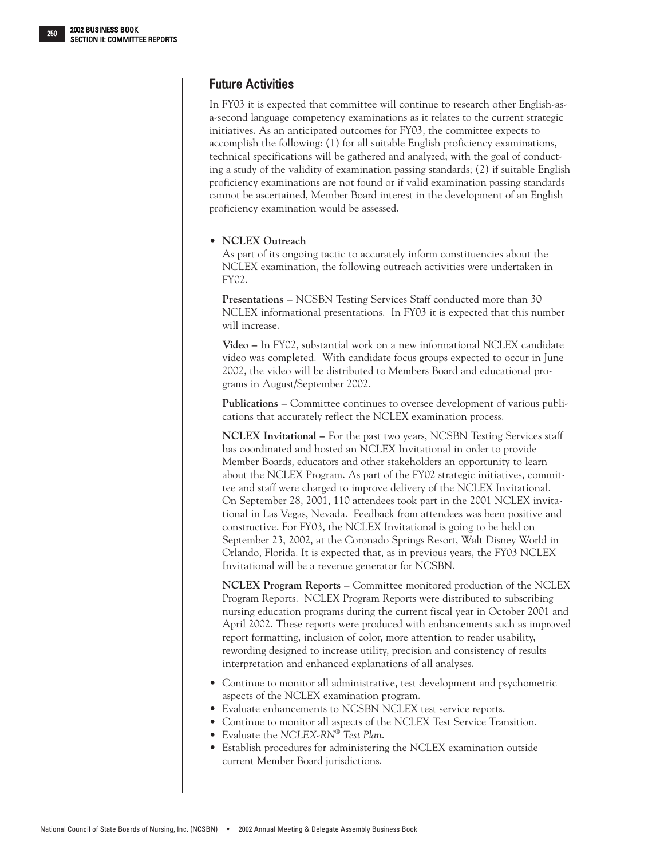#### Future Activities

In FY03 it is expected that committee will continue to research other English-asa-second language competency examinations as it relates to the current strategic initiatives. As an anticipated outcomes for FY03, the committee expects to accomplish the following: (1) for all suitable English proficiency examinations, technical specifications will be gathered and analyzed; with the goal of conducting a study of the validity of examination passing standards; (2) if suitable English proficiency examinations are not found or if valid examination passing standards cannot be ascertained, Member Board interest in the development of an English proficiency examination would be assessed.

#### • **NCLEX Outreach**

As part of its ongoing tactic to accurately inform constituencies about the NCLEX examination, the following outreach activities were undertaken in FY02.

**Presentations –** NCSBN Testing Services Staff conducted more than 30 NCLEX informational presentations. In FY03 it is expected that this number will increase.

**Video –** In FY02, substantial work on a new informational NCLEX candidate video was completed. With candidate focus groups expected to occur in June 2002, the video will be distributed to Members Board and educational programs in August/September 2002.

**Publications –** Committee continues to oversee development of various publications that accurately reflect the NCLEX examination process.

**NCLEX Invitational –** For the past two years, NCSBN Testing Services staff has coordinated and hosted an NCLEX Invitational in order to provide Member Boards, educators and other stakeholders an opportunity to learn about the NCLEX Program. As part of the FY02 strategic initiatives, committee and staff were charged to improve delivery of the NCLEX Invitational. On September 28, 2001, 110 attendees took part in the 2001 NCLEX invitational in Las Vegas, Nevada. Feedback from attendees was been positive and constructive. For FY03, the NCLEX Invitational is going to be held on September 23, 2002, at the Coronado Springs Resort, Walt Disney World in Orlando, Florida. It is expected that, as in previous years, the FY03 NCLEX Invitational will be a revenue generator for NCSBN.

**NCLEX Program Reports –** Committee monitored production of the NCLEX Program Reports. NCLEX Program Reports were distributed to subscribing nursing education programs during the current fiscal year in October 2001 and April 2002. These reports were produced with enhancements such as improved report formatting, inclusion of color, more attention to reader usability, rewording designed to increase utility, precision and consistency of results interpretation and enhanced explanations of all analyses.

- Continue to monitor all administrative, test development and psychometric aspects of the NCLEX examination program.
- Evaluate enhancements to NCSBN NCLEX test service reports.
- Continue to monitor all aspects of the NCLEX Test Service Transition.
- Evaluate the *NCLEX-RN® Test Plan*.
- Establish procedures for administering the NCLEX examination outside current Member Board jurisdictions.

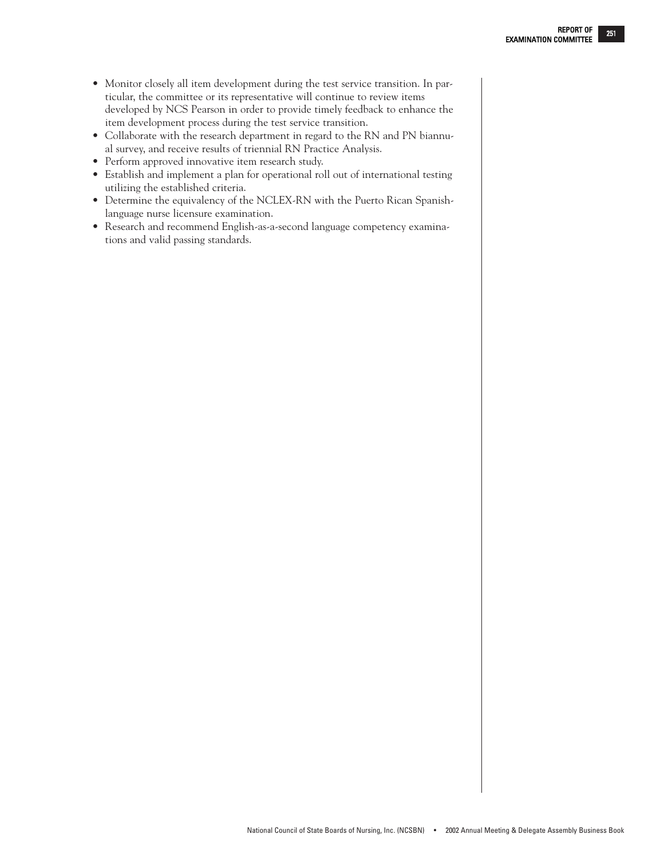- Monitor closely all item development during the test service transition. In particular, the committee or its representative will continue to review items developed by NCS Pearson in order to provide timely feedback to enhance the item development process during the test service transition.
- Collaborate with the research department in regard to the RN and PN biannual survey, and receive results of triennial RN Practice Analysis.
- Perform approved innovative item research study.
- Establish and implement a plan for operational roll out of international testing utilizing the established criteria.
- Determine the equivalency of the NCLEX-RN with the Puerto Rican Spanishlanguage nurse licensure examination.
- Research and recommend English-as-a-second language competency examinations and valid passing standards.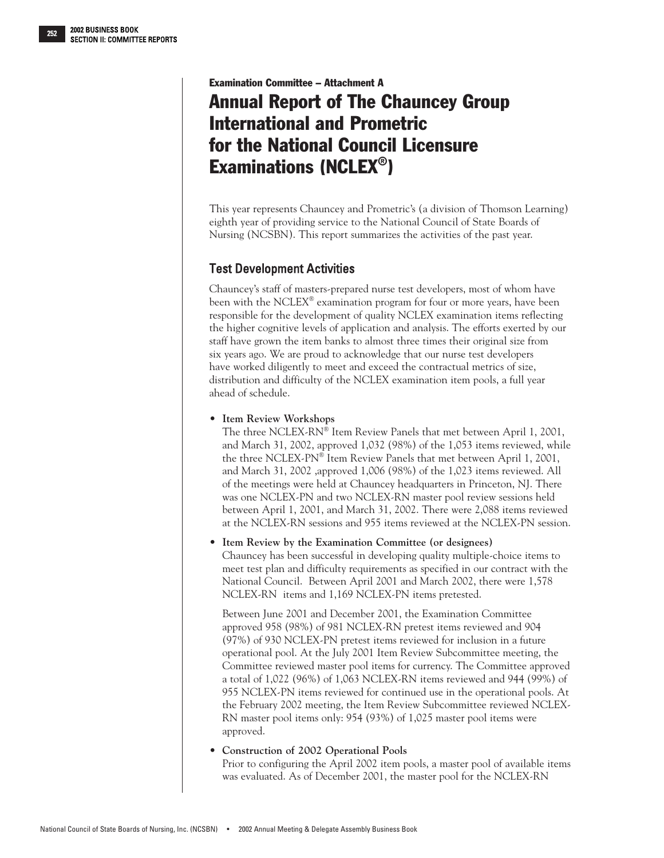## Examination Committee – Attachment A Annual Report of The Chauncey Group International and Prometric for the National Council Licensure Examinations (NCLEX®)

This year represents Chauncey and Prometric's (a division of Thomson Learning) eighth year of providing service to the National Council of State Boards of Nursing (NCSBN). This report summarizes the activities of the past year.

## Test Development Activities

Chauncey's staff of masters-prepared nurse test developers, most of whom have been with the NCLEX® examination program for four or more years, have been responsible for the development of quality NCLEX examination items reflecting the higher cognitive levels of application and analysis. The efforts exerted by our staff have grown the item banks to almost three times their original size from six years ago. We are proud to acknowledge that our nurse test developers have worked diligently to meet and exceed the contractual metrics of size, distribution and difficulty of the NCLEX examination item pools, a full year ahead of schedule.

• **Item Review Workshops**

The three NCLEX-RN® Item Review Panels that met between April 1, 2001, and March 31, 2002, approved 1,032 (98%) of the 1,053 items reviewed, while the three NCLEX-PN® Item Review Panels that met between April 1, 2001, and March 31, 2002 ,approved 1,006 (98%) of the 1,023 items reviewed. All of the meetings were held at Chauncey headquarters in Princeton, NJ. There was one NCLEX-PN and two NCLEX-RN master pool review sessions held between April 1, 2001, and March 31, 2002. There were 2,088 items reviewed at the NCLEX-RN sessions and 955 items reviewed at the NCLEX-PN session.

• **Item Review by the Examination Committee (or designees)** Chauncey has been successful in developing quality multiple-choice items to meet test plan and difficulty requirements as specified in our contract with the National Council. Between April 2001 and March 2002, there were 1,578 NCLEX-RN items and 1,169 NCLEX-PN items pretested.

Between June 2001 and December 2001, the Examination Committee approved 958 (98%) of 981 NCLEX-RN pretest items reviewed and 904 (97%) of 930 NCLEX-PN pretest items reviewed for inclusion in a future operational pool. At the July 2001 Item Review Subcommittee meeting, the Committee reviewed master pool items for currency. The Committee approved a total of 1,022 (96%) of 1,063 NCLEX-RN items reviewed and 944 (99%) of 955 NCLEX-PN items reviewed for continued use in the operational pools. At the February 2002 meeting, the Item Review Subcommittee reviewed NCLEX-RN master pool items only: 954 (93%) of 1,025 master pool items were approved.

#### • **Construction of 2002 Operational Pools**

Prior to configuring the April 2002 item pools, a master pool of available items was evaluated. As of December 2001, the master pool for the NCLEX-RN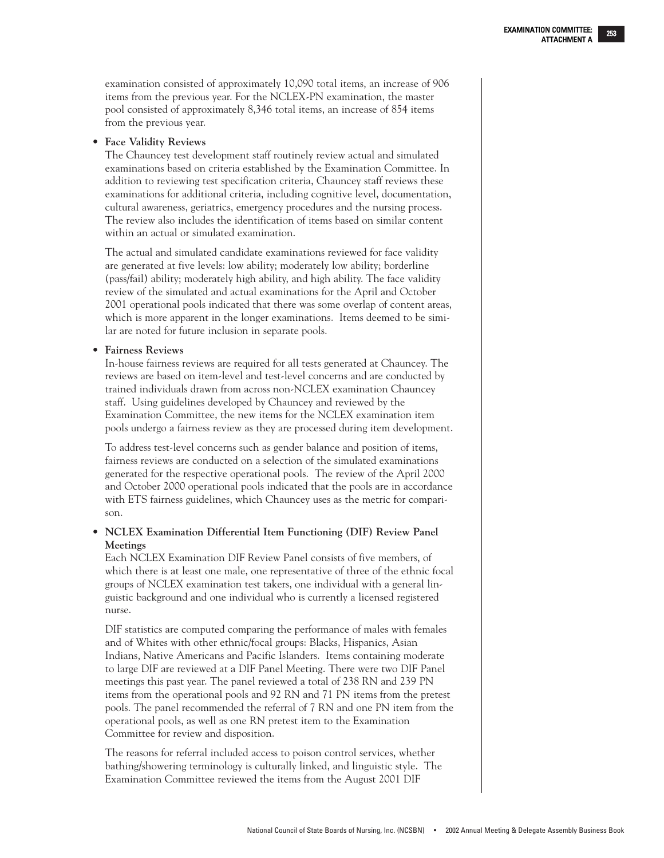examination consisted of approximately 10,090 total items, an increase of 906 items from the previous year. For the NCLEX-PN examination, the master pool consisted of approximately 8,346 total items, an increase of 854 items from the previous year.

#### • **Face Validity Reviews**

The Chauncey test development staff routinely review actual and simulated examinations based on criteria established by the Examination Committee. In addition to reviewing test specification criteria, Chauncey staff reviews these examinations for additional criteria, including cognitive level, documentation, cultural awareness, geriatrics, emergency procedures and the nursing process. The review also includes the identification of items based on similar content within an actual or simulated examination.

The actual and simulated candidate examinations reviewed for face validity are generated at five levels: low ability; moderately low ability; borderline (pass/fail) ability; moderately high ability, and high ability. The face validity review of the simulated and actual examinations for the April and October 2001 operational pools indicated that there was some overlap of content areas, which is more apparent in the longer examinations. Items deemed to be similar are noted for future inclusion in separate pools.

#### • **Fairness Reviews**

In-house fairness reviews are required for all tests generated at Chauncey. The reviews are based on item-level and test-level concerns and are conducted by trained individuals drawn from across non-NCLEX examination Chauncey staff. Using guidelines developed by Chauncey and reviewed by the Examination Committee, the new items for the NCLEX examination item pools undergo a fairness review as they are processed during item development.

To address test-level concerns such as gender balance and position of items, fairness reviews are conducted on a selection of the simulated examinations generated for the respective operational pools. The review of the April 2000 and October 2000 operational pools indicated that the pools are in accordance with ETS fairness guidelines, which Chauncey uses as the metric for comparison.

#### • **NCLEX Examination Differential Item Functioning (DIF) Review Panel Meetings**

Each NCLEX Examination DIF Review Panel consists of five members, of which there is at least one male, one representative of three of the ethnic focal groups of NCLEX examination test takers, one individual with a general linguistic background and one individual who is currently a licensed registered nurse.

DIF statistics are computed comparing the performance of males with females and of Whites with other ethnic/focal groups: Blacks, Hispanics, Asian Indians, Native Americans and Pacific Islanders. Items containing moderate to large DIF are reviewed at a DIF Panel Meeting. There were two DIF Panel meetings this past year. The panel reviewed a total of 238 RN and 239 PN items from the operational pools and 92 RN and 71 PN items from the pretest pools. The panel recommended the referral of 7 RN and one PN item from the operational pools, as well as one RN pretest item to the Examination Committee for review and disposition.

The reasons for referral included access to poison control services, whether bathing/showering terminology is culturally linked, and linguistic style. The Examination Committee reviewed the items from the August 2001 DIF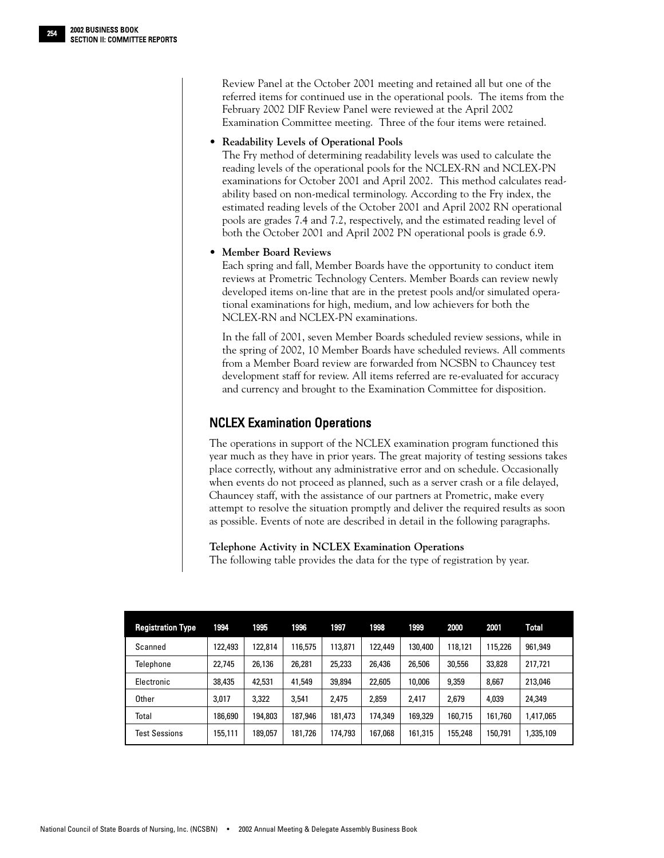Review Panel at the October 2001 meeting and retained all but one of the referred items for continued use in the operational pools. The items from the February 2002 DIF Review Panel were reviewed at the April 2002 Examination Committee meeting. Three of the four items were retained.

#### • **Readability Levels of Operational Pools**

The Fry method of determining readability levels was used to calculate the reading levels of the operational pools for the NCLEX-RN and NCLEX-PN examinations for October 2001 and April 2002. This method calculates readability based on non-medical terminology. According to the Fry index, the estimated reading levels of the October 2001 and April 2002 RN operational pools are grades 7.4 and 7.2, respectively, and the estimated reading level of both the October 2001 and April 2002 PN operational pools is grade 6.9.

#### • **Member Board Reviews**

Each spring and fall, Member Boards have the opportunity to conduct item reviews at Prometric Technology Centers. Member Boards can review newly developed items on-line that are in the pretest pools and/or simulated operational examinations for high, medium, and low achievers for both the NCLEX-RN and NCLEX-PN examinations.

In the fall of 2001, seven Member Boards scheduled review sessions, while in the spring of 2002, 10 Member Boards have scheduled reviews. All comments from a Member Board review are forwarded from NCSBN to Chauncey test development staff for review. All items referred are re-evaluated for accuracy and currency and brought to the Examination Committee for disposition.

### NCLEX Examination Operations

The operations in support of the NCLEX examination program functioned this year much as they have in prior years. The great majority of testing sessions takes place correctly, without any administrative error and on schedule. Occasionally when events do not proceed as planned, such as a server crash or a file delayed, Chauncey staff, with the assistance of our partners at Prometric, make every attempt to resolve the situation promptly and deliver the required results as soon as possible. Events of note are described in detail in the following paragraphs.

#### **Telephone Activity in NCLEX Examination Operations**

The following table provides the data for the type of registration by year.

| <b>Registration Type</b> | 1994    | 1995    | 1996    | 1997    | 1998    | 1999    | 2000    | 2001    | Total     |
|--------------------------|---------|---------|---------|---------|---------|---------|---------|---------|-----------|
| Scanned                  | 122.493 | 122.814 | 116.575 | 113.871 | 122.449 | 130,400 | 118.121 | 115.226 | 961.949   |
| Telephone                | 22.745  | 26,136  | 26,281  | 25,233  | 26,436  | 26,506  | 30,556  | 33,828  | 217,721   |
| Electronic               | 38,435  | 42,531  | 41,549  | 39,894  | 22,605  | 10,006  | 9,359   | 8,667   | 213,046   |
| Other                    | 3.017   | 3.322   | 3.541   | 2.475   | 2.859   | 2,417   | 2,679   | 4.039   | 24,349    |
| Total                    | 186.690 | 194,803 | 187,946 | 181.473 | 174.349 | 169,329 | 160,715 | 161,760 | 1,417,065 |
| <b>Test Sessions</b>     | 155,111 | 189,057 | 181,726 | 174,793 | 167.068 | 161,315 | 155,248 | 150,791 | 1,335,109 |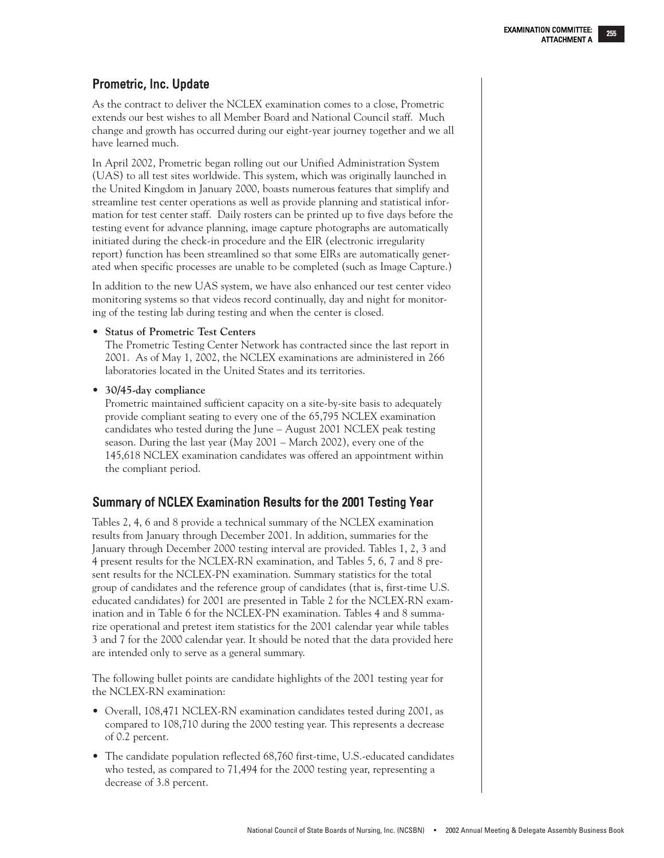### Prometric, Inc. Update

As the contract to deliver the NCLEX examination comes to a close, Prometric extends our best wishes to all Member Board and National Council staff. Much change and growth has occurred during our eight-year journey together and we all have learned much.

In April 2002, Prometric began rolling out our Unified Administration System (UAS) to all test sites worldwide. This system, which was originally launched in the United Kingdom in January 2000, boasts numerous features that simplify and streamline test center operations as well as provide planning and statistical information for test center staff. Daily rosters can be printed up to five days before the testing event for advance planning, image capture photographs are automatically initiated during the check-in procedure and the EIR (electronic irregularity report) function has been streamlined so that some EIRs are automatically generated when specific processes are unable to be completed (such as Image Capture.)

In addition to the new UAS system, we have also enhanced our test center video monitoring systems so that videos record continually, day and night for monitoring of the testing lab during testing and when the center is closed.

#### • **Status of Prometric Test Centers**

The Prometric Testing Center Network has contracted since the last report in 2001. As of May 1, 2002, the NCLEX examinations are administered in 266 laboratories located in the United States and its territories.

• **30/45-day compliance**

Prometric maintained sufficient capacity on a site-by-site basis to adequately provide compliant seating to every one of the 65,795 NCLEX examination candidates who tested during the June – August 2001 NCLEX peak testing season. During the last year (May 2001 – March 2002), every one of the 145,618 NCLEX examination candidates was offered an appointment within the compliant period.

### Summary of NCLEX Examination Results for the 2001 Testing Year

Tables 2, 4, 6 and 8 provide a technical summary of the NCLEX examination results from January through December 2001. In addition, summaries for the January through December 2000 testing interval are provided. Tables 1, 2, 3 and 4 present results for the NCLEX-RN examination, and Tables 5, 6, 7 and 8 present results for the NCLEX-PN examination. Summary statistics for the total group of candidates and the reference group of candidates (that is, first-time U.S. educated candidates) for 2001 are presented in Table 2 for the NCLEX-RN examination and in Table 6 for the NCLEX-PN examination. Tables 4 and 8 summarize operational and pretest item statistics for the 2001 calendar year while tables 3 and 7 for the 2000 calendar year. It should be noted that the data provided here are intended only to serve as a general summary.

The following bullet points are candidate highlights of the 2001 testing year for the NCLEX-RN examination:

- Overall, 108,471 NCLEX-RN examination candidates tested during 2001, as compared to 108,710 during the 2000 testing year. This represents a decrease of 0.2 percent.
- The candidate population reflected 68,760 first-time, U.S.-educated candidates who tested, as compared to 71,494 for the 2000 testing year, representing a decrease of 3.8 percent.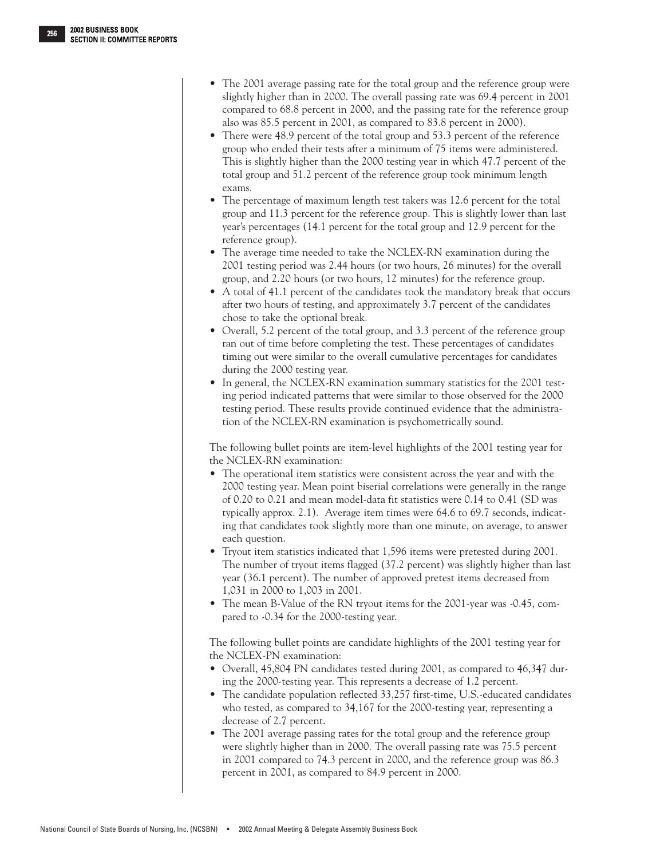- The 2001 average passing rate for the total group and the reference group were slightly higher than in 2000. The overall passing rate was 69.4 percent in 2001 compared to 68.8 percent in 2000, and the passing rate for the reference group also was 85.5 percent in 2001, as compared to 83.8 percent in 2000).
- There were 48.9 percent of the total group and 53.3 percent of the reference group who ended their tests after a minimum of 75 items were administered. This is slightly higher than the 2000 testing year in which 47.7 percent of the total group and 51.2 percent of the reference group took minimum length exams.
- The percentage of maximum length test takers was 12.6 percent for the total group and 11.3 percent for the reference group. This is slightly lower than last year's percentages (14.1 percent for the total group and 12.9 percent for the reference group).
- The average time needed to take the NCLEX-RN examination during the 2001 testing period was 2.44 hours (or two hours, 26 minutes) for the overall group, and 2.20 hours (or two hours, 12 minutes) for the reference group.
- A total of 41.1 percent of the candidates took the mandatory break that occurs after two hours of testing, and approximately 3.7 percent of the candidates chose to take the optional break.
- Overall, 5.2 percent of the total group, and 3.3 percent of the reference group ran out of time before completing the test. These percentages of candidates timing out were similar to the overall cumulative percentages for candidates during the 2000 testing year.
- In general, the NCLEX-RN examination summary statistics for the 2001 testing period indicated patterns that were similar to those observed for the 2000 testing period. These results provide continued evidence that the administration of the NCLEX-RN examination is psychometrically sound.

The following bullet points are item-level highlights of the 2001 testing year for the NCLEX-RN examination:

- The operational item statistics were consistent across the year and with the 2000 testing year. Mean point biserial correlations were generally in the range of 0.20 to 0.21 and mean model-data fit statistics were 0.14 to 0.41 (SD was typically approx. 2.1). Average item times were 64.6 to 69.7 seconds, indicating that candidates took slightly more than one minute, on average, to answer each question.
- Tryout item statistics indicated that 1,596 items were pretested during 2001. The number of tryout items flagged (37.2 percent) was slightly higher than last year (36.1 percent). The number of approved pretest items decreased from 1,031 in 2000 to 1,003 in 2001.
- The mean B-Value of the RN tryout items for the 2001-year was -0.45, compared to -0.34 for the 2000-testing year.

The following bullet points are candidate highlights of the 2001 testing year for the NCLEX-PN examination:

- Overall, 45,804 PN candidates tested during 2001, as compared to 46,347 during the 2000-testing year. This represents a decrease of 1.2 percent.
- The candidate population reflected 33,257 first-time, U.S.-educated candidates who tested, as compared to 34,167 for the 2000-testing year, representing a decrease of 2.7 percent.
- The 2001 average passing rates for the total group and the reference group were slightly higher than in 2000. The overall passing rate was 75.5 percent in 2001 compared to 74.3 percent in 2000, and the reference group was 86.3 percent in 2001, as compared to 84.9 percent in 2000.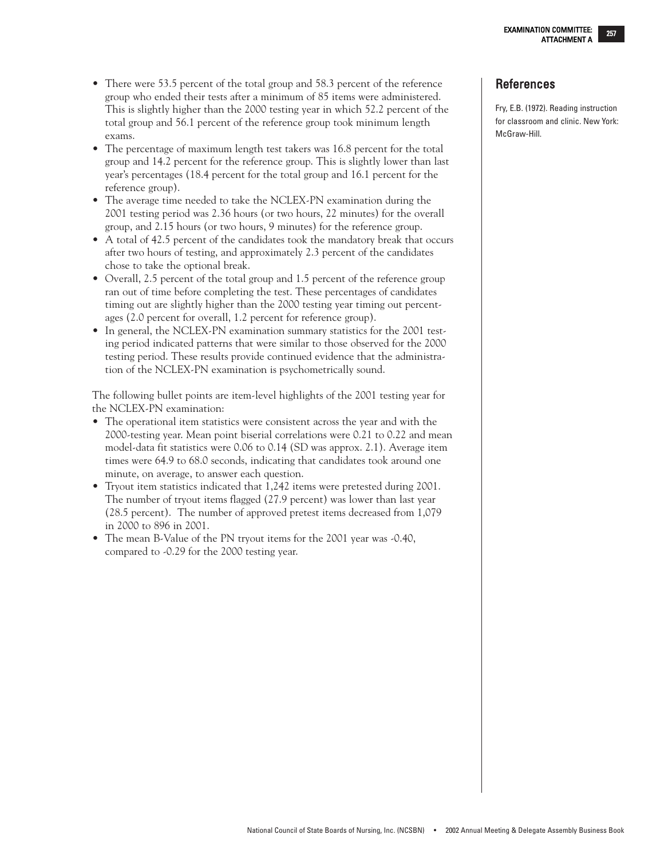- There were 53.5 percent of the total group and 58.3 percent of the reference group who ended their tests after a minimum of 85 items were administered. This is slightly higher than the 2000 testing year in which 52.2 percent of the total group and 56.1 percent of the reference group took minimum length exams.
- The percentage of maximum length test takers was 16.8 percent for the total group and 14.2 percent for the reference group. This is slightly lower than last year's percentages (18.4 percent for the total group and 16.1 percent for the reference group).
- The average time needed to take the NCLEX-PN examination during the 2001 testing period was 2.36 hours (or two hours, 22 minutes) for the overall group, and 2.15 hours (or two hours, 9 minutes) for the reference group.
- A total of 42.5 percent of the candidates took the mandatory break that occurs after two hours of testing, and approximately 2.3 percent of the candidates chose to take the optional break.
- Overall, 2.5 percent of the total group and 1.5 percent of the reference group ran out of time before completing the test. These percentages of candidates timing out are slightly higher than the 2000 testing year timing out percentages (2.0 percent for overall, 1.2 percent for reference group).
- In general, the NCLEX-PN examination summary statistics for the 2001 testing period indicated patterns that were similar to those observed for the 2000 testing period. These results provide continued evidence that the administration of the NCLEX-PN examination is psychometrically sound.

The following bullet points are item-level highlights of the 2001 testing year for the NCLEX-PN examination:

- The operational item statistics were consistent across the year and with the 2000-testing year. Mean point biserial correlations were 0.21 to 0.22 and mean model-data fit statistics were 0.06 to 0.14 (SD was approx. 2.1). Average item times were 64.9 to 68.0 seconds, indicating that candidates took around one minute, on average, to answer each question.
- Tryout item statistics indicated that 1,242 items were pretested during 2001. The number of tryout items flagged (27.9 percent) was lower than last year (28.5 percent). The number of approved pretest items decreased from 1,079 in 2000 to 896 in 2001.
- The mean B-Value of the PN tryout items for the 2001 year was -0.40, compared to -0.29 for the 2000 testing year.

### **References**

Fry, E.B. (1972). Reading instruction for classroom and clinic. New York: McGraw-Hill.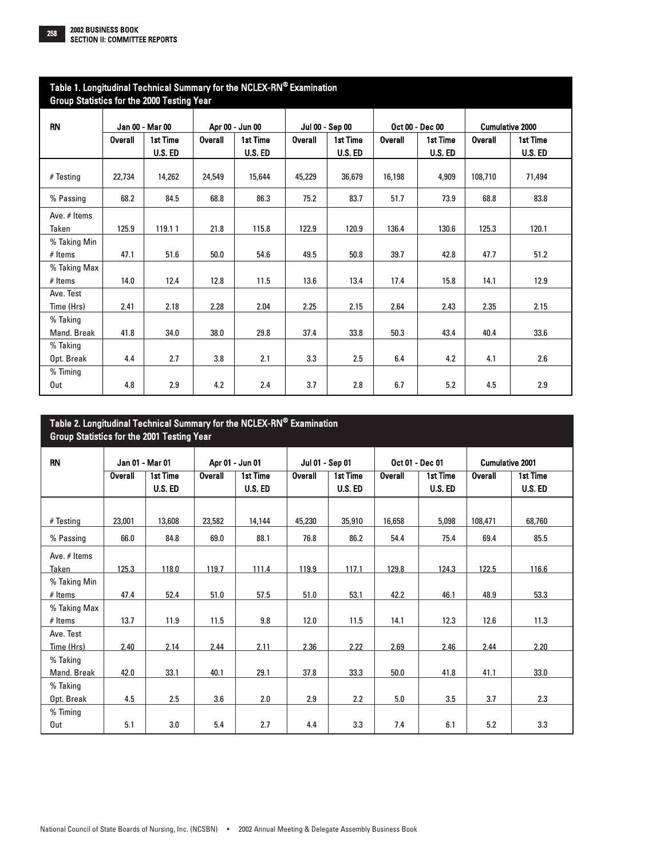| Table 1. Longitudinal Technical Summary for the NCLEX-RN® Examination<br><b>Group Statistics for the 2000 Testing Year</b> |                |                     |                |                     |                 |                     |                |                     |                 |                     |
|----------------------------------------------------------------------------------------------------------------------------|----------------|---------------------|----------------|---------------------|-----------------|---------------------|----------------|---------------------|-----------------|---------------------|
| <b>RN</b>                                                                                                                  |                | Jan 00 - Mar 00     |                | Apr 00 - Jun 00     | Jul 00 - Sep 00 |                     |                | Oct 00 - Dec 00     | Cumulative 2000 |                     |
|                                                                                                                            | <b>Overall</b> | 1st Time<br>U.S. ED | <b>Overall</b> | 1st Time<br>U.S. ED | <b>Overall</b>  | 1st Time<br>U.S. ED | <b>Overall</b> | 1st Time<br>U.S. ED | <b>Overall</b>  | 1st Time<br>U.S. ED |
| # Testing                                                                                                                  | 22,734         | 14,262              | 24,549         | 15,644              | 45,229          | 36,679              | 16,198         | 4,909               | 108,710         | 71,494              |
| % Passing                                                                                                                  | 68.2           | 84.5                | 68.8           | 86.3                | 75.2            | 83.7                | 51.7           | 73.9                | 68.8            | 83.8                |
| Ave. # Items<br>Taken                                                                                                      | 125.9          | 119.11              | 21.8           | 115.8               | 122.9           | 120.9               | 136.4          | 130.6               | 125.3           | 120.1               |
| % Taking Min<br>$#$ Items                                                                                                  | 47.1           | 51.6                | 50.0           | 54.6                | 49.5            | 50.8                | 39.7           | 42.8                | 47.7            | 51.2                |
| % Taking Max<br>$#$ Items                                                                                                  | 14.0           | 12.4                | 12.8           | 11.5                | 13.6            | 13.4                | 17.4           | 15.8                | 14.1            | 12.9                |
| Ave. Test<br>Time (Hrs)                                                                                                    | 2.41           | 2.18                | 2.28           | 2.04                | 2.25            | 2.15                | 2.64           | 2.43                | 2.35            | 2.15                |
| % Taking<br>Mand, Break                                                                                                    | 41.8           | 34.0                | 38.0           | 29.8                | 37.4            | 33.8                | 50.3           | 43.4                | 40.4            | 33.6                |
| % Taking<br>Opt. Break                                                                                                     | 4.4            | 2.7                 | 3.8            | 2.1                 | 3.3             | 2.5                 | 6.4            | 4.2                 | 4.1             | 2.6                 |
| % Timing<br>Out                                                                                                            | 4.8            | 2.9                 | 4.2            | 2.4                 | 3.7             | 2.8                 | 6.7            | 5.2                 | 4.5             | 2.9                 |

| Table 2. Longitudinal Technical Summary for the NCLEX-RN® Examination<br><b>Group Statistics for the 2001 Testing Year</b> |                 |          |                 |          |                 |          |                 |          |                        |          |
|----------------------------------------------------------------------------------------------------------------------------|-----------------|----------|-----------------|----------|-----------------|----------|-----------------|----------|------------------------|----------|
| <b>RN</b>                                                                                                                  | Jan 01 - Mar 01 |          | Apr 01 - Jun 01 |          | Jul 01 - Sep 01 |          | Oct 01 - Dec 01 |          | <b>Cumulative 2001</b> |          |
|                                                                                                                            | Overall         | 1st Time | <b>Overall</b>  | 1st Time | <b>Overall</b>  | 1st Time | <b>Overall</b>  | 1st Time | <b>Overall</b>         | 1st Time |
|                                                                                                                            |                 | U.S. ED  |                 | U.S. ED  |                 | U.S. ED  |                 | U.S. ED  |                        | U.S. ED  |
|                                                                                                                            |                 |          |                 |          |                 |          |                 |          |                        |          |
| $#$ Testing                                                                                                                | 23,001          | 13,608   | 23,582          | 14,144   | 45,230          | 35,910   | 16,658          | 5,098    | 108,471                | 68,760   |
| % Passing                                                                                                                  | 66.0            | 84.8     | 69.0            | 88.1     | 76.8            | 86.2     | 54.4            | 75.4     | 69.4                   | 85.5     |
| Ave. # Items                                                                                                               |                 |          |                 |          |                 |          |                 |          |                        |          |
| Taken                                                                                                                      | 125.3           | 118.0    | 119.7           | 111.4    | 119.9           | 117.1    | 129.8           | 124.3    | 122.5                  | 116.6    |
| % Taking Min                                                                                                               |                 |          |                 |          |                 |          |                 |          |                        |          |
| # Items                                                                                                                    | 47.4            | 52.4     | 51.0            | 57.5     | 51.0            | 53.1     | 42.2            | 46.1     | 48.9                   | 53.3     |
| % Taking Max                                                                                                               |                 |          |                 |          |                 |          |                 |          |                        |          |
| $#$ Items                                                                                                                  | 13.7            | 11.9     | 11.5            | 9.8      | 12.0            | 11.5     | 14.1            | 12.3     | 12.6                   | 11.3     |
| Ave. Test                                                                                                                  |                 |          |                 |          |                 |          |                 |          |                        |          |
| Time (Hrs)                                                                                                                 | 2.40            | 2.14     | 2.44            | 2.11     | 2.36            | 2.22     | 2.69            | 2.46     | 2.44                   | 2.20     |
| % Taking                                                                                                                   |                 |          |                 |          |                 |          |                 |          |                        |          |
| Mand, Break                                                                                                                | 42.0            | 33.1     | 40.1            | 29.1     | 37.8            | 33.3     | 50.0            | 41.8     | 41.1                   | 33.0     |
| % Taking                                                                                                                   |                 |          |                 |          |                 |          |                 |          |                        |          |
| Opt. Break                                                                                                                 | 4.5             | 2.5      | 3.6             | 2.0      | 2.9             | 2.2      | 5.0             | 3.5      | 3.7                    | 2.3      |
| $%$ Timing                                                                                                                 |                 |          |                 |          |                 |          |                 |          |                        |          |
| Out                                                                                                                        | 5.1             | 3.0      | 5.4             | 2.7      | 4.4             | 3.3      | 7.4             | 6.1      | 5.2                    | 3.3      |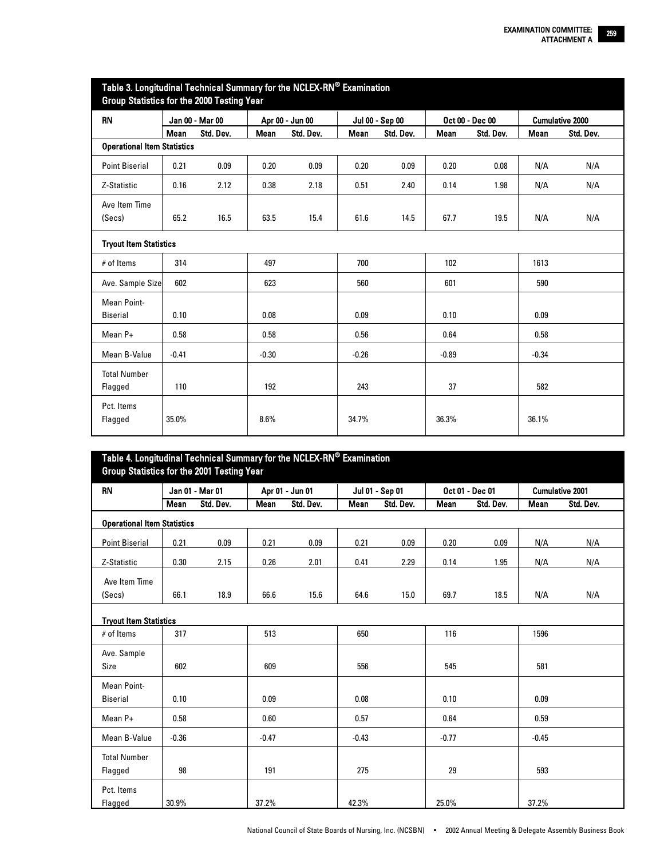| <b>RN</b>                             |         | Jan 00 - Mar 00 |         | Apr 00 - Jun 00 |         | Jul 00 - Sep 00 |         | Oct 00 - Dec 00 |         | <b>Cumulative 2000</b> |
|---------------------------------------|---------|-----------------|---------|-----------------|---------|-----------------|---------|-----------------|---------|------------------------|
|                                       | Mean    | Std. Dev.       | Mean    | Std. Dev.       | Mean    | Std. Dev.       | Mean    | Std. Dev.       | Mean    | Std. Dev.              |
| <b>Operational Item Statistics</b>    |         |                 |         |                 |         |                 |         |                 |         |                        |
| <b>Point Biserial</b>                 | 0.21    | 0.09            | 0.20    | 0.09            | 0.20    | 0.09            | 0.20    | 0.08            | N/A     | N/A                    |
| Z-Statistic                           | 0.16    | 2.12            | 0.38    | 2.18            | 0.51    | 2.40            | 0.14    | 1.98            | N/A     | N/A                    |
| Ave Item Time<br>(Secs)               | 65.2    | 16.5            | 63.5    | 15.4            | 61.6    | 14.5            | 67.7    | 19.5            | N/A     | N/A                    |
| <b>Tryout Item Statistics</b>         |         |                 |         |                 |         |                 |         |                 |         |                        |
| $#$ of Items                          | 314     |                 | 497     |                 | 700     |                 | 102     |                 | 1613    |                        |
| Ave. Sample Size                      | 602     |                 | 623     |                 | 560     |                 | 601     |                 | 590     |                        |
| <b>Mean Point-</b><br><b>Biserial</b> | 0.10    |                 | 0.08    |                 | 0.09    |                 | 0.10    |                 | 0.09    |                        |
| Mean P+                               | 0.58    |                 | 0.58    |                 | 0.56    |                 | 0.64    |                 | 0.58    |                        |
| Mean B-Value                          | $-0.41$ |                 | $-0.30$ |                 | $-0.26$ |                 | $-0.89$ |                 | $-0.34$ |                        |
| <b>Total Number</b><br>Flagged        | 110     |                 | 192     |                 | 243     |                 | 37      |                 | 582     |                        |
| Pct. Items<br>Flagged                 | 35.0%   |                 | 8.6%    |                 | 34.7%   |                 | 36.3%   |                 | 36.1%   |                        |

| Table 4. Longitudinal Technical Summary for the NCLEX-RN® Examination<br>Group Statistics for the 2001 Testing Year |             |                 |             |                 |             |                 |             |                 |             |                        |
|---------------------------------------------------------------------------------------------------------------------|-------------|-----------------|-------------|-----------------|-------------|-----------------|-------------|-----------------|-------------|------------------------|
| <b>RN</b>                                                                                                           |             | Jan 01 - Mar 01 |             | Apr 01 - Jun 01 |             | Jul 01 - Sep 01 |             | Oct 01 - Dec 01 |             | <b>Cumulative 2001</b> |
|                                                                                                                     | <b>Mean</b> | Std. Dev.       | <b>Mean</b> | Std. Dev.       | <b>Mean</b> | Std. Dev.       | <b>Mean</b> | Std. Dev.       | <b>Mean</b> | Std. Dev.              |
| <b>Operational Item Statistics</b>                                                                                  |             |                 |             |                 |             |                 |             |                 |             |                        |
| <b>Point Biserial</b>                                                                                               | 0.21        | 0.09            | 0.21        | 0.09            | 0.21        | 0.09            | 0.20        | 0.09            | N/A         | N/A                    |
| Z-Statistic                                                                                                         | 0.30        | 2.15            | 0.26        | 2.01            | 0.41        | 2.29            | 0.14        | 1.95            | N/A         | N/A                    |
| Ave Item Time                                                                                                       |             |                 |             |                 |             |                 |             |                 |             |                        |
| (Secs)                                                                                                              | 66.1        | 18.9            | 66.6        | 15.6            | 64.6        | 15.0            | 69.7        | 18.5            | N/A         | N/A                    |
| <b>Tryout Item Statistics</b>                                                                                       |             |                 |             |                 |             |                 |             |                 |             |                        |
| $#$ of Items                                                                                                        | 317         |                 | 513         |                 | 650         |                 | 116         |                 | 1596        |                        |
| Ave. Sample<br>Size                                                                                                 | 602         |                 | 609         |                 | 556         |                 | 545         |                 | 581         |                        |
| <b>Mean Point-</b><br><b>Biserial</b>                                                                               | 0.10        |                 | 0.09        |                 | 0.08        |                 | 0.10        |                 | 0.09        |                        |
| Mean P+                                                                                                             | 0.58        |                 | 0.60        |                 | 0.57        |                 | 0.64        |                 | 0.59        |                        |
| Mean B-Value                                                                                                        | $-0.36$     |                 | $-0.47$     |                 | $-0.43$     |                 | $-0.77$     |                 | $-0.45$     |                        |
| <b>Total Number</b><br>Flagged                                                                                      | 98          |                 | 191         |                 | 275         |                 | 29          |                 | 593         |                        |
| Pct. Items<br>Flagged                                                                                               | 30.9%       |                 | 37.2%       |                 | 42.3%       |                 | 25.0%       |                 | 37.2%       |                        |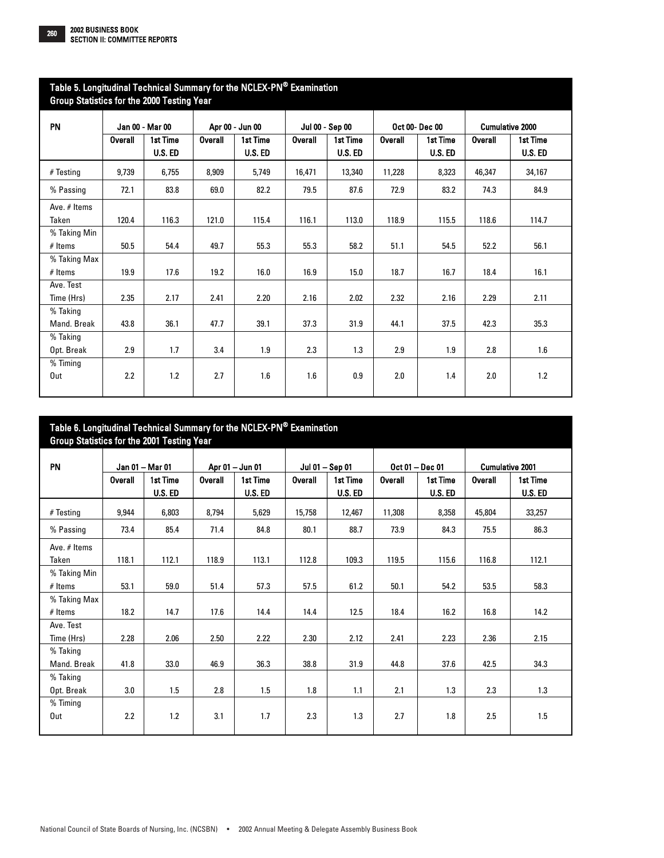| Table 5. Longitudinal Technical Summary for the NCLEX-PN® Examination<br>Group Statistics for the 2000 Testing Year |                                       |                 |                 |                     |                 |                     |                |                     |                        |                     |
|---------------------------------------------------------------------------------------------------------------------|---------------------------------------|-----------------|-----------------|---------------------|-----------------|---------------------|----------------|---------------------|------------------------|---------------------|
| <b>PN</b>                                                                                                           |                                       | Jan 00 - Mar 00 | Apr 00 - Jun 00 |                     | Jul 00 - Sep 00 |                     | Oct 00-Dec 00  |                     | <b>Cumulative 2000</b> |                     |
|                                                                                                                     | 1st Time<br><b>Overall</b><br>U.S. ED |                 | <b>Overall</b>  | 1st Time<br>U.S. ED | <b>Overall</b>  | 1st Time<br>U.S. ED | <b>Overall</b> | 1st Time<br>U.S. ED | <b>Overall</b>         | 1st Time<br>U.S. ED |
| $#$ Testing                                                                                                         | 9.739                                 | 6.755           | 8.909           | 5,749               | 16,471          | 13,340              | 11.228         | 8.323               | 46,347                 | 34,167              |
| % Passing                                                                                                           | 72.1                                  | 83.8            | 69.0            | 82.2                | 79.5            | 87.6                | 72.9           | 83.2                | 74.3                   | 84.9                |
| Ave. # Items<br>Taken                                                                                               | 120.4                                 | 116.3           | 121.0           | 115.4               | 116.1           | 113.0               | 118.9          | 115.5               | 118.6                  | 114.7               |
| % Taking Min<br># Items                                                                                             | 50.5                                  | 54.4            | 49.7            | 55.3                | 55.3            | 58.2                | 51.1           | 54.5                | 52.2                   | 56.1                |
| % Taking Max<br># Items                                                                                             | 19.9                                  | 17.6            | 19.2            | 16.0                | 16.9            | 15.0                | 18.7           | 16.7                | 18.4                   | 16.1                |
| Ave. Test<br>Time (Hrs)                                                                                             | 2.35                                  | 2.17            | 2.41            | 2.20                | 2.16            | 2.02                | 2.32           | 2.16                | 2.29                   | 2.11                |
| % Taking<br>Mand, Break                                                                                             | 43.8                                  | 36.1            | 47.7            | 39.1                | 37.3            | 31.9                | 44.1           | 37.5                | 42.3                   | 35.3                |
| % Taking<br>Opt. Break                                                                                              | 2.9                                   | 1.7             | 3.4             | 1.9                 | 2.3             | 1.3                 | 2.9            | 1.9                 | 2.8                    | 1.6                 |
| % Timing<br>Out                                                                                                     | 2.2                                   | 1.2             | 2.7             | 1.6                 | 1.6             | 0.9                 | 2.0            | 1.4                 | 2.0                    | 1.2                 |

| Table 6. Longitudinal Technical Summary for the NCLEX-PN® Examination<br>Group Statistics for the 2001 Testing Year |                |                     |                 |                     |                 |                     |                |                     |                        |                     |
|---------------------------------------------------------------------------------------------------------------------|----------------|---------------------|-----------------|---------------------|-----------------|---------------------|----------------|---------------------|------------------------|---------------------|
| <b>PN</b>                                                                                                           |                | Jan 01 - Mar 01     | Apr 01 - Jun 01 |                     | Jul 01 - Sep 01 |                     |                | Oct 01 - Dec 01     | <b>Cumulative 2001</b> |                     |
|                                                                                                                     | <b>Overall</b> | 1st Time<br>U.S. ED |                 | 1st Time<br>U.S. ED | <b>Overall</b>  | 1st Time<br>U.S. ED | <b>Overall</b> | 1st Time<br>U.S. ED | <b>Overall</b>         | 1st Time<br>U.S. ED |
| # Testing                                                                                                           | 9,944          | 6,803               | 8,794           | 5,629               | 15,758          | 12,467              | 11,308         | 8,358               | 45,804                 | 33,257              |
| % Passing                                                                                                           | 73.4           | 85.4                | 71.4            | 84.8                | 80.1            | 88.7                | 73.9           | 84.3                | 75.5                   | 86.3                |
| Ave. # Items<br>Taken                                                                                               | 118.1          | 112.1               | 118.9           | 113.1               | 112.8           | 109.3               | 119.5          | 115.6               | 116.8                  | 112.1               |
| % Taking Min<br>$#$ Items                                                                                           | 53.1           | 59.0                | 51.4            | 57.3                | 57.5            | 61.2                | 50.1           | 54.2                | 53.5                   | 58.3                |
| % Taking Max<br>$#$ Items                                                                                           | 18.2           | 14.7                | 17.6            | 14.4                | 14.4            | 12.5                | 18.4           | 16.2                | 16.8                   | 14.2                |
| Ave. Test<br>Time (Hrs)                                                                                             | 2.28           | 2.06                | 2.50            | 2.22                | 2.30            | 2.12                | 2.41           | 2.23                | 2.36                   | 2.15                |
| % Taking<br>Mand, Break                                                                                             | 41.8           | 33.0                | 46.9            | 36.3                | 38.8            | 31.9                | 44.8           | 37.6                | 42.5                   | 34.3                |
| % Taking<br>Opt. Break                                                                                              | 3.0            | 1.5                 | 2.8             | 1.5                 | 1.8             | 1.1                 | 2.1            | 1.3                 | 2.3                    | 1.3                 |
| % Timing<br>Out                                                                                                     | 2.2            | 1.2                 | 3.1             | 1.7                 | 2.3             | 1.3                 | 2.7            | 1.8                 | 2.5                    | 1.5                 |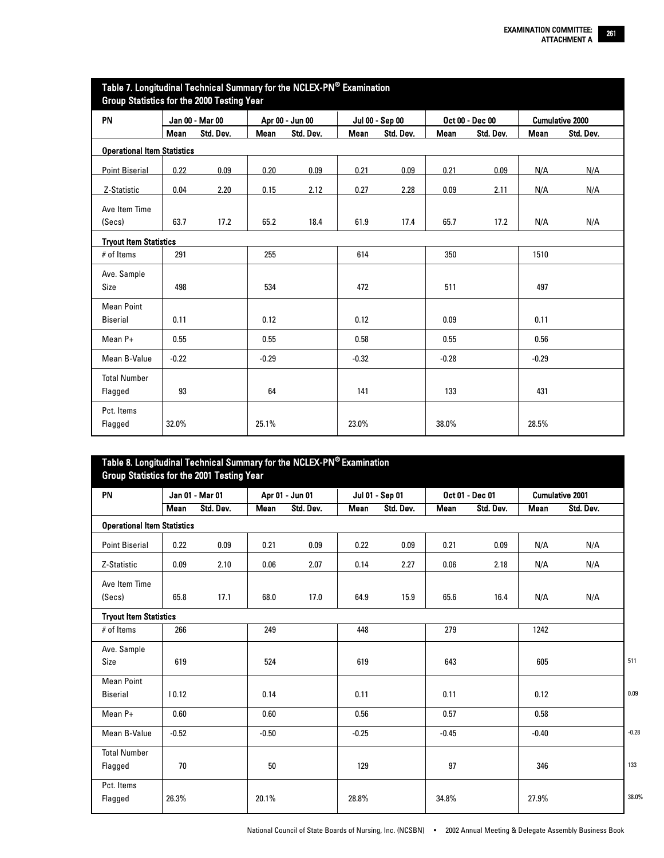| Table 7. Longitudinal Technical Summary for the NCLEX-PN® Examination<br>Group Statistics for the 2000 Testing Year |         |                 |         |                 |         |                 |         |                 |         |                        |
|---------------------------------------------------------------------------------------------------------------------|---------|-----------------|---------|-----------------|---------|-----------------|---------|-----------------|---------|------------------------|
| <b>PN</b>                                                                                                           |         | Jan 00 - Mar 00 |         | Apr 00 - Jun 00 |         | Jul 00 - Sep 00 |         | Oct 00 - Dec 00 |         | <b>Cumulative 2000</b> |
|                                                                                                                     | Mean    | Std. Dev.       | Mean    | Std. Dev.       | Mean    | Std. Dev.       | Mean    | Std. Dev.       | Mean    | Std. Dev.              |
| <b>Operational Item Statistics</b>                                                                                  |         |                 |         |                 |         |                 |         |                 |         |                        |
| <b>Point Biserial</b>                                                                                               | 0.22    | 0.09            | 0.20    | 0.09            | 0.21    | 0.09            | 0.21    | 0.09            | N/A     | N/A                    |
| Z-Statistic                                                                                                         | 0.04    | 2.20            | 0.15    | 2.12            | 0.27    | 2.28            | 0.09    | 2.11            | N/A     | N/A                    |
| Ave Item Time                                                                                                       |         |                 |         |                 |         |                 |         |                 |         |                        |
| (Secs)                                                                                                              | 63.7    | 17.2            | 65.2    | 18.4            | 61.9    | 17.4            | 65.7    | 17.2            | N/A     | N/A                    |
| <b>Tryout Item Statistics</b>                                                                                       |         |                 |         |                 |         |                 |         |                 |         |                        |
| $#$ of Items                                                                                                        | 291     |                 | 255     |                 | 614     |                 | 350     |                 | 1510    |                        |
| Ave. Sample                                                                                                         |         |                 |         |                 |         |                 |         |                 |         |                        |
| Size                                                                                                                | 498     |                 | 534     |                 | 472     |                 | 511     |                 | 497     |                        |
| <b>Mean Point</b>                                                                                                   |         |                 |         |                 |         |                 |         |                 |         |                        |
| <b>Biserial</b>                                                                                                     | 0.11    |                 | 0.12    |                 | 0.12    |                 | 0.09    |                 | 0.11    |                        |
| Mean P+                                                                                                             | 0.55    |                 | 0.55    |                 | 0.58    |                 | 0.55    |                 | 0.56    |                        |
| Mean B-Value                                                                                                        | $-0.22$ |                 | $-0.29$ |                 | $-0.32$ |                 | $-0.28$ |                 | $-0.29$ |                        |
| <b>Total Number</b>                                                                                                 |         |                 |         |                 |         |                 |         |                 |         |                        |
| Flagged                                                                                                             | 93      |                 | 64      |                 | 141     |                 | 133     |                 | 431     |                        |
| Pct. Items                                                                                                          |         |                 |         |                 |         |                 |         |                 |         |                        |
| Flagged                                                                                                             | 32.0%   |                 | 25.1%   |                 | 23.0%   |                 | 38.0%   |                 | 28.5%   |                        |

| PN                                 |             | Jan 01 - Mar 01 |             | Apr 01 - Jun 01 |             | Jul 01 - Sep 01 |             | Oct 01 - Dec 01 |             | <b>Cumulative 2001</b> |  |
|------------------------------------|-------------|-----------------|-------------|-----------------|-------------|-----------------|-------------|-----------------|-------------|------------------------|--|
|                                    | <b>Mean</b> | Std. Dev.       | <b>Mean</b> | Std. Dev.       | <b>Mean</b> | Std. Dev.       | <b>Mean</b> | Std. Dev.       | <b>Mean</b> | Std. Dev.              |  |
| <b>Operational Item Statistics</b> |             |                 |             |                 |             |                 |             |                 |             |                        |  |
| <b>Point Biserial</b>              | 0.22        | 0.09            | 0.21        | 0.09            | 0.22        | 0.09            | 0.21        | 0.09            | N/A         | N/A                    |  |
| Z-Statistic                        | 0.09        | 2.10            | 0.06        | 2.07            | 0.14        | 2.27            | 0.06        | 2.18            | N/A         | N/A                    |  |
| Ave Item Time<br>(Secs)            | 65.8        | 17.1            | 68.0        | 17.0            | 64.9        | 15.9            | 65.6        | 16.4            | N/A         | N/A                    |  |
| <b>Tryout Item Statistics</b>      |             |                 |             |                 |             |                 |             |                 |             |                        |  |
| $#$ of Items                       | 266         |                 | 249         |                 | 448         |                 | 279         |                 | 1242        |                        |  |
| Ave. Sample<br>Size                | 619         |                 | 524         |                 | 619         |                 | 643         |                 | 605         |                        |  |
| <b>Mean Point</b>                  |             |                 |             |                 |             |                 |             |                 |             |                        |  |
| <b>Biserial</b>                    | 10.12       |                 | 0.14        |                 | 0.11        |                 | 0.11        |                 | 0.12        |                        |  |
| Mean P+                            | 0.60        |                 | 0.60        |                 | 0.56        |                 | 0.57        |                 | 0.58        |                        |  |
| Mean B-Value                       | $-0.52$     |                 | $-0.50$     |                 | $-0.25$     |                 | $-0.45$     |                 | $-0.40$     |                        |  |
| <b>Total Number</b>                |             |                 |             |                 |             |                 |             |                 |             |                        |  |
| Flagged                            | 70          |                 | 50          |                 | 129         |                 | 97          |                 | 346         |                        |  |
| Pct. Items                         |             |                 |             |                 |             |                 |             |                 |             |                        |  |
| Flagged                            | 26.3%       |                 | 20.1%       |                 | 28.8%       |                 | 34.8%       |                 | 27.9%       |                        |  |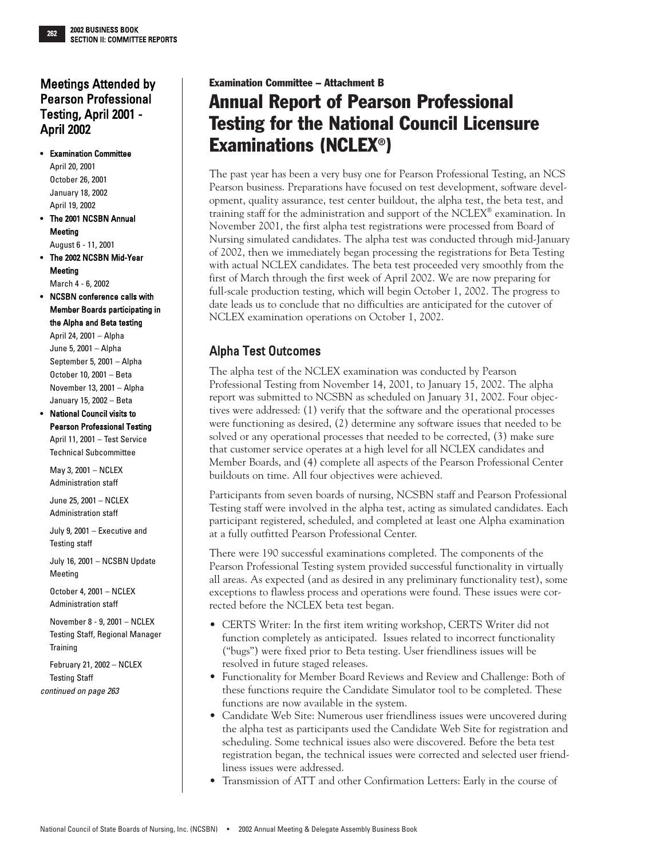### Meetings Attended by Pearson Professional Testing, April 2001 - April 2002

- Examination Committee April 20, 2001 October 26, 2001 January 18, 2002 April 19, 2002
- The 2001 NCSBN Annual **Meeting**

August 6 - 11, 2001

• The 2002 NCSBN Mid-Year Meeting

March 4 - 6, 2002

• NCSBN conference calls with Member Boards participating in the Alpha and Beta testing April 24, 2001 – Alpha June 5, 2001 – Alpha September 5, 2001 – Alpha

October 10, 2001 – Beta November 13, 2001 – Alpha January 15, 2002 – Beta • National Council visits to

Pearson Professional Testing April 11, 2001 – Test Service Technical Subcommittee

May 3, 2001 – NCLEX Administration staff

June 25, 2001 – NCLEX Administration staff

July 9, 2001 – Executive and Testing staff

July 16, 2001 – NCSBN Update Meeting

October 4, 2001 – NCLEX Administration staff

November 8 - 9, 2001 – NCLEX Testing Staff, Regional Manager **Training** 

February 21, 2002 – NCLEX Testing Staff continued on page 263

# Examination Committee – Attachment B Annual Report of Pearson Professional Testing for the National Council Licensure Examinations (NCLEX®)

The past year has been a very busy one for Pearson Professional Testing, an NCS Pearson business. Preparations have focused on test development, software development, quality assurance, test center buildout, the alpha test, the beta test, and training staff for the administration and support of the NCLEX® examination. In November 2001, the first alpha test registrations were processed from Board of Nursing simulated candidates. The alpha test was conducted through mid-January of 2002, then we immediately began processing the registrations for Beta Testing with actual NCLEX candidates. The beta test proceeded very smoothly from the first of March through the first week of April 2002. We are now preparing for full-scale production testing, which will begin October 1, 2002. The progress to date leads us to conclude that no difficulties are anticipated for the cutover of NCLEX examination operations on October 1, 2002.

## Alpha Test Outcomes

The alpha test of the NCLEX examination was conducted by Pearson Professional Testing from November 14, 2001, to January 15, 2002. The alpha report was submitted to NCSBN as scheduled on January 31, 2002. Four objectives were addressed: (1) verify that the software and the operational processes were functioning as desired, (2) determine any software issues that needed to be solved or any operational processes that needed to be corrected, (3) make sure that customer service operates at a high level for all NCLEX candidates and Member Boards, and (4) complete all aspects of the Pearson Professional Center buildouts on time. All four objectives were achieved.

Participants from seven boards of nursing, NCSBN staff and Pearson Professional Testing staff were involved in the alpha test, acting as simulated candidates. Each participant registered, scheduled, and completed at least one Alpha examination at a fully outfitted Pearson Professional Center.

There were 190 successful examinations completed. The components of the Pearson Professional Testing system provided successful functionality in virtually all areas. As expected (and as desired in any preliminary functionality test), some exceptions to flawless process and operations were found. These issues were corrected before the NCLEX beta test began.

- CERTS Writer: In the first item writing workshop, CERTS Writer did not function completely as anticipated. Issues related to incorrect functionality ("bugs") were fixed prior to Beta testing. User friendliness issues will be resolved in future staged releases.
- Functionality for Member Board Reviews and Review and Challenge: Both of these functions require the Candidate Simulator tool to be completed. These functions are now available in the system.
- Candidate Web Site: Numerous user friendliness issues were uncovered during the alpha test as participants used the Candidate Web Site for registration and scheduling. Some technical issues also were discovered. Before the beta test registration began, the technical issues were corrected and selected user friendliness issues were addressed.
- Transmission of ATT and other Confirmation Letters: Early in the course of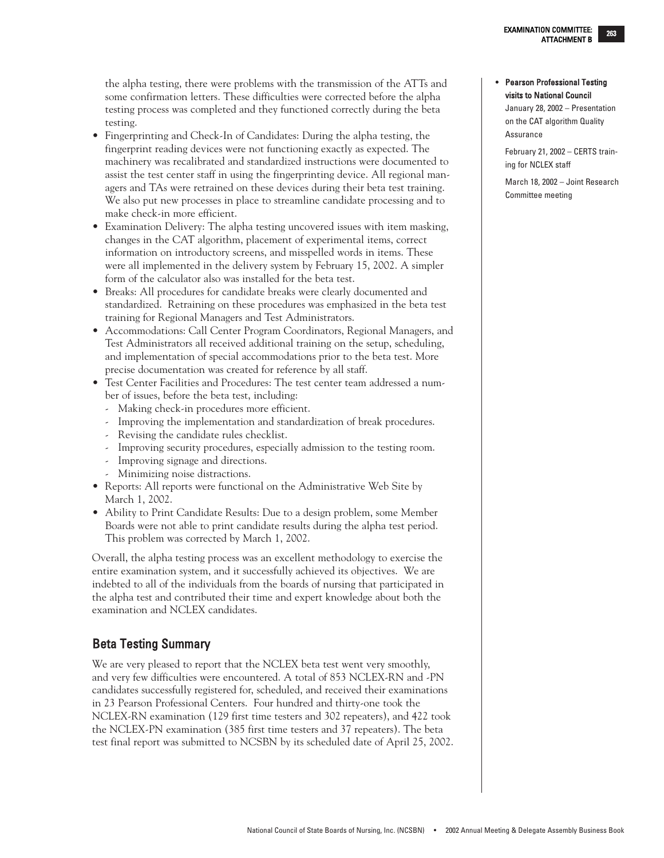the alpha testing, there were problems with the transmission of the ATTs and some confirmation letters. These difficulties were corrected before the alpha testing process was completed and they functioned correctly during the beta testing.

- Fingerprinting and Check-In of Candidates: During the alpha testing, the fingerprint reading devices were not functioning exactly as expected. The machinery was recalibrated and standardized instructions were documented to assist the test center staff in using the fingerprinting device. All regional managers and TAs were retrained on these devices during their beta test training. We also put new processes in place to streamline candidate processing and to make check-in more efficient.
- Examination Delivery: The alpha testing uncovered issues with item masking, changes in the CAT algorithm, placement of experimental items, correct information on introductory screens, and misspelled words in items. These were all implemented in the delivery system by February 15, 2002. A simpler form of the calculator also was installed for the beta test.
- Breaks: All procedures for candidate breaks were clearly documented and standardized. Retraining on these procedures was emphasized in the beta test training for Regional Managers and Test Administrators.
- Accommodations: Call Center Program Coordinators, Regional Managers, and Test Administrators all received additional training on the setup, scheduling, and implementation of special accommodations prior to the beta test. More precise documentation was created for reference by all staff.
- Test Center Facilities and Procedures: The test center team addressed a number of issues, before the beta test, including:
	- Making check-in procedures more efficient.
	- Improving the implementation and standardization of break procedures.
	- Revising the candidate rules checklist.
	- Improving security procedures, especially admission to the testing room.
	- Improving signage and directions.
	- Minimizing noise distractions.
- Reports: All reports were functional on the Administrative Web Site by March 1, 2002.
- Ability to Print Candidate Results: Due to a design problem, some Member Boards were not able to print candidate results during the alpha test period. This problem was corrected by March 1, 2002.

Overall, the alpha testing process was an excellent methodology to exercise the entire examination system, and it successfully achieved its objectives. We are indebted to all of the individuals from the boards of nursing that participated in the alpha test and contributed their time and expert knowledge about both the examination and NCLEX candidates.

### Beta Testing Summary

We are very pleased to report that the NCLEX beta test went very smoothly, and very few difficulties were encountered. A total of 853 NCLEX-RN and -PN candidates successfully registered for, scheduled, and received their examinations in 23 Pearson Professional Centers. Four hundred and thirty-one took the NCLEX-RN examination (129 first time testers and 302 repeaters), and 422 took the NCLEX-PN examination (385 first time testers and 37 repeaters). The beta test final report was submitted to NCSBN by its scheduled date of April 25, 2002.

#### • Pearson Professional Testing visits to National Council January 28, 2002 – Presentation

on the CAT algorithm Quality Assurance

February 21, 2002 – CERTS training for NCLEX staff

March 18, 2002 – Joint Research Committee meeting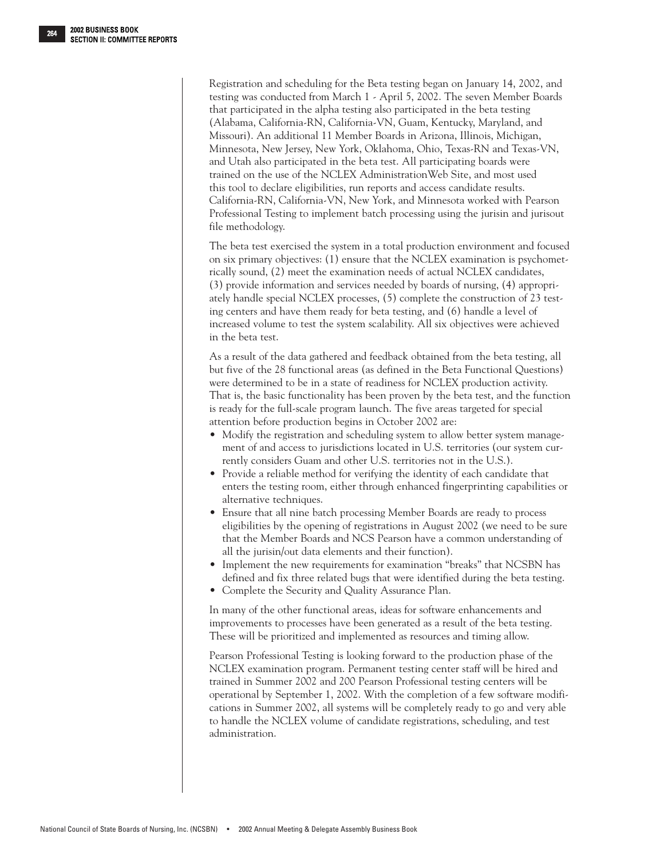Registration and scheduling for the Beta testing began on January 14, 2002, and testing was conducted from March 1 - April 5, 2002. The seven Member Boards that participated in the alpha testing also participated in the beta testing (Alabama, California-RN, California-VN, Guam, Kentucky, Maryland, and Missouri). An additional 11 Member Boards in Arizona, Illinois, Michigan, Minnesota, New Jersey, New York, Oklahoma, Ohio, Texas-RN and Texas-VN, and Utah also participated in the beta test. All participating boards were trained on the use of the NCLEX AdministrationWeb Site, and most used this tool to declare eligibilities, run reports and access candidate results. California-RN, California-VN, New York, and Minnesota worked with Pearson Professional Testing to implement batch processing using the jurisin and jurisout file methodology.

The beta test exercised the system in a total production environment and focused on six primary objectives: (1) ensure that the NCLEX examination is psychometrically sound, (2) meet the examination needs of actual NCLEX candidates, (3) provide information and services needed by boards of nursing, (4) appropriately handle special NCLEX processes, (5) complete the construction of 23 testing centers and have them ready for beta testing, and (6) handle a level of increased volume to test the system scalability. All six objectives were achieved in the beta test.

As a result of the data gathered and feedback obtained from the beta testing, all but five of the 28 functional areas (as defined in the Beta Functional Questions) were determined to be in a state of readiness for NCLEX production activity. That is, the basic functionality has been proven by the beta test, and the function is ready for the full-scale program launch. The five areas targeted for special attention before production begins in October 2002 are:

- Modify the registration and scheduling system to allow better system management of and access to jurisdictions located in U.S. territories (our system currently considers Guam and other U.S. territories not in the U.S.).
- Provide a reliable method for verifying the identity of each candidate that enters the testing room, either through enhanced fingerprinting capabilities or alternative techniques.
- Ensure that all nine batch processing Member Boards are ready to process eligibilities by the opening of registrations in August 2002 (we need to be sure that the Member Boards and NCS Pearson have a common understanding of all the jurisin/out data elements and their function).
- Implement the new requirements for examination "breaks" that NCSBN has defined and fix three related bugs that were identified during the beta testing.
- Complete the Security and Quality Assurance Plan.

In many of the other functional areas, ideas for software enhancements and improvements to processes have been generated as a result of the beta testing. These will be prioritized and implemented as resources and timing allow.

Pearson Professional Testing is looking forward to the production phase of the NCLEX examination program. Permanent testing center staff will be hired and trained in Summer 2002 and 200 Pearson Professional testing centers will be operational by September 1, 2002. With the completion of a few software modifications in Summer 2002, all systems will be completely ready to go and very able to handle the NCLEX volume of candidate registrations, scheduling, and test administration.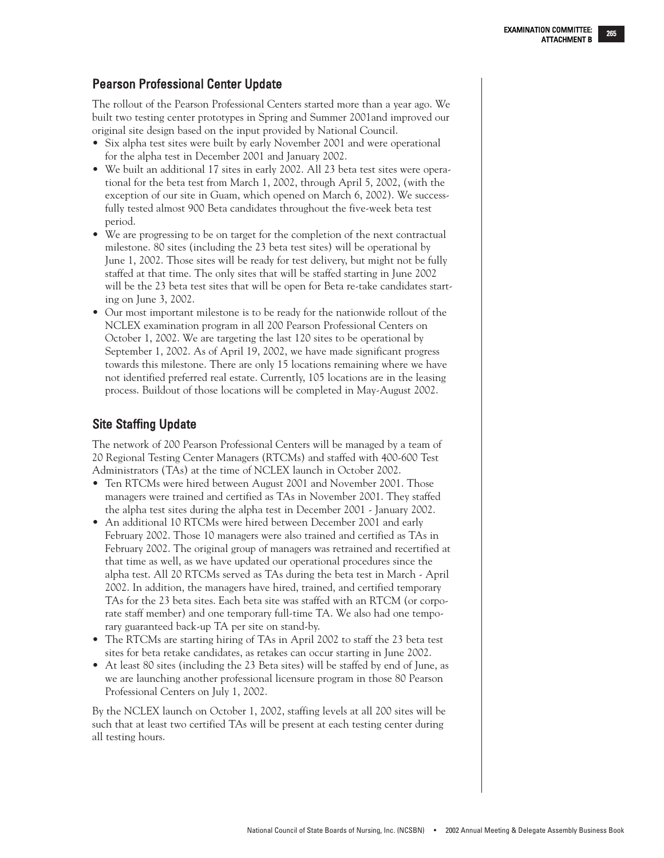### Pearson Professional Center Update

The rollout of the Pearson Professional Centers started more than a year ago. We built two testing center prototypes in Spring and Summer 2001and improved our original site design based on the input provided by National Council.

- Six alpha test sites were built by early November 2001 and were operational for the alpha test in December 2001 and January 2002.
- We built an additional 17 sites in early 2002. All 23 beta test sites were operational for the beta test from March 1, 2002, through April 5, 2002, (with the exception of our site in Guam, which opened on March 6, 2002). We successfully tested almost 900 Beta candidates throughout the five-week beta test period.
- We are progressing to be on target for the completion of the next contractual milestone. 80 sites (including the 23 beta test sites) will be operational by June 1, 2002. Those sites will be ready for test delivery, but might not be fully staffed at that time. The only sites that will be staffed starting in June 2002 will be the 23 beta test sites that will be open for Beta re-take candidates starting on June 3, 2002.
- Our most important milestone is to be ready for the nationwide rollout of the NCLEX examination program in all 200 Pearson Professional Centers on October 1, 2002. We are targeting the last 120 sites to be operational by September 1, 2002. As of April 19, 2002, we have made significant progress towards this milestone. There are only 15 locations remaining where we have not identified preferred real estate. Currently, 105 locations are in the leasing process. Buildout of those locations will be completed in May-August 2002.

### Site Staffing Update

The network of 200 Pearson Professional Centers will be managed by a team of 20 Regional Testing Center Managers (RTCMs) and staffed with 400-600 Test Administrators (TAs) at the time of NCLEX launch in October 2002.

- Ten RTCMs were hired between August 2001 and November 2001. Those managers were trained and certified as TAs in November 2001. They staffed the alpha test sites during the alpha test in December 2001 - January 2002.
- An additional 10 RTCMs were hired between December 2001 and early February 2002. Those 10 managers were also trained and certified as TAs in February 2002. The original group of managers was retrained and recertified at that time as well, as we have updated our operational procedures since the alpha test. All 20 RTCMs served as TAs during the beta test in March - April 2002. In addition, the managers have hired, trained, and certified temporary TAs for the 23 beta sites. Each beta site was staffed with an RTCM (or corporate staff member) and one temporary full-time TA. We also had one temporary guaranteed back-up TA per site on stand-by.
- The RTCMs are starting hiring of TAs in April 2002 to staff the 23 beta test sites for beta retake candidates, as retakes can occur starting in June 2002.
- At least 80 sites (including the 23 Beta sites) will be staffed by end of June, as we are launching another professional licensure program in those 80 Pearson Professional Centers on July 1, 2002.

By the NCLEX launch on October 1, 2002, staffing levels at all 200 sites will be such that at least two certified TAs will be present at each testing center during all testing hours.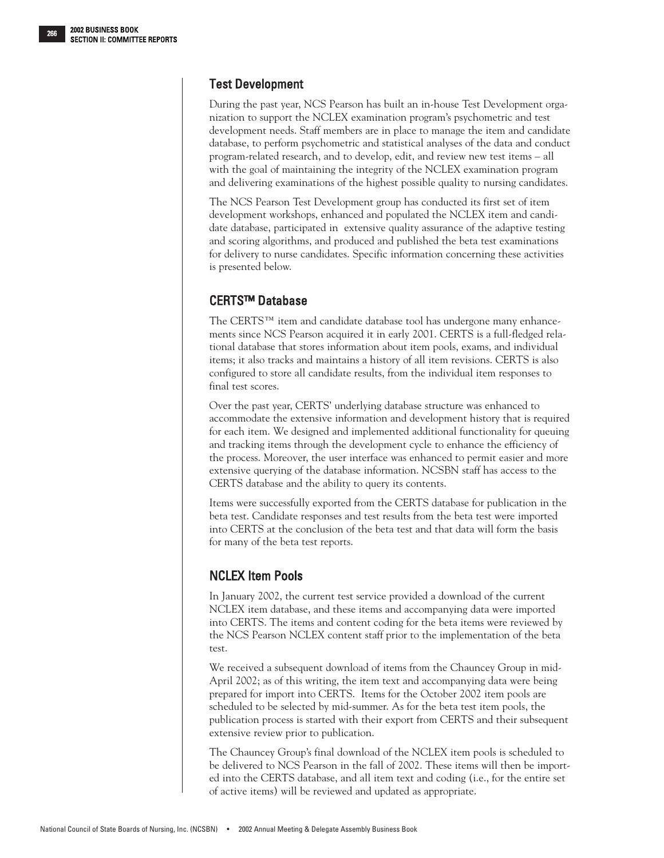#### Test Development

During the past year, NCS Pearson has built an in-house Test Development organization to support the NCLEX examination program's psychometric and test development needs. Staff members are in place to manage the item and candidate database, to perform psychometric and statistical analyses of the data and conduct program-related research, and to develop, edit, and review new test items – all with the goal of maintaining the integrity of the NCLEX examination program and delivering examinations of the highest possible quality to nursing candidates.

The NCS Pearson Test Development group has conducted its first set of item development workshops, enhanced and populated the NCLEX item and candidate database, participated in extensive quality assurance of the adaptive testing and scoring algorithms, and produced and published the beta test examinations for delivery to nurse candidates. Specific information concerning these activities is presented below.

### CERTS™ Database

The CERTS™ item and candidate database tool has undergone many enhancements since NCS Pearson acquired it in early 2001. CERTS is a full-fledged relational database that stores information about item pools, exams, and individual items; it also tracks and maintains a history of all item revisions. CERTS is also configured to store all candidate results, from the individual item responses to final test scores.

Over the past year, CERTS' underlying database structure was enhanced to accommodate the extensive information and development history that is required for each item. We designed and implemented additional functionality for queuing and tracking items through the development cycle to enhance the efficiency of the process. Moreover, the user interface was enhanced to permit easier and more extensive querying of the database information. NCSBN staff has access to the CERTS database and the ability to query its contents.

Items were successfully exported from the CERTS database for publication in the beta test. Candidate responses and test results from the beta test were imported into CERTS at the conclusion of the beta test and that data will form the basis for many of the beta test reports.

### NCLEX Item Pools

In January 2002, the current test service provided a download of the current NCLEX item database, and these items and accompanying data were imported into CERTS. The items and content coding for the beta items were reviewed by the NCS Pearson NCLEX content staff prior to the implementation of the beta test.

We received a subsequent download of items from the Chauncey Group in mid-April 2002; as of this writing, the item text and accompanying data were being prepared for import into CERTS. Items for the October 2002 item pools are scheduled to be selected by mid-summer. As for the beta test item pools, the publication process is started with their export from CERTS and their subsequent extensive review prior to publication.

The Chauncey Group's final download of the NCLEX item pools is scheduled to be delivered to NCS Pearson in the fall of 2002. These items will then be imported into the CERTS database, and all item text and coding (i.e., for the entire set of active items) will be reviewed and updated as appropriate.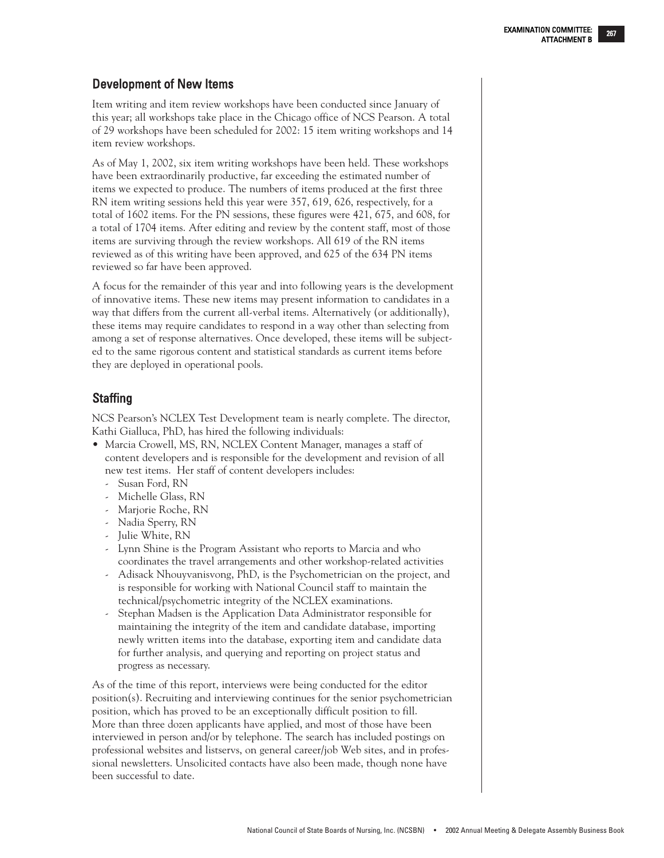### Development of New Items

Item writing and item review workshops have been conducted since January of this year; all workshops take place in the Chicago office of NCS Pearson. A total of 29 workshops have been scheduled for 2002: 15 item writing workshops and 14 item review workshops.

As of May 1, 2002, six item writing workshops have been held. These workshops have been extraordinarily productive, far exceeding the estimated number of items we expected to produce. The numbers of items produced at the first three RN item writing sessions held this year were 357, 619, 626, respectively, for a total of 1602 items. For the PN sessions, these figures were 421, 675, and 608, for a total of 1704 items. After editing and review by the content staff, most of those items are surviving through the review workshops. All 619 of the RN items reviewed as of this writing have been approved, and 625 of the 634 PN items reviewed so far have been approved.

A focus for the remainder of this year and into following years is the development of innovative items. These new items may present information to candidates in a way that differs from the current all-verbal items. Alternatively (or additionally), these items may require candidates to respond in a way other than selecting from among a set of response alternatives. Once developed, these items will be subjected to the same rigorous content and statistical standards as current items before they are deployed in operational pools.

### **Staffing**

NCS Pearson's NCLEX Test Development team is nearly complete. The director, Kathi Gialluca, PhD, has hired the following individuals:

- Marcia Crowell, MS, RN, NCLEX Content Manager, manages a staff of content developers and is responsible for the development and revision of all new test items. Her staff of content developers includes:
	- Susan Ford, RN
	- Michelle Glass, RN
	- Marjorie Roche, RN
	- Nadia Sperry, RN
	- Julie White, RN
	- Lynn Shine is the Program Assistant who reports to Marcia and who coordinates the travel arrangements and other workshop-related activities
	- Adisack Nhouyvanisvong, PhD, is the Psychometrician on the project, and is responsible for working with National Council staff to maintain the technical/psychometric integrity of the NCLEX examinations.
	- Stephan Madsen is the Application Data Administrator responsible for maintaining the integrity of the item and candidate database, importing newly written items into the database, exporting item and candidate data for further analysis, and querying and reporting on project status and progress as necessary.

As of the time of this report, interviews were being conducted for the editor position(s). Recruiting and interviewing continues for the senior psychometrician position, which has proved to be an exceptionally difficult position to fill. More than three dozen applicants have applied, and most of those have been interviewed in person and/or by telephone. The search has included postings on professional websites and listservs, on general career/job Web sites, and in professional newsletters. Unsolicited contacts have also been made, though none have been successful to date.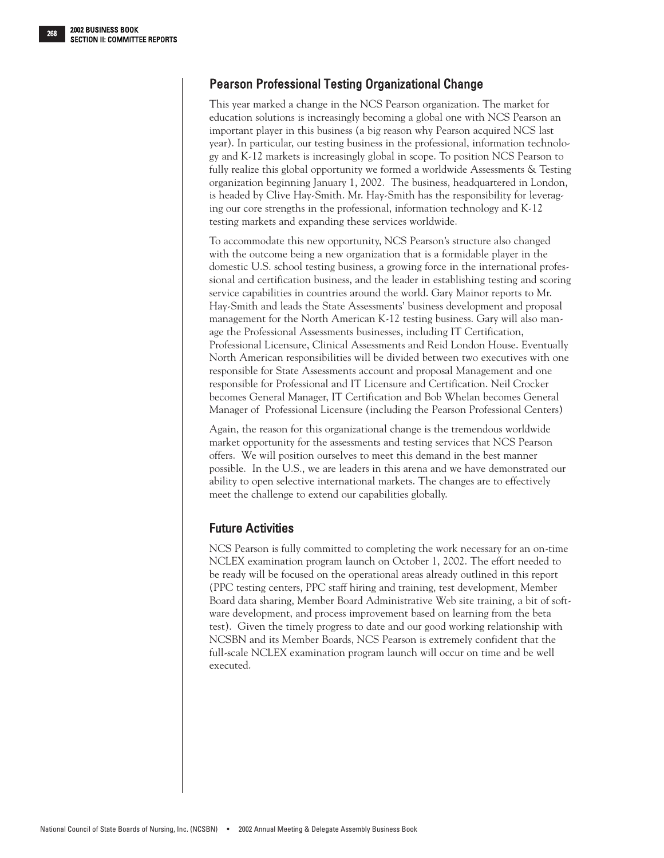### Pearson Professional Testing Organizational Change

This year marked a change in the NCS Pearson organization. The market for education solutions is increasingly becoming a global one with NCS Pearson an important player in this business (a big reason why Pearson acquired NCS last year). In particular, our testing business in the professional, information technology and K-12 markets is increasingly global in scope. To position NCS Pearson to fully realize this global opportunity we formed a worldwide Assessments & Testing organization beginning January 1, 2002. The business, headquartered in London, is headed by Clive Hay-Smith. Mr. Hay-Smith has the responsibility for leveraging our core strengths in the professional, information technology and K-12 testing markets and expanding these services worldwide.

To accommodate this new opportunity, NCS Pearson's structure also changed with the outcome being a new organization that is a formidable player in the domestic U.S. school testing business, a growing force in the international professional and certification business, and the leader in establishing testing and scoring service capabilities in countries around the world. Gary Mainor reports to Mr. Hay-Smith and leads the State Assessments' business development and proposal management for the North American K-12 testing business. Gary will also manage the Professional Assessments businesses, including IT Certification, Professional Licensure, Clinical Assessments and Reid London House. Eventually North American responsibilities will be divided between two executives with one responsible for State Assessments account and proposal Management and one responsible for Professional and IT Licensure and Certification. Neil Crocker becomes General Manager, IT Certification and Bob Whelan becomes General Manager of Professional Licensure (including the Pearson Professional Centers)

Again, the reason for this organizational change is the tremendous worldwide market opportunity for the assessments and testing services that NCS Pearson offers. We will position ourselves to meet this demand in the best manner possible. In the U.S., we are leaders in this arena and we have demonstrated our ability to open selective international markets. The changes are to effectively meet the challenge to extend our capabilities globally.

### Future Activities

NCS Pearson is fully committed to completing the work necessary for an on-time NCLEX examination program launch on October 1, 2002. The effort needed to be ready will be focused on the operational areas already outlined in this report (PPC testing centers, PPC staff hiring and training, test development, Member Board data sharing, Member Board Administrative Web site training, a bit of software development, and process improvement based on learning from the beta test). Given the timely progress to date and our good working relationship with NCSBN and its Member Boards, NCS Pearson is extremely confident that the full-scale NCLEX examination program launch will occur on time and be well executed.

National Council of State Boards of Nursing, Inc. (NCSBN) • 2002 Annual Meeting & Delegate Assembly Business Book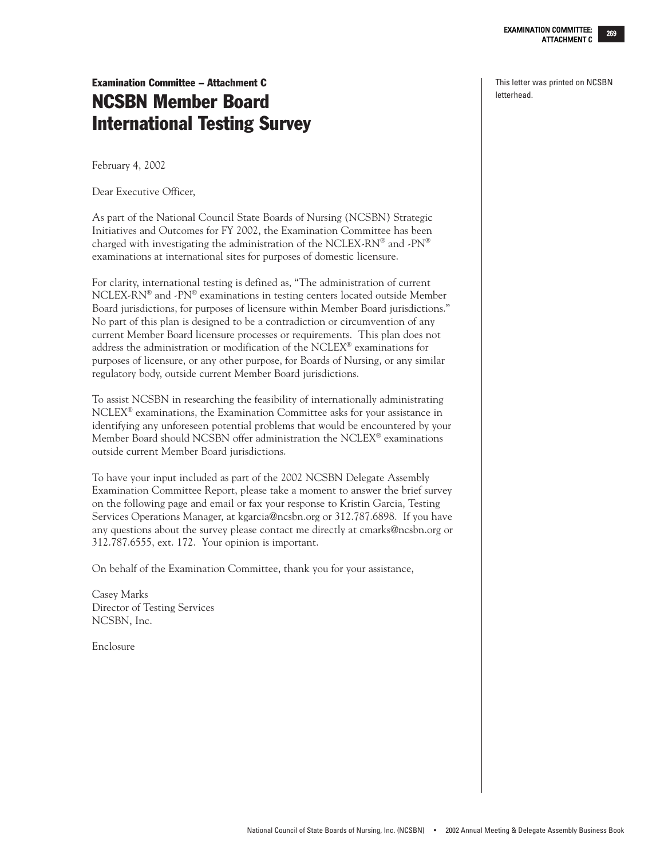#### National Council of State Boards of Nursing, Inc. (NCSBN) • 2002 Annual Meeting & Delegate Assembly Business Book

This letter was printed on NCSBN letterhead.

# Examination Committee – Attachment C NCSBN Member Board International Testing Survey

February 4, 2002

Dear Executive Officer,

As part of the National Council State Boards of Nursing (NCSBN) Strategic Initiatives and Outcomes for FY 2002, the Examination Committee has been charged with investigating the administration of the NCLEX-RN® and -PN® examinations at international sites for purposes of domestic licensure.

For clarity, international testing is defined as, "The administration of current NCLEX-RN® and -PN® examinations in testing centers located outside Member Board jurisdictions, for purposes of licensure within Member Board jurisdictions." No part of this plan is designed to be a contradiction or circumvention of any current Member Board licensure processes or requirements. This plan does not address the administration or modification of the NCLEX® examinations for purposes of licensure, or any other purpose, for Boards of Nursing, or any similar regulatory body, outside current Member Board jurisdictions.

To assist NCSBN in researching the feasibility of internationally administrating NCLEX® examinations, the Examination Committee asks for your assistance in identifying any unforeseen potential problems that would be encountered by your Member Board should NCSBN offer administration the NCLEX® examinations outside current Member Board jurisdictions.

To have your input included as part of the 2002 NCSBN Delegate Assembly Examination Committee Report, please take a moment to answer the brief survey on the following page and email or fax your response to Kristin Garcia, Testing Services Operations Manager, at kgarcia@ncsbn.org or 312.787.6898. If you have any questions about the survey please contact me directly at cmarks@ncsbn.org or 312.787.6555, ext. 172. Your opinion is important.

On behalf of the Examination Committee, thank you for your assistance,

Casey Marks Director of Testing Services NCSBN, Inc.

Enclosure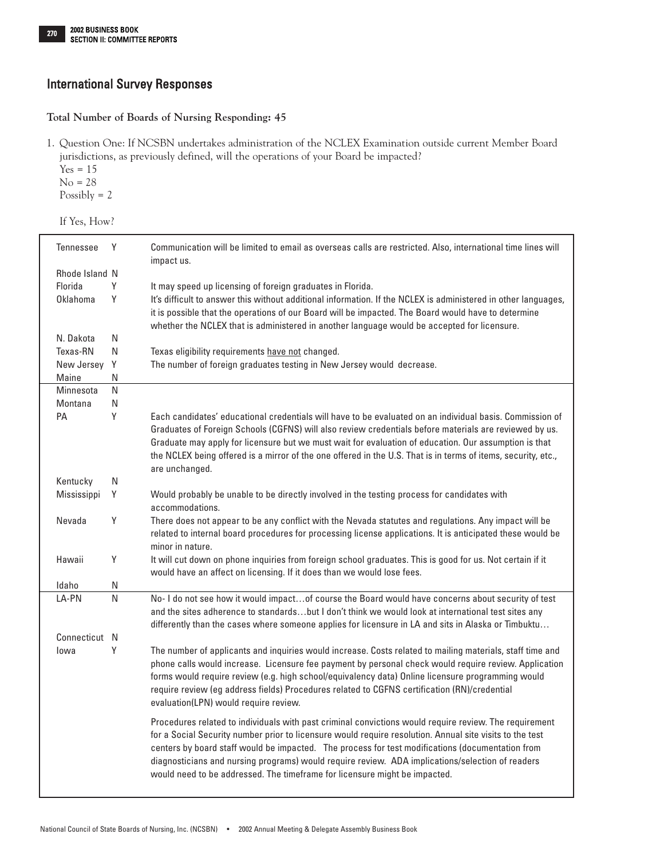### International Survey Responses

#### **Total Number of Boards of Nursing Responding: 45**

1. Question One: If NCSBN undertakes administration of the NCLEX Examination outside current Member Board jurisdictions, as previously defined, will the operations of your Board be impacted?

 $Yes = 15$  $No = 28$ Possibly = 2

If Yes, How?

| Tennessee      | Y | Communication will be limited to email as overseas calls are restricted. Also, international time lines will<br>impact us.                                                                                                                                                                                                                                                                                                                                                                               |
|----------------|---|----------------------------------------------------------------------------------------------------------------------------------------------------------------------------------------------------------------------------------------------------------------------------------------------------------------------------------------------------------------------------------------------------------------------------------------------------------------------------------------------------------|
| Rhode Island N |   |                                                                                                                                                                                                                                                                                                                                                                                                                                                                                                          |
| Florida        | Y | It may speed up licensing of foreign graduates in Florida.                                                                                                                                                                                                                                                                                                                                                                                                                                               |
| Oklahoma       | Y | It's difficult to answer this without additional information. If the NCLEX is administered in other languages,<br>it is possible that the operations of our Board will be impacted. The Board would have to determine<br>whether the NCLEX that is administered in another language would be accepted for licensure.                                                                                                                                                                                     |
| N. Dakota      | N |                                                                                                                                                                                                                                                                                                                                                                                                                                                                                                          |
| Texas-RN       | N | Texas eligibility requirements have not changed.                                                                                                                                                                                                                                                                                                                                                                                                                                                         |
| New Jersey Y   |   | The number of foreign graduates testing in New Jersey would decrease.                                                                                                                                                                                                                                                                                                                                                                                                                                    |
| Maine          | N |                                                                                                                                                                                                                                                                                                                                                                                                                                                                                                          |
| Minnesota      | N |                                                                                                                                                                                                                                                                                                                                                                                                                                                                                                          |
| Montana        | N |                                                                                                                                                                                                                                                                                                                                                                                                                                                                                                          |
| PA             | Y | Each candidates' educational credentials will have to be evaluated on an individual basis. Commission of<br>Graduates of Foreign Schools (CGFNS) will also review credentials before materials are reviewed by us.<br>Graduate may apply for licensure but we must wait for evaluation of education. Our assumption is that<br>the NCLEX being offered is a mirror of the one offered in the U.S. That is in terms of items, security, etc.,<br>are unchanged.                                           |
| Kentucky       | N |                                                                                                                                                                                                                                                                                                                                                                                                                                                                                                          |
| Mississippi    | Y | Would probably be unable to be directly involved in the testing process for candidates with<br>accommodations.                                                                                                                                                                                                                                                                                                                                                                                           |
| Nevada         | Υ | There does not appear to be any conflict with the Nevada statutes and regulations. Any impact will be<br>related to internal board procedures for processing license applications. It is anticipated these would be<br>minor in nature.                                                                                                                                                                                                                                                                  |
| Hawaii         | Y | It will cut down on phone inquiries from foreign school graduates. This is good for us. Not certain if it<br>would have an affect on licensing. If it does than we would lose fees.                                                                                                                                                                                                                                                                                                                      |
| Idaho          | Ν |                                                                                                                                                                                                                                                                                                                                                                                                                                                                                                          |
| LA-PN          | N | No- I do not see how it would impactof course the Board would have concerns about security of test<br>and the sites adherence to standardsbut I don't think we would look at international test sites any<br>differently than the cases where someone applies for licensure in LA and sits in Alaska or Timbuktu                                                                                                                                                                                         |
| Connecticut N  |   |                                                                                                                                                                                                                                                                                                                                                                                                                                                                                                          |
| lowa           | Υ | The number of applicants and inquiries would increase. Costs related to mailing materials, staff time and<br>phone calls would increase. Licensure fee payment by personal check would require review. Application<br>forms would require review (e.g. high school/equivalency data) Online licensure programming would<br>require review (eg address fields) Procedures related to CGFNS certification (RN)/credential<br>evaluation(LPN) would require review.                                         |
|                |   | Procedures related to individuals with past criminal convictions would require review. The requirement<br>for a Social Security number prior to licensure would require resolution. Annual site visits to the test<br>centers by board staff would be impacted. The process for test modifications (documentation from<br>diagnosticians and nursing programs) would require review. ADA implications/selection of readers<br>would need to be addressed. The timeframe for licensure might be impacted. |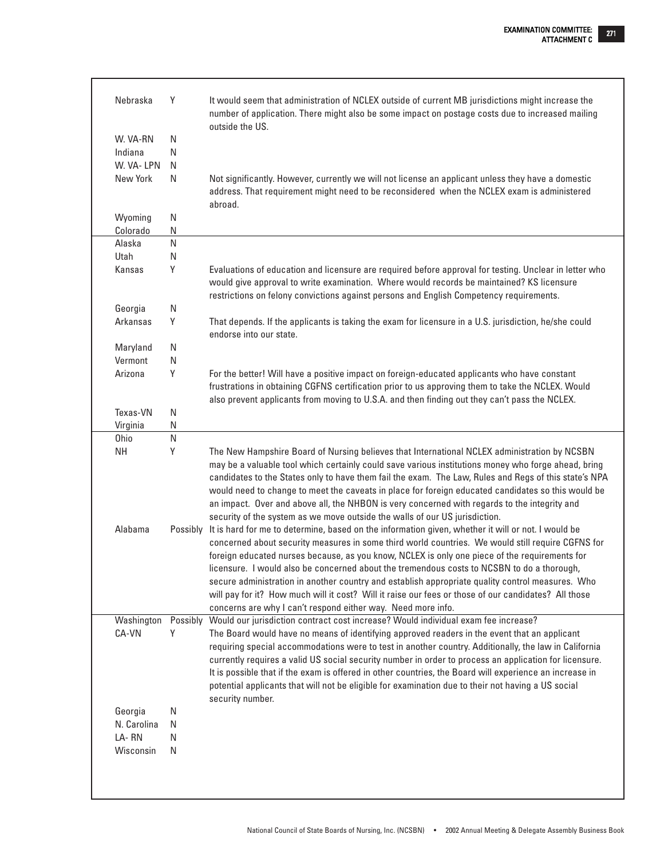|                       | Y         | It would seem that administration of NCLEX outside of current MB jurisdictions might increase the<br>number of application. There might also be some impact on postage costs due to increased mailing<br>outside the US.                                                                                                                                                                                                                                                                                                                                                                                                                                                                                                                                                                                                                                                                                                                                                                                                                                                                                                                                                                                                                                                               |
|-----------------------|-----------|----------------------------------------------------------------------------------------------------------------------------------------------------------------------------------------------------------------------------------------------------------------------------------------------------------------------------------------------------------------------------------------------------------------------------------------------------------------------------------------------------------------------------------------------------------------------------------------------------------------------------------------------------------------------------------------------------------------------------------------------------------------------------------------------------------------------------------------------------------------------------------------------------------------------------------------------------------------------------------------------------------------------------------------------------------------------------------------------------------------------------------------------------------------------------------------------------------------------------------------------------------------------------------------|
| W. VA-RN              | N         |                                                                                                                                                                                                                                                                                                                                                                                                                                                                                                                                                                                                                                                                                                                                                                                                                                                                                                                                                                                                                                                                                                                                                                                                                                                                                        |
| Indiana               | Ν         |                                                                                                                                                                                                                                                                                                                                                                                                                                                                                                                                                                                                                                                                                                                                                                                                                                                                                                                                                                                                                                                                                                                                                                                                                                                                                        |
| W. VA-LPN             | N         |                                                                                                                                                                                                                                                                                                                                                                                                                                                                                                                                                                                                                                                                                                                                                                                                                                                                                                                                                                                                                                                                                                                                                                                                                                                                                        |
| New York              | N         | Not significantly. However, currently we will not license an applicant unless they have a domestic<br>address. That requirement might need to be reconsidered when the NCLEX exam is administered<br>abroad.                                                                                                                                                                                                                                                                                                                                                                                                                                                                                                                                                                                                                                                                                                                                                                                                                                                                                                                                                                                                                                                                           |
| Wyoming               | N         |                                                                                                                                                                                                                                                                                                                                                                                                                                                                                                                                                                                                                                                                                                                                                                                                                                                                                                                                                                                                                                                                                                                                                                                                                                                                                        |
| Colorado              | Ν         |                                                                                                                                                                                                                                                                                                                                                                                                                                                                                                                                                                                                                                                                                                                                                                                                                                                                                                                                                                                                                                                                                                                                                                                                                                                                                        |
| Alaska                | ${\sf N}$ |                                                                                                                                                                                                                                                                                                                                                                                                                                                                                                                                                                                                                                                                                                                                                                                                                                                                                                                                                                                                                                                                                                                                                                                                                                                                                        |
| Utah                  | ${\sf N}$ |                                                                                                                                                                                                                                                                                                                                                                                                                                                                                                                                                                                                                                                                                                                                                                                                                                                                                                                                                                                                                                                                                                                                                                                                                                                                                        |
| Kansas                | Υ         | Evaluations of education and licensure are required before approval for testing. Unclear in letter who<br>would give approval to write examination. Where would records be maintained? KS licensure<br>restrictions on felony convictions against persons and English Competency requirements.                                                                                                                                                                                                                                                                                                                                                                                                                                                                                                                                                                                                                                                                                                                                                                                                                                                                                                                                                                                         |
| Georgia               | N         |                                                                                                                                                                                                                                                                                                                                                                                                                                                                                                                                                                                                                                                                                                                                                                                                                                                                                                                                                                                                                                                                                                                                                                                                                                                                                        |
| Arkansas              | Υ         | That depends. If the applicants is taking the exam for licensure in a U.S. jurisdiction, he/she could<br>endorse into our state.                                                                                                                                                                                                                                                                                                                                                                                                                                                                                                                                                                                                                                                                                                                                                                                                                                                                                                                                                                                                                                                                                                                                                       |
| Maryland              | N         |                                                                                                                                                                                                                                                                                                                                                                                                                                                                                                                                                                                                                                                                                                                                                                                                                                                                                                                                                                                                                                                                                                                                                                                                                                                                                        |
| Vermont               | N         |                                                                                                                                                                                                                                                                                                                                                                                                                                                                                                                                                                                                                                                                                                                                                                                                                                                                                                                                                                                                                                                                                                                                                                                                                                                                                        |
| Arizona               | Υ         | For the better! Will have a positive impact on foreign-educated applicants who have constant                                                                                                                                                                                                                                                                                                                                                                                                                                                                                                                                                                                                                                                                                                                                                                                                                                                                                                                                                                                                                                                                                                                                                                                           |
|                       |           | frustrations in obtaining CGFNS certification prior to us approving them to take the NCLEX. Would<br>also prevent applicants from moving to U.S.A. and then finding out they can't pass the NCLEX.                                                                                                                                                                                                                                                                                                                                                                                                                                                                                                                                                                                                                                                                                                                                                                                                                                                                                                                                                                                                                                                                                     |
| Texas-VN              | N         |                                                                                                                                                                                                                                                                                                                                                                                                                                                                                                                                                                                                                                                                                                                                                                                                                                                                                                                                                                                                                                                                                                                                                                                                                                                                                        |
| Virginia              | N         |                                                                                                                                                                                                                                                                                                                                                                                                                                                                                                                                                                                                                                                                                                                                                                                                                                                                                                                                                                                                                                                                                                                                                                                                                                                                                        |
| <b>Ohio</b>           | ${\sf N}$ |                                                                                                                                                                                                                                                                                                                                                                                                                                                                                                                                                                                                                                                                                                                                                                                                                                                                                                                                                                                                                                                                                                                                                                                                                                                                                        |
| <b>NH</b>             | Υ         | The New Hampshire Board of Nursing believes that International NCLEX administration by NCSBN                                                                                                                                                                                                                                                                                                                                                                                                                                                                                                                                                                                                                                                                                                                                                                                                                                                                                                                                                                                                                                                                                                                                                                                           |
| Alabama<br>Washington | Possibly  | may be a valuable tool which certainly could save various institutions money who forge ahead, bring<br>candidates to the States only to have them fail the exam. The Law, Rules and Regs of this state's NPA<br>would need to change to meet the caveats in place for foreign educated candidates so this would be<br>an impact. Over and above all, the NHBON is very concerned with regards to the integrity and<br>security of the system as we move outside the walls of our US jurisdiction.<br>Possibly It is hard for me to determine, based on the information given, whether it will or not. I would be<br>concerned about security measures in some third world countries. We would still require CGFNS for<br>foreign educated nurses because, as you know, NCLEX is only one piece of the requirements for<br>licensure. I would also be concerned about the tremendous costs to NCSBN to do a thorough,<br>secure administration in another country and establish appropriate quality control measures. Who<br>will pay for it? How much will it cost? Will it raise our fees or those of our candidates? All those<br>concerns are why I can't respond either way. Need more info.<br>Would our jurisdiction contract cost increase? Would individual exam fee increase? |
| CA-VN                 | Υ         | The Board would have no means of identifying approved readers in the event that an applicant<br>requiring special accommodations were to test in another country. Additionally, the law in California<br>currently requires a valid US social security number in order to process an application for licensure.<br>It is possible that if the exam is offered in other countries, the Board will experience an increase in                                                                                                                                                                                                                                                                                                                                                                                                                                                                                                                                                                                                                                                                                                                                                                                                                                                             |
|                       |           | potential applicants that will not be eligible for examination due to their not having a US social<br>security number.                                                                                                                                                                                                                                                                                                                                                                                                                                                                                                                                                                                                                                                                                                                                                                                                                                                                                                                                                                                                                                                                                                                                                                 |
| Georgia               | N         |                                                                                                                                                                                                                                                                                                                                                                                                                                                                                                                                                                                                                                                                                                                                                                                                                                                                                                                                                                                                                                                                                                                                                                                                                                                                                        |
| N. Carolina           | N         |                                                                                                                                                                                                                                                                                                                                                                                                                                                                                                                                                                                                                                                                                                                                                                                                                                                                                                                                                                                                                                                                                                                                                                                                                                                                                        |
| LA-RN                 | N         |                                                                                                                                                                                                                                                                                                                                                                                                                                                                                                                                                                                                                                                                                                                                                                                                                                                                                                                                                                                                                                                                                                                                                                                                                                                                                        |

l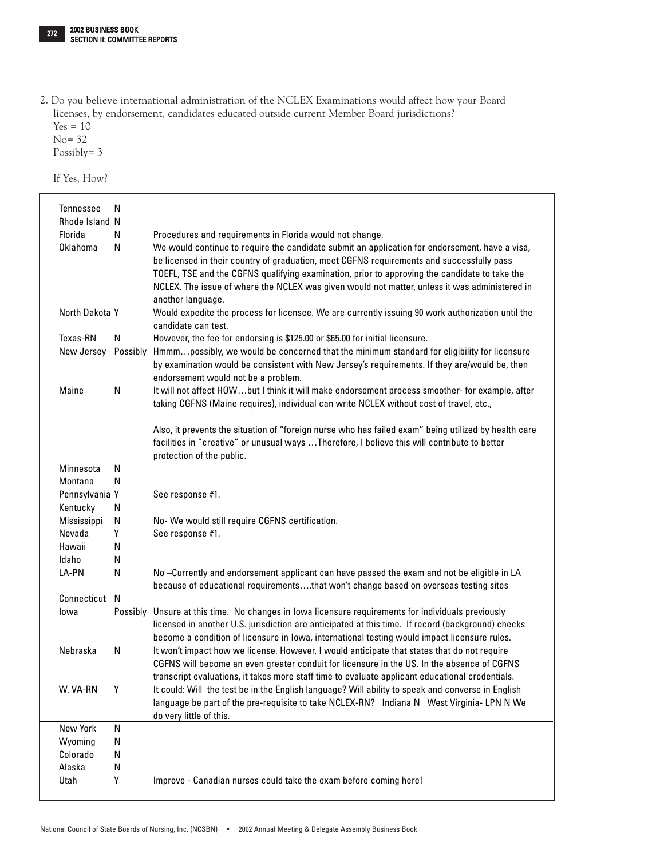2. Do you believe international administration of the NCLEX Examinations would affect how your Board licenses, by endorsement, candidates educated outside current Member Board jurisdictions?

 $Yes = 10$ No= 32

Possibly= 3

If Yes, How?

| Tennessee<br>Rhode Island N | N         |                                                                                                                                                                                                                                                                                                                                                                                                                    |
|-----------------------------|-----------|--------------------------------------------------------------------------------------------------------------------------------------------------------------------------------------------------------------------------------------------------------------------------------------------------------------------------------------------------------------------------------------------------------------------|
| Florida                     | N         | Procedures and requirements in Florida would not change.                                                                                                                                                                                                                                                                                                                                                           |
| Oklahoma                    | N         | We would continue to require the candidate submit an application for endorsement, have a visa,<br>be licensed in their country of graduation, meet CGFNS requirements and successfully pass<br>TOEFL, TSE and the CGFNS qualifying examination, prior to approving the candidate to take the<br>NCLEX. The issue of where the NCLEX was given would not matter, unless it was administered in<br>another language. |
| North Dakota Y              |           | Would expedite the process for licensee. We are currently issuing 90 work authorization until the<br>candidate can test.                                                                                                                                                                                                                                                                                           |
| Texas-RN                    | N         | However, the fee for endorsing is \$125.00 or \$65.00 for initial licensure.                                                                                                                                                                                                                                                                                                                                       |
| <b>New Jersey</b>           | Possibly  | Hmmmpossibly, we would be concerned that the minimum standard for eligibility for licensure<br>by examination would be consistent with New Jersey's requirements. If they are/would be, then<br>endorsement would not be a problem.                                                                                                                                                                                |
| Maine                       | ${\sf N}$ | It will not affect HOWbut I think it will make endorsement process smoother- for example, after<br>taking CGFNS (Maine requires), individual can write NCLEX without cost of travel, etc.,                                                                                                                                                                                                                         |
|                             |           | Also, it prevents the situation of "foreign nurse who has failed exam" being utilized by health care<br>facilities in "creative" or unusual ways Therefore, I believe this will contribute to better<br>protection of the public.                                                                                                                                                                                  |
| Minnesota                   | N         |                                                                                                                                                                                                                                                                                                                                                                                                                    |
| Montana                     | N         |                                                                                                                                                                                                                                                                                                                                                                                                                    |
| Pennsylvania Y              |           | See response #1.                                                                                                                                                                                                                                                                                                                                                                                                   |
| Kentucky                    | N         |                                                                                                                                                                                                                                                                                                                                                                                                                    |
| Mississippi                 | N         | No- We would still require CGFNS certification.                                                                                                                                                                                                                                                                                                                                                                    |
| Nevada                      | Y         | See response #1.                                                                                                                                                                                                                                                                                                                                                                                                   |
| Hawaii                      | N         |                                                                                                                                                                                                                                                                                                                                                                                                                    |
| Idaho                       | N         |                                                                                                                                                                                                                                                                                                                                                                                                                    |
| LA-PN                       | N         | No-Currently and endorsement applicant can have passed the exam and not be eligible in LA<br>because of educational requirementsthat won't change based on overseas testing sites                                                                                                                                                                                                                                  |
| Connecticut N               |           |                                                                                                                                                                                                                                                                                                                                                                                                                    |
| lowa                        | Possibly  | Unsure at this time. No changes in lowa licensure requirements for individuals previously<br>licensed in another U.S. jurisdiction are anticipated at this time. If record (background) checks<br>become a condition of licensure in lowa, international testing would impact licensure rules.                                                                                                                     |
| Nebraska                    | N         | It won't impact how we license. However, I would anticipate that states that do not require<br>CGFNS will become an even greater conduit for licensure in the US. In the absence of CGFNS<br>transcript evaluations, it takes more staff time to evaluate applicant educational credentials.                                                                                                                       |
| W. VA-RN                    | Υ         | It could: Will the test be in the English language? Will ability to speak and converse in English<br>language be part of the pre-requisite to take NCLEX-RN? Indiana N West Virginia- LPN N We<br>do very little of this.                                                                                                                                                                                          |
| New York                    | Ν         |                                                                                                                                                                                                                                                                                                                                                                                                                    |
| Wyoming                     | N         |                                                                                                                                                                                                                                                                                                                                                                                                                    |
| Colorado                    | Ν         |                                                                                                                                                                                                                                                                                                                                                                                                                    |
| Alaska                      | N         |                                                                                                                                                                                                                                                                                                                                                                                                                    |
| Utah                        | Υ         | Improve - Canadian nurses could take the exam before coming here!                                                                                                                                                                                                                                                                                                                                                  |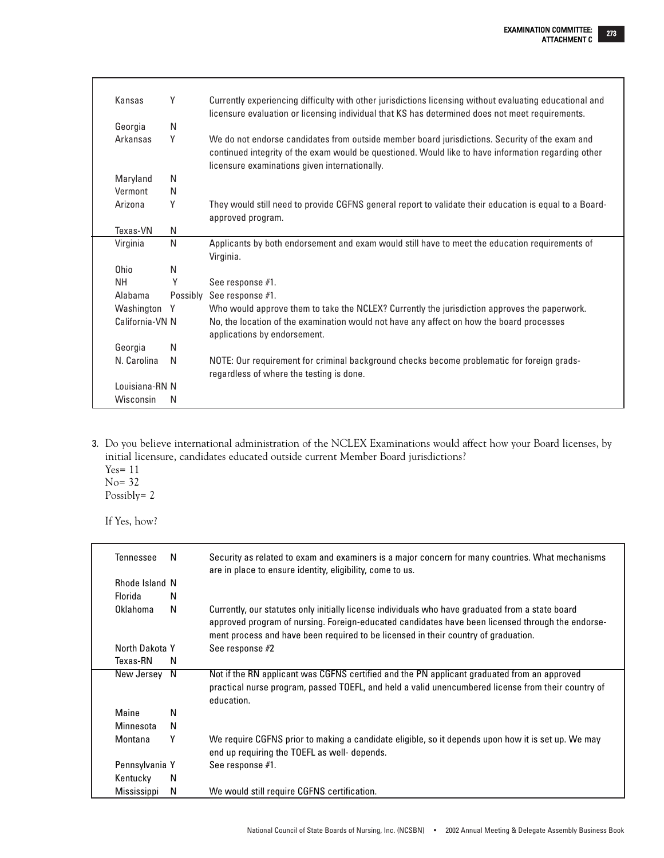| Kansas          | Υ        | Currently experiencing difficulty with other jurisdictions licensing without evaluating educational and<br>licensure evaluation or licensing individual that KS has determined does not meet requirements.                                             |
|-----------------|----------|--------------------------------------------------------------------------------------------------------------------------------------------------------------------------------------------------------------------------------------------------------|
| Georgia         | N        |                                                                                                                                                                                                                                                        |
| Arkansas        | Υ        | We do not endorse candidates from outside member board jurisdictions. Security of the exam and<br>continued integrity of the exam would be questioned. Would like to have information regarding other<br>licensure examinations given internationally. |
| Maryland        | N        |                                                                                                                                                                                                                                                        |
| Vermont         | N        |                                                                                                                                                                                                                                                        |
| Arizona         | Υ        | They would still need to provide CGFNS general report to validate their education is equal to a Board-<br>approved program.                                                                                                                            |
| Texas-VN        | N        |                                                                                                                                                                                                                                                        |
| Virginia        | N        | Applicants by both endorsement and exam would still have to meet the education requirements of<br>Virginia.                                                                                                                                            |
| <b>Ohio</b>     | N        |                                                                                                                                                                                                                                                        |
| <b>NH</b>       | Y        | See response #1.                                                                                                                                                                                                                                       |
| Alabama         | Possibly | See response #1.                                                                                                                                                                                                                                       |
| Washington      | Y        | Who would approve them to take the NCLEX? Currently the jurisdiction approves the paperwork.                                                                                                                                                           |
| California-VN N |          | No, the location of the examination would not have any affect on how the board processes<br>applications by endorsement.                                                                                                                               |
| Georgia         | N        |                                                                                                                                                                                                                                                        |
| N. Carolina     | N        | NOTE: Our requirement for criminal background checks become problematic for foreign grads-<br>regardless of where the testing is done.                                                                                                                 |
| Louisiana-RN N  |          |                                                                                                                                                                                                                                                        |
| Wisconsin       | N        |                                                                                                                                                                                                                                                        |
|                 |          |                                                                                                                                                                                                                                                        |

3. Do you believe international administration of the NCLEX Examinations would affect how your Board licenses, by initial licensure, candidates educated outside current Member Board jurisdictions? Yes= 11 No= 32

Possibly= 2

Г

If Yes, how?

| Tennessee          | N | Security as related to exam and examiners is a major concern for many countries. What mechanisms<br>are in place to ensure identity, eligibility, come to us.                                                                                                                              |
|--------------------|---|--------------------------------------------------------------------------------------------------------------------------------------------------------------------------------------------------------------------------------------------------------------------------------------------|
| Rhode Island N     |   |                                                                                                                                                                                                                                                                                            |
| Florida            | N |                                                                                                                                                                                                                                                                                            |
| Oklahoma           | N | Currently, our statutes only initially license individuals who have graduated from a state board<br>approved program of nursing. Foreign-educated candidates have been licensed through the endorse-<br>ment process and have been required to be licensed in their country of graduation. |
| North Dakota Y     |   | See response #2                                                                                                                                                                                                                                                                            |
| Texas-RN           | N |                                                                                                                                                                                                                                                                                            |
| New Jersey         | N | Not if the RN applicant was CGFNS certified and the PN applicant graduated from an approved<br>practical nurse program, passed TOEFL, and held a valid unencumbered license from their country of<br>education.                                                                            |
| Maine              | N |                                                                                                                                                                                                                                                                                            |
| Minnesota          | N |                                                                                                                                                                                                                                                                                            |
| Montana            | Υ | We require CGFNS prior to making a candidate eligible, so it depends upon how it is set up. We may<br>end up requiring the TOEFL as well- depends.                                                                                                                                         |
| Pennsylvania Y     |   | See response #1.                                                                                                                                                                                                                                                                           |
| Kentucky           | N |                                                                                                                                                                                                                                                                                            |
| <b>Mississippi</b> | N | We would still require CGFNS certification.                                                                                                                                                                                                                                                |
|                    |   |                                                                                                                                                                                                                                                                                            |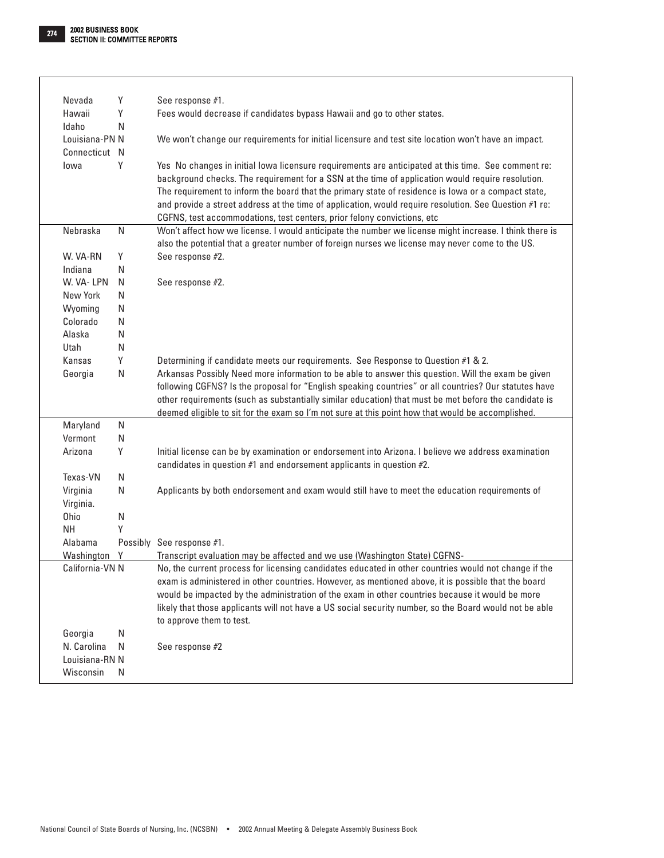| Nevada          | Y            | See response #1.                                                                                                                                                                                                                                                                                                                                                                                                                                                                                     |
|-----------------|--------------|------------------------------------------------------------------------------------------------------------------------------------------------------------------------------------------------------------------------------------------------------------------------------------------------------------------------------------------------------------------------------------------------------------------------------------------------------------------------------------------------------|
| Hawaii          | Υ            | Fees would decrease if candidates bypass Hawaii and go to other states.                                                                                                                                                                                                                                                                                                                                                                                                                              |
| Idaho           | N            |                                                                                                                                                                                                                                                                                                                                                                                                                                                                                                      |
| Louisiana-PN N  |              | We won't change our requirements for initial licensure and test site location won't have an impact.                                                                                                                                                                                                                                                                                                                                                                                                  |
| Connecticut N   |              |                                                                                                                                                                                                                                                                                                                                                                                                                                                                                                      |
| lowa            | Y            | Yes No changes in initial lowa licensure requirements are anticipated at this time. See comment re:<br>background checks. The requirement for a SSN at the time of application would require resolution.<br>The requirement to inform the board that the primary state of residence is lowa or a compact state,<br>and provide a street address at the time of application, would require resolution. See Question #1 re:<br>CGFNS, test accommodations, test centers, prior felony convictions, etc |
| Nebraska        | $\mathsf{N}$ | Won't affect how we license. I would anticipate the number we license might increase. I think there is<br>also the potential that a greater number of foreign nurses we license may never come to the US.                                                                                                                                                                                                                                                                                            |
| W. VA-RN        | Y            | See response #2.                                                                                                                                                                                                                                                                                                                                                                                                                                                                                     |
| Indiana         | N            |                                                                                                                                                                                                                                                                                                                                                                                                                                                                                                      |
| W. VA-LPN       | N            | See response #2.                                                                                                                                                                                                                                                                                                                                                                                                                                                                                     |
| New York        | N            |                                                                                                                                                                                                                                                                                                                                                                                                                                                                                                      |
| Wyoming         | N            |                                                                                                                                                                                                                                                                                                                                                                                                                                                                                                      |
| Colorado        | N            |                                                                                                                                                                                                                                                                                                                                                                                                                                                                                                      |
| Alaska          | N            |                                                                                                                                                                                                                                                                                                                                                                                                                                                                                                      |
| Utah            | N            |                                                                                                                                                                                                                                                                                                                                                                                                                                                                                                      |
| Kansas          | Υ            | Determining if candidate meets our requirements. See Response to Question #1 & 2.                                                                                                                                                                                                                                                                                                                                                                                                                    |
| Georgia         | N            | Arkansas Possibly Need more information to be able to answer this question. Will the exam be given<br>following CGFNS? Is the proposal for "English speaking countries" or all countries? Our statutes have<br>other requirements (such as substantially similar education) that must be met before the candidate is<br>deemed eligible to sit for the exam so I'm not sure at this point how that would be accomplished.                                                                            |
| Maryland        | N            |                                                                                                                                                                                                                                                                                                                                                                                                                                                                                                      |
| Vermont         | N            |                                                                                                                                                                                                                                                                                                                                                                                                                                                                                                      |
| Arizona         | Υ            | Initial license can be by examination or endorsement into Arizona. I believe we address examination<br>candidates in question #1 and endorsement applicants in question #2.                                                                                                                                                                                                                                                                                                                          |
| Texas-VN        | N            |                                                                                                                                                                                                                                                                                                                                                                                                                                                                                                      |
| Virginia        | N            | Applicants by both endorsement and exam would still have to meet the education requirements of                                                                                                                                                                                                                                                                                                                                                                                                       |
| Virginia.       |              |                                                                                                                                                                                                                                                                                                                                                                                                                                                                                                      |
| <b>Ohio</b>     | N            |                                                                                                                                                                                                                                                                                                                                                                                                                                                                                                      |
| <b>NH</b>       | Υ            |                                                                                                                                                                                                                                                                                                                                                                                                                                                                                                      |
| Alabama         |              | Possibly See response #1.                                                                                                                                                                                                                                                                                                                                                                                                                                                                            |
| Washington      | Υ            | Transcript evaluation may be affected and we use (Washington State) CGFNS-                                                                                                                                                                                                                                                                                                                                                                                                                           |
| California-VN N |              | No, the current process for licensing candidates educated in other countries would not change if the<br>exam is administered in other countries. However, as mentioned above, it is possible that the board<br>would be impacted by the administration of the exam in other countries because it would be more<br>likely that those applicants will not have a US social security number, so the Board would not be able<br>to approve them to test.                                                 |
| Georgia         | N            |                                                                                                                                                                                                                                                                                                                                                                                                                                                                                                      |
| N. Carolina     | N            | See response #2                                                                                                                                                                                                                                                                                                                                                                                                                                                                                      |
| Louisiana-RN N  |              |                                                                                                                                                                                                                                                                                                                                                                                                                                                                                                      |
| Wisconsin       | N            |                                                                                                                                                                                                                                                                                                                                                                                                                                                                                                      |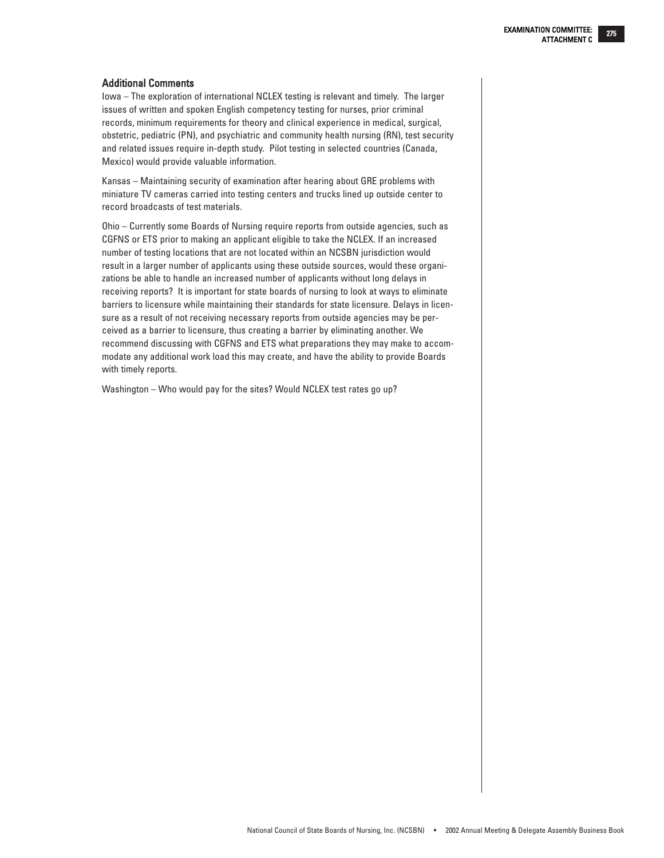#### Additional Comments

Iowa – The exploration of international NCLEX testing is relevant and timely. The larger issues of written and spoken English competency testing for nurses, prior criminal records, minimum requirements for theory and clinical experience in medical, surgical, obstetric, pediatric (PN), and psychiatric and community health nursing (RN), test security and related issues require in-depth study. Pilot testing in selected countries (Canada, Mexico) would provide valuable information.

Kansas – Maintaining security of examination after hearing about GRE problems with miniature TV cameras carried into testing centers and trucks lined up outside center to record broadcasts of test materials.

Ohio – Currently some Boards of Nursing require reports from outside agencies, such as CGFNS or ETS prior to making an applicant eligible to take the NCLEX. If an increased number of testing locations that are not located within an NCSBN jurisdiction would result in a larger number of applicants using these outside sources, would these organizations be able to handle an increased number of applicants without long delays in receiving reports? It is important for state boards of nursing to look at ways to eliminate barriers to licensure while maintaining their standards for state licensure. Delays in licensure as a result of not receiving necessary reports from outside agencies may be perceived as a barrier to licensure, thus creating a barrier by eliminating another. We recommend discussing with CGFNS and ETS what preparations they may make to accommodate any additional work load this may create, and have the ability to provide Boards with timely reports.

Washington – Who would pay for the sites? Would NCLEX test rates go up?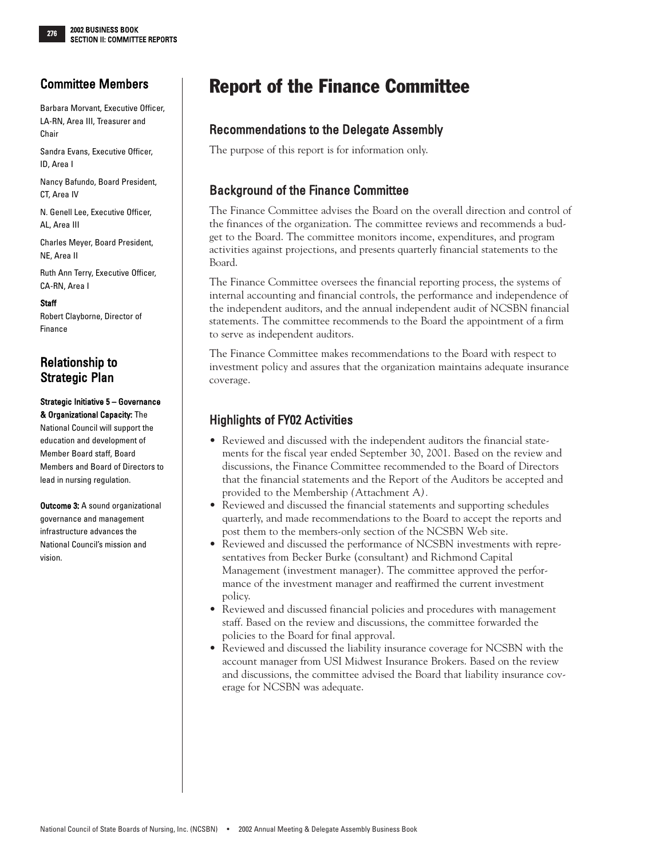### Committee Members

Barbara Morvant, Executive Officer, LA-RN, Area III, Treasurer and Chair

Sandra Evans, Executive Officer, ID, Area I

Nancy Bafundo, Board President, CT, Area IV

N. Genell Lee, Executive Officer, AL, Area III

Charles Meyer, Board President, NE, Area II

Ruth Ann Terry, Executive Officer, CA-RN, Area I

#### **Staff**

Robert Clayborne, Director of Finance

### Relationship to Strategic Plan

#### Strategic Initiative 5 – Governance & Organizational Capacity: The

National Council will support the education and development of Member Board staff, Board Members and Board of Directors to lead in nursing regulation.

**Outcome 3:** A sound organizational governance and management infrastructure advances the National Council's mission and vision.

# Report of the Finance Committee

### Recommendations to the Delegate Assembly

The purpose of this report is for information only.

### Background of the Finance Committee

The Finance Committee advises the Board on the overall direction and control of the finances of the organization. The committee reviews and recommends a budget to the Board. The committee monitors income, expenditures, and program activities against projections, and presents quarterly financial statements to the Board.

The Finance Committee oversees the financial reporting process, the systems of internal accounting and financial controls, the performance and independence of the independent auditors, and the annual independent audit of NCSBN financial statements. The committee recommends to the Board the appointment of a firm to serve as independent auditors.

The Finance Committee makes recommendations to the Board with respect to investment policy and assures that the organization maintains adequate insurance coverage.

### Highlights of FY02 Activities

- Reviewed and discussed with the independent auditors the financial statements for the fiscal year ended September 30, 2001. Based on the review and discussions, the Finance Committee recommended to the Board of Directors that the financial statements and the Report of the Auditors be accepted and provided to the Membership *(*Attachment A*).*
- Reviewed and discussed the financial statements and supporting schedules quarterly, and made recommendations to the Board to accept the reports and post them to the members-only section of the NCSBN Web site.
- Reviewed and discussed the performance of NCSBN investments with representatives from Becker Burke (consultant) and Richmond Capital Management (investment manager). The committee approved the performance of the investment manager and reaffirmed the current investment policy.
- Reviewed and discussed financial policies and procedures with management staff. Based on the review and discussions, the committee forwarded the policies to the Board for final approval.
- Reviewed and discussed the liability insurance coverage for NCSBN with the account manager from USI Midwest Insurance Brokers. Based on the review and discussions, the committee advised the Board that liability insurance coverage for NCSBN was adequate.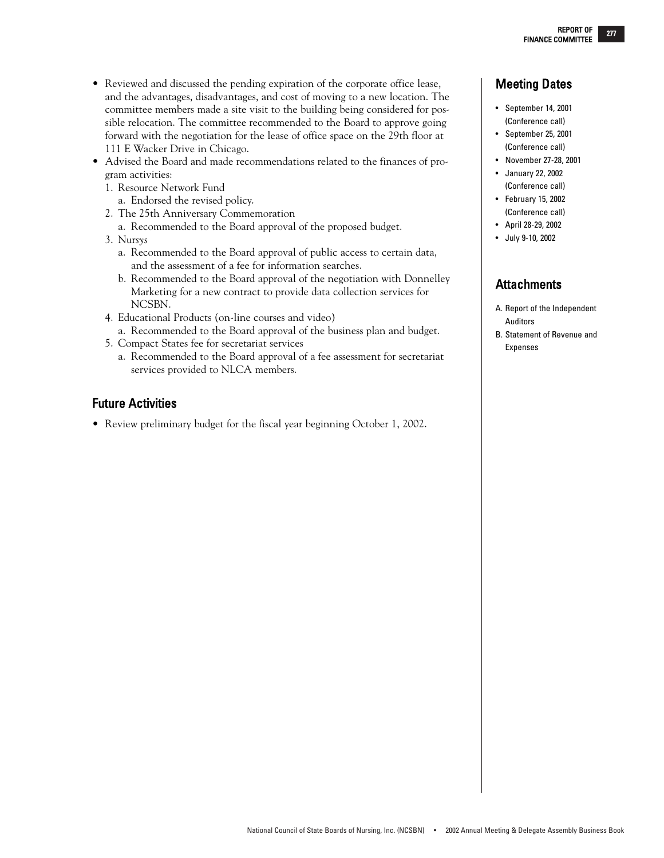- Reviewed and discussed the pending expiration of the corporate office lease, and the advantages, disadvantages, and cost of moving to a new location. The committee members made a site visit to the building being considered for possible relocation. The committee recommended to the Board to approve going forward with the negotiation for the lease of office space on the 29th floor at 111 E Wacker Drive in Chicago.
- Advised the Board and made recommendations related to the finances of program activities:
	- 1. Resource Network Fund
		- a. Endorsed the revised policy.
	- 2. The 25th Anniversary Commemoration
	- a. Recommended to the Board approval of the proposed budget. 3. Nur*sys*
		- a. Recommended to the Board approval of public access to certain data, and the assessment of a fee for information searches.
		- b. Recommended to the Board approval of the negotiation with Donnelley Marketing for a new contract to provide data collection services for NCSBN.
	- 4. Educational Products (on-line courses and video)
		- a. Recommended to the Board approval of the business plan and budget.
	- 5. Compact States fee for secretariat services
		- a. Recommended to the Board approval of a fee assessment for secretariat services provided to NLCA members.

### Future Activities

• Review preliminary budget for the fiscal year beginning October 1, 2002.

### Meeting Dates

- September 14, 2001 (Conference call)
- September 25, 2001 (Conference call)
- November 27-28, 2001
- January 22, 2002 (Conference call)
- February 15, 2002 (Conference call)
- April 28-29, 2002
- July 9-10, 2002

### **Attachments**

- A. Report of the Independent Auditors
- B. Statement of Revenue and Expenses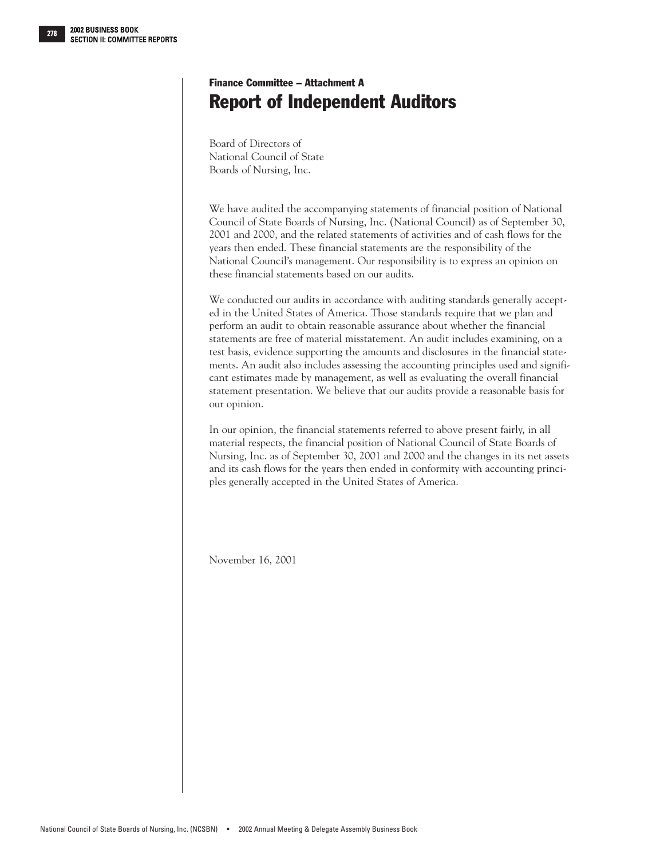## Finance Committee – Attachment A Report of Independent Auditors

Board of Directors of National Council of State Boards of Nursing, Inc.

We have audited the accompanying statements of financial position of National Council of State Boards of Nursing, Inc. (National Council) as of September 30, 2001 and 2000, and the related statements of activities and of cash flows for the years then ended. These financial statements are the responsibility of the National Council's management. Our responsibility is to express an opinion on these financial statements based on our audits.

We conducted our audits in accordance with auditing standards generally accepted in the United States of America. Those standards require that we plan and perform an audit to obtain reasonable assurance about whether the financial statements are free of material misstatement. An audit includes examining, on a test basis, evidence supporting the amounts and disclosures in the financial statements. An audit also includes assessing the accounting principles used and significant estimates made by management, as well as evaluating the overall financial statement presentation. We believe that our audits provide a reasonable basis for our opinion.

In our opinion, the financial statements referred to above present fairly, in all material respects, the financial position of National Council of State Boards of Nursing, Inc. as of September 30, 2001 and 2000 and the changes in its net assets and its cash flows for the years then ended in conformity with accounting principles generally accepted in the United States of America.

November 16, 2001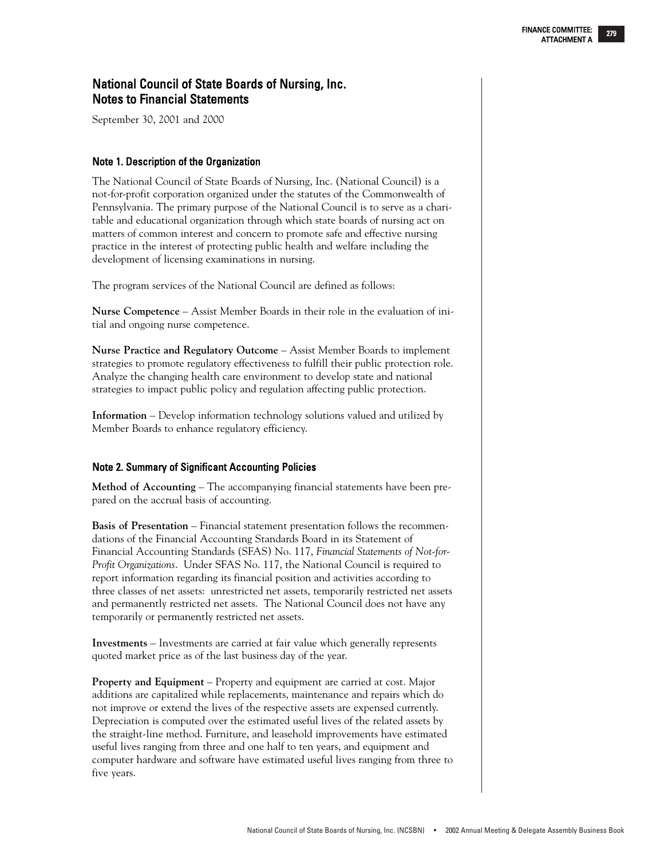### National Council of State Boards of Nursing, Inc. Notes to Financial Statements

September 30, 2001 and 2000

#### Note 1. Description of the Organization

The National Council of State Boards of Nursing, Inc. (National Council) is a not-for-profit corporation organized under the statutes of the Commonwealth of Pennsylvania. The primary purpose of the National Council is to serve as a charitable and educational organization through which state boards of nursing act on matters of common interest and concern to promote safe and effective nursing practice in the interest of protecting public health and welfare including the development of licensing examinations in nursing.

The program services of the National Council are defined as follows:

**Nurse Competence** – Assist Member Boards in their role in the evaluation of initial and ongoing nurse competence.

**Nurse Practice and Regulatory Outcome** – Assist Member Boards to implement strategies to promote regulatory effectiveness to fulfill their public protection role. Analyze the changing health care environment to develop state and national strategies to impact public policy and regulation affecting public protection.

**Information** – Develop information technology solutions valued and utilized by Member Boards to enhance regulatory efficiency.

#### Note 2. Summary of Significant Accounting Policies

**Method of Accounting** – The accompanying financial statements have been prepared on the accrual basis of accounting.

**Basis of Presentation** – Financial statement presentation follows the recommendations of the Financial Accounting Standards Board in its Statement of Financial Accounting Standards (SFAS) No. 117, *Financial Statements of Not-for-Profit Organizations*. Under SFAS No. 117, the National Council is required to report information regarding its financial position and activities according to three classes of net assets: unrestricted net assets, temporarily restricted net assets and permanently restricted net assets. The National Council does not have any temporarily or permanently restricted net assets.

**Investments** – Investments are carried at fair value which generally represents quoted market price as of the last business day of the year.

**Property and Equipment** – Property and equipment are carried at cost. Major additions are capitalized while replacements, maintenance and repairs which do not improve or extend the lives of the respective assets are expensed currently. Depreciation is computed over the estimated useful lives of the related assets by the straight-line method. Furniture, and leasehold improvements have estimated useful lives ranging from three and one half to ten years, and equipment and computer hardware and software have estimated useful lives ranging from three to five years.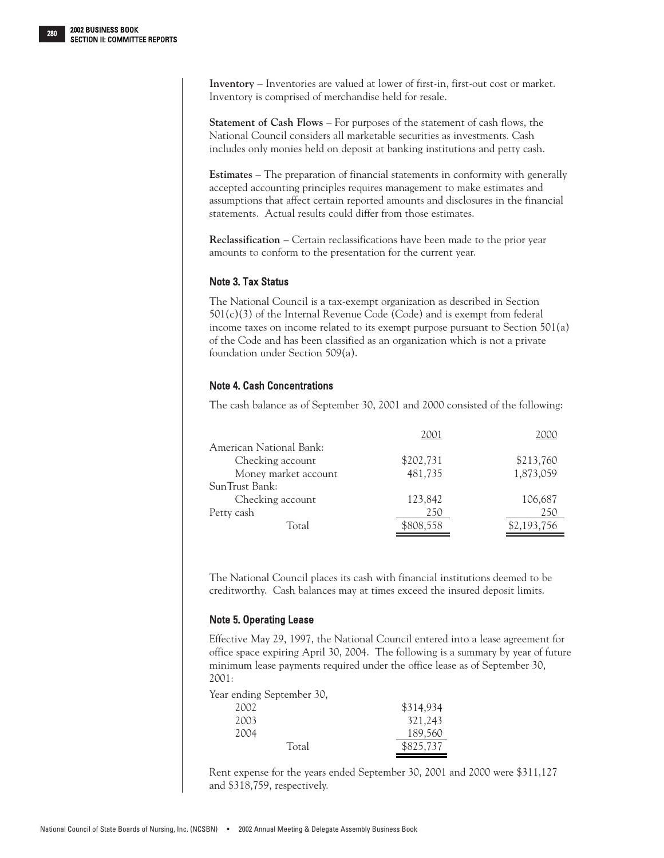**Inventory** – Inventories are valued at lower of first-in, first-out cost or market. Inventory is comprised of merchandise held for resale.

**Statement of Cash Flows** – For purposes of the statement of cash flows, the National Council considers all marketable securities as investments. Cash includes only monies held on deposit at banking institutions and petty cash.

**Estimates** – The preparation of financial statements in conformity with generally accepted accounting principles requires management to make estimates and assumptions that affect certain reported amounts and disclosures in the financial statements. Actual results could differ from those estimates.

**Reclassification** – Certain reclassifications have been made to the prior year amounts to conform to the presentation for the current year.

#### Note 3. Tax Status

The National Council is a tax-exempt organization as described in Section 501(c)(3) of the Internal Revenue Code (Code) and is exempt from federal income taxes on income related to its exempt purpose pursuant to Section 501(a) of the Code and has been classified as an organization which is not a private foundation under Section 509(a).

#### Note 4. Cash Concentrations

The cash balance as of September 30, 2001 and 2000 consisted of the following:

|                         | 2001      | 2000        |
|-------------------------|-----------|-------------|
| American National Bank: |           |             |
| Checking account        | \$202,731 | \$213,760   |
| Money market account    | 481,735   | 1,873,059   |
| SunTrust Bank:          |           |             |
| Checking account        | 123,842   | 106,687     |
| Petty cash              | 250       | 250         |
| Total                   | \$808,558 | \$2,193,756 |

The National Council places its cash with financial institutions deemed to be creditworthy. Cash balances may at times exceed the insured deposit limits.

#### Note 5. Operating Lease

Effective May 29, 1997, the National Council entered into a lease agreement for office space expiring April 30, 2004. The following is a summary by year of future minimum lease payments required under the office lease as of September 30, 2001:

Year ending September 30,

| 2002  | \$314,934 |
|-------|-----------|
| 2003  | 321,243   |
| 2004  | 189,560   |
| Total | \$825,737 |

Rent expense for the years ended September 30, 2001 and 2000 were \$311,127 and \$318,759, respectively.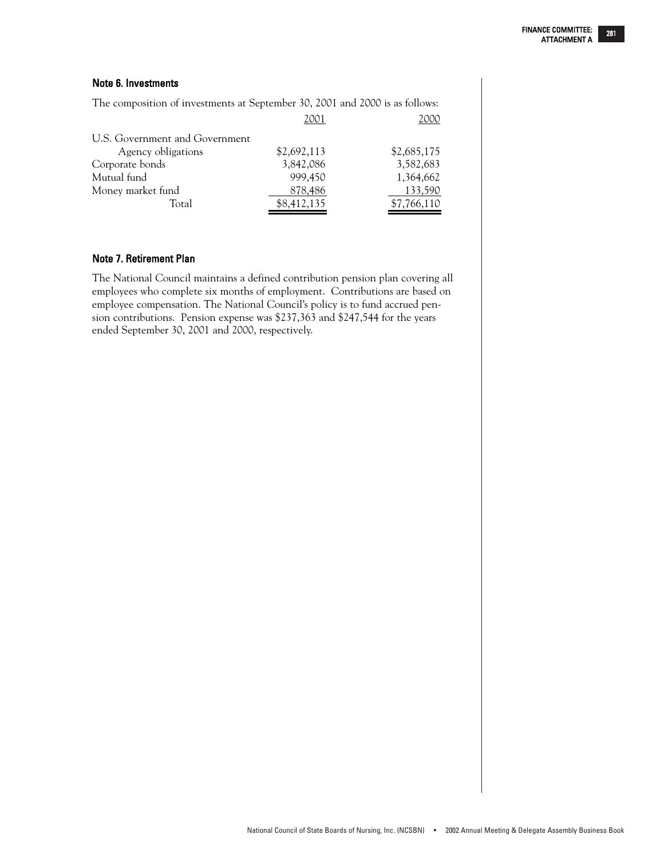#### Note 6. Investments

| The composition of investments at September 30, 2001 and 2000 is as follows: |             |             |  |  |
|------------------------------------------------------------------------------|-------------|-------------|--|--|
|                                                                              | 2001        | 2000        |  |  |
| U.S. Government and Government                                               |             |             |  |  |
| Agency obligations                                                           | \$2,692,113 | \$2,685,175 |  |  |
| Corporate bonds                                                              | 3,842,086   | 3,582,683   |  |  |
| Mutual fund                                                                  | 999,450     | 1,364,662   |  |  |
| Money market fund                                                            | 878,486     | 133,590     |  |  |
| Total                                                                        | \$8,412,135 | \$7,766,110 |  |  |

#### Note 7. Retirement Plan

The National Council maintains a defined contribution pension plan covering all employees who complete six months of employment. Contributions are based on employee compensation. The National Council's policy is to fund accrued pension contributions. Pension expense was \$237,363 and \$247,544 for the years ended September 30, 2001 and 2000, respectively.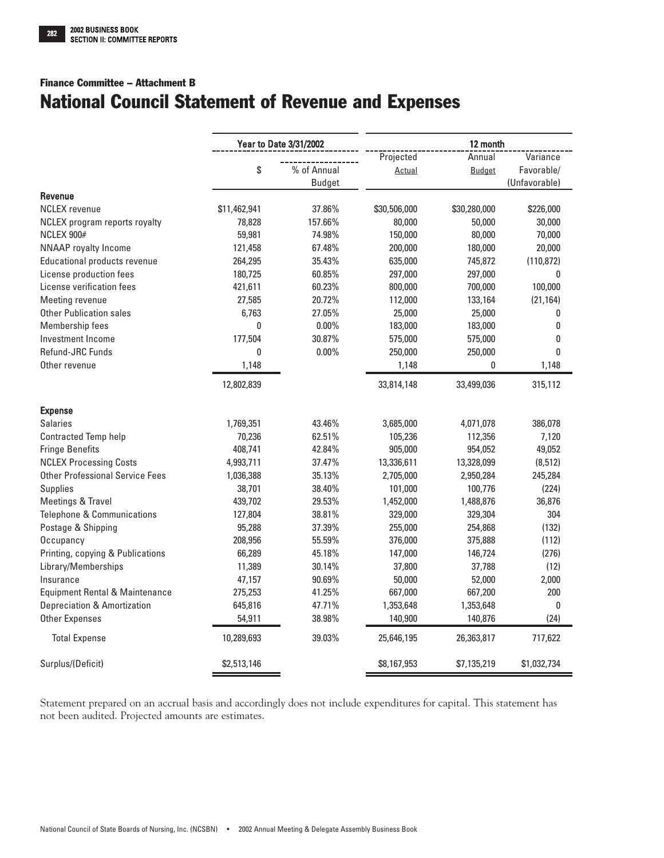## Finance Committee – Attachment B National Council Statement of Revenue and Expenses

|                                        | Year to Date 3/31/2002<br>12 month |               |              |               |               |
|----------------------------------------|------------------------------------|---------------|--------------|---------------|---------------|
|                                        |                                    |               | Projected    | Annual        | Variance      |
|                                        | \$                                 | % of Annual   | Actual       | <b>Budget</b> | Favorable/    |
|                                        |                                    | <b>Budget</b> |              |               | (Unfavorable) |
| Revenue                                |                                    |               |              |               |               |
| <b>NCLEX</b> revenue                   | \$11,462,941                       | 37.86%        | \$30,506,000 | \$30,280,000  | \$226,000     |
| NCLEX program reports royalty          | 78,828                             | 157.66%       | 80,000       | 50,000        | 30,000        |
| <b>NCLEX 900#</b>                      | 59,981                             | 74.98%        | 150,000      | 80,000        | 70,000        |
| <b>NNAAP</b> royalty Income            | 121,458                            | 67.48%        | 200,000      | 180,000       | 20,000        |
| Educational products revenue           | 264,295                            | 35.43%        | 635,000      | 745,872       | (110, 872)    |
| License production fees                | 180,725                            | 60.85%        | 297,000      | 297,000       | $\mathbf{0}$  |
| License verification fees              | 421,611                            | 60.23%        | 800,000      | 700,000       | 100,000       |
| Meeting revenue                        | 27,585                             | 20.72%        | 112,000      | 133,164       | (21, 164)     |
| <b>Other Publication sales</b>         | 6,763                              | 27.05%        | 25,000       | 25,000        | 0             |
| Membership fees                        | 0                                  | $0.00\%$      | 183,000      | 183,000       | 0             |
| Investment Income                      | 177,504                            | 30.87%        | 575,000      | 575,000       | 0             |
| Refund-JRC Funds                       | 0                                  | $0.00\%$      | 250,000      | 250,000       | 0             |
| Other revenue                          | 1,148                              |               | 1,148        | 0             | 1,148         |
|                                        | 12,802,839                         |               | 33,814,148   | 33,499,036    | 315,112       |
| <b>Expense</b>                         |                                    |               |              |               |               |
| <b>Salaries</b>                        | 1,769,351                          | 43.46%        | 3,685,000    | 4,071,078     | 386,078       |
| Contracted Temp help                   | 70,236                             | 62.51%        | 105,236      | 112,356       | 7,120         |
| <b>Fringe Benefits</b>                 | 408,741                            | 42.84%        | 905,000      | 954,052       | 49,052        |
| <b>NCLEX Processing Costs</b>          | 4,993,711                          | 37.47%        | 13,336,611   | 13,328,099    | (8, 512)      |
| <b>Other Professional Service Fees</b> | 1,036,388                          | 35.13%        | 2,705,000    | 2,950,284     | 245,284       |
| Supplies                               | 38,701                             | 38.40%        | 101,000      | 100,776       | (224)         |
| <b>Meetings &amp; Travel</b>           | 439,702                            | 29.53%        | 1,452,000    | 1,488,876     | 36,876        |
| <b>Telephone &amp; Communications</b>  | 127,804                            | 38.81%        | 329,000      | 329,304       | 304           |
| Postage & Shipping                     | 95,288                             | 37.39%        | 255,000      | 254,868       | (132)         |
| Occupancy                              | 208,956                            | 55.59%        | 376,000      | 375,888       | (112)         |
| Printing, copying & Publications       | 66,289                             | 45.18%        | 147,000      | 146,724       | (276)         |
| Library/Memberships                    | 11,389                             | 30.14%        | 37,800       | 37,788        | (12)          |
| Insurance                              | 47,157                             | 90.69%        | 50,000       | 52,000        | 2,000         |
| Equipment Rental & Maintenance         | 275,253                            | 41.25%        | 667,000      | 667,200       | 200           |
| Depreciation & Amortization            | 645,816                            | 47.71%        | 1,353,648    | 1,353,648     | 0             |
| <b>Other Expenses</b>                  | 54,911                             | 38.98%        | 140,900      | 140,876       | (24)          |
| <b>Total Expense</b>                   | 10,289,693                         | 39.03%        | 25,646,195   | 26,363,817    | 717,622       |
| Surplus/(Deficit)                      | \$2,513,146                        |               | \$8,167,953  | \$7,135,219   | \$1,032,734   |

Statement prepared on an accrual basis and accordingly does not include expenditures for capital. This statement has not been audited. Projected amounts are estimates.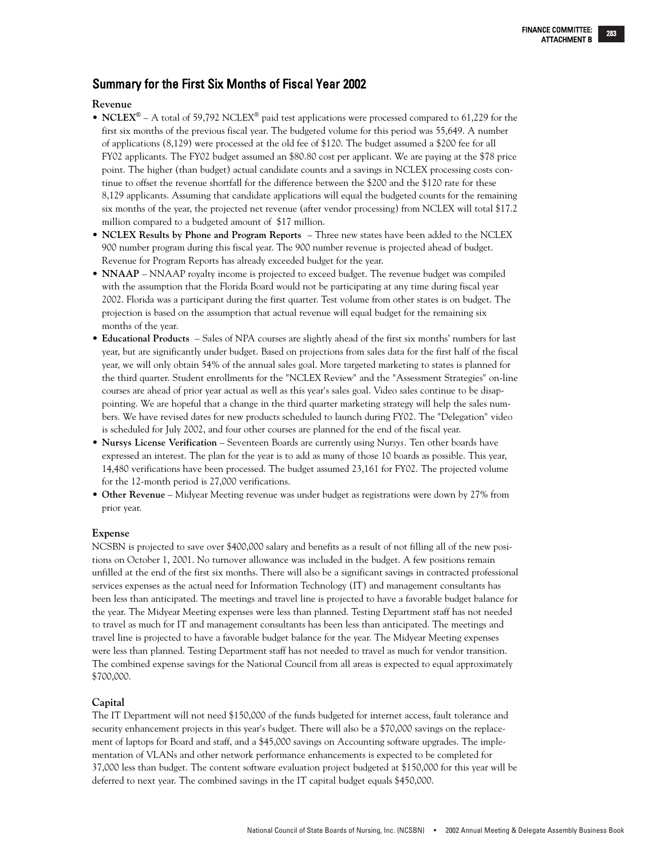### Summary for the First Six Months of Fiscal Year 2002

#### **Revenue**

- **NCLEX®** A total of 59,792 NCLEX® paid test applications were processed compared to 61,229 for the first six months of the previous fiscal year. The budgeted volume for this period was 55,649. A number of applications (8,129) were processed at the old fee of \$120. The budget assumed a \$200 fee for all FY02 applicants. The FY02 budget assumed an \$80.80 cost per applicant. We are paying at the \$78 price point. The higher (than budget) actual candidate counts and a savings in NCLEX processing costs continue to offset the revenue shortfall for the difference between the \$200 and the \$120 rate for these 8,129 applicants. Assuming that candidate applications will equal the budgeted counts for the remaining six months of the year, the projected net revenue (after vendor processing) from NCLEX will total \$17.2 million compared to a budgeted amount of \$17 million.
- **NCLEX Results by Phone and Program Reports** Three new states have been added to the NCLEX 900 number program during this fiscal year. The 900 number revenue is projected ahead of budget. Revenue for Program Reports has already exceeded budget for the year.
- **NNAAP** NNAAP royalty income is projected to exceed budget. The revenue budget was compiled with the assumption that the Florida Board would not be participating at any time during fiscal year 2002. Florida was a participant during the first quarter. Test volume from other states is on budget. The projection is based on the assumption that actual revenue will equal budget for the remaining six months of the year.
- **Educational Products** Sales of NPA courses are slightly ahead of the first six months' numbers for last year, but are significantly under budget. Based on projections from sales data for the first half of the fiscal year, we will only obtain 54% of the annual sales goal. More targeted marketing to states is planned for the third quarter. Student enrollments for the "NCLEX Review" and the "Assessment Strategies" on-line courses are ahead of prior year actual as well as this year's sales goal. Video sales continue to be disappointing. We are hopeful that a change in the third quarter marketing strategy will help the sales numbers. We have revised dates for new products scheduled to launch during FY02. The "Delegation" video is scheduled for July 2002, and four other courses are planned for the end of the fiscal year.
- **Nursys License Verification** Seventeen Boards are currently using Nur*sys.* Ten other boards have expressed an interest. The plan for the year is to add as many of those 10 boards as possible. This year, 14,480 verifications have been processed. The budget assumed 23,161 for FY02. The projected volume for the 12-month period is 27,000 verifications.
- **Other Revenue** Midyear Meeting revenue was under budget as registrations were down by 27% from prior year.

#### **Expense**

NCSBN is projected to save over \$400,000 salary and benefits as a result of not filling all of the new positions on October 1, 2001. No turnover allowance was included in the budget. A few positions remain unfilled at the end of the first six months. There will also be a significant savings in contracted professional services expenses as the actual need for Information Technology (IT) and management consultants has been less than anticipated. The meetings and travel line is projected to have a favorable budget balance for the year. The Midyear Meeting expenses were less than planned. Testing Department staff has not needed to travel as much for IT and management consultants has been less than anticipated. The meetings and travel line is projected to have a favorable budget balance for the year. The Midyear Meeting expenses were less than planned. Testing Department staff has not needed to travel as much for vendor transition. The combined expense savings for the National Council from all areas is expected to equal approximately \$700,000.

#### **Capital**

The IT Department will not need \$150,000 of the funds budgeted for internet access, fault tolerance and security enhancement projects in this year's budget. There will also be a \$70,000 savings on the replacement of laptops for Board and staff, and a \$45,000 savings on Accounting software upgrades. The implementation of VLANs and other network performance enhancements is expected to be completed for 37,000 less than budget. The content software evaluation project budgeted at \$150,000 for this year will be deferred to next year. The combined savings in the IT capital budget equals \$450,000.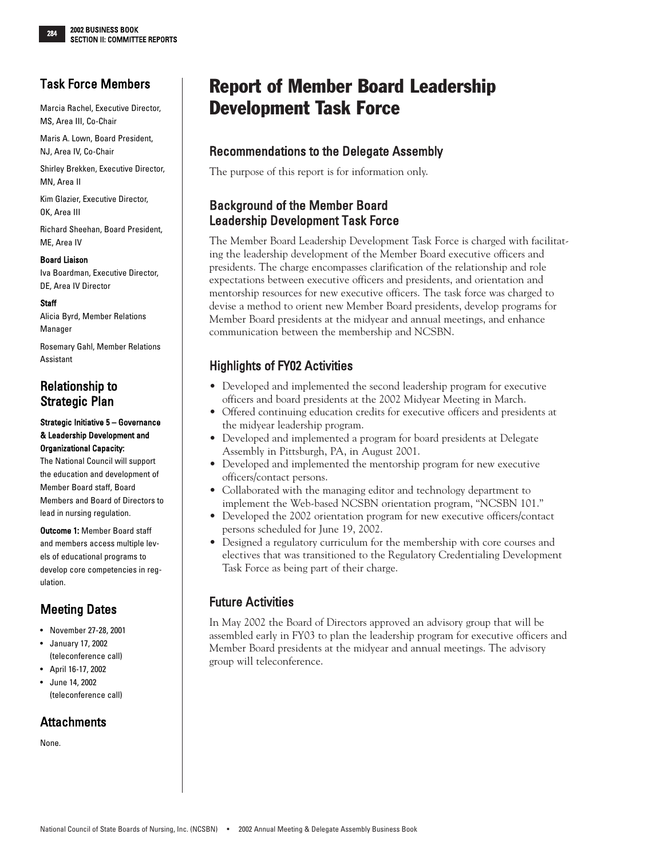### Task Force Members

Marcia Rachel, Executive Director, MS, Area III, Co-Chair

Maris A. Lown, Board President, NJ, Area IV, Co-Chair

Shirley Brekken, Executive Director, MN, Area II

Kim Glazier, Executive Director, OK, Area III

Richard Sheehan, Board President, ME, Area IV

#### Board Liaison

Iva Boardman, Executive Director, DE, Area IV Director

#### **Staff**

Alicia Byrd, Member Relations Manager

Rosemary Gahl, Member Relations Assistant

### Relationship to Strategic Plan

#### Strategic Initiative 5 – Governance & Leadership Development and Organizational Capacity:

The National Council will support the education and development of Member Board staff, Board Members and Board of Directors to lead in nursing regulation.

Outcome 1: Member Board staff and members access multiple levels of educational programs to develop core competencies in regulation.

### Meeting Dates

- November 27-28, 2001
- January 17, 2002 (teleconference call)
- April 16-17, 2002
- June 14, 2002 (teleconference call)

### **Attachments**

None.

# Report of Member Board Leadership Development Task Force

### Recommendations to the Delegate Assembly

The purpose of this report is for information only.

### Background of the Member Board Leadership Development Task Force

The Member Board Leadership Development Task Force is charged with facilitating the leadership development of the Member Board executive officers and presidents. The charge encompasses clarification of the relationship and role expectations between executive officers and presidents, and orientation and mentorship resources for new executive officers. The task force was charged to devise a method to orient new Member Board presidents, develop programs for Member Board presidents at the midyear and annual meetings, and enhance communication between the membership and NCSBN.

### Highlights of FY02 Activities

- Developed and implemented the second leadership program for executive officers and board presidents at the 2002 Midyear Meeting in March.
- Offered continuing education credits for executive officers and presidents at the midyear leadership program.
- Developed and implemented a program for board presidents at Delegate Assembly in Pittsburgh, PA, in August 2001.
- Developed and implemented the mentorship program for new executive officers/contact persons.
- Collaborated with the managing editor and technology department to implement the Web-based NCSBN orientation program, "NCSBN 101."
- Developed the 2002 orientation program for new executive officers/contact persons scheduled for June 19, 2002.
- Designed a regulatory curriculum for the membership with core courses and electives that was transitioned to the Regulatory Credentialing Development Task Force as being part of their charge.

### Future Activities

In May 2002 the Board of Directors approved an advisory group that will be assembled early in FY03 to plan the leadership program for executive officers and Member Board presidents at the midyear and annual meetings. The advisory group will teleconference.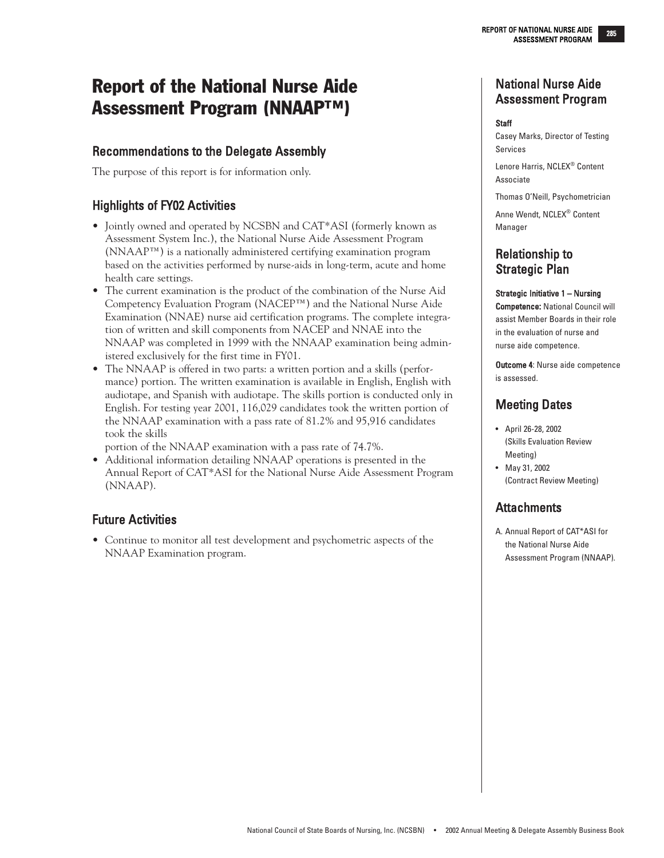# Report of the National Nurse Aide Assessment Program (NNAAP™)

### Recommendations to the Delegate Assembly

The purpose of this report is for information only.

### Highlights of FY02 Activities

- Jointly owned and operated by NCSBN and CAT\*ASI (formerly known as Assessment System Inc.), the National Nurse Aide Assessment Program (NNAAP™) is a nationally administered certifying examination program based on the activities performed by nurse-aids in long-term, acute and home health care settings.
- The current examination is the product of the combination of the Nurse Aid Competency Evaluation Program (NACEP™) and the National Nurse Aide Examination (NNAE) nurse aid certification programs. The complete integration of written and skill components from NACEP and NNAE into the NNAAP was completed in 1999 with the NNAAP examination being administered exclusively for the first time in FY01.
- The NNAAP is offered in two parts: a written portion and a skills (performance) portion. The written examination is available in English, English with audiotape, and Spanish with audiotape. The skills portion is conducted only in English. For testing year 2001, 116,029 candidates took the written portion of the NNAAP examination with a pass rate of 81.2% and 95,916 candidates took the skills

portion of the NNAAP examination with a pass rate of 74.7%.

• Additional information detailing NNAAP operations is presented in the Annual Report of CAT\*ASI for the National Nurse Aide Assessment Program (NNAAP).

### Future Activities

• Continue to monitor all test development and psychometric aspects of the NNAAP Examination program.

### National Nurse Aide Assessment Program

#### Staff

Casey Marks, Director of Testing Services

Lenore Harris, NCLEX® Content Associate

Thomas O'Neill, Psychometrician

Anne Wendt, NCLEX® Content Manager

### Relationship to Strategic Plan

#### Strategic Initiative 1 – Nursing

Competence: National Council will assist Member Boards in their role in the evaluation of nurse and nurse aide competence.

Outcome 4: Nurse aide competence is assessed.

### Meeting Dates

- April 26-28, 2002 (Skills Evaluation Review Meeting)
- May 31, 2002 (Contract Review Meeting)

### **Attachments**

A. Annual Report of CAT\*ASI for the National Nurse Aide Assessment Program (NNAAP).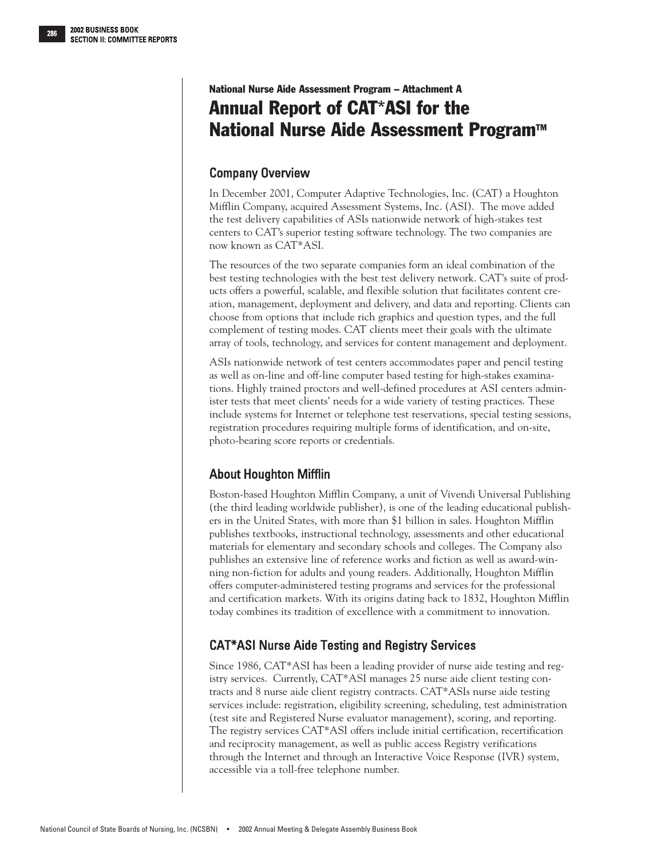# National Nurse Aide Assessment Program – Attachment A Annual Report of CAT\*ASI for the National Nurse Aide Assessment Program<sup>™</sup>

### Company Overview

In December 2001, Computer Adaptive Technologies, Inc. (CAT) a Houghton Mifflin Company, acquired Assessment Systems, Inc. (ASI). The move added the test delivery capabilities of ASIs nationwide network of high-stakes test centers to CAT's superior testing software technology. The two companies are now known as CAT\*ASI.

The resources of the two separate companies form an ideal combination of the best testing technologies with the best test delivery network. CAT's suite of products offers a powerful, scalable, and flexible solution that facilitates content creation, management, deployment and delivery, and data and reporting. Clients can choose from options that include rich graphics and question types, and the full complement of testing modes. CAT clients meet their goals with the ultimate array of tools, technology, and services for content management and deployment.

ASIs nationwide network of test centers accommodates paper and pencil testing as well as on-line and off-line computer based testing for high-stakes examinations. Highly trained proctors and well-defined procedures at ASI centers administer tests that meet clients' needs for a wide variety of testing practices. These include systems for Internet or telephone test reservations, special testing sessions, registration procedures requiring multiple forms of identification, and on-site, photo-bearing score reports or credentials.

### About Houghton Mifflin

Boston-based Houghton Mifflin Company, a unit of Vivendi Universal Publishing (the third leading worldwide publisher), is one of the leading educational publishers in the United States, with more than \$1 billion in sales. Houghton Mifflin publishes textbooks, instructional technology, assessments and other educational materials for elementary and secondary schools and colleges. The Company also publishes an extensive line of reference works and fiction as well as award-winning non-fiction for adults and young readers. Additionally, Houghton Mifflin offers computer-administered testing programs and services for the professional and certification markets. With its origins dating back to 1832, Houghton Mifflin today combines its tradition of excellence with a commitment to innovation.

### CAT\*ASI Nurse Aide Testing and Registry Services

Since 1986, CAT\*ASI has been a leading provider of nurse aide testing and registry services. Currently, CAT\*ASI manages 25 nurse aide client testing contracts and 8 nurse aide client registry contracts. CAT\*ASIs nurse aide testing services include: registration, eligibility screening, scheduling, test administration (test site and Registered Nurse evaluator management), scoring, and reporting. The registry services CAT\*ASI offers include initial certification, recertification and reciprocity management, as well as public access Registry verifications through the Internet and through an Interactive Voice Response (IVR) system, accessible via a toll-free telephone number.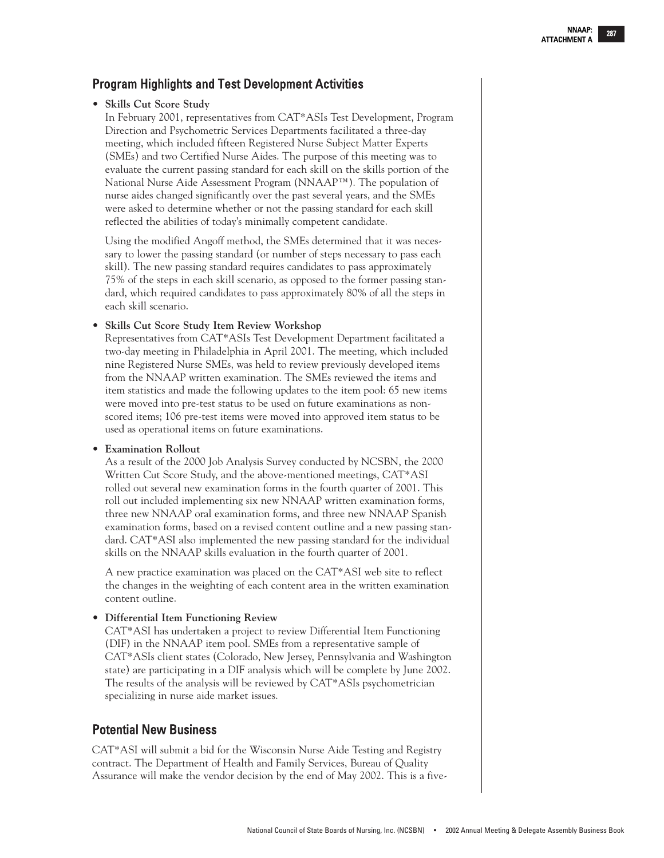### Program Highlights and Test Development Activities

#### • **Skills Cut Score Study**

In February 2001, representatives from CAT\*ASIs Test Development, Program Direction and Psychometric Services Departments facilitated a three-day meeting, which included fifteen Registered Nurse Subject Matter Experts (SMEs) and two Certified Nurse Aides. The purpose of this meeting was to evaluate the current passing standard for each skill on the skills portion of the National Nurse Aide Assessment Program (NNAAP™). The population of nurse aides changed significantly over the past several years, and the SMEs were asked to determine whether or not the passing standard for each skill reflected the abilities of today's minimally competent candidate.

Using the modified Angoff method, the SMEs determined that it was necessary to lower the passing standard (or number of steps necessary to pass each skill). The new passing standard requires candidates to pass approximately 75% of the steps in each skill scenario, as opposed to the former passing standard, which required candidates to pass approximately 80% of all the steps in each skill scenario.

#### • **Skills Cut Score Study Item Review Workshop**

Representatives from CAT\*ASIs Test Development Department facilitated a two-day meeting in Philadelphia in April 2001. The meeting, which included nine Registered Nurse SMEs, was held to review previously developed items from the NNAAP written examination. The SMEs reviewed the items and item statistics and made the following updates to the item pool: 65 new items were moved into pre-test status to be used on future examinations as nonscored items; 106 pre-test items were moved into approved item status to be used as operational items on future examinations.

#### • **Examination Rollout**

As a result of the 2000 Job Analysis Survey conducted by NCSBN, the 2000 Written Cut Score Study, and the above-mentioned meetings, CAT\*ASI rolled out several new examination forms in the fourth quarter of 2001. This roll out included implementing six new NNAAP written examination forms, three new NNAAP oral examination forms, and three new NNAAP Spanish examination forms, based on a revised content outline and a new passing standard. CAT\*ASI also implemented the new passing standard for the individual skills on the NNAAP skills evaluation in the fourth quarter of 2001.

A new practice examination was placed on the CAT\*ASI web site to reflect the changes in the weighting of each content area in the written examination content outline.

#### • **Differential Item Functioning Review**

CAT\*ASI has undertaken a project to review Differential Item Functioning (DIF) in the NNAAP item pool. SMEs from a representative sample of CAT\*ASIs client states (Colorado, New Jersey, Pennsylvania and Washington state) are participating in a DIF analysis which will be complete by June 2002. The results of the analysis will be reviewed by CAT\*ASIs psychometrician specializing in nurse aide market issues.

#### Potential New Business

CAT\*ASI will submit a bid for the Wisconsin Nurse Aide Testing and Registry contract. The Department of Health and Family Services, Bureau of Quality Assurance will make the vendor decision by the end of May 2002. This is a five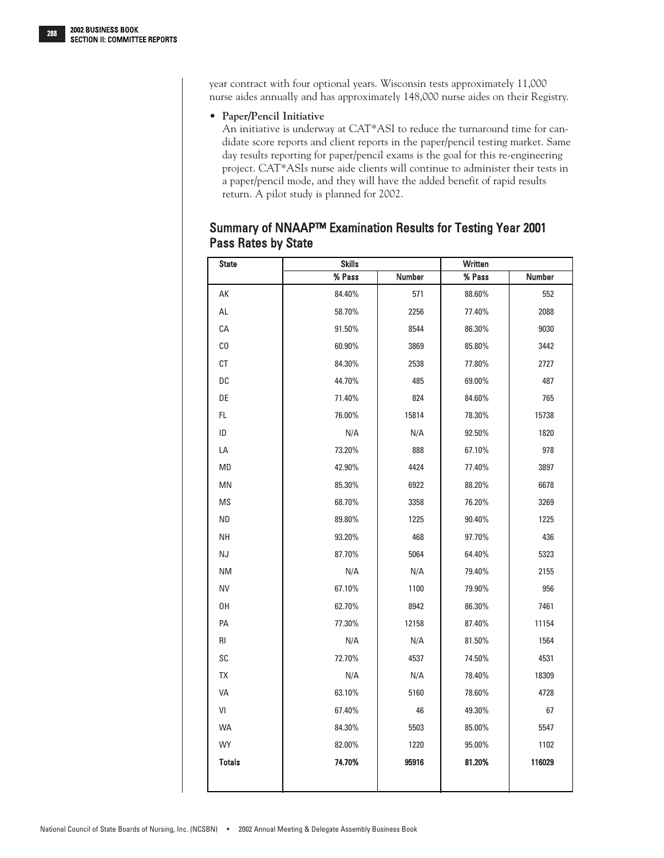year contract with four optional years. Wisconsin tests approximately 11,000 nurse aides annually and has approximately 148,000 nurse aides on their Registry.

#### **• Paper/Pencil Initiative**

An initiative is underway at CAT\*ASI to reduce the turnaround time for candidate score reports and client reports in the paper/pencil testing market. Same day results reporting for paper/pencil exams is the goal for this re-engineering project. CAT\*ASIs nurse aide clients will continue to administer their tests in a paper/pencil mode, and they will have the added benefit of rapid results return. A pilot study is planned for 2002.

### Summary of NNAAP™ Examination Results for Testing Year 2001 Pass Rates by State

| <b>State</b>  | <b>Skills</b> |        | Written |        |  |
|---------------|---------------|--------|---------|--------|--|
|               | % Pass        | Number | % Pass  | Number |  |
| AK            | 84.40%        | 571    | 88.60%  | 552    |  |
| AL            | 58.70%        | 2256   | 77.40%  | 2088   |  |
| СA            | 91.50%        | 8544   | 86.30%  | 9030   |  |
| CO            | 60.90%        | 3869   | 85.80%  | 3442   |  |
| CT            | 84.30%        | 2538   | 77.80%  | 2727   |  |
| DC            | 44.70%        | 485    | 69.00%  | 487    |  |
| DE            | 71.40%        | 824    | 84.60%  | 765    |  |
| FL.           | 76.00%        | 15814  | 78.30%  | 15738  |  |
| ID            | N/A           | N/A    | 92.50%  | 1820   |  |
| LA            | 73.20%        | 888    | 67.10%  | 978    |  |
| MD            | 42.90%        | 4424   | 77.40%  | 3897   |  |
| ΜN            | 85.30%        | 6922   | 88.20%  | 6678   |  |
| <b>MS</b>     | 68.70%        | 3358   | 76.20%  | 3269   |  |
| <b>ND</b>     | 89.80%        | 1225   | 90.40%  | 1225   |  |
| NΗ            | 93.20%        | 468    | 97.70%  | 436    |  |
| NJ            | 87.70%        | 5064   | 64.40%  | 5323   |  |
| <b>NM</b>     | N/A           | N/A    | 79.40%  | 2155   |  |
| <b>NV</b>     | 67.10%        | 1100   | 79.90%  | 956    |  |
| 0H            | 62.70%        | 8942   | 86.30%  | 7461   |  |
| PA            | 77.30%        | 12158  | 87.40%  | 11154  |  |
| RI.           | N/A           | N/A    | 81.50%  | 1564   |  |
| SC            | 72.70%        | 4537   | 74.50%  | 4531   |  |
| <b>TX</b>     | N/A           | N/A    | 78.40%  | 18309  |  |
| VA            | 63.10%        | 5160   | 78.60%  | 4728   |  |
| VI            | 67.40%        | 46     | 49.30%  | 67     |  |
| <b>WA</b>     | 84.30%        | 5503   | 85.00%  | 5547   |  |
| <b>WY</b>     | 82.00%        | 1220   | 95.00%  | 1102   |  |
| <b>Totals</b> | 74.70%        | 95916  | 81.20%  | 116029 |  |
|               |               |        |         |        |  |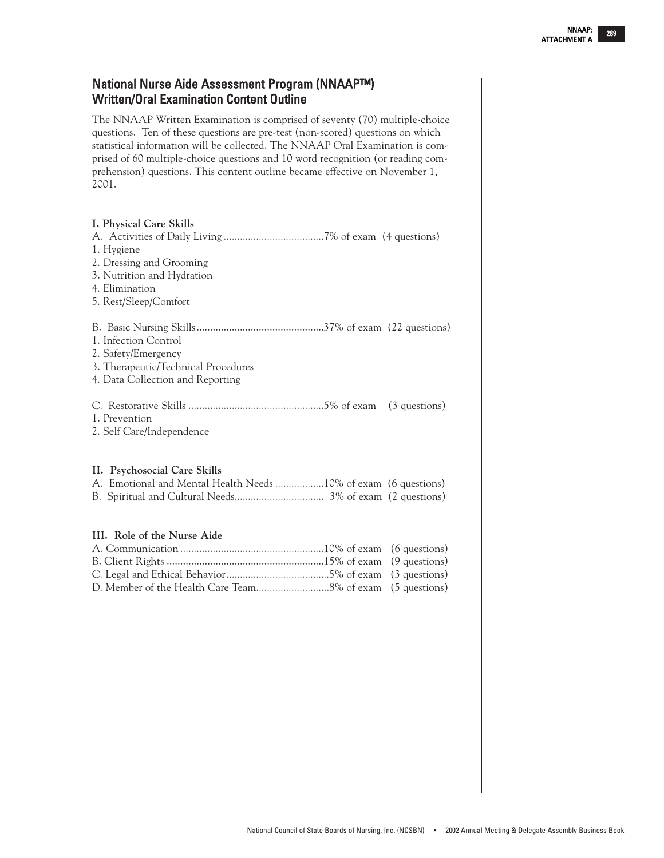### National Nurse Aide Assessment Program (NNAAP™) Written/Oral Examination Content Outline

The NNAAP Written Examination is comprised of seventy (70) multiple-choice questions. Ten of these questions are pre-test (non-scored) questions on which statistical information will be collected. The NNAAP Oral Examination is comprised of 60 multiple-choice questions and 10 word recognition (or reading comprehension) questions. This content outline became effective on November 1, 2001.

| I. Physical Care Skills<br>1. Hygiene<br>2. Dressing and Grooming<br>3. Nutrition and Hydration<br>4. Elimination<br>5. Rest/Sleep/Comfort |  |
|--------------------------------------------------------------------------------------------------------------------------------------------|--|
| 1. Infection Control<br>2. Safety/Emergency<br>3. Therapeutic/Technical Procedures<br>4. Data Collection and Reporting                     |  |
| 1. Prevention<br>2. Self Care/Independence                                                                                                 |  |

#### **II. Psychosocial Care Skills**

| A. Emotional and Mental Health Needs 10% of exam (6 questions) |  |
|----------------------------------------------------------------|--|
|                                                                |  |

#### **III. Role of the Nurse Aide**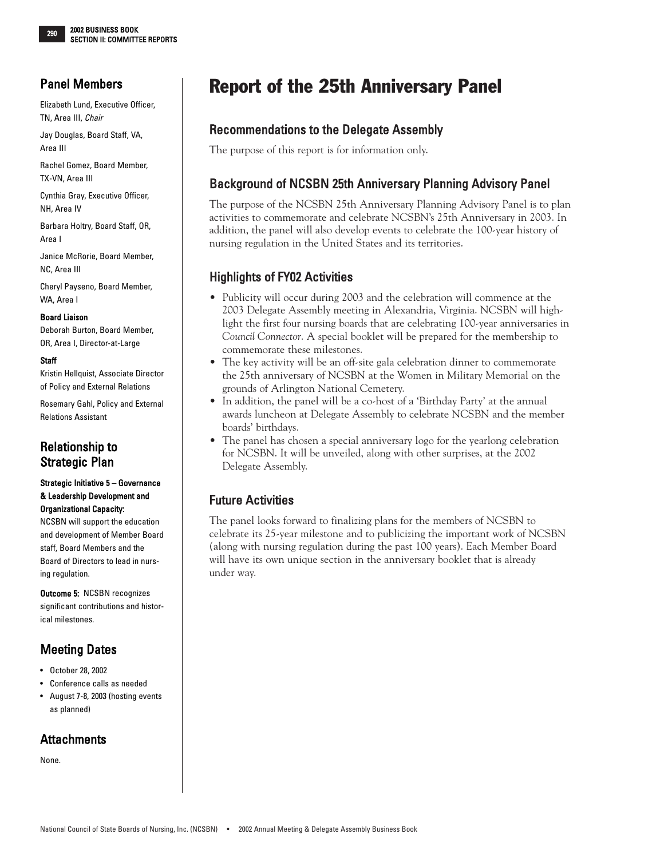### Panel Members

Elizabeth Lund, Executive Officer, TN, Area III, Chair

Jay Douglas, Board Staff, VA, Area III

Rachel Gomez, Board Member, TX-VN, Area III

Cynthia Gray, Executive Officer, NH, Area IV

Barbara Holtry, Board Staff, OR, Area I

Janice McRorie, Board Member, NC, Area III

Cheryl Payseno, Board Member, WA, Area I

Board Liaison

Deborah Burton, Board Member, OR, Area I, Director-at-Large

#### Staff

Kristin Hellquist, Associate Director of Policy and External Relations

Rosemary Gahl, Policy and External Relations Assistant

### Relationship to Strategic Plan

#### Strategic Initiative 5 – Governance & Leadership Development and Organizational Capacity:

NCSBN will support the education and development of Member Board staff, Board Members and the Board of Directors to lead in nursing regulation.

Outcome 5: NCSBN recognizes significant contributions and historical milestones.

### Meeting Dates

- October 28, 2002
- Conference calls as needed
- August 7-8, 2003 (hosting events as planned)

### **Attachments**

None.

# Report of the 25th Anniversary Panel

### Recommendations to the Delegate Assembly

The purpose of this report is for information only.

## Background of NCSBN 25th Anniversary Planning Advisory Panel

The purpose of the NCSBN 25th Anniversary Planning Advisory Panel is to plan activities to commemorate and celebrate NCSBN's 25th Anniversary in 2003. In addition, the panel will also develop events to celebrate the 100-year history of nursing regulation in the United States and its territories.

### Highlights of FY02 Activities

- Publicity will occur during 2003 and the celebration will commence at the 2003 Delegate Assembly meeting in Alexandria, Virginia. NCSBN will highlight the first four nursing boards that are celebrating 100-year anniversaries in *Council Connector*. A special booklet will be prepared for the membership to commemorate these milestones.
- The key activity will be an off-site gala celebration dinner to commemorate the 25th anniversary of NCSBN at the Women in Military Memorial on the grounds of Arlington National Cemetery.
- In addition, the panel will be a co-host of a 'Birthday Party' at the annual awards luncheon at Delegate Assembly to celebrate NCSBN and the member boards' birthdays.
- The panel has chosen a special anniversary logo for the yearlong celebration for NCSBN. It will be unveiled, along with other surprises, at the 2002 Delegate Assembly.

## Future Activities

The panel looks forward to finalizing plans for the members of NCSBN to celebrate its 25-year milestone and to publicizing the important work of NCSBN (along with nursing regulation during the past 100 years). Each Member Board will have its own unique section in the anniversary booklet that is already under way.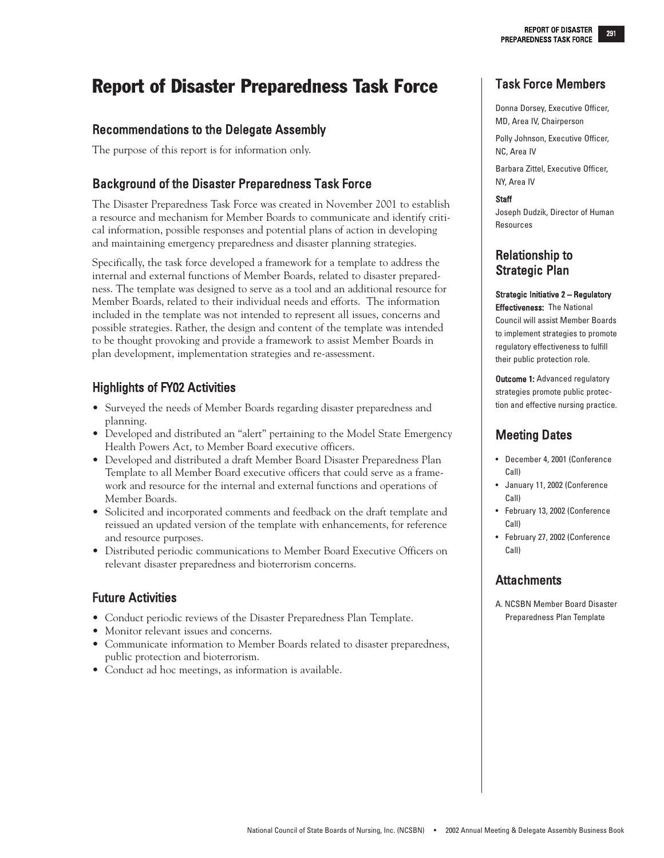# Report of Disaster Preparedness Task Force

### Recommendations to the Delegate Assembly

The purpose of this report is for information only.

# Background of the Disaster Preparedness Task Force

The Disaster Preparedness Task Force was created in November 2001 to establish a resource and mechanism for Member Boards to communicate and identify critical information, possible responses and potential plans of action in developing and maintaining emergency preparedness and disaster planning strategies.

Specifically, the task force developed a framework for a template to address the internal and external functions of Member Boards, related to disaster preparedness. The template was designed to serve as a tool and an additional resource for Member Boards, related to their individual needs and efforts. The information included in the template was not intended to represent all issues, concerns and possible strategies. Rather, the design and content of the template was intended to be thought provoking and provide a framework to assist Member Boards in plan development, implementation strategies and re-assessment.

## Highlights of FY02 Activities

- Surveyed the needs of Member Boards regarding disaster preparedness and planning.
- Developed and distributed an "alert" pertaining to the Model State Emergency Health Powers Act, to Member Board executive officers.
- Developed and distributed a draft Member Board Disaster Preparedness Plan Template to all Member Board executive officers that could serve as a framework and resource for the internal and external functions and operations of Member Boards.
- Solicited and incorporated comments and feedback on the draft template and reissued an updated version of the template with enhancements, for reference and resource purposes.
- Distributed periodic communications to Member Board Executive Officers on relevant disaster preparedness and bioterrorism concerns.

### Future Activities

- Conduct periodic reviews of the Disaster Preparedness Plan Template.
- Monitor relevant issues and concerns.
- Communicate information to Member Boards related to disaster preparedness, public protection and bioterrorism.
- Conduct ad hoc meetings, as information is available.

# Task Force Members

Donna Dorsey, Executive Officer, MD, Area IV, Chairperson

Polly Johnson, Executive Officer, NC, Area IV

Barbara Zittel, Executive Officer, NY, Area IV

#### Staff

Joseph Dudzik, Director of Human Resources

## Relationship to Strategic Plan

#### Strategic Initiative 2 – Regulatory

Effectiveness: The National Council will assist Member Boards to implement strategies to promote regulatory effectiveness to fulfill their public protection role.

**Outcome 1: Advanced regulatory** strategies promote public protection and effective nursing practice.

# Meeting Dates

- December 4, 2001 (Conference Call)
- January 11, 2002 (Conference Call)
- February 13, 2002 (Conference Call)
- February 27, 2002 (Conference Call)

# **Attachments**

A. NCSBN Member Board Disaster Preparedness Plan Template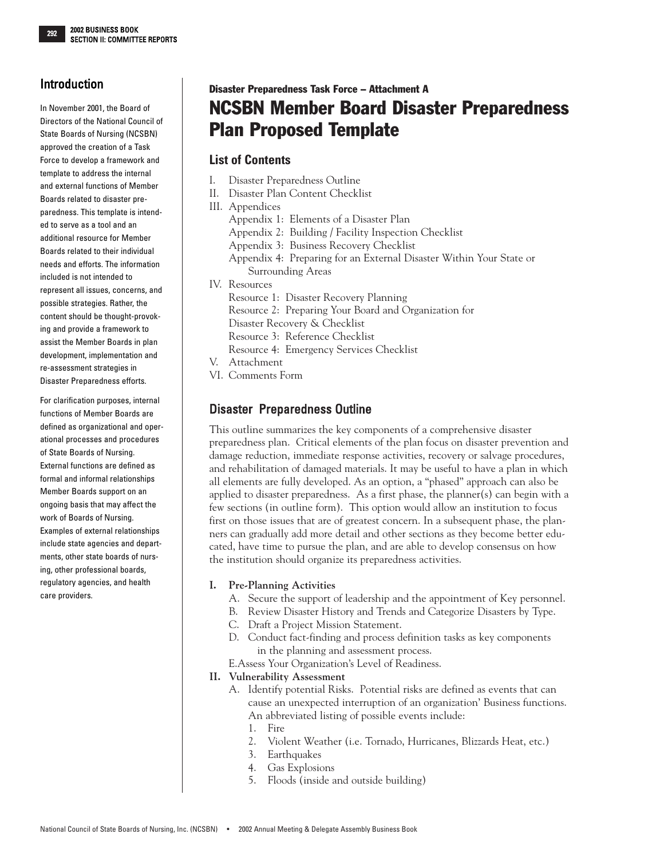### Introduction

In November 2001, the Board of Directors of the National Council of State Boards of Nursing (NCSBN) approved the creation of a Task Force to develop a framework and template to address the internal and external functions of Member Boards related to disaster preparedness. This template is intended to serve as a tool and an additional resource for Member Boards related to their individual needs and efforts. The information included is not intended to represent all issues, concerns, and possible strategies. Rather, the content should be thought-provoking and provide a framework to assist the Member Boards in plan development, implementation and re-assessment strategies in Disaster Preparedness efforts.

For clarification purposes, internal functions of Member Boards are defined as organizational and operational processes and procedures of State Boards of Nursing. External functions are defined as formal and informal relationships Member Boards support on an ongoing basis that may affect the work of Boards of Nursing. Examples of external relationships include state agencies and departments, other state boards of nursing, other professional boards, regulatory agencies, and health care providers.

### Disaster Preparedness Task Force – Attachment A

# NCSBN Member Board Disaster Preparedness Plan Proposed Template

### **List of Contents**

- I. Disaster Preparedness Outline
- II. Disaster Plan Content Checklist
- III. Appendices
	- Appendix 1: Elements of a Disaster Plan Appendix 2: Building / Facility Inspection Checklist Appendix 3: Business Recovery Checklist Appendix 4: Preparing for an External Disaster Within Your State or Surrounding Areas
- IV. Resources
	- Resource 1: Disaster Recovery Planning
	- Resource 2: Preparing Your Board and Organization for
	- Disaster Recovery & Checklist
	- Resource 3: Reference Checklist
	- Resource 4: Emergency Services Checklist
- V. Attachment
- VI. Comments Form

### Disaster Preparedness Outline

This outline summarizes the key components of a comprehensive disaster preparedness plan. Critical elements of the plan focus on disaster prevention and damage reduction, immediate response activities, recovery or salvage procedures, and rehabilitation of damaged materials. It may be useful to have a plan in which all elements are fully developed. As an option, a "phased" approach can also be applied to disaster preparedness. As a first phase, the planner(s) can begin with a few sections (in outline form). This option would allow an institution to focus first on those issues that are of greatest concern. In a subsequent phase, the planners can gradually add more detail and other sections as they become better educated, have time to pursue the plan, and are able to develop consensus on how the institution should organize its preparedness activities.

### **I. Pre-Planning Activities**

- A. Secure the support of leadership and the appointment of Key personnel.
- B. Review Disaster History and Trends and Categorize Disasters by Type.
- C. Draft a Project Mission Statement.
- D. Conduct fact-finding and process definition tasks as key components in the planning and assessment process.
- E.Assess Your Organization's Level of Readiness.

### **II. Vulnerability Assessment**

- A. Identify potential Risks. Potential risks are defined as events that can cause an unexpected interruption of an organization' Business functions. An abbreviated listing of possible events include:
	- 1. Fire
	- 2. Violent Weather (i.e. Tornado, Hurricanes, Blizzards Heat, etc.)
	- 3. Earthquakes
	- 4. Gas Explosions
	- 5. Floods (inside and outside building)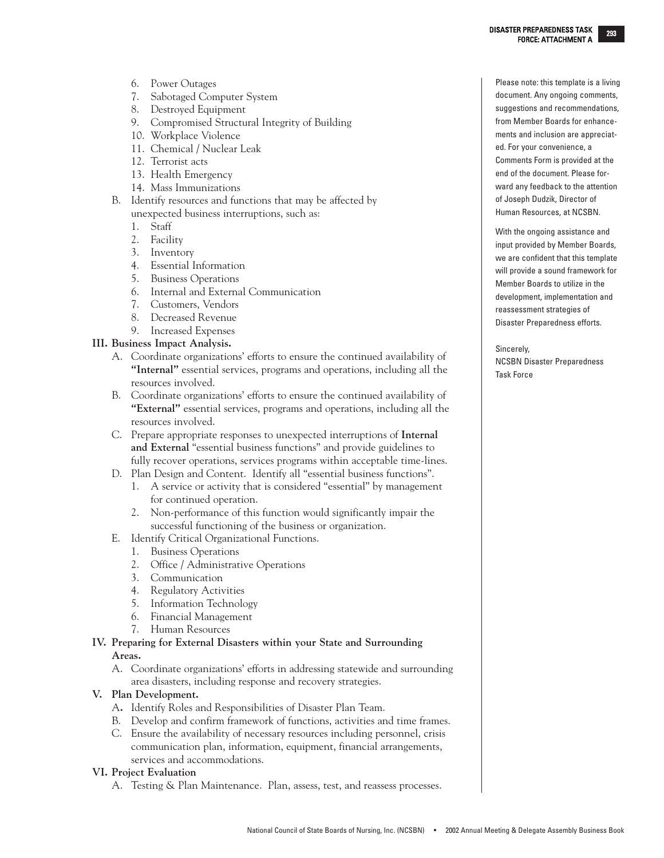- 6. Power Outages
- 7. Sabotaged Computer System
- 8. Destroyed Equipment
- 9. Compromised Structural Integrity of Building
- 10. Workplace Violence
- 11. Chemical / Nuclear Leak
- 12. Terrorist acts
- 13. Health Emergency
- 14. Mass Immunizations
- B. Identify resources and functions that may be affected by unexpected business interruptions, such as:
	- 1. Staff
	- 2. Facility
	- 3. Inventory
	- 4. Essential Information
	- 5. Business Operations
	- 6. Internal and External Communication
	- 7. Customers, Vendors
	- 8. Decreased Revenue
	- 9. Increased Expenses

### **III. Business Impact Analysis.**

- A. Coordinate organizations' efforts to ensure the continued availability of **"Internal"** essential services, programs and operations, including all the resources involved.
- B. Coordinate organizations' efforts to ensure the continued availability of **"External"** essential services, programs and operations, including all the resources involved.
- C. Prepare appropriate responses to unexpected interruptions of **Internal and External** "essential business functions" and provide guidelines to fully recover operations, services programs within acceptable time-lines.
- D. Plan Design and Content. Identify all "essential business functions".
	- 1. A service or activity that is considered "essential" by management for continued operation.
	- 2. Non-performance of this function would significantly impair the successful functioning of the business or organization.
- E. Identify Critical Organizational Functions.
	- 1. Business Operations
	- 2. Office / Administrative Operations
	- 3. Communication
	- 4. Regulatory Activities
	- 5. Information Technology
	- 6. Financial Management
	- 7. Human Resources

### **IV. Preparing for External Disasters within your State and Surrounding Areas.**

A. Coordinate organizations' efforts in addressing statewide and surrounding area disasters, including response and recovery strategies.

### **V. Plan Development.**

- A**.** Identify Roles and Responsibilities of Disaster Plan Team.
- B. Develop and confirm framework of functions, activities and time frames.
- C. Ensure the availability of necessary resources including personnel, crisis communication plan, information, equipment, financial arrangements, services and accommodations.

#### **VI. Project Evaluation**

A. Testing & Plan Maintenance. Plan, assess, test, and reassess processes.

Please note: this template is a living document. Any ongoing comments, suggestions and recommendations, from Member Boards for enhancements and inclusion are appreciated. For your convenience, a Comments Form is provided at the end of the document. Please forward any feedback to the attention of Joseph Dudzik, Director of Human Resources, at NCSBN.

With the ongoing assistance and input provided by Member Boards, we are confident that this template will provide a sound framework for Member Boards to utilize in the development, implementation and reassessment strategies of Disaster Preparedness efforts.

#### Sincerely,

NCSBN Disaster Preparedness Task Force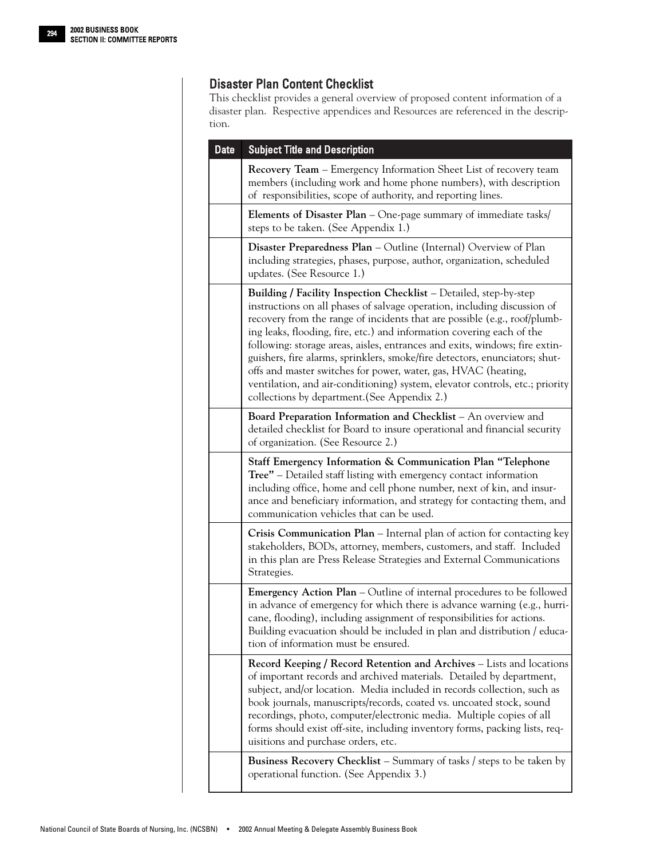# Disaster Plan Content Checklist

This checklist provides a general overview of proposed content information of a disaster plan. Respective appendices and Resources are referenced in the description.

| <b>Date</b><br><b>Subject Title and Description</b> |                                                                                                                                                                                                                                                                                                                                                                                                                                                                                                                                                                                                                                                                     |
|-----------------------------------------------------|---------------------------------------------------------------------------------------------------------------------------------------------------------------------------------------------------------------------------------------------------------------------------------------------------------------------------------------------------------------------------------------------------------------------------------------------------------------------------------------------------------------------------------------------------------------------------------------------------------------------------------------------------------------------|
|                                                     | Recovery Team - Emergency Information Sheet List of recovery team<br>members (including work and home phone numbers), with description<br>of responsibilities, scope of authority, and reporting lines.                                                                                                                                                                                                                                                                                                                                                                                                                                                             |
|                                                     | Elements of Disaster Plan - One-page summary of immediate tasks/<br>steps to be taken. (See Appendix 1.)                                                                                                                                                                                                                                                                                                                                                                                                                                                                                                                                                            |
|                                                     | Disaster Preparedness Plan - Outline (Internal) Overview of Plan<br>including strategies, phases, purpose, author, organization, scheduled<br>updates. (See Resource 1.)                                                                                                                                                                                                                                                                                                                                                                                                                                                                                            |
|                                                     | Building / Facility Inspection Checklist - Detailed, step-by-step<br>instructions on all phases of salvage operation, including discussion of<br>recovery from the range of incidents that are possible (e.g., roof/plumb-<br>ing leaks, flooding, fire, etc.) and information covering each of the<br>following: storage areas, aisles, entrances and exits, windows; fire extin-<br>guishers, fire alarms, sprinklers, smoke/fire detectors, enunciators; shut-<br>offs and master switches for power, water, gas, HVAC (heating,<br>ventilation, and air-conditioning) system, elevator controls, etc.; priority<br>collections by department. (See Appendix 2.) |
|                                                     | Board Preparation Information and Checklist - An overview and<br>detailed checklist for Board to insure operational and financial security<br>of organization. (See Resource 2.)                                                                                                                                                                                                                                                                                                                                                                                                                                                                                    |
|                                                     | Staff Emergency Information & Communication Plan "Telephone<br><b>Tree"</b> – Detailed staff listing with emergency contact information<br>including office, home and cell phone number, next of kin, and insur-<br>ance and beneficiary information, and strategy for contacting them, and<br>communication vehicles that can be used.                                                                                                                                                                                                                                                                                                                             |
|                                                     | Crisis Communication Plan - Internal plan of action for contacting key<br>stakeholders, BODs, attorney, members, customers, and staff. Included<br>in this plan are Press Release Strategies and External Communications<br>Strategies.                                                                                                                                                                                                                                                                                                                                                                                                                             |
|                                                     | <b>Emergency Action Plan</b> – Outline of internal procedures to be followed<br>in advance of emergency for which there is advance warning (e.g., hurri-<br>cane, flooding), including assignment of responsibilities for actions.<br>Building evacuation should be included in plan and distribution / educa-<br>tion of information must be ensured.                                                                                                                                                                                                                                                                                                              |
|                                                     | Record Keeping / Record Retention and Archives - Lists and locations<br>of important records and archived materials. Detailed by department,<br>subject, and/or location. Media included in records collection, such as<br>book journals, manuscripts/records, coated vs. uncoated stock, sound<br>recordings, photo, computer/electronic media. Multiple copies of all<br>forms should exist off-site, including inventory forms, packing lists, req-<br>uisitions and purchase orders, etc.                                                                                                                                                                       |
|                                                     | <b>Business Recovery Checklist</b> – Summary of tasks / steps to be taken by<br>operational function. (See Appendix 3.)                                                                                                                                                                                                                                                                                                                                                                                                                                                                                                                                             |

National Council of State Boards of Nursing, Inc. (NCSBN) • 2002 Annual Meeting & Delegate Assembly Business Book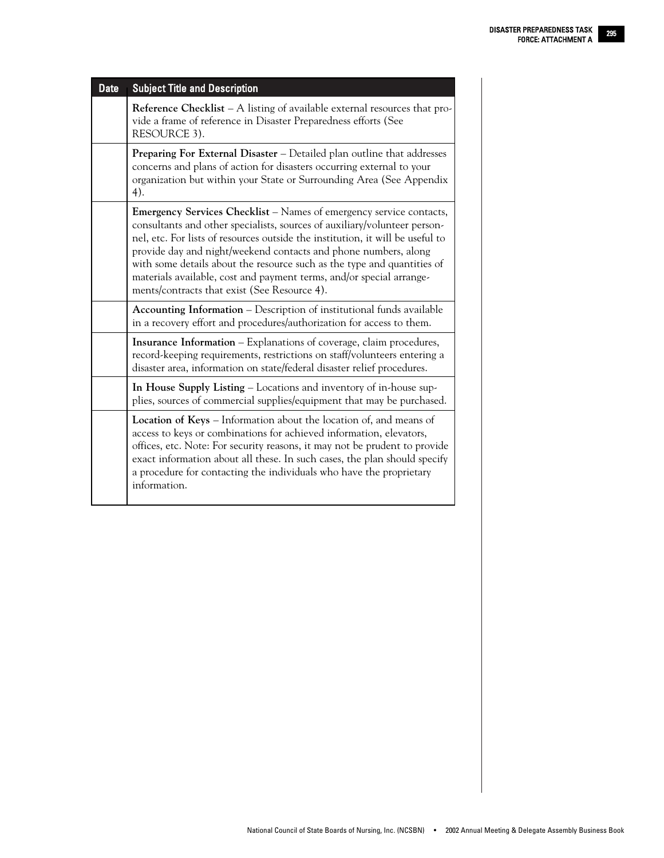| <b>Date</b>                                                                                                                                                                                                                                                                                                                                                                                                                                                                                                     | <b>Subject Title and Description</b>                                                                                                                                                                                                                                                                                                                                                               |  |
|-----------------------------------------------------------------------------------------------------------------------------------------------------------------------------------------------------------------------------------------------------------------------------------------------------------------------------------------------------------------------------------------------------------------------------------------------------------------------------------------------------------------|----------------------------------------------------------------------------------------------------------------------------------------------------------------------------------------------------------------------------------------------------------------------------------------------------------------------------------------------------------------------------------------------------|--|
|                                                                                                                                                                                                                                                                                                                                                                                                                                                                                                                 | Reference Checklist – A listing of available external resources that pro-<br>vide a frame of reference in Disaster Preparedness efforts (See<br>RESOURCE 3).                                                                                                                                                                                                                                       |  |
|                                                                                                                                                                                                                                                                                                                                                                                                                                                                                                                 | <b>Preparing For External Disaster</b> – Detailed plan outline that addresses<br>concerns and plans of action for disasters occurring external to your<br>organization but within your State or Surrounding Area (See Appendix<br>4).                                                                                                                                                              |  |
| <b>Emergency Services Checklist</b> – Names of emergency service contacts,<br>consultants and other specialists, sources of auxiliary/volunteer person-<br>nel, etc. For lists of resources outside the institution, it will be useful to<br>provide day and night/weekend contacts and phone numbers, along<br>with some details about the resource such as the type and quantities of<br>materials available, cost and payment terms, and/or special arrange-<br>ments/contracts that exist (See Resource 4). |                                                                                                                                                                                                                                                                                                                                                                                                    |  |
|                                                                                                                                                                                                                                                                                                                                                                                                                                                                                                                 | Accounting Information - Description of institutional funds available<br>in a recovery effort and procedures/authorization for access to them.                                                                                                                                                                                                                                                     |  |
| <b>Insurance Information</b> – Explanations of coverage, claim procedures,<br>record-keeping requirements, restrictions on staff/volunteers entering a<br>disaster area, information on state/federal disaster relief procedures.                                                                                                                                                                                                                                                                               |                                                                                                                                                                                                                                                                                                                                                                                                    |  |
|                                                                                                                                                                                                                                                                                                                                                                                                                                                                                                                 | In House Supply Listing – Locations and inventory of in-house sup-<br>plies, sources of commercial supplies/equipment that may be purchased.                                                                                                                                                                                                                                                       |  |
|                                                                                                                                                                                                                                                                                                                                                                                                                                                                                                                 | <b>Location of Keys</b> – Information about the location of, and means of<br>access to keys or combinations for achieved information, elevators,<br>offices, etc. Note: For security reasons, it may not be prudent to provide<br>exact information about all these. In such cases, the plan should specify<br>a procedure for contacting the individuals who have the proprietary<br>information. |  |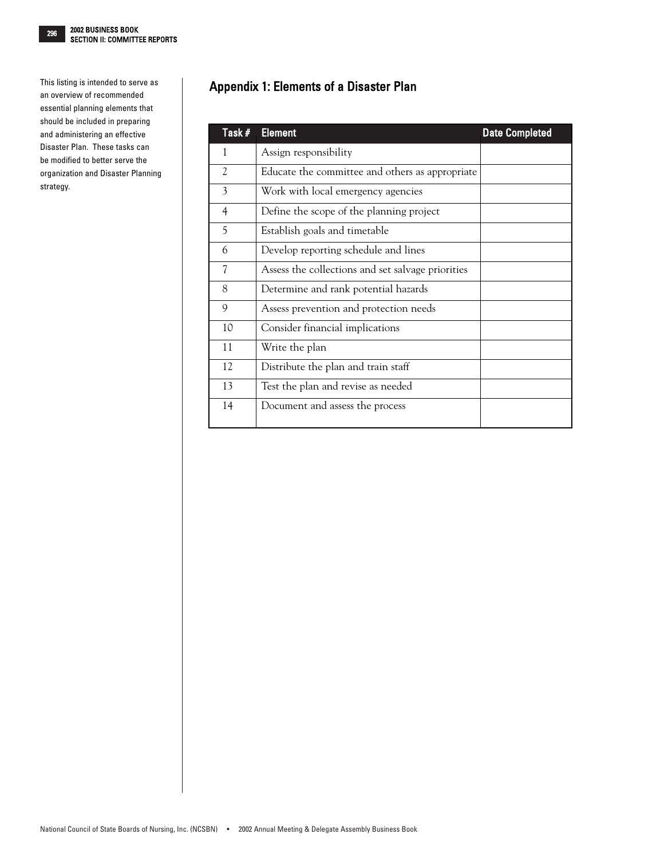This listing is intended to serve as an overview of recommended essential planning elements that should be included in preparing and administering an effective Disaster Plan. These tasks can be modified to better serve the organization and Disaster Planning strategy.

# Appendix 1: Elements of a Disaster Plan

| Task # | <b>Element</b>                                    | <b>Date Completed</b> |
|--------|---------------------------------------------------|-----------------------|
| 1      | Assign responsibility                             |                       |
| 2      | Educate the committee and others as appropriate   |                       |
| 3      | Work with local emergency agencies                |                       |
| 4      | Define the scope of the planning project          |                       |
| 5      | Establish goals and timetable                     |                       |
| 6      | Develop reporting schedule and lines              |                       |
| 7      | Assess the collections and set salvage priorities |                       |
| 8      | Determine and rank potential hazards              |                       |
| 9      | Assess prevention and protection needs            |                       |
| 10     | Consider financial implications                   |                       |
| 11     | Write the plan                                    |                       |
| 12     | Distribute the plan and train staff               |                       |
| 13     | Test the plan and revise as needed                |                       |
| 14     | Document and assess the process                   |                       |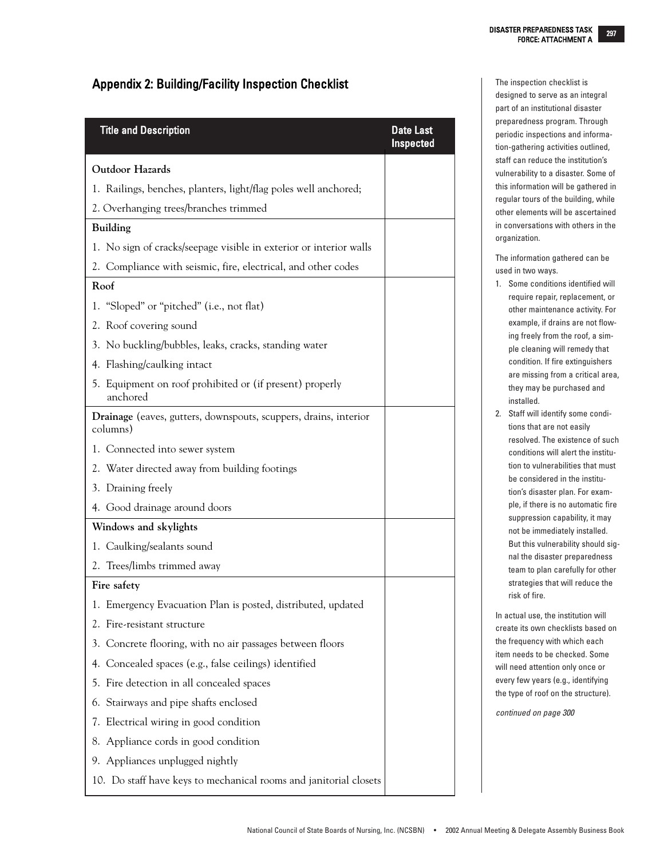## Appendix 2: Building/Facility Inspection Checklist

| <b>Title and Description</b>                                                 | <b>Date Last</b><br>Inspected |
|------------------------------------------------------------------------------|-------------------------------|
| Outdoor Hazards                                                              |                               |
| 1. Railings, benches, planters, light/flag poles well anchored;              |                               |
| 2. Overhanging trees/branches trimmed                                        |                               |
| <b>Building</b>                                                              |                               |
| 1. No sign of cracks/seepage visible in exterior or interior walls           |                               |
| 2. Compliance with seismic, fire, electrical, and other codes                |                               |
| Roof                                                                         |                               |
| 1. "Sloped" or "pitched" (i.e., not flat)                                    |                               |
| 2. Roof covering sound                                                       |                               |
| 3. No buckling/bubbles, leaks, cracks, standing water                        |                               |
| 4. Flashing/caulking intact                                                  |                               |
| 5. Equipment on roof prohibited or (if present) properly<br>anchored         |                               |
| Drainage (eaves, gutters, downspouts, scuppers, drains, interior<br>columns) |                               |
| 1. Connected into sewer system                                               |                               |
| 2. Water directed away from building footings                                |                               |
| 3. Draining freely                                                           |                               |
| 4. Good drainage around doors                                                |                               |
| Windows and skylights                                                        |                               |
| 1. Caulking/sealants sound                                                   |                               |
| 2. Trees/limbs trimmed away                                                  |                               |
| Fire safety                                                                  |                               |
| Emergency Evacuation Plan is posted, distributed, updated                    |                               |
| 2. Fire-resistant structure                                                  |                               |
| Concrete flooring, with no air passages between floors<br>3.                 |                               |
| Concealed spaces (e.g., false ceilings) identified<br>4.                     |                               |
| 5. Fire detection in all concealed spaces                                    |                               |
| Stairways and pipe shafts enclosed<br>6.                                     |                               |
| 7. Electrical wiring in good condition                                       |                               |
| Appliance cords in good condition<br>8.                                      |                               |
| 9. Appliances unplugged nightly                                              |                               |
| 10. Do staff have keys to mechanical rooms and janitorial closets            |                               |

The inspection checklist is designed to serve as an integral part of an institutional disaster preparedness program. Through periodic inspections and information-gathering activities outlined, staff can reduce the institution's vulnerability to a disaster. Some of this information will be gathered in regular tours of the building, while other elements will be ascertained in conversations with others in the organization.

The information gathered can be used in two ways.

- 1. Some conditions identified will require repair, replacement, or other maintenance activity. For example, if drains are not flowing freely from the roof, a simple cleaning will remedy that condition. If fire extinguishers are missing from a critical area, they may be purchased and installed.
- 2. Staff will identify some conditions that are not easily resolved. The existence of such conditions will alert the institution to vulnerabilities that must be considered in the institution's disaster plan. For example, if there is no automatic fire suppression capability, it may not be immediately installed. But this vulnerability should signal the disaster preparedness team to plan carefully for other strategies that will reduce the risk of fire.

In actual use, the institution will create its own checklists based on the frequency with which each item needs to be checked. Some will need attention only once or every few years (e.g., identifying the type of roof on the structure).

continued on page 300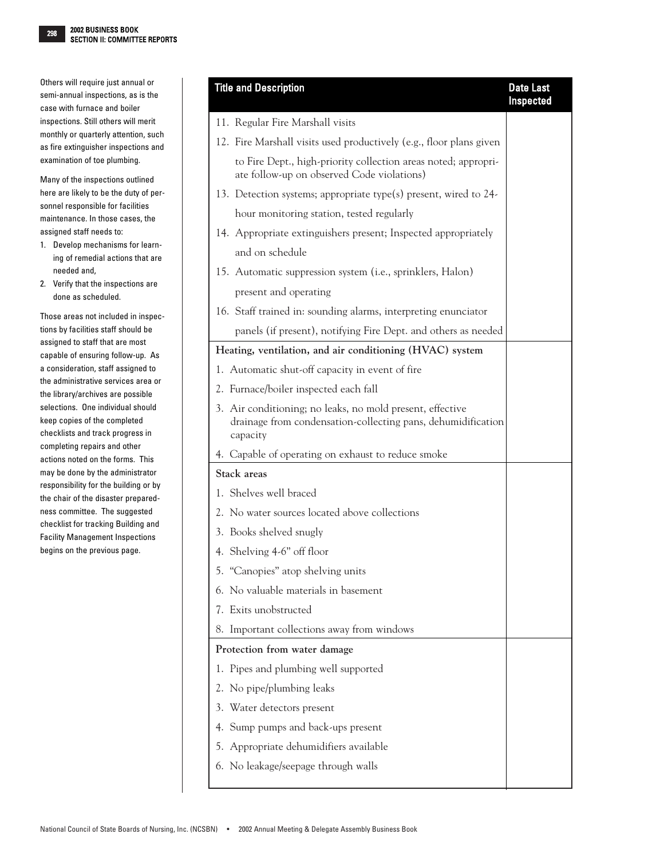Others will require just annual or semi-annual inspections, as is the case with furnace and boiler inspections. Still others will merit monthly or quarterly attention, such as fire extinguisher inspections and examination of toe plumbing.

Many of the inspections outlined here are likely to be the duty of personnel responsible for facilities maintenance. In those cases, the assigned staff needs to:

- 1. Develop mechanisms for learning of remedial actions that are needed and,
- 2. Verify that the inspections are done as scheduled.

Those areas not included in inspections by facilities staff should be assigned to staff that are most capable of ensuring follow-up. As a consideration, staff assigned to the administrative services area or the library/archives are possible selections. One individual should keep copies of the completed checklists and track progress in completing repairs and other actions noted on the forms. This may be done by the administrator responsibility for the building or by the chair of the disaster preparedness committee. The suggested checklist for tracking Building and Facility Management Inspections begins on the previous page.

| <b>Title and Description</b>                                                                                                          | <b>Date Last</b><br>Inspected |
|---------------------------------------------------------------------------------------------------------------------------------------|-------------------------------|
| 11. Regular Fire Marshall visits                                                                                                      |                               |
| 12. Fire Marshall visits used productively (e.g., floor plans given                                                                   |                               |
| to Fire Dept., high-priority collection areas noted; appropri-<br>ate follow-up on observed Code violations)                          |                               |
| 13. Detection systems; appropriate type(s) present, wired to 24-                                                                      |                               |
| hour monitoring station, tested regularly                                                                                             |                               |
| 14. Appropriate extinguishers present; Inspected appropriately                                                                        |                               |
| and on schedule                                                                                                                       |                               |
| 15. Automatic suppression system (i.e., sprinklers, Halon)                                                                            |                               |
| present and operating                                                                                                                 |                               |
| 16. Staff trained in: sounding alarms, interpreting enunciator                                                                        |                               |
| panels (if present), notifying Fire Dept. and others as needed                                                                        |                               |
| Heating, ventilation, and air conditioning (HVAC) system                                                                              |                               |
| 1. Automatic shut-off capacity in event of fire                                                                                       |                               |
| 2. Furnace/boiler inspected each fall                                                                                                 |                               |
| 3. Air conditioning; no leaks, no mold present, effective<br>drainage from condensation-collecting pans, dehumidification<br>capacity |                               |
| 4. Capable of operating on exhaust to reduce smoke                                                                                    |                               |
| Stack areas                                                                                                                           |                               |
| 1. Shelves well braced                                                                                                                |                               |
| 2. No water sources located above collections                                                                                         |                               |
| 3. Books shelved snugly                                                                                                               |                               |
| 4. Shelving 4-6" off floor                                                                                                            |                               |
| 5. "Canopies" atop shelving units                                                                                                     |                               |
| 6. No valuable materials in basement                                                                                                  |                               |
| 7. Exits unobstructed                                                                                                                 |                               |
| 8. Important collections away from windows                                                                                            |                               |
| Protection from water damage                                                                                                          |                               |
| 1. Pipes and plumbing well supported                                                                                                  |                               |
| 2. No pipe/plumbing leaks                                                                                                             |                               |
| 3. Water detectors present                                                                                                            |                               |
| 4. Sump pumps and back-ups present                                                                                                    |                               |
| 5. Appropriate dehumidifiers available                                                                                                |                               |
| 6. No leakage/seepage through walls                                                                                                   |                               |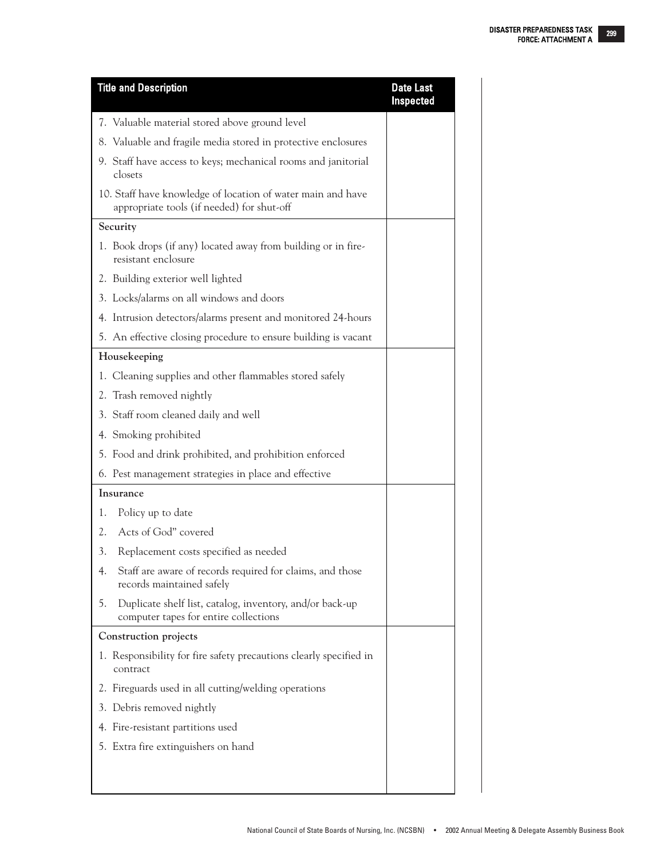| <b>Title and Description</b>                                                                              | <b>Date Last</b><br>Inspected |
|-----------------------------------------------------------------------------------------------------------|-------------------------------|
| 7. Valuable material stored above ground level                                                            |                               |
| 8. Valuable and fragile media stored in protective enclosures                                             |                               |
| 9. Staff have access to keys; mechanical rooms and janitorial<br>closets                                  |                               |
| 10. Staff have knowledge of location of water main and have<br>appropriate tools (if needed) for shut-off |                               |
| Security                                                                                                  |                               |
| 1. Book drops (if any) located away from building or in fire-<br>resistant enclosure                      |                               |
| 2. Building exterior well lighted                                                                         |                               |
| 3. Locks/alarms on all windows and doors                                                                  |                               |
| 4. Intrusion detectors/alarms present and monitored 24-hours                                              |                               |
| 5. An effective closing procedure to ensure building is vacant                                            |                               |
| Housekeeping                                                                                              |                               |
| 1. Cleaning supplies and other flammables stored safely                                                   |                               |
| 2. Trash removed nightly                                                                                  |                               |
| 3. Staff room cleaned daily and well                                                                      |                               |
| 4. Smoking prohibited                                                                                     |                               |
| 5. Food and drink prohibited, and prohibition enforced                                                    |                               |
| 6. Pest management strategies in place and effective                                                      |                               |
| Insurance                                                                                                 |                               |
| 1.<br>Policy up to date                                                                                   |                               |
| Acts of God" covered<br>2.                                                                                |                               |
| 3.<br>Replacement costs specified as needed                                                               |                               |
| Staff are aware of records required for claims, and those<br>4.<br>records maintained safely              |                               |
| 5.<br>Duplicate shelf list, catalog, inventory, and/or back-up<br>computer tapes for entire collections   |                               |
| Construction projects                                                                                     |                               |
| 1. Responsibility for fire safety precautions clearly specified in<br>contract                            |                               |
| 2. Fireguards used in all cutting/welding operations                                                      |                               |
| 3. Debris removed nightly                                                                                 |                               |
| 4. Fire-resistant partitions used                                                                         |                               |
| 5. Extra fire extinguishers on hand                                                                       |                               |
|                                                                                                           |                               |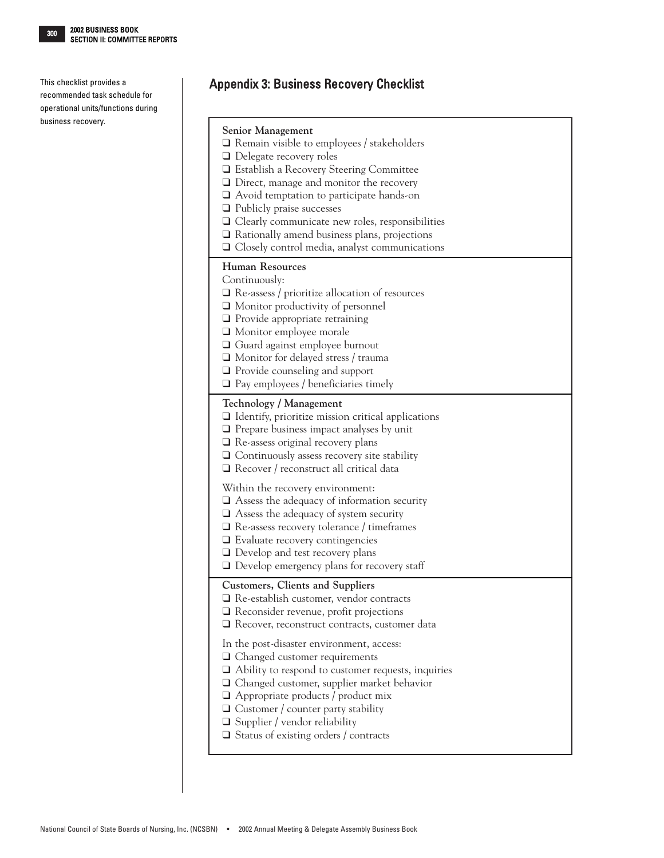This checklist provides a recommended task schedule for operational units/functions during business recovery.

### Appendix 3: Business Recovery Checklist

| <b>Senior Management</b> |
|--------------------------|

- ❑ Remain visible to employees / stakeholders
- ❑ Delegate recovery roles ❑ Establish a Recovery Steering Committee
- ❑ Direct, manage and monitor the recovery
- ❑ Avoid temptation to participate hands-on
- ❑ Publicly praise successes
- ❑ Clearly communicate new roles, responsibilities
- ❑ Rationally amend business plans, projections
- ❑ Closely control media, analyst communications

### **Human Resources**

- Continuously:
- ❑ Re-assess / prioritize allocation of resources
- ❑ Monitor productivity of personnel ❑ Provide appropriate retraining
- ❑ Monitor employee morale
- ❑ Guard against employee burnout
- ❑ Monitor for delayed stress / trauma
- ❑ Provide counseling and support
- ❑ Pay employees / beneficiaries timely

# **Technology / Management**

- ❑ Identify, prioritize mission critical applications
- ❑ Prepare business impact analyses by unit
- ❑ Re-assess original recovery plans
- ❑ Continuously assess recovery site stability
- ❑ Recover / reconstruct all critical data
- Within the recovery environment:
- ❑ Assess the adequacy of information security
- ❑ Assess the adequacy of system security
- ❑ Re-assess recovery tolerance / timeframes
- ❑ Evaluate recovery contingencies
- ❑ Develop and test recovery plans
- ❑ Develop emergency plans for recovery staff

# **Customers, Clients and Suppliers**

- ❑ Re-establish customer, vendor contracts
- ❑ Reconsider revenue, profit projections
- ❑ Recover, reconstruct contracts, customer data
- In the post-disaster environment, access:
- ❑ Changed customer requirements
- ❑ Ability to respond to customer requests, inquiries
- ❑ Changed customer, supplier market behavior
- ❑ Appropriate products / product mix
- ❑ Customer / counter party stability
- ❑ Supplier / vendor reliability
- ❑ Status of existing orders / contracts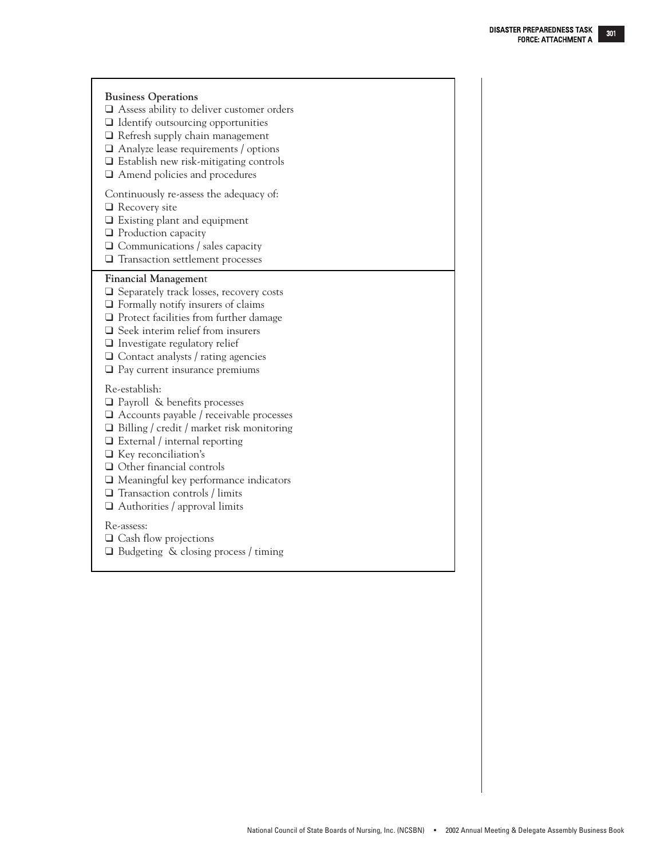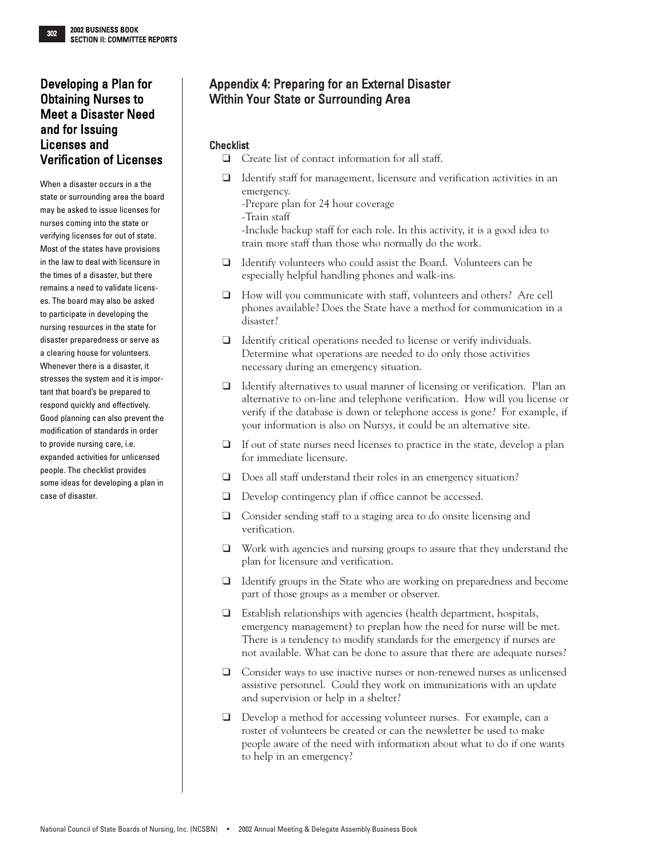### Developing a Plan for Obtaining Nurses to Meet a Disaster Need and for Issuing Licenses and Verification of Licenses

When a disaster occurs in a the state or surrounding area the board may be asked to issue licenses for nurses coming into the state or verifying licenses for out of state. Most of the states have provisions in the law to deal with licensure in the times of a disaster, but there remains a need to validate licenses. The board may also be asked to participate in developing the nursing resources in the state for disaster preparedness or serve as a clearing house for volunteers. Whenever there is a disaster, it stresses the system and it is important that board's be prepared to respond quickly and effectively. Good planning can also prevent the modification of standards in order to provide nursing care, i.e. expanded activities for unlicensed people. The checklist provides some ideas for developing a plan in case of disaster.

# Appendix 4: Preparing for an External Disaster Within Your State or Surrounding Area

### **Checklist**

- ❑ Create list of contact information for all staff.
- ❑ Identify staff for management, licensure and verification activities in an emergency.
	- -Prepare plan for 24 hour coverage
	- -Train staff

-Include backup staff for each role. In this activity, it is a good idea to train more staff than those who normally do the work.

- ❑ Identify volunteers who could assist the Board. Volunteers can be especially helpful handling phones and walk-ins.
- ❑ How will you communicate with staff, volunteers and others? Are cell phones available? Does the State have a method for communication in a disaster?
- ❑ Identify critical operations needed to license or verify individuals. Determine what operations are needed to do only those activities necessary during an emergency situation.
- ❑ Identify alternatives to usual manner of licensing or verification. Plan an alternative to on-line and telephone verification. How will you license or verify if the database is down or telephone access is gone? For example, if your information is also on Nur*sys*, it could be an alternative site.
- ❑ If out of state nurses need licenses to practice in the state, develop a plan for immediate licensure.
- ❑ Does all staff understand their roles in an emergency situation?
- ❑ Develop contingency plan if office cannot be accessed.
- ❑ Consider sending staff to a staging area to do onsite licensing and verification.
- ❑ Work with agencies and nursing groups to assure that they understand the plan for licensure and verification.
- ❑ Identify groups in the State who are working on preparedness and become part of those groups as a member or observer.
- ❑ Establish relationships with agencies (health department, hospitals, emergency management) to preplan how the need for nurse will be met. There is a tendency to modify standards for the emergency if nurses are not available. What can be done to assure that there are adequate nurses?
- ❑ Consider ways to use inactive nurses or non-renewed nurses as unlicensed assistive personnel. Could they work on immunizations with an update and supervision or help in a shelter?
- ❑ Develop a method for accessing volunteer nurses. For example, can a roster of volunteers be created or can the newsletter be used to make people aware of the need with information about what to do if one wants to help in an emergency?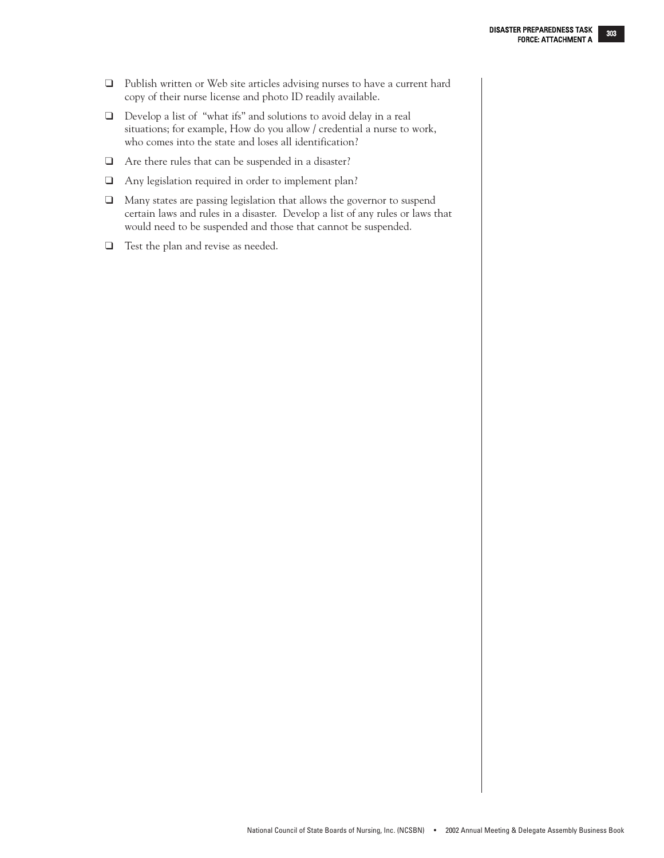- ❑ Publish written or Web site articles advising nurses to have a current hard copy of their nurse license and photo ID readily available.
- ❑ Develop a list of "what ifs" and solutions to avoid delay in a real situations; for example, How do you allow / credential a nurse to work, who comes into the state and loses all identification?
- ❑ Are there rules that can be suspended in a disaster?
- ❑ Any legislation required in order to implement plan?
- ❑ Many states are passing legislation that allows the governor to suspend certain laws and rules in a disaster. Develop a list of any rules or laws that would need to be suspended and those that cannot be suspended.
- ❑ Test the plan and revise as needed.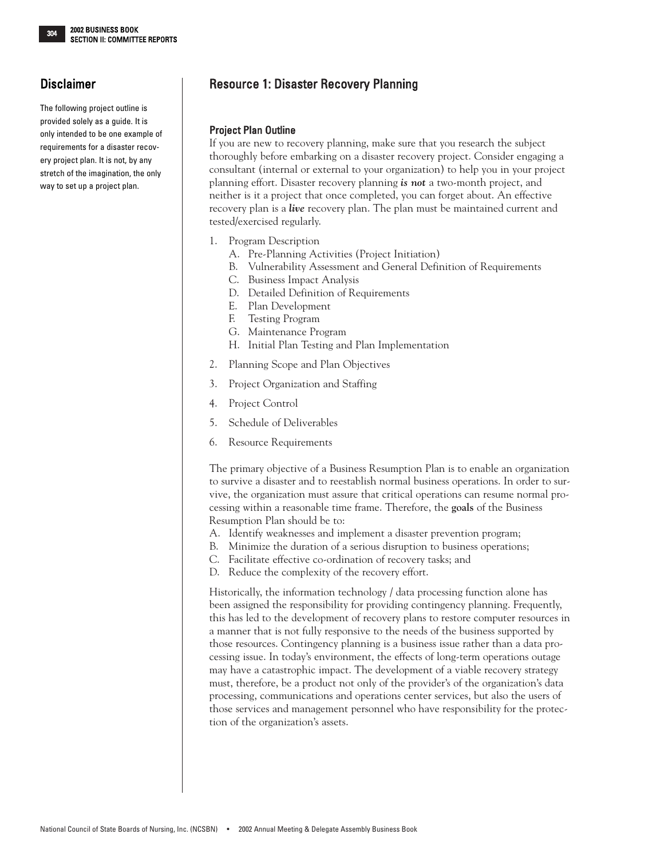### **Disclaimer**

The following project outline is provided solely as a guide. It is only intended to be one example of requirements for a disaster recovery project plan. It is not, by any stretch of the imagination, the only way to set up a project plan.

### Resource 1: Disaster Recovery Planning

### Project Plan Outline

If you are new to recovery planning, make sure that you research the subject thoroughly before embarking on a disaster recovery project. Consider engaging a consultant (internal or external to your organization) to help you in your project planning effort. Disaster recovery planning *is not* a two-month project, and neither is it a project that once completed, you can forget about. An effective recovery plan is a *live* recovery plan. The plan must be maintained current and tested/exercised regularly.

- 1. Program Description
	- A. Pre-Planning Activities (Project Initiation)
	- B. Vulnerability Assessment and General Definition of Requirements
	- C. Business Impact Analysis
	- D. Detailed Definition of Requirements
	- E. Plan Development
	- F. Testing Program
	- G. Maintenance Program
	- H. Initial Plan Testing and Plan Implementation
- 2. Planning Scope and Plan Objectives
- 3. Project Organization and Staffing
- 4. Project Control
- 5. Schedule of Deliverables
- 6. Resource Requirements

The primary objective of a Business Resumption Plan is to enable an organization to survive a disaster and to reestablish normal business operations. In order to survive, the organization must assure that critical operations can resume normal processing within a reasonable time frame. Therefore, the **goals** of the Business Resumption Plan should be to:

- A. Identify weaknesses and implement a disaster prevention program;
- B. Minimize the duration of a serious disruption to business operations;
- C. Facilitate effective co-ordination of recovery tasks; and
- D. Reduce the complexity of the recovery effort.

Historically, the information technology / data processing function alone has been assigned the responsibility for providing contingency planning. Frequently, this has led to the development of recovery plans to restore computer resources in a manner that is not fully responsive to the needs of the business supported by those resources. Contingency planning is a business issue rather than a data processing issue. In today's environment, the effects of long-term operations outage may have a catastrophic impact. The development of a viable recovery strategy must, therefore, be a product not only of the provider's of the organization's data processing, communications and operations center services, but also the users of those services and management personnel who have responsibility for the protection of the organization's assets.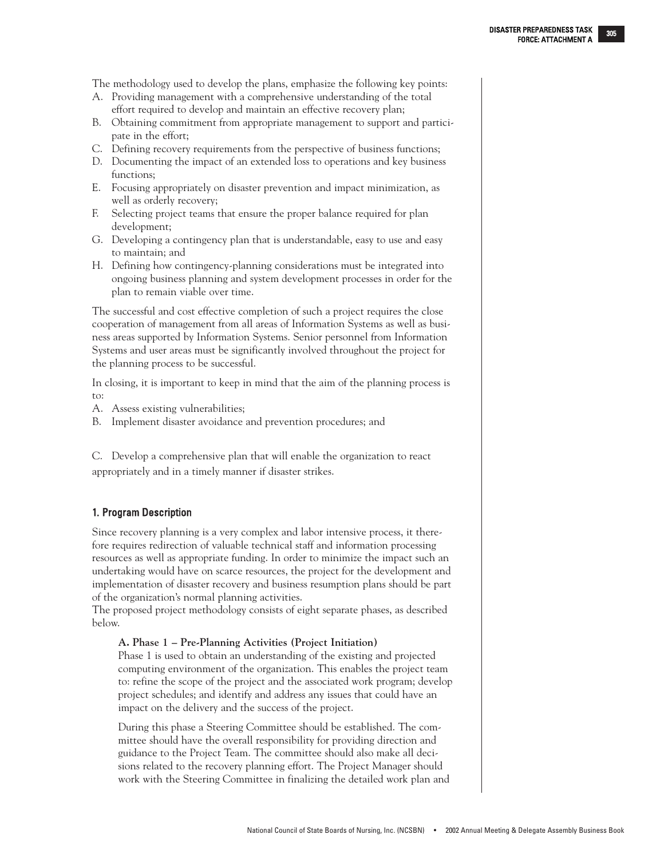The methodology used to develop the plans, emphasize the following key points:

- A. Providing management with a comprehensive understanding of the total effort required to develop and maintain an effective recovery plan;
- B. Obtaining commitment from appropriate management to support and participate in the effort;
- C. Defining recovery requirements from the perspective of business functions;
- D. Documenting the impact of an extended loss to operations and key business functions;
- E. Focusing appropriately on disaster prevention and impact minimization, as well as orderly recovery;
- F. Selecting project teams that ensure the proper balance required for plan development;
- G. Developing a contingency plan that is understandable, easy to use and easy to maintain; and
- H. Defining how contingency-planning considerations must be integrated into ongoing business planning and system development processes in order for the plan to remain viable over time.

The successful and cost effective completion of such a project requires the close cooperation of management from all areas of Information Systems as well as business areas supported by Information Systems. Senior personnel from Information Systems and user areas must be significantly involved throughout the project for the planning process to be successful.

In closing, it is important to keep in mind that the aim of the planning process is to:

- A. Assess existing vulnerabilities;
- B. Implement disaster avoidance and prevention procedures; and

C. Develop a comprehensive plan that will enable the organization to react appropriately and in a timely manner if disaster strikes.

### 1. Program Description

Since recovery planning is a very complex and labor intensive process, it therefore requires redirection of valuable technical staff and information processing resources as well as appropriate funding. In order to minimize the impact such an undertaking would have on scarce resources, the project for the development and implementation of disaster recovery and business resumption plans should be part of the organization's normal planning activities.

The proposed project methodology consists of eight separate phases, as described below.

#### **A. Phase 1 – Pre-Planning Activities (Project Initiation)**

Phase 1 is used to obtain an understanding of the existing and projected computing environment of the organization. This enables the project team to: refine the scope of the project and the associated work program; develop project schedules; and identify and address any issues that could have an impact on the delivery and the success of the project.

During this phase a Steering Committee should be established. The committee should have the overall responsibility for providing direction and guidance to the Project Team. The committee should also make all decisions related to the recovery planning effort. The Project Manager should work with the Steering Committee in finalizing the detailed work plan and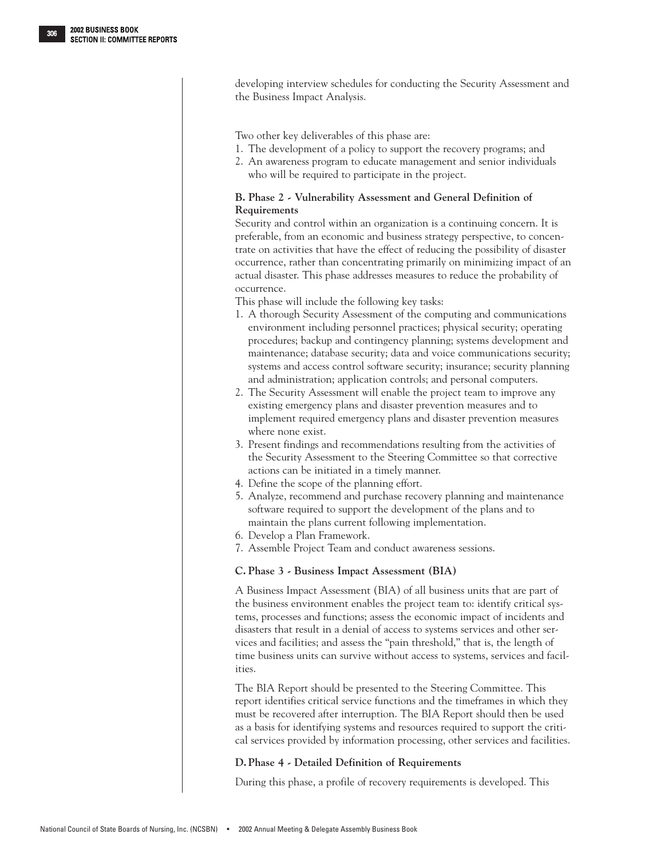developing interview schedules for conducting the Security Assessment and the Business Impact Analysis.

Two other key deliverables of this phase are:

- 1. The development of a policy to support the recovery programs; and
- 2. An awareness program to educate management and senior individuals who will be required to participate in the project.

### **B. Phase 2 - Vulnerability Assessment and General Definition of Requirements**

Security and control within an organization is a continuing concern. It is preferable, from an economic and business strategy perspective, to concentrate on activities that have the effect of reducing the possibility of disaster occurrence, rather than concentrating primarily on minimizing impact of an actual disaster. This phase addresses measures to reduce the probability of occurrence.

This phase will include the following key tasks:

- 1. A thorough Security Assessment of the computing and communications environment including personnel practices; physical security; operating procedures; backup and contingency planning; systems development and maintenance; database security; data and voice communications security; systems and access control software security; insurance; security planning and administration; application controls; and personal computers.
- 2. The Security Assessment will enable the project team to improve any existing emergency plans and disaster prevention measures and to implement required emergency plans and disaster prevention measures where none exist.
- 3. Present findings and recommendations resulting from the activities of the Security Assessment to the Steering Committee so that corrective actions can be initiated in a timely manner.
- 4. Define the scope of the planning effort.
- 5. Analyze, recommend and purchase recovery planning and maintenance software required to support the development of the plans and to maintain the plans current following implementation.
- 6. Develop a Plan Framework.
- 7. Assemble Project Team and conduct awareness sessions.

### **C. Phase 3 - Business Impact Assessment (BIA)**

A Business Impact Assessment (BIA) of all business units that are part of the business environment enables the project team to: identify critical systems, processes and functions; assess the economic impact of incidents and disasters that result in a denial of access to systems services and other services and facilities; and assess the "pain threshold," that is, the length of time business units can survive without access to systems, services and facilities.

The BIA Report should be presented to the Steering Committee. This report identifies critical service functions and the timeframes in which they must be recovered after interruption. The BIA Report should then be used as a basis for identifying systems and resources required to support the critical services provided by information processing, other services and facilities.

### **D. Phase 4 - Detailed Definition of Requirements**

During this phase, a profile of recovery requirements is developed. This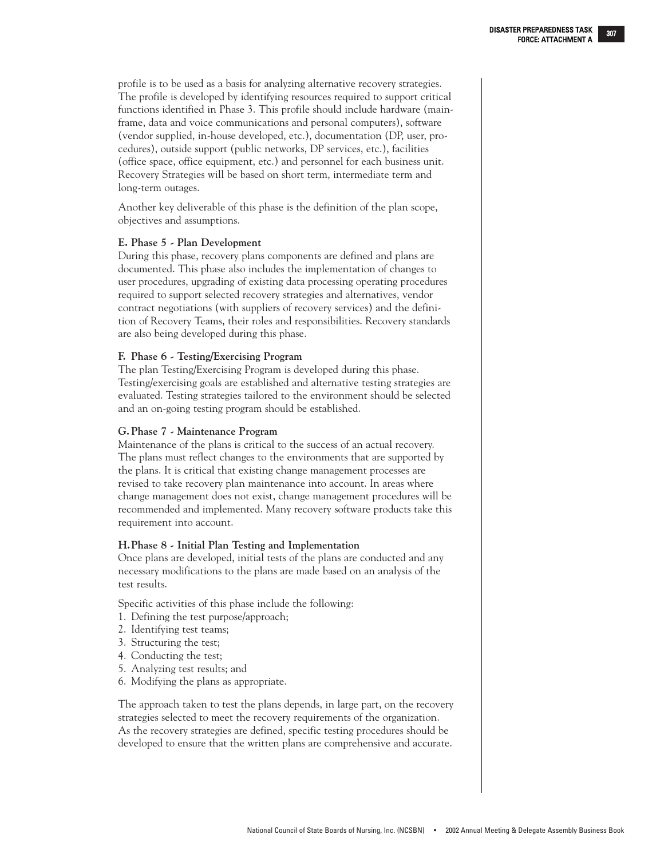profile is to be used as a basis for analyzing alternative recovery strategies. The profile is developed by identifying resources required to support critical functions identified in Phase 3. This profile should include hardware (mainframe, data and voice communications and personal computers), software (vendor supplied, in-house developed, etc.), documentation (DP, user, procedures), outside support (public networks, DP services, etc.), facilities (office space, office equipment, etc.) and personnel for each business unit. Recovery Strategies will be based on short term, intermediate term and long-term outages.

Another key deliverable of this phase is the definition of the plan scope, objectives and assumptions.

#### **E. Phase 5 - Plan Development**

During this phase, recovery plans components are defined and plans are documented. This phase also includes the implementation of changes to user procedures, upgrading of existing data processing operating procedures required to support selected recovery strategies and alternatives, vendor contract negotiations (with suppliers of recovery services) and the definition of Recovery Teams, their roles and responsibilities. Recovery standards are also being developed during this phase.

### **F. Phase 6 - Testing/Exercising Program**

The plan Testing/Exercising Program is developed during this phase. Testing/exercising goals are established and alternative testing strategies are evaluated. Testing strategies tailored to the environment should be selected and an on-going testing program should be established.

#### **G. Phase 7 - Maintenance Program**

Maintenance of the plans is critical to the success of an actual recovery. The plans must reflect changes to the environments that are supported by the plans. It is critical that existing change management processes are revised to take recovery plan maintenance into account. In areas where change management does not exist, change management procedures will be recommended and implemented. Many recovery software products take this requirement into account.

#### **H.Phase 8 - Initial Plan Testing and Implementation**

Once plans are developed, initial tests of the plans are conducted and any necessary modifications to the plans are made based on an analysis of the test results.

Specific activities of this phase include the following:

- 1. Defining the test purpose/approach;
- 2. Identifying test teams;
- 3. Structuring the test;
- 4. Conducting the test;
- 5. Analyzing test results; and
- 6. Modifying the plans as appropriate.

The approach taken to test the plans depends, in large part, on the recovery strategies selected to meet the recovery requirements of the organization. As the recovery strategies are defined, specific testing procedures should be developed to ensure that the written plans are comprehensive and accurate.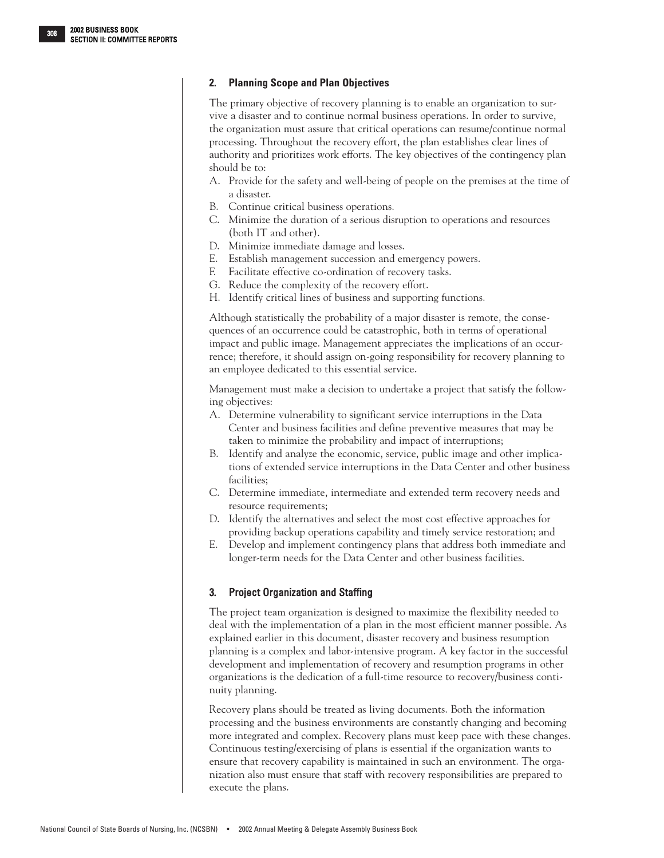### **2. Planning Scope and Plan Objectives**

The primary objective of recovery planning is to enable an organization to survive a disaster and to continue normal business operations. In order to survive, the organization must assure that critical operations can resume/continue normal processing. Throughout the recovery effort, the plan establishes clear lines of authority and prioritizes work efforts. The key objectives of the contingency plan should be to:

- A. Provide for the safety and well-being of people on the premises at the time of a disaster.
- B. Continue critical business operations.
- C. Minimize the duration of a serious disruption to operations and resources (both IT and other).
- D. Minimize immediate damage and losses.
- E. Establish management succession and emergency powers.
- F. Facilitate effective co-ordination of recovery tasks.
- G. Reduce the complexity of the recovery effort.
- H. Identify critical lines of business and supporting functions.

Although statistically the probability of a major disaster is remote, the consequences of an occurrence could be catastrophic, both in terms of operational impact and public image. Management appreciates the implications of an occurrence; therefore, it should assign on-going responsibility for recovery planning to an employee dedicated to this essential service.

Management must make a decision to undertake a project that satisfy the following objectives:

- A. Determine vulnerability to significant service interruptions in the Data Center and business facilities and define preventive measures that may be taken to minimize the probability and impact of interruptions;
- B. Identify and analyze the economic, service, public image and other implications of extended service interruptions in the Data Center and other business facilities;
- C. Determine immediate, intermediate and extended term recovery needs and resource requirements;
- D. Identify the alternatives and select the most cost effective approaches for providing backup operations capability and timely service restoration; and
- E. Develop and implement contingency plans that address both immediate and longer-term needs for the Data Center and other business facilities.

#### 3. Project Organization and Staffing

The project team organization is designed to maximize the flexibility needed to deal with the implementation of a plan in the most efficient manner possible. As explained earlier in this document, disaster recovery and business resumption planning is a complex and labor-intensive program. A key factor in the successful development and implementation of recovery and resumption programs in other organizations is the dedication of a full-time resource to recovery/business continuity planning.

Recovery plans should be treated as living documents. Both the information processing and the business environments are constantly changing and becoming more integrated and complex. Recovery plans must keep pace with these changes. Continuous testing/exercising of plans is essential if the organization wants to ensure that recovery capability is maintained in such an environment. The organization also must ensure that staff with recovery responsibilities are prepared to execute the plans.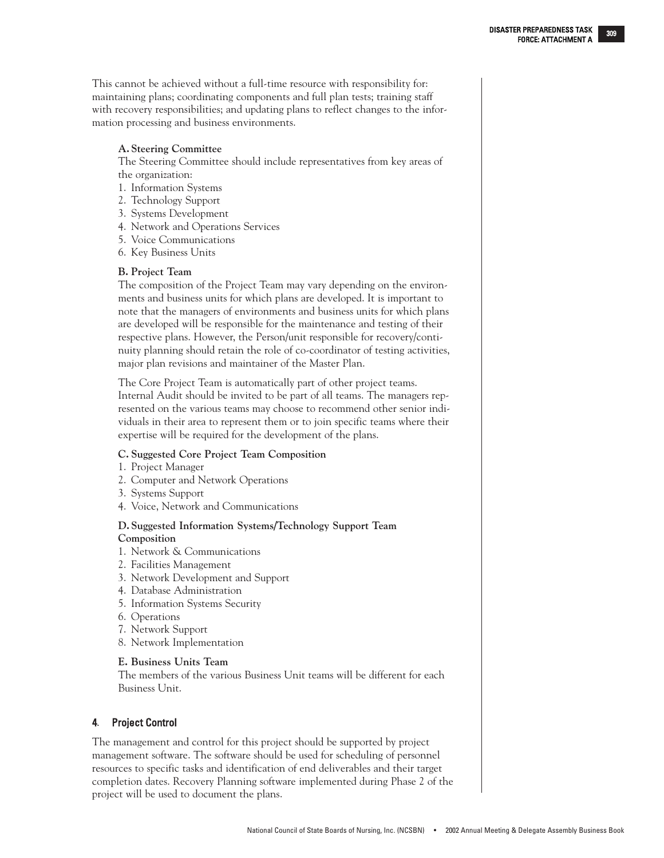This cannot be achieved without a full-time resource with responsibility for: maintaining plans; coordinating components and full plan tests; training staff with recovery responsibilities; and updating plans to reflect changes to the information processing and business environments.

### **A. Steering Committee**

The Steering Committee should include representatives from key areas of the organization:

- 1. Information Systems
- 2. Technology Support
- 3. Systems Development
- 4. Network and Operations Services
- 5. Voice Communications
- 6. Key Business Units

### **B. Project Team**

The composition of the Project Team may vary depending on the environments and business units for which plans are developed. It is important to note that the managers of environments and business units for which plans are developed will be responsible for the maintenance and testing of their respective plans. However, the Person/unit responsible for recovery/continuity planning should retain the role of co-coordinator of testing activities, major plan revisions and maintainer of the Master Plan.

The Core Project Team is automatically part of other project teams. Internal Audit should be invited to be part of all teams. The managers represented on the various teams may choose to recommend other senior individuals in their area to represent them or to join specific teams where their expertise will be required for the development of the plans.

#### **C. Suggested Core Project Team Composition**

- 1. Project Manager
- 2. Computer and Network Operations
- 3. Systems Support
- 4. Voice, Network and Communications

### **D. Suggested Information Systems/Technology Support Team Composition**

- 1. Network & Communications
- 2. Facilities Management
- 3. Network Development and Support
- 4. Database Administration
- 5. Information Systems Security
- 6. Operations
- 7. Network Support
- 8. Network Implementation

### **E. Business Units Team**

The members of the various Business Unit teams will be different for each Business Unit.

### 4. Project Control

The management and control for this project should be supported by project management software. The software should be used for scheduling of personnel resources to specific tasks and identification of end deliverables and their target completion dates. Recovery Planning software implemented during Phase 2 of the project will be used to document the plans.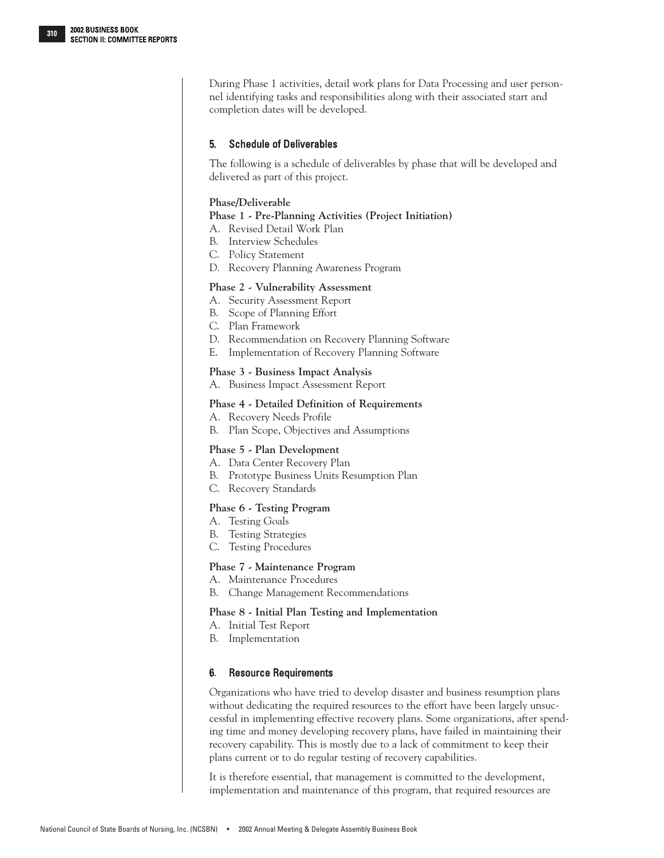During Phase 1 activities, detail work plans for Data Processing and user personnel identifying tasks and responsibilities along with their associated start and completion dates will be developed.

### 5. Schedule of Deliverables

The following is a schedule of deliverables by phase that will be developed and delivered as part of this project.

#### **Phase/Deliverable**

#### **Phase 1 - Pre-Planning Activities (Project Initiation)**

- A. Revised Detail Work Plan
- B. Interview Schedules
- C. Policy Statement
- D. Recovery Planning Awareness Program

#### **Phase 2 - Vulnerability Assessment**

- A. Security Assessment Report
- B. Scope of Planning Effort
- C. Plan Framework
- D. Recommendation on Recovery Planning Software
- E. Implementation of Recovery Planning Software

#### **Phase 3 - Business Impact Analysis**

A. Business Impact Assessment Report

#### **Phase 4 - Detailed Definition of Requirements**

- A. Recovery Needs Profile
- B. Plan Scope, Objectives and Assumptions

### **Phase 5 - Plan Development**

- A. Data Center Recovery Plan
- B. Prototype Business Units Resumption Plan
- C. Recovery Standards

#### **Phase 6 - Testing Program**

- A. Testing Goals
- B. Testing Strategies
- C. Testing Procedures

#### **Phase 7 - Maintenance Program**

- A. Maintenance Procedures
- B. Change Management Recommendations

#### **Phase 8 - Initial Plan Testing and Implementation**

- A. Initial Test Report
- B. Implementation

#### 6. Resource Requirements

Organizations who have tried to develop disaster and business resumption plans without dedicating the required resources to the effort have been largely unsuccessful in implementing effective recovery plans. Some organizations, after spending time and money developing recovery plans, have failed in maintaining their recovery capability. This is mostly due to a lack of commitment to keep their plans current or to do regular testing of recovery capabilities.

It is therefore essential, that management is committed to the development, implementation and maintenance of this program, that required resources are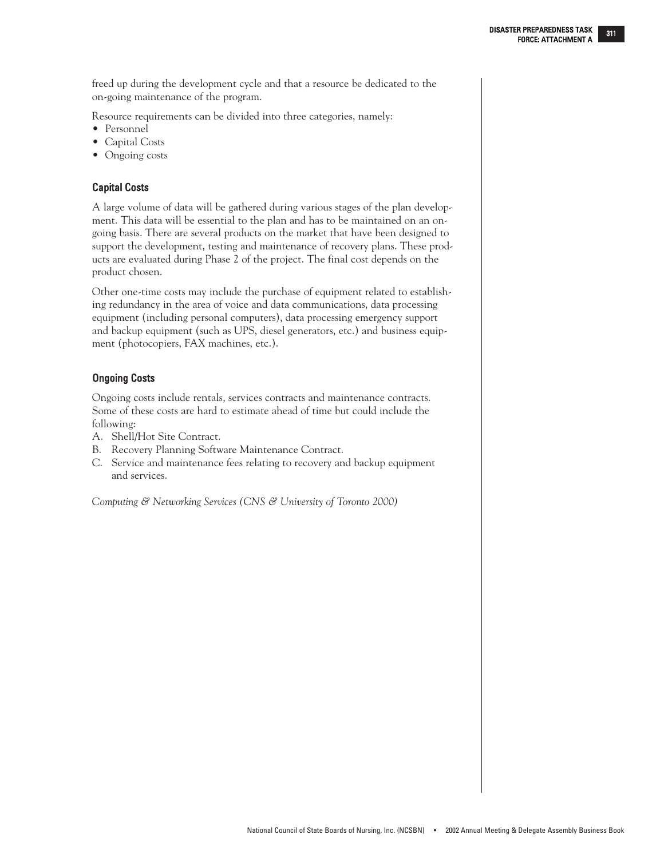freed up during the development cycle and that a resource be dedicated to the on-going maintenance of the program.

Resource requirements can be divided into three categories, namely:

- Personnel
- Capital Costs
- Ongoing costs

### Capital Costs

A large volume of data will be gathered during various stages of the plan development. This data will be essential to the plan and has to be maintained on an ongoing basis. There are several products on the market that have been designed to support the development, testing and maintenance of recovery plans. These products are evaluated during Phase 2 of the project. The final cost depends on the product chosen.

Other one-time costs may include the purchase of equipment related to establishing redundancy in the area of voice and data communications, data processing equipment (including personal computers), data processing emergency support and backup equipment (such as UPS, diesel generators, etc.) and business equipment (photocopiers, FAX machines, etc.).

### Ongoing Costs

Ongoing costs include rentals, services contracts and maintenance contracts. Some of these costs are hard to estimate ahead of time but could include the following:

- A. Shell/Hot Site Contract.
- B. Recovery Planning Software Maintenance Contract.
- C. Service and maintenance fees relating to recovery and backup equipment and services.

*Computing & Networking Services (CNS & University of Toronto 2000)*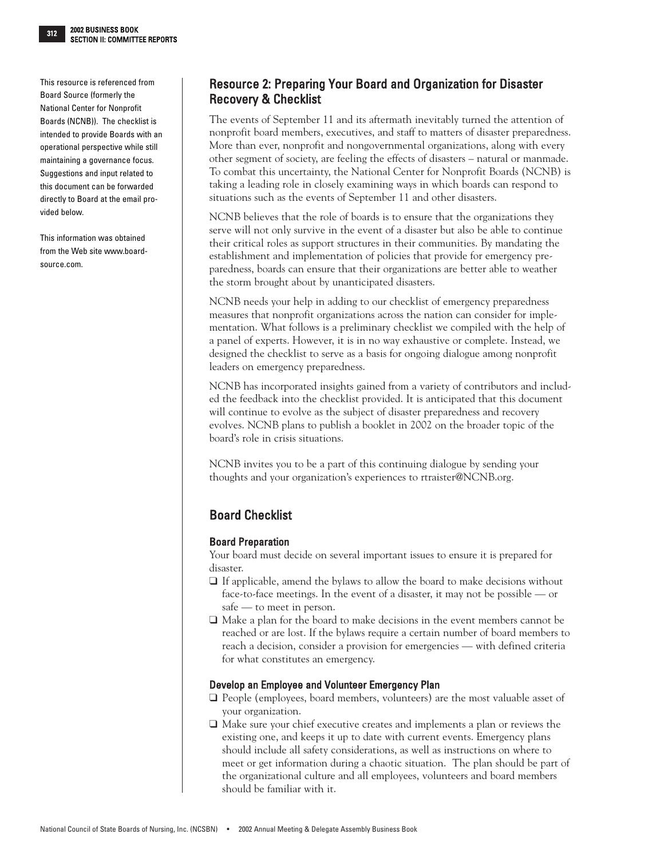This resource is referenced from Board Source (formerly the National Center for Nonprofit Boards (NCNB)). The checklist is intended to provide Boards with an operational perspective while still maintaining a governance focus. Suggestions and input related to this document can be forwarded directly to Board at the email provided below.

This information was obtained from the Web site www.boardsource.com.

### Resource 2: Preparing Your Board and Organization for Disaster Recovery & Checklist

The events of September 11 and its aftermath inevitably turned the attention of nonprofit board members, executives, and staff to matters of disaster preparedness. More than ever, nonprofit and nongovernmental organizations, along with every other segment of society, are feeling the effects of disasters – natural or manmade. To combat this uncertainty, the National Center for Nonprofit Boards (NCNB) is taking a leading role in closely examining ways in which boards can respond to situations such as the events of September 11 and other disasters.

NCNB believes that the role of boards is to ensure that the organizations they serve will not only survive in the event of a disaster but also be able to continue their critical roles as support structures in their communities. By mandating the establishment and implementation of policies that provide for emergency preparedness, boards can ensure that their organizations are better able to weather the storm brought about by unanticipated disasters.

NCNB needs your help in adding to our checklist of emergency preparedness measures that nonprofit organizations across the nation can consider for implementation. What follows is a preliminary checklist we compiled with the help of a panel of experts. However, it is in no way exhaustive or complete. Instead, we designed the checklist to serve as a basis for ongoing dialogue among nonprofit leaders on emergency preparedness.

NCNB has incorporated insights gained from a variety of contributors and included the feedback into the checklist provided. It is anticipated that this document will continue to evolve as the subject of disaster preparedness and recovery evolves. NCNB plans to publish a booklet in 2002 on the broader topic of the board's role in crisis situations.

NCNB invites you to be a part of this continuing dialogue by sending your thoughts and your organization's experiences to rtraister@NCNB.org.

# Board Checklist

### Board Preparation

Your board must decide on several important issues to ensure it is prepared for disaster.

- ❑ If applicable, amend the bylaws to allow the board to make decisions without face-to-face meetings. In the event of a disaster, it may not be possible — or safe — to meet in person.
- ❑ Make a plan for the board to make decisions in the event members cannot be reached or are lost. If the bylaws require a certain number of board members to reach a decision, consider a provision for emergencies — with defined criteria for what constitutes an emergency.

### Develop an Employee and Volunteer Emergency Plan

- ❑ People (employees, board members, volunteers) are the most valuable asset of your organization.
- ❑ Make sure your chief executive creates and implements a plan or reviews the existing one, and keeps it up to date with current events. Emergency plans should include all safety considerations, as well as instructions on where to meet or get information during a chaotic situation. The plan should be part of the organizational culture and all employees, volunteers and board members should be familiar with it.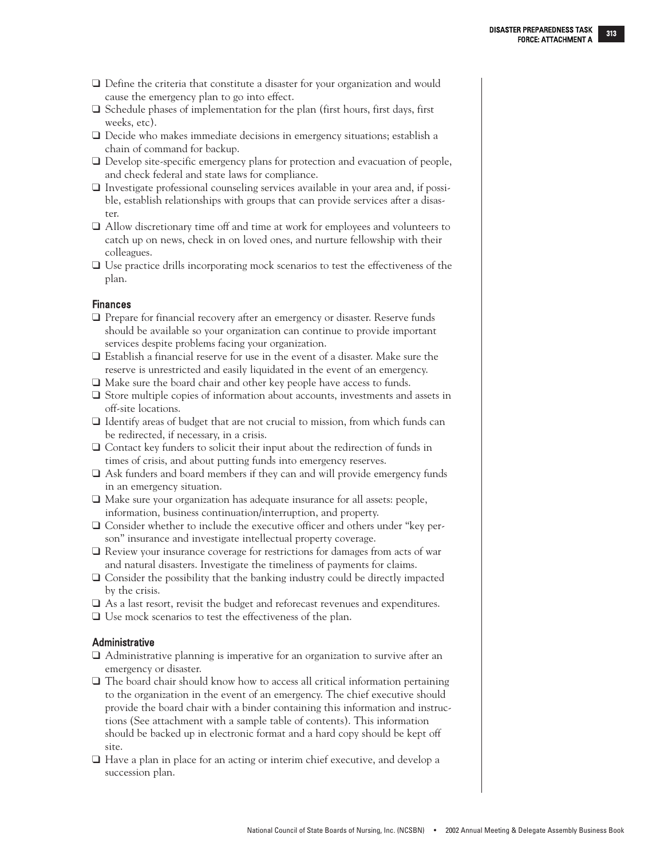- □ Define the criteria that constitute a disaster for your organization and would cause the emergency plan to go into effect.
- ❑ Schedule phases of implementation for the plan (first hours, first days, first weeks, etc).
- ❑ Decide who makes immediate decisions in emergency situations; establish a chain of command for backup.
- □ Develop site-specific emergency plans for protection and evacuation of people, and check federal and state laws for compliance.
- ❑ Investigate professional counseling services available in your area and, if possible, establish relationships with groups that can provide services after a disaster.
- ❑ Allow discretionary time off and time at work for employees and volunteers to catch up on news, check in on loved ones, and nurture fellowship with their colleagues.
- ❑ Use practice drills incorporating mock scenarios to test the effectiveness of the plan.

### Finances

- ❑ Prepare for financial recovery after an emergency or disaster. Reserve funds should be available so your organization can continue to provide important services despite problems facing your organization.
- ❑ Establish a financial reserve for use in the event of a disaster. Make sure the reserve is unrestricted and easily liquidated in the event of an emergency.
- ❑ Make sure the board chair and other key people have access to funds.
- ❑ Store multiple copies of information about accounts, investments and assets in off-site locations.
- ❑ Identify areas of budget that are not crucial to mission, from which funds can be redirected, if necessary, in a crisis.
- ❑ Contact key funders to solicit their input about the redirection of funds in times of crisis, and about putting funds into emergency reserves.
- ❑ Ask funders and board members if they can and will provide emergency funds in an emergency situation.
- ❑ Make sure your organization has adequate insurance for all assets: people, information, business continuation/interruption, and property.
- ❑ Consider whether to include the executive officer and others under "key person" insurance and investigate intellectual property coverage.
- ❑ Review your insurance coverage for restrictions for damages from acts of war and natural disasters. Investigate the timeliness of payments for claims.
- ❑ Consider the possibility that the banking industry could be directly impacted by the crisis.
- ❑ As a last resort, revisit the budget and reforecast revenues and expenditures.
- ❑ Use mock scenarios to test the effectiveness of the plan.

### Administrative

- ❑ Administrative planning is imperative for an organization to survive after an emergency or disaster.
- ❑ The board chair should know how to access all critical information pertaining to the organization in the event of an emergency. The chief executive should provide the board chair with a binder containing this information and instructions (See attachment with a sample table of contents). This information should be backed up in electronic format and a hard copy should be kept off site.
- ❑ Have a plan in place for an acting or interim chief executive, and develop a succession plan.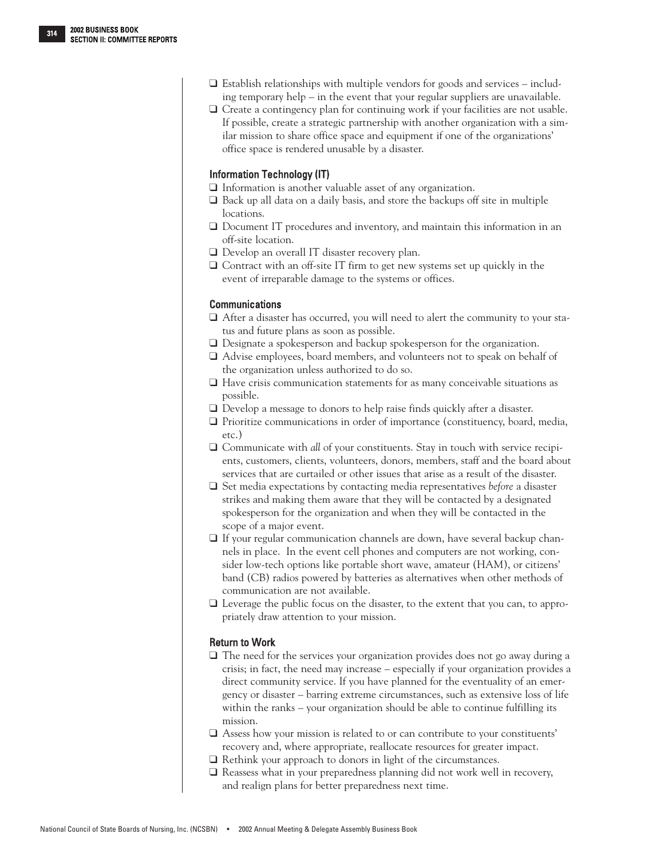- ❑ Establish relationships with multiple vendors for goods and services including temporary help – in the event that your regular suppliers are unavailable.
- ❑ Create a contingency plan for continuing work if your facilities are not usable. If possible, create a strategic partnership with another organization with a similar mission to share office space and equipment if one of the organizations' office space is rendered unusable by a disaster.

#### Information Technology (IT)

- ❑ Information is another valuable asset of any organization.
- ❑ Back up all data on a daily basis, and store the backups off site in multiple locations.
- ❑ Document IT procedures and inventory, and maintain this information in an off-site location.
- ❑ Develop an overall IT disaster recovery plan.
- ❑ Contract with an off-site IT firm to get new systems set up quickly in the event of irreparable damage to the systems or offices.

### **Communications**

- ❑ After a disaster has occurred, you will need to alert the community to your status and future plans as soon as possible.
- ❑ Designate a spokesperson and backup spokesperson for the organization.
- ❑ Advise employees, board members, and volunteers not to speak on behalf of the organization unless authorized to do so.
- ❑ Have crisis communication statements for as many conceivable situations as possible.
- ❑ Develop a message to donors to help raise finds quickly after a disaster.
- ❑ Prioritize communications in order of importance (constituency, board, media, etc.)
- □ Communicate with *all* of your constituents. Stay in touch with service recipients, customers, clients, volunteers, donors, members, staff and the board about services that are curtailed or other issues that arise as a result of the disaster.
- ❑ Set media expectations by contacting media representatives *before* a disaster strikes and making them aware that they will be contacted by a designated spokesperson for the organization and when they will be contacted in the scope of a major event.
- $\Box$  If your regular communication channels are down, have several backup channels in place. In the event cell phones and computers are not working, consider low-tech options like portable short wave, amateur (HAM), or citizens' band (CB) radios powered by batteries as alternatives when other methods of communication are not available.
- $\Box$  Leverage the public focus on the disaster, to the extent that you can, to appropriately draw attention to your mission.

### Return to Work

- ❑ The need for the services your organization provides does not go away during a crisis; in fact, the need may increase – especially if your organization provides a direct community service. If you have planned for the eventuality of an emergency or disaster – barring extreme circumstances, such as extensive loss of life within the ranks – your organization should be able to continue fulfilling its mission.
- □ Assess how your mission is related to or can contribute to your constituents' recovery and, where appropriate, reallocate resources for greater impact.
- ❑ Rethink your approach to donors in light of the circumstances.
- ❑ Reassess what in your preparedness planning did not work well in recovery, and realign plans for better preparedness next time.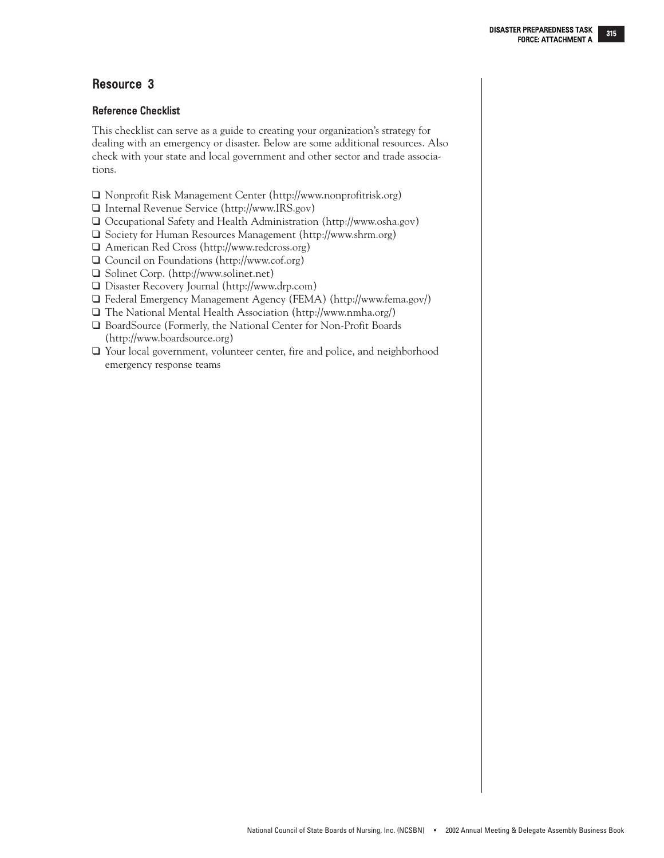### Resource 3

### Reference Checklist

This checklist can serve as a guide to creating your organization's strategy for dealing with an emergency or disaster. Below are some additional resources. Also check with your state and local government and other sector and trade associations.

- ❑ Nonprofit Risk Management Center (http://www.nonprofitrisk.org)
- ❑ Internal Revenue Service (http://www.IRS.gov)
- ❑ Occupational Safety and Health Administration (http://www.osha.gov)
- ❑ Society for Human Resources Management (http://www.shrm.org)
- ❑ American Red Cross (http://www.redcross.org)
- ❑ Council on Foundations (http://www.cof.org)
- ❑ Solinet Corp. (http://www.solinet.net)
- ❑ Disaster Recovery Journal (http://www.drp.com)
- ❑ Federal Emergency Management Agency (FEMA) (http://www.fema.gov/)
- ❑ The National Mental Health Association (http://www.nmha.org/)
- ❑ BoardSource (Formerly, the National Center for Non-Profit Boards (http://www.boardsource.org)
- ❑ Your local government, volunteer center, fire and police, and neighborhood emergency response teams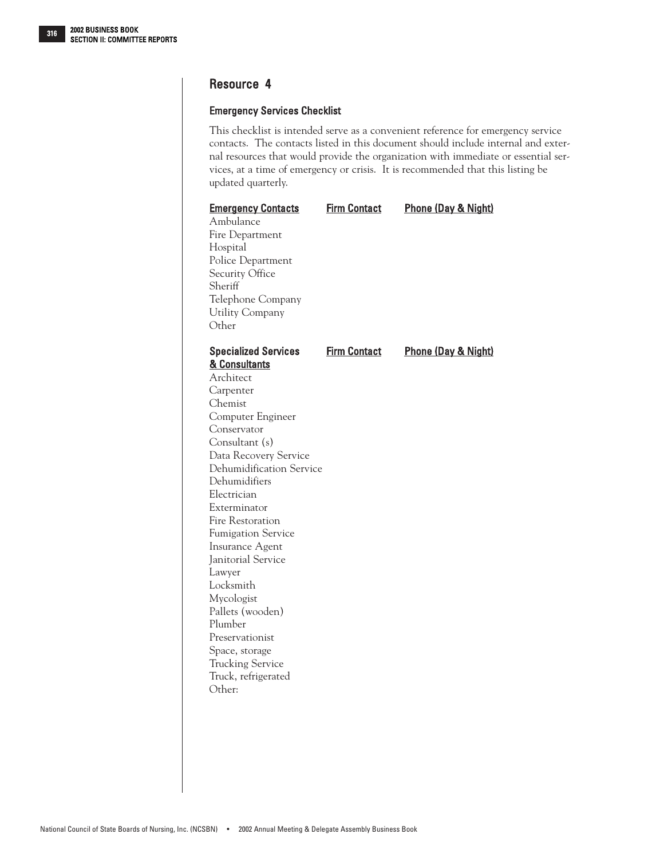### Resource 4

### Emergency Services Checklist

This checklist is intended serve as a convenient reference for emergency service contacts. The contacts listed in this document should include internal and external resources that would provide the organization with immediate or essential services, at a time of emergency or crisis. It is recommended that this listing be updated quarterly.

| <b>Emergency Contacts</b>   | <b>Firm Contact</b> | <b>Phone (Day &amp; Night)</b> |
|-----------------------------|---------------------|--------------------------------|
| Ambulance                   |                     |                                |
| Fire Department             |                     |                                |
| Hospital                    |                     |                                |
| Police Department           |                     |                                |
| Security Office             |                     |                                |
| Sheriff                     |                     |                                |
| Telephone Company           |                     |                                |
| <b>Utility Company</b>      |                     |                                |
| Other                       |                     |                                |
|                             |                     |                                |
| <b>Specialized Services</b> | <b>Firm Contact</b> | Phone (Day & Night)            |
| & Consultants               |                     |                                |
| Architect                   |                     |                                |
| Carpenter                   |                     |                                |
| Chemist                     |                     |                                |
| Computer Engineer           |                     |                                |
| Conservator                 |                     |                                |
| Consultant (s)              |                     |                                |
| Data Recovery Service       |                     |                                |
| Dehumidification Service    |                     |                                |
| Dehumidifiers               |                     |                                |
| Electrician                 |                     |                                |
| Exterminator                |                     |                                |
| <b>Fire Restoration</b>     |                     |                                |
| <b>Fumigation Service</b>   |                     |                                |
| Insurance Agent             |                     |                                |
| Janitorial Service          |                     |                                |
| Lawyer                      |                     |                                |
| Locksmith                   |                     |                                |
| Mycologist                  |                     |                                |
| Pallets (wooden)            |                     |                                |
| Plumber                     |                     |                                |
| Preservationist             |                     |                                |
| Space, storage              |                     |                                |
| <b>Trucking Service</b>     |                     |                                |
| Truck, refrigerated         |                     |                                |
| Other:                      |                     |                                |
|                             |                     |                                |
|                             |                     |                                |
|                             |                     |                                |
|                             |                     |                                |

National Council of State Boards of Nursing, Inc. (NCSBN) • 2002 Annual Meeting & Delegate Assembly Business Book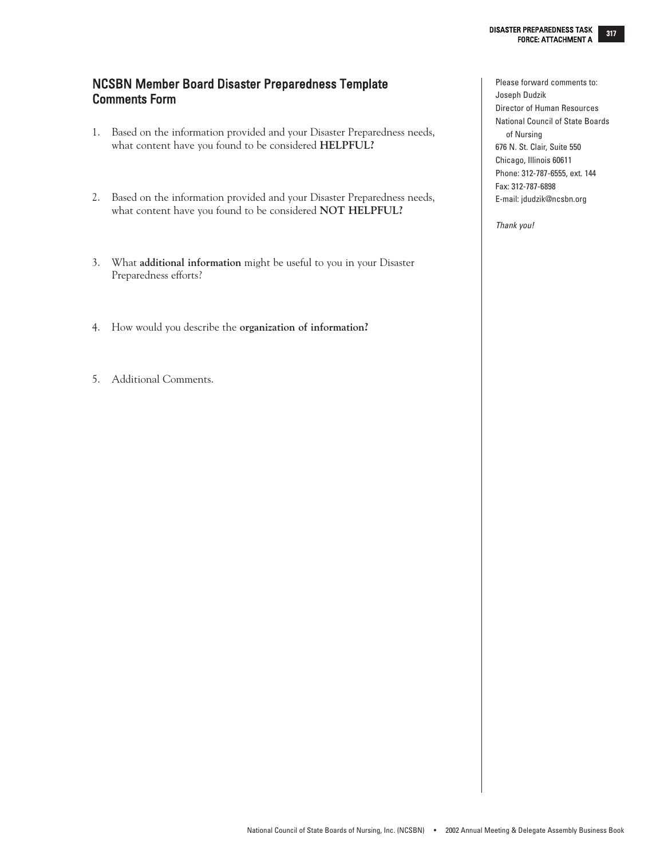### NCSBN Member Board Disaster Preparedness Template Comments Form

- 1. Based on the information provided and your Disaster Preparedness needs, what content have you found to be considered **HELPFUL?**
- 2. Based on the information provided and your Disaster Preparedness needs, what content have you found to be considered **NOT HELPFUL?**
- 3. What **additional information** might be useful to you in your Disaster Preparedness efforts?
- 4. How would you describe the **organization of information?**
- 5. Additional Comments.

Please forward comments to: Joseph Dudzik Director of Human Resources National Council of State Boards of Nursing 676 N. St. Clair, Suite 550 Chicago, Illinois 60611 Phone: 312-787-6555, ext. 144 Fax: 312-787-6898 E-mail: jdudzik@ncsbn.org

Thank you!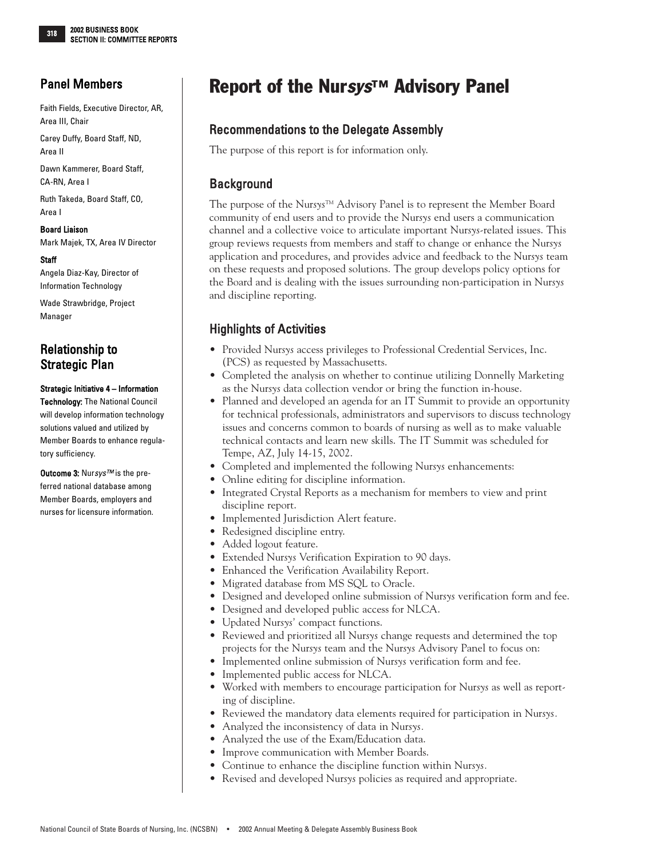# Panel Members

Faith Fields, Executive Director, AR, Area III, Chair

Carey Duffy, Board Staff, ND, Area II

Dawn Kammerer, Board Staff, CA-RN, Area I

Ruth Takeda, Board Staff, CO, Area I

Board Liaison Mark Majek, TX, Area IV Director

**Staff** 

Angela Diaz-Kay, Director of Information Technology

Wade Strawbridge, Project Manager

## Relationship to Strategic Plan

### Strategic Initiative 4 – Information

Technology: The National Council will develop information technology solutions valued and utilized by Member Boards to enhance regulatory sufficiency.

Outcome 3: Nursys™ is the preferred national database among Member Boards, employers and nurses for licensure information.

# Report of the Nursys™ Advisory Panel

## Recommendations to the Delegate Assembly

The purpose of this report is for information only.

# **Background**

The purpose of the Nursys<sup>TM</sup> Advisory Panel is to represent the Member Board community of end users and to provide the Nur*sys* end users a communication channel and a collective voice to articulate important Nur*sys*-related issues. This group reviews requests from members and staff to change or enhance the Nur*sys* application and procedures, and provides advice and feedback to the Nur*sys* team on these requests and proposed solutions. The group develops policy options for the Board and is dealing with the issues surrounding non-participation in Nur*sys* and discipline reporting.

# Highlights of Activities

- Provided Nur*sys* access privileges to Professional Credential Services, Inc. (PCS) as requested by Massachusetts.
- Completed the analysis on whether to continue utilizing Donnelly Marketing as the Nur*sys* data collection vendor or bring the function in-house.
- Planned and developed an agenda for an IT Summit to provide an opportunity for technical professionals, administrators and supervisors to discuss technology issues and concerns common to boards of nursing as well as to make valuable technical contacts and learn new skills. The IT Summit was scheduled for Tempe, AZ, July 14-15, 2002.
- Completed and implemented the following Nur*sys* enhancements:
- Online editing for discipline information.
- Integrated Crystal Reports as a mechanism for members to view and print discipline report.
- Implemented Jurisdiction Alert feature.
- Redesigned discipline entry.
- Added logout feature.
- Extended Nur*sys* Verification Expiration to 90 days.
- Enhanced the Verification Availability Report.
- Migrated database from MS SQL to Oracle.
- Designed and developed online submission of Nur*sys* verification form and fee.
- Designed and developed public access for NLCA.
- Updated Nur*sys'* compact functions.
- Reviewed and prioritized all Nur*sys* change requests and determined the top projects for the Nur*sys* team and the Nur*sys* Advisory Panel to focus on:
- Implemented online submission of Nur*sys* verification form and fee.
- Implemented public access for NLCA.
- Worked with members to encourage participation for Nur*sys* as well as reporting of discipline.
- Reviewed the mandatory data elements required for participation in Nur*sys.*
- Analyzed the inconsistency of data in Nur*sys.*
- Analyzed the use of the Exam/Education data.
- Improve communication with Member Boards.
- Continue to enhance the discipline function within Nur*sys.*
- Revised and developed Nur*sys* policies as required and appropriate.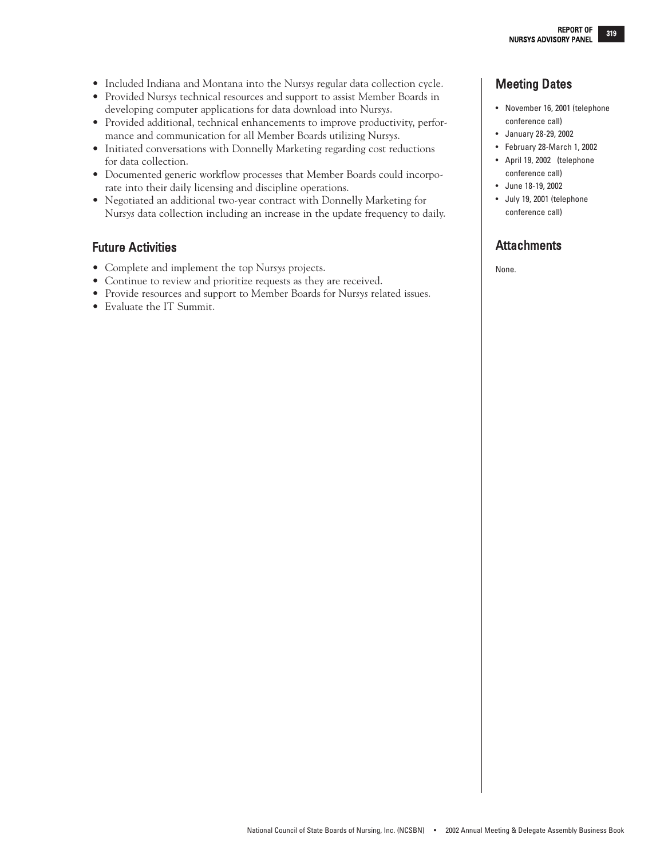- Included Indiana and Montana into the Nur*sys* regular data collection cycle.
- Provided Nur*sys* technical resources and support to assist Member Boards in developing computer applications for data download into Nur*sys*.
- Provided additional, technical enhancements to improve productivity, performance and communication for all Member Boards utilizing Nur*sys*.
- Initiated conversations with Donnelly Marketing regarding cost reductions for data collection.
- Documented generic workflow processes that Member Boards could incorporate into their daily licensing and discipline operations.
- Negotiated an additional two-year contract with Donnelly Marketing for Nur*sys* data collection including an increase in the update frequency to daily.

### Future Activities

- Complete and implement the top Nur*sys* projects.
- Continue to review and prioritize requests as they are received.
- Provide resources and support to Member Boards for Nur*sys* related issues.
- Evaluate the IT Summit.

### Meeting Dates

- November 16, 2001 (telephone conference call)
- January 28-29, 2002
- February 28-March 1, 2002
- April 19, 2002 (telephone conference call)
- June 18-19, 2002
- July 19, 2001 (telephone conference call)

### **Attachments**

None.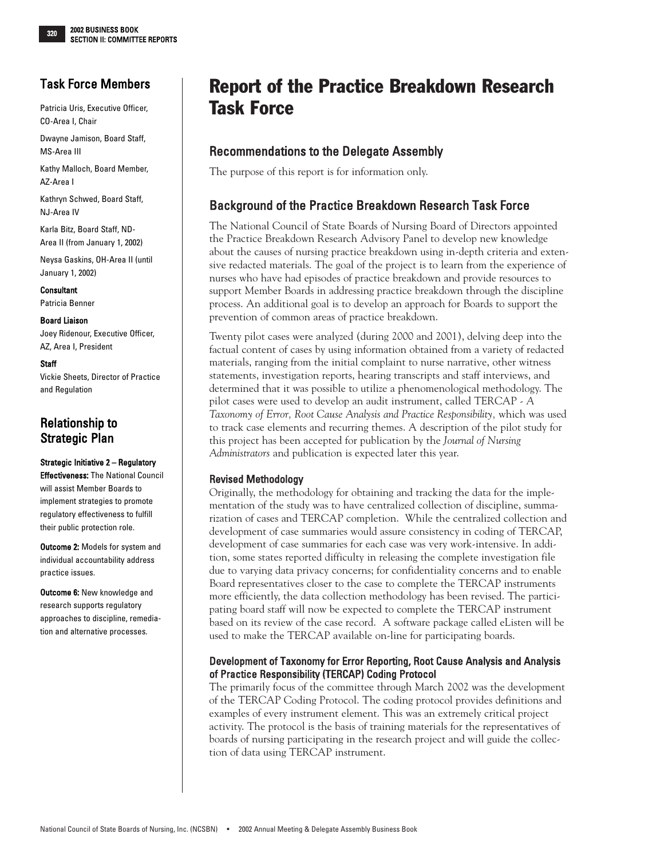# Task Force Members

Patricia Uris, Executive Officer, CO-Area I, Chair

Dwayne Jamison, Board Staff, MS-Area III

Kathy Malloch, Board Member, AZ-Area I

Kathryn Schwed, Board Staff, NJ-Area IV

Karla Bitz, Board Staff, ND-Area II (from January 1, 2002)

Neysa Gaskins, OH-Area II (until January 1, 2002)

Consultant Patricia Benner

Board Liaison Joey Ridenour, Executive Officer,

AZ, Area I, President

Staff Vickie Sheets, Director of Practice and Regulation

## Relationship to Strategic Plan

### Strategic Initiative 2 – Regulatory

Effectiveness: The National Council will assist Member Boards to implement strategies to promote regulatory effectiveness to fulfill their public protection role.

**Outcome 2: Models for system and** individual accountability address practice issues.

**Outcome 6:** New knowledge and research supports regulatory approaches to discipline, remediation and alternative processes.

# Report of the Practice Breakdown Research Task Force

## Recommendations to the Delegate Assembly

The purpose of this report is for information only.

# Background of the Practice Breakdown Research Task Force

The National Council of State Boards of Nursing Board of Directors appointed the Practice Breakdown Research Advisory Panel to develop new knowledge about the causes of nursing practice breakdown using in-depth criteria and extensive redacted materials. The goal of the project is to learn from the experience of nurses who have had episodes of practice breakdown and provide resources to support Member Boards in addressing practice breakdown through the discipline process. An additional goal is to develop an approach for Boards to support the prevention of common areas of practice breakdown.

Twenty pilot cases were analyzed (during 2000 and 2001), delving deep into the factual content of cases by using information obtained from a variety of redacted materials, ranging from the initial complaint to nurse narrative, other witness statements, investigation reports, hearing transcripts and staff interviews, and determined that it was possible to utilize a phenomenological methodology. The pilot cases were used to develop an audit instrument, called TERCAP - *A Taxonomy of Error, Root Cause Analysis and Practice Responsibility,* which was used to track case elements and recurring themes. A description of the pilot study for this project has been accepted for publication by the *Journal of Nursing Administrators* and publication is expected later this year.

### Revised Methodology

Originally, the methodology for obtaining and tracking the data for the implementation of the study was to have centralized collection of discipline, summarization of cases and TERCAP completion. While the centralized collection and development of case summaries would assure consistency in coding of TERCAP, development of case summaries for each case was very work-intensive. In addition, some states reported difficulty in releasing the complete investigation file due to varying data privacy concerns; for confidentiality concerns and to enable Board representatives closer to the case to complete the TERCAP instruments more efficiently, the data collection methodology has been revised. The participating board staff will now be expected to complete the TERCAP instrument based on its review of the case record. A software package called eListen will be used to make the TERCAP available on-line for participating boards.

### Development of Taxonomy for Error Reporting, Root Cause Analysis and Analysis of Practice Responsibility (TERCAP) Coding Protocol

The primarily focus of the committee through March 2002 was the development of the TERCAP Coding Protocol. The coding protocol provides definitions and examples of every instrument element. This was an extremely critical project activity. The protocol is the basis of training materials for the representatives of boards of nursing participating in the research project and will guide the collection of data using TERCAP instrument.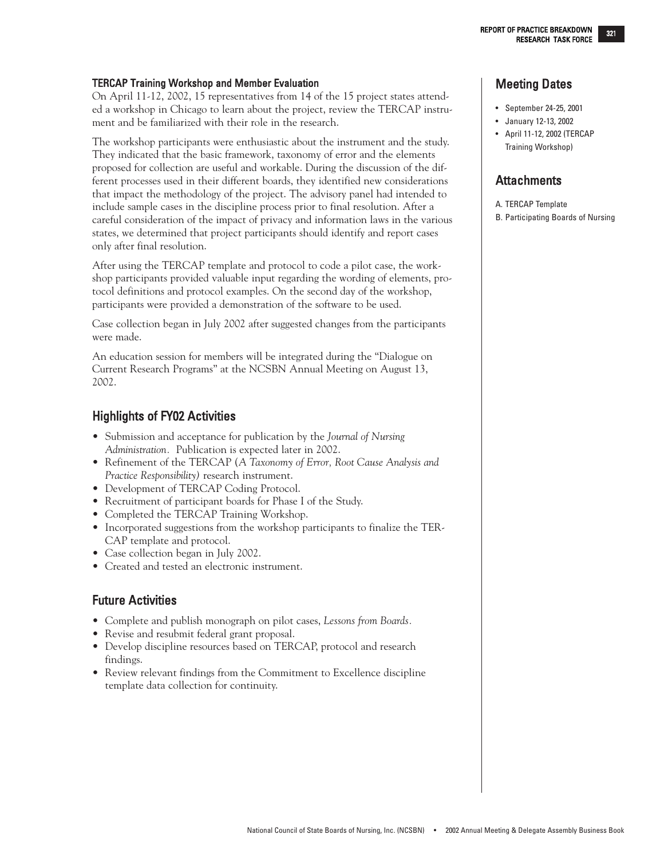### TERCAP Training Workshop and Member Evaluation

On April 11-12, 2002, 15 representatives from 14 of the 15 project states attended a workshop in Chicago to learn about the project, review the TERCAP instrument and be familiarized with their role in the research.

The workshop participants were enthusiastic about the instrument and the study. They indicated that the basic framework, taxonomy of error and the elements proposed for collection are useful and workable. During the discussion of the different processes used in their different boards, they identified new considerations that impact the methodology of the project. The advisory panel had intended to include sample cases in the discipline process prior to final resolution. After a careful consideration of the impact of privacy and information laws in the various states, we determined that project participants should identify and report cases only after final resolution.

After using the TERCAP template and protocol to code a pilot case, the workshop participants provided valuable input regarding the wording of elements, protocol definitions and protocol examples. On the second day of the workshop, participants were provided a demonstration of the software to be used.

Case collection began in July 2002 after suggested changes from the participants were made.

An education session for members will be integrated during the "Dialogue on Current Research Programs" at the NCSBN Annual Meeting on August 13, 2002.

### Highlights of FY02 Activities

- Submission and acceptance for publication by the *Journal of Nursing Administration.* Publication is expected later in 2002.
- Refinement of the TERCAP (*A Taxonomy of Error, Root Cause Analysis and Practice Responsibility)* research instrument.
- Development of TERCAP Coding Protocol.
- Recruitment of participant boards for Phase I of the Study.
- Completed the TERCAP Training Workshop.
- Incorporated suggestions from the workshop participants to finalize the TER-CAP template and protocol.
- Case collection began in July 2002.
- Created and tested an electronic instrument.

### Future Activities

- Complete and publish monograph on pilot cases, *Lessons from Boards.*
- Revise and resubmit federal grant proposal.
- Develop discipline resources based on TERCAP, protocol and research findings.
- Review relevant findings from the Commitment to Excellence discipline template data collection for continuity.

## Meeting Dates

- September 24-25, 2001
- January 12-13, 2002
- April 11-12, 2002 (TERCAP Training Workshop)

### **Attachments**

- A. TERCAP Template
- B. Participating Boards of Nursing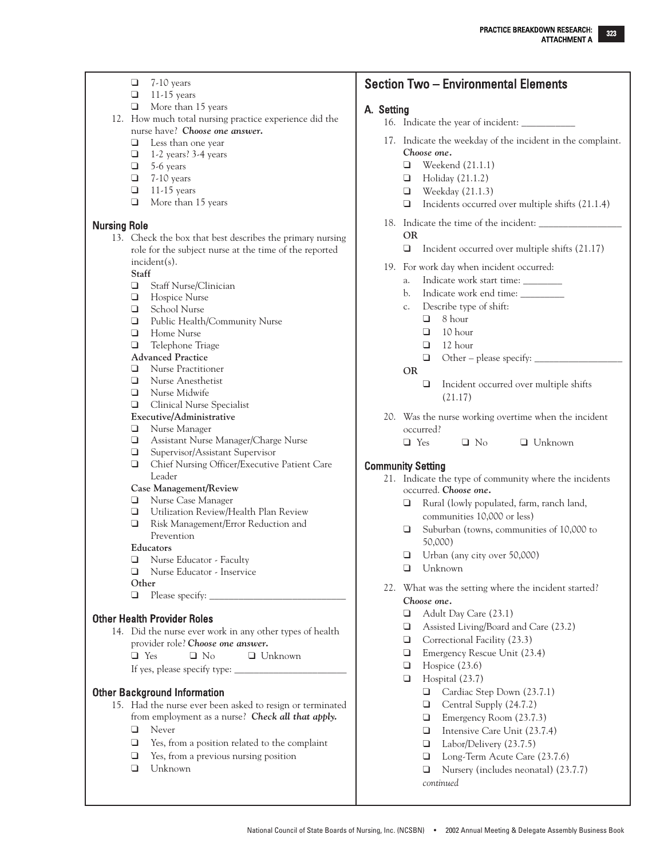- ❑ 7-10 years
- ❑ 11-15 years
- ❑ More than 15 years
- 12. How much total nursing practice experience did the nurse have? *Choose one answer.*
	- ❑ Less than one year
	- $\Box$  1-2 years? 3-4 years
	- $\Box$  5-6 years
	- ❑ 7-10 years
	- ❑ 11-15 years
	- ❑ More than 15 years

### Nursing Role

13. Check the box that best describes the primary nursing role for the subject nurse at the time of the reported incident(s).

**Staff**

- ❑ Staff Nurse/Clinician
- ❑ Hospice Nurse
- ❑ School Nurse
- ❑ Public Health/Community Nurse
- ❑ Home Nurse
- ❑ Telephone Triage

### **Advanced Practice**

- ❑ Nurse Practitioner
- ❑ Nurse Anesthetist
- ❑ Nurse Midwife
- ❑ Clinical Nurse Specialist

### **Executive/Administrative**

- ❑ Nurse Manager
- ❑ Assistant Nurse Manager/Charge Nurse
- ❑ Supervisor/Assistant Supervisor
- ❑ Chief Nursing Officer/Executive Patient Care Leader

#### **Case Management/Review**

- ❑ Nurse Case Manager
- ❑ Utilization Review/Health Plan Review
- ❑ Risk Management/Error Reduction and Prevention

**Educators**

- ❑ Nurse Educator Faculty
- ❑ Nurse Educator Inservice

**Other**

❑ Please specify: \_\_\_\_\_\_\_\_\_\_\_\_\_\_\_\_\_\_\_\_\_\_\_\_\_\_\_\_

### Other Health Provider Roles

- 14. Did the nurse ever work in any other types of health provider role? *Choose one answer.*
	- ❑ Yes ❑ No ❑ Unknown
	- If yes, please specify type:  $\Box$

### Other Background Information

- 15. Had the nurse ever been asked to resign or terminated from employment as a nurse? *Check all that apply.* ❑ Never
	- ❑ Yes, from a position related to the complaint
	- ❑ Yes, from a previous nursing position
	- ❑ Unknown

### Section Two – Environmental Elements

#### A. Setting

- 16. Indicate the year of incident:
- 17. Indicate the weekday of the incident in the complaint. *Choose one.*
	- ❑ Weekend (21.1.1)
	- ❑ Holiday (21.1.2)
	- ❑ Weekday (21.1.3)
	- ❑ Incidents occurred over multiple shifts (21.1.4)
- 18. Indicate the time of the incident:

### **OR**

- ❑ Incident occurred over multiple shifts (21.17)
- 19. For work day when incident occurred:
	- a. Indicate work start time:
	- b. Indicate work end time:
	- c. Describe type of shift:
		- ❑ 8 hour
		- ❑ 10 hour
		- ❑ 12 hour
		- $\Box$  Other please specify:  $\Box$
- **OR**
	- ❑ Incident occurred over multiple shifts (21.17)

20. Was the nurse working overtime when the incident occurred?

❑ Yes ❑ No ❑ Unknown

### Community Setting

- 21. Indicate the type of community where the incidents occurred. *Choose one.*
	- ❑ Rural (lowly populated, farm, ranch land, communities 10,000 or less)
	- Suburban (towns, communities of 10,000 to 50,000)
	- ❑ Urban (any city over 50,000)
	- ❑ Unknown
- 22. What was the setting where the incident started? *Choose one.*
	- ❑ Adult Day Care (23.1)
	- ❑ Assisted Living/Board and Care (23.2)
	- ❑ Correctional Facility (23.3)
	- ❑ Emergency Rescue Unit (23.4)
	- $\Box$  Hospice (23.6)
	- ❑ Hospital (23.7)
		- ❑ Cardiac Step Down (23.7.1)
		- ❑ Central Supply (24.7.2)
		- ❑ Emergency Room (23.7.3)
		- ❑ Intensive Care Unit (23.7.4)
		- ❑ Labor/Delivery (23.7.5)
		- ❑ Long-Term Acute Care (23.7.6)
		- ❑ Nursery (includes neonatal) (23.7.7)

*continued*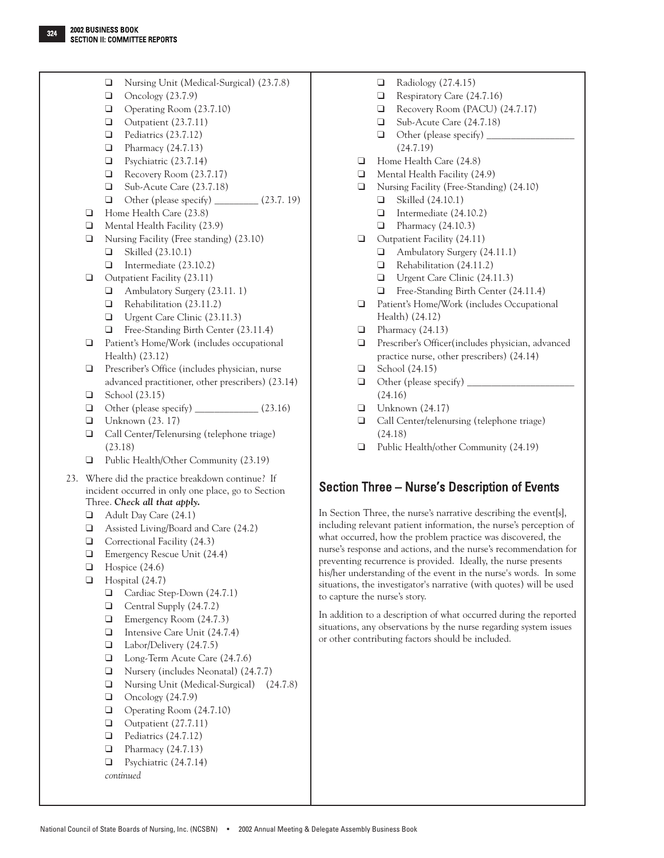- ❑ Nursing Unit (Medical-Surgical) (23.7.8)
- $\Box$  Oncology (23.7.9)
- ❑ Operating Room (23.7.10)
- ❑ Outpatient (23.7.11)
- ❑ Pediatrics (23.7.12)
- ❑ Pharmacy (24.7.13)
- ❑ Psychiatric (23.7.14)
- ❑ Recovery Room (23.7.17)
- ❑ Sub-Acute Care (23.7.18)
- $\Box$  Other (please specify)  $(23.7, 19)$
- ❑ Home Health Care (23.8)
- ❑ Mental Health Facility (23.9)
- ❑ Nursing Facility (Free standing) (23.10)
	- ❑ Skilled (23.10.1)
	- ❑ Intermediate (23.10.2)
- ❑ Outpatient Facility (23.11)
	- ❑ Ambulatory Surgery (23.11. 1)
	- ❑ Rehabilitation (23.11.2)
	- ❑ Urgent Care Clinic (23.11.3)
	- ❑ Free-Standing Birth Center (23.11.4)
- ❑ Patient's Home/Work (includes occupational Health) (23.12)
- ❑ Prescriber's Office (includes physician, nurse advanced practitioner, other prescribers) (23.14)
- ❑ School (23.15)
- ❑ Other (please specify) \_\_\_\_\_\_\_\_\_\_\_\_\_ (23.16)
- $\Box$  Unknown (23. 17)
- ❑ Call Center/Telenursing (telephone triage) (23.18)
- ❑ Public Health/Other Community (23.19)
- 23. Where did the practice breakdown continue? If incident occurred in only one place, go to Section Three. *Check all that apply.*
	- ❑ Adult Day Care (24.1)
	- ❑ Assisted Living/Board and Care (24.2)
	- ❑ Correctional Facility (24.3)
	- ❑ Emergency Rescue Unit (24.4)
	- ❑ Hospice (24.6)
	- $\Box$  Hospital (24.7)
		- ❑ Cardiac Step-Down (24.7.1)
		- ❑ Central Supply (24.7.2)
		- ❑ Emergency Room (24.7.3)
		- ❑ Intensive Care Unit (24.7.4)
		- ❑ Labor/Delivery (24.7.5)
		- ❑ Long-Term Acute Care (24.7.6)
		- ❑ Nursery (includes Neonatal) (24.7.7)
		- ❑ Nursing Unit (Medical-Surgical) (24.7.8)
		- ❑ Oncology (24.7.9)
		- ❑ Operating Room (24.7.10)
		- ❑ Outpatient (27.7.11)
		- ❑ Pediatrics (24.7.12)
		- ❑ Pharmacy (24.7.13)
		- ❑ Psychiatric (24.7.14)

*continued*

- ❑ Radiology (27.4.15)
- ❑ Respiratory Care (24.7.16)
- ❑ Recovery Room (PACU) (24.7.17)
- ❑ Sub-Acute Care (24.7.18)
- $\Box$  Other (please specify)
- (24.7.19) ❑ Home Health Care (24.8)
- ❑ Mental Health Facility (24.9)
- ❑ Nursing Facility (Free-Standing) (24.10)
	- ❑ Skilled (24.10.1)
	- ❑ Intermediate (24.10.2)
	- ❑ Pharmacy (24.10.3)
- ❑ Outpatient Facility (24.11)
	- ❑ Ambulatory Surgery (24.11.1)
	- ❑ Rehabilitation (24.11.2)
	- ❑ Urgent Care Clinic (24.11.3)
	- ❑ Free-Standing Birth Center (24.11.4)
- ❑ Patient's Home/Work (includes Occupational Health) (24.12)
- $\Box$  Pharmacy (24.13)
- ❑ Prescriber's Officer(includes physician, advanced practice nurse, other prescribers) (24.14)
- ❑ School (24.15)
- $\Box$  Other (please specify)  $\_\_\_\_\_\_\_\_\_\_\_\_\_\_$ (24.16)
- $\Box$  Unknown (24.17)
- ❑ Call Center/telenursing (telephone triage) (24.18)
- ❑ Public Health/other Community (24.19)

### Section Three – Nurse's Description of Events

In Section Three, the nurse's narrative describing the event[s], including relevant patient information, the nurse's perception of what occurred, how the problem practice was discovered, the nurse's response and actions, and the nurse's recommendation for preventing recurrence is provided. Ideally, the nurse presents his/her understanding of the event in the nurse's words. In some situations, the investigator's narrative (with quotes) will be used to capture the nurse's story.

In addition to a description of what occurred during the reported situations, any observations by the nurse regarding system issues or other contributing factors should be included.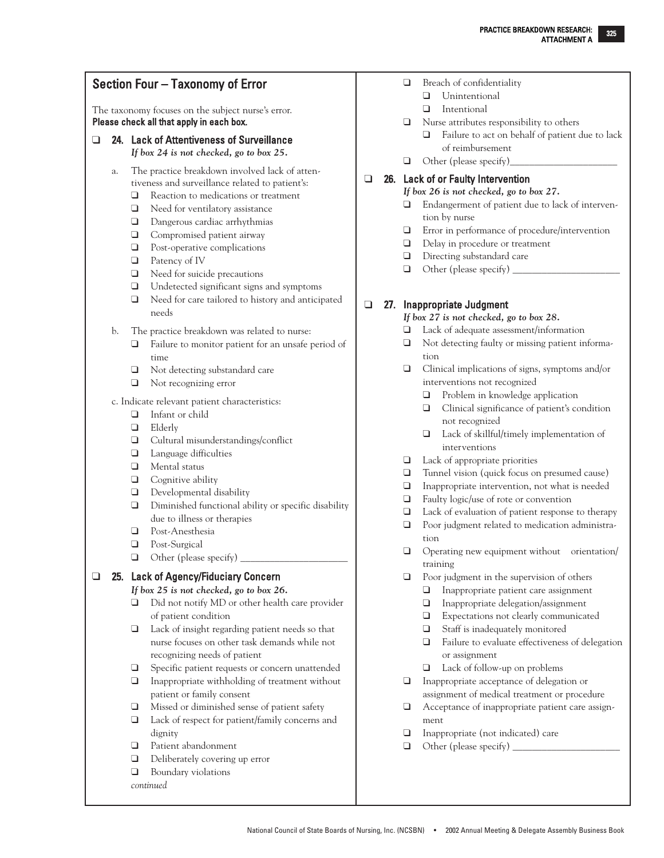### Section Four – Taxonomy of Error

The taxonomy focuses on the subject nurse's error. Please check all that apply in each box.

- ❑ 24. Lack of Attentiveness of Surveillance *If box 24 is not checked, go to box 25.*
	- a. The practice breakdown involved lack of attentiveness and surveillance related to patient's:
		- ❑ Reaction to medications or treatment
		- ❑ Need for ventilatory assistance
		- ❑ Dangerous cardiac arrhythmias
		- ❑ Compromised patient airway
		- ❑ Post-operative complications
		- ❑ Patency of IV
		- ❑ Need for suicide precautions
		- ❑ Undetected significant signs and symptoms
		- ❑ Need for care tailored to history and anticipated needs
	- b. The practice breakdown was related to nurse:
		- ❑ Failure to monitor patient for an unsafe period of time
		- ❑ Not detecting substandard care
		- ❑ Not recognizing error
	- c. Indicate relevant patient characteristics:
		- ❑ Infant or child
		- ❑ Elderly
		- ❑ Cultural misunderstandings/conflict
		- ❑ Language difficulties
		- ❑ Mental status
		- ❑ Cognitive ability
		- ❑ Developmental disability
		- ❑ Diminished functional ability or specific disability due to illness or therapies
		- ❑ Post-Anesthesia
		- ❑ Post-Surgical
		- $\Box$  Other (please specify)

### ❑ 25. Lack of Agency/Fiduciary Concern

### *If box 25 is not checked, go to box 26.*

- ❑ Did not notify MD or other health care provider of patient condition
- ❑ Lack of insight regarding patient needs so that nurse focuses on other task demands while not recognizing needs of patient
- ❑ Specific patient requests or concern unattended
- ❑ Inappropriate withholding of treatment without patient or family consent
- ❑ Missed or diminished sense of patient safety
- ❑ Lack of respect for patient/family concerns and dignity
- ❑ Patient abandonment
- ❑ Deliberately covering up error
- ❑ Boundary violations
- *continued*
- ❑ Breach of confidentiality
	- ❑ Unintentional
	- ❑ Intentional
- ❑ Nurse attributes responsibility to others ❑ Failure to act on behalf of patient due to lack of reimbursement
- $\Box$  Other (please specify)

### ❑ 26. Lack of or Faulty Intervention

- *If box 26 is not checked, go to box 27.*
	- ❑ Endangerment of patient due to lack of intervention by nurse
	- ❑ Error in performance of procedure/intervention
- ❑ Delay in procedure or treatment
- ❑ Directing substandard care
- □ Other (please specify)  $_$

### ❑ 27. Inappropriate Judgment

- *If box 27 is not checked, go to box 28.*
- ❑ Lack of adequate assessment/information
- ❑ Not detecting faulty or missing patient information
- ❑ Clinical implications of signs, symptoms and/or interventions not recognized
	- ❑ Problem in knowledge application
	- ❑ Clinical significance of patient's condition not recognized
	- ❑ Lack of skillful/timely implementation of interventions
- ❑ Lack of appropriate priorities
- ❑ Tunnel vision (quick focus on presumed cause)
- ❑ Inappropriate intervention, not what is needed
- ❑ Faulty logic/use of rote or convention
- ❑ Lack of evaluation of patient response to therapy
- ❑ Poor judgment related to medication administration
- ❑ Operating new equipment without orientation/ training
- ❑ Poor judgment in the supervision of others
	- ❑ Inappropriate patient care assignment
	- ❑ Inappropriate delegation/assignment
	- ❑ Expectations not clearly communicated
	- ❑ Staff is inadequately monitored
	- ❑ Failure to evaluate effectiveness of delegation or assignment
	- ❑ Lack of follow-up on problems
- ❑ Inappropriate acceptance of delegation or assignment of medical treatment or procedure
- ❑ Acceptance of inappropriate patient care assignment
- ❑ Inappropriate (not indicated) care
- $\Box$  Other (please specify)  $\Box$

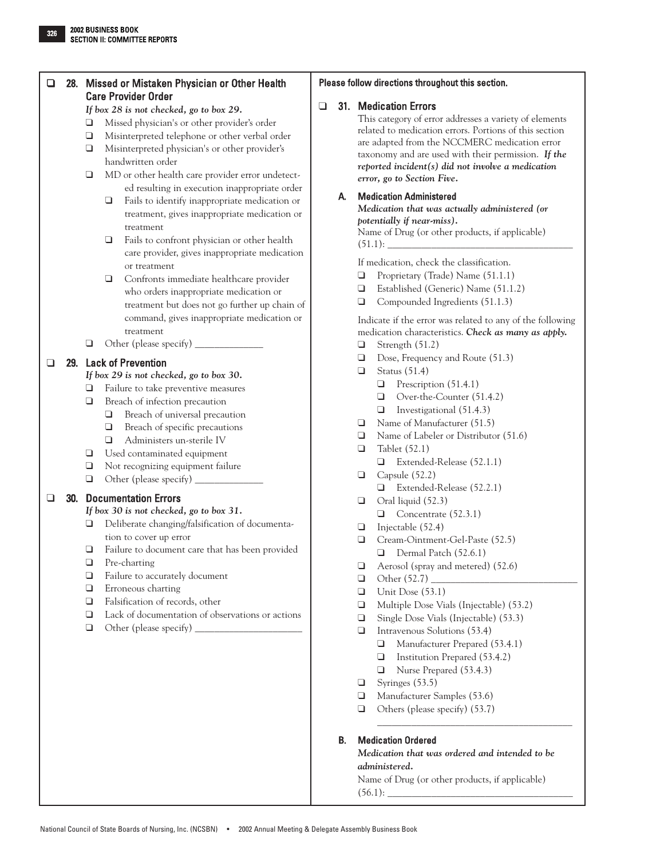| u |     | 28. Missed or Mistaken Physician or Other Health                                                                                                                                                                                                                                                                                                                                                                                                                                                                                                                                                                                                                                                                                                                                                                      | Please follow directions throughout this section.                                                                                                                                                                                                                                                                                                                                                                                                                                                                                                                                                                                                                                                                                                                                                                                           |  |  |
|---|-----|-----------------------------------------------------------------------------------------------------------------------------------------------------------------------------------------------------------------------------------------------------------------------------------------------------------------------------------------------------------------------------------------------------------------------------------------------------------------------------------------------------------------------------------------------------------------------------------------------------------------------------------------------------------------------------------------------------------------------------------------------------------------------------------------------------------------------|---------------------------------------------------------------------------------------------------------------------------------------------------------------------------------------------------------------------------------------------------------------------------------------------------------------------------------------------------------------------------------------------------------------------------------------------------------------------------------------------------------------------------------------------------------------------------------------------------------------------------------------------------------------------------------------------------------------------------------------------------------------------------------------------------------------------------------------------|--|--|
|   |     | <b>Care Provider Order</b><br>If box 28 is not checked, go to box 29.<br>Missed physician's or other provider's order<br>⊔<br>Misinterpreted telephone or other verbal order<br>❏<br>Misinterpreted physician's or other provider's<br>❏<br>handwritten order<br>MD or other health care provider error undetect-<br>⊔<br>ed resulting in execution inappropriate order<br>Fails to identify inappropriate medication or<br>❏<br>treatment, gives inappropriate medication or<br>treatment<br>❏<br>Fails to confront physician or other health<br>care provider, gives inappropriate medication<br>or treatment<br>Confronts immediate healthcare provider<br>❏<br>who orders inappropriate medication or<br>treatment but does not go further up chain of<br>command, gives inappropriate medication or<br>treatment | <b>Medication Errors</b><br>31.<br>❏<br>This category of error addresses a variety of elements<br>related to medication errors. Portions of this section<br>are adapted from the NCCMERC medication error<br>taxonomy and are used with their permission. If the<br>reported incident(s) did not involve a medication<br>error, go to Section Five.<br><b>Medication Administered</b><br>А.<br>Medication that was actually administered (or<br>potentially if near-miss).<br>Name of Drug (or other products, if applicable)<br>(51.1):<br>If medication, check the classification.<br>Proprietary (Trade) Name (51.1.1)<br>⊔<br>Established (Generic) Name (51.1.2)<br>❏<br>$\Box$<br>Compounded Ingredients (51.1.3)<br>Indicate if the error was related to any of the following<br>medication characteristics. Check as many as apply. |  |  |
|   |     | ⊔                                                                                                                                                                                                                                                                                                                                                                                                                                                                                                                                                                                                                                                                                                                                                                                                                     | Strength (51.2)<br>❏<br>Dose, Frequency and Route (51.3)<br>❏                                                                                                                                                                                                                                                                                                                                                                                                                                                                                                                                                                                                                                                                                                                                                                               |  |  |
| ⊔ | 29. | <b>Lack of Prevention</b><br>If box 29 is not checked, go to box 30.<br>Failure to take preventive measures<br>⊔<br>Breach of infection precaution<br>❏<br>Breach of universal precaution<br>u<br>Breach of specific precautions<br>❏<br>Administers un-sterile IV<br>❏<br>Used contaminated equipment<br>❏<br>Not recognizing equipment failure<br>⊔<br>❏                                                                                                                                                                                                                                                                                                                                                                                                                                                            | Status (51.4)<br>$\Box$<br>Prescription (51.4.1)<br>❏<br>Over-the-Counter (51.4.2)<br>❏<br>Investigational (51.4.3)<br>❏<br>Name of Manufacturer (51.5)<br>❏<br>Name of Labeler or Distributor (51.6)<br>❏<br>Tablet (52.1)<br>❏<br>Extended-Release (52.1.1)<br>u.<br>Capsule (52.2)<br>❏<br>Extended-Release (52.2.1)                                                                                                                                                                                                                                                                                                                                                                                                                                                                                                                     |  |  |
| ⊔ | 30. | <b>Documentation Errors</b><br>If box 30 is not checked, go to box 31.<br>Deliberate changing/falsification of documenta-<br>❏<br>tion to cover up error<br>Failure to document care that has been provided<br>❏<br>Pre-charting<br>❏<br>Failure to accurately document<br>❏<br>Erroneous charting<br>$\Box$<br>Falsification of records, other<br>$\Box$<br>Lack of documentation of observations or actions<br>❏<br>$\Box$<br>Other (please specify)                                                                                                                                                                                                                                                                                                                                                                | Oral liquid (52.3)<br>❏<br>Concentrate (52.3.1)<br>u.<br>Injectable (52.4)<br>❏<br>Cream-Ointment-Gel-Paste (52.5)<br>❏<br>$\Box$ Dermal Patch (52.6.1)<br>Aerosol (spray and metered) (52.6)<br>❏<br>❏<br>Unit Dose (53.1)<br>❏<br>❏<br>Multiple Dose Vials (Injectable) (53.2)<br>Single Dose Vials (Injectable) (53.3)<br>❏<br>❏<br>Intravenous Solutions (53.4)<br>Manufacturer Prepared (53.4.1)<br>❏<br>Institution Prepared (53.4.2)<br>❏<br>❏<br>Nurse Prepared (53.4.3)<br>Syringes $(53.5)$<br>❏<br>Manufacturer Samples (53.6)<br>❏<br>Others (please specify) (53.7)<br>❏<br><b>Medication Ordered</b><br>В.<br>Medication that was ordered and intended to be<br>administered.                                                                                                                                                 |  |  |

Name of Drug (or other products, if applicable)

 $(56.1):$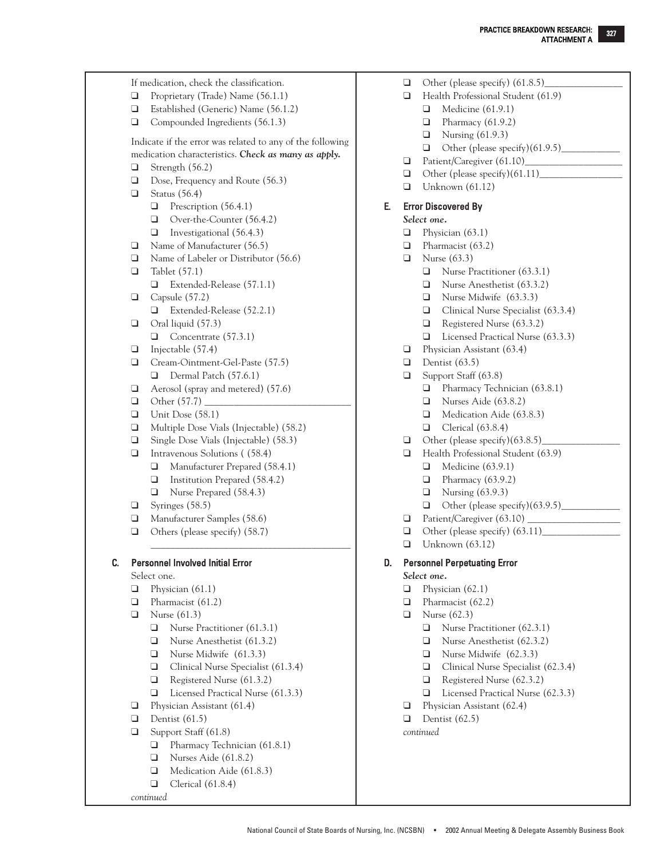If medication, check the classification. ❑ Proprietary (Trade) Name (56.1.1) ❑ Established (Generic) Name (56.1.2) ❑ Compounded Ingredients (56.1.3) Indicate if the error was related to any of the following medication characteristics. *Check as many as apply.* ❑ Strength (56.2) ❑ Dose, Frequency and Route (56.3)  $\Box$  Status (56.4) ❑ Prescription (56.4.1) ❑ Over-the-Counter (56.4.2) ❑ Investigational (56.4.3) ❑ Name of Manufacturer (56.5) ❑ Name of Labeler or Distributor (56.6) ❑ Tablet (57.1) ❑ Extended-Release (57.1.1) ❑ Capsule (57.2) ❑ Extended-Release (52.2.1)  $\Box$  Oral liquid (57.3) ❑ Concentrate (57.3.1) ❑ Injectable (57.4) ❑ Cream-Ointment-Gel-Paste (57.5) ❑ Dermal Patch (57.6.1) ❑ Aerosol (spray and metered) (57.6)  $\Box$  Other (57.7) ❑ Unit Dose (58.1) ❑ Multiple Dose Vials (Injectable) (58.2) ❑ Single Dose Vials (Injectable) (58.3) ❑ Intravenous Solutions ( (58.4) ❑ Manufacturer Prepared (58.4.1) ❑ Institution Prepared (58.4.2) ❑ Nurse Prepared (58.4.3) ❑ Syringes (58.5) ❑ Manufacturer Samples (58.6) ❑ Others (please specify) (58.7) \_\_\_\_\_\_\_\_\_\_\_\_\_\_\_\_\_\_\_\_\_\_\_\_\_\_\_\_\_\_\_\_\_\_\_\_\_\_\_\_\_ C. Personnel Involved Initial Error Select one. ❑ Physician (61.1) ❑ Pharmacist (61.2)  $\Box$  Nurse (61.3) ❑ Nurse Practitioner (61.3.1) ❑ Nurse Anesthetist (61.3.2) ❑ Nurse Midwife (61.3.3) ❑ Clinical Nurse Specialist (61.3.4) ❑ Registered Nurse (61.3.2) ❑ Licensed Practical Nurse (61.3.3) ❑ Physician Assistant (61.4)  $\Box$  Dentist (61.5) ❑ Support Staff (61.8)

- - ❑ Pharmacy Technician (61.8.1)
	- ❑ Nurses Aide (61.8.2)
	- ❑ Medication Aide (61.8.3)
	- ❑ Clerical (61.8.4)

*continued*

- $\Box$  Other (please specify) (61.8.5)
- ❑ Health Professional Student (61.9)
	- ❑ Medicine (61.9.1)
	- $\Box$  Pharmacy (61.9.2)
	- ❑ Nursing (61.9.3)
	- ❑ Other (please specify)(61.9.5)\_\_\_\_\_\_\_\_\_\_\_\_
- □ Patient/Caregiver (61.10)
- $\Box$  Other (please specify)(61.11)
- $\Box$  Unknown (61.12)

#### E. Error Discovered By

- *Select one.*
- ❑ Physician (63.1)
- ❑ Pharmacist (63.2)
- ❑ Nurse (63.3)
	- ❑ Nurse Practitioner (63.3.1)
	- ❑ Nurse Anesthetist (63.3.2)
	- ❑ Nurse Midwife (63.3.3)
	- ❑ Clinical Nurse Specialist (63.3.4)
	- ❑ Registered Nurse (63.3.2)
	- ❑ Licensed Practical Nurse (63.3.3)
- ❑ Physician Assistant (63.4)
- $\Box$  Dentist (63.5)
- ❑ Support Staff (63.8)
	- ❑ Pharmacy Technician (63.8.1)
	- ❑ Nurses Aide (63.8.2)
	- ❑ Medication Aide (63.8.3)
	- ❑ Clerical (63.8.4)
- $\Box$  Other (please specify)(63.8.5)
- ❑ Health Professional Student (63.9)
	- ❑ Medicine (63.9.1)
	- $\Box$  Pharmacy (63.9.2)
	- ❑ Nursing (63.9.3)
	- $\Box$  Other (please specify)(63.9.5)
- $\Box$  Patient/Caregiver (63.10)
- $\Box$  Other (please specify) (63.11)
- $\Box$  Unknown (63.12)

#### D. Personnel Perpetuating Error

- *Select one.*
	- ❑ Physician (62.1)
- ❑ Pharmacist (62.2)
- ❑ Nurse (62.3)
	- ❑ Nurse Practitioner (62.3.1)
	- ❑ Nurse Anesthetist (62.3.2)
	- ❑ Nurse Midwife (62.3.3)
	- ❑ Clinical Nurse Specialist (62.3.4)
	- ❑ Registered Nurse (62.3.2)
	- ❑ Licensed Practical Nurse (62.3.3)
- ❑ Physician Assistant (62.4)
- $\Box$  Dentist (62.5)

*continued*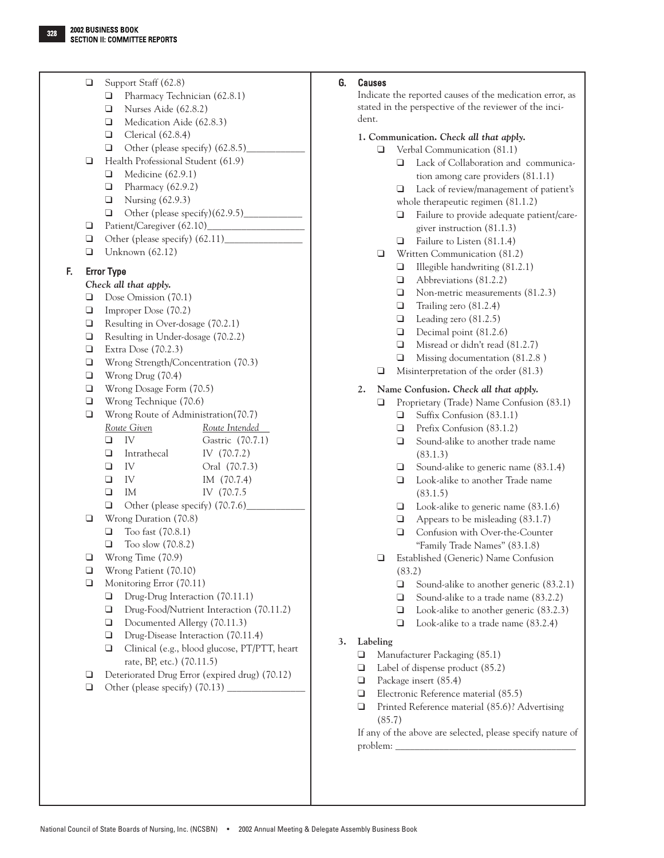❑ Support Staff (62.8) ❑ Pharmacy Technician (62.8.1) ❑ Nurses Aide (62.8.2) ❑ Medication Aide (62.8.3) ❑ Clerical (62.8.4)  $\Box$  Other (please specify) (62.8.5) ❑ Health Professional Student (61.9) ❑ Medicine (62.9.1)  $\Box$  Pharmacy (62.9.2) ❑ Nursing (62.9.3)  $\Box$  Other (please specify)(62.9.5)  $\Box$  Patient/Caregiver (62.10)  $\Box$  Other (please specify) (62.11)  $\Box$  Unknown (62.12) F. Error Type *Check all that apply.* ❑ Dose Omission (70.1) ❑ Improper Dose (70.2) ❑ Resulting in Over-dosage (70.2.1) ❑ Resulting in Under-dosage (70.2.2) ❑ Extra Dose (70.2.3) ❑ Wrong Strength/Concentration (70.3) ❑ Wrong Drug (70.4) ❑ Wrong Dosage Form (70.5) ❑ Wrong Technique (70.6) ❑ Wrong Route of Administration(70.7) *Route Given Route Intended*  ❑ IV Gastric (70.7.1) ❑ Intrathecal IV (70.7.2) ❑ IV Oral (70.7.3)  $\Box$  IV IM (70.7.4) ❑ IM IV (70.7.5  $\Box$  Other (please specify) (70.7.6) ❑ Wrong Duration (70.8) ❑ Too fast (70.8.1) ❑ Too slow (70.8.2) ❑ Wrong Time (70.9) ❑ Wrong Patient (70.10) ❑ Monitoring Error (70.11) ❑ Drug-Drug Interaction (70.11.1) ❑ Drug-Food/Nutrient Interaction (70.11.2) ❑ Documented Allergy (70.11.3) ❑ Drug-Disease Interaction (70.11.4) ❑ Clinical (e.g., blood glucose, PT/PTT, heart rate, BP, etc.) (70.11.5) ❑ Deteriorated Drug Error (expired drug) (70.12)  $\Box$  Other (please specify) (70.13)  $\Box$ 

#### G. Causes

Indicate the reported causes of the medication error, as stated in the perspective of the reviewer of the incident.

- **1. Communication.** *Check all that apply.*
	- ❑ Verbal Communication (81.1)
		- ❑ Lack of Collaboration and communication among care providers (81.1.1)
		- ❑ Lack of review/management of patient's
		- whole therapeutic regimen (81.1.2)
		- ❑ Failure to provide adequate patient/caregiver instruction (81.1.3)
		- ❑ Failure to Listen (81.1.4)
	- ❑ Written Communication (81.2)
		- ❑ Illegible handwriting (81.2.1)
		- ❑ Abbreviations (81.2.2)
		- ❑ Non-metric measurements (81.2.3)
		- ❑ Trailing zero (81.2.4)
		- ❑ Leading zero (81.2.5)
		- ❑ Decimal point (81.2.6)
		- ❑ Misread or didn't read (81.2.7)
		- ❑ Missing documentation (81.2.8 )
	- ❑ Misinterpretation of the order (81.3)

#### **2. Name Confusion.** *Check all that apply.*

- ❑ Proprietary (Trade) Name Confusion (83.1)
	- ❑ Suffix Confusion (83.1.1)
	- ❑ Prefix Confusion (83.1.2)
	- ❑ Sound-alike to another trade name (83.1.3)
	- ❑ Sound-alike to generic name (83.1.4)
	- ❑ Look-alike to another Trade name (83.1.5)
	- ❑ Look-alike to generic name (83.1.6)
	- ❑ Appears to be misleading (83.1.7)
	- ❑ Confusion with Over-the-Counter "Family Trade Names" (83.1.8)
- ❑ Established (Generic) Name Confusion (83.2)
	- ❑ Sound-alike to another generic (83.2.1)
	- ❑ Sound-alike to a trade name (83.2.2)
	- ❑ Look-alike to another generic (83.2.3)
	- ❑ Look-alike to a trade name (83.2.4)

### **3. Labeling**

- ❑ Manufacturer Packaging (85.1)
- ❑ Label of dispense product (85.2)
- ❑ Package insert (85.4)
- ❑ Electronic Reference material (85.5)
- ❑ Printed Reference material (85.6)? Advertising (85.7)

If any of the above are selected, please specify nature of problem: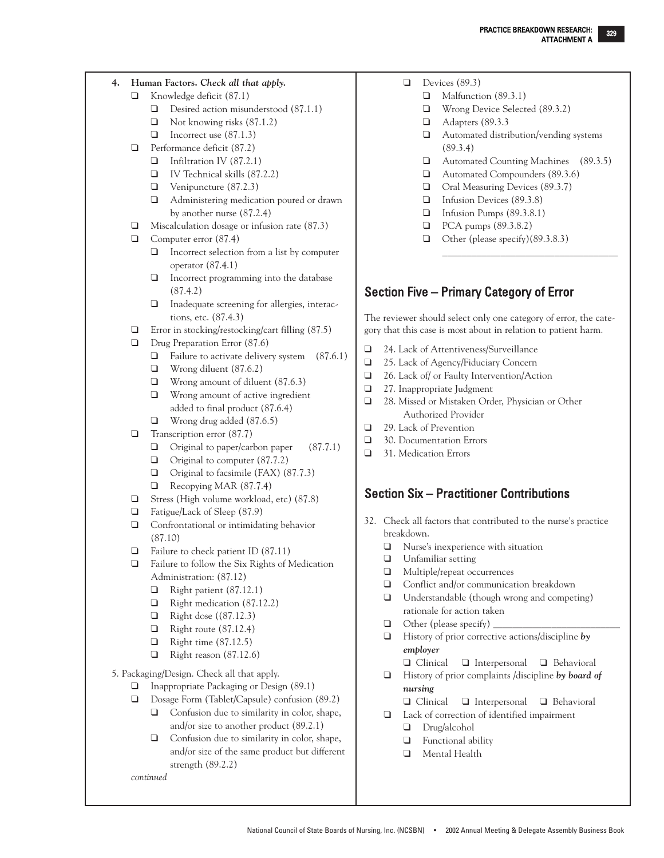#### **4. Human Factors.** *Check all that apply.*

- ❑ Knowledge deficit (87.1)
	- ❑ Desired action misunderstood (87.1.1)
	- ❑ Not knowing risks (87.1.2)
	- ❑ Incorrect use (87.1.3)
- ❑ Performance deficit (87.2)
	- ❑ Infiltration IV (87.2.1)
	- ❑ IV Technical skills (87.2.2)
	- ❑ Venipuncture (87.2.3)
	- ❑ Administering medication poured or drawn by another nurse (87.2.4)
- ❑ Miscalculation dosage or infusion rate (87.3)
- ❑ Computer error (87.4)
	- ❑ Incorrect selection from a list by computer operator (87.4.1)
	- ❑ Incorrect programming into the database (87.4.2)
	- ❑ Inadequate screening for allergies, interactions, etc. (87.4.3)
- $\Box$  Error in stocking/restocking/cart filling (87.5)
- ❑ Drug Preparation Error (87.6)
	- ❑ Failure to activate delivery system (87.6.1)
	- ❑ Wrong diluent (87.6.2)
	- ❑ Wrong amount of diluent (87.6.3)
	- ❑ Wrong amount of active ingredient added to final product (87.6.4)
	- ❑ Wrong drug added (87.6.5)
- ❑ Transcription error (87.7)
	- ❑ Original to paper/carbon paper (87.7.1)
	- ❑ Original to computer (87.7.2)
	- ❑ Original to facsimile (FAX) (87.7.3)
	- ❑ Recopying MAR (87.7.4)
- ❑ Stress (High volume workload, etc) (87.8)
- ❑ Fatigue/Lack of Sleep (87.9)
- ❑ Confrontational or intimidating behavior (87.10)
- ❑ Failure to check patient ID (87.11)
- ❑ Failure to follow the Six Rights of Medication Administration: (87.12)
	- ❑ Right patient (87.12.1)
	- ❑ Right medication (87.12.2)
	- ❑ Right dose ((87.12.3)
	- ❑ Right route (87.12.4)
	- ❑ Right time (87.12.5)
	- ❑ Right reason (87.12.6)

5. Packaging/Design. Check all that apply.

- ❑ Inappropriate Packaging or Design (89.1)
- ❑ Dosage Form (Tablet/Capsule) confusion (89.2)
	- ❑ Confusion due to similarity in color, shape, and/or size to another product (89.2.1)
	- ❑ Confusion due to similarity in color, shape, and/or size of the same product but different strength (89.2.2)

*continued* 

- ❑ Devices (89.3)
	- ❑ Malfunction (89.3.1)
	- ❑ Wrong Device Selected (89.3.2)
	- ❑ Adapters (89.3.3
	- ❑ Automated distribution/vending systems (89.3.4)
	- ❑ Automated Counting Machines (89.3.5)

\_\_\_\_\_\_\_\_\_\_\_\_\_\_\_\_\_\_\_\_\_\_\_\_\_\_\_\_\_\_\_\_\_\_\_\_

- ❑ Automated Compounders (89.3.6)
- ❑ Oral Measuring Devices (89.3.7)
- ❑ Infusion Devices (89.3.8)
- ❑ Infusion Pumps (89.3.8.1)
- ❑ PCA pumps (89.3.8.2)
- ❑ Other (please specify)(89.3.8.3)

### Section Five – Primary Category of Error

The reviewer should select only one category of error, the category that this case is most about in relation to patient harm.

- ❑ 24. Lack of Attentiveness/Surveillance
- ❑ 25. Lack of Agency/Fiduciary Concern
- ❑ 26. Lack of/ or Faulty Intervention/Action
- ❑ 27. Inappropriate Judgment
- ❑ 28. Missed or Mistaken Order, Physician or Other Authorized Provider
- ❑ 29. Lack of Prevention
- ❑ 30. Documentation Errors
- ❑ 31. Medication Errors

### Section Six – Practitioner Contributions

- 32. Check all factors that contributed to the nurse's practice breakdown.
	- ❑ Nurse's inexperience with situation
	- ❑ Unfamiliar setting
	- ❑ Multiple/repeat occurrences
	- ❑ Conflict and/or communication breakdown
	- ❑ Understandable (though wrong and competing) rationale for action taken
	- □ Other (please specify) \_
	- ❑ History of prior corrective actions/discipline *by employer* 
		- ❑ Clinical ❑ Interpersonal ❑ Behavioral
	- ❑ History of prior complaints /discipline *by board of nursing* 
		- ❑ Clinical ❑ Interpersonal ❑ Behavioral
	- ❑ Lack of correction of identified impairment
		- ❑ Drug/alcohol
		- ❑ Functional ability
		- ❑ Mental Health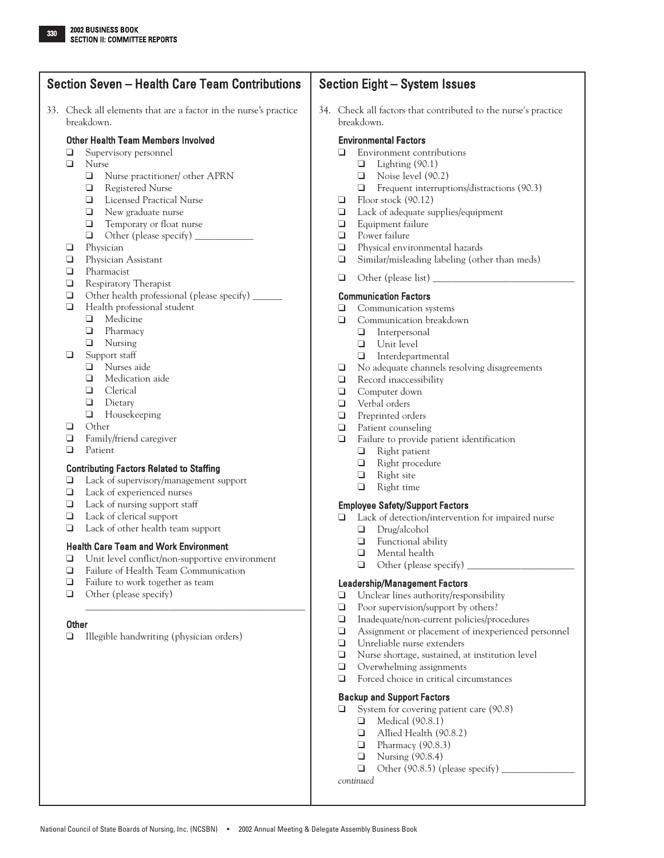Section Seven – Health Care Team Contributions Section Eight – System Issues

33. Check all elements that are a factor in the nurse's practice breakdown.

#### Other Health Team Members Involved

- ❑ Supervisory personnel
- ❑ Nurse
	- ❑ Nurse practitioner/ other APRN
	- ❑ Registered Nurse
	- ❑ Licensed Practical Nurse
	- ❑ New graduate nurse
	- ❑ Temporary or float nurse
	- $\Box$  Other (please specify)  $\Box$
- ❑ Physician
- ❑ Physician Assistant
- ❑ Pharmacist
- ❑ Respiratory Therapist
- ❑ Other health professional (please specify) \_\_\_\_\_\_
- ❑ Health professional student
	- ❑ Medicine
	- ❑ Pharmacy
	- ❑ Nursing
- ❑ Support staff
	- ❑ Nurses aide
	- ❑ Medication aide
	- ❑ Clerical
	- ❑ Dietary
	- ❑ Housekeeping
- ❑ Other
- ❑ Family/friend caregiver
- ❑ Patient

#### Contributing Factors Related to Staffing

- ❑ Lack of supervisory/management support
- ❑ Lack of experienced nurses
- ❑ Lack of nursing support staff
- ❑ Lack of clerical support
- ❑ Lack of other health team support

#### Health Care Team and Work Environment

- ❑ Unit level conflict/non-supportive environment
- ❑ Failure of Health Team Communication
- ❑ Failure to work together as team
- ❑ Other (please specify) \_\_\_\_\_\_\_\_\_\_\_\_\_\_\_\_\_\_\_\_\_\_\_\_\_\_\_\_\_\_\_\_\_\_\_\_\_\_\_\_\_\_\_\_\_

#### **Other**

❑ Illegible handwriting (physician orders)

### 34. Check all factors that contributed to the nurse's practice breakdown.

#### Environmental Factors

- ❑ Environment contributions
	- ❑ Lighting (90.1)
	- ❑ Noise level (90.2)
	- ❑ Frequent interruptions/distractions (90.3)
- ❑ Floor stock (90.12)
- ❑ Lack of adequate supplies/equipment
- ❑ Equipment failure
- ❑ Power failure
- ❑ Physical environmental hazards
- ❑ Similar/misleading labeling (other than meds)
- $\Box$  Other (please list)  $\Box$

#### Communication Factors

- ❑ Communication systems
- ❑ Communication breakdown
	- ❑ Interpersonal
	- ❑ Unit level
	- ❑ Interdepartmental
- ❑ No adequate channels resolving disagreements
- ❑ Record inaccessibility
- ❑ Computer down
- ❑ Verbal orders
- ❑ Preprinted orders
- ❑ Patient counseling
- ❑ Failure to provide patient identification
	- ❑ Right patient
	- ❑ Right procedure
	- ❑ Right site
	- ❑ Right time

#### Employee Safety/Support Factors

- ❑ Lack of detection/intervention for impaired nurse
	- ❑ Drug/alcohol
	- ❑ Functional ability
	- ❑ Mental health
	- $\Box$  Other (please specify)  $\Box$

#### Leadership/Management Factors

- ❑ Unclear lines authority/responsibility
- ❑ Poor supervision/support by others?
- ❑ Inadequate/non-current policies/procedures
- ❑ Assignment or placement of inexperienced personnel
- ❑ Unreliable nurse extenders
- ❑ Nurse shortage, sustained, at institution level
- ❑ Overwhelming assignments
- ❑ Forced choice in critical circumstances

#### Backup and Support Factors

- ❑ System for covering patient care (90.8)
	- ❑ Medical (90.8.1)
	- ❑ Allied Health (90.8.2)
	- ❑ Pharmacy (90.8.3)
	- ❑ Nursing (90.8.4)
	- $\Box$  Other (90.8.5) (please specify)  $\Box$

*continued*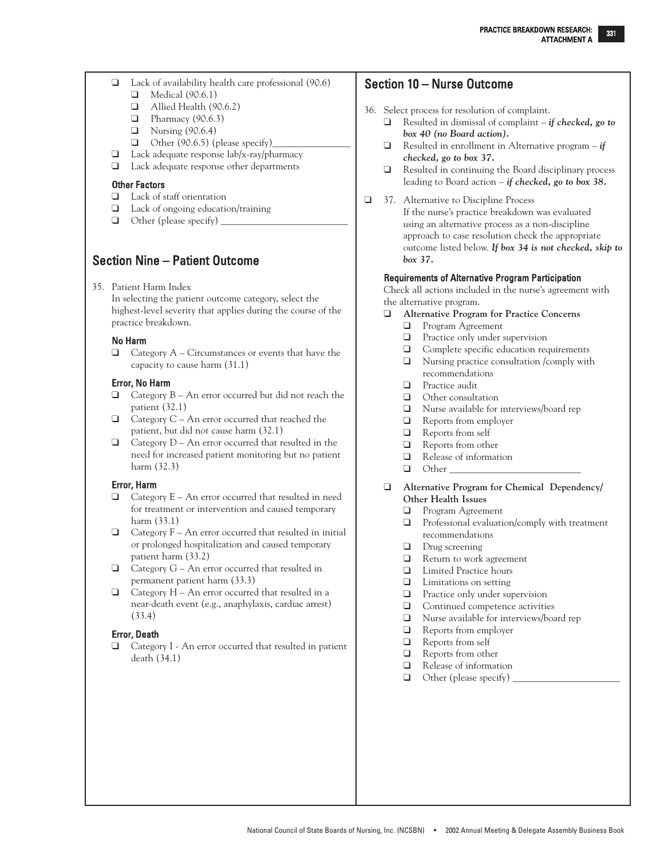- ❑ Lack of availability health care professional (90.6)
	- ❑ Medical (90.6.1)
	- ❑ Allied Health (90.6.2)
	- ❑ Pharmacy (90.6.3)
	- ❑ Nursing (90.6.4)
	- $\Box$  Other (90.6.5) (please specify)
- ❑ Lack adequate response lab/x-ray/pharmacy
- ❑ Lack adequate response other departments

#### Other Factors

- ❑ Lack of staff orientation
- ❑ Lack of ongoing education/training
- ❑ Other (please specify) \_\_\_\_\_\_\_\_\_\_\_\_\_\_\_\_\_\_\_\_\_\_\_\_\_\_

### Section Nine – Patient Outcome

35. Patient Harm Index

In selecting the patient outcome category, select the highest-level severity that applies during the course of the practice breakdown.

#### No Harm

❑ Category A – Circumstances or events that have the capacity to cause harm (31.1)

#### Error, No Harm

- ❑ Category B An error occurred but did not reach the patient (32.1)
- ❑ Category C An error occurred that reached the patient, but did not cause harm (32.1)
- $\Box$  Category  $D An$  error occurred that resulted in the need for increased patient monitoring but no patient harm (32.3)

#### Error, Harm

- $\Box$  Category  $E An$  error occurred that resulted in need for treatment or intervention and caused temporary harm (33.1)
- $\Box$  Category  $F An$  error occurred that resulted in initial or prolonged hospitalization and caused temporary patient harm (33.2)
- $\Box$  Category  $G An$  error occurred that resulted in permanent patient harm (33.3)
- ❑ Category H An error occurred that resulted in a near-death event (e.g., anaphylaxis, cardiac arrest) (33.4)

#### Error, Death

❑ Category I - An error occurred that resulted in patient death (34.1)

### Section 10 – Nurse Outcome

- 36. Select process for resolution of complaint.
	- ❑ Resulted in dismissal of complaint *if checked, go to box 40 (no Board action).*
	- ❑ Resulted in enrollment in Alternative program *if checked, go to box 37.*
	- ❑ Resulted in continuing the Board disciplinary process leading to Board action – *if checked, go to box 38.*
- ❑ 37. Alternative to Discipline Process If the nurse's practice breakdown was evaluated using an alternative process as a non-discipline approach to case resolution check the appropriate outcome listed below. *If box 34 is not checked, skip to box 37.*

#### Requirements of Alternative Program Participation

Check all actions included in the nurse's agreement with the alternative program.

- ❑ **Alternative Program for Practice Concerns** 
	- ❑ Program Agreement
	- ❑ Practice only under supervision
	- ❑ Complete specific education requirements
	- ❑ Nursing practice consultation /comply with recommendations
	- ❑ Practice audit
	- ❑ Other consultation
	- ❑ Nurse available for interviews/board rep
	- ❑ Reports from employer
	- ❑ Reports from self
	- ❑ Reports from other
	- ❑ Release of information
	- $\Box$  Other

#### ❑ **Alternative Program for Chemical Dependency/ Other Health Issues**

- ❑ Program Agreement
- ❑ Professional evaluation/comply with treatment recommendations
- ❑ Drug screening
- ❑ Return to work agreement
- ❑ Limited Practice hours
- ❑ Limitations on setting
- ❑ Practice only under supervision
- ❑ Continued competence activities
- ❑ Nurse available for interviews/board rep
- ❑ Reports from employer
- ❑ Reports from self
- ❑ Reports from other
- ❑ Release of information
- $\Box$  Other (please specify)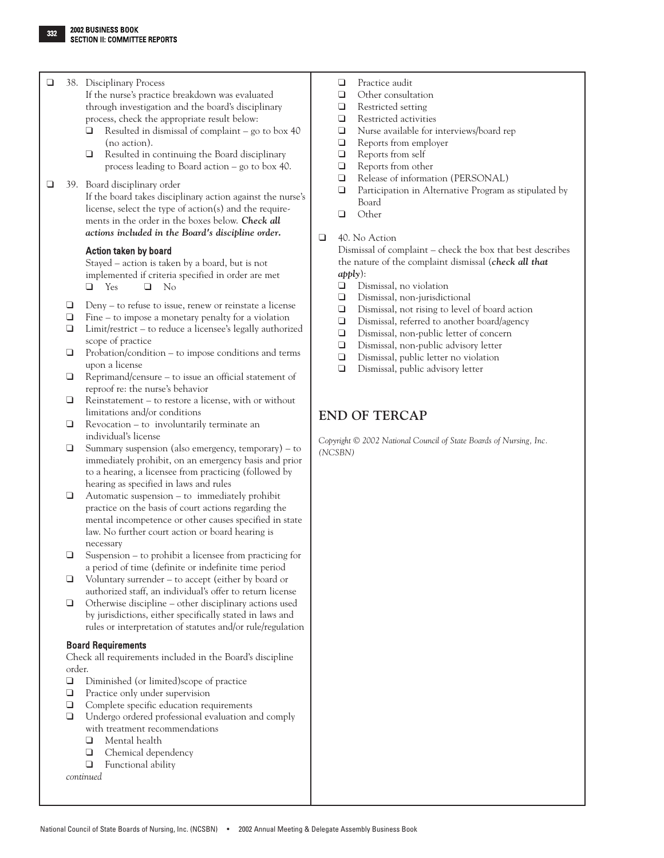| ❏ |                            | 38. Disciplinary Process<br>If the nurse's practice breakdown was evaluated<br>through investigation and the board's disciplinary<br>process, check the appropriate result below:<br>❏<br>Resulted in dismissal of complaint $-$ go to box 40<br>(no action).<br>Resulted in continuing the Board disciplinary<br>❏<br>process leading to Board action $-$ go to box 40.                                               | Practice audi<br>❏<br>❏<br>Other consul<br>❏<br>Restricted se<br>❏<br>Restricted ac<br>❏<br>Nurse availal<br>$\Box$<br>Reports from<br>$\Box$<br>Reports from<br>$\Box$<br>Reports from                |
|---|----------------------------|------------------------------------------------------------------------------------------------------------------------------------------------------------------------------------------------------------------------------------------------------------------------------------------------------------------------------------------------------------------------------------------------------------------------|--------------------------------------------------------------------------------------------------------------------------------------------------------------------------------------------------------|
| ❏ |                            | 39. Board disciplinary order<br>If the board takes disciplinary action against the nurse's<br>license, select the type of action(s) and the require-<br>ments in the order in the boxes below. Check all<br>actions included in the Board's discipline order.<br>Action taken by board<br>Stayed - action is taken by a board, but is not<br>implemented if criteria specified in order are met<br>Yes<br>Nο<br>◻<br>∩ | ❏<br>Release of in<br>❏<br>Participation<br>Board<br>Other<br>❏<br>❏<br>40. No Action<br>Dismissal of comp<br>the nature of the<br>$\alpha$ <sub>p</sub> $\beta$ <sub>2</sub> ):<br>❏<br>Dismissal, no |
|   | u<br>Q.<br>❏               | Deny - to refuse to issue, renew or reinstate a license<br>Fine $-$ to impose a monetary penalty for a violation<br>Limit/restrict - to reduce a licensee's legally authorized<br>scope of practice                                                                                                                                                                                                                    | $\Box$<br>Dismissal, no<br>$\Box$<br>Dismissal, no<br>❏<br>Dismissal, ref<br>❏<br>Dismissal, no<br>❏<br>Dismissal, no                                                                                  |
|   | ❏<br>❏                     | Probation/condition – to impose conditions and terms<br>upon a license<br>Reprimand/censure - to issue an official statement of                                                                                                                                                                                                                                                                                        | ❏<br>Dismissal, pu<br>$\Box$<br>Dismissal, pu                                                                                                                                                          |
|   | ❏                          | reproof re: the nurse's behavior<br>Reinstatement – to restore a license, with or without                                                                                                                                                                                                                                                                                                                              |                                                                                                                                                                                                        |
|   | ❏                          | limitations and/or conditions<br>Revocation - to involuntarily terminate an                                                                                                                                                                                                                                                                                                                                            | <b>END OF TERC</b>                                                                                                                                                                                     |
|   | ❏<br>❏                     | individual's license<br>Summary suspension (also emergency, temporary) - to<br>immediately prohibit, on an emergency basis and prior<br>to a hearing, a licensee from practicing (followed by<br>hearing as specified in laws and rules<br>Automatic suspension - to immediately prohibit<br>practice on the basis of court actions regarding the<br>mental incompetence or other causes specified in state            | Copyright © 2002 Nationa<br>(NCSBN)                                                                                                                                                                    |
|   | ❏                          | law. No further court action or board hearing is<br>necessary<br>Suspension - to prohibit a licensee from practicing for<br>a period of time (definite or indefinite time period                                                                                                                                                                                                                                       |                                                                                                                                                                                                        |
|   | ❏                          | Voluntary surrender – to accept (either by board or<br>authorized staff, an individual's offer to return license                                                                                                                                                                                                                                                                                                       |                                                                                                                                                                                                        |
|   | ❏                          | Otherwise discipline - other disciplinary actions used<br>by jurisdictions, either specifically stated in laws and<br>rules or interpretation of statutes and/or rule/regulation                                                                                                                                                                                                                                       |                                                                                                                                                                                                        |
|   | order.<br>❏<br>❏<br>❏<br>❏ | <b>Board Requirements</b><br>Check all requirements included in the Board's discipline<br>Diminished (or limited) scope of practice<br>Practice only under supervision<br>Complete specific education requirements<br>Undergo ordered professional evaluation and comply<br>with treatment recommendations<br>Mental health<br>n                                                                                       |                                                                                                                                                                                                        |

❑ Functional ability

*continued*

- ❑ Practice audit
- ltation
- etting
- ctivities
- ble for interviews/board rep
- employer
- self
- other
- dformation (PERSONAL)
- in Alternative Program as stipulated by

plaint – check the box that best describes complaint dismissal (*check all that* 

- o violation
- on-jurisdictional
- ot rising to level of board action
- ferred to another board/agency
- on-public letter of concern
- on-public advisory letter
- ublic letter no violation
- ublic advisory letter

### EAP

*Copyright © 2002 National Council of State Boards of Nursing, Inc.*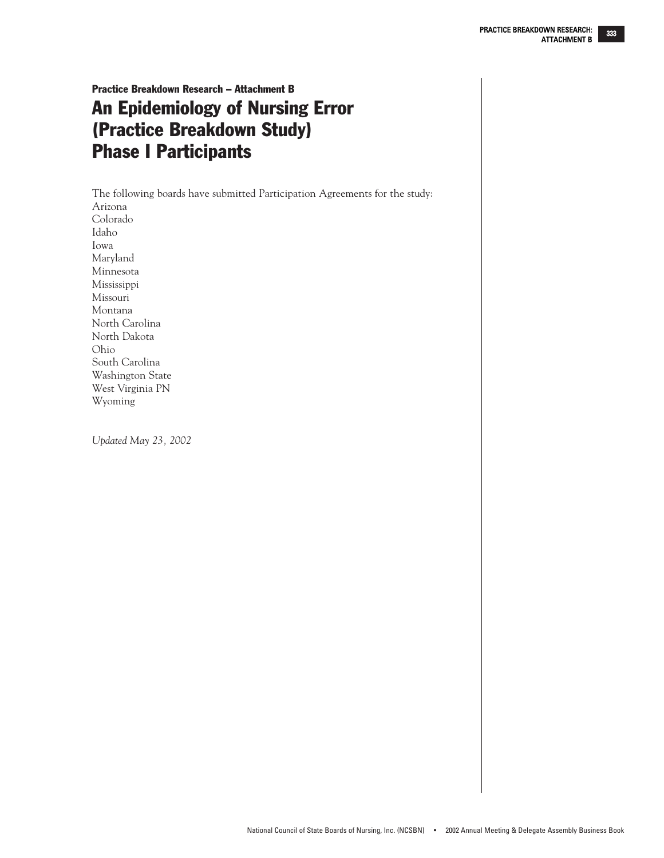Practice Breakdown Research – Attachment B

# An Epidemiology of Nursing Error (Practice Breakdown Study) Phase I Participants

The following boards have submitted Participation Agreements for the study: Arizona Colorado Idaho Iowa Maryland Minnesota Mississippi Missouri Montana North Carolina North Dakota Ohio South Carolina Washington State

West Virginia PN Wyoming

*Updated May 23, 2002*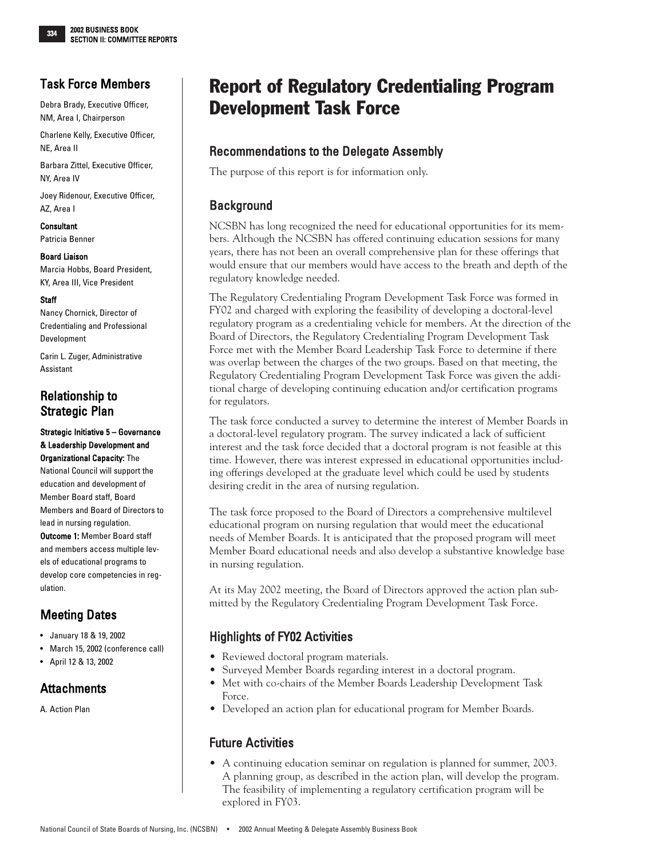## Task Force Members

Debra Brady, Executive Officer, NM, Area I, Chairperson

Charlene Kelly, Executive Officer, NE, Area II

Barbara Zittel, Executive Officer, NY, Area IV

Joey Ridenour, Executive Officer, AZ, Area I

**Consultant** Patricia Benner

Board Liaison

Marcia Hobbs, Board President, KY, Area III, Vice President

#### Staff

Nancy Chornick, Director of Credentialing and Professional Development

Carin L. Zuger, Administrative Assistant

## Relationship to Strategic Plan

#### Strategic Initiative 5 – Governance & Leadership Development and Organizational Capacity: The

National Council will support the education and development of Member Board staff, Board Members and Board of Directors to lead in nursing regulation. **Outcome 1: Member Board staff** and members access multiple levels of educational programs to develop core competencies in regulation.

# Meeting Dates

- January 18 & 19, 2002
- March 15, 2002 (conference call)
- April 12 & 13, 2002

## **Attachments**

A. Action Plan

# Report of Regulatory Credentialing Program Development Task Force

## Recommendations to the Delegate Assembly

The purpose of this report is for information only.

# Background

NCSBN has long recognized the need for educational opportunities for its members. Although the NCSBN has offered continuing education sessions for many years, there has not been an overall comprehensive plan for these offerings that would ensure that our members would have access to the breath and depth of the regulatory knowledge needed.

The Regulatory Credentialing Program Development Task Force was formed in FY02 and charged with exploring the feasibility of developing a doctoral-level regulatory program as a credentialing vehicle for members. At the direction of the Board of Directors, the Regulatory Credentialing Program Development Task Force met with the Member Board Leadership Task Force to determine if there was overlap between the charges of the two groups. Based on that meeting, the Regulatory Credentialing Program Development Task Force was given the additional charge of developing continuing education and/or certification programs for regulators.

The task force conducted a survey to determine the interest of Member Boards in a doctoral-level regulatory program. The survey indicated a lack of sufficient interest and the task force decided that a doctoral program is not feasible at this time. However, there was interest expressed in educational opportunities including offerings developed at the graduate level which could be used by students desiring credit in the area of nursing regulation.

The task force proposed to the Board of Directors a comprehensive multilevel educational program on nursing regulation that would meet the educational needs of Member Boards. It is anticipated that the proposed program will meet Member Board educational needs and also develop a substantive knowledge base in nursing regulation.

At its May 2002 meeting, the Board of Directors approved the action plan submitted by the Regulatory Credentialing Program Development Task Force.

# Highlights of FY02 Activities

- Reviewed doctoral program materials.
- Surveyed Member Boards regarding interest in a doctoral program.
- Met with co-chairs of the Member Boards Leadership Development Task Force.
- Developed an action plan for educational program for Member Boards.

## Future Activities

• A continuing education seminar on regulation is planned for summer, 2003. A planning group, as described in the action plan, will develop the program. The feasibility of implementing a regulatory certification program will be explored in FY03.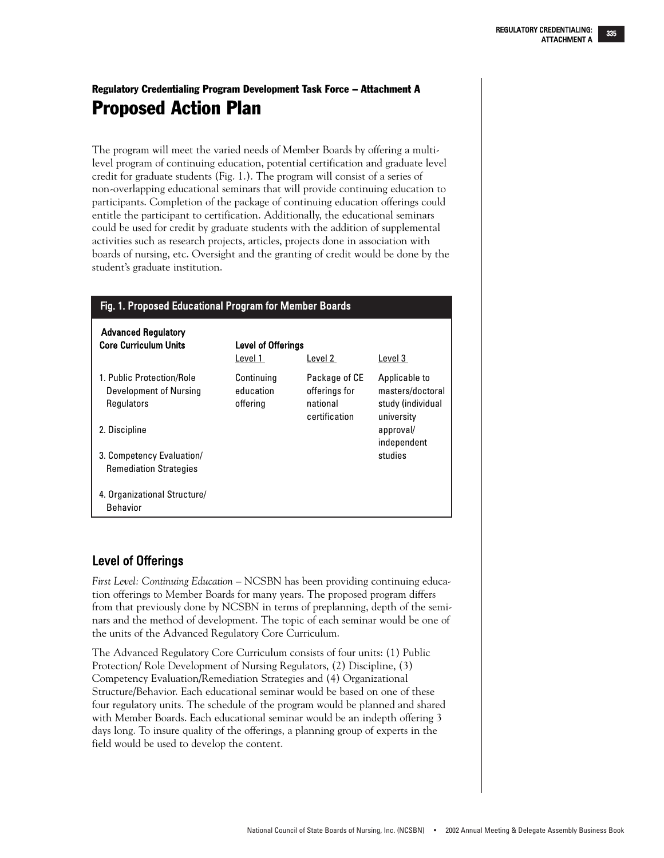# Regulatory Credentialing Program Development Task Force – Attachment A Proposed Action Plan

The program will meet the varied needs of Member Boards by offering a multilevel program of continuing education, potential certification and graduate level credit for graduate students (Fig. 1.). The program will consist of a series of non-overlapping educational seminars that will provide continuing education to participants. Completion of the package of continuing education offerings could entitle the participant to certification. Additionally, the educational seminars could be used for credit by graduate students with the addition of supplemental activities such as research projects, articles, projects done in association with boards of nursing, etc. Oversight and the granting of credit would be done by the student's graduate institution.

| Fig. 1. Proposed Educational Program for Member Boards            |                                     |                                                             |                                                                      |  |  |  |
|-------------------------------------------------------------------|-------------------------------------|-------------------------------------------------------------|----------------------------------------------------------------------|--|--|--|
| <b>Advanced Regulatory</b><br><b>Core Curriculum Units</b>        | Level of Offerings<br>Level 1       | Level 2                                                     | Level 3                                                              |  |  |  |
| 1. Public Protection/Role<br>Development of Nursing<br>Regulators | Continuing<br>education<br>offering | Package of CE<br>offerings for<br>national<br>certification | Applicable to<br>masters/doctoral<br>study (individual<br>university |  |  |  |
| 2. Discipline                                                     |                                     |                                                             | approval/<br>independent                                             |  |  |  |
| 3. Competency Evaluation/<br><b>Remediation Strategies</b>        |                                     |                                                             | studies                                                              |  |  |  |
| 4. Organizational Structure/<br><b>Behavior</b>                   |                                     |                                                             |                                                                      |  |  |  |

### Level of Offerings

*First Level: Continuing Education –* NCSBN has been providing continuing education offerings to Member Boards for many years. The proposed program differs from that previously done by NCSBN in terms of preplanning, depth of the seminars and the method of development. The topic of each seminar would be one of the units of the Advanced Regulatory Core Curriculum.

The Advanced Regulatory Core Curriculum consists of four units: (1) Public Protection/ Role Development of Nursing Regulators, (2) Discipline, (3) Competency Evaluation/Remediation Strategies and (4) Organizational Structure/Behavior. Each educational seminar would be based on one of these four regulatory units. The schedule of the program would be planned and shared with Member Boards. Each educational seminar would be an indepth offering 3 days long. To insure quality of the offerings, a planning group of experts in the field would be used to develop the content.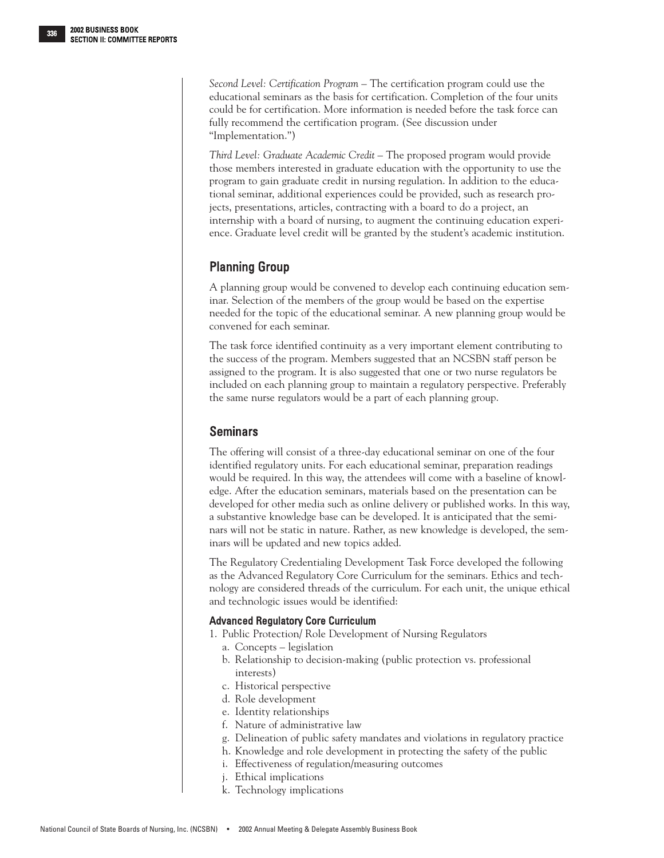*Second Level: Certification Program –* The certification program could use the educational seminars as the basis for certification. Completion of the four units could be for certification. More information is needed before the task force can fully recommend the certification program. (See discussion under "Implementation.")

*Third Level: Graduate Academic Credit –* The proposed program would provide those members interested in graduate education with the opportunity to use the program to gain graduate credit in nursing regulation. In addition to the educational seminar, additional experiences could be provided, such as research projects, presentations, articles, contracting with a board to do a project, an internship with a board of nursing, to augment the continuing education experience. Graduate level credit will be granted by the student's academic institution.

### Planning Group

A planning group would be convened to develop each continuing education seminar. Selection of the members of the group would be based on the expertise needed for the topic of the educational seminar. A new planning group would be convened for each seminar.

The task force identified continuity as a very important element contributing to the success of the program. Members suggested that an NCSBN staff person be assigned to the program. It is also suggested that one or two nurse regulators be included on each planning group to maintain a regulatory perspective. Preferably the same nurse regulators would be a part of each planning group.

### **Seminars**

The offering will consist of a three-day educational seminar on one of the four identified regulatory units. For each educational seminar, preparation readings would be required. In this way, the attendees will come with a baseline of knowledge. After the education seminars, materials based on the presentation can be developed for other media such as online delivery or published works. In this way, a substantive knowledge base can be developed. It is anticipated that the seminars will not be static in nature. Rather, as new knowledge is developed, the seminars will be updated and new topics added.

The Regulatory Credentialing Development Task Force developed the following as the Advanced Regulatory Core Curriculum for the seminars. Ethics and technology are considered threads of the curriculum. For each unit, the unique ethical and technologic issues would be identified:

#### Advanced Regulatory Core Curriculum

- 1. Public Protection/ Role Development of Nursing Regulators
	- a. Concepts legislation
	- b. Relationship to decision-making (public protection vs. professional interests)
	- c. Historical perspective
	- d. Role development
	- e. Identity relationships
	- f. Nature of administrative law
	- g. Delineation of public safety mandates and violations in regulatory practice
	- h. Knowledge and role development in protecting the safety of the public
	- i. Effectiveness of regulation/measuring outcomes
	- j. Ethical implications
	- k. Technology implications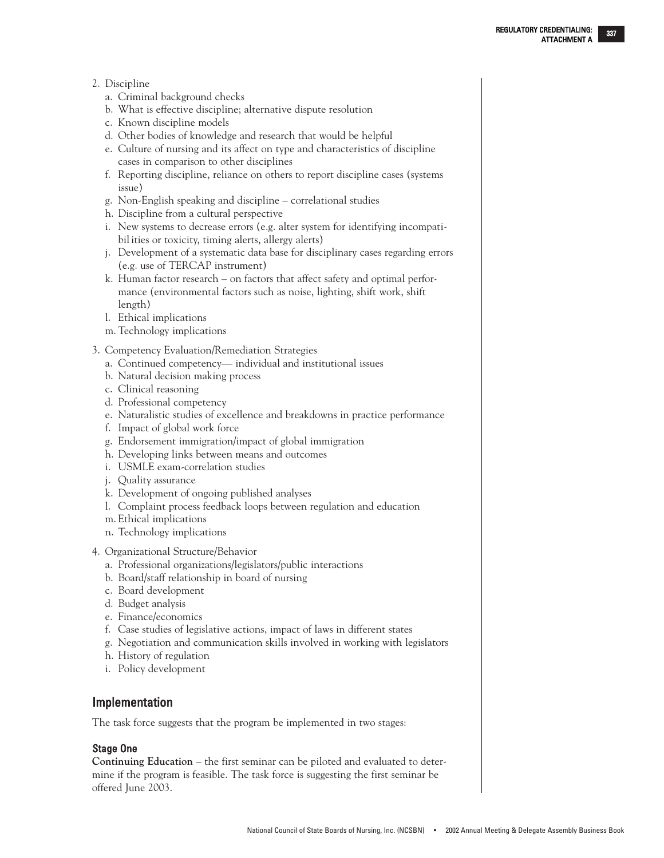#### 2. Discipline

- a. Criminal background checks
- b. What is effective discipline; alternative dispute resolution
- c. Known discipline models
- d. Other bodies of knowledge and research that would be helpful
- e. Culture of nursing and its affect on type and characteristics of discipline cases in comparison to other disciplines
- f. Reporting discipline, reliance on others to report discipline cases (systems issue)
- g. Non-English speaking and discipline correlational studies
- h. Discipline from a cultural perspective
- i. New systems to decrease errors (e.g. alter system for identifying incompatibil ities or toxicity, timing alerts, allergy alerts)
- j. Development of a systematic data base for disciplinary cases regarding errors (e.g. use of TERCAP instrument)
- k. Human factor research on factors that affect safety and optimal performance (environmental factors such as noise, lighting, shift work, shift length)
- l. Ethical implications
- m. Technology implications
- 3. Competency Evaluation/Remediation Strategies
	- a. Continued competency— individual and institutional issues
	- b. Natural decision making process
	- c. Clinical reasoning
	- d. Professional competency
	- e. Naturalistic studies of excellence and breakdowns in practice performance
	- f. Impact of global work force
	- g. Endorsement immigration/impact of global immigration
	- h. Developing links between means and outcomes
	- i. USMLE exam-correlation studies
	- j. Quality assurance
	- k. Development of ongoing published analyses
	- l. Complaint process feedback loops between regulation and education
	- m. Ethical implications
	- n. Technology implications
- 4. Organizational Structure/Behavior
	- a. Professional organizations/legislators/public interactions
	- b. Board/staff relationship in board of nursing
	- c. Board development
	- d. Budget analysis
	- e. Finance/economics
	- f. Case studies of legislative actions, impact of laws in different states
	- g. Negotiation and communication skills involved in working with legislators
	- h. History of regulation
	- i. Policy development

### Implementation

The task force suggests that the program be implemented in two stages:

#### Stage One

**Continuing Education** – the first seminar can be piloted and evaluated to determine if the program is feasible. The task force is suggesting the first seminar be offered June 2003.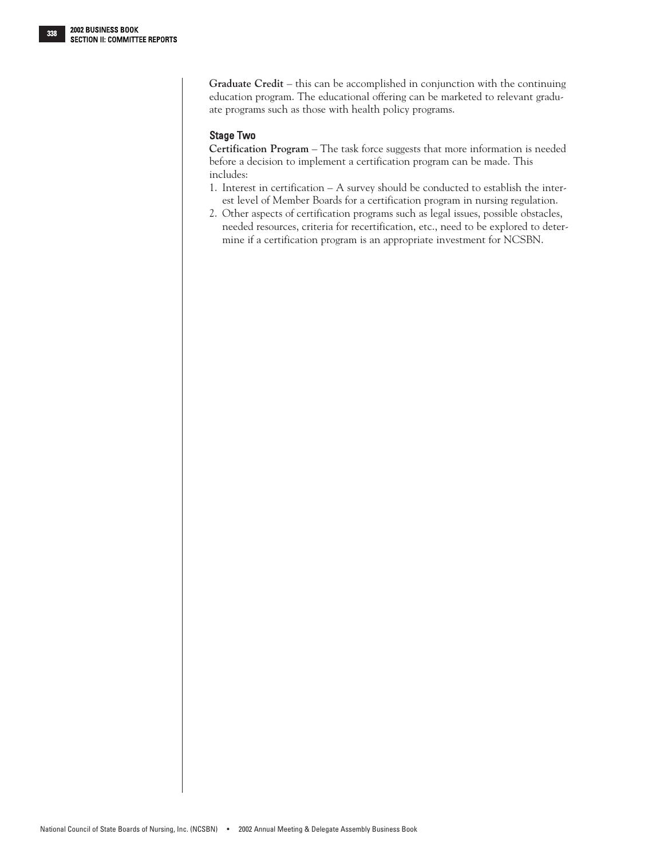**Graduate Credit** – this can be accomplished in conjunction with the continuing education program. The educational offering can be marketed to relevant graduate programs such as those with health policy programs.

#### Stage Two

**Certification Program** *–* The task force suggests that more information is needed before a decision to implement a certification program can be made. This includes:

- 1. Interest in certification A survey should be conducted to establish the interest level of Member Boards for a certification program in nursing regulation.
- 2. Other aspects of certification programs such as legal issues, possible obstacles, needed resources, criteria for recertification, etc., need to be explored to determine if a certification program is an appropriate investment for NCSBN.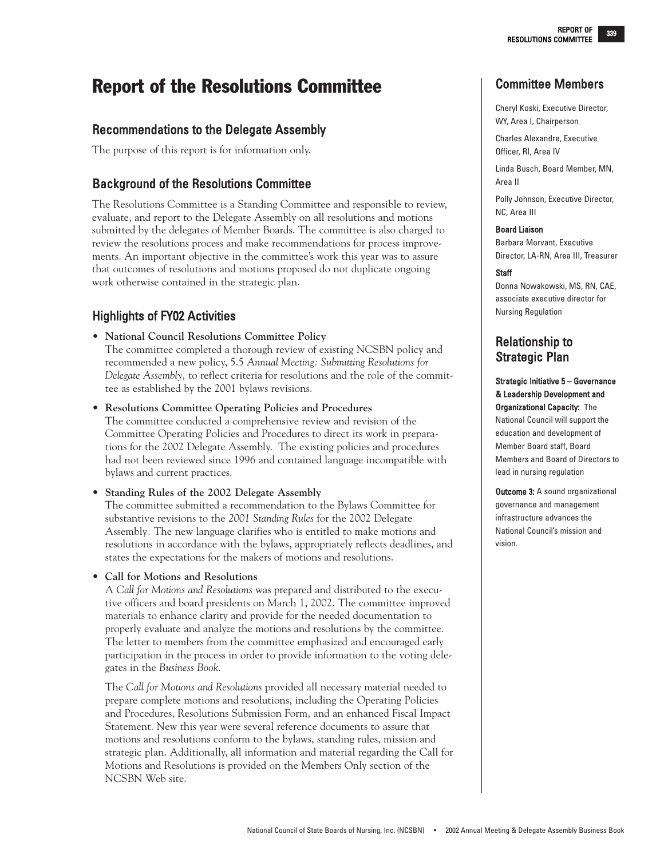# Report of the Resolutions Committee

### Recommendations to the Delegate Assembly

The purpose of this report is for information only.

### Background of the Resolutions Committee

The Resolutions Committee is a Standing Committee and responsible to review, evaluate, and report to the Delegate Assembly on all resolutions and motions submitted by the delegates of Member Boards. The committee is also charged to review the resolutions process and make recommendations for process improvements. An important objective in the committee's work this year was to assure that outcomes of resolutions and motions proposed do not duplicate ongoing work otherwise contained in the strategic plan.

### Highlights of FY02 Activities

**• National Council Resolutions Committee Policy** The committee completed a thorough review of existing NCSBN policy and recommended a new policy, 5.5 *Annual Meeting: Submitting Resolutions for Delegate Assembly,* to reflect criteria for resolutions and the role of the committee as established by the 2001 bylaws revisions.

**• Resolutions Committee Operating Policies and Procedures** The committee conducted a comprehensive review and revision of the Committee Operating Policies and Procedures to direct its work in preparations for the 2002 Delegate Assembly. The existing policies and procedures had not been reviewed since 1996 and contained language incompatible with bylaws and current practices.

#### • **Standing Rules of the 2002 Delegate Assembly**

The committee submitted a recommendation to the Bylaws Committee for substantive revisions to the *2001 Standing Rules* for the 2002 Delegate Assembly*.* The new language clarifies who is entitled to make motions and resolutions in accordance with the bylaws, appropriately reflects deadlines, and states the expectations for the makers of motions and resolutions.

#### • **Call for Motions and Resolutions**

A *Call for Motions and Resolutions* was prepared and distributed to the executive officers and board presidents on March 1, 2002. The committee improved materials to enhance clarity and provide for the needed documentation to properly evaluate and analyze the motions and resolutions by the committee. The letter to members from the committee emphasized and encouraged early participation in the process in order to provide information to the voting delegates in the *Business Book*.

The *Call for Motions and Resolutions* provided all necessary material needed to prepare complete motions and resolutions, including the Operating Policies and Procedures, Resolutions Submission Form, and an enhanced Fiscal Impact Statement. New this year were several reference documents to assure that motions and resolutions conform to the bylaws, standing rules, mission and strategic plan. Additionally, all information and material regarding the Call for Motions and Resolutions is provided on the Members Only section of the NCSBN Web site.

### Committee Members

Cheryl Koski, Executive Director, WY, Area I, Chairperson

Charles Alexandre, Executive Officer, RI, Area IV

Linda Busch, Board Member, MN, Area II

Polly Johnson, Executive Director, NC, Area III

#### Board Liaison

Barbara Morvant, Executive Director, LA-RN, Area III, Treasurer

#### **Staff**

Donna Nowakowski, MS, RN, CAE, associate executive director for Nursing Regulation

### Relationship to Strategic Plan

#### Strategic Initiative 5 – Governance & Leadership Development and Organizational Capacity: The

National Council will support the education and development of Member Board staff, Board Members and Board of Directors to lead in nursing regulation

**Outcome 3:** A sound organizational governance and management infrastructure advances the National Council's mission and vision.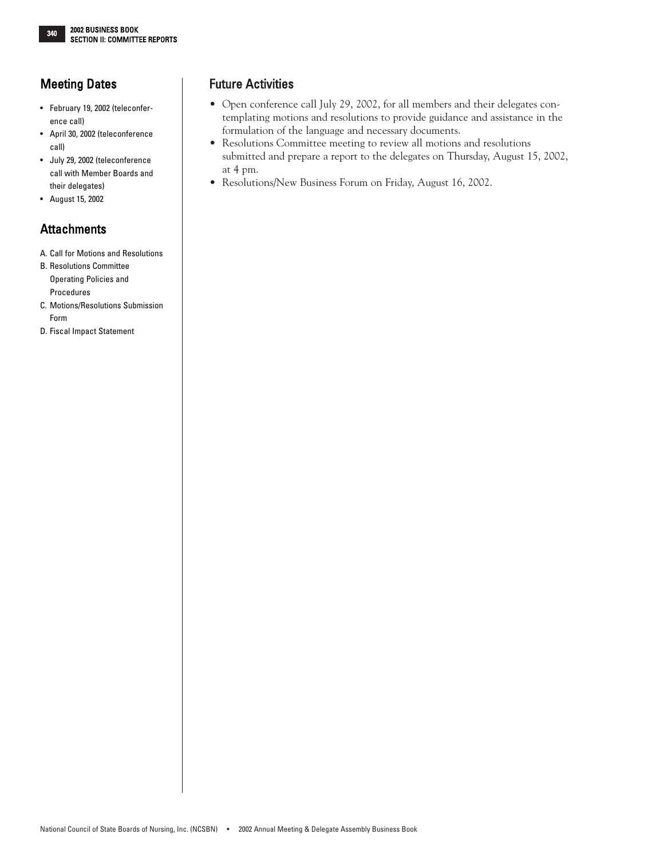# Meeting Dates

- February 19, 2002 (teleconference call)
- April 30, 2002 (teleconference call)
- July 29, 2002 (teleconference call with Member Boards and their delegates)
- August 15, 2002

## **Attachments**

- A. Call for Motions and Resolutions
- B. Resolutions Committee Operating Policies and Procedures
- C. Motions/Resolutions Submission Form
- D. Fiscal Impact Statement

### Future Activities

- Open conference call July 29, 2002, for all members and their delegates contemplating motions and resolutions to provide guidance and assistance in the formulation of the language and necessary documents.
- Resolutions Committee meeting to review all motions and resolutions submitted and prepare a report to the delegates on Thursday, August 15, 2002, at 4 pm.
- Resolutions/New Business Forum on Friday, August 16, 2002.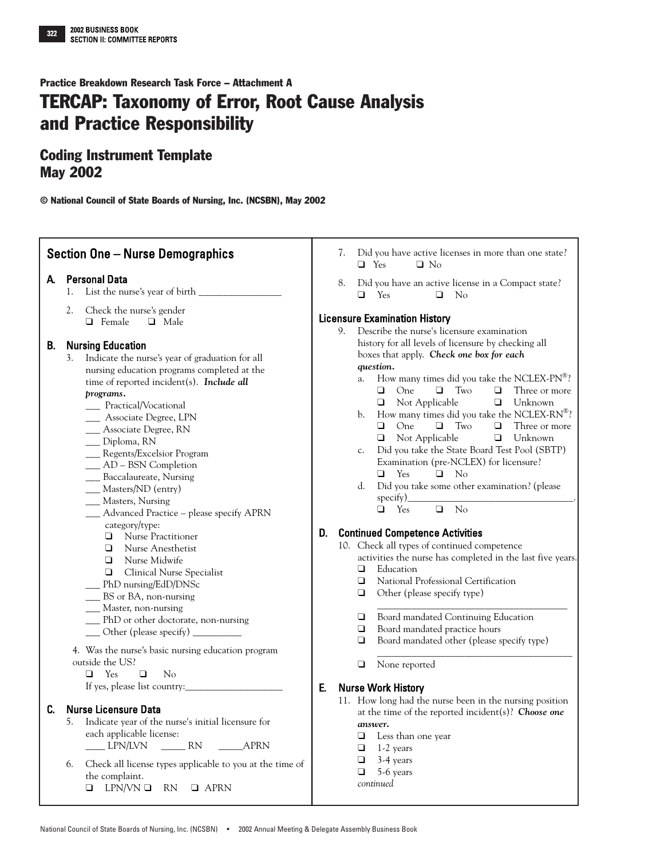# Practice Breakdown Research Task Force – Attachment A TERCAP: Taxonomy of Error, Root Cause Analysis and Practice Responsibility

# Coding Instrument Template May 2002

© National Council of State Boards of Nursing, Inc. (NCSBN), May 2002

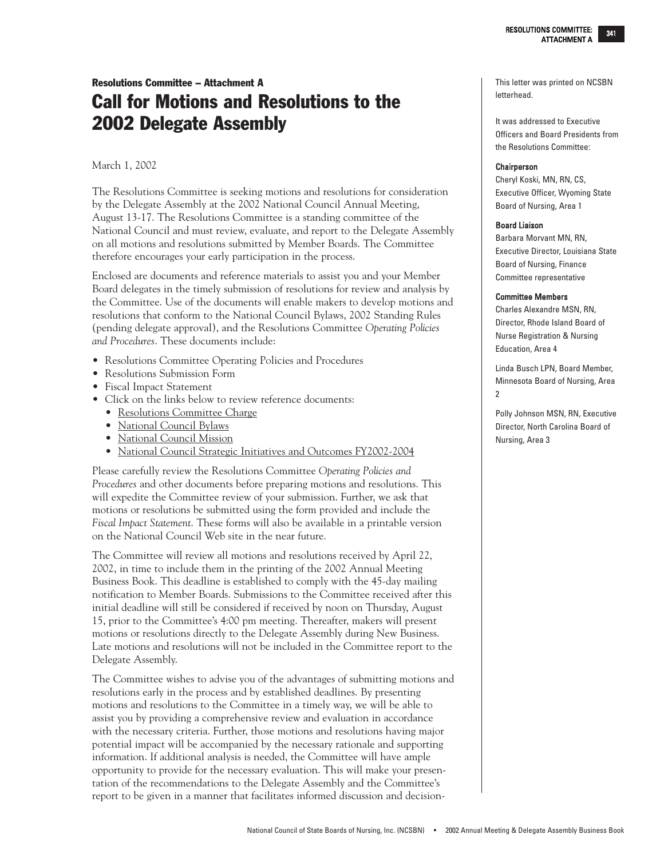# Resolutions Committee – Attachment A Call for Motions and Resolutions to the 2002 Delegate Assembly

#### March 1, 2002

The Resolutions Committee is seeking motions and resolutions for consideration by the Delegate Assembly at the 2002 National Council Annual Meeting, August 13-17. The Resolutions Committee is a standing committee of the National Council and must review, evaluate, and report to the Delegate Assembly on all motions and resolutions submitted by Member Boards. The Committee therefore encourages your early participation in the process.

Enclosed are documents and reference materials to assist you and your Member Board delegates in the timely submission of resolutions for review and analysis by the Committee. Use of the documents will enable makers to develop motions and resolutions that conform to the National Council Bylaws, 2002 Standing Rules (pending delegate approval), and the Resolutions Committee *Operating Policies and Procedures*. These documents include:

- Resolutions Committee Operating Policies and Procedures
- Resolutions Submission Form
- Fiscal Impact Statement
- Click on the links below to review reference documents:
	- Resolutions Committee Charge
	- National Council Bylaws
	- National Council Mission
	- National Council Strategic Initiatives and Outcomes FY2002-2004

Please carefully review the Resolutions Committee *Operating Policies and Procedures* and other documents before preparing motions and resolutions. This will expedite the Committee review of your submission. Further, we ask that motions or resolutions be submitted using the form provided and include the *Fiscal Impact Statement*. These forms will also be available in a printable version on the National Council Web site in the near future.

The Committee will review all motions and resolutions received by April 22, 2002, in time to include them in the printing of the 2002 Annual Meeting Business Book. This deadline is established to comply with the 45-day mailing notification to Member Boards. Submissions to the Committee received after this initial deadline will still be considered if received by noon on Thursday, August 15, prior to the Committee's 4:00 pm meeting. Thereafter, makers will present motions or resolutions directly to the Delegate Assembly during New Business. Late motions and resolutions will not be included in the Committee report to the Delegate Assembly.

The Committee wishes to advise you of the advantages of submitting motions and resolutions early in the process and by established deadlines. By presenting motions and resolutions to the Committee in a timely way, we will be able to assist you by providing a comprehensive review and evaluation in accordance with the necessary criteria. Further, those motions and resolutions having major potential impact will be accompanied by the necessary rationale and supporting information. If additional analysis is needed, the Committee will have ample opportunity to provide for the necessary evaluation. This will make your presentation of the recommendations to the Delegate Assembly and the Committee's report to be given in a manner that facilitates informed discussion and decisionThis letter was printed on NCSBN letterhead.

It was addressed to Executive Officers and Board Presidents from the Resolutions Committee:

#### Chairperson

Cheryl Koski, MN, RN, CS, Executive Officer, Wyoming State Board of Nursing, Area 1

#### Board Liaison

Barbara Morvant MN, RN, Executive Director, Louisiana State Board of Nursing, Finance Committee representative

#### Committee Members

Charles Alexandre MSN, RN, Director, Rhode Island Board of Nurse Registration & Nursing Education, Area 4

Linda Busch LPN, Board Member, Minnesota Board of Nursing, Area  $\overline{2}$ 

Polly Johnson MSN, RN, Executive Director, North Carolina Board of Nursing, Area 3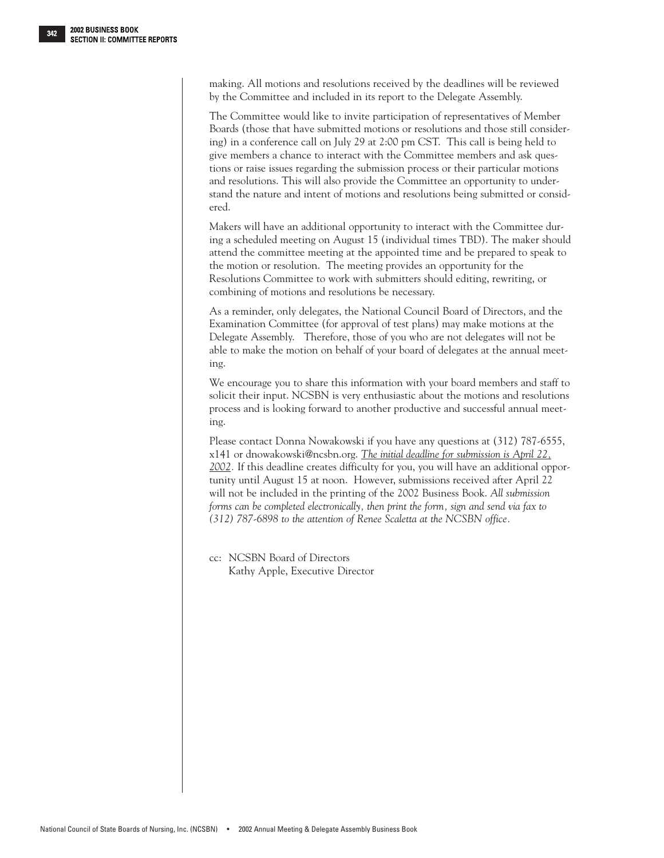making. All motions and resolutions received by the deadlines will be reviewed by the Committee and included in its report to the Delegate Assembly.

The Committee would like to invite participation of representatives of Member Boards (those that have submitted motions or resolutions and those still considering) in a conference call on July 29 at 2:00 pm CST. This call is being held to give members a chance to interact with the Committee members and ask questions or raise issues regarding the submission process or their particular motions and resolutions. This will also provide the Committee an opportunity to understand the nature and intent of motions and resolutions being submitted or considered.

Makers will have an additional opportunity to interact with the Committee during a scheduled meeting on August 15 (individual times TBD). The maker should attend the committee meeting at the appointed time and be prepared to speak to the motion or resolution. The meeting provides an opportunity for the Resolutions Committee to work with submitters should editing, rewriting, or combining of motions and resolutions be necessary.

As a reminder, only delegates, the National Council Board of Directors, and the Examination Committee (for approval of test plans) may make motions at the Delegate Assembly. Therefore, those of you who are not delegates will not be able to make the motion on behalf of your board of delegates at the annual meeting.

We encourage you to share this information with your board members and staff to solicit their input. NCSBN is very enthusiastic about the motions and resolutions process and is looking forward to another productive and successful annual meeting.

Please contact Donna Nowakowski if you have any questions at (312) 787-6555, x141 or dnowakowski@ncsbn.org. *The initial deadline for submission is April 22, 2002.* If this deadline creates difficulty for you, you will have an additional opportunity until August 15 at noon. However, submissions received after April 22 will not be included in the printing of the 2002 Business Book. *All submission forms can be completed electronically, then print the form, sign and send via fax to (312) 787-6898 to the attention of Renee Scaletta at the NCSBN office.*

cc: NCSBN Board of Directors Kathy Apple, Executive Director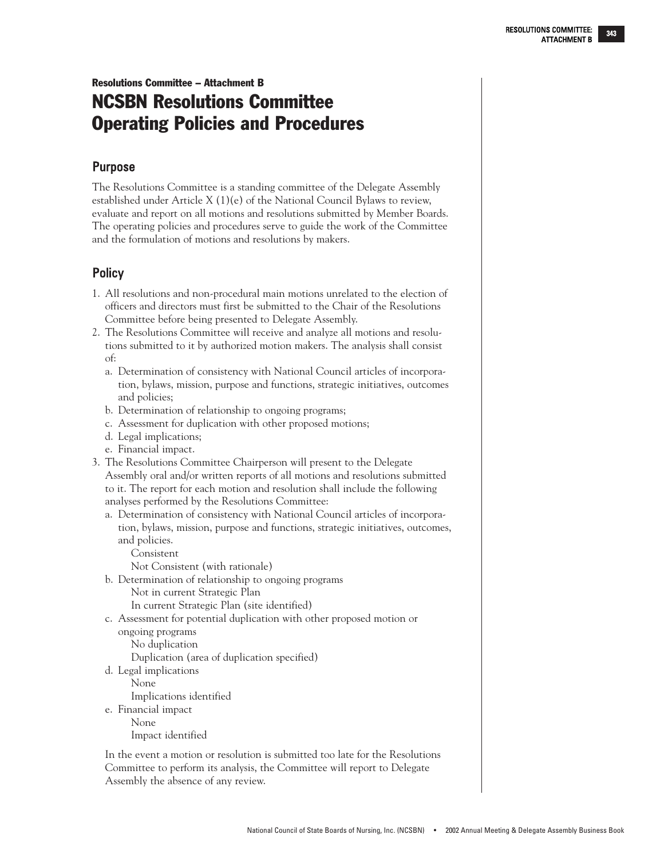# Resolutions Committee – Attachment B NCSBN Resolutions Committee Operating Policies and Procedures

### Purpose

The Resolutions Committee is a standing committee of the Delegate Assembly established under Article X (1)(e) of the National Council Bylaws to review, evaluate and report on all motions and resolutions submitted by Member Boards. The operating policies and procedures serve to guide the work of the Committee and the formulation of motions and resolutions by makers.

### **Policy**

- 1. All resolutions and non-procedural main motions unrelated to the election of officers and directors must first be submitted to the Chair of the Resolutions Committee before being presented to Delegate Assembly.
- 2. The Resolutions Committee will receive and analyze all motions and resolutions submitted to it by authorized motion makers. The analysis shall consist of:
	- a. Determination of consistency with National Council articles of incorporation, bylaws, mission, purpose and functions, strategic initiatives, outcomes and policies;
	- b. Determination of relationship to ongoing programs;
	- c. Assessment for duplication with other proposed motions;
	- d. Legal implications;
	- e. Financial impact.
- 3. The Resolutions Committee Chairperson will present to the Delegate Assembly oral and/or written reports of all motions and resolutions submitted to it. The report for each motion and resolution shall include the following analyses performed by the Resolutions Committee:
	- a. Determination of consistency with National Council articles of incorporation, bylaws, mission, purpose and functions, strategic initiatives, outcomes, and policies.
		- Consistent

Not Consistent (with rationale)

- b. Determination of relationship to ongoing programs
	- Not in current Strategic Plan

In current Strategic Plan (site identified)

- c. Assessment for potential duplication with other proposed motion or
	- ongoing programs
	- No duplication
		- Duplication (area of duplication specified)
- d. Legal implications
	- None
	- Implications identified
- e. Financial impact
- None
	- Impact identified

In the event a motion or resolution is submitted too late for the Resolutions Committee to perform its analysis, the Committee will report to Delegate Assembly the absence of any review.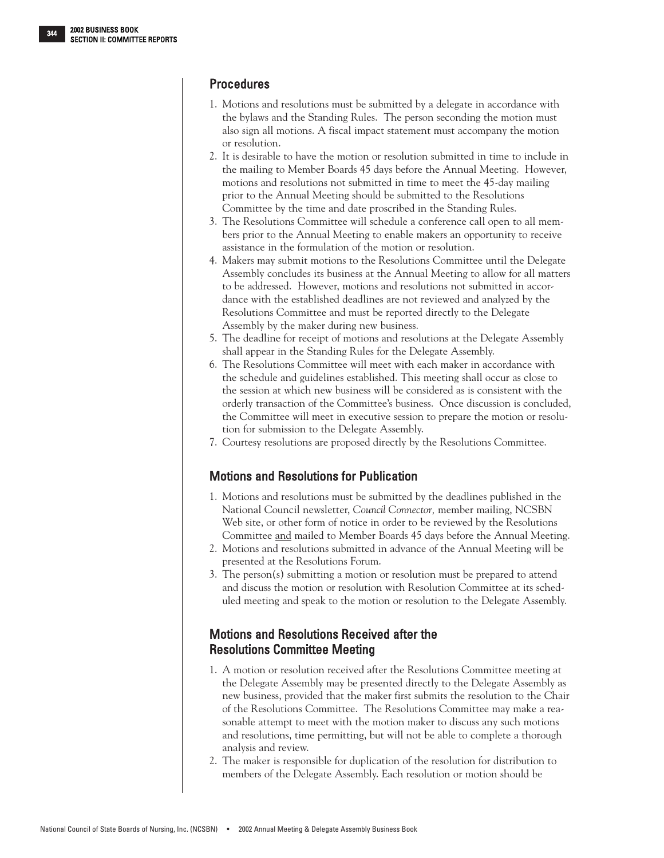### **Procedures**

- 1. Motions and resolutions must be submitted by a delegate in accordance with the bylaws and the Standing Rules. The person seconding the motion must also sign all motions. A fiscal impact statement must accompany the motion or resolution.
- 2. It is desirable to have the motion or resolution submitted in time to include in the mailing to Member Boards 45 days before the Annual Meeting. However, motions and resolutions not submitted in time to meet the 45-day mailing prior to the Annual Meeting should be submitted to the Resolutions Committee by the time and date proscribed in the Standing Rules.
- 3. The Resolutions Committee will schedule a conference call open to all members prior to the Annual Meeting to enable makers an opportunity to receive assistance in the formulation of the motion or resolution.
- 4. Makers may submit motions to the Resolutions Committee until the Delegate Assembly concludes its business at the Annual Meeting to allow for all matters to be addressed. However, motions and resolutions not submitted in accordance with the established deadlines are not reviewed and analyzed by the Resolutions Committee and must be reported directly to the Delegate Assembly by the maker during new business.
- 5. The deadline for receipt of motions and resolutions at the Delegate Assembly shall appear in the Standing Rules for the Delegate Assembly.
- 6. The Resolutions Committee will meet with each maker in accordance with the schedule and guidelines established. This meeting shall occur as close to the session at which new business will be considered as is consistent with the orderly transaction of the Committee's business. Once discussion is concluded, the Committee will meet in executive session to prepare the motion or resolution for submission to the Delegate Assembly.
- 7. Courtesy resolutions are proposed directly by the Resolutions Committee.

### Motions and Resolutions for Publication

- 1. Motions and resolutions must be submitted by the deadlines published in the National Council newsletter, *Council Connector,* member mailing, NCSBN Web site, or other form of notice in order to be reviewed by the Resolutions Committee and mailed to Member Boards 45 days before the Annual Meeting.
- 2. Motions and resolutions submitted in advance of the Annual Meeting will be presented at the Resolutions Forum.
- 3. The person(s) submitting a motion or resolution must be prepared to attend and discuss the motion or resolution with Resolution Committee at its scheduled meeting and speak to the motion or resolution to the Delegate Assembly.

### Motions and Resolutions Received after the Resolutions Committee Meeting

- 1. A motion or resolution received after the Resolutions Committee meeting at the Delegate Assembly may be presented directly to the Delegate Assembly as new business, provided that the maker first submits the resolution to the Chair of the Resolutions Committee. The Resolutions Committee may make a reasonable attempt to meet with the motion maker to discuss any such motions and resolutions, time permitting, but will not be able to complete a thorough analysis and review.
- 2. The maker is responsible for duplication of the resolution for distribution to members of the Delegate Assembly. Each resolution or motion should be

National Council of State Boards of Nursing, Inc. (NCSBN) • 2002 Annual Meeting & Delegate Assembly Business Book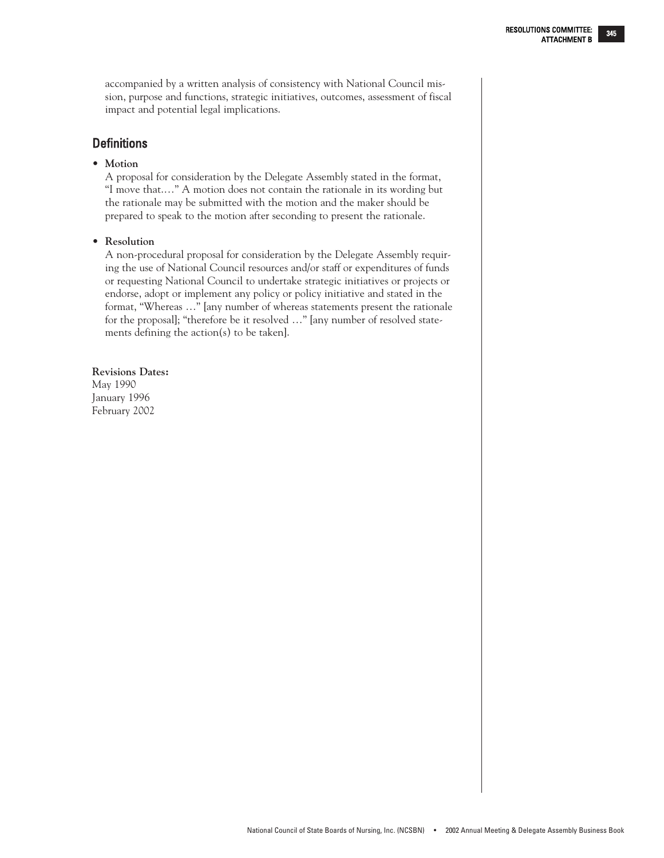accompanied by a written analysis of consistency with National Council mission, purpose and functions, strategic initiatives, outcomes, assessment of fiscal impact and potential legal implications.

### **Definitions**

#### • **Motion**

A proposal for consideration by the Delegate Assembly stated in the format, "I move that.…" A motion does not contain the rationale in its wording but the rationale may be submitted with the motion and the maker should be prepared to speak to the motion after seconding to present the rationale.

#### • **Resolution**

A non-procedural proposal for consideration by the Delegate Assembly requiring the use of National Council resources and/or staff or expenditures of funds or requesting National Council to undertake strategic initiatives or projects or endorse, adopt or implement any policy or policy initiative and stated in the format, "Whereas …" [any number of whereas statements present the rationale for the proposal]; "therefore be it resolved …" [any number of resolved statements defining the action(s) to be taken].

#### **Revisions Dates:** May 1990 January 1996 February 2002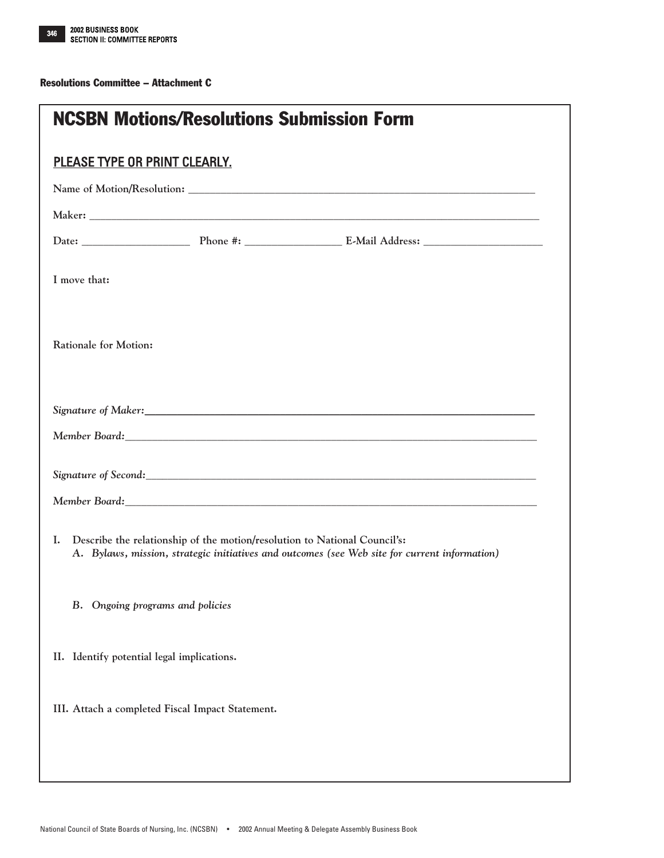Resolutions Committee – Attachment C

| <b>NCSBN Motions/Resolutions Submission Form</b>                                                                                                                                                                               |  |
|--------------------------------------------------------------------------------------------------------------------------------------------------------------------------------------------------------------------------------|--|
| PLEASE TYPE OR PRINT CLEARLY.                                                                                                                                                                                                  |  |
|                                                                                                                                                                                                                                |  |
|                                                                                                                                                                                                                                |  |
|                                                                                                                                                                                                                                |  |
| I move that:                                                                                                                                                                                                                   |  |
| Rationale for Motion:                                                                                                                                                                                                          |  |
| Signature of Maker: 1999 Maker: 1999 Maker: 1999 Maker: 1999 Maker: 1999 Maker: 1999 Maker: 1999 Maker: 1999 Maker: 1999 Maker: 1999 Maker: 1999 Maker: 1999 Maker: 1999 Maker: 1999 Maker: 1999 Maker: 1999 Maker: 1999 Maker |  |
|                                                                                                                                                                                                                                |  |
|                                                                                                                                                                                                                                |  |
|                                                                                                                                                                                                                                |  |
| Describe the relationship of the motion/resolution to National Council's:<br>L.<br>A. Bylaws, mission, strategic initiatives and outcomes (see Web site for current information)                                               |  |
| B. Ongoing programs and policies                                                                                                                                                                                               |  |
| II. Identify potential legal implications.                                                                                                                                                                                     |  |
| III. Attach a completed Fiscal Impact Statement.                                                                                                                                                                               |  |
|                                                                                                                                                                                                                                |  |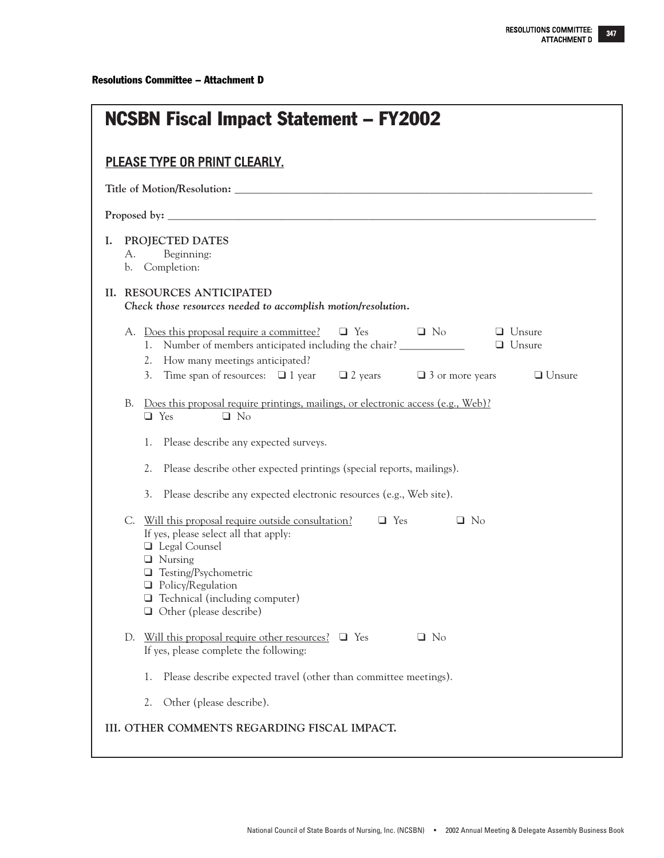|    | PLEASE TYPE OR PRINT CLEARLY.                                                                                                                                                                                                                                                                                         |
|----|-----------------------------------------------------------------------------------------------------------------------------------------------------------------------------------------------------------------------------------------------------------------------------------------------------------------------|
|    |                                                                                                                                                                                                                                                                                                                       |
|    |                                                                                                                                                                                                                                                                                                                       |
| I. | PROJECTED DATES<br>Beginning:<br>A.<br>b. Completion:                                                                                                                                                                                                                                                                 |
|    | II. RESOURCES ANTICIPATED<br>Check those resources needed to accomplish motion/resolution.                                                                                                                                                                                                                            |
|    | $\Box$ No<br>$\Box$ Unsure<br>A. Does this proposal require a committee?<br>$\Box$ Yes<br>$\Box$ Unsure<br>1. Number of members anticipated including the chair? ____________<br>2. How many meetings anticipated?<br>3. Time span of resources: $\Box$ 1 year $\Box$ 2 years $\Box$ 3 or more years<br>$\Box$ Unsure |
|    | Does this proposal require printings, mailings, or electronic access (e.g., Web)?<br>В.<br>$\Box$ No<br>$\Box$ Yes<br>Please describe any expected surveys.<br>1.                                                                                                                                                     |
|    | Please describe other expected printings (special reports, mailings).<br>2.<br>Please describe any expected electronic resources (e.g., Web site).<br>3.                                                                                                                                                              |
|    | $\Box$ Yes<br>Will this proposal require outside consultation?<br>$\Box$ No<br>C.<br>If yes, please select all that apply:<br>□ Legal Counsel<br>$\Box$ Nursing<br>$\Box$ Testing/Psychometric<br><b>Q</b> Policy/Regulation<br>$\Box$ Technical (including computer)<br>$\Box$ Other (please describe)               |
|    | Will this proposal require other resources? $\Box$ Yes<br>$\Box$ No<br>D.<br>If yes, please complete the following:                                                                                                                                                                                                   |
|    | Please describe expected travel (other than committee meetings).<br>1.                                                                                                                                                                                                                                                |
|    | Other (please describe).<br>2.                                                                                                                                                                                                                                                                                        |